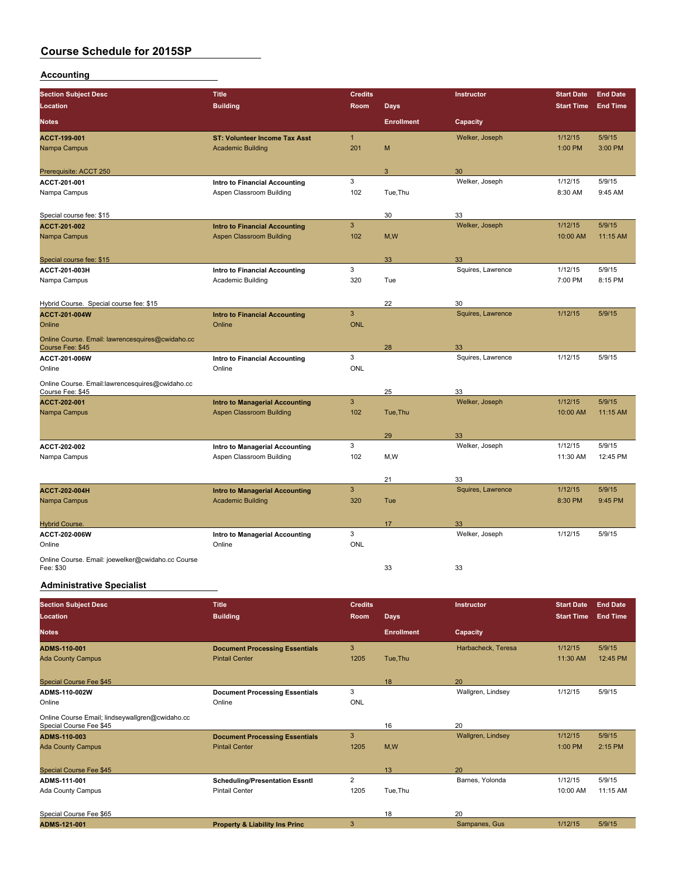#### **Accounting**

| <b>Section Subject Desc</b>                                          | <b>Title</b>                          | <b>Credits</b> |                   | Instructor        | <b>Start Date</b> | <b>End Date</b> |
|----------------------------------------------------------------------|---------------------------------------|----------------|-------------------|-------------------|-------------------|-----------------|
| <b>Location</b>                                                      | <b>Building</b>                       | Room           | <b>Days</b>       |                   | <b>Start Time</b> | <b>End Time</b> |
| <b>Notes</b>                                                         |                                       |                | <b>Enrollment</b> | Capacity          |                   |                 |
| ACCT-199-001                                                         | <b>ST: Volunteer Income Tax Asst</b>  | 1              |                   | Welker, Joseph    | 1/12/15           | 5/9/15          |
| Nampa Campus                                                         | <b>Academic Building</b>              | 201            | M                 |                   | 1:00 PM           | 3:00 PM         |
| Prerequisite: ACCT 250                                               |                                       |                | 3                 | 30                |                   |                 |
| ACCT 201-001                                                         | Intro to Financial Accounting         | 3              |                   | Welker, Joseph    | 1/12/15           | 5/9/15          |
| Nampa Campus                                                         | Aspen Classroom Building              | 102            | Tue, Thu          |                   | 8:30 AM           | 9:45 AM         |
| Special course fee: \$15                                             |                                       |                | 30                | 33                |                   |                 |
| <b>ACCT 201 002</b>                                                  | <b>Intro to Financial Accounting</b>  | 3              |                   | Welker, Joseph    | 1/12/15           | 5/9/15          |
| Nampa Campus                                                         | <b>Aspen Classroom Building</b>       | 102            | M, W              |                   | 10:00 AM          | 11:15 AM        |
| Special course fee: \$15                                             |                                       |                | 33                | 33                |                   |                 |
| ACCT 201-003H                                                        | Intro to Financial Accounting         | 3              |                   | Squires, Lawrence | 1/12/15           | 5/9/15          |
| Nampa Campus                                                         | <b>Academic Building</b>              | 320            | Tue               |                   | 7:00 PM           | 8:15 PM         |
| Hybrid Course. Special course fee: \$15                              |                                       |                | 22                | 30                |                   |                 |
| <b>ACCT 201-004W</b>                                                 | <b>Intro to Financial Accounting</b>  | $\mathbf{3}$   |                   | Squires, Lawrence | 1/12/15           | 5/9/15          |
| Online                                                               | Online                                | <b>ONL</b>     |                   |                   |                   |                 |
| Online Course. Email: lawrencesquires@cwidaho.cc<br>Course Fee: \$45 |                                       |                | 28                | 33                |                   |                 |
| ACCT-201-006W                                                        | Intro to Financial Accounting         | 3              |                   | Squires, Lawrence | 1/12/15           | 5/9/15          |
| Online                                                               | Online                                | <b>ONL</b>     |                   |                   |                   |                 |
| Online Course. Email:lawrencesquires@cwidaho.cc<br>Course Fee: \$45  |                                       |                | 25                | 33                |                   |                 |
| ACCT-202-001                                                         | <b>Intro to Managerial Accounting</b> | $\mathbf{3}$   |                   | Welker, Joseph    | 1/12/15           | 5/9/15          |
| Nampa Campus                                                         | <b>Aspen Classroom Building</b>       | 102            | Tue, Thu          |                   | 10:00 AM          | 11:15 AM        |
|                                                                      |                                       |                | 29                | 33                |                   |                 |
| ACCT 202-002                                                         | Intro to Managerial Accounting        | 3              |                   | Welker, Joseph    | 1/12/15           | 5/9/15          |
| Nampa Campus                                                         | Aspen Classroom Building              | 102            | M, W              |                   | 11:30 AM          | 12:45 PM        |
|                                                                      |                                       |                | 21                | 33                |                   |                 |
| <b>ACCT 202-004H</b>                                                 | <b>Intro to Managerial Accounting</b> | 3              |                   | Squires, Lawrence | 1/12/15           | 5/9/15          |
| Nampa Campus                                                         | <b>Academic Building</b>              | 320            | Tue               |                   | 8:30 PM           | 9:45 PM         |
| <b>Hybrid Course.</b>                                                |                                       |                | 17                | 33                |                   |                 |
| ACCT 202-006W                                                        | Intro to Managerial Accounting        | 3              |                   | Welker, Joseph    | 1/12/15           | 5/9/15          |
| Online                                                               | Online                                | <b>ONL</b>     |                   |                   |                   |                 |
| Online Course. Email: joewelker@cwidaho.cc Course<br>Fee: \$30       |                                       |                | 33                | 33                |                   |                 |

#### **Administrative Specialist**

| <b>Section Subject Desc</b>                                                | <b>Title</b>                              | <b>Credits</b> |                   | Instructor         | <b>Start Date</b> | <b>End Date</b> |
|----------------------------------------------------------------------------|-------------------------------------------|----------------|-------------------|--------------------|-------------------|-----------------|
| Location                                                                   | <b>Building</b>                           | <b>Room</b>    | <b>Days</b>       |                    | <b>Start Time</b> | <b>End Time</b> |
| <b>Notes</b>                                                               |                                           |                | <b>Enrollment</b> | Capacity           |                   |                 |
| <b>ADMS-110-001</b>                                                        | <b>Document Processing Essentials</b>     | 3              |                   | Harbacheck, Teresa | 1/12/15           | 5/9/15          |
| <b>Ada County Campus</b>                                                   | <b>Pintail Center</b>                     | 1205           | Tue, Thu          |                    | 11:30 AM          | 12:45 PM        |
| Special Course Fee \$45                                                    |                                           |                | 18                | 20                 |                   |                 |
| ADMS-110-002W                                                              | <b>Document Processing Essentials</b>     | 3              |                   | Wallgren, Lindsey  | 1/12/15           | 5/9/15          |
| Online                                                                     | Online                                    | <b>ONL</b>     |                   |                    |                   |                 |
| Online Course Email; lindseywallgren@cwidaho.cc<br>Special Course Fee \$45 |                                           |                | 16                | 20                 |                   |                 |
| <b>ADMS-110-003</b>                                                        | <b>Document Processing Essentials</b>     | 3              |                   | Wallgren, Lindsey  | 1/12/15           | 5/9/15          |
| <b>Ada County Campus</b>                                                   | <b>Pintail Center</b>                     | 1205           | M,W               |                    | 1:00 PM           | 2:15 PM         |
| Special Course Fee \$45                                                    |                                           |                | 13                | 20                 |                   |                 |
| ADMS-111-001                                                               | <b>Scheduling/Presentation Essntl</b>     | $\overline{2}$ |                   | Barnes, Yolonda    | 1/12/15           | 5/9/15          |
| Ada County Campus                                                          | <b>Pintail Center</b>                     | 1205           | Tue, Thu          |                    | 10:00 AM          | 11:15 AM        |
| Special Course Fee \$65                                                    |                                           |                | 18                | 20                 |                   |                 |
| ADMS-121-001                                                               | <b>Property &amp; Liability Ins Princ</b> | 3              |                   | Sampanes, Gus      | 1/12/15           | 5/9/15          |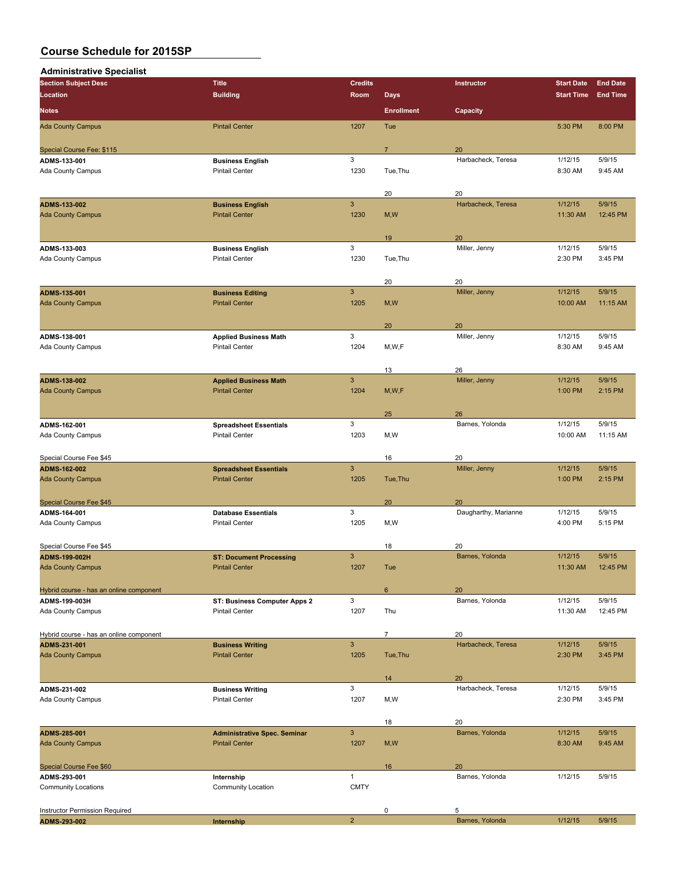| <b>Administrative Specialist</b>        |                                     |                           |                   |                      |                   |                 |
|-----------------------------------------|-------------------------------------|---------------------------|-------------------|----------------------|-------------------|-----------------|
| <b>Section Subject Desc</b>             | <b>Title</b>                        | <b>Credits</b>            |                   | Instructor           | <b>Start Date</b> | <b>End Date</b> |
| Location                                | <b>Building</b>                     | Room                      | <b>Days</b>       |                      | <b>Start Time</b> | <b>End Time</b> |
| <b>Notes</b>                            |                                     |                           | <b>Enrollment</b> | Capacity             |                   |                 |
| <b>Ada County Campus</b>                | <b>Pintail Center</b>               | 1207                      | Tue               |                      | 5:30 PM           | 8:00 PM         |
|                                         |                                     |                           |                   |                      |                   |                 |
| Special Course Fee: \$115               |                                     |                           | $\overline{7}$    | 20                   |                   |                 |
| ADMS-133-001                            | <b>Business English</b>             | 3                         |                   | Harbacheck, Teresa   | 1/12/15           | 5/9/15          |
| Ada County Campus                       | <b>Pintail Center</b>               | 1230                      | Tue, Thu          |                      | 8:30 AM           | 9:45 AM         |
|                                         |                                     |                           |                   |                      |                   |                 |
|                                         |                                     |                           | 20                | 20                   |                   |                 |
| ADMS-133-002                            | <b>Business English</b>             | $\ensuremath{\mathsf{3}}$ |                   | Harbacheck, Teresa   | 1/12/15           | 5/9/15          |
| <b>Ada County Campus</b>                | <b>Pintail Center</b>               | 1230                      | M, W              |                      | 11:30 AM          | 12:45 PM        |
|                                         |                                     |                           | 19                | 20                   |                   |                 |
| ADMS-133-003                            | <b>Business English</b>             | 3                         |                   | Miller, Jenny        | 1/12/15           | 5/9/15          |
| Ada County Campus                       | <b>Pintail Center</b>               | 1230                      | Tue, Thu          |                      | 2:30 PM           | 3:45 PM         |
|                                         |                                     |                           |                   |                      |                   |                 |
|                                         |                                     |                           | 20                | 20                   |                   |                 |
| ADMS-135-001                            | <b>Business Editing</b>             | $\mathbf{3}$              |                   | Miller, Jenny        | 1/12/15           | 5/9/15          |
| <b>Ada County Campus</b>                | <b>Pintail Center</b>               | 1205                      | M, W              |                      | 10:00 AM          | 11:15 AM        |
|                                         |                                     |                           |                   |                      |                   |                 |
|                                         |                                     |                           | 20                | 20                   |                   |                 |
| ADMS-138-001                            | <b>Applied Business Math</b>        | 3                         |                   | Miller, Jenny        | 1/12/15           | 5/9/15          |
| Ada County Campus                       | <b>Pintail Center</b>               | 1204                      | M,W,F             |                      | 8:30 AM           | 9:45 AM         |
|                                         |                                     |                           |                   |                      |                   |                 |
|                                         |                                     |                           | 13                | 26                   |                   |                 |
| <b>ADMS-138-002</b>                     | <b>Applied Business Math</b>        | $\mathbf{3}$              |                   | Miller, Jenny        | 1/12/15           | 5/9/15          |
| <b>Ada County Campus</b>                | <b>Pintail Center</b>               | 1204                      | M, W, F           |                      | 1:00 PM           | 2:15 PM         |
|                                         |                                     |                           |                   |                      |                   |                 |
|                                         |                                     |                           | 25                | 26                   |                   |                 |
| ADMS-162-001                            | <b>Spreadsheet Essentials</b>       | 3                         |                   | Barnes, Yolonda      | 1/12/15           | 5/9/15          |
| Ada County Campus                       | <b>Pintail Center</b>               | 1203                      | M, W              |                      | 10:00 AM          | 11:15 AM        |
|                                         |                                     |                           |                   |                      |                   |                 |
| Special Course Fee \$45                 |                                     |                           | 16                | 20                   |                   |                 |
| ADMS-162-002                            | <b>Spreadsheet Essentials</b>       | $\mathbf{3}$              |                   | Miller, Jenny        | 1/12/15           | 5/9/15          |
| <b>Ada County Campus</b>                | <b>Pintail Center</b>               | 1205                      | Tue, Thu          |                      | 1:00 PM           | 2:15 PM         |
|                                         |                                     |                           |                   |                      |                   |                 |
| <b>Special Course Fee \$45</b>          |                                     |                           | 20                | 20                   |                   |                 |
| ADMS-164-001                            | <b>Database Essentials</b>          | 3                         |                   | Daugharthy, Marianne | 1/12/15           | 5/9/15          |
| Ada County Campus                       | <b>Pintail Center</b>               | 1205                      | M,W               |                      | 4:00 PM           | 5:15 PM         |
| Special Course Fee \$45                 |                                     |                           | 18                | 20                   |                   |                 |
| ADMS-199-002H                           | <b>ST: Document Processing</b>      | 3                         |                   | Barnes, Yolonda      | 1/12/15           | 5/9/15          |
| <b>Ada County Campus</b>                | <b>Pintail Center</b>               | 1207                      | Tue               |                      | 11:30 AM          |                 |
|                                         |                                     |                           |                   |                      |                   | 12:45 PM        |
| Hybrid course - has an online component |                                     |                           | 6                 | 20                   |                   |                 |
| ADMS-199-003H                           | ST: Business Computer Apps 2        | 3                         |                   | Barnes, Yolonda      | 1/12/15           | 5/9/15          |
| Ada County Campus                       | <b>Pintail Center</b>               | 1207                      | Thu               |                      | 11:30 AM          | 12:45 PM        |
|                                         |                                     |                           |                   |                      |                   |                 |
| Hybrid course - has an online component |                                     |                           | $\overline{7}$    | 20                   |                   |                 |
| ADMS-231-001                            | <b>Business Writing</b>             | $\overline{3}$            |                   | Harbacheck, Teresa   | 1/12/15           | 5/9/15          |
| <b>Ada County Campus</b>                | <b>Pintail Center</b>               | 1205                      | Tue, Thu          |                      | 2:30 PM           | 3:45 PM         |
|                                         |                                     |                           |                   |                      |                   |                 |
|                                         |                                     |                           | 14                | 20                   |                   |                 |
| ADMS-231-002                            | <b>Business Writing</b>             | 3                         |                   | Harbacheck, Teresa   | 1/12/15           | 5/9/15          |
| Ada County Campus                       | <b>Pintail Center</b>               | 1207                      | M, W              |                      | 2:30 PM           | 3:45 PM         |
|                                         |                                     |                           |                   |                      |                   |                 |
|                                         |                                     |                           | 18                | 20                   |                   |                 |
| ADMS-285-001                            | <b>Administrative Spec. Seminar</b> | $\mathbf{3}$              |                   | Barnes, Yolonda      | 1/12/15           | 5/9/15          |
| <b>Ada County Campus</b>                | <b>Pintail Center</b>               | 1207                      | M, W              |                      | 8:30 AM           | 9:45 AM         |
|                                         |                                     |                           |                   |                      |                   |                 |
| Special Course Fee \$60                 |                                     |                           | 16                | 20                   |                   |                 |
| ADMS-293-001                            | Internship                          | $\mathbf{1}$              |                   | Barnes, Yolonda      | 1/12/15           | 5/9/15          |
| <b>Community Locations</b>              | <b>Community Location</b>           | <b>CMTY</b>               |                   |                      |                   |                 |
|                                         |                                     |                           |                   |                      |                   |                 |
| Instructor Permission Required          |                                     |                           | 0                 | 5                    |                   |                 |
| ADMS-293-002                            | Internship                          | $\overline{2}$            |                   | Barnes, Yolonda      | 1/12/15           | 5/9/15          |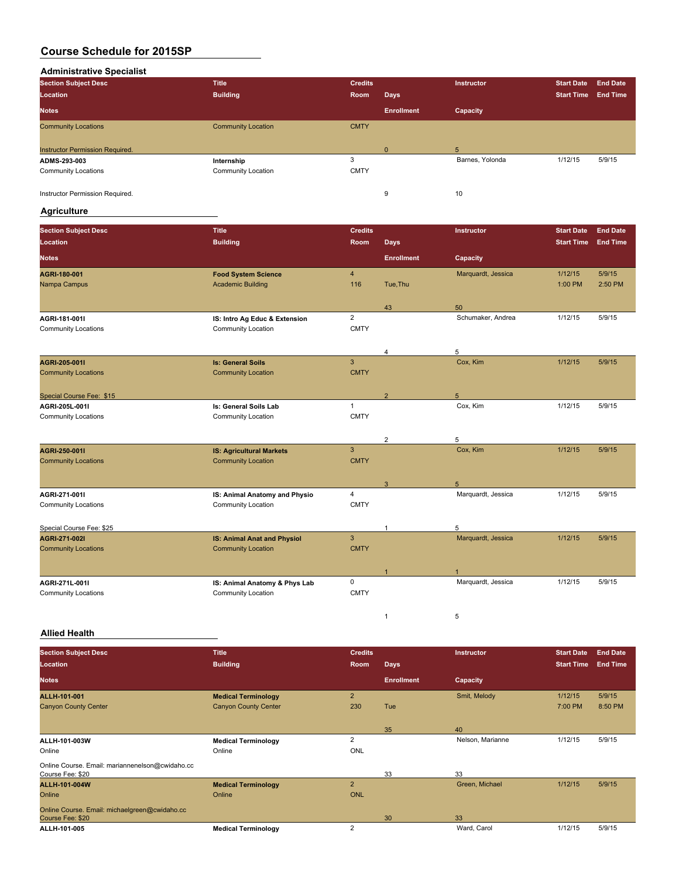**Administrative Specialist**

| <b>Section Subject Desc</b>     | <b>Title</b>              | <b>Credits</b> |                   | Instructor      | <b>Start Date</b> | <b>End Date</b> |
|---------------------------------|---------------------------|----------------|-------------------|-----------------|-------------------|-----------------|
| Location                        | <b>Building</b>           | Room           | <b>Days</b>       |                 | <b>Start Time</b> | <b>End Time</b> |
| <b>Notes</b>                    |                           |                | <b>Enrollment</b> | Capacity        |                   |                 |
| <b>Community Locations</b>      | <b>Community Location</b> | <b>CMTY</b>    |                   |                 |                   |                 |
|                                 |                           |                |                   |                 |                   |                 |
| Instructor Permission Required. |                           |                | $\Omega$          | 5               |                   |                 |
| ADMS-293-003                    | Internship                | 3              |                   | Barnes, Yolonda | 1/12/15           | 5/9/15          |
| <b>Community Locations</b>      | Community Location        | <b>CMTY</b>    |                   |                 |                   |                 |
|                                 |                           |                |                   |                 |                   |                 |
| Instructor Permission Required. |                           |                | 9                 | 10              |                   |                 |

#### **Agriculture**

| <b>Section Subject Desc</b>                | <b>Title</b>                       | <b>Credits</b> |                   | Instructor         | <b>Start Date</b> | <b>End Date</b> |
|--------------------------------------------|------------------------------------|----------------|-------------------|--------------------|-------------------|-----------------|
| Location                                   | <b>Building</b>                    | Room           | <b>Days</b>       |                    | <b>Start Time</b> | <b>End Time</b> |
| <b>Notes</b>                               |                                    |                | <b>Enrollment</b> | Capacity           |                   |                 |
| AGRI 180 001                               | <b>Food System Science</b>         | $\overline{4}$ |                   | Marquardt, Jessica | 1/12/15           | 5/9/15          |
| Nampa Campus                               | <b>Academic Building</b>           | 116            | Tue, Thu          |                    | 1:00 PM           | 2:50 PM         |
|                                            |                                    |                | 43                | 50                 |                   |                 |
| AGRI 181 0011                              | IS: Intro Ag Educ & Extension      | $\overline{2}$ |                   | Schumaker, Andrea  | 1/12/15           | 5/9/15          |
| <b>Community Locations</b>                 | <b>Community Location</b>          | <b>CMTY</b>    |                   |                    |                   |                 |
|                                            |                                    |                |                   |                    |                   |                 |
|                                            |                                    |                | $\overline{4}$    | 5                  |                   |                 |
| AGRI 205 0011                              | <b>Is: General Soils</b>           | 3              |                   | Cox, Kim           | 1/12/15           | 5/9/15          |
| <b>Community Locations</b>                 | <b>Community Location</b>          | <b>CMTY</b>    |                   |                    |                   |                 |
|                                            |                                    |                |                   |                    |                   |                 |
| Special Course Fee: \$15<br>AGRI-205L-001I | Is: General Soils Lab              | $\overline{1}$ | $\overline{2}$    | 5<br>Cox, Kim      | 1/12/15           | 5/9/15          |
| <b>Community Locations</b>                 | <b>Community Location</b>          | <b>CMTY</b>    |                   |                    |                   |                 |
|                                            |                                    |                |                   |                    |                   |                 |
|                                            |                                    |                | $\overline{2}$    | 5                  |                   |                 |
| AGRI 250-0011                              | <b>IS: Agricultural Markets</b>    | 3              |                   | Cox, Kim           | 1/12/15           | 5/9/15          |
| <b>Community Locations</b>                 | <b>Community Location</b>          | <b>CMTY</b>    |                   |                    |                   |                 |
|                                            |                                    |                |                   |                    |                   |                 |
|                                            |                                    |                | 3                 | 5                  |                   |                 |
| AGRI-271-001I                              | IS: Animal Anatomy and Physio      | 4              |                   | Marquardt, Jessica | 1/12/15           | 5/9/15          |
| <b>Community Locations</b>                 | Community Location                 | <b>CMTY</b>    |                   |                    |                   |                 |
| Special Course Fee: \$25                   |                                    |                | $\mathbf{1}$      | 5                  |                   |                 |
| AGRI 271-0021                              | <b>IS: Animal Anat and Physiol</b> | 3              |                   | Marquardt, Jessica | 1/12/15           | 5/9/15          |
| <b>Community Locations</b>                 | <b>Community Location</b>          | <b>CMTY</b>    |                   |                    |                   |                 |
|                                            |                                    |                |                   |                    |                   |                 |
|                                            |                                    |                | -1                |                    |                   |                 |
| AGRI 271L-001I                             | IS: Animal Anatomy & Phys Lab      | $\mathbf 0$    |                   | Marquardt, Jessica | 1/12/15           | 5/9/15          |
| <b>Community Locations</b>                 | <b>Community Location</b>          | <b>CMTY</b>    |                   |                    |                   |                 |
|                                            |                                    |                |                   |                    |                   |                 |
|                                            |                                    |                | $\mathbf{1}$      | 5                  |                   |                 |

#### **Allied Health**

| <b>Section Subject Desc</b>                     | <b>Title</b>                | <b>Credits</b> |                   | Instructor       | <b>Start Date</b> | <b>End Date</b> |
|-------------------------------------------------|-----------------------------|----------------|-------------------|------------------|-------------------|-----------------|
| Location                                        | <b>Building</b>             | <b>Room</b>    | <b>Days</b>       |                  | <b>Start Time</b> | <b>End Time</b> |
| <b>Notes</b>                                    |                             |                | <b>Enrollment</b> | Capacity         |                   |                 |
| ALLII 101-001                                   | <b>Medical Terminology</b>  | $\overline{2}$ |                   | Smit, Melody     | 1/12/15           | 5/9/15          |
| <b>Canyon County Center</b>                     | <b>Canyon County Center</b> | 230            | Tue               |                  | 7:00 PM           | 8:50 PM         |
|                                                 |                             |                |                   |                  |                   |                 |
|                                                 |                             |                | 35                | 40               |                   |                 |
| ALLH-101-003W                                   | <b>Medical Terminology</b>  | $\overline{2}$ |                   | Nelson, Marianne | 1/12/15           | 5/9/15          |
| Online                                          | Online                      | <b>ONL</b>     |                   |                  |                   |                 |
| Online Course. Email: mariannenelson@cwidaho.cc |                             |                |                   |                  |                   |                 |
| Course Fee: \$20                                |                             |                | 33                | 33               |                   |                 |
| ALLH-101-004W                                   | <b>Medical Terminology</b>  | $\overline{2}$ |                   | Green, Michael   | 1/12/15           | 5/9/15          |
| Online                                          | Online                      | <b>ONL</b>     |                   |                  |                   |                 |
| Online Course. Email: michaelgreen@cwidaho.cc   |                             |                |                   |                  |                   |                 |
| Course Fee: \$20                                |                             |                | 30                | 33               |                   |                 |
| ALLII-101-005                                   | <b>Medical Terminology</b>  | $\overline{2}$ |                   | Ward, Carol      | 1/12/15           | 5/9/15          |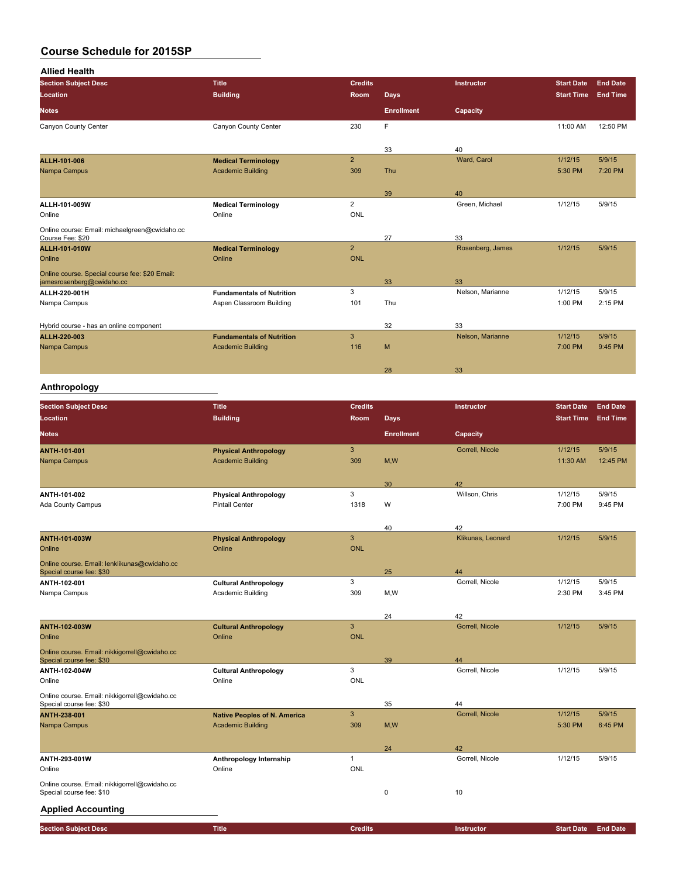| <b>Allied Health</b>                           |                                  |                |                   |                  |                   |                 |
|------------------------------------------------|----------------------------------|----------------|-------------------|------------------|-------------------|-----------------|
| <b>Section Subject Desc</b>                    | <b>Title</b>                     | <b>Credits</b> |                   | Instructor       | <b>Start Date</b> | <b>End Date</b> |
| <b>Location</b>                                | <b>Building</b>                  | Room           | <b>Days</b>       |                  | <b>Start Time</b> | <b>End Time</b> |
| <b>Notes</b>                                   |                                  |                | <b>Enrollment</b> | Capacity         |                   |                 |
| Canyon County Center                           | Canyon County Center             | 230            | F                 |                  | 11:00 AM          | 12:50 PM        |
|                                                |                                  |                |                   |                  |                   |                 |
|                                                |                                  |                | 33                | 40               |                   |                 |
| <b>ALLH-101-006</b>                            | <b>Medical Terminology</b>       | $\overline{2}$ |                   | Ward, Carol      | 1/12/15           | 5/9/15          |
| Nampa Campus                                   | <b>Academic Building</b>         | 309            | Thu               |                  | 5:30 PM           | 7:20 PM         |
|                                                |                                  |                |                   |                  |                   |                 |
|                                                |                                  |                | 39                | 40               |                   |                 |
| ALLII-101-009W                                 | <b>Medical Terminology</b>       | 2              |                   | Green, Michael   | 1/12/15           | 5/9/15          |
| Online                                         | Online                           | <b>ONL</b>     |                   |                  |                   |                 |
| Online course: Email: michaelgreen@cwidaho.cc  |                                  |                |                   |                  |                   |                 |
| Course Fee: \$20                               |                                  |                | 27                | 33               |                   |                 |
| <b>ALLII 101 010W</b>                          | <b>Medical Terminology</b>       | $\overline{2}$ |                   | Rosenberg, James | 1/12/15           | 5/9/15          |
| Online                                         | Online                           | <b>ONL</b>     |                   |                  |                   |                 |
| Online course. Special course fee: \$20 Email: |                                  |                |                   |                  |                   |                 |
| jamesrosenberg@cwidaho.cc                      |                                  |                | 33                | 33               |                   |                 |
| ALLII-220-001H                                 | <b>Fundamentals of Nutrition</b> | 3              |                   | Nelson, Marianne | 1/12/15           | 5/9/15          |
| Nampa Campus                                   | Aspen Classroom Building         | 101            | Thu               |                  | 1:00 PM           | 2:15 PM         |
|                                                |                                  |                |                   |                  |                   |                 |
| Hybrid course - has an online component        |                                  |                | 32                | 33               |                   |                 |
| <b>ALLII 220 003</b>                           | <b>Fundamentals of Nutrition</b> | 3              |                   | Nelson, Marianne | 1/12/15           | 5/9/15          |
| Nampa Campus                                   | <b>Academic Building</b>         | 116            | M                 |                  | 7:00 PM           | 9:45 PM         |
|                                                |                                  |                |                   |                  |                   |                 |
|                                                |                                  |                | 28                | 33               |                   |                 |

## **Anthropology**

| <b>Section Subject Desc</b><br>Location                                   | <b>Title</b><br><b>Building</b>     | <b>Credits</b><br>Room | <b>Days</b>       | Instructor            | <b>Start Date</b><br><b>Start Time</b> | <b>End Date</b><br><b>End Time</b> |
|---------------------------------------------------------------------------|-------------------------------------|------------------------|-------------------|-----------------------|----------------------------------------|------------------------------------|
| <b>Notes</b>                                                              |                                     |                        | <b>Enrollment</b> | Capacity              |                                        |                                    |
|                                                                           |                                     |                        |                   |                       |                                        |                                    |
| ANTH-101-001                                                              | <b>Physical Anthropology</b>        | $\mathbf{3}$           |                   | Gorrell, Nicole       | 1/12/15                                | 5/9/15                             |
| Nampa Campus                                                              | <b>Academic Building</b>            | 309                    | M,W               |                       | 11:30 AM                               | 12:45 PM                           |
|                                                                           |                                     |                        | 30                | 42                    |                                        |                                    |
| ANTII 101-002                                                             | <b>Physical Anthropology</b>        | 3                      |                   | Willson, Chris        | 1/12/15                                | 5/9/15                             |
| <b>Ada County Campus</b>                                                  | <b>Pintail Center</b>               | 1318                   | W                 |                       | 7:00 PM                                | 9:45 PM                            |
|                                                                           |                                     |                        | 40                | 42                    |                                        |                                    |
| <b>ANTH-101-003W</b>                                                      | <b>Physical Anthropology</b>        | $\mathbf{3}$           |                   | Klikunas, Leonard     | 1/12/15                                | 5/9/15                             |
| Online                                                                    | Online                              | <b>ONL</b>             |                   |                       |                                        |                                    |
| Online course. Email: lenklikunas@cwidaho.cc                              |                                     |                        |                   |                       |                                        |                                    |
| Special course fee: \$30                                                  |                                     | 3                      | 25                | 44<br>Gorrell, Nicole | 1/12/15                                | 5/9/15                             |
| ANTH-102-001                                                              | <b>Cultural Anthropology</b>        | 309                    |                   |                       | 2:30 PM                                | 3:45 PM                            |
| Nampa Campus                                                              | Academic Building                   |                        | M, W              |                       |                                        |                                    |
|                                                                           |                                     |                        | 24                | 42                    |                                        |                                    |
| <b>ANTH-102-003W</b>                                                      | <b>Cultural Anthropology</b>        | $\mathbf{3}$           |                   | Gorrell, Nicole       | 1/12/15                                | 5/9/15                             |
| Online                                                                    | Online                              | <b>ONL</b>             |                   |                       |                                        |                                    |
| Online course. Email: nikkigorrell@cwidaho.cc<br>Special course fee: \$30 |                                     |                        | 39                | 44                    |                                        |                                    |
| ANTH-102-004W                                                             | <b>Cultural Anthropology</b>        | 3                      |                   | Gorrell, Nicole       | 1/12/15                                | 5/9/15                             |
| Online                                                                    | Online                              | ONL                    |                   |                       |                                        |                                    |
| Online course. Email: nikkigorrell@cwidaho.cc                             |                                     |                        |                   |                       |                                        |                                    |
| Special course fee: \$30                                                  |                                     | $\mathbf{3}$           | 35                | 44                    |                                        |                                    |
| <b>ANTH-238-001</b>                                                       | <b>Native Peoples of N. America</b> |                        |                   | Gorrell, Nicole       | 1/12/15                                | 5/9/15                             |
| Nampa Campus                                                              | <b>Academic Building</b>            | 309                    | M, W              |                       | 5:30 PM                                | 6:45 PM                            |
|                                                                           |                                     |                        | 24                | 42                    |                                        |                                    |
| ANTH-293-001W                                                             | Anthropology Internship             | $\overline{1}$         |                   | Gorrell, Nicole       | 1/12/15                                | 5/9/15                             |
| Online                                                                    | Online                              | ONL                    |                   |                       |                                        |                                    |
| Online course. Email: nikkigorrell@cwidaho.cc<br>Special course fee: \$10 |                                     |                        | $\pmb{0}$         | 10                    |                                        |                                    |
| <b>Applied Accounting</b>                                                 |                                     |                        |                   |                       |                                        |                                    |
| <b>Section Subject Desc</b>                                               | <b>Title</b>                        | <b>Credits</b>         |                   | Instructor            | <b>Start Date</b>                      | <b>End Date</b>                    |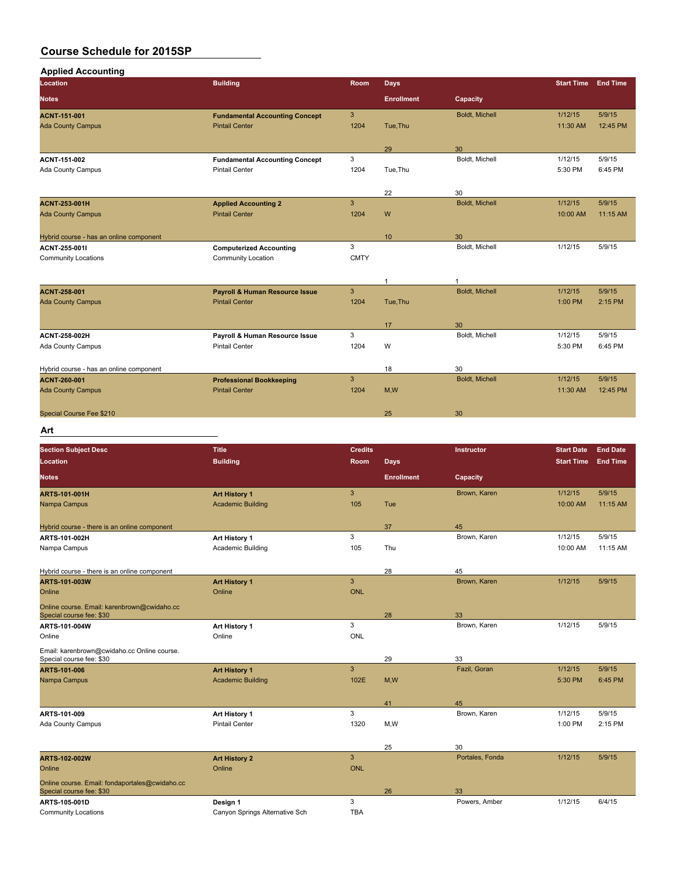$\overline{\phantom{a}}$ 

| Location                                        | <b>Building</b>                                                | Room           | <b>Days</b>       |                      | <b>Start Time</b> | <b>End Time</b> |
|-------------------------------------------------|----------------------------------------------------------------|----------------|-------------------|----------------------|-------------------|-----------------|
| <b>Notes</b>                                    |                                                                |                | <b>Enrollment</b> | Capacity             |                   |                 |
|                                                 |                                                                | $\overline{3}$ |                   | Boldt, Michell       | 1/12/15           | 5/9/15          |
| <b>ACNT-151-001</b><br><b>Ada County Campus</b> | <b>Fundamental Accounting Concept</b><br><b>Pintail Center</b> | 1204           | Tue.Thu           |                      | 11:30 AM          | 12:45 PM        |
|                                                 |                                                                |                |                   |                      |                   |                 |
|                                                 |                                                                |                | 29                | 30                   |                   |                 |
| ACNT 151-002                                    | <b>Fundamental Accounting Concept</b>                          | 3              |                   | Boldt, Michell       | 1/12/15           | 5/9/15          |
| Ada County Campus                               | <b>Pintail Center</b>                                          | 1204           | Tue, Thu          |                      | 5:30 PM           | 6:45 PM         |
|                                                 |                                                                |                | 22                | 30                   |                   |                 |
| <b>ACNT 253 001H</b>                            | <b>Applied Accounting 2</b>                                    | $\overline{3}$ |                   | Boldt, Michell       | 1/12/15           | 5/9/15          |
| <b>Ada County Campus</b>                        | <b>Pintail Center</b>                                          | 1204           | W                 |                      | 10:00 AM          | 11:15 AM        |
|                                                 |                                                                |                |                   |                      |                   |                 |
| Hybrid course - has an online component         |                                                                |                | 10                | 30                   |                   |                 |
| ACNT 255 0011                                   | <b>Computerized Accounting</b>                                 | 3              |                   | Boldt, Michell       | 1/12/15           | 5/9/15          |
| <b>Community Locations</b>                      | Community Location                                             | <b>CMTY</b>    |                   |                      |                   |                 |
|                                                 |                                                                |                | $\mathbf{1}$      | 1                    |                   |                 |
| <b>ACNT 258-001</b>                             | <b>Payroll &amp; Human Resource Issue</b>                      | 3              |                   | Boldt, Michell       | 1/12/15           | 5/9/15          |
| <b>Ada County Campus</b>                        | <b>Pintail Center</b>                                          | 1204           | Tue, Thu          |                      | 1:00 PM           | 2:15 PM         |
|                                                 |                                                                |                |                   |                      |                   |                 |
| <b>ACNT 258-002H</b>                            | Payroll & Human Resource Issue                                 | 3              | 17                | 30<br>Boldt, Michell | 1/12/15           | 5/9/15          |
| Ada County Campus                               | <b>Pintail Center</b>                                          | 1204           | W                 |                      | 5:30 PM           | 6:45 PM         |
|                                                 |                                                                |                |                   |                      |                   |                 |
| Hybrid course - has an online component         |                                                                |                | 18                | 30                   |                   |                 |
| <b>ACNT 260-001</b>                             | <b>Professional Bookkeeping</b>                                | $\overline{3}$ |                   | Boldt, Michell       | 1/12/15           | 5/9/15          |
| <b>Ada County Campus</b>                        | <b>Pintail Center</b>                                          | 1204           | M,W               |                      | 11:30 AM          | 12:45 PM        |
| Special Course Fee \$210                        |                                                                |                | 25                | 30                   |                   |                 |

#### **Art**

| <b>Section Subject Desc</b><br>Location                                    | <b>Title</b><br><b>Building</b> | <b>Credits</b><br>Room | <b>Days</b>       | Instructor      | <b>Start Date</b><br><b>Start Time</b> | <b>End Date</b><br><b>End Time</b> |
|----------------------------------------------------------------------------|---------------------------------|------------------------|-------------------|-----------------|----------------------------------------|------------------------------------|
| <b>Notes</b>                                                               |                                 |                        | <b>Enrollment</b> | Capacity        |                                        |                                    |
| <b>ARTS-101-001H</b>                                                       | <b>Art History 1</b>            | 3                      |                   | Brown, Karen    | 1/12/15                                | 5/9/15                             |
| Nampa Campus                                                               | <b>Academic Building</b>        | 105                    | Tue               |                 | 10:00 AM                               | 11:15 AM                           |
| Hybrid course - there is an online component                               |                                 |                        | 37                | 45              |                                        |                                    |
| ARTS-101-002H                                                              | Art History 1                   | 3                      |                   | Brown, Karen    | 1/12/15                                | 5/9/15                             |
| Nampa Campus                                                               | Academic Building               | 105                    | Thu               |                 | 10:00 AM                               | 11:15 AM                           |
| Hybrid course - there is an online component                               |                                 |                        | 28                | 45              |                                        |                                    |
| ARTS-101-003W                                                              | <b>Art History 1</b>            | 3                      |                   | Brown, Karen    | 1/12/15                                | 5/9/15                             |
| Online                                                                     | Online                          | <b>ONL</b>             |                   |                 |                                        |                                    |
| Online course. Email: karenbrown@cwidaho.cc<br>Special course fee: \$30    |                                 |                        | 28                | 33              |                                        |                                    |
| ARTS-101-004W                                                              | Art History 1                   | 3                      |                   | Brown, Karen    | 1/12/15                                | 5/9/15                             |
| Online                                                                     | Online                          | <b>ONL</b>             |                   |                 |                                        |                                    |
| Email: karenbrown@cwidaho.cc Online course.<br>Special course fee: \$30    |                                 |                        | 29                | 33              |                                        |                                    |
| <b>ARTS 101 006</b>                                                        | <b>Art History 1</b>            | 3                      |                   | Fazil, Goran    | 1/12/15                                | 5/9/15                             |
| Nampa Campus                                                               | <b>Academic Building</b>        | 102E                   | M,W               |                 | 5:30 PM                                | 6:45 PM                            |
|                                                                            |                                 |                        | 41                | 45              |                                        |                                    |
| ARTS-101-009                                                               | Art History 1                   | 3                      |                   | Brown, Karen    | 1/12/15                                | 5/9/15                             |
| Ada County Campus                                                          | <b>Pintail Center</b>           | 1320                   | M,W               |                 | 1:00 PM                                | 2:15 PM                            |
|                                                                            |                                 |                        | 25                | 30              |                                        |                                    |
| <b>ARTS-102-002W</b>                                                       | <b>Art History 2</b>            | 3                      |                   | Portales, Fonda | 1/12/15                                | 5/9/15                             |
| Online                                                                     | Online                          | <b>ONL</b>             |                   |                 |                                        |                                    |
| Online course. Email: fondaportales@cwidaho.cc<br>Special course fee: \$30 |                                 |                        | 26                | 33              |                                        |                                    |
| ARTS-105-001D                                                              | Design 1                        | 3                      |                   | Powers, Amber   | 1/12/15                                | 6/4/15                             |
| <b>Community Locations</b>                                                 | Canyon Springs Alternative Sch  | <b>TBA</b>             |                   |                 |                                        |                                    |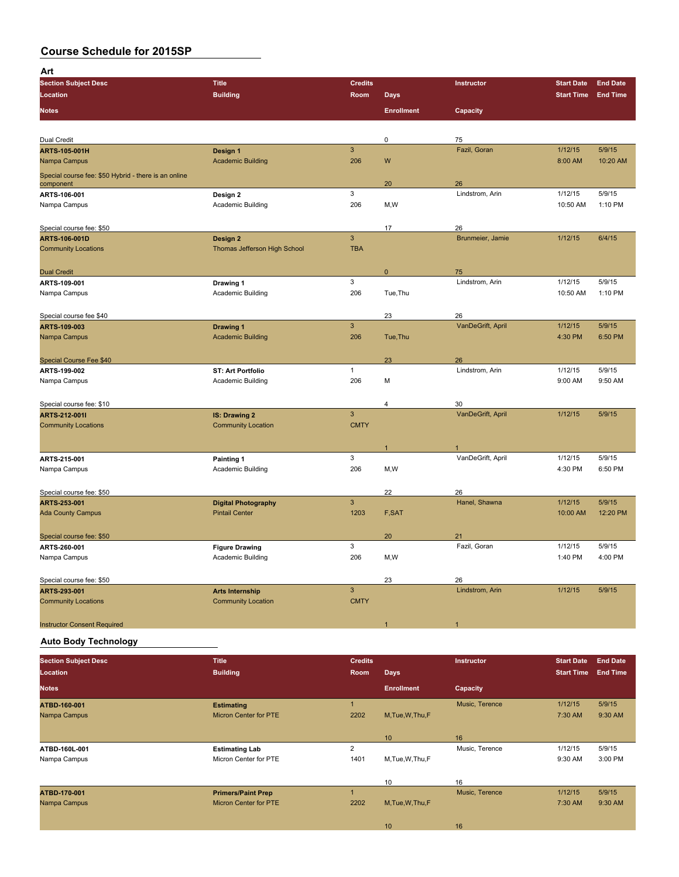| Art                                                  |                                 |                     |                   |                       |                    |                   |
|------------------------------------------------------|---------------------------------|---------------------|-------------------|-----------------------|--------------------|-------------------|
| <b>Section Subject Desc</b>                          | <b>Title</b>                    | <b>Credits</b>      |                   | Instructor            | <b>Start Date</b>  | <b>End Date</b>   |
| Location                                             | <b>Building</b>                 | Room                | <b>Days</b>       |                       | <b>Start Time</b>  | <b>End Time</b>   |
| <b>Notes</b>                                         |                                 |                     | <b>Enrollment</b> | Capacity              |                    |                   |
|                                                      |                                 |                     |                   |                       |                    |                   |
|                                                      |                                 |                     |                   |                       |                    |                   |
| Dual Credit                                          |                                 |                     | 0                 | 75                    |                    |                   |
| ARTS-105-001H                                        | Design 1                        | $\mathbf{3}$        |                   | Fazil, Goran          | 1/12/15            | 5/9/15            |
| Nampa Campus                                         | <b>Academic Building</b>        | 206                 | W                 |                       | 8:00 AM            | 10:20 AM          |
| Special course fee: \$50 Hybrid - there is an online |                                 |                     |                   |                       |                    |                   |
| component                                            |                                 | 3                   | 20                | 26<br>Lindstrom, Arin | 1/12/15            | 5/9/15            |
| ARTS-106-001                                         | Design 2                        | 206                 |                   |                       | 10:50 AM           | 1:10 PM           |
| Nampa Campus                                         | Academic Building               |                     | M,W               |                       |                    |                   |
| Special course fee: \$50                             |                                 |                     | 17                | 26                    |                    |                   |
| ARTS-106-001D                                        | Design 2                        | $\overline{3}$      |                   | Brunmeier, Jamie      | 1/12/15            | 6/4/15            |
| <b>Community Locations</b>                           | Thomas Jefferson High School    | <b>TBA</b>          |                   |                       |                    |                   |
|                                                      |                                 |                     |                   |                       |                    |                   |
| <b>Dual Credit</b>                                   |                                 |                     | 0                 | 75                    |                    |                   |
| ARTS 109 001                                         | Drawing 1                       | 3                   |                   | Lindstrom, Arin       | 1/12/15            | 5/9/15            |
| Nampa Campus                                         | Academic Building               | 206                 | Tue, Thu          |                       | 10:50 AM           | 1:10 PM           |
|                                                      |                                 |                     |                   |                       |                    |                   |
| Special course fee \$40                              |                                 |                     | 23                | 26                    |                    |                   |
| ARTS-109-003                                         | <b>Drawing 1</b>                | $\overline{3}$      |                   | VanDeGrift, April     | 1/12/15            | 5/9/15            |
| Nampa Campus                                         | <b>Academic Building</b>        | 206                 | Tue, Thu          |                       | 4:30 PM            | 6:50 PM           |
|                                                      |                                 |                     |                   |                       |                    |                   |
| <b>Special Course Fee \$40</b>                       |                                 |                     | 23                | 26                    |                    |                   |
| ARTS-199-002                                         | <b>ST: Art Portfolio</b>        | $\mathbf{1}$        |                   | Lindstrom, Arin       | 1/12/15            | 5/9/15            |
| Nampa Campus                                         | Academic Building               | 206                 | М                 |                       | 9:00 AM            | 9:50 AM           |
|                                                      |                                 |                     |                   |                       |                    |                   |
| Special course fee: \$10                             |                                 |                     | 4                 | 30                    |                    |                   |
| ARTS-212-001I                                        | <b>IS: Drawing 2</b>            | $\overline{3}$      |                   | VanDeGrift, April     | 1/12/15            | 5/9/15            |
| <b>Community Locations</b>                           | <b>Community Location</b>       | <b>CMTY</b>         |                   |                       |                    |                   |
|                                                      |                                 |                     |                   |                       |                    |                   |
|                                                      |                                 |                     | 1                 |                       |                    |                   |
| ARTS-215-001                                         | Painting 1<br>Academic Building | $\mathbf{3}$<br>206 | M, W              | VanDeGrift, April     | 1/12/15<br>4:30 PM | 5/9/15<br>6:50 PM |
| Nampa Campus                                         |                                 |                     |                   |                       |                    |                   |
|                                                      |                                 |                     |                   |                       |                    |                   |
| Special course fee: \$50<br>ARTS-253-001             | <b>Digital Photography</b>      | $\mathbf{3}$        | 22                | 26<br>Hanel, Shawna   | 1/12/15            | 5/9/15            |
| <b>Ada County Campus</b>                             | <b>Pintail Center</b>           | 1203                | F,SAT             |                       | 10:00 AM           | 12:20 PM          |
|                                                      |                                 |                     |                   |                       |                    |                   |
| Special course fee: \$50                             |                                 |                     | 20                | 21                    |                    |                   |
| ARTS 260-001                                         | <b>Figure Drawing</b>           | 3                   |                   | Fazil, Goran          | 1/12/15            | 5/9/15            |
| Nampa Campus                                         | Academic Building               | 206                 | M,W               |                       | 1:40 PM            | 4:00 PM           |
|                                                      |                                 |                     |                   |                       |                    |                   |
| Special course fee: \$50                             |                                 |                     | 23                | 26                    |                    |                   |
| ARTS-293-001                                         | <b>Arts Internship</b>          | $\overline{3}$      |                   | Lindstrom, Arin       | 1/12/15            | 5/9/15            |
| <b>Community Locations</b>                           | <b>Community Location</b>       | <b>CMTY</b>         |                   |                       |                    |                   |
|                                                      |                                 |                     |                   |                       |                    |                   |
| <b>Instructor Consent Required</b>                   |                                 |                     | и                 | $\overline{1}$        |                    |                   |
|                                                      |                                 |                     |                   |                       |                    |                   |

**Auto Body Technology**

| <b>Section Subject Desc</b> | <b>Title</b>                 | <b>Credits</b> |                   | Instructor     | <b>Start Date</b> | <b>End Date</b> |
|-----------------------------|------------------------------|----------------|-------------------|----------------|-------------------|-----------------|
| Location                    | <b>Building</b>              | Room           | <b>Days</b>       |                | <b>Start Time</b> | <b>End Time</b> |
| <b>Notes</b>                |                              |                | <b>Enrollment</b> | Capacity       |                   |                 |
| ATBD-160-001                | <b>Estimating</b>            |                |                   | Music, Terence | 1/12/15           | 5/9/15          |
| Nampa Campus                | Micron Center for PTE        | 2202           | M.Tue.W.Thu.F     |                | 7:30 AM           | 9:30 AM         |
|                             |                              |                |                   |                |                   |                 |
|                             |                              |                | 10                | 16             |                   |                 |
| ATBD-160L-001               | <b>Estimating Lab</b>        | $\overline{2}$ |                   | Music, Terence | 1/12/15           | 5/9/15          |
| Nampa Campus                | Micron Center for PTE        | 1401           | M, Tue, W, Thu, F |                | 9:30 AM           | 3:00 PM         |
|                             |                              |                |                   |                |                   |                 |
|                             |                              |                | 10                | 16             |                   |                 |
| ATBD-170-001                | <b>Primers/Paint Prep</b>    |                |                   | Music, Terence | 1/12/15           | 5/9/15          |
| Nampa Campus                | <b>Micron Center for PTE</b> | 2202           | M.Tue.W.Thu.F     |                | 7:30 AM           | 9:30 AM         |
|                             |                              |                |                   |                |                   |                 |
|                             |                              |                | 10                | 16             |                   |                 |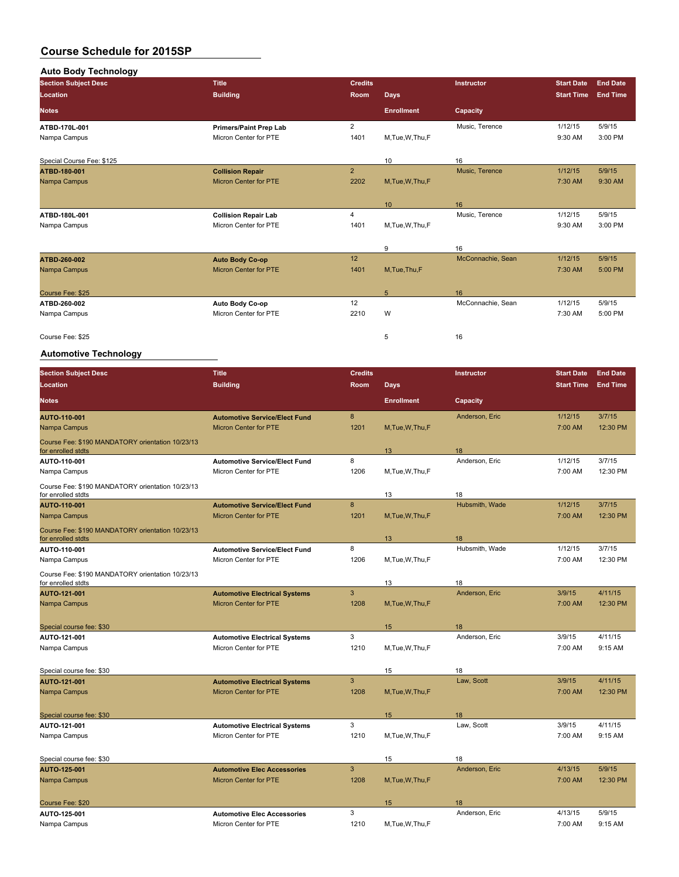| <b>Auto Body Technology</b> |                               |                |                   |                   |                   |                 |
|-----------------------------|-------------------------------|----------------|-------------------|-------------------|-------------------|-----------------|
| <b>Section Subject Desc</b> | <b>Title</b>                  | <b>Credits</b> |                   | Instructor        | <b>Start Date</b> | <b>End Date</b> |
| Location                    | <b>Building</b>               | <b>Room</b>    | Days              |                   | <b>Start Time</b> | <b>End Time</b> |
| <b>Notes</b>                |                               |                | <b>Enrollment</b> | Capacity          |                   |                 |
| ATBD-170L-001               | <b>Primers/Paint Prep Lab</b> | $\overline{2}$ |                   | Music, Terence    | 1/12/15           | 5/9/15          |
| Nampa Campus                | Micron Center for PTE         | 1401           | M, Tue, W, Thu, F |                   | 9:30 AM           | 3:00 PM         |
| Special Course Fee: \$125   |                               |                | 10                | 16                |                   |                 |
| ATBD-180-001                | <b>Collision Repair</b>       | $\overline{2}$ |                   | Music, Terence    | 1/12/15           | 5/9/15          |
| Nampa Campus                | <b>Micron Center for PTE</b>  | 2202           | M, Tue, W, Thu, F |                   | 7:30 AM           | 9:30 AM         |
|                             |                               |                | 10                | 16                |                   |                 |
| ATBD-180L-001               | <b>Collision Repair Lab</b>   | 4              |                   | Music, Terence    | 1/12/15           | 5/9/15          |
| Nampa Campus                | Micron Center for PTE         | 1401           | M,Tue,W,Thu,F     |                   | 9:30 AM           | 3:00 PM         |
|                             |                               |                | 9                 | 16                |                   |                 |
| ATBD-260-002                | <b>Auto Body Co-op</b>        | 12             |                   | McConnachie, Sean | 1/12/15           | 5/9/15          |
| Nampa Campus                | <b>Micron Center for PTE</b>  | 1401           | M, Tue, Thu, F    |                   | 7:30 AM           | 5:00 PM         |
| Course Fee: \$25            |                               |                | 5                 | 16                |                   |                 |
| ATBD-260-002                | Auto Body Co-op               | 12             |                   | McConnachie, Sean | 1/12/15           | 5/9/15          |
| Nampa Campus                | Micron Center for PTE         | 2210           | W                 |                   | 7:30 AM           | 5:00 PM         |
| Course Fee: \$25            |                               |                | 5                 | 16                |                   |                 |

## **Automotive Technology**

| <b>Section Subject Desc</b>                                            | <b>Title</b>                         | <b>Credits</b> |                   | Instructor     | <b>Start Date</b> | <b>End Date</b> |
|------------------------------------------------------------------------|--------------------------------------|----------------|-------------------|----------------|-------------------|-----------------|
| Location                                                               | <b>Building</b>                      | Room           | <b>Days</b>       |                | <b>Start Time</b> | <b>End Time</b> |
| <b>Notes</b>                                                           |                                      |                | <b>Enrollment</b> | Capacity       |                   |                 |
| AUTO-110-001                                                           | <b>Automotive Service/Elect Fund</b> | 8              |                   | Anderson, Eric | 1/12/15           | 3/7/15          |
| Nampa Campus                                                           | <b>Micron Center for PTE</b>         | 1201           | M, Tue, W, Thu, F |                | 7:00 AM           | 12:30 PM        |
| Course Fee: \$190 MANDATORY orientation 10/23/13<br>for enrolled stdts |                                      |                | 13                | 18             |                   |                 |
| AUTO-110-001                                                           | <b>Automotive Service/Elect Fund</b> | 8              |                   | Anderson, Eric | 1/12/15           | 3/7/15          |
| Nampa Campus                                                           | Micron Center for PTE                | 1206           | M, Tue, W, Thu, F |                | 7:00 AM           | 12:30 PM        |
| Course Fee: \$190 MANDATORY orientation 10/23/13<br>for enrolled stdts |                                      |                | 13                | 18             |                   |                 |
| AUTO-110-001                                                           | <b>Automotive Service/Elect Fund</b> | 8              |                   | Hubsmith, Wade | 1/12/15           | 3/7/15          |
| Nampa Campus                                                           | <b>Micron Center for PTE</b>         | 1201           | M, Tue, W, Thu, F |                | 7:00 AM           | 12:30 PM        |
| Course Fee: \$190 MANDATORY orientation 10/23/13<br>for enrolled stdts |                                      |                | 13                | 18             |                   |                 |
| AUTO-110-001                                                           | <b>Automotive Service/Elect Fund</b> | 8              |                   | Hubsmith, Wade | 1/12/15           | 3/7/15          |
| Nampa Campus                                                           | Micron Center for PTE                | 1206           | M, Tue, W, Thu, F |                | 7:00 AM           | 12:30 PM        |
| Course Fee: \$190 MANDATORY orientation 10/23/13<br>for enrolled stdts |                                      |                | 13                | 18             |                   |                 |
| AUTO-121-001                                                           | <b>Automotive Electrical Systems</b> | $\mathbf{3}$   |                   | Anderson, Eric | 3/9/15            | 4/11/15         |
| Nampa Campus                                                           | <b>Micron Center for PTE</b>         | 1208           | M, Tue, W, Thu, F |                | 7:00 AM           | 12:30 PM        |
|                                                                        |                                      |                |                   |                |                   |                 |
| Special course fee: \$30                                               |                                      |                | 15                | 18             |                   |                 |
| AUTO-121-001                                                           | <b>Automotive Electrical Systems</b> | 3              |                   | Anderson, Eric | 3/9/15            | 4/11/15         |
| Nampa Campus                                                           | Micron Center for PTE                | 1210           | M,Tue,W,Thu,F     |                | 7:00 AM           | 9:15 AM         |
| Special course fee: \$30                                               |                                      |                | 15                | 18             |                   |                 |
| AUTO-121-001                                                           | <b>Automotive Electrical Systems</b> | $\mathbf{3}$   |                   | Law, Scott     | 3/9/15            | 4/11/15         |
| Nampa Campus                                                           | <b>Micron Center for PTE</b>         | 1208           | M, Tue, W, Thu, F |                | 7:00 AM           | 12:30 PM        |
| Special course fee: \$30                                               |                                      |                | 15                | 18             |                   |                 |
| AUTO-121-001                                                           | <b>Automotive Electrical Systems</b> | 3              |                   | Law, Scott     | 3/9/15            | 4/11/15         |
| Nampa Campus                                                           | Micron Center for PTE                | 1210           | M,Tue,W,Thu,F     |                | 7:00 AM           | 9:15 AM         |
|                                                                        |                                      |                |                   |                |                   |                 |
| Special course fee: \$30                                               |                                      |                | 15                | 18             |                   |                 |
| <b>AUTO 125 001</b>                                                    | <b>Automotive Elec Accessories</b>   | $\mathbf{3}$   |                   | Anderson, Eric | 4/13/15           | 5/9/15          |
| Nampa Campus                                                           | Micron Center for PTE                | 1208           | M, Tue, W, Thu, F |                | 7:00 AM           | 12:30 PM        |
| Course Fee: \$20                                                       |                                      |                | 15                | 18             |                   |                 |
| AUTO-125-001                                                           | <b>Automotive Elec Accessories</b>   | 3              |                   | Anderson, Eric | 4/13/15           | 5/9/15          |
| Nampa Campus                                                           | Micron Center for PTE                | 1210           | M, Tue, W, Thu, F |                | 7:00 AM           | 9:15 AM         |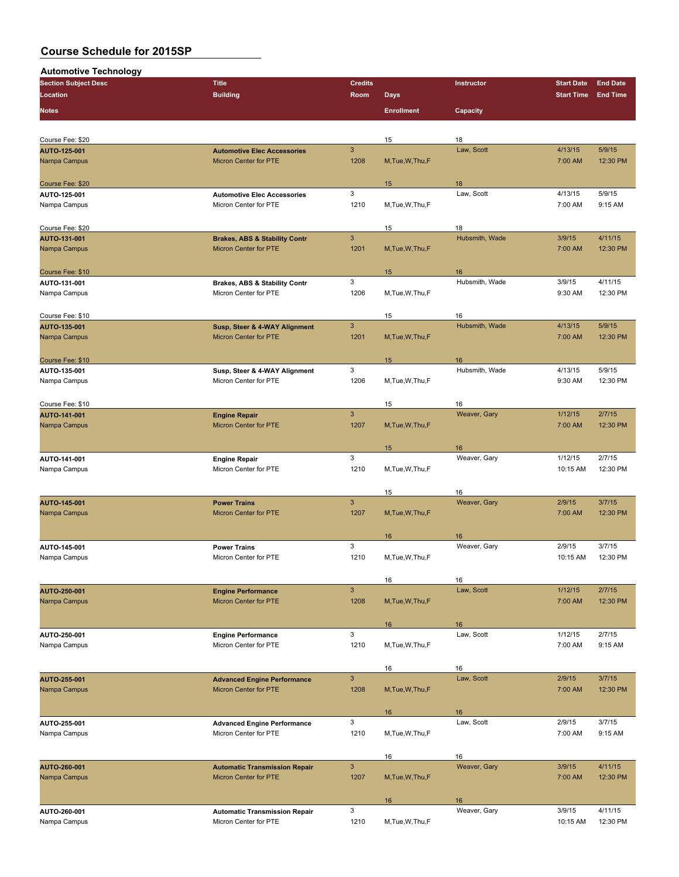| <b>Automotive Technology</b>            |                                                                   |                        |                   |                      |                                        |                                    |
|-----------------------------------------|-------------------------------------------------------------------|------------------------|-------------------|----------------------|----------------------------------------|------------------------------------|
| <b>Section Subject Desc</b><br>Location | <b>Title</b><br><b>Building</b>                                   | <b>Credits</b><br>Room | <b>Days</b>       | Instructor           | <b>Start Date</b><br><b>Start Time</b> | <b>End Date</b><br><b>End Time</b> |
| <b>Notes</b>                            |                                                                   |                        | <b>Enrollment</b> | Capacity             |                                        |                                    |
|                                         |                                                                   |                        |                   |                      |                                        |                                    |
| Course Fee: \$20                        |                                                                   |                        | 15                | 18                   |                                        |                                    |
| <b>AUTO-125-001</b>                     | <b>Automotive Elec Accessories</b>                                | 3                      |                   | Law, Scott           | 4/13/15                                | 5/9/15                             |
| Nampa Campus                            | <b>Micron Center for PTE</b>                                      | 1208                   | M, Tue, W, Thu, F |                      | 7:00 AM                                | 12:30 PM                           |
| Course Fee: \$20                        |                                                                   |                        | 15                | 18                   |                                        |                                    |
| AUTO-125-001                            | <b>Automotive Elec Accessories</b>                                | 3                      |                   | Law, Scott           | 4/13/15                                | 5/9/15                             |
| Nampa Campus                            | Micron Center for PTE                                             | 1210                   | M, Tue, W, Thu, F |                      | 7:00 AM                                | 9:15 AM                            |
|                                         |                                                                   |                        |                   |                      |                                        |                                    |
| Course Fee: \$20<br>AUTO-131-001        | <b>Brakes, ABS &amp; Stability Contr</b>                          | $\mathbf{3}$           | 15                | 18<br>Hubsmith, Wade | 3/9/15                                 | 4/11/15                            |
| Nampa Campus                            | <b>Micron Center for PTE</b>                                      | 1201                   | M, Tue, W, Thu, F |                      | 7:00 AM                                | 12:30 PM                           |
|                                         |                                                                   |                        |                   |                      |                                        |                                    |
| Course Fee: \$10                        |                                                                   |                        | 15                | 16                   |                                        |                                    |
| AUTO-131-001<br>Nampa Campus            | <b>Brakes, ABS &amp; Stability Contr</b><br>Micron Center for PTE | 3<br>1206              | M, Tue, W, Thu, F | Hubsmith, Wade       | 3/9/15<br>9:30 AM                      | 4/11/15<br>12:30 PM                |
|                                         |                                                                   |                        |                   |                      |                                        |                                    |
| Course Fee: \$10                        |                                                                   |                        | 15                | 16                   |                                        |                                    |
| AUTO-135-001                            | Susp, Steer & 4-WAY Alignment                                     | $\mathbf{3}$           |                   | Hubsmith, Wade       | 4/13/15                                | 5/9/15                             |
| Nampa Campus                            | Micron Center for PTE                                             | 1201                   | M, Tue, W, Thu, F |                      | 7:00 AM                                | 12:30 PM                           |
| Course Fee: \$10                        |                                                                   |                        | 15                | 16                   |                                        |                                    |
| AUTO-135-001                            | Susp, Steer & 4-WAY Alignment                                     | 3                      |                   | Hubsmith, Wade       | 4/13/15                                | 5/9/15                             |
| Nampa Campus                            | Micron Center for PTE                                             | 1206                   | M, Tue, W, Thu, F |                      | 9:30 AM                                | 12:30 PM                           |
|                                         |                                                                   |                        |                   |                      |                                        |                                    |
| Course Fee: \$10                        |                                                                   | 3                      | 15                | 16                   |                                        | 2/7/15                             |
| AUTO-141-001<br>Nampa Campus            | <b>Engine Repair</b><br>Micron Center for PTE                     | 1207                   | M, Tue, W, Thu, F | Weaver, Gary         | 1/12/15<br>7:00 AM                     | 12:30 PM                           |
|                                         |                                                                   |                        |                   |                      |                                        |                                    |
|                                         |                                                                   |                        | 15                | 16                   |                                        |                                    |
| AUTO-141-001                            | <b>Engine Repair</b>                                              | 3                      |                   | Weaver, Gary         | 1/12/15                                | 2/7/15                             |
| Nampa Campus                            | Micron Center for PTE                                             | 1210                   | M, Tue, W, Thu, F |                      | 10:15 AM                               | 12:30 PM                           |
|                                         |                                                                   |                        | 15                | 16                   |                                        |                                    |
| <b>AUTO-145-001</b>                     | <b>Power Trains</b>                                               | 3                      |                   | Weaver, Gary         | 2/9/15                                 | 3/7/15                             |
| Nampa Campus                            | Micron Center for PTE                                             | 1207                   | M, Tue, W, Thu, F |                      | 7:00 AM                                | 12:30 PM                           |
|                                         |                                                                   |                        | 16                | 16                   |                                        |                                    |
| AUTO-145-001                            | <b>Power Trains</b>                                               | 3                      |                   | Weaver, Gary         | 2/9/15                                 | 3/7/15                             |
| Nampa Campus                            | Micron Center for PTE                                             | 1210                   | M, Tue, W, Thu, F |                      | 10:15 AM                               | 12:30 PM                           |
|                                         |                                                                   |                        |                   |                      |                                        |                                    |
| AUTO-250-001                            | <b>Engine Performance</b>                                         | $\mathbf{3}$           | 16                | 16<br>Law, Scott     | 1/12/15                                | 2/7/15                             |
| Nampa Campus                            | Micron Center for PTE                                             | 1208                   | M.Tue.W.Thu.F     |                      | 7:00 AM                                | 12:30 PM                           |
|                                         |                                                                   |                        |                   |                      |                                        |                                    |
|                                         |                                                                   |                        | 16                | 16                   |                                        |                                    |
| AUTO-250-001                            | <b>Engine Performance</b>                                         | 3                      |                   | Law, Scott           | 1/12/15                                | 2/7/15                             |
| Nampa Campus                            | Micron Center for PTE                                             | 1210                   | M,Tue,W,Thu,F     |                      | 7:00 AM                                | 9:15 AM                            |
|                                         |                                                                   |                        | 16                | 16                   |                                        |                                    |
| AUTO-255-001                            | <b>Advanced Engine Performance</b>                                | 3                      |                   | Law, Scott           | 2/9/15                                 | 3/7/15                             |
| Nampa Campus                            | <b>Micron Center for PTE</b>                                      | 1208                   | M, Tue, W, Thu, F |                      | 7:00 AM                                | 12:30 PM                           |
|                                         |                                                                   |                        |                   |                      |                                        |                                    |
| AUTO 255-001                            | <b>Advanced Engine Performance</b>                                | 3                      | 16                | 16<br>Law, Scott     | 2/9/15                                 | 3/7/15                             |
| Nampa Campus                            | Micron Center for PTE                                             | 1210                   | M, Tue, W, Thu, F |                      | 7:00 AM                                | 9:15 AM                            |
|                                         |                                                                   |                        |                   |                      |                                        |                                    |
|                                         |                                                                   |                        | 16                | 16                   |                                        |                                    |
| AUTO-260-001<br>Nampa Campus            | <b>Automatic Transmission Repair</b><br>Micron Center for PTE     | $\mathbf{3}$<br>1207   | M, Tue, W, Thu, F | Weaver, Gary         | 3/9/15<br>7:00 AM                      | 4/11/15<br>12:30 PM                |
|                                         |                                                                   |                        |                   |                      |                                        |                                    |
|                                         |                                                                   |                        | 16                | 16                   |                                        |                                    |
| AUTO-260-001                            | <b>Automatic Transmission Repair</b>                              | 3                      |                   | Weaver, Gary         | 3/9/15                                 | 4/11/15                            |
| Nampa Campus                            | Micron Center for PTE                                             | 1210                   | M, Tue, W, Thu, F |                      | 10:15 AM                               | 12:30 PM                           |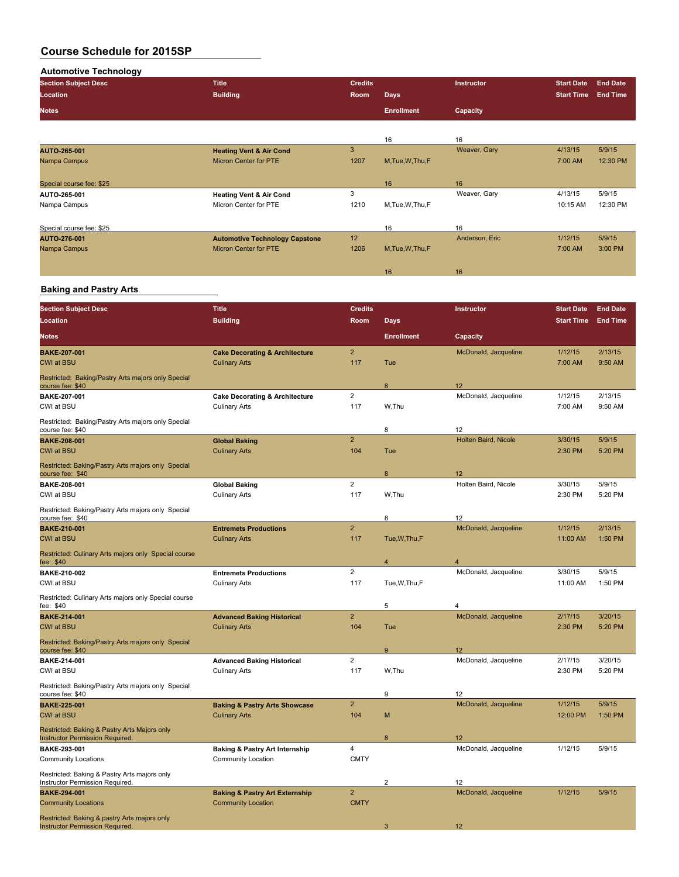**Automotive Technology Section Subject Desc Title Credits Instructor Start Date End Date Location Building Room Days Start Time End Time Notes Enrollment Capacity** 16 16 16<br>
Weaver, Gary **AUTO-265-001 Heating Vent & Air Cond** 3 Weaver, Gary 4/13/15 5/9/15 Micron Center for PTE Special course fee: \$25 16 16 **AUTO-265-001 Heating Vent & Air Cond** 3 Weaver, Gary 4/13/15 5/9/15<br>
Nampa Campus **10:15 AM** 12:30 PM Micron Center for PTE Special course fee: \$25 16 16 **AUTO-276-001 Automotive Technology Capstone** 12 Anderson, Eric 1/12/15 5/9/15 Micron Center for PTE 16 16

#### **Baking and Pastry Arts**

| <b>Section Subject Desc</b>                                                            | <b>Title</b>                              | <b>Credits</b> |                   | Instructor           | <b>Start Date</b> | <b>End Date</b> |
|----------------------------------------------------------------------------------------|-------------------------------------------|----------------|-------------------|----------------------|-------------------|-----------------|
| Location                                                                               | <b>Building</b>                           | Room           | <b>Days</b>       |                      | <b>Start Time</b> | <b>End Time</b> |
| Notes                                                                                  |                                           |                | <b>Enrollment</b> | Capacity             |                   |                 |
| <b>BAKE-207-001</b>                                                                    | <b>Cake Decorating &amp; Architecture</b> | $\overline{2}$ |                   | McDonald, Jacqueline | 1/12/15           | 2/13/15         |
| <b>CWI at BSU</b>                                                                      | <b>Culinary Arts</b>                      | 117            | Tue               |                      | 7:00 AM           | 9:50 AM         |
| Restricted: Baking/Pastry Arts majors only Special<br>course fee: \$40                 |                                           |                | 8                 | 12                   |                   |                 |
| BAKE-207-001                                                                           | <b>Cake Decorating &amp; Architecture</b> | $\overline{2}$ |                   | McDonald, Jacqueline | 1/12/15           | 2/13/15         |
| CWI at BSU                                                                             | <b>Culinary Arts</b>                      | 117            | W.Thu             |                      | 7:00 AM           | 9:50 AM         |
| Restricted: Baking/Pastry Arts majors only Special<br>course fee: \$40                 |                                           |                | 8                 | 12                   |                   |                 |
| <b>BAKE 208-001</b>                                                                    | <b>Global Baking</b>                      | $\overline{2}$ |                   | Holten Baird, Nicole | 3/30/15           | 5/9/15          |
| <b>CWI at BSU</b>                                                                      | <b>Culinary Arts</b>                      | 104            | Tue               |                      | 2:30 PM           | 5:20 PM         |
| Restricted: Baking/Pastry Arts majors only Special<br>course fee: \$40                 |                                           |                | 8                 | 12                   |                   |                 |
| BAKE-208-001                                                                           | <b>Global Baking</b>                      | $\overline{2}$ |                   | Holten Baird, Nicole | 3/30/15           | 5/9/15          |
| CWI at BSU                                                                             | <b>Culinary Arts</b>                      | 117            | W,Thu             |                      | 2:30 PM           | 5:20 PM         |
| Restricted: Baking/Pastry Arts majors only Special<br>course fee: \$40                 |                                           |                | 8                 | 12                   |                   |                 |
| <b>BAKE-210-001</b>                                                                    | <b>Entremets Productions</b>              | $\overline{a}$ |                   | McDonald, Jacqueline | 1/12/15           | 2/13/15         |
| <b>CWI at BSU</b>                                                                      | <b>Culinary Arts</b>                      | 117            | Tue, W, Thu, F    |                      | 11:00 AM          | 1:50 PM         |
| Restricted: Culinary Arts majors only Special course<br>fee: \$40                      |                                           |                | $\overline{4}$    | $\overline{4}$       |                   |                 |
| BAKE-210-002                                                                           | <b>Entremets Productions</b>              | $\overline{2}$ |                   | McDonald, Jacqueline | 3/30/15           | 5/9/15          |
| CWI at BSU                                                                             | <b>Culinary Arts</b>                      | 117            | Tue, W, Thu, F    |                      | 11:00 AM          | 1:50 PM         |
| Restricted: Culinary Arts majors only Special course<br>fee: \$40                      |                                           |                | 5                 | 4                    |                   |                 |
| <b>BAKE-214-001</b>                                                                    | <b>Advanced Baking Historical</b>         | $\overline{2}$ |                   | McDonald, Jacqueline | 2/17/15           | 3/20/15         |
| <b>CWI at BSU</b>                                                                      | <b>Culinary Arts</b>                      | 104            | Tue               |                      | 2:30 PM           | 5:20 PM         |
| Restricted: Baking/Pastry Arts majors only Special<br>course fee: \$40                 |                                           |                | $\boldsymbol{9}$  | 12                   |                   |                 |
| BAKE-214-001                                                                           | <b>Advanced Baking Historical</b>         | $\overline{2}$ |                   | McDonald, Jacqueline | 2/17/15           | 3/20/15         |
| CWI at BSU                                                                             | <b>Culinary Arts</b>                      | 117            | W,Thu             |                      | 2:30 PM           | 5:20 PM         |
| Restricted: Baking/Pastry Arts majors only Special<br>course fee: \$40                 |                                           |                | 9                 | 12                   |                   |                 |
| <b>BAKE-225-001</b>                                                                    | <b>Baking &amp; Pastry Arts Showcase</b>  | $\overline{2}$ |                   | McDonald, Jacqueline | 1/12/15           | 5/9/15          |
| <b>CWI at BSU</b>                                                                      | <b>Culinary Arts</b>                      | 104            | M                 |                      | 12:00 PM          | 1:50 PM         |
| Restricted: Baking & Pastry Arts Majors only<br><b>Instructor Permission Required</b>  |                                           |                | 8                 | 12                   |                   |                 |
| BAKE-293-001                                                                           | <b>Baking &amp; Pastry Art Internship</b> | 4              |                   | McDonald, Jacqueline | 1/12/15           | 5/9/15          |
| <b>Community Locations</b>                                                             | <b>Community Location</b>                 | <b>CMTY</b>    |                   |                      |                   |                 |
| Restricted: Baking & Pastry Arts majors only<br>Instructor Permission Required.        |                                           |                | $\overline{2}$    | 12                   |                   |                 |
| <b>BAKE-294-001</b>                                                                    | <b>Baking &amp; Pastry Art Externship</b> | $\overline{2}$ |                   | McDonald, Jacqueline | 1/12/15           | 5/9/15          |
| <b>Community Locations</b>                                                             | <b>Community Location</b>                 | <b>CMTY</b>    |                   |                      |                   |                 |
| Restricted: Baking & pastry Arts majors only<br><b>Instructor Permission Required.</b> |                                           |                | 3                 | 12                   |                   |                 |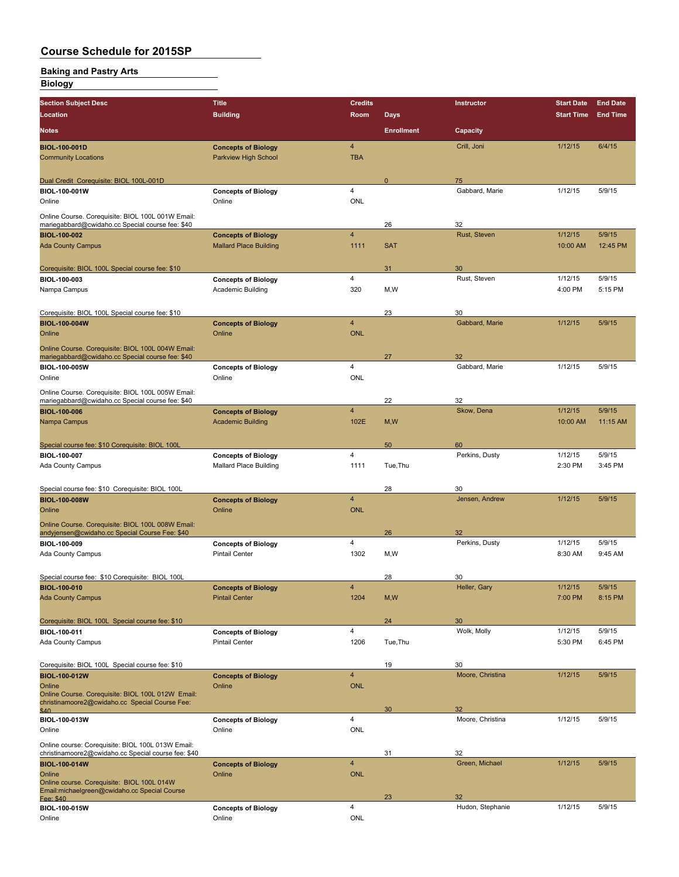#### **Baking and Pastry Arts Biology**

| <b>Section Subject Desc</b>                                                                           | <b>Title</b>                                           | <b>Credits</b>          |                   | Instructor           | <b>Start Date</b> | <b>End Date</b> |
|-------------------------------------------------------------------------------------------------------|--------------------------------------------------------|-------------------------|-------------------|----------------------|-------------------|-----------------|
| Location                                                                                              | <b>Building</b>                                        | Room                    | <b>Days</b>       |                      | <b>Start Time</b> | <b>End Time</b> |
| Notes                                                                                                 |                                                        |                         | <b>Enrollment</b> | Capacity             |                   |                 |
| <b>BIOL-100-001D</b>                                                                                  | <b>Concepts of Biology</b>                             | $\overline{4}$          |                   | Crill, Joni          | 1/12/15           | 6/4/15          |
| <b>Community Locations</b>                                                                            | Parkview High School                                   | <b>TBA</b>              |                   |                      |                   |                 |
|                                                                                                       |                                                        |                         |                   |                      |                   |                 |
| Dual Credit Corequisite: BIOL 100L-001D                                                               |                                                        |                         | $\mathbf 0$       | 75                   |                   |                 |
| BIOL-100-001W<br>Online                                                                               | <b>Concepts of Biology</b><br>Online                   | 4<br><b>ONL</b>         |                   | Gabbard, Marie       | 1/12/15           | 5/9/15          |
|                                                                                                       |                                                        |                         |                   |                      |                   |                 |
| Online Course. Corequisite: BIOL 100L 001W Email:<br>mariegabbard@cwidaho.cc Special course fee: \$40 |                                                        |                         | 26                | 32                   |                   |                 |
| <b>BIOL-100-002</b>                                                                                   | <b>Concepts of Biology</b>                             | $\overline{4}$          |                   | Rust, Steven         | 1/12/15           | 5/9/15          |
| <b>Ada County Campus</b>                                                                              | <b>Mallard Place Building</b>                          | 1111                    | <b>SAT</b>        |                      | 10:00 AM          | 12:45 PM        |
|                                                                                                       |                                                        |                         |                   |                      |                   |                 |
| Corequisite: BIOL 100L Special course fee: \$10                                                       |                                                        |                         | 31                | 30                   |                   |                 |
| BIOL-100-003                                                                                          | <b>Concepts of Biology</b>                             | 4<br>320                |                   | Rust, Steven         | 1/12/15           | 5/9/15          |
| Nampa Campus                                                                                          | Academic Building                                      |                         | M, W              |                      | 4:00 PM           | 5:15 PM         |
| Corequisite: BIOL 100L Special course fee: \$10                                                       |                                                        |                         | 23                | 30                   |                   |                 |
| <b>BIOL-100-004W</b>                                                                                  | <b>Concepts of Biology</b>                             | $\overline{\mathbf{4}}$ |                   | Gabbard, Marie       | 1/12/15           | 5/9/15          |
| Online                                                                                                | Online                                                 | <b>ONL</b>              |                   |                      |                   |                 |
| Online Course. Corequisite: BIOL 100L 004W Email:                                                     |                                                        |                         |                   |                      |                   |                 |
| mariegabbard@cwidaho.cc Special course fee: \$40                                                      |                                                        |                         | 27                | 32                   |                   |                 |
| BIOL-100-005W                                                                                         | <b>Concepts of Biology</b>                             | 4                       |                   | Gabbard, Marie       | 1/12/15           | 5/9/15          |
| Online                                                                                                | Online                                                 | <b>ONL</b>              |                   |                      |                   |                 |
| Online Course. Corequisite: BIOL 100L 005W Email:                                                     |                                                        |                         |                   |                      |                   |                 |
| mariegabbard@cwidaho.cc Special course fee: \$40                                                      |                                                        | $\overline{\mathbf{4}}$ | 22                | 32<br>Skow, Dena     | 1/12/15           | 5/9/15          |
| <b>BIOL-100-006</b><br>Nampa Campus                                                                   | <b>Concepts of Biology</b><br><b>Academic Building</b> | 102E                    | M, W              |                      | 10:00 AM          | 11:15 AM        |
|                                                                                                       |                                                        |                         |                   |                      |                   |                 |
| Special course fee: \$10 Corequisite: BIOL 100L                                                       |                                                        |                         | 50                | 60                   |                   |                 |
| BIOL-100-007                                                                                          | <b>Concepts of Biology</b>                             | $\overline{4}$          |                   | Perkins, Dusty       | 1/12/15           | 5/9/15          |
| Ada County Campus                                                                                     | <b>Mallard Place Building</b>                          | 1111                    | Tue, Thu          |                      | 2:30 PM           | 3:45 PM         |
|                                                                                                       |                                                        |                         |                   |                      |                   |                 |
| Special course fee: \$10 Corequisite: BIOL 100L                                                       |                                                        |                         | 28                | 30                   |                   |                 |
| <b>BIOL-100-008W</b>                                                                                  | <b>Concepts of Biology</b>                             | $\overline{\mathbf{4}}$ |                   | Jensen, Andrew       | 1/12/15           | 5/9/15          |
| Online                                                                                                | Online                                                 | <b>ONL</b>              |                   |                      |                   |                 |
| Online Course. Corequisite: BIOL 100L 008W Email:<br>andyjensen@cwidaho.cc Special Course Fee: \$40   |                                                        |                         | 26                | 32                   |                   |                 |
| BIOL-100-009                                                                                          | <b>Concepts of Biology</b>                             | 4                       |                   | Perkins, Dusty       | 1/12/15           | 5/9/15          |
| Ada County Campus                                                                                     | <b>Pintail Center</b>                                  | 1302                    | M,W               |                      | 8:30 AM           | 9:45 AM         |
|                                                                                                       |                                                        |                         |                   |                      |                   |                 |
| Special course fee: \$10 Corequisite: BIOL 100L                                                       |                                                        |                         | 28                | 30                   |                   |                 |
| <b>BIOL-100-010</b>                                                                                   | <b>Concepts of Biology</b>                             | $\overline{4}$          |                   | Heller, Gary         | 1/12/15           | 5/9/15          |
| <b>Ada County Campus</b>                                                                              | <b>Pintail Center</b>                                  | 1204                    | M, W              |                      | 7:00 PM           | 8:15 PM         |
|                                                                                                       |                                                        |                         |                   |                      |                   |                 |
| Corequisite: BIOL 100L Special course fee: \$10                                                       |                                                        | 4                       | 24                | 30<br>Wolk, Molly    | 1/12/15           | 5/9/15          |
| BIOL-100-011<br>Ada County Campus                                                                     | <b>Concepts of Biology</b><br><b>Pintail Center</b>    | 1206                    | Tue, Thu          |                      | 5:30 PM           | 6:45 PM         |
|                                                                                                       |                                                        |                         |                   |                      |                   |                 |
| Corequisite: BIOL 100L Special course fee: \$10                                                       |                                                        |                         | 19                | 30                   |                   |                 |
| <b>BIOL-100-012W</b>                                                                                  | <b>Concepts of Biology</b>                             | $\overline{\mathbf{4}}$ |                   | Moore, Christina     | 1/12/15           | 5/9/15          |
| Online                                                                                                | Online                                                 | <b>ONL</b>              |                   |                      |                   |                 |
| Online Course. Corequisite: BIOL 100L 012W Email:<br>christinamoore2@cwidaho.cc Special Course Fee:   |                                                        |                         |                   |                      |                   |                 |
| \$40                                                                                                  |                                                        |                         | 30                | 32                   |                   |                 |
| BIOL-100-013W                                                                                         | <b>Concepts of Biology</b>                             | 4                       |                   | Moore, Christina     | 1/12/15           | 5/9/15          |
| Online                                                                                                | Online                                                 | ONL                     |                   |                      |                   |                 |
| Online course: Corequisite: BIOL 100L 013W Email:                                                     |                                                        |                         |                   |                      |                   |                 |
| christinamoore2@cwidaho.cc Special course fee: \$40<br><b>BIOL-100-014W</b>                           | <b>Concepts of Biology</b>                             | $\overline{\mathbf{4}}$ | 31                | 32<br>Green, Michael | 1/12/15           | 5/9/15          |
| Online                                                                                                | Online                                                 | <b>ONL</b>              |                   |                      |                   |                 |
| Online course. Corequisite: BIOL 100L 014W                                                            |                                                        |                         |                   |                      |                   |                 |
| Email:michaelgreen@cwidaho.cc Special Course                                                          |                                                        |                         | 23                | 32                   |                   |                 |

Fee: \$40  $23$  32 **BIOL-100-015W Concepts of Biology** 4 Hudon, Stephanie 1/12/15 5/9/15 Online Online ONL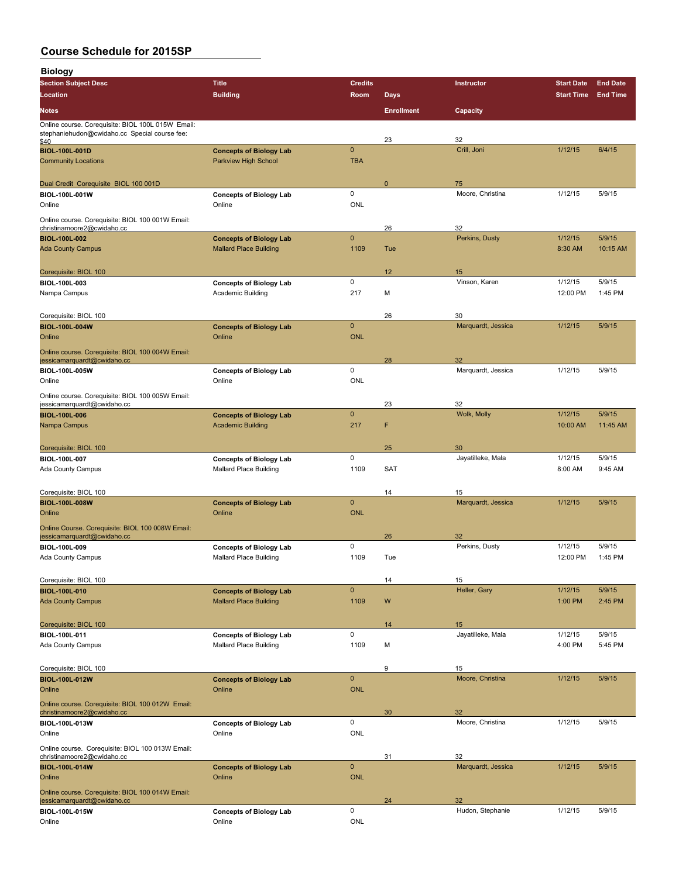| <b>Biology</b>                                                                                             |                                          |                 |                   |                          |                   |                 |
|------------------------------------------------------------------------------------------------------------|------------------------------------------|-----------------|-------------------|--------------------------|-------------------|-----------------|
| <b>Section Subject Desc</b>                                                                                | <b>Title</b>                             | <b>Credits</b>  |                   | Instructor               | <b>Start Date</b> | <b>End Date</b> |
| Location                                                                                                   | <b>Building</b>                          | Room            | <b>Days</b>       |                          | <b>Start Time</b> | <b>End Time</b> |
| <b>Notes</b>                                                                                               |                                          |                 | <b>Enrollment</b> | Capacity                 |                   |                 |
| Online course. Corequisite: BIOL 100L 015W Email:<br>stephaniehudon@cwidaho.cc Special course fee:<br>\$40 |                                          |                 | 23                | 32                       |                   |                 |
| <b>BIOL-100L-001D</b>                                                                                      | <b>Concepts of Biology Lab</b>           | $\pmb{0}$       |                   | Crill, Joni              | 1/12/15           | 6/4/15          |
| <b>Community Locations</b>                                                                                 | <b>Parkview High School</b>              | <b>TBA</b>      |                   |                          |                   |                 |
| Dual Credit Corequisite BIOL 100 001D                                                                      |                                          |                 | $\mathbf{0}$      | 75                       |                   |                 |
| BIOL-100L-001W                                                                                             | <b>Concepts of Biology Lab</b>           | $\mathbf 0$     |                   | Moore, Christina         | 1/12/15           | 5/9/15          |
| Online                                                                                                     | Online                                   | <b>ONL</b>      |                   |                          |                   |                 |
| Online course. Corequisite: BIOL 100 001W Email:<br>christinamoore2@cwidaho.cc                             |                                          |                 | 26                | 32                       |                   |                 |
| <b>BIOL-100L-002</b>                                                                                       | <b>Concepts of Biology Lab</b>           | $\pmb{0}$       |                   | Perkins, Dusty           | 1/12/15           | 5/9/15          |
| <b>Ada County Campus</b>                                                                                   | <b>Mallard Place Building</b>            | 1109            | Tue               |                          | 8:30 AM           | 10:15 AM        |
|                                                                                                            |                                          |                 |                   |                          |                   |                 |
| Corequisite: BIOL 100<br>BIOL-100L-003                                                                     | <b>Concepts of Biology Lab</b>           | 0               | 12                | 15<br>Vinson, Karen      | 1/12/15           | 5/9/15          |
| Nampa Campus                                                                                               | Academic Building                        | 217             | M                 |                          | 12:00 PM          | 1:45 PM         |
|                                                                                                            |                                          |                 |                   |                          |                   |                 |
| Corequisite: BIOL 100<br><b>BIOL-100L-004W</b>                                                             | <b>Concepts of Biology Lab</b>           | $\mathbf{0}$    | 26                | 30<br>Marquardt, Jessica | 1/12/15           | 5/9/15          |
| Online                                                                                                     | Online                                   | <b>ONL</b>      |                   |                          |                   |                 |
| Online course. Corequisite: BIOL 100 004W Email:                                                           |                                          |                 |                   |                          |                   |                 |
| jessicamarquardt@cwidaho.cc                                                                                |                                          |                 | 28                | 32                       |                   |                 |
| BIOL-100L-005W<br>Online                                                                                   | <b>Concepts of Biology Lab</b><br>Online | 0<br><b>ONL</b> |                   | Marquardt, Jessica       | 1/12/15           | 5/9/15          |
| Online course. Corequisite: BIOL 100 005W Email:                                                           |                                          |                 |                   |                          |                   |                 |
| jessicamarquardt@cwidaho.cc                                                                                |                                          |                 | 23                | 32                       |                   |                 |
| <b>BIOL-100L-006</b>                                                                                       | <b>Concepts of Biology Lab</b>           | $\mathbf 0$     | F                 | Wolk, Molly              | 1/12/15           | 5/9/15          |
| Nampa Campus                                                                                               | <b>Academic Building</b>                 | 217             |                   |                          | 10:00 AM          | 11:45 AM        |
| Corequisite: BIOL 100                                                                                      |                                          |                 | 25                | 30                       |                   |                 |
| BIOL-100L-007                                                                                              | <b>Concepts of Biology Lab</b>           | $\mathbf 0$     |                   | Jayatilleke, Mala        | 1/12/15           | 5/9/15          |
| Ada County Campus                                                                                          | <b>Mallard Place Building</b>            | 1109            | <b>SAT</b>        |                          | 8:00 AM           | 9:45 AM         |
| Corequisite: BIOL 100                                                                                      |                                          |                 | 14                | 15                       |                   |                 |
| <b>BIOL-100L-008W</b>                                                                                      | <b>Concepts of Biology Lab</b>           | $\pmb{0}$       |                   | Marquardt, Jessica       | 1/12/15           | 5/9/15          |
| Online                                                                                                     | Online                                   | <b>ONL</b>      |                   |                          |                   |                 |
| Online Course. Corequisite: BIOL 100 008W Email:<br>jessicamarquardt@cwidaho.cc                            |                                          |                 | 26                | 32                       |                   |                 |
| BIOL-100L-009                                                                                              | <b>Concepts of Biology Lab</b>           | 0               |                   | Perkins, Dusty           | 1/12/15           | 5/9/15          |
| Ada County Campus                                                                                          | <b>Mallard Place Building</b>            | 1109            | Tue               |                          | 12:00 PM          | 1:45 PM         |
| Corequisite: BIOL 100                                                                                      |                                          |                 | 14                | 15                       |                   |                 |
| <b>BIOL-100L-010</b>                                                                                       | <b>Concepts of Biology Lab</b>           | $\mathbf 0$     |                   | Heller, Gary             | 1/12/15           | 5/9/15          |
| <b>Ada County Campus</b>                                                                                   | <b>Mallard Place Building</b>            | 1109            | W                 |                          | 1:00 PM           | 2:45 PM         |
|                                                                                                            |                                          |                 |                   |                          |                   |                 |
| Corequisite: BIOL 100<br>BIOL-100L-011                                                                     | <b>Concepts of Biology Lab</b>           | $\mathsf 0$     | 14                | 15<br>Jayatilleke, Mala  | 1/12/15           | 5/9/15          |
| Ada County Campus                                                                                          | <b>Mallard Place Building</b>            | 1109            | M                 |                          | 4:00 PM           | 5:45 PM         |
|                                                                                                            |                                          |                 |                   |                          |                   |                 |
| Corequisite: BIOL 100                                                                                      |                                          | $\mathbf{0}$    | 9                 | 15<br>Moore, Christina   | 1/12/15           | 5/9/15          |
| <b>BIOL-100L-012W</b><br>Online                                                                            | <b>Concepts of Biology Lab</b><br>Online | <b>ONL</b>      |                   |                          |                   |                 |
| Online course. Corequisite: BIOL 100 012W Email:                                                           |                                          |                 |                   |                          |                   |                 |
| christinamoore2@cwidaho.cc<br>BIOL-100L-013W                                                               |                                          | 0               | 30                | 32<br>Moore, Christina   | 1/12/15           | 5/9/15          |
| Online                                                                                                     | <b>Concepts of Biology Lab</b><br>Online | ONL             |                   |                          |                   |                 |
| Online course. Corequisite: BIOL 100 013W Email:                                                           |                                          |                 |                   |                          |                   |                 |
| christinamoore2@cwidaho.cc                                                                                 |                                          | $\pmb{0}$       | 31                | 32                       |                   |                 |
| <b>BIOL-100L-014W</b><br>Online                                                                            | <b>Concepts of Biology Lab</b><br>Online | <b>ONL</b>      |                   | Marquardt, Jessica       | 1/12/15           | 5/9/15          |
| Online course. Corequisite: BIOL 100 014W Email:                                                           |                                          |                 |                   |                          |                   |                 |
| jessicamarquardt@cwidaho.cc                                                                                |                                          |                 | 24                | 32                       |                   |                 |
| BIOL-100L-015W<br>Online                                                                                   | <b>Concepts of Biology Lab</b><br>Online | 0<br>ONL        |                   | Hudon, Stephanie         | 1/12/15           | 5/9/15          |
|                                                                                                            |                                          |                 |                   |                          |                   |                 |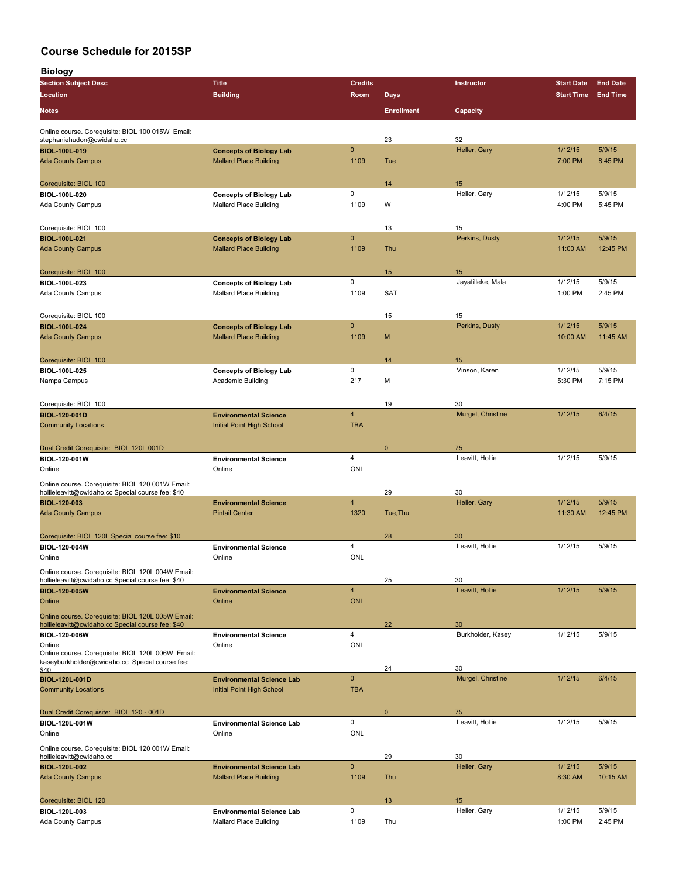| <b>Biology</b>                                                                                         |                                                                 |                         |                   |                         |                    |                    |
|--------------------------------------------------------------------------------------------------------|-----------------------------------------------------------------|-------------------------|-------------------|-------------------------|--------------------|--------------------|
| <b>Section Subject Desc</b>                                                                            | <b>Title</b>                                                    | <b>Credits</b>          |                   | Instructor              | <b>Start Date</b>  | <b>End Date</b>    |
| Location                                                                                               | <b>Building</b>                                                 | Room                    | <b>Days</b>       |                         | <b>Start Time</b>  | <b>End Time</b>    |
| <b>Notes</b>                                                                                           |                                                                 |                         | <b>Enrollment</b> | Capacity                |                    |                    |
| Online course. Corequisite: BIOL 100 015W Email:                                                       |                                                                 |                         |                   |                         |                    |                    |
| stephaniehudon@cwidaho.cc<br><b>BIOL-100L-019</b>                                                      | <b>Concepts of Biology Lab</b>                                  | $\pmb{0}$               | 23                | 32<br>Heller, Gary      | 1/12/15            | 5/9/15             |
| <b>Ada County Campus</b>                                                                               | <b>Mallard Place Building</b>                                   | 1109                    | Tue               |                         | 7:00 PM            | 8:45 PM            |
|                                                                                                        |                                                                 |                         |                   |                         |                    |                    |
| Corequisite: BIOL 100                                                                                  |                                                                 |                         | 14                | 15                      |                    |                    |
| BIOL-100L-020                                                                                          | <b>Concepts of Biology Lab</b><br><b>Mallard Place Building</b> | 0<br>1109               | W                 | Heller, Gary            | 1/12/15<br>4:00 PM | 5/9/15<br>5:45 PM  |
| Ada County Campus                                                                                      |                                                                 |                         |                   |                         |                    |                    |
| Corequisite: BIOL 100                                                                                  |                                                                 |                         | 13                | 15                      |                    |                    |
| <b>BIOL-100L-021</b>                                                                                   | <b>Concepts of Biology Lab</b>                                  | $\mathbf 0$             |                   | Perkins, Dusty          | 1/12/15            | 5/9/15             |
| <b>Ada County Campus</b>                                                                               | <b>Mallard Place Building</b>                                   | 1109                    | Thu               |                         | 11:00 AM           | 12:45 PM           |
| Corequisite: BIOL 100                                                                                  |                                                                 |                         | 15                | 15                      |                    |                    |
| BIOL-100L-023                                                                                          | <b>Concepts of Biology Lab</b>                                  | 0                       |                   | Jayatilleke, Mala       | 1/12/15            | 5/9/15             |
| Ada County Campus                                                                                      | <b>Mallard Place Building</b>                                   | 1109                    | SAT               |                         | 1:00 PM            | 2:45 PM            |
|                                                                                                        |                                                                 |                         |                   |                         |                    |                    |
| Corequisite: BIOL 100                                                                                  |                                                                 |                         | 15                | 15                      |                    |                    |
| <b>BIOL 100L 024</b>                                                                                   | <b>Concepts of Biology Lab</b>                                  | $\mathbf{0}$            |                   | Perkins, Dusty          | 1/12/15            | 5/9/15<br>11:45 AM |
| <b>Ada County Campus</b>                                                                               | <b>Mallard Place Building</b>                                   | 1109                    | M                 |                         | 10:00 AM           |                    |
| Corequisite: BIOL 100                                                                                  |                                                                 |                         | 14                | 15                      |                    |                    |
| BIOL-100L-025                                                                                          | <b>Concepts of Biology Lab</b>                                  | 0                       |                   | Vinson, Karen           | 1/12/15            | 5/9/15             |
| Nampa Campus                                                                                           | <b>Academic Building</b>                                        | 217                     | М                 |                         | 5:30 PM            | 7:15 PM            |
|                                                                                                        |                                                                 |                         |                   |                         |                    |                    |
| Corequisite: BIOL 100<br><b>BIOL-120-001D</b>                                                          | <b>Environmental Science</b>                                    | $\overline{\mathbf{4}}$ | 19                | 30<br>Murgel, Christine | 1/12/15            | 6/4/15             |
| <b>Community Locations</b>                                                                             | Initial Point High School                                       | <b>TBA</b>              |                   |                         |                    |                    |
|                                                                                                        |                                                                 |                         |                   |                         |                    |                    |
| Dual Credit Corequisite: BIOL 120L 001D                                                                |                                                                 |                         | $\mathbf{0}$      | 75                      |                    |                    |
| BIOL-120-001W                                                                                          | <b>Environmental Science</b>                                    | $\overline{4}$          |                   | Leavitt, Hollie         | 1/12/15            | 5/9/15             |
| Online                                                                                                 | Online                                                          | <b>ONL</b>              |                   |                         |                    |                    |
| Online course. Corequisite: BIOL 120 001W Email:                                                       |                                                                 |                         |                   |                         |                    |                    |
| hollieleavitt@cwidaho.cc Special course fee: \$40<br><b>BIOL-120-003</b>                               | <b>Environmental Science</b>                                    | $\overline{\mathbf{4}}$ | 29                | 30<br>Heller, Gary      | 1/12/15            | 5/9/15             |
| <b>Ada County Campus</b>                                                                               | <b>Pintail Center</b>                                           | 1320                    | Tue.Thu           |                         | 11:30 AM           | 12:45 PM           |
|                                                                                                        |                                                                 |                         |                   |                         |                    |                    |
| Corequisite: BIOL 120L Special course fee: \$10                                                        |                                                                 |                         | 28                | 30                      |                    |                    |
| <b>BIOL-120-004W</b>                                                                                   | <b>Environmental Science</b>                                    | 4                       |                   | Leavitt, Hollie         | 1/12/15            | 5/9/15             |
| Online                                                                                                 | Online                                                          | <b>ONL</b>              |                   |                         |                    |                    |
| Online course. Corequisite: BIOL 120L 004W Email:<br>hollieleavitt@cwidaho.cc Special course fee: \$40 |                                                                 |                         | 25                | 30                      |                    |                    |
| <b>BIOL-120-005W</b>                                                                                   | <b>Environmental Science</b>                                    | $\overline{\mathbf{4}}$ |                   | Leavitt, Hollie         | 1/12/15            | 5/9/15             |
| Online                                                                                                 | Online                                                          | <b>ONL</b>              |                   |                         |                    |                    |
| Online course. Corequisite: BIOL 120L 005W Email:                                                      |                                                                 |                         |                   |                         |                    |                    |
| hollieleavitt@cwidaho.cc Special course fee: \$40                                                      |                                                                 |                         | 22                | 30                      |                    |                    |
| <b>BIOL-120-006W</b>                                                                                   | <b>Environmental Science</b>                                    | 4                       |                   | Burkholder, Kasey       | 1/12/15            | 5/9/15             |
| Online<br>Online course. Corequisite: BIOL 120L 006W Email:                                            | Online                                                          | <b>ONL</b>              |                   |                         |                    |                    |
| kaseyburkholder@cwidaho.cc Special course fee:                                                         |                                                                 |                         | 24                | 30                      |                    |                    |
| \$40<br><b>BIOL-120L-001D</b>                                                                          | <b>Environmental Science Lab</b>                                | $\mathbf{0}$            |                   | Murgel, Christine       | 1/12/15            | 6/4/15             |
| <b>Community Locations</b>                                                                             | Initial Point High School                                       | <b>TBA</b>              |                   |                         |                    |                    |
|                                                                                                        |                                                                 |                         |                   |                         |                    |                    |
| Dual Credit Corequisite: BIOL 120 - 001D                                                               |                                                                 |                         | $\mathbf{0}$      | 75                      |                    |                    |
| BIOL-120L-001W                                                                                         | <b>Environmental Science Lab</b>                                | $\pmb{0}$               |                   | Leavitt, Hollie         | 1/12/15            | 5/9/15             |
| Online                                                                                                 | Online                                                          | <b>ONL</b>              |                   |                         |                    |                    |
| Online course. Corequisite: BIOL 120 001W Email:<br>hollieleavitt@cwidaho.cc                           |                                                                 |                         | 29                | 30                      |                    |                    |
| <b>BIOL-120L-002</b>                                                                                   | <b>Environmental Science Lab</b>                                | $\pmb{0}$               |                   | Heller, Gary            | 1/12/15            | 5/9/15             |
| <b>Ada County Campus</b>                                                                               | <b>Mallard Place Building</b>                                   | 1109                    | Thu               |                         | 8:30 AM            | 10:15 AM           |
|                                                                                                        |                                                                 |                         |                   |                         |                    |                    |
| Corequisite: BIOL 120                                                                                  | <b>Environmental Science Lab</b>                                | 0                       | 13                | 15<br>Heller, Gary      | 1/12/15            | 5/9/15             |
| BIOL-120L-003<br>Ada County Campus                                                                     | Mallard Place Building                                          | 1109                    | Thu               |                         | 1:00 PM            | 2:45 PM            |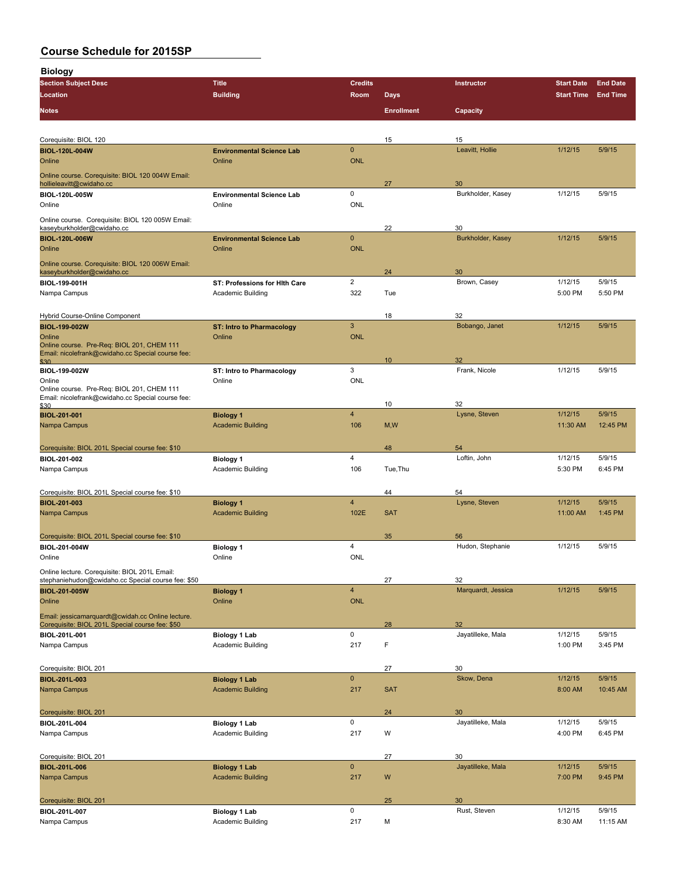**Biology**

| <b>Section Subject Desc</b>                                                                     | <b>Title</b>                                       | <b>Credits</b> |                   | <b>Instructor</b>       | <b>Start Date</b>  | <b>End Date</b>   |
|-------------------------------------------------------------------------------------------------|----------------------------------------------------|----------------|-------------------|-------------------------|--------------------|-------------------|
| Location                                                                                        | <b>Building</b>                                    | Room           | <b>Days</b>       |                         | <b>Start Time</b>  | <b>End Time</b>   |
| <b>Notes</b>                                                                                    |                                                    |                | <b>Enrollment</b> | Capacity                |                    |                   |
|                                                                                                 |                                                    |                |                   |                         |                    |                   |
|                                                                                                 |                                                    |                |                   |                         |                    |                   |
| Corequisite: BIOL 120                                                                           |                                                    |                | 15                | 15                      |                    |                   |
| <b>BIOL-120L-004W</b>                                                                           | <b>Environmental Science Lab</b>                   | $\mathbf{0}$   |                   | Leavitt, Hollie         | 1/12/15            | 5/9/15            |
| Online                                                                                          | Online                                             | <b>ONL</b>     |                   |                         |                    |                   |
| Online course. Corequisite: BIOL 120 004W Email:                                                |                                                    |                |                   |                         |                    |                   |
| hollieleavitt@cwidaho.cc<br>BIOL-120L-005W                                                      | <b>Environmental Science Lab</b>                   | 0              | 27                | 30<br>Burkholder, Kasey | 1/12/15            | 5/9/15            |
| Online                                                                                          | Online                                             | ONL            |                   |                         |                    |                   |
| Online course. Corequisite: BIOL 120 005W Email:                                                |                                                    |                |                   |                         |                    |                   |
| kaseyburkholder@cwidaho.cc                                                                      |                                                    |                | 22                | 30                      |                    |                   |
| <b>BIOL-120L-006W</b>                                                                           | <b>Environmental Science Lab</b>                   | $\mathbf{0}$   |                   | Burkholder, Kasey       | 1/12/15            | 5/9/15            |
| Online                                                                                          | Online                                             | <b>ONL</b>     |                   |                         |                    |                   |
| Online course. Corequisite: BIOL 120 006W Email:                                                |                                                    |                |                   |                         |                    |                   |
| kaseyburkholder@cwidaho.cc                                                                      |                                                    | $\overline{2}$ | 24                | 30                      |                    |                   |
| BIOL-199-001H<br>Nampa Campus                                                                   | ST: Professions for Hith Care<br>Academic Building | 322            | Tue               | Brown, Casey            | 1/12/15<br>5:00 PM | 5/9/15<br>5:50 PM |
|                                                                                                 |                                                    |                |                   |                         |                    |                   |
| Hybrid Course-Online Component                                                                  |                                                    |                | 18                | 32                      |                    |                   |
| <b>BIOL-199-002W</b>                                                                            | <b>ST: Intro to Pharmacology</b>                   | 3              |                   | Bobango, Janet          | 1/12/15            | 5/9/15            |
| Online                                                                                          | Online                                             | <b>ONL</b>     |                   |                         |                    |                   |
| Online course. Pre-Req: BIOL 201, CHEM 111<br>Email: nicolefrank@cwidaho.cc Special course fee: |                                                    |                |                   |                         |                    |                   |
| \$30                                                                                            |                                                    |                | 10                | 32                      |                    |                   |
| BIOL-199-002W                                                                                   | ST: Intro to Pharmacology                          | 3              |                   | Frank, Nicole           | 1/12/15            | 5/9/15            |
| Online<br>Online course. Pre-Req: BIOL 201, CHEM 111                                            | Online                                             | ONL            |                   |                         |                    |                   |
| Email: nicolefrank@cwidaho.cc Special course fee:                                               |                                                    |                |                   |                         |                    |                   |
| \$30<br><b>BIOL-201-001</b>                                                                     | <b>Biology 1</b>                                   | $\overline{4}$ | 10                | 32<br>Lysne, Steven     | 1/12/15            | 5/9/15            |
| Nampa Campus                                                                                    | <b>Academic Building</b>                           | 106            | M, W              |                         | 11:30 AM           | 12:45 PM          |
|                                                                                                 |                                                    |                |                   |                         |                    |                   |
| Corequisite: BIOL 201L Special course fee: \$10                                                 |                                                    |                | 48                | 54                      |                    |                   |
| BIOL-201-002                                                                                    | <b>Biology 1</b>                                   | 4              |                   | Loftin, John            | 1/12/15            | 5/9/15            |
| Nampa Campus                                                                                    | Academic Building                                  | 106            | Tue, Thu          |                         | 5:30 PM            | 6:45 PM           |
|                                                                                                 |                                                    |                |                   |                         |                    |                   |
| Corequisite: BIOL 201L Special course fee: \$10                                                 |                                                    |                | 44                | 54                      |                    |                   |
| <b>BIOL-201-003</b>                                                                             | <b>Biology 1</b>                                   | $\overline{4}$ |                   | Lysne, Steven           | 1/12/15            | 5/9/15            |
| Nampa Campus                                                                                    | <b>Academic Building</b>                           | 102E           | <b>SAT</b>        |                         | 11:00 AM           | 1:45 PM           |
| Corequisite: BIOL 201L Special course fee: \$10                                                 |                                                    |                | 35                | 56                      |                    |                   |
| BIOL-201-004W                                                                                   | <b>Biology 1</b>                                   | $\overline{4}$ |                   | Hudon, Stephanie        | 1/12/15            | 5/9/15            |
| Online                                                                                          | Online                                             | <b>ONL</b>     |                   |                         |                    |                   |
| Online lecture. Corequisite: BIOL 201L Email:                                                   |                                                    |                |                   |                         |                    |                   |
| stephaniehudon@cwidaho.cc Special course fee: \$50                                              |                                                    |                | 27                | 32                      |                    |                   |
| <b>BIOL 201 005W</b>                                                                            | <b>Biology 1</b>                                   | $\overline{4}$ |                   | Marquardt, Jessica      | 1/12/15            | 5/9/15            |
| Online                                                                                          | Online                                             | ONL            |                   |                         |                    |                   |
| Email: jessicamarquardt@cwidah.cc Online lecture.                                               |                                                    |                |                   |                         |                    |                   |
| Corequisite: BIOL 201L Special course fee: \$50<br>BIOL-201L-001                                | <b>Biology 1 Lab</b>                               | $\mathsf 0$    | 28                | 32<br>Jayatilleke, Mala | 1/12/15            | 5/9/15            |
| Nampa Campus                                                                                    | Academic Building                                  | 217            | F                 |                         | 1:00 PM            | 3:45 PM           |
|                                                                                                 |                                                    |                |                   |                         |                    |                   |
| Corequisite: BIOL 201                                                                           |                                                    |                | 27                | 30                      |                    |                   |
| <b>BIOL-201L-003</b>                                                                            | <b>Biology 1 Lab</b>                               | $\pmb{0}$      |                   | Skow, Dena              | 1/12/15            | 5/9/15            |
| Nampa Campus                                                                                    | <b>Academic Building</b>                           | 217            | <b>SAT</b>        |                         | 8:00 AM            | 10:45 AM          |
|                                                                                                 |                                                    |                |                   |                         |                    |                   |
| Corequisite: BIOL 201                                                                           |                                                    |                | 24                | 30                      |                    |                   |
| BIOL-201L-004                                                                                   | Biology 1 Lab                                      | 0              |                   | Jayatilleke, Mala       | 1/12/15            | 5/9/15            |
| Nampa Campus                                                                                    | Academic Building                                  | 217            | W                 |                         | 4:00 PM            | 6:45 PM           |
|                                                                                                 |                                                    |                |                   |                         |                    |                   |
| Corequisite: BIOL 201<br><b>BIOL-201L-006</b>                                                   | <b>Biology 1 Lab</b>                               | $\mathbf 0$    | 27                | 30<br>Jayatilleke, Mala | 1/12/15            | 5/9/15            |
| Nampa Campus                                                                                    | <b>Academic Building</b>                           | 217            | W                 |                         | 7:00 PM            | 9:45 PM           |
|                                                                                                 |                                                    |                |                   |                         |                    |                   |
| Corequisite: BIOL 201                                                                           |                                                    |                | 25                | 30                      |                    |                   |
| BIOL-201L-007                                                                                   | Biology 1 Lab                                      | 0              |                   | Rust, Steven            | 1/12/15            | 5/9/15            |
| Nampa Campus                                                                                    | Academic Building                                  | 217            | М                 |                         | 8:30 AM            | 11:15 AM          |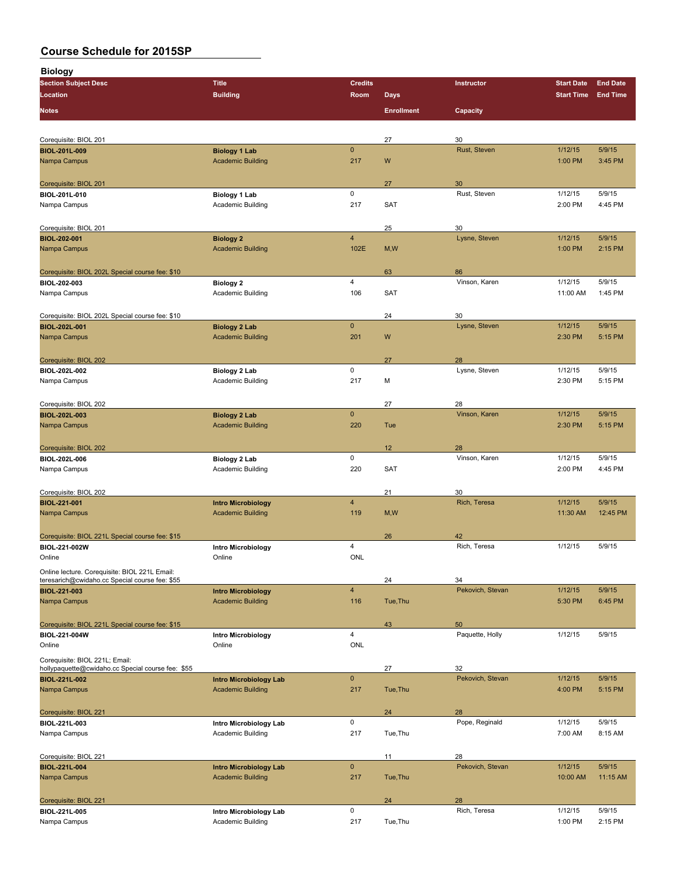**Biology**

| <b>Section Subject Desc</b>                       | <b>Title</b>                          | <b>Credits</b>          |                   | Instructor           | <b>Start Date</b> | <b>End Date</b> |
|---------------------------------------------------|---------------------------------------|-------------------------|-------------------|----------------------|-------------------|-----------------|
| <b>Location</b>                                   | <b>Building</b>                       | Room                    | <b>Days</b>       |                      | <b>Start Time</b> | <b>End Time</b> |
| <b>Notes</b>                                      |                                       |                         | <b>Enrollment</b> | Capacity             |                   |                 |
|                                                   |                                       |                         |                   |                      |                   |                 |
|                                                   |                                       |                         |                   |                      |                   |                 |
| Corequisite: BIOL 201                             |                                       |                         | 27                | 30                   |                   |                 |
| <b>BIOL-201L-009</b>                              | <b>Biology 1 Lab</b>                  | $\mathbf 0$             |                   | Rust, Steven         | 1/12/15           | 5/9/15          |
| Nampa Campus                                      | <b>Academic Building</b>              | 217                     | W                 |                      | 1:00 PM           | 3:45 PM         |
|                                                   |                                       |                         |                   |                      |                   |                 |
| Corequisite: BIOL 201                             |                                       |                         | 27                | 30                   |                   |                 |
| BIOL-201L-010                                     | Biology 1 Lab                         | $\mathsf 0$             |                   | Rust, Steven         | 1/12/15           | 5/9/15          |
| Nampa Campus                                      | <b>Academic Building</b>              | 217                     | SAT               |                      | 2:00 PM           | 4:45 PM         |
|                                                   |                                       |                         |                   |                      |                   |                 |
| Corequisite: BIOL 201                             |                                       |                         | 25                | 30                   |                   |                 |
| <b>BIOL-202-001</b>                               | <b>Biology 2</b>                      | $\overline{4}$          |                   | Lysne, Steven        | 1/12/15           | 5/9/15          |
| Nampa Campus                                      | <b>Academic Building</b>              | 102E                    | M, W              |                      | 1:00 PM           | 2:15 PM         |
|                                                   |                                       |                         |                   |                      |                   |                 |
|                                                   |                                       |                         |                   | 86                   |                   |                 |
| Corequisite: BIOL 202L Special course fee: \$10   |                                       | $\overline{4}$          | 63                | Vinson, Karen        | 1/12/15           | 5/9/15          |
| BIOL-202-003                                      | <b>Biology 2</b><br>Academic Building | 106                     | SAT               |                      | 11:00 AM          | 1:45 PM         |
| Nampa Campus                                      |                                       |                         |                   |                      |                   |                 |
|                                                   |                                       |                         |                   |                      |                   |                 |
| Corequisite: BIOL 202L Special course fee: \$10   |                                       |                         | 24                | 30                   |                   |                 |
| <b>BIOL-202L-001</b>                              | <b>Biology 2 Lab</b>                  | $\mathbf{0}$            |                   | Lysne, Steven        | 1/12/15           | 5/9/15          |
| Nampa Campus                                      | <b>Academic Building</b>              | 201                     | W                 |                      | 2:30 PM           | 5:15 PM         |
|                                                   |                                       |                         |                   |                      |                   |                 |
| Corequisite: BIOL 202                             |                                       |                         | 27                | 28                   |                   |                 |
| BIOL-202L-002                                     | Biology 2 Lab                         | 0                       |                   | Lysne, Steven        | 1/12/15           | 5/9/15          |
| Nampa Campus                                      | Academic Building                     | 217                     | М                 |                      | 2:30 PM           | 5:15 PM         |
|                                                   |                                       |                         |                   |                      |                   |                 |
| Corequisite: BIOL 202                             |                                       |                         | 27                | 28                   |                   |                 |
| <b>BIOL-202L-003</b>                              | <b>Biology 2 Lab</b>                  | $\mathbf 0$             |                   | Vinson, Karen        | 1/12/15           | 5/9/15          |
| Nampa Campus                                      | <b>Academic Building</b>              | 220                     | Tue               |                      | 2:30 PM           | 5:15 PM         |
|                                                   |                                       |                         |                   |                      |                   |                 |
| Corequisite: BIOL 202                             |                                       |                         | 12                | 28                   |                   |                 |
| BIOL-202L-006                                     | Biology 2 Lab                         | 0                       |                   | Vinson, Karen        | 1/12/15           | 5/9/15          |
| Nampa Campus                                      | <b>Academic Building</b>              | 220                     | SAT               |                      | 2:00 PM           | 4:45 PM         |
|                                                   |                                       |                         |                   |                      |                   |                 |
|                                                   |                                       |                         |                   |                      |                   |                 |
| Corequisite: BIOL 202                             |                                       | $\overline{4}$          | 21                | 30                   | 1/12/15           | 5/9/15          |
| <b>BIOL-221-001</b>                               | <b>Intro Microbiology</b>             |                         |                   | Rich, Teresa         |                   | 12:45 PM        |
| Nampa Campus                                      | <b>Academic Building</b>              | 119                     | M, W              |                      | 11:30 AM          |                 |
|                                                   |                                       |                         |                   |                      |                   |                 |
| Corequisite: BIOL 221L Special course fee: \$15   |                                       |                         | 26                | 42                   |                   |                 |
| <b>BIOL 221-002W</b>                              | Intro Microbiology                    | $\overline{4}$          |                   | Rich, Teresa         | 1/12/15           | 5/9/15          |
| Online                                            | Online                                | <b>ONL</b>              |                   |                      |                   |                 |
| Online lecture. Corequisite: BIOL 221L Email:     |                                       |                         |                   |                      |                   |                 |
| teresarich@cwidaho.cc Special course fee: \$55    |                                       |                         | 24                | 34                   |                   |                 |
| <b>BIOL-221-003</b>                               | <b>Intro Microbiology</b>             | $\overline{\mathbf{4}}$ |                   | Pekovich, Stevan     | 1/12/15           | 5/9/15          |
| Nampa Campus                                      | <b>Academic Building</b>              | 116                     | Tue, Thu          |                      | 5:30 PM           | 6:45 PM         |
|                                                   |                                       |                         |                   |                      |                   |                 |
| Corequisite: BIOL 221L Special course fee: \$15   |                                       |                         | 43                | 50                   |                   |                 |
| BIOL-221-004W                                     | <b>Intro Microbiology</b>             | $\overline{4}$          |                   | Paquette, Holly      | 1/12/15           | 5/9/15          |
| Online                                            | Online                                | ONL                     |                   |                      |                   |                 |
| Corequisite: BIOL 221L; Email:                    |                                       |                         |                   |                      |                   |                 |
| hollypaquette@cwidaho.cc Special course fee: \$55 |                                       |                         | 27                | 32                   |                   |                 |
| <b>BIOL-221L-002</b>                              | <b>Intro Microbiology Lab</b>         | $\mathbf 0$             |                   | Pekovich, Stevan     | 1/12/15           | 5/9/15          |
| Nampa Campus                                      | <b>Academic Building</b>              | 217                     | Tue, Thu          |                      | 4:00 PM           | 5:15 PM         |
|                                                   |                                       |                         |                   |                      |                   |                 |
| Corequisite: BIOL 221                             |                                       |                         |                   |                      |                   |                 |
|                                                   |                                       | $\mathsf 0$             | 24                | 28<br>Pope, Reginald | 1/12/15           | 5/9/15          |
| BIOL-221L-003                                     | Intro Microbiology Lab                |                         |                   |                      |                   |                 |
| Nampa Campus                                      | Academic Building                     | 217                     | Tue, Thu          |                      | 7:00 AM           | 8:15 AM         |
|                                                   |                                       |                         |                   |                      |                   |                 |
| Corequisite: BIOL 221                             |                                       |                         | 11                | 28                   |                   |                 |
| <b>BIOL-221L-004</b>                              | <b>Intro Microbiology Lab</b>         | $\pmb{0}$               |                   | Pekovich, Stevan     | 1/12/15           | 5/9/15          |
| Nampa Campus                                      | <b>Academic Building</b>              | 217                     | Tue, Thu          |                      | 10:00 AM          | 11:15 AM        |
|                                                   |                                       |                         |                   |                      |                   |                 |
| Corequisite: BIOL 221                             |                                       |                         | 24                | 28                   |                   |                 |
| BIOL-221L-005                                     | Intro Microbiology Lab                | $\mathsf{O}\xspace$     |                   | Rich, Teresa         | 1/12/15           | 5/9/15          |
| Nampa Campus                                      | Academic Building                     | 217                     | Tue, Thu          |                      | 1:00 PM           | 2:15 PM         |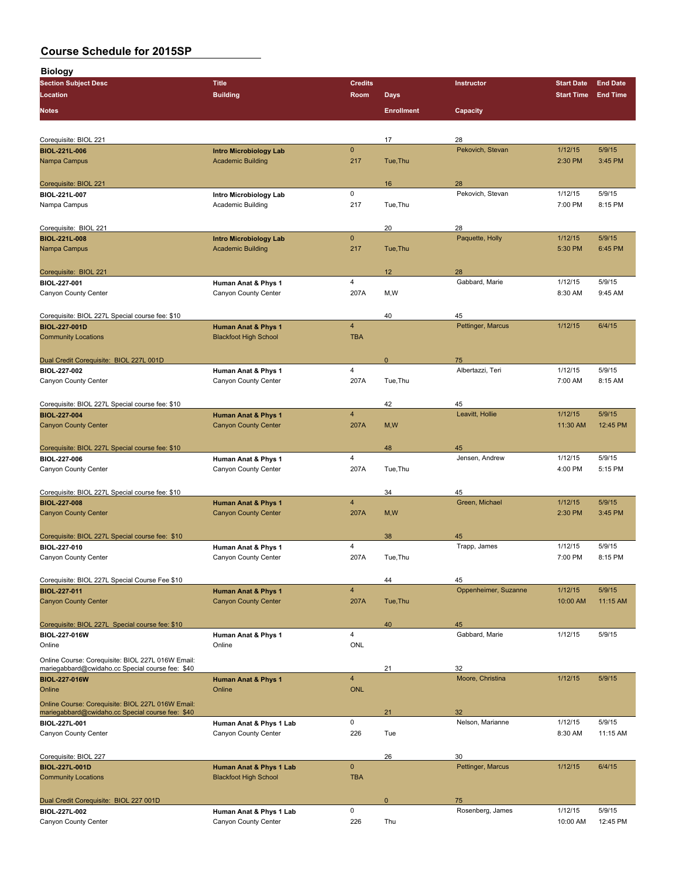**Biology Section Subject Desc Title Credits Instructor Start Date End Date Location Building Room Days Start Time End Time Notes Enrollment Capacity** Corequisite: BIOL 221 17 28 **BIOL-221L-006 Intro Microbiology Lab** 0 Pekovich, Stevan 1/12/15 5/9/15 Nampa Campus Academic Building 2:30 PM 3:45 PM 3:45 PM 2:30 PM 3:45 PM 2:30 PM 3:45 PM 2:30 PM 3:45 PM 2:30 PM Corequisite: BIOL 221 16 28 **BIOL-2212 BIOL-007 Intro Microbiology Lab** 0 **Pekovich, Stevan 1/12/15** 5/9/15<br>
Academic Building 217 Tue,Thu 7:00 PM 8:15 PM Nampa Campus Academic Building 217 Tue,Thu 7:00 PM 8:15 PM Corequisite: BIOL 221 20 28 **BIOL-221L-008 Intro Microbiology Lab** 0 Paquette, Holly 1/12/15 5/9/15 Nampa Campus Academic Building 217 Tue,Thu 5:30 PM 6:45 PM 6:45 PM Corequisite: BIOL 221 12 28 **BIOL-227-001 Human Anat & Phys 1 1/12/15 5/9/15 Gabbard, Marie** 1/12/15 5/9/15<br>Canyon County Center **1/12/15** Canyon County Center 207A M,W Gabbard, Marie 8:30 AM 9:45 AM Canyon County Center 207A M, W Corequisite: BIOL 227L Special course fee: \$10 40 45 **BIOL-227-001D Human Anat & Phys 1** 4 Pettinger, Marcus 1/12/15 6/4/15 **Community Locations Blackfoot High School** TBA Dual Credit Corequisite: BIOL 227L 001D 0 75 **BIOL-227-002 Human Anat & Phys 1** 4 Albertazzi, Teri 1/12/15 5/9/15 Canyon County Center Canyon County Center 207A Tue,Thu 7:00 AM 8:15 AM Corequisite: BIOL 227L Special course fee: \$10 42 45 **BIOL-227-004 Human Anat & Phys 1** 4 Leavitt, Hollie 1/12/15 5/9/15 Canyon County Center Canyon County Center Canyon County Center 207A M,W 11:30 AM 12:45 PM Corequisite: BIOL 227L Special course fee: \$10 45 Assembly a state of the state of the state of the state of the state of the state of the state of the state of the state of the state of the state of the state of the state **BIOL-227-006 Human Anat & Phys 1** 4 Jensen, Andrew 1/12/15 5/9/15 Canyon County Center Canyon County Center 207A Tue,Thu 4:00 PM 5:15 PM Corequisite: BIOL 227L Special course fee: \$10 34 45 **BIOL-227-008 Human Anat & Phys 1** 4 Green, Michael 1/12/15 5/9/15 Canyon County Center Canyon County Center 207A M,W 2:30 PM 3:45 PM Corequisite: BIOL 227L Special course fee: \$10 38 45 **BIOL-227-010 Human Anat & Phys 1** 4 Trapp, James 1/12/15 5/9/15 Canyon County Center Canyon County Center 207A Tue,Thu 7:00 PM 8:15 PM Corequisite: BIOL 227L Special Course Fee \$10 45 **BIOL-227-011 Human Anat & Phys 1** 4 Oppenheimer, Suzanne 1/12/15 5/9/15 Canyon County Center Canyon County Center Canyon County Center 207A Tue,Thu 10:00 AM 11:15 AM 11:15 AM Corequisite: BIOL 227L Special course fee: \$10 40 45 **BIOL-227-016W Human Anat & Phys 1** 4 Gabbard, Marie 1/12/15 5/9/15 Online Online ONL Online Course: Corequisite: BIOL 227L 016W Email: mariegabbard@cwidaho.cc Special course fee: \$40 21 32 **BIOL-227-016W Human Anat & Phys 1** 4 Moore, Christina 1/12/15 5/9/15 Online **Online Contract Contract Concerns** Online **Online** Contract Contract Contract Contract Contract Contract Contract Contract Contract Contract Contract Contract Contract Contract Contract Contract Contract Contract C Online Course: Corequisite: BIOL 227L 016W Email: mariegabbard@cwidaho.cc Special course fee: \$40 **21** 22 32 **BIOL-227L-001 Human Anat & Phys 1 Lab** 0 Nelson, Marianne 1/12/15 5/9/15 Canyon County Center Canyon County Center Canyon County Center 226 Tue Canyon County Center 8:30 AM 11:15 AM Corequisite: BIOL 227 26 30 **BIOL-227L-001D Human Anat & Phys 1 Lab** 0 Pettinger, Marcus 1/12/15 6/4/15 **Community Locations Community Locations** Community Locations Community Locations Community Locations Community Locations Community Locations Community Locations Community Locations Community Locations Community Locations Dual Credit Corequisite: BIOL 227 001D 0 75 **BIOL-227L-002 Human Anat & Phys 1 Lab** 0 Rosenberg, James 1/12/15 5/9/15

Canyon County Center Canyon County Center Canyon County Center 226 Thu 10:00 AM 12:45 PM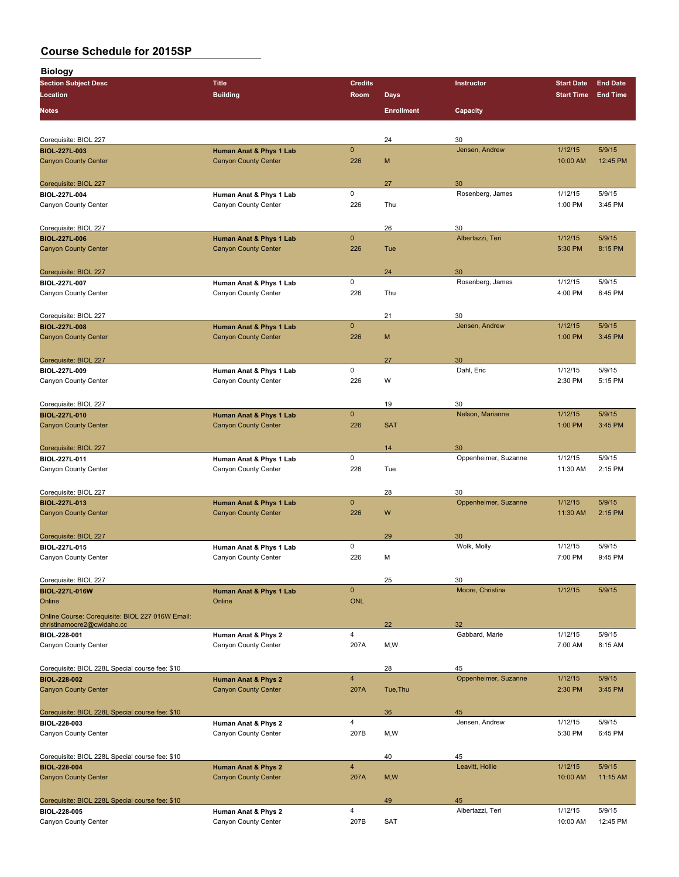| <b>Biology</b>                                                         |                                                        |                            |                   |                       |                   |                 |
|------------------------------------------------------------------------|--------------------------------------------------------|----------------------------|-------------------|-----------------------|-------------------|-----------------|
| <b>Section Subject Desc</b>                                            | <b>Title</b>                                           | <b>Credits</b>             |                   | Instructor            | <b>Start Date</b> | <b>End Date</b> |
| Location                                                               | <b>Building</b>                                        | Room                       | <b>Days</b>       |                       | <b>Start Time</b> | <b>End Time</b> |
| Notes                                                                  |                                                        |                            | <b>Enrollment</b> | Capacity              |                   |                 |
|                                                                        |                                                        |                            |                   |                       |                   |                 |
| Corequisite: BIOL 227<br><b>BIOL-227L-003</b>                          |                                                        | $\mathbf{0}$               | 24                | 30<br>Jensen, Andrew  | 1/12/15           | 5/9/15          |
| <b>Canyon County Center</b>                                            | Human Anat & Phys 1 Lab<br><b>Canyon County Center</b> | 226                        | M                 |                       | 10:00 AM          | 12:45 PM        |
|                                                                        |                                                        |                            |                   |                       |                   |                 |
| Corequisite: BIOL 227                                                  |                                                        |                            | 27                | 30                    |                   |                 |
| BIOL-227L-004                                                          | Human Anat & Phys 1 Lab                                | 0                          |                   | Rosenberg, James      | 1/12/15           | 5/9/15          |
| Canyon County Center                                                   | Canyon County Center                                   | 226                        | Thu               |                       | 1:00 PM           | 3:45 PM         |
| Corequisite: BIOL 227                                                  |                                                        |                            | 26                | 30                    |                   |                 |
| <b>BIOL-227L-006</b>                                                   | Human Anat & Phys 1 Lab                                | $\mathbf{0}$               |                   | Albertazzi, Teri      | 1/12/15           | 5/9/15          |
| <b>Canyon County Center</b>                                            | <b>Canyon County Center</b>                            | 226                        | Tue               |                       | 5:30 PM           | 8:15 PM         |
| Corequisite: BIOL 227                                                  |                                                        |                            | 24                | 30                    |                   |                 |
| BIOL-227L-007                                                          | Human Anat & Phys 1 Lab                                | 0                          |                   | Rosenberg, James      | 1/12/15           | 5/9/15          |
| Canyon County Center                                                   | Canyon County Center                                   | 226                        | Thu               |                       | 4:00 PM           | 6:45 PM         |
|                                                                        |                                                        |                            | 21                | 30                    |                   |                 |
| Corequisite: BIOL 227<br><b>BIOL-227L-008</b>                          | Human Anat & Phys 1 Lab                                | $\mathbf 0$                |                   | Jensen, Andrew        | 1/12/15           | 5/9/15          |
| <b>Canyon County Center</b>                                            | <b>Canyon County Center</b>                            | 226                        | M                 |                       | 1:00 PM           | 3:45 PM         |
|                                                                        |                                                        |                            |                   |                       |                   |                 |
| Corequisite: BIOL 227                                                  |                                                        |                            | 27                | 30                    |                   |                 |
| BIOL-227L-009                                                          | Human Anat & Phys 1 Lab                                | 0                          |                   | Dahl, Eric            | 1/12/15           | 5/9/15          |
| Canyon County Center                                                   | Canyon County Center                                   | 226                        | W                 |                       | 2:30 PM           | 5:15 PM         |
| Corequisite: BIOL 227                                                  |                                                        |                            | 19                | 30                    |                   |                 |
| <b>BIOL-227L-010</b>                                                   | Human Anat & Phys 1 Lab                                | $\mathbf{0}$               |                   | Nelson, Marianne      | 1/12/15           | 5/9/15          |
| <b>Canyon County Center</b>                                            | <b>Canyon County Center</b>                            | 226                        | <b>SAT</b>        |                       | 1:00 PM           | 3:45 PM         |
| Corequisite: BIOL 227                                                  |                                                        |                            | 14                | 30                    |                   |                 |
| BIOL-227L-011                                                          | Human Anat & Phys 1 Lab                                | 0                          |                   | Oppenheimer, Suzanne  | 1/12/15           | 5/9/15          |
| Canyon County Center                                                   | Canyon County Center                                   | 226                        | Tue               |                       | 11:30 AM          | 2:15 PM         |
| Corequisite: BIOL 227                                                  |                                                        |                            | 28                | 30                    |                   |                 |
| <b>BIOL-227L-013</b>                                                   | Human Anat & Phys 1 Lab                                | $\mathbf{0}$               |                   | Oppenheimer, Suzanne  | 1/12/15           | 5/9/15          |
| <b>Canyon County Center</b>                                            | <b>Canyon County Center</b>                            | 226                        | W                 |                       | 11:30 AM          | 2:15 PM         |
|                                                                        |                                                        |                            |                   |                       |                   |                 |
| Corequisite: BIOL 227<br>BIOL-227L-015                                 | Human Anat & Phys 1 Lab                                | 0                          | 29                | 30<br>Wolk, Molly     | 1/12/15           | 5/9/15          |
| Canyon County Center                                                   | Canyon County Center                                   | 226                        | M                 |                       | 7:00 PM           | 9:45 PM         |
|                                                                        |                                                        |                            |                   |                       |                   |                 |
| Corequisite: BIOL 227                                                  |                                                        |                            | 25                | 30                    |                   |                 |
| <b>BIOL 227L 016W</b><br>Online                                        | Human Anat & Phys 1 Lab<br>Online                      | $\mathbf{0}$<br><b>ONL</b> |                   | Moore, Christina      | 1/12/15           | 5/9/15          |
| Online Course: Corequisite: BIOL 227 016W Email:                       |                                                        |                            |                   |                       |                   |                 |
| christinamoore2@cwidaho.cc                                             |                                                        |                            | 22                | 32                    |                   |                 |
| BIOL-228-001                                                           | Human Anat & Phys 2                                    | 4                          |                   | Gabbard, Marie        | 1/12/15           | 5/9/15          |
| Canyon County Center                                                   | Canyon County Center                                   | 207A                       | M,W               |                       | 7:00 AM           | 8:15 AM         |
| Corequisite: BIOL 228L Special course fee: \$10                        |                                                        |                            | 28                | 45                    |                   |                 |
| <b>BIOL 228 002</b>                                                    | Human Anat & Phys 2                                    | $\overline{4}$             |                   | Oppenheimer, Suzanne  | 1/12/15           | 5/9/15          |
| <b>Canyon County Center</b>                                            | <b>Canyon County Center</b>                            | 207A                       | Tue, Thu          |                       | 2:30 PM           | 3:45 PM         |
| Corequisite: BIOL 228L Special course fee: \$10                        |                                                        |                            | 36                | 45                    |                   |                 |
| BIOL-228-003                                                           | Human Anat & Phys 2                                    | 4                          |                   | Jensen, Andrew        | 1/12/15           | 5/9/15          |
| Canyon County Center                                                   | Canyon County Center                                   | 207B                       | M,W               |                       | 5:30 PM           | 6:45 PM         |
|                                                                        |                                                        |                            |                   |                       |                   |                 |
| Corequisite: BIOL 228L Special course fee: \$10<br><b>BIOL-228-004</b> | Human Anat & Phys 2                                    | $\overline{\mathbf{4}}$    | 40                | 45<br>Leavitt, Hollie | 1/12/15           | 5/9/15          |
| <b>Canyon County Center</b>                                            | <b>Canyon County Center</b>                            | 207A                       | M, W              |                       | 10:00 AM          | 11:15 AM        |
|                                                                        |                                                        |                            |                   |                       |                   |                 |
| Corequisite: BIOL 228L Special course fee: \$10                        |                                                        | $\overline{4}$             | 49                | 45                    | 1/12/15           | 5/9/15          |
| <b>BIOL-228-005</b><br>Canyon County Center                            | Human Anat & Phys 2<br>Canyon County Center            | 207B                       | <b>SAT</b>        | Albertazzi, Teri      | 10:00 AM          | 12:45 PM        |
|                                                                        |                                                        |                            |                   |                       |                   |                 |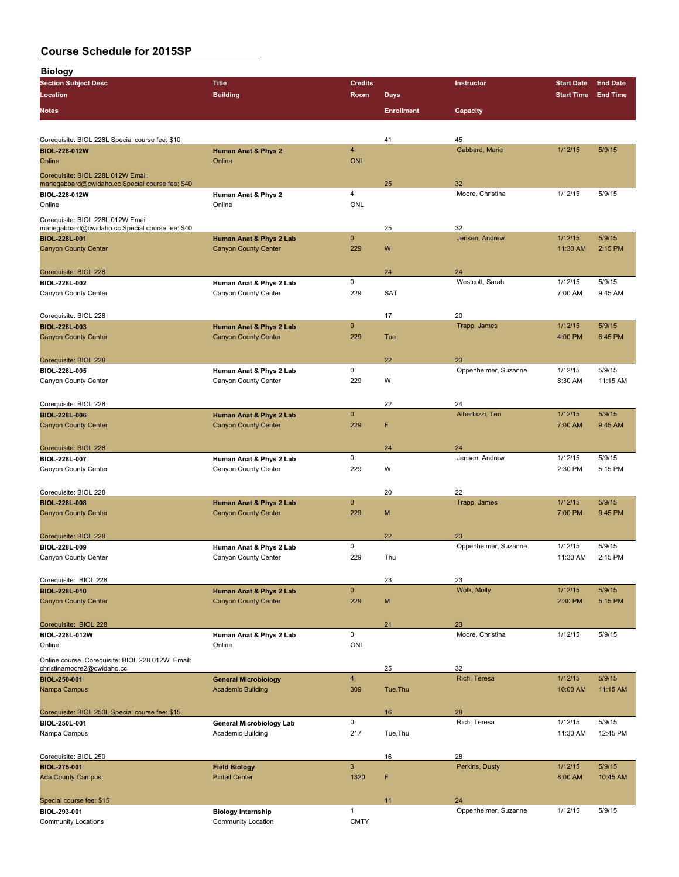| <b>Biology</b>                                                                         |                                               |                |                   |                            |                   |                 |
|----------------------------------------------------------------------------------------|-----------------------------------------------|----------------|-------------------|----------------------------|-------------------|-----------------|
| <b>Section Subject Desc</b>                                                            | <b>Title</b>                                  | <b>Credits</b> |                   | Instructor                 | <b>Start Date</b> | <b>End Date</b> |
| Location                                                                               | <b>Building</b>                               | Room           | <b>Days</b>       |                            | <b>Start Time</b> | <b>End Time</b> |
| Notes                                                                                  |                                               |                | <b>Enrollment</b> | Capacity                   |                   |                 |
|                                                                                        |                                               |                |                   |                            |                   |                 |
| Corequisite: BIOL 228L Special course fee: \$10                                        |                                               |                | 41                | 45                         |                   |                 |
| <b>BIOL-228-012W</b>                                                                   | Human Anat & Phys 2                           | $\overline{4}$ |                   | Gabbard, Marie             | 1/12/15           | 5/9/15          |
| Online                                                                                 | Online                                        | <b>ONL</b>     |                   |                            |                   |                 |
| Corequisite: BIOL 228L 012W Email:                                                     |                                               |                |                   |                            |                   |                 |
| mariegabbard@cwidaho.cc Special course fee: \$40                                       |                                               |                | 25                | 32                         |                   |                 |
| BIOL-228-012W                                                                          | Human Anat & Phys 2                           | 4              |                   | Moore, Christina           | 1/12/15           | 5/9/15          |
| Online                                                                                 | Online                                        | ONL            |                   |                            |                   |                 |
| Corequisite: BIOL 228L 012W Email:<br>mariegabbard@cwidaho.cc Special course fee: \$40 |                                               |                | 25                | 32                         |                   |                 |
| <b>BIOL-228L-001</b>                                                                   | Human Anat & Phys 2 Lab                       | $\mathbf{0}$   |                   | Jensen, Andrew             | 1/12/15           | 5/9/15          |
| <b>Canyon County Center</b>                                                            | <b>Canyon County Center</b>                   | 229            | W                 |                            | 11:30 AM          | 2:15 PM         |
|                                                                                        |                                               |                |                   |                            |                   |                 |
| Corequisite: BIOL 228                                                                  |                                               |                | 24                | 24                         |                   |                 |
| BIOL-228L-002                                                                          | Human Anat & Phys 2 Lab                       | 0              |                   | Westcott, Sarah            | 1/12/15           | 5/9/15          |
| Canyon County Center                                                                   | Canyon County Center                          | 229            | <b>SAT</b>        |                            | 7:00 AM           | 9:45 AM         |
|                                                                                        |                                               |                | 17                | 20                         |                   |                 |
| Corequisite: BIOL 228<br><b>BIOL-228L-003</b>                                          | Human Anat & Phys 2 Lab                       | $\mathbf{0}$   |                   | Trapp, James               | 1/12/15           | 5/9/15          |
| <b>Canyon County Center</b>                                                            | <b>Canyon County Center</b>                   | 229            | Tue               |                            | 4:00 PM           | 6:45 PM         |
|                                                                                        |                                               |                |                   |                            |                   |                 |
| Corequisite: BIOL 228                                                                  |                                               |                | 22                | 23                         |                   |                 |
| BIOL-228L-005                                                                          | Human Anat & Phys 2 Lab                       | 0              |                   | Oppenheimer, Suzanne       | 1/12/15           | 5/9/15          |
| Canyon County Center                                                                   | Canyon County Center                          | 229            | W                 |                            | 8:30 AM           | 11:15 AM        |
|                                                                                        |                                               |                |                   |                            |                   |                 |
| Corequisite: BIOL 228                                                                  |                                               |                | 22                | 24                         |                   |                 |
| <b>BIOL-228L-006</b>                                                                   | Human Anat & Phys 2 Lab                       | $\mathbf{0}$   | F                 | Albertazzi, Teri           | 1/12/15           | 5/9/15          |
| <b>Canyon County Center</b>                                                            | <b>Canyon County Center</b>                   | 229            |                   |                            | 7:00 AM           | 9:45 AM         |
| Corequisite: BIOL 228                                                                  |                                               |                | 24                | 24                         |                   |                 |
| BIOL-228L-007                                                                          | Human Anat & Phys 2 Lab                       | 0              |                   | Jensen, Andrew             | 1/12/15           | 5/9/15          |
| Canyon County Center                                                                   | Canyon County Center                          | 229            | W                 |                            | 2:30 PM           | 5:15 PM         |
|                                                                                        |                                               |                |                   |                            |                   |                 |
| Corequisite: BIOL 228                                                                  |                                               |                | 20                | 22                         |                   |                 |
| <b>BIOL-228L-008</b>                                                                   | Human Anat & Phys 2 Lab                       | $\mathbf{0}$   |                   | Trapp, James               | 1/12/15           | 5/9/15          |
| <b>Canyon County Center</b>                                                            | <b>Canyon County Center</b>                   | 229            | M                 |                            | 7:00 PM           | 9:45 PM         |
|                                                                                        |                                               |                |                   |                            |                   |                 |
| Corequisite: BIOL 228<br>BIOL-228L-009                                                 | Human Anat & Phys 2 Lab                       | 0              | 22                | 23<br>Oppenheimer, Suzanne | 1/12/15           | 5/9/15          |
| Canyon County Center                                                                   | Canyon County Center                          | 229            | Thu               |                            | 11:30 AM          | 2:15 PM         |
|                                                                                        |                                               |                |                   |                            |                   |                 |
| Corequisite: BIOL 228                                                                  |                                               |                | 23                | 23                         |                   |                 |
| <b>BIOL-228L-010</b>                                                                   | Human Anat & Phys 2 Lab                       | $\pmb{0}$      |                   | Wolk, Molly                | 1/12/15           | 5/9/15          |
| <b>Canyon County Center</b>                                                            | <b>Canyon County Center</b>                   | 229            | M                 |                            | 2:30 PM           | 5:15 PM         |
|                                                                                        |                                               |                |                   |                            |                   |                 |
| Corequisite: BIOL 228                                                                  |                                               |                | 21                | 23                         |                   |                 |
| <b>BIOL-228L-012W</b><br>Online                                                        | Human Anat & Phys 2 Lab<br>Online             | $\mathsf 0$    |                   | Moore, Christina           | 1/12/15           | 5/9/15          |
|                                                                                        |                                               | ONL            |                   |                            |                   |                 |
| Online course. Corequisite: BIOL 228 012W Email:<br>christinamoore2@cwidaho.cc         |                                               |                | 25                | 32                         |                   |                 |
| <b>BIOL-250-001</b>                                                                    | <b>General Microbiology</b>                   | $\overline{4}$ |                   | Rich, Teresa               | 1/12/15           | 5/9/15          |
| Nampa Campus                                                                           | <b>Academic Building</b>                      | 309            | Tue, Thu          |                            | 10:00 AM          | 11:15 AM        |
|                                                                                        |                                               |                |                   |                            |                   |                 |
| Corequisite: BIOL 250L Special course fee: \$15                                        |                                               |                | 16                | 28                         |                   |                 |
| BIOL-250L-001                                                                          | General Microbiology Lab                      | $\mathsf 0$    |                   | Rich, Teresa               | 1/12/15           | 5/9/15          |
| Nampa Campus                                                                           | Academic Building                             | 217            | Tue, Thu          |                            | 11:30 AM          | 12:45 PM        |
|                                                                                        |                                               |                |                   |                            |                   |                 |
| Corequisite: BIOL 250<br><b>BIOL 275 001</b>                                           |                                               | $\mathbf{3}$   | 16                | 28<br>Perkins, Dusty       | 1/12/15           | 5/9/15          |
| <b>Ada County Campus</b>                                                               | <b>Field Biology</b><br><b>Pintail Center</b> | 1320           | F                 |                            | 8:00 AM           | 10:45 AM        |
|                                                                                        |                                               |                |                   |                            |                   |                 |
| Special course fee: \$15                                                               |                                               |                | 11                | 24                         |                   |                 |
| BIOL-293-001                                                                           | <b>Biology Internship</b>                     | $\mathbf{1}$   |                   | Oppenheimer, Suzanne       | 1/12/15           | 5/9/15          |
| <b>Community Locations</b>                                                             | Community Location                            | <b>CMTY</b>    |                   |                            |                   |                 |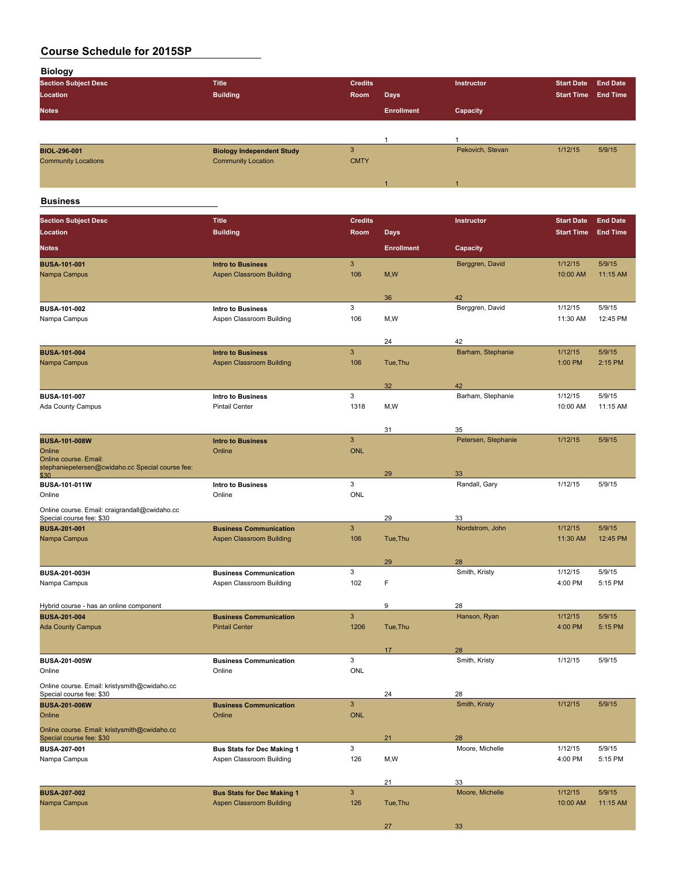| <b>Biology</b>                                   |                                                        |                |                   |                       |                     |                   |
|--------------------------------------------------|--------------------------------------------------------|----------------|-------------------|-----------------------|---------------------|-------------------|
| <b>Section Subject Desc</b>                      | <b>Title</b>                                           | <b>Credits</b> |                   | Instructor            | <b>Start Date</b>   | <b>End Date</b>   |
| Location                                         | <b>Building</b>                                        | Room           | <b>Days</b>       |                       | <b>Start Time</b>   | <b>End Time</b>   |
|                                                  |                                                        |                |                   |                       |                     |                   |
| <b>Notes</b>                                     |                                                        |                | <b>Enrollment</b> | Capacity              |                     |                   |
|                                                  |                                                        |                |                   |                       |                     |                   |
|                                                  |                                                        |                | $\mathbf{1}$      | $\mathbf{1}$          |                     |                   |
| <b>BIOL-296-001</b>                              | <b>Biology Independent Study</b>                       | $\mathsf 3$    |                   | Pekovich, Stevan      | 1/12/15             | 5/9/15            |
| <b>Community Locations</b>                       | <b>Community Location</b>                              | <b>CMTY</b>    |                   |                       |                     |                   |
|                                                  |                                                        |                |                   |                       |                     |                   |
|                                                  |                                                        |                |                   | $\blacktriangleleft$  |                     |                   |
|                                                  |                                                        |                |                   |                       |                     |                   |
| <b>Business</b>                                  |                                                        |                |                   |                       |                     |                   |
| <b>Section Subject Desc</b>                      | <b>Title</b>                                           | <b>Credits</b> |                   | Instructor            | <b>Start Date</b>   | <b>End Date</b>   |
| Location                                         | <b>Building</b>                                        | Room           | <b>Days</b>       |                       | <b>Start Time</b>   | <b>End Time</b>   |
|                                                  |                                                        |                |                   |                       |                     |                   |
| <b>Notes</b>                                     |                                                        |                | <b>Enrollment</b> | Capacity              |                     |                   |
| <b>BUSA 101-001</b>                              | <b>Intro to Business</b>                               | 3              |                   | Berggren, David       | 1/12/15             | 5/9/15            |
| Nampa Campus                                     | Aspen Classroom Building                               | 106            | M, W              |                       | 10:00 AM            | 11:15 AM          |
|                                                  |                                                        |                |                   |                       |                     |                   |
|                                                  |                                                        |                | 36                | 42                    |                     |                   |
| <b>BUSA-101-002</b>                              | <b>Intro to Business</b>                               | 3              |                   | Berggren, David       | 1/12/15             | 5/9/15            |
| Nampa Campus                                     | Aspen Classroom Building                               | 106            | M, W              |                       | 11:30 AM            | 12:45 PM          |
|                                                  |                                                        |                |                   |                       |                     |                   |
|                                                  |                                                        |                | 24                | 42                    |                     |                   |
| <b>BUSA-101-004</b>                              | <b>Intro to Business</b>                               | $\mathsf 3$    |                   | Barham, Stephanie     | 1/12/15             | 5/9/15            |
| Nampa Campus                                     | Aspen Classroom Building                               | 106            | Tue, Thu          |                       | 1:00 PM             | 2:15 PM           |
|                                                  |                                                        |                |                   |                       |                     |                   |
|                                                  |                                                        |                | 32                | 42                    |                     |                   |
| BUSA-101-007                                     | Intro to Business                                      | 3              |                   | Barham, Stephanie     | 1/12/15             | 5/9/15            |
| <b>Ada County Campus</b>                         | <b>Pintail Center</b>                                  | 1318           | M, W              |                       | 10:00 AM            | 11:15 AM          |
|                                                  |                                                        |                |                   |                       |                     |                   |
|                                                  |                                                        |                | 31                | 35                    |                     |                   |
| <b>BUSA-101-008W</b>                             | <b>Intro to Business</b>                               | 3              |                   | Petersen, Stephanie   | 1/12/15             | 5/9/15            |
| Online                                           | Online                                                 | <b>ONL</b>     |                   |                       |                     |                   |
| Online course. Email:                            |                                                        |                |                   |                       |                     |                   |
| stephaniepetersen@cwidaho.cc Special course fee: |                                                        |                |                   |                       |                     |                   |
| \$30                                             |                                                        | 3              | 29                | 33                    | 1/12/15             | 5/9/15            |
| BUSA-101-011W<br>Online                          | <b>Intro to Business</b><br>Online                     | ONL            |                   | Randall, Gary         |                     |                   |
|                                                  |                                                        |                |                   |                       |                     |                   |
| Online course. Email: craigrandall@cwidaho.cc    |                                                        |                |                   |                       |                     |                   |
| Special course fee: \$30                         |                                                        | 3              | 29                | 33<br>Nordstrom, John |                     | 5/9/15            |
| <b>BUSA-201-001</b>                              | <b>Business Communication</b>                          |                |                   |                       | 1/12/15<br>11:30 AM |                   |
| Nampa Campus                                     | Aspen Classroom Building                               | 106            | Tue, Thu          |                       |                     | 12:45 PM          |
|                                                  |                                                        |                |                   |                       |                     |                   |
|                                                  | <b>Business Communication</b>                          | 3              | 29                | 28<br>Smith, Kristy   | 1/12/15             | 5/9/15            |
| BUSA-201-003H<br>Nampa Campus                    | Aspen Classroom Building                               | 102            | F                 |                       | 4:00 PM             | 5:15 PM           |
|                                                  |                                                        |                |                   |                       |                     |                   |
|                                                  |                                                        |                |                   |                       |                     |                   |
| Hybrid course - has an online component          |                                                        |                | 9                 | 28<br>Hanson, Ryan    | 1/12/15             |                   |
| <b>BUSA-201-004</b>                              | <b>Business Communication</b><br><b>Pintail Center</b> | $\mathbf{3}$   |                   |                       |                     | 5/9/15<br>5:15 PM |
| <b>Ada County Campus</b>                         |                                                        | 1206           | Tue, Thu          |                       | 4:00 PM             |                   |
|                                                  |                                                        |                |                   |                       |                     |                   |
|                                                  |                                                        |                | 17                | 28                    |                     |                   |
| BUSA-201-005W                                    | <b>Business Communication</b>                          | 3              |                   | Smith, Kristy         | 1/12/15             | 5/9/15            |
| Online                                           | Online                                                 | ONL            |                   |                       |                     |                   |
| Online course. Email: kristysmith@cwidaho.cc     |                                                        |                |                   |                       |                     |                   |
| Special course fee: \$30                         |                                                        |                | 24                | 28                    |                     |                   |
| <b>BUSA-201-006W</b>                             | <b>Business Communication</b>                          | $\mathsf 3$    |                   | Smith, Kristy         | 1/12/15             | 5/9/15            |
| Online                                           | Online                                                 | <b>ONL</b>     |                   |                       |                     |                   |
| Online course. Email: kristysmith@cwidaho.cc     |                                                        |                |                   |                       |                     |                   |
| Special course fee: \$30                         |                                                        |                | 21                | 28                    |                     |                   |
| BUSA-207-001                                     | <b>Bus Stats for Dec Making 1</b>                      | 3              |                   | Moore, Michelle       | 1/12/15             | 5/9/15            |
| Nampa Campus                                     | Aspen Classroom Building                               | 126            | M,W               |                       | 4:00 PM             | 5:15 PM           |
|                                                  |                                                        |                |                   |                       |                     |                   |
|                                                  |                                                        |                | 21                | 33                    |                     |                   |
| <b>BUSA-207-002</b>                              | <b>Bus Stats for Dec Making 1</b>                      | $\mathbf{3}$   |                   | Moore, Michelle       | 1/12/15             | 5/9/15            |
| Nampa Campus                                     | <b>Aspen Classroom Building</b>                        | 126            | Tue, Thu          |                       | 10:00 AM            | 11:15 AM          |
|                                                  |                                                        |                |                   |                       |                     |                   |
|                                                  |                                                        |                | 27                | 33                    |                     |                   |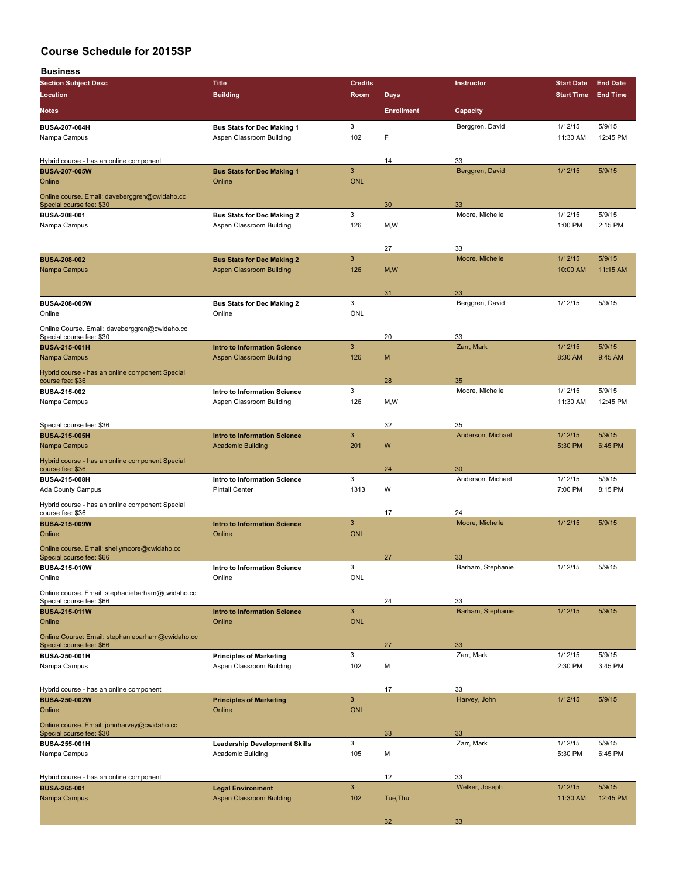| <b>Business</b>                                                              |                                                             |                     |                   |                         |                     |                    |
|------------------------------------------------------------------------------|-------------------------------------------------------------|---------------------|-------------------|-------------------------|---------------------|--------------------|
| <b>Section Subject Desc</b>                                                  | <b>Title</b>                                                | <b>Credits</b>      |                   | Instructor              | <b>Start Date</b>   | <b>End Date</b>    |
| Location                                                                     | <b>Building</b>                                             | <b>Room</b>         | <b>Days</b>       |                         | <b>Start Time</b>   | <b>End Time</b>    |
| <b>Notes</b>                                                                 |                                                             |                     | <b>Enrollment</b> | Capacity                |                     |                    |
| <b>BUSA-207-004H</b>                                                         | <b>Bus Stats for Dec Making 1</b>                           | 3                   |                   | Berggren, David         | 1/12/15             | 5/9/15             |
| Nampa Campus                                                                 | Aspen Classroom Building                                    | 102                 | F                 |                         | 11:30 AM            | 12:45 PM           |
| Hybrid course - has an online component                                      |                                                             |                     | 14                | 33                      |                     |                    |
| <b>BUSA-207-005W</b>                                                         | <b>Bus Stats for Dec Making 1</b>                           | 3                   |                   | Berggren, David         | 1/12/15             | 5/9/15             |
| Online                                                                       | Online                                                      | <b>ONL</b>          |                   |                         |                     |                    |
| Online course. Email: daveberggren@cwidaho.cc                                |                                                             |                     |                   |                         |                     |                    |
| Special course fee: \$30<br><b>BUSA 208-001</b>                              | <b>Bus Stats for Dec Making 2</b>                           | 3                   | 30                | 33<br>Moore, Michelle   | 1/12/15             | 5/9/15             |
| Nampa Campus                                                                 | Aspen Classroom Building                                    | 126                 | M, W              |                         | 1:00 PM             | 2:15 PM            |
|                                                                              |                                                             |                     |                   |                         |                     |                    |
|                                                                              |                                                             |                     | 27                | 33                      |                     |                    |
| <b>BUSA-208-002</b>                                                          | <b>Bus Stats for Dec Making 2</b>                           | 3                   |                   | Moore, Michelle         | 1/12/15             | 5/9/15             |
| Nampa Campus                                                                 | <b>Aspen Classroom Building</b>                             | 126                 | M, W              |                         | 10:00 AM            | 11:15 AM           |
|                                                                              |                                                             |                     | 31                | 33                      |                     |                    |
| <b>BUSA-208-005W</b>                                                         | <b>Bus Stats for Dec Making 2</b>                           | 3                   |                   | Berggren, David         | 1/12/15             | 5/9/15             |
| Online                                                                       | Online                                                      | <b>ONL</b>          |                   |                         |                     |                    |
| Online Course. Email: daveberggren@cwidaho.cc                                |                                                             |                     |                   |                         |                     |                    |
| Special course fee: \$30<br><b>BUSA 215 001H</b>                             | <b>Intro to Information Science</b>                         | 3                   | 20                | 33<br>Zarr, Mark        | 1/12/15             | 5/9/15             |
| Nampa Campus                                                                 | Aspen Classroom Building                                    | 126                 | M                 |                         | 8:30 AM             | 9:45 AM            |
| Hybrid course - has an online component Special                              |                                                             |                     |                   |                         |                     |                    |
| course fee: \$36                                                             |                                                             |                     | 28                | 35                      |                     |                    |
| <b>BUSA-215-002</b>                                                          | Intro to Information Science                                | 3                   |                   | Moore, Michelle         | 1/12/15             | 5/9/15             |
| Nampa Campus                                                                 | Aspen Classroom Building                                    | 126                 | M, W              |                         | 11:30 AM            | 12:45 PM           |
| Special course fee: \$36                                                     |                                                             |                     | 32                | 35                      |                     |                    |
| <b>BUSA-215-005H</b>                                                         | <b>Intro to Information Science</b>                         | $\mathbf{3}$        |                   | Anderson, Michael       | 1/12/15             | 5/9/15             |
| Nampa Campus                                                                 | <b>Academic Building</b>                                    | 201                 | W                 |                         | 5:30 PM             | 6:45 PM            |
| Hybrid course - has an online component Special                              |                                                             |                     |                   |                         |                     |                    |
| course fee: \$36<br><b>BUSA 215 008H</b>                                     | Intro to Information Science                                | 3                   | 24                | 30<br>Anderson, Michael | 1/12/15             | 5/9/15             |
| Ada County Campus                                                            | <b>Pintail Center</b>                                       | 1313                | W                 |                         | 7:00 PM             | 8:15 PM            |
| Hybrid course - has an online component Special                              |                                                             |                     |                   |                         |                     |                    |
| course fee: \$36                                                             |                                                             |                     | 17                | 24                      |                     |                    |
| <b>BUSA-215-009W</b><br>Online                                               | <b>Intro to Information Science</b><br>Online               | 3<br><b>ONL</b>     |                   | Moore, Michelle         | 1/12/15             | 5/9/15             |
|                                                                              |                                                             |                     |                   |                         |                     |                    |
| Online course. Email: shellymoore@cwidaho.cc<br>Special course fee: \$66     |                                                             |                     | 27                | 33                      |                     |                    |
| <b>BUSA-215-010W</b>                                                         | Intro to Information Science                                | 3                   |                   | Barham, Stephanie       | 1/12/15             | 5/9/15             |
| Online                                                                       | Online                                                      | <b>ONL</b>          |                   |                         |                     |                    |
| Online course. Email: stephaniebarham@cwidaho.cc<br>Special course fee: \$66 |                                                             |                     | 24                | 33                      |                     |                    |
| <b>BUSA-215-011W</b>                                                         | <b>Intro to Information Science</b>                         | 3                   |                   | Barham, Stephanie       | 1/12/15             | 5/9/15             |
| Online                                                                       | Online                                                      | <b>ONL</b>          |                   |                         |                     |                    |
| Online Course: Email: stephaniebarham@cwidaho.cc                             |                                                             |                     |                   |                         |                     |                    |
| Special course fee: \$66                                                     |                                                             | 3                   | 27                | 33<br>Zarr, Mark        | 1/12/15             | 5/9/15             |
| <b>BUSA 250-001H</b><br>Nampa Campus                                         | <b>Principles of Marketing</b><br>Aspen Classroom Building  | 102                 | M                 |                         | 2:30 PM             | 3:45 PM            |
|                                                                              |                                                             |                     |                   |                         |                     |                    |
| Hybrid course - has an online component                                      |                                                             |                     | 17                | 33                      |                     |                    |
| <b>BUSA-250-002W</b>                                                         | <b>Principles of Marketing</b>                              | 3                   |                   | Harvey, John            | 1/12/15             | 5/9/15             |
| Online                                                                       | Online                                                      | <b>ONL</b>          |                   |                         |                     |                    |
| Online course. Email: johnharvey@cwidaho.cc<br>Special course fee: \$30      |                                                             |                     | 33                | 33                      |                     |                    |
| BUSA-255-001H                                                                | <b>Leadership Development Skills</b>                        | 3                   |                   | Zarr, Mark              | 1/12/15             | 5/9/15             |
| Nampa Campus                                                                 | Academic Building                                           | 105                 | М                 |                         | 5:30 PM             | 6:45 PM            |
|                                                                              |                                                             |                     |                   |                         |                     |                    |
| Hybrid course - has an online component                                      |                                                             |                     | 12                | 33                      |                     |                    |
| <b>BUSA-265-001</b><br>Nampa Campus                                          | <b>Legal Environment</b><br><b>Aspen Classroom Building</b> | $\mathbf{3}$<br>102 | Tue, Thu          | Welker, Joseph          | 1/12/15<br>11:30 AM | 5/9/15<br>12:45 PM |
|                                                                              |                                                             |                     |                   |                         |                     |                    |
|                                                                              |                                                             |                     | 32                | 33                      |                     |                    |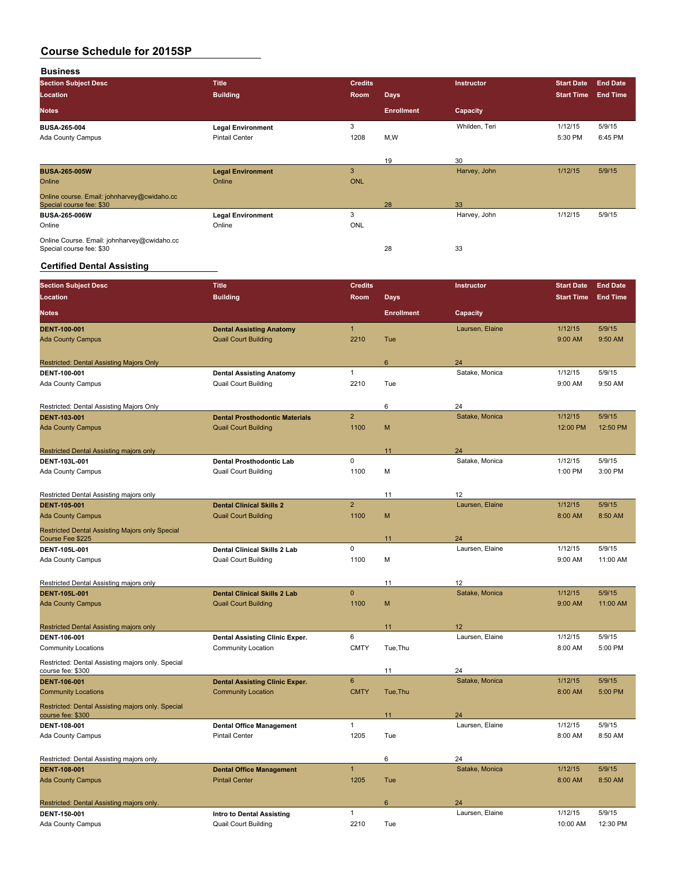**Business**

| <b>Section Subject Desc</b>                 | <b>Title</b>             | <b>Credits</b> |                   | <b>Instructor</b> | <b>Start Date</b> | <b>End Date</b> |
|---------------------------------------------|--------------------------|----------------|-------------------|-------------------|-------------------|-----------------|
| Location                                    | <b>Building</b>          | Room           | <b>Days</b>       |                   | <b>Start Time</b> | <b>End Time</b> |
| <b>Notes</b>                                |                          |                | <b>Enrollment</b> | Capacity          |                   |                 |
| <b>BUSA-265-004</b>                         | <b>Legal Environment</b> | 3              |                   | Whilden, Teri     | 1/12/15           | 5/9/15          |
| <b>Ada County Campus</b>                    | <b>Pintail Center</b>    | 1208           | M,W               |                   | 5:30 PM           | 6:45 PM         |
|                                             |                          |                |                   |                   |                   |                 |
|                                             |                          |                | 19                | 30                |                   |                 |
| <b>BUSA-265-005W</b>                        | <b>Legal Environment</b> | 3              |                   | Harvey, John      | 1/12/15           | 5/9/15          |
| Online                                      | Online                   | <b>ONL</b>     |                   |                   |                   |                 |
| Online course. Email: johnharvey@cwidaho.cc |                          |                |                   |                   |                   |                 |
| Special course fee: \$30                    |                          |                | 28                | 33                |                   |                 |
| <b>BUSA-265-006W</b>                        | <b>Legal Environment</b> | 3              |                   | Harvey, John      | 1/12/15           | 5/9/15          |
| Online                                      | Online                   | ONL            |                   |                   |                   |                 |
| Online Course. Email: johnharvey@cwidaho.cc |                          |                |                   |                   |                   |                 |
| Special course fee: \$30                    |                          |                | 28                | 33                |                   |                 |

#### **Certified Dental Assisting**

| <b>Section Subject Desc</b>                                         | <b>Title</b>                                             | <b>Credits</b> |                   | Instructor            | <b>Start Date</b> | <b>End Date</b> |
|---------------------------------------------------------------------|----------------------------------------------------------|----------------|-------------------|-----------------------|-------------------|-----------------|
| Location                                                            | <b>Building</b>                                          | Room           | <b>Days</b>       |                       | <b>Start Time</b> | <b>End Time</b> |
| <b>Notes</b>                                                        |                                                          |                | <b>Enrollment</b> | Capacity              |                   |                 |
| DENT-100-001                                                        | <b>Dental Assisting Anatomy</b>                          | $\mathbf{1}$   |                   | Laursen, Elaine       | 1/12/15           | 5/9/15          |
| <b>Ada County Campus</b>                                            | <b>Quail Court Building</b>                              | 2210           | Tue               |                       | 9:00 AM           | 9:50 AM         |
| Restricted: Dental Assisting Majors Only                            |                                                          |                | 6                 | 24                    |                   |                 |
| DENT-100-001                                                        | <b>Dental Assisting Anatomy</b>                          | $\mathbf{1}$   |                   | Satake, Monica        | 1/12/15           | 5/9/15          |
| <b>Ada County Campus</b>                                            | <b>Quail Court Building</b>                              | 2210           | Tue               |                       | 9:00 AM           | 9:50 AM         |
| Restricted: Dental Assisting Majors Only                            |                                                          |                | 6                 | 24                    |                   |                 |
| <b>DENT-103-001</b>                                                 | <b>Dental Prosthodontic Materials</b>                    | $\overline{2}$ |                   | Satake, Monica        | 1/12/15           | 5/9/15          |
| <b>Ada County Campus</b>                                            | <b>Quail Court Building</b>                              | 1100           | M                 |                       | 12:00 PM          | 12:50 PM        |
| Restricted Dental Assisting majors only                             |                                                          |                | 11                | 24                    |                   |                 |
| DENT-103L-001                                                       | <b>Dental Prosthodontic Lab</b>                          | $\mathbf 0$    |                   | Satake, Monica        | 1/12/15           | 5/9/15          |
| <b>Ada County Campus</b>                                            | <b>Quail Court Building</b>                              | 1100           | M                 |                       | 1:00 PM           | 3:00 PM         |
| Restricted Dental Assisting majors only                             |                                                          |                | 11                | 12                    |                   |                 |
| <b>DENT 105-001</b>                                                 | <b>Dental Clinical Skills 2</b>                          | $\overline{2}$ |                   | Laursen, Elaine       | 1/12/15           | 5/9/15          |
| <b>Ada County Campus</b>                                            | <b>Quail Court Building</b>                              | 1100           | M                 |                       | 8:00 AM           | 8:50 AM         |
| Restricted Dental Assisting Majors only Special<br>Course Fee \$225 |                                                          |                | 11                | 24                    |                   |                 |
| DENT-105L-001                                                       | <b>Dental Clinical Skills 2 Lab</b>                      | $\mathbf 0$    |                   | Laursen, Elaine       | 1/12/15           | 5/9/15          |
| <b>Ada County Campus</b>                                            | <b>Quail Court Building</b>                              | 1100           | M                 |                       | 9:00 AM           | 11:00 AM        |
| Restricted Dental Assisting majors only                             |                                                          |                | 11                | 12                    |                   |                 |
| <b>DENT 105L 001</b>                                                | <b>Dental Clinical Skills 2 Lab</b>                      | $\mathbf 0$    |                   | Satake, Monica        | 1/12/15           | 5/9/15          |
| <b>Ada County Campus</b>                                            | <b>Quail Court Building</b>                              | 1100           | M                 |                       | 9:00 AM           | 11:00 AM        |
| Restricted Dental Assisting majors only                             |                                                          |                | 11                | 12                    |                   |                 |
| DENT-106-001                                                        | Dental Assisting Clinic Exper.                           | 6              |                   | Laursen, Elaine       | 1/12/15           | 5/9/15          |
| <b>Community Locations</b>                                          | <b>Community Location</b>                                | <b>CMTY</b>    | Tue, Thu          |                       | 8:00 AM           | 5:00 PM         |
| Restricted: Dental Assisting majors only. Special                   |                                                          |                |                   |                       |                   |                 |
| course fee: \$300<br><b>DENT-106-001</b>                            | <b>Dental Assisting Clinic Exper.</b>                    | $6\phantom{a}$ | 11                | 24<br>Satake, Monica  | 1/12/15           | 5/9/15          |
| <b>Community Locations</b>                                          | <b>Community Location</b>                                | <b>CMTY</b>    | Tue, Thu          |                       | 8:00 AM           | 5:00 PM         |
| Restricted: Dental Assisting majors only. Special                   |                                                          |                |                   |                       |                   |                 |
| course fee: \$300                                                   |                                                          | $\mathbf{1}$   | 11                | 24<br>Laursen, Elaine | 1/12/15           | 5/9/15          |
| <b>DENT 108-001</b><br><b>Ada County Campus</b>                     | <b>Dental Office Management</b><br><b>Pintail Center</b> | 1205           | Tue               |                       | 8:00 AM           | 8:50 AM         |
|                                                                     |                                                          |                |                   |                       |                   |                 |
| Restricted: Dental Assisting majors only.                           |                                                          |                | 6                 | 24                    |                   |                 |
| <b>DENT-108-001</b>                                                 | <b>Dental Office Management</b>                          | $\mathbf{1}$   |                   | Satake, Monica        | 1/12/15           | 5/9/15          |
| <b>Ada County Campus</b>                                            | <b>Pintail Center</b>                                    | 1205           | Tue               |                       | 8:00 AM           | 8:50 AM         |
| Restricted: Dental Assisting majors only.                           |                                                          |                | 6                 | 24                    |                   |                 |
| DENT 150-001                                                        | <b>Intro to Dental Assisting</b>                         | $\mathbf{1}$   |                   | Laursen, Elaine       | 1/12/15           | 5/9/15          |
| Ada County Campus                                                   | <b>Quail Court Building</b>                              | 2210           | Tue               |                       | 10:00 AM          | 12:30 PM        |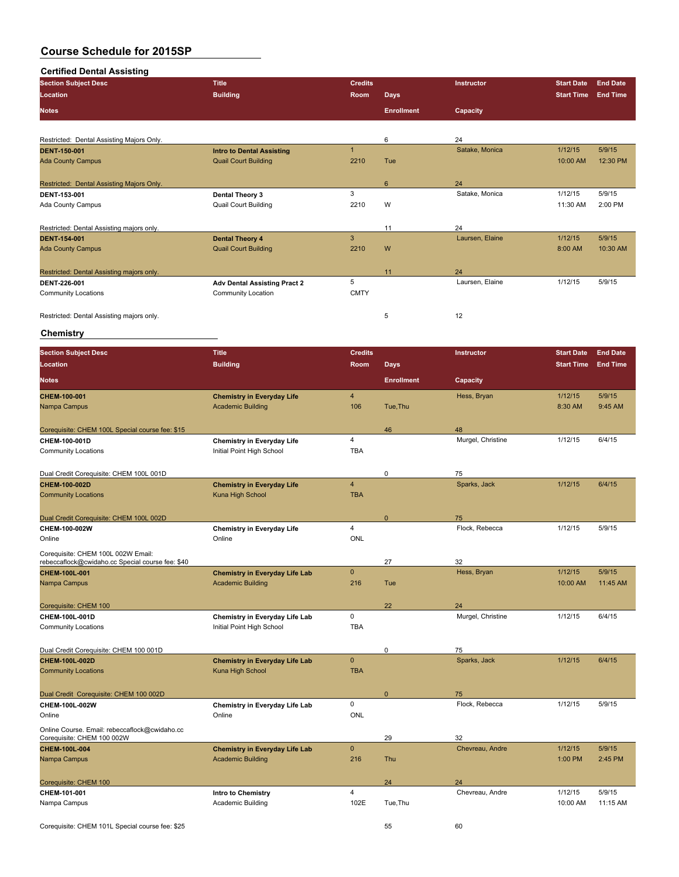#### **Certified Dental Assisting**

| <b>Section Subject Desc</b>               | <b>Title</b>                        | <b>Credits</b> |                   | <b>Instructor</b> | <b>Start Date</b> | <b>End Date</b> |
|-------------------------------------------|-------------------------------------|----------------|-------------------|-------------------|-------------------|-----------------|
| Location                                  | <b>Building</b>                     | <b>Room</b>    | <b>Days</b>       |                   | <b>Start Time</b> | <b>End Time</b> |
| <b>Notes</b>                              |                                     |                | <b>Enrollment</b> | Capacity          |                   |                 |
|                                           |                                     |                |                   |                   |                   |                 |
| Restricted: Dental Assisting Majors Only. |                                     |                | 6                 | 24                |                   |                 |
| <b>DENT 150-001</b>                       | <b>Intro to Dental Assisting</b>    | $\overline{1}$ |                   | Satake, Monica    | 1/12/15           | 5/9/15          |
| <b>Ada County Campus</b>                  | <b>Quail Court Building</b>         | 2210           | Tue               |                   | 10:00 AM          | 12:30 PM        |
| Restricted: Dental Assisting Majors Only. |                                     |                | 6                 | 24                |                   |                 |
| DENT 153-001                              | Dental Theory 3                     | 3              |                   | Satake, Monica    | 1/12/15           | 5/9/15          |
| Ada County Campus                         | <b>Quail Court Building</b>         | 2210           | W                 |                   | 11:30 AM          | 2:00 PM         |
| Restricted: Dental Assisting majors only. |                                     |                | 11                | 24                |                   |                 |
| <b>DENT 154-001</b>                       | <b>Dental Theory 4</b>              | 3              |                   | Laursen, Elaine   | 1/12/15           | 5/9/15          |
| <b>Ada County Campus</b>                  | <b>Quail Court Building</b>         | 2210           | W                 |                   | 8:00 AM           | 10:30 AM        |
| Restricted: Dental Assisting majors only. |                                     |                | 11                | 24                |                   |                 |
| <b>DENT 226-001</b>                       | <b>Adv Dental Assisting Pract 2</b> | 5              |                   | Laursen, Elaine   | 1/12/15           | 5/9/15          |
| <b>Community Locations</b>                | Community Location                  | <b>CMTY</b>    |                   |                   |                   |                 |
| Restricted: Dental Assisting majors only. |                                     |                | 5                 | 12                |                   |                 |

#### **Chemistry**

| <b>Section Subject Desc</b>                                                            | <b>Title</b>                          | <b>Credits</b>          |                   | Instructor        | <b>Start Date</b> | <b>End Date</b> |
|----------------------------------------------------------------------------------------|---------------------------------------|-------------------------|-------------------|-------------------|-------------------|-----------------|
| Location                                                                               | <b>Building</b>                       | Room                    | <b>Days</b>       |                   | <b>Start Time</b> | <b>End Time</b> |
| <b>Notes</b>                                                                           |                                       |                         | <b>Enrollment</b> | Capacity          |                   |                 |
| CHEM-100-001                                                                           | <b>Chemistry in Everyday Life</b>     | $\overline{\mathbf{4}}$ |                   | Hess, Bryan       | 1/12/15           | 5/9/15          |
| Nampa Campus                                                                           | <b>Academic Building</b>              | 106                     | Tue, Thu          |                   | 8:30 AM           | 9:45 AM         |
| Corequisite: CHEM 100L Special course fee: \$15                                        |                                       |                         | 46                | 48                |                   |                 |
| CHEM-100-001D                                                                          | <b>Chemistry in Everyday Life</b>     | $\overline{4}$          |                   | Murgel, Christine | 1/12/15           | 6/4/15          |
| <b>Community Locations</b>                                                             | Initial Point High School             | <b>TBA</b>              |                   |                   |                   |                 |
| Dual Credit Corequisite: CHEM 100L 001D                                                |                                       |                         | 0                 | 75                |                   |                 |
| CHEM-100-002D                                                                          | <b>Chemistry in Everyday Life</b>     | $\overline{4}$          |                   | Sparks, Jack      | 1/12/15           | 6/4/15          |
| <b>Community Locations</b>                                                             | Kuna High School                      | <b>TBA</b>              |                   |                   |                   |                 |
| Dual Credit Corequisite: CHEM 100L 002D                                                |                                       |                         | $\overline{0}$    | 75                |                   |                 |
| CHEM-100-002W                                                                          | <b>Chemistry in Everyday Life</b>     | $\overline{4}$          |                   | Flock, Rebecca    | 1/12/15           | 5/9/15          |
| Online                                                                                 | Online                                | <b>ONL</b>              |                   |                   |                   |                 |
| Corequisite: CHEM 100L 002W Email:<br>rebeccaflock@cwidaho.cc Special course fee: \$40 |                                       |                         | 27                | 32                |                   |                 |
| CHEM-100L-001                                                                          | <b>Chemistry in Everyday Life Lab</b> | $\overline{0}$          |                   | Hess, Bryan       | 1/12/15           | 5/9/15          |
| Nampa Campus                                                                           | <b>Academic Building</b>              | 216                     | Tue               |                   | 10:00 AM          | 11:45 AM        |
| Corequisite: CHEM 100                                                                  |                                       |                         | 22                | 24                |                   |                 |
| CHEM-100L-001D                                                                         | Chemistry in Everyday Life Lab        | $\mathbf 0$             |                   | Murgel, Christine | 1/12/15           | 6/4/15          |
| <b>Community Locations</b>                                                             | Initial Point High School             | <b>TBA</b>              |                   |                   |                   |                 |
| Dual Credit Corequisite: CHEM 100 001D                                                 |                                       |                         | 0                 | 75                |                   |                 |
| CHEM-100L-002D                                                                         | <b>Chemistry in Everyday Life Lab</b> | $\overline{0}$          |                   | Sparks, Jack      | 1/12/15           | 6/4/15          |
| <b>Community Locations</b>                                                             | Kuna High School                      | <b>TBA</b>              |                   |                   |                   |                 |
| Dual Credit Corequisite: CHEM 100 002D                                                 |                                       |                         | $\mathbf{0}$      | 75                |                   |                 |
| CHEM-100L-002W                                                                         | Chemistry in Everyday Life Lab        | $\mathbf 0$             |                   | Flock, Rebecca    | 1/12/15           | 5/9/15          |
| Online                                                                                 | Online                                | <b>ONL</b>              |                   |                   |                   |                 |
| Online Course. Email: rebeccaflock@cwidaho.cc<br>Corequisite: CHEM 100 002W            |                                       |                         | 29                | 32                |                   |                 |
| CHEM-100L-004                                                                          | <b>Chemistry in Everyday Life Lab</b> | $\mathbf{0}$            |                   | Chevreau, Andre   | 1/12/15           | 5/9/15          |
| Nampa Campus                                                                           | <b>Academic Building</b>              | 216                     | Thu               |                   | 1:00 PM           | 2:45 PM         |
| Corequisite: CHEM 100                                                                  |                                       |                         | 24                | 24                |                   |                 |
| CHEM-101-001                                                                           | Intro to Chemistry                    | $\overline{4}$          |                   | Chevreau, Andre   | 1/12/15           | 5/9/15          |
| Nampa Campus                                                                           | Academic Building                     | 102E                    | Tue, Thu          |                   | 10:00 AM          | 11:15 AM        |
| Corequisite: CHEM 101L Special course fee: \$25                                        |                                       |                         | 55                | 60                |                   |                 |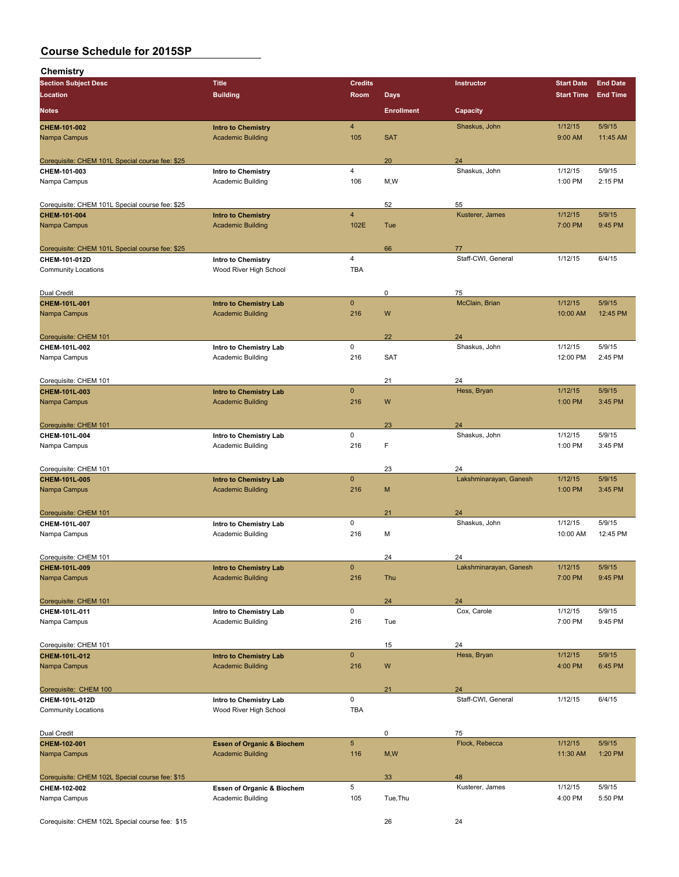**Chemistry**

| ן ווסוווסווט                                    |                                       |                 |                   |                        |                   |                 |
|-------------------------------------------------|---------------------------------------|-----------------|-------------------|------------------------|-------------------|-----------------|
| <b>Section Subject Desc</b>                     | <b>Title</b>                          | <b>Credits</b>  |                   | Instructor             | <b>Start Date</b> | <b>End Date</b> |
| Location                                        | <b>Building</b>                       | Room            | <b>Days</b>       |                        | <b>Start Time</b> | <b>End Time</b> |
| <b>Notes</b>                                    |                                       |                 | <b>Enrollment</b> | Capacity               |                   |                 |
| CHEM-101-002                                    | <b>Intro to Chemistry</b>             | $\overline{4}$  |                   | Shaskus, John          | 1/12/15           | 5/9/15          |
| Nampa Campus                                    | <b>Academic Building</b>              | 105             | <b>SAT</b>        |                        | 9:00 AM           | 11:45 AM        |
| Corequisite: CHEM 101L Special course fee: \$25 |                                       |                 | 20                | 24                     |                   |                 |
| CHEM-101-003                                    | Intro to Chemistry                    | 4               |                   | Shaskus, John          | 1/12/15           | 5/9/15          |
| Nampa Campus                                    | Academic Building                     | 106             | M, W              |                        | 1:00 PM           | 2:15 PM         |
|                                                 |                                       |                 |                   |                        |                   |                 |
| Corequisite: CHEM 101L Special course fee: \$25 |                                       |                 | 52                | 55                     |                   |                 |
| CHEM-101-004                                    | <b>Intro to Chemistry</b>             | $\overline{4}$  |                   | Kusterer, James        | 1/12/15           | 5/9/15          |
| Nampa Campus                                    | <b>Academic Building</b>              | 102E            | Tue               |                        | 7:00 PM           | 9:45 PM         |
| Corequisite: CHEM 101L Special course fee: \$25 |                                       |                 | 66                | 77                     |                   |                 |
| CHEM-101-012D                                   | Intro to Chemistry                    | $\overline{4}$  |                   | Staff-CWI, General     | 1/12/15           | 6/4/15          |
| <b>Community Locations</b>                      | Wood River High School                | <b>TBA</b>      |                   |                        |                   |                 |
| Dual Credit                                     |                                       |                 | 0                 | 75                     |                   |                 |
| CHEM-101L-001                                   | <b>Intro to Chemistry Lab</b>         | $\mathbf 0$     |                   | McClain, Brian         | 1/12/15           | 5/9/15          |
| Nampa Campus                                    | <b>Academic Building</b>              | 216             | W                 |                        | 10:00 AM          | 12:45 PM        |
| Corequisite: CHEM 101                           |                                       |                 | 22                | 24                     |                   |                 |
| CHEM-101L-002                                   | Intro to Chemistry Lab                | 0               |                   | Shaskus, John          | 1/12/15           | 5/9/15          |
| Nampa Campus                                    | Academic Building                     | 216             | <b>SAT</b>        |                        | 12:00 PM          | 2:45 PM         |
|                                                 |                                       |                 |                   |                        |                   |                 |
| Corequisite: CHEM 101                           |                                       |                 | 21                | 24                     |                   |                 |
| CHEM-101L-003                                   | <b>Intro to Chemistry Lab</b>         | $\mathbf 0$     |                   | Hess, Bryan            | 1/12/15           | 5/9/15          |
| Nampa Campus                                    | <b>Academic Building</b>              | 216             | W                 |                        | 1:00 PM           | 3:45 PM         |
| Corequisite: CHEM 101                           |                                       |                 | 23                | 24                     |                   |                 |
| CHEM-101L-004                                   | Intro to Chemistry Lab                | 0               |                   | Shaskus, John          | 1/12/15           | 5/9/15          |
| Nampa Campus                                    | Academic Building                     | 216             | F                 |                        | 1:00 PM           | 3:45 PM         |
| Corequisite: CHEM 101                           |                                       |                 | 23                | 24                     |                   |                 |
| CHEM-101L-005                                   | <b>Intro to Chemistry Lab</b>         | $\mathbf 0$     |                   | Lakshminarayan, Ganesh | 1/12/15           | 5/9/15          |
| Nampa Campus                                    | <b>Academic Building</b>              | 216             | M                 |                        | 1:00 PM           | 3:45 PM         |
|                                                 |                                       |                 |                   |                        |                   |                 |
| Corequisite: CHEM 101                           |                                       |                 | 21                | 24                     |                   |                 |
| CHEM-101L-007                                   | Intro to Chemistry Lab                | $\mathsf 0$     |                   | Shaskus, John          | 1/12/15           | 5/9/15          |
| Nampa Campus                                    | Academic Building                     | 216             | м                 |                        | 10:00 AM          | 12:45 PM        |
| Corequisite: CHEM 101                           |                                       |                 | 24                | 24                     |                   |                 |
| CHEM-101L-009                                   | <b>Intro to Chemistry Lab</b>         | $\mathbf 0$     |                   | Lakshminarayan, Ganesh | 1/12/15           | 5/9/15          |
| Nampa Campus                                    | <b>Academic Building</b>              | 216             | Thu               |                        | 7:00 PM           | 9:45 PM         |
| Corequisite: CHEM 101                           |                                       |                 | 24                | 24                     |                   |                 |
| CHEM-101L-011                                   | Intro to Chemistry Lab                | 0               |                   | Cox, Carole            | 1/12/15           | 5/9/15          |
| Nampa Campus                                    | Academic Building                     | 216             | Tue               |                        | 7:00 PM           | 9:45 PM         |
| Corequisite: CHEM 101                           |                                       |                 | 15                | 24                     |                   |                 |
| CHEM-101L-012                                   | Intro to Chemistry Lab                | $\pmb{0}$       |                   | Hess, Bryan            | 1/12/15           | 5/9/15          |
| Nampa Campus                                    | <b>Academic Building</b>              | 216             | W                 |                        | 4:00 PM           | 6:45 PM         |
| Corequisite: CHEM 100                           |                                       |                 | 21                | 24                     |                   |                 |
| CHEM-101L-012D                                  | Intro to Chemistry Lab                | $\mathsf 0$     |                   | Staff-CWI, General     | 1/12/15           | 6/4/15          |
| <b>Community Locations</b>                      | Wood River High School                | <b>TBA</b>      |                   |                        |                   |                 |
| Dual Credit                                     |                                       |                 | 0                 | 75                     |                   |                 |
| CHEM-102-001                                    | <b>Essen of Organic &amp; Biochem</b> | $5\phantom{.0}$ |                   | Flock, Rebecca         | 1/12/15           | 5/9/15          |
| Nampa Campus                                    | <b>Academic Building</b>              | 116             | M, W              |                        | 11:30 AM          | 1:20 PM         |
| Corequisite: CHEM 102L Special course fee: \$15 |                                       |                 | 33                | 48                     |                   |                 |
| CHEM-102-002                                    | Essen of Organic & Biochem            | 5               |                   | Kusterer, James        | 1/12/15           | 5/9/15          |
| Nampa Campus                                    | Academic Building                     | 105             | Tue, Thu          |                        | 4:00 PM           | 5:50 PM         |
| Corequisite: CHEM 102L Special course fee: \$15 |                                       |                 | 26                | 24                     |                   |                 |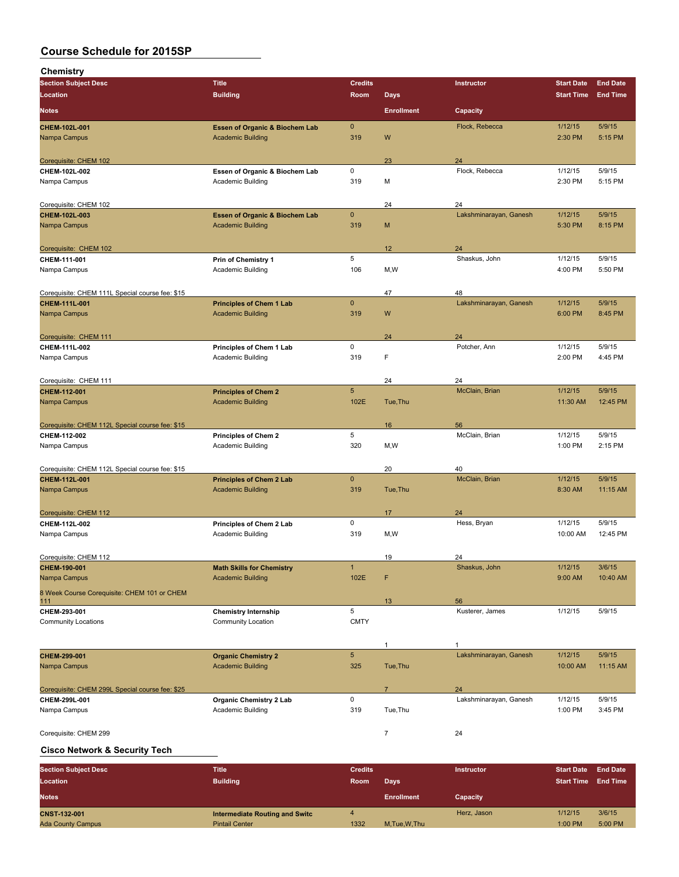| Chemistry                                       |                                                             |                |                   |                              |                     |                    |
|-------------------------------------------------|-------------------------------------------------------------|----------------|-------------------|------------------------------|---------------------|--------------------|
| <b>Section Subject Desc</b>                     | <b>Title</b>                                                | <b>Credits</b> |                   | Instructor                   | <b>Start Date</b>   | <b>End Date</b>    |
| Location                                        | <b>Building</b>                                             | Room           | <b>Days</b>       |                              | <b>Start Time</b>   | <b>End Time</b>    |
| <b>Notes</b>                                    |                                                             |                | <b>Enrollment</b> | Capacity                     |                     |                    |
| CHEM-102L-001                                   | <b>Essen of Organic &amp; Biochem Lab</b>                   | $\mathbf{0}$   |                   | Flock, Rebecca               | 1/12/15             | 5/9/15             |
| Nampa Campus                                    | <b>Academic Building</b>                                    | 319            | W                 |                              | 2:30 PM             | 5:15 PM            |
|                                                 |                                                             |                |                   |                              |                     |                    |
| Corequisite: CHEM 102<br>CHEM-102L-002          | Essen of Organic & Biochem Lab                              | 0              | 23                | 24<br>Flock, Rebecca         | 1/12/15             | 5/9/15             |
| Nampa Campus                                    | Academic Building                                           | 319            | M                 |                              | 2:30 PM             | 5:15 PM            |
|                                                 |                                                             |                |                   |                              |                     |                    |
| Corequisite: CHEM 102                           |                                                             |                | 24                | 24                           |                     |                    |
| CHEM-102L-003                                   | <b>Essen of Organic &amp; Biochem Lab</b>                   | $\mathbf{0}$   |                   | Lakshminarayan, Ganesh       | 1/12/15             | 5/9/15             |
| Nampa Campus                                    | <b>Academic Building</b>                                    | 319            | M                 |                              | 5:30 PM             | 8:15 PM            |
| Corequisite: CHEM 102                           |                                                             |                | 12                | 24                           |                     |                    |
| CHEM-111-001                                    | Prin of Chemistry 1                                         | 5              |                   | Shaskus, John                | 1/12/15             | 5/9/15             |
| Nampa Campus                                    | Academic Building                                           | 106            | M, W              |                              | 4:00 PM             | 5:50 PM            |
|                                                 |                                                             |                |                   |                              |                     |                    |
| Corequisite: CHEM 111L Special course fee: \$15 |                                                             | $\mathbf 0$    | 47                | 48<br>Lakshminarayan, Ganesh | 1/12/15             | 5/9/15             |
| CHEM-111L-001<br>Nampa Campus                   | <b>Principles of Chem 1 Lab</b><br><b>Academic Building</b> | 319            | W                 |                              | 6:00 PM             | 8:45 PM            |
|                                                 |                                                             |                |                   |                              |                     |                    |
| Corequisite: CHEM 111                           |                                                             |                | 24                | 24                           |                     |                    |
| CHEM-111L-002                                   | Principles of Chem 1 Lab                                    | 0              |                   | Potcher, Ann                 | 1/12/15             | 5/9/15             |
| Nampa Campus                                    | Academic Building                                           | 319            | F                 |                              | 2:00 PM             | 4:45 PM            |
|                                                 |                                                             |                |                   |                              |                     |                    |
| Corequisite: CHEM 111<br>CHEM-112-001           | <b>Principles of Chem 2</b>                                 | 5 <sup>5</sup> | 24                | 24<br>McClain, Brian         | 1/12/15             | 5/9/15             |
| Nampa Campus                                    | <b>Academic Building</b>                                    | 102E           | Tue, Thu          |                              | 11:30 AM            | 12:45 PM           |
|                                                 |                                                             |                |                   |                              |                     |                    |
| Corequisite: CHEM 112L Special course fee: \$15 |                                                             |                | 16                | 56                           |                     |                    |
| CHEM-112-002                                    | Principles of Chem 2                                        | 5              |                   | McClain, Brian               | 1/12/15             | 5/9/15             |
| Nampa Campus                                    | Academic Building                                           | 320            | M, W              |                              | 1:00 PM             | 2:15 PM            |
| Corequisite: CHEM 112L Special course fee: \$15 |                                                             |                | 20                | 40                           |                     |                    |
| CHEM-112L-001                                   | <b>Principles of Chem 2 Lab</b>                             | $\mathbf 0$    |                   | McClain, Brian               | 1/12/15             | 5/9/15             |
| Nampa Campus                                    | <b>Academic Building</b>                                    | 319            | Tue, Thu          |                              | 8:30 AM             | 11:15 AM           |
|                                                 |                                                             |                |                   |                              |                     |                    |
| Corequisite: CHEM 112                           |                                                             |                | 17                | 24                           |                     |                    |
| CHEM-112L-002<br>Nampa Campus                   | Principles of Chem 2 Lab<br>Academic Building               | 0<br>319       | M, W              | Hess, Bryan                  | 1/12/15<br>10:00 AM | 5/9/15<br>12:45 PM |
|                                                 |                                                             |                |                   |                              |                     |                    |
| Corequisite: CHEM 112                           |                                                             |                | 19                | 24                           |                     |                    |
| CHEM-190-001                                    | <b>Math Skills for Chemistry</b>                            | $\mathbf{1}$   |                   | Shaskus, John                | 1/12/15             | 3/6/15             |
| Nampa Campus                                    | <b>Academic Building</b>                                    | 102E           | F                 |                              | 9:00 AM             | 10:40 AM           |
| 8 Week Course Corequisite: CHEM 101 or CHEM     |                                                             |                |                   |                              |                     |                    |
| 111<br>CHEM-293-001                             | <b>Chemistry Internship</b>                                 | 5              | 13                | 56<br>Kusterer, James        | 1/12/15             | 5/9/15             |
| <b>Community Locations</b>                      | Community Location                                          | <b>CMTY</b>    |                   |                              |                     |                    |
|                                                 |                                                             |                |                   |                              |                     |                    |
|                                                 |                                                             |                | 1                 | 1                            |                     |                    |
| CHEM-299-001                                    | <b>Organic Chemistry 2</b>                                  | $\sqrt{5}$     |                   | Lakshminarayan, Ganesh       | 1/12/15             | 5/9/15             |
| Nampa Campus                                    | <b>Academic Building</b>                                    | 325            | Tue, Thu          |                              | 10:00 AM            | 11:15 AM           |
| Corequisite: CHEM 299L Special course fee: \$25 |                                                             |                | 7                 | 24                           |                     |                    |
| CHEM-299L-001                                   | <b>Organic Chemistry 2 Lab</b>                              | 0              |                   | Lakshminarayan, Ganesh       | 1/12/15             | 5/9/15             |
| Nampa Campus                                    | Academic Building                                           | 319            | Tue, Thu          |                              | 1:00 PM             | 3:45 PM            |
|                                                 |                                                             |                |                   |                              |                     |                    |
| Corequisite: CHEM 299                           |                                                             |                | $\overline{7}$    | 24                           |                     |                    |

## **Cisco Network & Security Tech**

| <b>Section Subject Desc</b> | Title                                 | <b>Credits</b> |                   | Instructor  | <b>Start Date</b> | <b>End Date</b> |
|-----------------------------|---------------------------------------|----------------|-------------------|-------------|-------------------|-----------------|
| <b>Location</b>             | <b>Building</b>                       | <b>Room</b>    | Days              |             | <b>Start Time</b> | <b>End Time</b> |
| <b>Notes</b>                |                                       |                | <b>Enrollment</b> | Capacity    |                   |                 |
| <b>CNST 132 001</b>         | <b>Intermediate Routing and Switc</b> |                |                   | Herz, Jason | 1/12/15           | 3/6/15          |
| <b>Ada County Campus</b>    | <b>Pintail Center</b>                 | 1332           | M.Tue, W.Thu      |             | $1:00$ PM         | 5:00 PM         |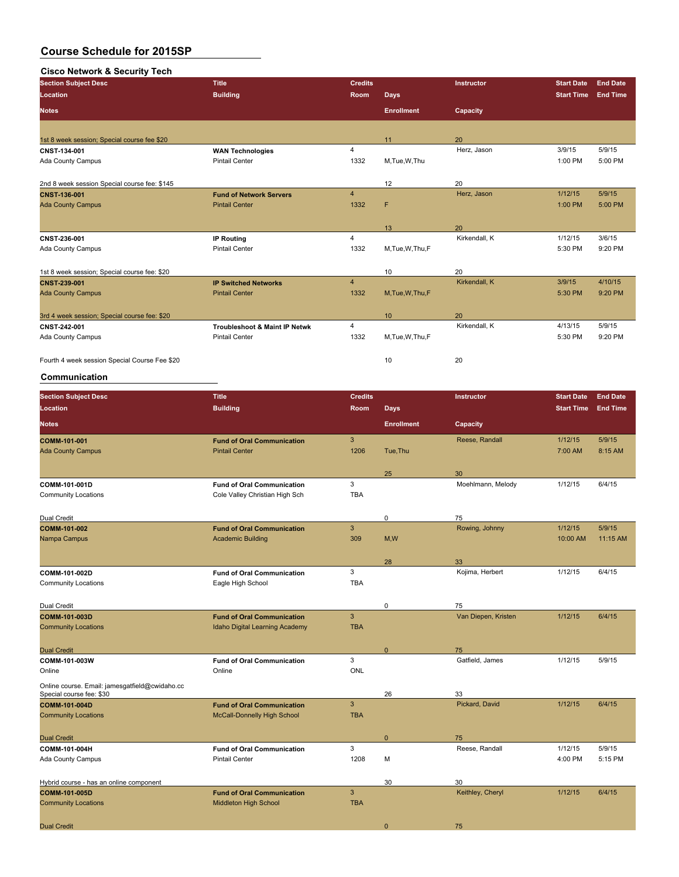#### **Cisco Network & Security Tech**

| <b>Section Subject Desc</b>                   | <b>Title</b>                             | <b>Credits</b> |                   | <b>Instructor</b> | <b>Start Date</b> | <b>End Date</b> |
|-----------------------------------------------|------------------------------------------|----------------|-------------------|-------------------|-------------------|-----------------|
| Location                                      | <b>Building</b>                          | Room           | <b>Days</b>       |                   | <b>Start Time</b> | <b>End Time</b> |
| <b>Notes</b>                                  |                                          |                | <b>Enrollment</b> | Capacity          |                   |                 |
|                                               |                                          |                |                   |                   |                   |                 |
| 1st 8 week session; Special course fee \$20   |                                          |                | 11                | 20                |                   |                 |
| CNST-134-001                                  | <b>WAN Technologies</b>                  | 4              |                   | Herz, Jason       | 3/9/15            | 5/9/15          |
| Ada County Campus                             | <b>Pintail Center</b>                    | 1332           | M, Tue, W, Thu    |                   | 1:00 PM           | 5:00 PM         |
| 2nd 8 week session Special course fee: \$145  |                                          |                | 12                | 20                |                   |                 |
| CNST 136 001                                  | <b>Fund of Network Servers</b>           | $\overline{4}$ |                   | Herz, Jason       | 1/12/15           | 5/9/15          |
| <b>Ada County Campus</b>                      | <b>Pintail Center</b>                    | 1332           | F                 |                   | 1:00 PM           | 5:00 PM         |
|                                               |                                          |                | 13                | 20                |                   |                 |
| CNST-236-001                                  | <b>IP Routing</b>                        | $\overline{4}$ |                   | Kirkendall, K     | 1/12/15           | 3/6/15          |
| Ada County Campus                             | <b>Pintail Center</b>                    | 1332           | M, Tue, W, Thu, F |                   | 5:30 PM           | 9:20 PM         |
| 1st 8 week session; Special course fee: \$20  |                                          |                | 10                | 20                |                   |                 |
| CNST-239-001                                  | <b>IP Switched Networks</b>              | $\overline{4}$ |                   | Kirkendall, K     | 3/9/15            | 4/10/15         |
| <b>Ada County Campus</b>                      | <b>Pintail Center</b>                    | 1332           | M.Tue.W.Thu.F     |                   | 5:30 PM           | 9:20 PM         |
| 3rd 4 week session; Special course fee: \$20  |                                          |                | 10                | 20                |                   |                 |
| CNST 242 001                                  | <b>Troubleshoot &amp; Maint IP Netwk</b> | 4              |                   | Kirkendall, K     | 4/13/15           | 5/9/15          |
| Ada County Campus                             | <b>Pintail Center</b>                    | 1332           | M, Tue, W, Thu, F |                   | 5:30 PM           | 9:20 PM         |
| Fourth 4 week session Special Course Fee \$20 |                                          |                | 10                | 20                |                   |                 |

## **Communication**

| <b>Section Subject Desc</b>                                                | <b>Title</b>                                                      | <b>Credits</b> |                   | Instructor          | <b>Start Date</b> | <b>End Date</b> |
|----------------------------------------------------------------------------|-------------------------------------------------------------------|----------------|-------------------|---------------------|-------------------|-----------------|
| Location                                                                   | <b>Building</b>                                                   | Room           | <b>Days</b>       |                     | <b>Start Time</b> | <b>End Time</b> |
| <b>Notes</b>                                                               |                                                                   |                | <b>Enrollment</b> | Capacity            |                   |                 |
| COMM-101-001                                                               | <b>Fund of Oral Communication</b>                                 | $\mathbf{3}$   |                   | Reese, Randall      | 1/12/15           | 5/9/15          |
| <b>Ada County Campus</b>                                                   | <b>Pintail Center</b>                                             | 1206           | Tue, Thu          |                     | 7:00 AM           | 8:15 AM         |
|                                                                            |                                                                   |                | 25                | 30                  |                   |                 |
| COMM-101-001D                                                              | <b>Fund of Oral Communication</b>                                 | 3              |                   | Moehlmann, Melody   | 1/12/15           | 6/4/15          |
| <b>Community Locations</b>                                                 | Cole Valley Christian High Sch                                    | <b>TBA</b>     |                   |                     |                   |                 |
| Dual Credit                                                                |                                                                   |                | 0                 | 75                  |                   |                 |
| COMM-101-002                                                               | <b>Fund of Oral Communication</b>                                 | 3              |                   | Rowing, Johnny      | 1/12/15           | 5/9/15          |
| Nampa Campus                                                               | <b>Academic Building</b>                                          | 309            | M, W              |                     | 10:00 AM          | 11:15 AM        |
|                                                                            |                                                                   |                |                   |                     |                   |                 |
|                                                                            |                                                                   |                | 28                | 33                  |                   |                 |
| COMM-101-002D                                                              | <b>Fund of Oral Communication</b>                                 | 3              |                   | Kojima, Herbert     | 1/12/15           | 6/4/15          |
| <b>Community Locations</b>                                                 | Eagle High School                                                 | <b>TBA</b>     |                   |                     |                   |                 |
| Dual Credit                                                                |                                                                   |                | 0                 | 75                  |                   |                 |
| COMM-101-003D                                                              | <b>Fund of Oral Communication</b>                                 | $\overline{3}$ |                   | Van Diepen, Kristen | 1/12/15           | 6/4/15          |
| <b>Community Locations</b>                                                 | Idaho Digital Learning Academy                                    | <b>TBA</b>     |                   |                     |                   |                 |
|                                                                            |                                                                   |                |                   |                     |                   |                 |
| <b>Dual Credit</b>                                                         |                                                                   |                | $\mathbf{0}$      | 75                  |                   |                 |
| COMM-101-003W                                                              | <b>Fund of Oral Communication</b>                                 | 3              |                   | Gatfield, James     | 1/12/15           | 5/9/15          |
| Online                                                                     | Online                                                            | <b>ONL</b>     |                   |                     |                   |                 |
| Online course. Email: jamesgatfield@cwidaho.cc<br>Special course fee: \$30 |                                                                   |                | 26                | 33                  |                   |                 |
| COMM-101-004D                                                              | <b>Fund of Oral Communication</b>                                 | $\mathbf{3}$   |                   | Pickard, David      | 1/12/15           | 6/4/15          |
| <b>Community Locations</b>                                                 | <b>McCall-Donnelly High School</b>                                | <b>TBA</b>     |                   |                     |                   |                 |
|                                                                            |                                                                   |                |                   |                     |                   |                 |
| <b>Dual Credit</b>                                                         |                                                                   |                | $\mathbf{0}$      | 75                  |                   |                 |
| COMM-101-004H                                                              | <b>Fund of Oral Communication</b>                                 | 3              |                   | Reese, Randall      | 1/12/15           | 5/9/15          |
| Ada County Campus                                                          | <b>Pintail Center</b>                                             | 1208           | М                 |                     | 4:00 PM           | 5:15 PM         |
|                                                                            |                                                                   |                |                   |                     |                   |                 |
| Hybrid course - has an online component                                    |                                                                   | 3              | 30                | 30                  | 1/12/15           | 6/4/15          |
| COMM-101-005D<br><b>Community Locations</b>                                | <b>Fund of Oral Communication</b><br><b>Middleton High School</b> | <b>TBA</b>     |                   | Keithley, Cheryl    |                   |                 |
|                                                                            |                                                                   |                |                   |                     |                   |                 |
| <b>Dual Credit</b>                                                         |                                                                   |                | $\mathbf{0}$      | 75                  |                   |                 |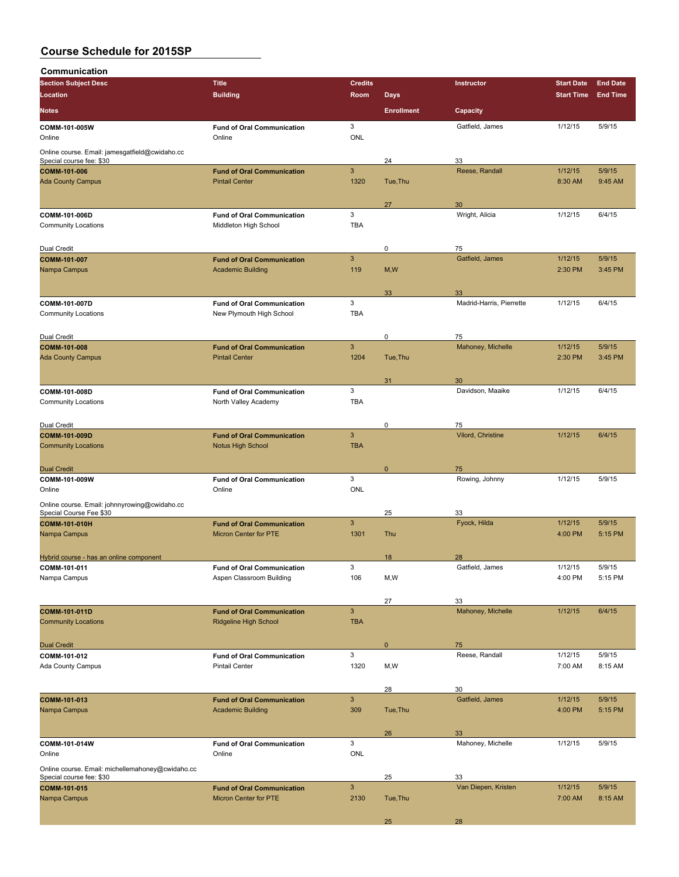| Communication                                                              |                                                                   |                            |                   |                           |                    |                   |
|----------------------------------------------------------------------------|-------------------------------------------------------------------|----------------------------|-------------------|---------------------------|--------------------|-------------------|
| <b>Section Subject Desc</b>                                                | <b>Title</b>                                                      | <b>Credits</b>             |                   | <b>Instructor</b>         | <b>Start Date</b>  | <b>End Date</b>   |
| Location                                                                   | <b>Building</b>                                                   | Room                       | <b>Days</b>       |                           | <b>Start Time</b>  | <b>End Time</b>   |
| <b>Notes</b>                                                               |                                                                   |                            | <b>Enrollment</b> | Capacity                  |                    |                   |
| COMM-101-005W<br>Online                                                    | <b>Fund of Oral Communication</b><br>Online                       | 3<br><b>ONL</b>            |                   | Gatfield, James           | 1/12/15            | 5/9/15            |
| Online course. Email: jamesgatfield@cwidaho.cc<br>Special course fee: \$30 |                                                                   |                            | 24                | 33                        |                    |                   |
| COMM-101-006                                                               | <b>Fund of Oral Communication</b>                                 | $\mathbf{3}$               |                   | Reese, Randall            | 1/12/15            | 5/9/15            |
| <b>Ada County Campus</b>                                                   | <b>Pintail Center</b>                                             | 1320                       | Tue, Thu          |                           | 8:30 AM            | 9:45 AM           |
|                                                                            |                                                                   |                            | 27                | 30                        |                    |                   |
| COMM-101-006D<br><b>Community Locations</b>                                | <b>Fund of Oral Communication</b><br>Middleton High School        | 3<br><b>TBA</b>            |                   | Wright, Alicia            | 1/12/15            | 6/4/15            |
| Dual Credit                                                                |                                                                   |                            | 0                 | 75                        |                    |                   |
| COMM-101-007<br>Nampa Campus                                               | <b>Fund of Oral Communication</b><br><b>Academic Building</b>     | $\mathbf{3}$<br>119        | M, W              | Gatfield, James           | 1/12/15<br>2:30 PM | 5/9/15<br>3:45 PM |
|                                                                            |                                                                   |                            | 33                | 33                        | 1/12/15            |                   |
| COMM-101-007D<br><b>Community Locations</b>                                | <b>Fund of Oral Communication</b><br>New Plymouth High School     | 3<br><b>TBA</b>            |                   | Madrid-Harris, Pierrette  |                    | 6/4/15            |
| Dual Credit                                                                |                                                                   |                            | 0                 | 75                        |                    |                   |
| <b>COMM-101-008</b>                                                        | <b>Fund of Oral Communication</b>                                 | $\mathbf{3}$               |                   | Mahoney, Michelle         | 1/12/15            | 5/9/15            |
| <b>Ada County Campus</b>                                                   | <b>Pintail Center</b>                                             | 1204                       | Tue, Thu          |                           | 2:30 PM            | 3:45 PM           |
|                                                                            |                                                                   |                            | 31                | 30                        |                    |                   |
| COMM-101-008D<br><b>Community Locations</b>                                | <b>Fund of Oral Communication</b><br>North Valley Academy         | 3<br><b>TBA</b>            |                   | Davidson, Maaike          | 1/12/15            | 6/4/15            |
| Dual Credit                                                                |                                                                   |                            | $\mathbf 0$       | 75                        |                    |                   |
| COMM-101-009D<br><b>Community Locations</b>                                | <b>Fund of Oral Communication</b><br><b>Notus High School</b>     | $\mathbf{3}$<br><b>TBA</b> |                   | Vilord, Christine         | 1/12/15            | 6/4/15            |
|                                                                            |                                                                   |                            |                   |                           |                    |                   |
| <b>Dual Credit</b><br>COMM-101-009W                                        | <b>Fund of Oral Communication</b>                                 | 3                          | $\mathbf{0}$      | 75<br>Rowing, Johnny      | 1/12/15            | 5/9/15            |
| Online                                                                     | Online                                                            | ONL                        |                   |                           |                    |                   |
| Online course. Email: johnnyrowing@cwidaho.cc<br>Special Course Fee \$30   |                                                                   |                            | 25                | 33                        |                    |                   |
| COMM-101-010H                                                              | <b>Fund of Oral Communication</b>                                 | 3                          |                   | Fyock, Hilda              | 1/12/15            | 5/9/15            |
| Nampa Campus                                                               | <b>Micron Center for PTE</b>                                      | 1301                       | Thu               |                           | 4:00 PM            | 5:15 PM           |
| Hybrid course - has an online component                                    |                                                                   |                            | 18                | 28                        |                    |                   |
| COMM-101-011                                                               | <b>Fund of Oral Communication</b>                                 | 3                          |                   | Gatfield, James           | 1/12/15            | 5/9/15            |
| Nampa Campus                                                               | Aspen Classroom Building                                          | 106                        | M, W              |                           | 4:00 PM            | 5:15 PM           |
|                                                                            |                                                                   |                            | 27                | 33                        |                    |                   |
| COMM-101-011D<br><b>Community Locations</b>                                | <b>Fund of Oral Communication</b><br><b>Ridgeline High School</b> | $\mathbf{3}$<br><b>TBA</b> |                   | Mahoney, Michelle         | 1/12/15            | 6/4/15            |
| <b>Dual Credit</b>                                                         |                                                                   |                            | $\mathbf 0$       | 75                        |                    |                   |
| COMM-101-012                                                               | <b>Fund of Oral Communication</b>                                 | 3                          |                   | Reese, Randall            | 1/12/15            | 5/9/15            |
| <b>Ada County Campus</b>                                                   | <b>Pintail Center</b>                                             | 1320                       | M, W              |                           | 7:00 AM            | 8:15 AM           |
|                                                                            |                                                                   | $\mathbf{3}$               | 28                | 30<br>Gatfield, James     |                    | 5/9/15            |
| COMM-101-013<br>Nampa Campus                                               | <b>Fund of Oral Communication</b><br><b>Academic Building</b>     | 309                        | Tue, Thu          |                           | 1/12/15<br>4:00 PM | 5:15 PM           |
|                                                                            |                                                                   |                            | 26                | 33                        |                    |                   |
| COMM-101-014W<br>Online                                                    | <b>Fund of Oral Communication</b><br>Online                       | 3<br><b>ONL</b>            |                   | Mahoney, Michelle         | 1/12/15            | 5/9/15            |
| Online course. Email: michellemahoney@cwidaho.cc                           |                                                                   |                            |                   |                           |                    |                   |
| Special course fee: \$30<br>COMM-101-015                                   | <b>Fund of Oral Communication</b>                                 | $\mathbf{3}$               | 25                | 33<br>Van Diepen, Kristen | 1/12/15            | 5/9/15            |
| Nampa Campus                                                               | Micron Center for PTE                                             | 2130                       | Tue, Thu          |                           | 7:00 AM            | 8:15 AM           |

25 28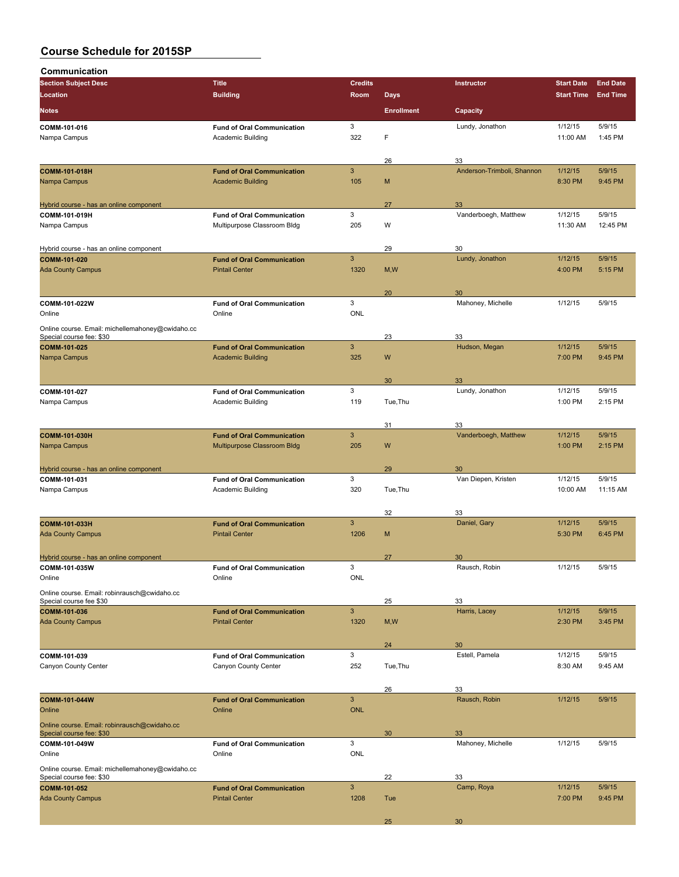| Communication                                                                |                                                               |                            |                   |                            |                     |                    |
|------------------------------------------------------------------------------|---------------------------------------------------------------|----------------------------|-------------------|----------------------------|---------------------|--------------------|
| <b>Section Subject Desc</b>                                                  | <b>Title</b>                                                  | <b>Credits</b>             |                   | Instructor                 | <b>Start Date</b>   | <b>End Date</b>    |
| Location                                                                     | <b>Building</b>                                               | Room                       | <b>Days</b>       |                            | <b>Start Time</b>   | <b>End Time</b>    |
| <b>Notes</b>                                                                 |                                                               |                            | <b>Enrollment</b> | Capacity                   |                     |                    |
| COMM-101-016                                                                 | <b>Fund of Oral Communication</b>                             | 3                          |                   | Lundy, Jonathon            | 1/12/15             | 5/9/15             |
| Nampa Campus                                                                 | <b>Academic Building</b>                                      | 322                        | F                 |                            | 11:00 AM            | 1:45 PM            |
|                                                                              |                                                               |                            | 26                | 33                         |                     |                    |
| <b>COMM-101-018H</b>                                                         | <b>Fund of Oral Communication</b>                             | $\mathbf{3}$               |                   | Anderson-Trimboli, Shannon | 1/12/15             | 5/9/15             |
| Nampa Campus                                                                 | <b>Academic Building</b>                                      | 105                        | M                 |                            | 8:30 PM             | 9:45 PM            |
| Hybrid course - has an online component                                      |                                                               |                            | 27                | 33                         |                     |                    |
| COMM-101-019H                                                                | <b>Fund of Oral Communication</b>                             | 3                          |                   | Vanderboegh, Matthew       | 1/12/15             | 5/9/15             |
| Nampa Campus                                                                 | Multipurpose Classroom Bldg                                   | 205                        | W                 |                            | 11:30 AM            | 12:45 PM           |
|                                                                              |                                                               |                            |                   |                            |                     |                    |
| Hybrid course - has an online component<br>COMM-101-020                      | <b>Fund of Oral Communication</b>                             | 3                          | 29                | 30<br>Lundy, Jonathon      | 1/12/15             | 5/9/15             |
| <b>Ada County Campus</b>                                                     | <b>Pintail Center</b>                                         | 1320                       | M, W              |                            | 4:00 PM             | 5:15 PM            |
|                                                                              |                                                               |                            |                   |                            |                     |                    |
|                                                                              |                                                               |                            | 20                | 30                         |                     |                    |
| COMM-101-022W<br>Online                                                      | <b>Fund of Oral Communication</b><br>Online                   | 3<br><b>ONL</b>            |                   | Mahoney, Michelle          | 1/12/15             | 5/9/15             |
|                                                                              |                                                               |                            |                   |                            |                     |                    |
| Online course. Email: michellemahoney@cwidaho.cc<br>Special course fee: \$30 |                                                               |                            | 23                | 33                         |                     |                    |
| COMM-101-025                                                                 | <b>Fund of Oral Communication</b>                             | $\mathbf{3}$               |                   | Hudson, Megan              | 1/12/15             | 5/9/15             |
| Nampa Campus                                                                 | <b>Academic Building</b>                                      | 325                        | W                 |                            | 7:00 PM             | 9:45 PM            |
|                                                                              |                                                               |                            | 30                | 33                         |                     |                    |
| COMM-101-027                                                                 | <b>Fund of Oral Communication</b>                             | 3                          |                   | Lundy, Jonathon            | 1/12/15             | 5/9/15             |
| Nampa Campus                                                                 | Academic Building                                             | 119                        | Tue, Thu          |                            | 1:00 PM             | 2:15 PM            |
|                                                                              |                                                               |                            |                   |                            |                     |                    |
| <b>COMM-101-030H</b>                                                         | <b>Fund of Oral Communication</b>                             | $\mathbf{3}$               | 31                | 33<br>Vanderboegh, Matthew | 1/12/15             | 5/9/15             |
| Nampa Campus                                                                 | Multipurpose Classroom Bldg                                   | 205                        | W                 |                            | 1:00 PM             | 2:15 PM            |
|                                                                              |                                                               |                            |                   |                            |                     |                    |
| Hybrid course - has an online component                                      |                                                               |                            | 29                | 30                         |                     |                    |
| COMM-101-031<br>Nampa Campus                                                 | <b>Fund of Oral Communication</b><br><b>Academic Building</b> | 3<br>320                   | Tue, Thu          | Van Diepen, Kristen        | 1/12/15<br>10:00 AM | 5/9/15<br>11:15 AM |
|                                                                              |                                                               |                            |                   |                            |                     |                    |
|                                                                              |                                                               |                            | 32                | 33                         |                     |                    |
| COMM-101-033H                                                                | <b>Fund of Oral Communication</b>                             | 3                          |                   | Daniel, Gary               | 1/12/15             | 5/9/15             |
| <b>Ada County Campus</b>                                                     | <b>Pintail Center</b>                                         | 1206                       | M                 |                            | 5:30 PM             | 6:45 PM            |
| Hybrid course - has an online component                                      |                                                               |                            | 27                | 30                         |                     |                    |
| COMM-101-035W                                                                | <b>Fund of Oral Communication</b>                             | 3                          |                   | Rausch, Robin              | 1/12/15             | 5/9/15             |
| Online                                                                       | Online                                                        | <b>ONL</b>                 |                   |                            |                     |                    |
| Online course. Email: robinrausch@cwidaho.cc                                 |                                                               |                            |                   |                            |                     |                    |
| Special course fee \$30<br>COMM-101-036                                      | <b>Fund of Oral Communication</b>                             | 3                          | 25                | 33<br>Harris, Lacey        | 1/12/15             | 5/9/15             |
| <b>Ada County Campus</b>                                                     | <b>Pintail Center</b>                                         | 1320                       | M, W              |                            | 2:30 PM             | 3:45 PM            |
|                                                                              |                                                               |                            |                   |                            |                     |                    |
|                                                                              |                                                               | 3                          | 24                | 30<br>Estell, Pamela       | 1/12/15             | 5/9/15             |
| COMM-101-039<br>Canyon County Center                                         | <b>Fund of Oral Communication</b><br>Canyon County Center     | 252                        | Tue, Thu          |                            | 8:30 AM             | 9:45 AM            |
|                                                                              |                                                               |                            |                   |                            |                     |                    |
|                                                                              |                                                               |                            | 26                | 33                         |                     |                    |
| COMM-101-044W<br>Online                                                      | <b>Fund of Oral Communication</b><br>Online                   | $\mathbf{3}$<br><b>ONL</b> |                   | Rausch, Robin              | 1/12/15             | 5/9/15             |
|                                                                              |                                                               |                            |                   |                            |                     |                    |
| Online course. Email: robinrausch@cwidaho.cc<br>Special course fee: \$30     |                                                               |                            | 30                | 33                         |                     |                    |
| COMM-101-049W                                                                | <b>Fund of Oral Communication</b>                             | 3                          |                   | Mahoney, Michelle          | 1/12/15             | 5/9/15             |
| Online                                                                       | Online                                                        | <b>ONL</b>                 |                   |                            |                     |                    |
| Online course. Email: michellemahoney@cwidaho.cc<br>Special course fee: \$30 |                                                               |                            | 22                | 33                         |                     |                    |
| COMM-101-052                                                                 | <b>Fund of Oral Communication</b>                             | $\mathbf{3}$               |                   | Camp, Roya                 | 1/12/15             | 5/9/15             |
| <b>Ada County Campus</b>                                                     | <b>Pintail Center</b>                                         | 1208                       | Tue               |                            | 7:00 PM             | 9:45 PM            |
|                                                                              |                                                               |                            |                   |                            |                     |                    |
|                                                                              |                                                               |                            | 25                | 30                         |                     |                    |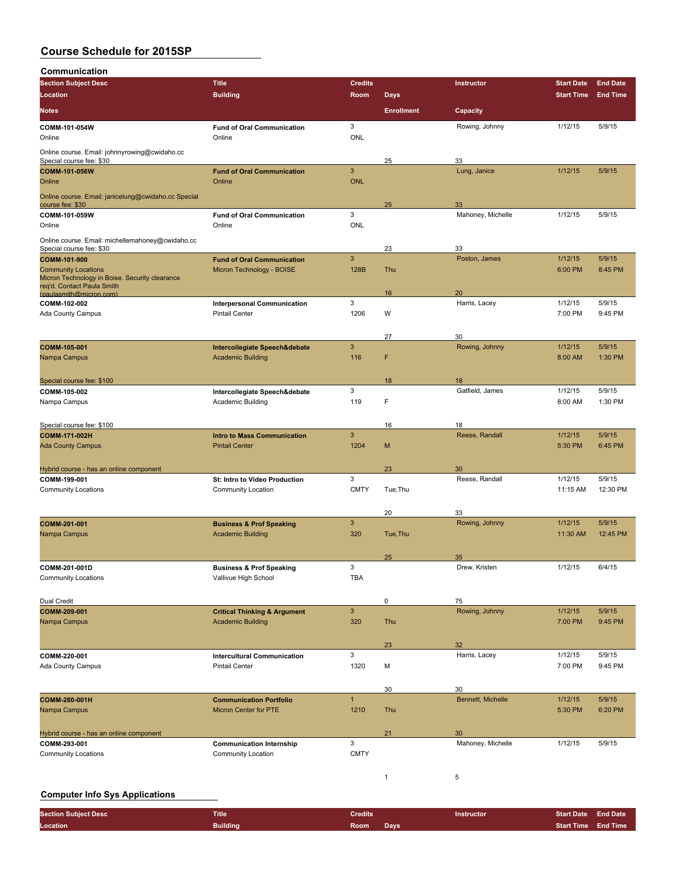**Communication**

| ,,,,,,,,,,,,,,,,,,<br><b>Section Subject Desc</b>                                                          | <b>Title</b>                                | <b>Credits</b> |                   | Instructor        | <b>Start Date</b> | <b>End Date</b> |
|------------------------------------------------------------------------------------------------------------|---------------------------------------------|----------------|-------------------|-------------------|-------------------|-----------------|
| Location                                                                                                   | <b>Building</b>                             | Room           | <b>Days</b>       |                   | <b>Start Time</b> | <b>End Time</b> |
| <b>Notes</b>                                                                                               |                                             |                | <b>Enrollment</b> | Capacity          |                   |                 |
|                                                                                                            |                                             | 3              |                   | Rowing, Johnny    | 1/12/15           | 5/9/15          |
| COMM-101-054W<br>Online                                                                                    | <b>Fund of Oral Communication</b><br>Online | <b>ONL</b>     |                   |                   |                   |                 |
| Online course. Email: johnnyrowing@cwidaho.cc<br>Special course fee: \$30                                  |                                             |                | 25                | 33                |                   |                 |
| <b>COMM-101-056W</b>                                                                                       | <b>Fund of Oral Communication</b>           | 3              |                   | Lung, Janice      | 1/12/15           | 5/9/15          |
| Online                                                                                                     | Online                                      | <b>ONL</b>     |                   |                   |                   |                 |
| Online course. Email: janicelung@cwidaho.cc Special<br>course fee: \$30                                    |                                             |                | 25                | 33                |                   |                 |
| COMM-101-059W                                                                                              | <b>Fund of Oral Communication</b>           | 3              |                   | Mahoney, Michelle | 1/12/15           | 5/9/15          |
| Online                                                                                                     | Online                                      | <b>ONL</b>     |                   |                   |                   |                 |
| Online course. Email: michellemahoney@cwidaho.cc<br>Special course fee: \$30                               |                                             |                | 23                | 33                |                   |                 |
| COMM-101-900                                                                                               | <b>Fund of Oral Communication</b>           | 3              |                   | Poston, James     | 1/12/15           | 5/9/15          |
| <b>Community Locations</b><br>Micron Technology in Boise. Security clearance<br>req'd. Contact Paula Smith | Micron Technology - BOISE                   | 128B           | Thu               |                   | 6:00 PM           | 8:45 PM         |
| (paulasmith@micron.com)                                                                                    |                                             |                | 16                | 20                |                   |                 |
| COMM-102-002                                                                                               | <b>Interpersonal Communication</b>          | 3              |                   | Harris, Lacey     | 1/12/15           | 5/9/15          |
| Ada County Campus                                                                                          | <b>Pintail Center</b>                       | 1206           | W                 |                   | 7:00 PM           | 9:45 PM         |
|                                                                                                            |                                             |                | 27                | 30                |                   |                 |
| COMM-105-001                                                                                               | Intercollegiate Speech&debate               | 3              |                   | Rowing, Johnny    | 1/12/15           | 5/9/15          |
| Nampa Campus                                                                                               | <b>Academic Building</b>                    | 116            | F                 |                   | 8:00 AM           | 1:30 PM         |
| Special course fee: \$100                                                                                  |                                             |                | 18                | 18                |                   |                 |
| COMM-105-002                                                                                               | Intercollegiate Speech&debate               | 3              |                   | Gatfield, James   | 1/12/15           | 5/9/15          |
| Nampa Campus                                                                                               | Academic Building                           | 119            | F                 |                   | 8:00 AM           | 1:30 PM         |
|                                                                                                            |                                             |                |                   |                   |                   |                 |
| Special course fee: \$100                                                                                  |                                             |                | 16                | 18                |                   |                 |
| COMM-171-002H                                                                                              | <b>Intro to Mass Communication</b>          | 3              |                   | Reese, Randall    | 1/12/15           | 5/9/15          |
| <b>Ada County Campus</b>                                                                                   | <b>Pintail Center</b>                       | 1204           | M                 |                   | 5:30 PM           | 6:45 PM         |
|                                                                                                            |                                             |                |                   |                   |                   |                 |
| Hybrid course - has an online component                                                                    |                                             |                | 23                | 30                |                   |                 |
| COMM-199-001                                                                                               | St: Intro to Video Production               | 3              |                   | Reese, Randall    | 1/12/15           | 5/9/15          |
| <b>Community Locations</b>                                                                                 | <b>Community Location</b>                   | <b>CMTY</b>    | Tue, Thu          |                   | 11:15 AM          | 12:30 PM        |
|                                                                                                            |                                             |                |                   |                   |                   |                 |
|                                                                                                            |                                             |                | 20                | 33                |                   |                 |
| COMM-201-001                                                                                               | <b>Business &amp; Prof Speaking</b>         | 3              |                   | Rowing, Johnny    | 1/12/15           | 5/9/15          |
| Nampa Campus                                                                                               | <b>Academic Building</b>                    | 320            | Tue, Thu          |                   | 11:30 AM          | 12:45 PM        |
|                                                                                                            |                                             |                |                   |                   |                   |                 |
|                                                                                                            |                                             |                | 25                | 35                |                   |                 |
| COMM-201-001D                                                                                              | <b>Business &amp; Prof Speaking</b>         | 3              |                   | Drew, Kristen     | 1/12/15           | 6/4/15          |
| <b>Community Locations</b>                                                                                 | Vallivue High School                        | <b>TBA</b>     |                   |                   |                   |                 |
|                                                                                                            |                                             |                |                   |                   |                   |                 |
| Dual Credit                                                                                                |                                             |                | 0                 | 75                |                   |                 |
| COMM-209-001                                                                                               | <b>Critical Thinking &amp; Argument</b>     | 3              |                   | Rowing, Johnny    | 1/12/15           | 5/9/15          |
| Nampa Campus                                                                                               | <b>Academic Building</b>                    | 320            | Thu               |                   | 7:00 PM           | 9:45 PM         |
|                                                                                                            |                                             |                |                   |                   |                   |                 |
|                                                                                                            |                                             |                | 23                | 32                |                   |                 |
| COMM-220-001                                                                                               | <b>Intercultural Communication</b>          | 3              |                   | Harris, Lacey     | 1/12/15           | 5/9/15          |
| Ada County Campus                                                                                          | <b>Pintail Center</b>                       | 1320           | М                 |                   | 7:00 PM           | 9:45 PM         |
|                                                                                                            |                                             |                |                   |                   |                   |                 |
|                                                                                                            |                                             |                | 30                | 30                |                   |                 |
| COMM-280-001H                                                                                              | <b>Communication Portfolio</b>              | $\mathbf{1}$   |                   | Bennett, Michelle | 1/12/15           | 5/9/15          |
| Nampa Campus                                                                                               | <b>Micron Center for PTE</b>                | 1210           | Thu               |                   | 5:30 PM           | 6:20 PM         |
|                                                                                                            |                                             |                |                   |                   |                   |                 |
| Hybrid course - has an online component                                                                    |                                             |                | 21                | 30                |                   |                 |
| COMM-293-001                                                                                               | <b>Communication Internship</b>             | 3              |                   | Mahoney, Michelle | 1/12/15           | 5/9/15          |
| <b>Community Locations</b>                                                                                 | <b>Community Location</b>                   | <b>CMTY</b>    |                   |                   |                   |                 |
|                                                                                                            |                                             |                |                   |                   |                   |                 |
|                                                                                                            |                                             |                | $\mathbf{1}$      | 5                 |                   |                 |
|                                                                                                            |                                             |                |                   |                   |                   |                 |

#### **Computer Info Sys Applications**

| <b>Section Subject Desc</b> | Title           | <b>Credits</b> | <b>Instructor</b> | <b>Start Date End Date</b> |  |
|-----------------------------|-----------------|----------------|-------------------|----------------------------|--|
| Location                    | <b>Building</b> | Room<br>Days   |                   | Start Time End Time        |  |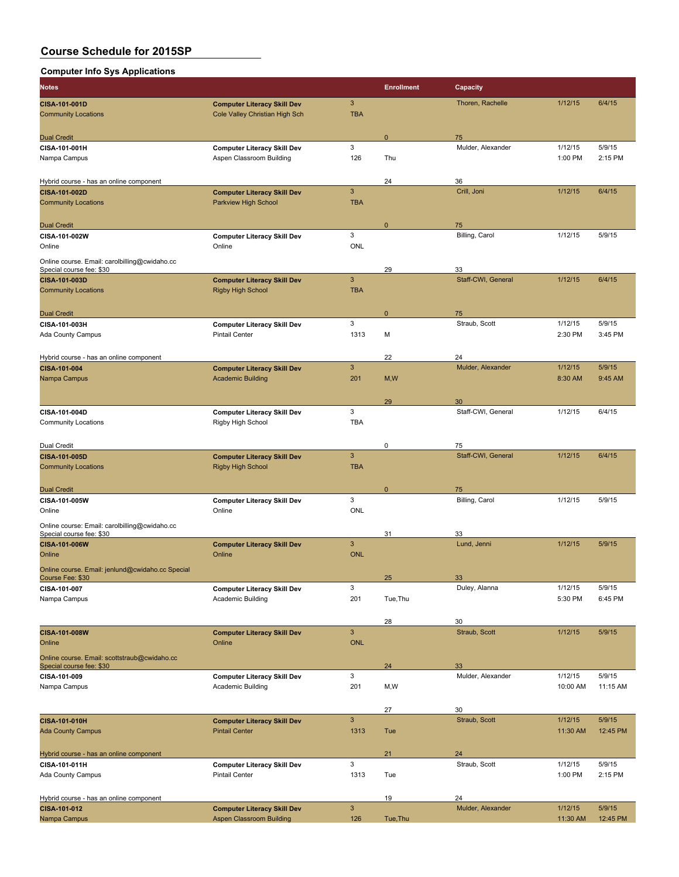| <b>Computer Info Sys Applications</b>                                     |                                                             |                           |                   |                          |                    |                   |
|---------------------------------------------------------------------------|-------------------------------------------------------------|---------------------------|-------------------|--------------------------|--------------------|-------------------|
| Notes                                                                     |                                                             |                           | <b>Enrollment</b> | Capacity                 |                    |                   |
| CISA-101-001D                                                             | <b>Computer Literacy Skill Dev</b>                          | $\ensuremath{\mathsf{3}}$ |                   | Thoren, Rachelle         | 1/12/15            | 6/4/15            |
| <b>Community Locations</b>                                                | Cole Valley Christian High Sch                              | <b>TBA</b>                |                   |                          |                    |                   |
|                                                                           |                                                             |                           |                   |                          |                    |                   |
| <b>Dual Credit</b>                                                        |                                                             |                           | $\mathbf 0$       | 75                       |                    |                   |
| CISA-101-001H                                                             | <b>Computer Literacy Skill Dev</b>                          | 3                         |                   | Mulder, Alexander        | 1/12/15            | 5/9/15            |
| Nampa Campus                                                              | Aspen Classroom Building                                    | 126                       | Thu               |                          | 1:00 PM            | 2:15 PM           |
|                                                                           |                                                             |                           |                   |                          |                    |                   |
| Hybrid course - has an online component                                   |                                                             |                           | 24                | 36                       |                    |                   |
| CISA-101-002D                                                             | <b>Computer Literacy Skill Dev</b>                          | 3                         |                   | Crill, Joni              | 1/12/15            | 6/4/15            |
| <b>Community Locations</b>                                                | <b>Parkview High School</b>                                 | <b>TBA</b>                |                   |                          |                    |                   |
|                                                                           |                                                             |                           |                   |                          |                    |                   |
| <b>Dual Credit</b>                                                        |                                                             | 3                         | $\mathbf 0$       | 75<br>Billing, Carol     | 1/12/15            | 5/9/15            |
| CISA-101-002W<br>Online                                                   | <b>Computer Literacy Skill Dev</b><br>Online                | <b>ONL</b>                |                   |                          |                    |                   |
|                                                                           |                                                             |                           |                   |                          |                    |                   |
| Online course. Email: carolbilling@cwidaho.cc<br>Special course fee: \$30 |                                                             |                           | 29                | 33                       |                    |                   |
| CISA-101-003D                                                             | <b>Computer Literacy Skill Dev</b>                          | 3                         |                   | Staff-CWI, General       | 1/12/15            | 6/4/15            |
| <b>Community Locations</b>                                                | <b>Rigby High School</b>                                    | <b>TBA</b>                |                   |                          |                    |                   |
|                                                                           |                                                             |                           |                   |                          |                    |                   |
| <b>Dual Credit</b>                                                        |                                                             |                           | $\mathbf 0$       | 75                       |                    |                   |
| CISA-101-003H                                                             | <b>Computer Literacy Skill Dev</b>                          | 3                         |                   | Straub, Scott            | 1/12/15            | 5/9/15            |
| Ada County Campus                                                         | <b>Pintail Center</b>                                       | 1313                      | M                 |                          | 2:30 PM            | 3:45 PM           |
|                                                                           |                                                             |                           |                   |                          |                    |                   |
| Hybrid course - has an online component                                   |                                                             |                           | 22                | 24                       |                    |                   |
| CISA-101-004                                                              | <b>Computer Literacy Skill Dev</b>                          | 3                         |                   | Mulder, Alexander        | 1/12/15            | 5/9/15            |
| Nampa Campus                                                              | <b>Academic Building</b>                                    | 201                       | M, W              |                          | 8:30 AM            | 9:45 AM           |
|                                                                           |                                                             |                           |                   |                          |                    |                   |
|                                                                           |                                                             |                           | 29                | 30                       |                    |                   |
| CISA-101-004D                                                             | <b>Computer Literacy Skill Dev</b>                          | 3                         |                   | Staff-CWI, General       | 1/12/15            | 6/4/15            |
| <b>Community Locations</b>                                                | Rigby High School                                           | <b>TBA</b>                |                   |                          |                    |                   |
|                                                                           |                                                             |                           |                   |                          |                    |                   |
| Dual Credit<br>CISA-101-005D                                              | <b>Computer Literacy Skill Dev</b>                          | 3                         | 0                 | 75<br>Staff-CWI, General | 1/12/15            | 6/4/15            |
| <b>Community Locations</b>                                                | <b>Rigby High School</b>                                    | <b>TBA</b>                |                   |                          |                    |                   |
|                                                                           |                                                             |                           |                   |                          |                    |                   |
| <b>Dual Credit</b>                                                        |                                                             |                           | $\mathbf{0}$      | 75                       |                    |                   |
| CISA-101-005W                                                             | <b>Computer Literacy Skill Dev</b>                          | 3                         |                   | Billing, Carol           | 1/12/15            | 5/9/15            |
| Online                                                                    | Online                                                      | <b>ONL</b>                |                   |                          |                    |                   |
| Online course: Email: carolbilling@cwidaho.cc                             |                                                             |                           |                   |                          |                    |                   |
| Special course fee: \$30                                                  |                                                             |                           | 31                | 33                       |                    |                   |
| CISA-101-006W                                                             | <b>Computer Literacy Skill Dev</b>                          | 3                         |                   | Lund, Jenni              | 1/12/15            | 5/9/15            |
| Online                                                                    | Online                                                      | <b>ONL</b>                |                   |                          |                    |                   |
| Online course. Email: jenlund@cwidaho.cc Special                          |                                                             |                           |                   |                          |                    |                   |
| Course Fee: \$30                                                          |                                                             |                           | 25                | 33                       |                    |                   |
| CISA-101-007<br>Nampa Campus                                              | <b>Computer Literacy Skill Dev</b><br>Academic Building     | 3<br>201                  | Tue, Thu          | Duley, Alanna            | 1/12/15<br>5:30 PM | 5/9/15<br>6:45 PM |
|                                                                           |                                                             |                           |                   |                          |                    |                   |
|                                                                           |                                                             |                           | 28                | 30                       |                    |                   |
| CISA-101-008W                                                             | <b>Computer Literacy Skill Dev</b>                          | 3                         |                   | Straub, Scott            | 1/12/15            | 5/9/15            |
| Online                                                                    | Online                                                      | <b>ONL</b>                |                   |                          |                    |                   |
| Online course. Email: scottstraub@cwidaho.cc                              |                                                             |                           |                   |                          |                    |                   |
| Special course fee: \$30                                                  |                                                             |                           | 24                | 33                       |                    |                   |
| CISA-101-009                                                              | <b>Computer Literacy Skill Dev</b>                          | 3                         |                   | Mulder, Alexander        | 1/12/15            | 5/9/15            |
| Nampa Campus                                                              | Academic Building                                           | 201                       | M, W              |                          | 10:00 AM           | 11:15 AM          |
|                                                                           |                                                             |                           |                   |                          |                    |                   |
|                                                                           |                                                             |                           | 27                | 30                       |                    |                   |
| CISA-101-010H                                                             | <b>Computer Literacy Skill Dev</b>                          | 3                         |                   | Straub, Scott            | 1/12/15            | 5/9/15            |
| <b>Ada County Campus</b>                                                  | <b>Pintail Center</b>                                       | 1313                      | Tue               |                          | 11:30 AM           | 12:45 PM          |
|                                                                           |                                                             |                           |                   |                          |                    |                   |
| Hybrid course - has an online component                                   |                                                             |                           | 21                | 24                       |                    |                   |
| CISA-101-011H                                                             | <b>Computer Literacy Skill Dev</b><br><b>Pintail Center</b> | 3<br>1313                 | Tue               | Straub, Scott            | 1/12/15<br>1:00 PM | 5/9/15<br>2:15 PM |
| Ada County Campus                                                         |                                                             |                           |                   |                          |                    |                   |
| Hybrid course - has an online component                                   |                                                             |                           | 19                | 24                       |                    |                   |
| CISA-101-012                                                              | <b>Computer Literacy Skill Dev</b>                          | $\ensuremath{\mathsf{3}}$ |                   | Mulder, Alexander        | 1/12/15            | 5/9/15            |
| Nampa Campus                                                              | <b>Aspen Classroom Building</b>                             | 126                       | Tue, Thu          |                          | 11:30 AM           | 12:45 PM          |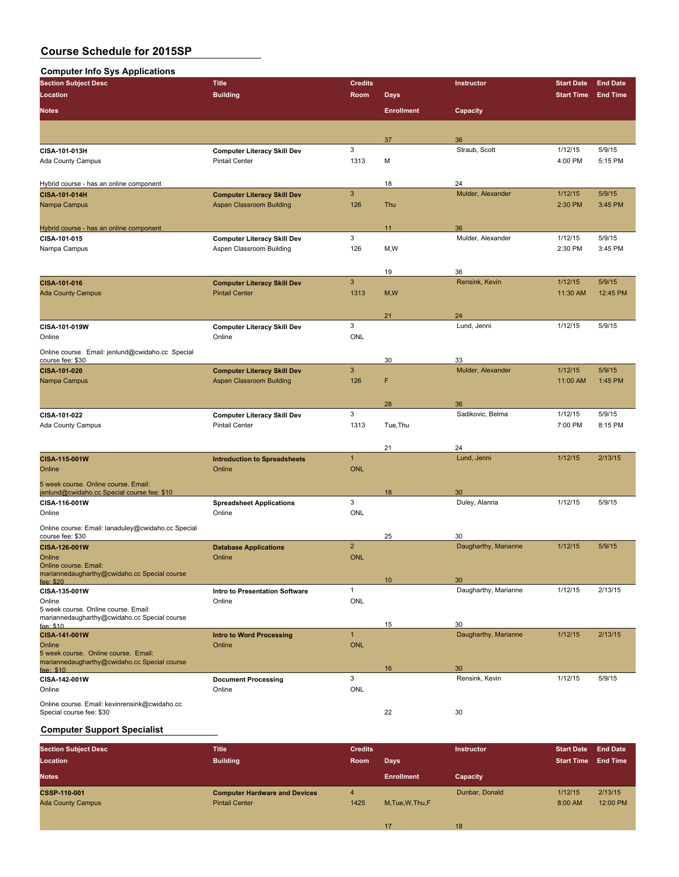### **Computer Info Sys Applications**

| - r r<br><b>Section Subject Desc</b>                                                 | <b>Title</b>                                 | <b>Credits</b> |                   | Instructor           | <b>Start Date</b> | <b>End Date</b> |
|--------------------------------------------------------------------------------------|----------------------------------------------|----------------|-------------------|----------------------|-------------------|-----------------|
| Location                                                                             | <b>Building</b>                              | Room           | <b>Days</b>       |                      | <b>Start Time</b> | <b>End Time</b> |
|                                                                                      |                                              |                |                   |                      |                   |                 |
| <b>Notes</b>                                                                         |                                              |                | <b>Enrollment</b> | Capacity             |                   |                 |
|                                                                                      |                                              |                |                   |                      |                   |                 |
|                                                                                      |                                              |                | 37                | 36                   |                   |                 |
| CISA-101-013H                                                                        | <b>Computer Literacy Skill Dev</b>           | 3              |                   | Straub, Scott        | 1/12/15           | 5/9/15          |
| Ada County Campus                                                                    | <b>Pintail Center</b>                        | 1313           | М                 |                      | 4:00 PM           | 5:15 PM         |
|                                                                                      |                                              |                |                   | 24                   |                   |                 |
| Hybrid course - has an online component<br>CISA-101-014H                             | <b>Computer Literacy Skill Dev</b>           | $\mathbf{3}$   | 18                | Mulder, Alexander    | 1/12/15           | 5/9/15          |
| Nampa Campus                                                                         | <b>Aspen Classroom Building</b>              | 126            | Thu               |                      | 2:30 PM           | 3:45 PM         |
|                                                                                      |                                              |                |                   |                      |                   |                 |
| Hybrid course - has an online component                                              |                                              |                | 11                | 36                   |                   |                 |
| CISA-101-015                                                                         | <b>Computer Literacy Skill Dev</b>           | 3              |                   | Mulder, Alexander    | 1/12/15           | 5/9/15          |
| Nampa Campus                                                                         | Aspen Classroom Building                     | 126            | M,W               |                      | 2:30 PM           | 3:45 PM         |
|                                                                                      |                                              |                |                   |                      |                   |                 |
|                                                                                      |                                              |                | 19                | 36                   |                   |                 |
| CISA-101-016                                                                         | <b>Computer Literacy Skill Dev</b>           | $\mathbf{3}$   |                   | Rensink, Kevin       | 1/12/15           | 5/9/15          |
| <b>Ada County Campus</b>                                                             | <b>Pintail Center</b>                        | 1313           | M, W              |                      | 11:30 AM          | 12:45 PM        |
|                                                                                      |                                              |                |                   |                      |                   |                 |
|                                                                                      |                                              | 3              | 21                | 24                   |                   |                 |
| CISA-101-019W<br>Online                                                              | <b>Computer Literacy Skill Dev</b><br>Online | ONL            |                   | Lund, Jenni          | 1/12/15           | 5/9/15          |
|                                                                                      |                                              |                |                   |                      |                   |                 |
| Online course. Email: jenlund@cwidaho.cc Special<br>course fee: \$30                 |                                              |                | 30                | 33                   |                   |                 |
| CISA-101-020                                                                         | <b>Computer Literacy Skill Dev</b>           | $\mathbf{3}$   |                   | Mulder, Alexander    | 1/12/15           | 5/9/15          |
| Nampa Campus                                                                         | Aspen Classroom Building                     | 126            | F                 |                      | 11:00 AM          | 1:45 PM         |
|                                                                                      |                                              |                |                   |                      |                   |                 |
|                                                                                      |                                              |                | 28                | 36                   |                   |                 |
| CISA-101-022                                                                         | <b>Computer Literacy Skill Dev</b>           | 3              |                   | Sadikovic, Belma     | 1/12/15           | 5/9/15          |
| Ada County Campus                                                                    | <b>Pintail Center</b>                        | 1313           | Tue, Thu          |                      | 7:00 PM           | 8:15 PM         |
|                                                                                      |                                              |                |                   |                      |                   |                 |
|                                                                                      |                                              |                | 21                | 24                   |                   |                 |
| CISA-115-001W                                                                        | <b>Introduction to Spreadsheets</b>          | $\mathbf{1}$   |                   | Lund, Jenni          | 1/12/15           | 2/13/15         |
| Online                                                                               | Online                                       | <b>ONL</b>     |                   |                      |                   |                 |
| 5 week course. Online course. Email:                                                 |                                              |                |                   |                      |                   |                 |
| jenlund@cwidaho.cc Special course fee: \$10                                          |                                              |                | 18                | 30                   |                   |                 |
| CISA-116-001W                                                                        | <b>Spreadsheet Applications</b>              | 3              |                   | Duley, Alanna        | 1/12/15           | 5/9/15          |
| Online                                                                               | Online                                       | <b>ONL</b>     |                   |                      |                   |                 |
| Online course: Email: lanaduley@cwidaho.cc Special                                   |                                              |                |                   | 30                   |                   |                 |
| course fee: \$30<br>CISA-126-001W                                                    | <b>Database Applications</b>                 | $\overline{2}$ | 25                | Daugharthy, Marianne | 1/12/15           | 5/9/15          |
| Online                                                                               | Online                                       | <b>ONL</b>     |                   |                      |                   |                 |
| Online course, Email:                                                                |                                              |                |                   |                      |                   |                 |
| mariannedaugharthy@cwidaho.cc Special course<br>fee: $$20$                           |                                              |                | 10                | 30                   |                   |                 |
| CISA-135-001W                                                                        | Intro to Presentation Software               | $\mathbf{1}$   |                   | Daugharthy, Marianne | 1/12/15           | 2/13/15         |
| Online                                                                               | Online                                       | <b>ONL</b>     |                   |                      |                   |                 |
| 5 week course. Online course. Email:                                                 |                                              |                |                   |                      |                   |                 |
| mariannedaugharthy@cwidaho.cc Special course<br>fee: \$10                            |                                              |                | 15                | 30                   |                   |                 |
| CISA-141-001W                                                                        | <b>Intro to Word Processing</b>              | $\mathbf{1}$   |                   | Daugharthy, Marianne | 1/12/15           | 2/13/15         |
| Online                                                                               | Online                                       | <b>ONL</b>     |                   |                      |                   |                 |
| 5 week course. Online course. Email:<br>mariannedaugharthy@cwidaho.cc Special course |                                              |                |                   |                      |                   |                 |
| fee: $$10$                                                                           |                                              |                | 16                | 30                   |                   |                 |
| CISA-142-001W                                                                        | <b>Document Processing</b>                   | 3              |                   | Rensink, Kevin       | 1/12/15           | 5/9/15          |
| Online                                                                               | Online                                       | ONL            |                   |                      |                   |                 |
| Online course. Email: kevinrensink@cwidaho.cc                                        |                                              |                |                   |                      |                   |                 |
| Special course fee: \$30                                                             |                                              |                | 22                | 30                   |                   |                 |

## **Computer Support Specialist**

| <b>Section Subject Desc</b> | <b>Title</b>                         | <b>Credits</b> |                   | <b>Instructor</b> | <b>Start Date</b> | <b>End Date</b> |
|-----------------------------|--------------------------------------|----------------|-------------------|-------------------|-------------------|-----------------|
| Location                    | <b>Building</b>                      | Room           | <b>Days</b>       |                   | <b>Start Time</b> | <b>End Time</b> |
| <b>Notes</b>                |                                      |                | <b>Enrollment</b> | Capacity          |                   |                 |
| <b>CSSP-110-001</b>         | <b>Computer Hardware and Devices</b> | 4              |                   | Dunbar, Donald    | 1/12/15           | 2/13/15         |
| <b>Ada County Campus</b>    | <b>Pintail Center</b>                | 1425           | M.Tue, W.Thu, F   |                   | 8:00 AM           | 12:00 PM        |
|                             |                                      |                |                   |                   |                   |                 |
|                             |                                      |                | 17                | 18                |                   |                 |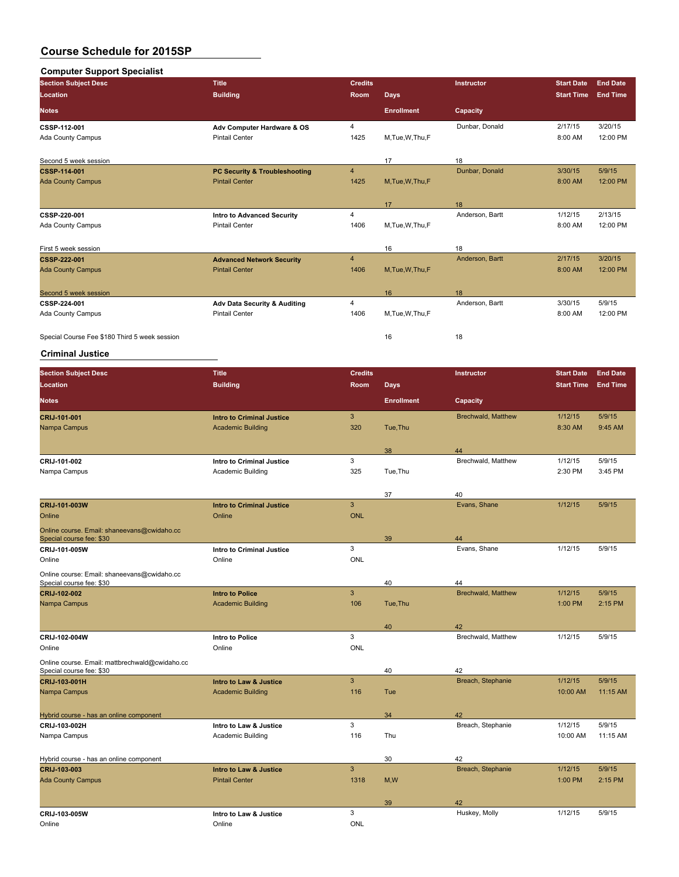| <b>Computer Support Specialist</b>            |                                   |                |                   |                 |                   |                 |
|-----------------------------------------------|-----------------------------------|----------------|-------------------|-----------------|-------------------|-----------------|
| <b>Section Subject Desc</b>                   | <b>Title</b>                      | <b>Credits</b> |                   | Instructor      | <b>Start Date</b> | <b>End Date</b> |
| Location                                      | <b>Building</b>                   | <b>Room</b>    | Days,             |                 | <b>Start Time</b> | <b>End Time</b> |
| <b>Notes</b>                                  |                                   |                | <b>Enrollment</b> | Capacity        |                   |                 |
| CSSP-112-001                                  | Adv Computer Hardware & OS        | 4              |                   | Dunbar, Donald  | 2/17/15           | 3/20/15         |
| Ada County Campus                             | <b>Pintail Center</b>             | 1425           | M,Tue,W,Thu,F     |                 | 8:00 AM           | 12:00 PM        |
| Second 5 week session                         |                                   |                | 17                | 18              |                   |                 |
| <b>CSSP-114-001</b>                           | PC Security & Troubleshooting     | $\overline{4}$ |                   | Dunbar, Donald  | 3/30/15           | 5/9/15          |
| <b>Ada County Campus</b>                      | <b>Pintail Center</b>             | 1425           | M, Tue, W, Thu, F |                 | 8:00 AM           | 12:00 PM        |
|                                               |                                   |                | 17                | 18              |                   |                 |
| CSSP-220-001                                  | <b>Intro to Advanced Security</b> | 4              |                   | Anderson, Bartt | 1/12/15           | 2/13/15         |
| Ada County Campus                             | <b>Pintail Center</b>             | 1406           | M, Tue, W, Thu, F |                 | 8:00 AM           | 12:00 PM        |
| First 5 week session                          |                                   |                | 16                | 18              |                   |                 |
| <b>CSSP 222 001</b>                           | <b>Advanced Network Security</b>  | $\overline{4}$ |                   | Anderson, Bartt | 2/17/15           | 3/20/15         |
| <b>Ada County Campus</b>                      | <b>Pintail Center</b>             | 1406           | M, Tue, W, Thu, F |                 | 8:00 AM           | 12:00 PM        |
| Second 5 week session                         |                                   |                | 16                | 18              |                   |                 |
| CSSP-224-001                                  | Adv Data Security & Auditing      | 4              |                   | Anderson, Bartt | 3/30/15           | 5/9/15          |
| Ada County Campus                             | <b>Pintail Center</b>             | 1406           | M,Tue,W,Thu,F     |                 | 8:00 AM           | 12:00 PM        |
| Special Course Fee \$180 Third 5 week session |                                   |                | 16                | 18              |                   |                 |

#### **Criminal Justice**

| <b>Section Subject Desc</b>                                                | <b>Title</b>                                       | <b>Credits</b> |                   | Instructor                | <b>Start Date</b>  | <b>End Date</b>   |
|----------------------------------------------------------------------------|----------------------------------------------------|----------------|-------------------|---------------------------|--------------------|-------------------|
| Location                                                                   | <b>Building</b>                                    | Room           | <b>Days</b>       |                           | <b>Start Time</b>  | <b>End Time</b>   |
| <b>Notes</b>                                                               |                                                    |                | <b>Enrollment</b> | Capacity                  |                    |                   |
| CRIJ-101-001                                                               | <b>Intro to Criminal Justice</b>                   | $\mathbf{3}$   |                   | <b>Brechwald, Matthew</b> | 1/12/15            | 5/9/15            |
| Nampa Campus                                                               | <b>Academic Building</b>                           | 320            | Tue.Thu           |                           | 8:30 AM            | 9:45 AM           |
|                                                                            |                                                    |                |                   |                           |                    |                   |
|                                                                            |                                                    |                | 38                | 44                        |                    |                   |
| CRIJ-101-002                                                               | Intro to Criminal Justice                          | 3              |                   | Brechwald, Matthew        | 1/12/15            | 5/9/15            |
| Nampa Campus                                                               | Academic Building                                  | 325            | Tue, Thu          |                           | 2:30 PM            | 3:45 PM           |
|                                                                            |                                                    |                |                   |                           |                    |                   |
|                                                                            |                                                    |                | 37                | 40                        |                    |                   |
| CRIJ-101-003W                                                              | <b>Intro to Criminal Justice</b>                   | $\mathbf{3}$   |                   | Evans, Shane              | 1/12/15            | 5/9/15            |
| Online                                                                     | Online                                             | <b>ONL</b>     |                   |                           |                    |                   |
| Online course. Email: shaneevans@cwidaho.cc                                |                                                    |                |                   |                           |                    |                   |
| Special course fee: \$30                                                   |                                                    |                | 39                | 44                        |                    |                   |
| CRIJ-101-005W                                                              | <b>Intro to Criminal Justice</b>                   | 3              |                   | Evans, Shane              | 1/12/15            | 5/9/15            |
| Online                                                                     | Online                                             | <b>ONL</b>     |                   |                           |                    |                   |
| Online course: Email: shaneevans@cwidaho.cc                                |                                                    |                |                   |                           |                    |                   |
| Special course fee: \$30                                                   |                                                    | 3              | 40                | 44                        |                    |                   |
| CRIJ-102-002                                                               | <b>Intro to Police</b><br><b>Academic Building</b> | 106            | Tue, Thu          | <b>Brechwald, Matthew</b> | 1/12/15<br>1:00 PM | 5/9/15<br>2:15 PM |
| Nampa Campus                                                               |                                                    |                |                   |                           |                    |                   |
|                                                                            |                                                    |                | 40                | 42                        |                    |                   |
| CRIJ-102-004W                                                              | <b>Intro to Police</b>                             | 3              |                   | Brechwald, Matthew        | 1/12/15            | 5/9/15            |
| Online                                                                     | Online                                             | <b>ONL</b>     |                   |                           |                    |                   |
|                                                                            |                                                    |                |                   |                           |                    |                   |
| Online course. Email: mattbrechwald@cwidaho.cc<br>Special course fee: \$30 |                                                    |                | 40                | 42                        |                    |                   |
| CRIJ-103-001H                                                              | Intro to Law & Justice                             | 3              |                   | Breach, Stephanie         | 1/12/15            | 5/9/15            |
| Nampa Campus                                                               | <b>Academic Building</b>                           | 116            | Tue               |                           | 10:00 AM           | 11:15 AM          |
|                                                                            |                                                    |                |                   |                           |                    |                   |
| Hybrid course - has an online component                                    |                                                    |                | 34                | 42                        |                    |                   |
| CRIJ-103-002H                                                              | Intro to Law & Justice                             | 3              |                   | Breach, Stephanie         | 1/12/15            | 5/9/15            |
| Nampa Campus                                                               | <b>Academic Building</b>                           | 116            | Thu               |                           | 10:00 AM           | 11:15 AM          |
|                                                                            |                                                    |                |                   |                           |                    |                   |
| Hybrid course - has an online component                                    |                                                    |                | 30                | 42                        |                    |                   |
| CRIJ-103-003                                                               | Intro to Law & Justice                             | $\overline{3}$ |                   | Breach, Stephanie         | 1/12/15            | 5/9/15            |
| <b>Ada County Campus</b>                                                   | <b>Pintail Center</b>                              | 1318           | M, W              |                           | 1:00 PM            | 2:15 PM           |
|                                                                            |                                                    |                |                   |                           |                    |                   |
|                                                                            |                                                    |                | 39                | 42                        |                    |                   |
| CRIJ-103-005W                                                              | Intro to Law & Justice                             | 3              |                   | Huskey, Molly             | 1/12/15            | 5/9/15            |
| Online                                                                     | Online                                             | ONL            |                   |                           |                    |                   |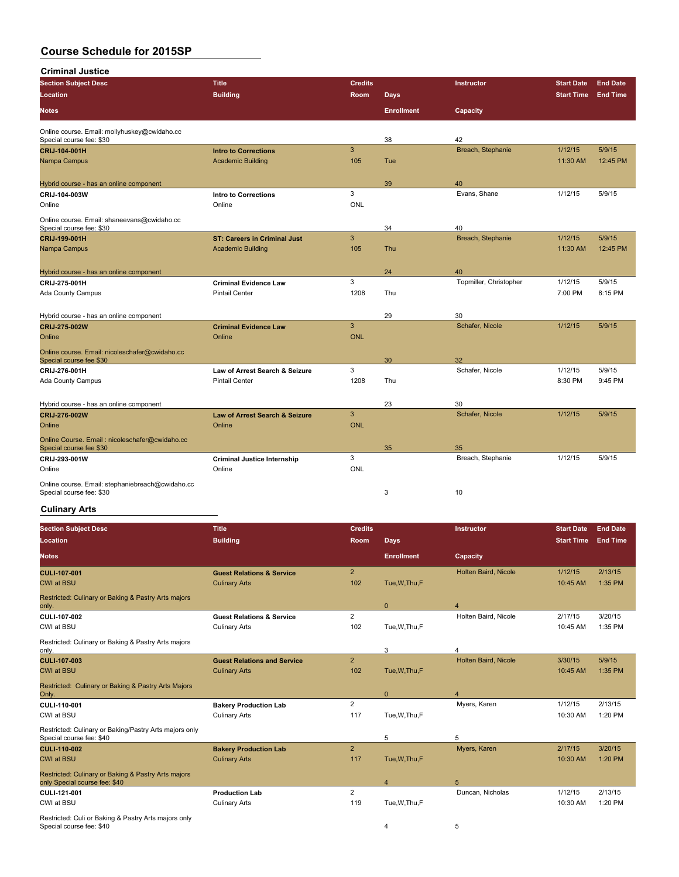**Criminal Justice**

| <b>Section Subject Desc</b>                                               | <b>Title</b>                              | <b>Credits</b> |                   | Instructor             | <b>Start Date</b> | <b>End Date</b> |
|---------------------------------------------------------------------------|-------------------------------------------|----------------|-------------------|------------------------|-------------------|-----------------|
| <b>Location</b>                                                           | <b>Building</b>                           | Room           | <b>Days</b>       |                        | <b>Start Time</b> | <b>End Time</b> |
| <b>Notes</b>                                                              |                                           |                | <b>Enrollment</b> | Capacity               |                   |                 |
| Online course. Email: mollyhuskey@cwidaho.cc<br>Special course fee: \$30  |                                           |                | 38                | 42                     |                   |                 |
| CRIJ-104-001H                                                             | <b>Intro to Corrections</b>               | $\overline{3}$ |                   | Breach, Stephanie      | 1/12/15           | 5/9/15          |
| Nampa Campus                                                              | <b>Academic Building</b>                  | 105            | Tue               |                        | 11:30 AM          | 12:45 PM        |
| Hybrid course - has an online component                                   |                                           |                | 39                | 40                     |                   |                 |
| CRIJ-104-003W                                                             | <b>Intro to Corrections</b>               | 3              |                   | Evans, Shane           | 1/12/15           | 5/9/15          |
| Online                                                                    | Online                                    | ONL            |                   |                        |                   |                 |
| Online course. Email: shaneevans@cwidaho.cc                               |                                           |                |                   |                        |                   |                 |
| Special course fee: \$30                                                  |                                           |                | 34                | 40                     |                   |                 |
| CRIJ-199-001H                                                             | <b>ST: Careers in Criminal Just</b>       | $\overline{3}$ |                   | Breach, Stephanie      | 1/12/15           | 5/9/15          |
| Nampa Campus                                                              | <b>Academic Building</b>                  | 105            | Thu               |                        | 11:30 AM          | 12:45 PM        |
| Hybrid course - has an online component                                   |                                           |                | 24                | 40                     |                   |                 |
| CRIJ-275-001H                                                             | <b>Criminal Evidence Law</b>              | 3              |                   | Topmiller, Christopher | 1/12/15           | 5/9/15          |
| <b>Ada County Campus</b>                                                  | <b>Pintail Center</b>                     | 1208           | Thu               |                        | 7:00 PM           | 8:15 PM         |
| Hybrid course - has an online component                                   |                                           |                | 29                | 30                     |                   |                 |
| CRIJ-275-002W                                                             | <b>Criminal Evidence Law</b>              | $\overline{3}$ |                   | Schafer, Nicole        | 1/12/15           | 5/9/15          |
| Online                                                                    | Online                                    | <b>ONL</b>     |                   |                        |                   |                 |
|                                                                           |                                           |                |                   |                        |                   |                 |
| Online course. Email: nicoleschafer@cwidaho.cc<br>Special course fee \$30 |                                           |                | 30                | 32                     |                   |                 |
| CRIJ-276-001H                                                             | Law of Arrest Search & Seizure            | 3              |                   | Schafer, Nicole        | 1/12/15           | 5/9/15          |
| Ada County Campus                                                         | <b>Pintail Center</b>                     | 1208           | Thu               |                        | 8:30 PM           | 9:45 PM         |
|                                                                           |                                           |                |                   | 30                     |                   |                 |
| Hybrid course - has an online component<br>CRIJ 276 002W                  | <b>Law of Arrest Search &amp; Seizure</b> | 3              | 23                | Schafer, Nicole        | 1/12/15           | 5/9/15          |
| Online                                                                    | Online                                    | <b>ONL</b>     |                   |                        |                   |                 |
|                                                                           |                                           |                |                   |                        |                   |                 |
| Online Course. Email: nicoleschafer@cwidaho.cc<br>Special course fee \$30 |                                           |                | 35                | 35                     |                   |                 |
| CRIJ-293-001W                                                             | <b>Criminal Justice Internship</b>        | 3              |                   | Breach, Stephanie      | 1/12/15           | 5/9/15          |
| Online                                                                    | Online                                    | <b>ONL</b>     |                   |                        |                   |                 |
| Online course. Email: stephaniebreach@cwidaho.cc                          |                                           |                |                   |                        |                   |                 |
| Special course fee: \$30                                                  |                                           |                | 3                 | 10                     |                   |                 |

# **Culinary Arts**

| <b>Section Subject Desc</b>                                                          | <b>Title</b>                         | <b>Credits</b> |                         | Instructor                  | <b>Start Date</b> | <b>End Date</b> |
|--------------------------------------------------------------------------------------|--------------------------------------|----------------|-------------------------|-----------------------------|-------------------|-----------------|
| <b>Location</b>                                                                      | <b>Building</b>                      | <b>Room</b>    | <b>Days</b>             |                             | <b>Start Time</b> | <b>End Time</b> |
| <b>Notes</b>                                                                         |                                      |                | <b>Enrollment</b>       | Capacity                    |                   |                 |
| <b>CULI-107-001</b>                                                                  | <b>Guest Relations &amp; Service</b> | $\overline{2}$ |                         | Holten Baird, Nicole        | 1/12/15           | 2/13/15         |
| <b>CWI at BSU</b>                                                                    | <b>Culinary Arts</b>                 | 102            | Tue, W, Thu, F          |                             | 10:45 AM          | 1:35 PM         |
| Restricted: Culinary or Baking & Pastry Arts majors<br>only.                         |                                      |                | $\mathbf{0}$            | $\overline{4}$              |                   |                 |
| CULI-107-002                                                                         | <b>Guest Relations &amp; Service</b> | $\overline{2}$ |                         | Holten Baird, Nicole        | 2/17/15           | 3/20/15         |
| CWI at BSU                                                                           | <b>Culinary Arts</b>                 | 102            | Tue, W, Thu, F          |                             | 10:45 AM          | 1:35 PM         |
| Restricted: Culinary or Baking & Pastry Arts majors<br>only.                         |                                      |                | 3                       | 4                           |                   |                 |
| <b>CULI 107 003</b>                                                                  | <b>Guest Relations and Service</b>   | $\overline{2}$ |                         | <b>Holten Baird, Nicole</b> | 3/30/15           | 5/9/15          |
| <b>CWI at BSU</b>                                                                    | <b>Culinary Arts</b>                 | 102            | Tue, W, Thu, F          |                             | 10:45 AM          | 1:35 PM         |
| Restricted: Culinary or Baking & Pastry Arts Majors<br>Only.                         |                                      |                | $\mathbf{0}$            | $\overline{\mathbf{A}}$     |                   |                 |
| CULI-110-001                                                                         | <b>Bakery Production Lab</b>         | $\overline{2}$ |                         | Myers, Karen                | 1/12/15           | 2/13/15         |
| CWI at BSU                                                                           | <b>Culinary Arts</b>                 | 117            | Tue, W, Thu, F          |                             | 10:30 AM          | 1:20 PM         |
| Restricted: Culinary or Baking/Pastry Arts majors only<br>Special course fee: \$40   |                                      |                | 5                       | 5                           |                   |                 |
| <b>CULI-110-002</b>                                                                  | <b>Bakery Production Lab</b>         | $\overline{2}$ |                         | Myers, Karen                | 2/17/15           | 3/20/15         |
| <b>CWI at BSU</b>                                                                    | <b>Culinary Arts</b>                 | 117            | Tue, W, Thu, F          |                             | 10:30 AM          | 1:20 PM         |
| Restricted: Culinary or Baking & Pastry Arts majors<br>only Special course fee: \$40 |                                      |                | $\overline{\mathbf{A}}$ | 5                           |                   |                 |
| CULI-121-001                                                                         | <b>Production Lab</b>                | $\overline{2}$ |                         | Duncan, Nicholas            | 1/12/15           | 2/13/15         |
| CWI at BSU                                                                           | <b>Culinary Arts</b>                 | 119            | Tue, W, Thu, F          |                             | 10:30 AM          | 1:20 PM         |
| Restricted: Culi or Baking & Pastry Arts majors only<br>Special course fee: \$40     |                                      |                | 4                       | 5                           |                   |                 |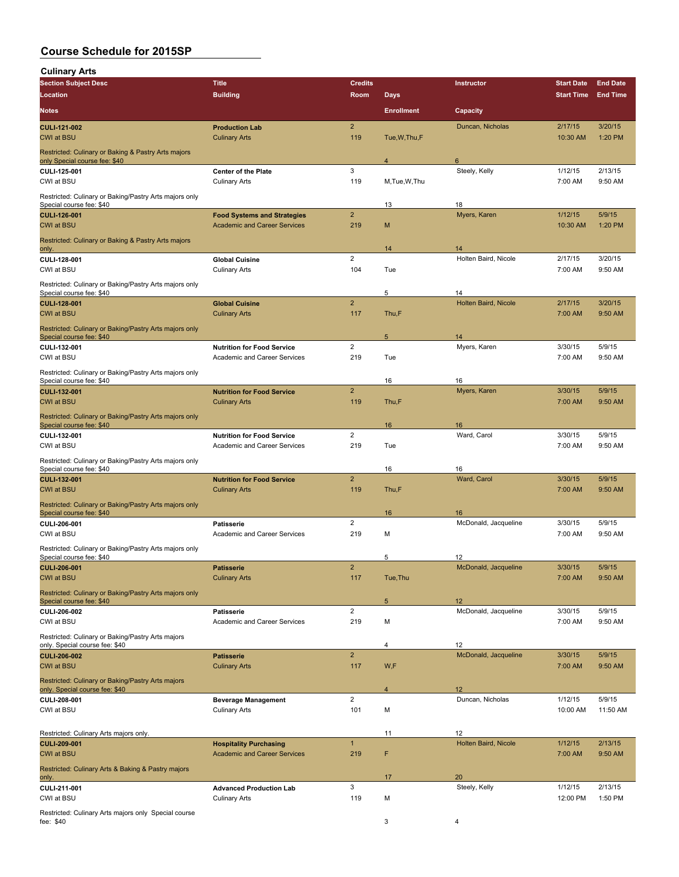**Culinary Arts**

| ounnary Arto<br><b>Section Subject Desc</b>                                          | <b>Title</b>                                       | <b>Credits</b>        |                   | Instructor           | <b>Start Date</b>   | <b>End Date</b>    |
|--------------------------------------------------------------------------------------|----------------------------------------------------|-----------------------|-------------------|----------------------|---------------------|--------------------|
| <b>Location</b>                                                                      | <b>Building</b>                                    | <b>Room</b>           | Days              |                      | <b>Start Time</b>   | <b>End Time</b>    |
| <b>Notes</b>                                                                         |                                                    |                       | <b>Enrollment</b> | Capacity             |                     |                    |
|                                                                                      |                                                    |                       |                   |                      |                     |                    |
| <b>CULI-121-002</b><br><b>CWI at BSU</b>                                             | <b>Production Lab</b><br><b>Culinary Arts</b>      | $\overline{2}$<br>119 | Tue, W, Thu, F    | Duncan, Nicholas     | 2/17/15<br>10:30 AM | 3/20/15<br>1:20 PM |
| Restricted: Culinary or Baking & Pastry Arts majors<br>only Special course fee: \$40 |                                                    |                       | $\overline{4}$    | 6                    |                     |                    |
| CULI-125-001<br>CWI at BSU                                                           | <b>Center of the Plate</b><br><b>Culinary Arts</b> | 3<br>119              | M, Tue, W, Thu    | Steely, Kelly        | 1/12/15<br>7:00 AM  | 2/13/15<br>9:50 AM |
| Restricted: Culinary or Baking/Pastry Arts majors only<br>Special course fee: \$40   |                                                    |                       | 13                | 18                   |                     |                    |
| CULI-126-001                                                                         | <b>Food Systems and Strategies</b>                 | $\overline{2}$        |                   | Myers, Karen         | 1/12/15             | 5/9/15             |
| <b>CWI at BSU</b>                                                                    | <b>Academic and Career Services</b>                | 219                   | M                 |                      | 10:30 AM            | 1:20 PM            |
| Restricted: Culinary or Baking & Pastry Arts majors<br>only.                         |                                                    |                       | 14                | 14                   |                     |                    |
| CULI-128-001                                                                         | <b>Global Cuisine</b>                              | $\overline{2}$        |                   | Holten Baird, Nicole | 2/17/15             | 3/20/15            |
| CWI at BSU                                                                           | <b>Culinary Arts</b>                               | 104                   | Tue               |                      | 7:00 AM             | 9:50 AM            |
| Restricted: Culinary or Baking/Pastry Arts majors only<br>Special course fee: \$40   |                                                    |                       | 5                 | 14                   |                     |                    |
| <b>CULI-128-001</b>                                                                  | <b>Global Cuisine</b>                              | $\overline{2}$        |                   | Holten Baird, Nicole | 2/17/15             | 3/20/15            |
| <b>CWI at BSU</b>                                                                    | <b>Culinary Arts</b>                               | 117                   | Thu,F             |                      | 7:00 AM             | 9:50 AM            |
| Restricted: Culinary or Baking/Pastry Arts majors only<br>Special course fee: \$40   |                                                    |                       | $\sqrt{5}$        | 14                   |                     |                    |
| CULI-132-001                                                                         | <b>Nutrition for Food Service</b>                  | 2                     |                   | Myers, Karen         | 3/30/15             | 5/9/15             |
| CWI at BSU                                                                           | Academic and Career Services                       | 219                   | Tue               |                      | 7:00 AM             | 9:50 AM            |
| Restricted: Culinary or Baking/Pastry Arts majors only<br>Special course fee: \$40   |                                                    |                       | 16                | 16                   |                     |                    |
| <b>CULI 132 001</b>                                                                  | <b>Nutrition for Food Service</b>                  | $\overline{2}$        |                   | Myers, Karen         | 3/30/15             | 5/9/15             |
| <b>CWI at BSU</b>                                                                    | <b>Culinary Arts</b>                               | 119                   | Thu,F             |                      | 7:00 AM             | 9:50 AM            |
| Restricted: Culinary or Baking/Pastry Arts majors only<br>Special course fee: \$40   |                                                    |                       | 16                | 16                   |                     |                    |
| CULI-132-001                                                                         | <b>Nutrition for Food Service</b>                  | $\overline{2}$        |                   | Ward, Carol          | 3/30/15             | 5/9/15             |
| CWI at BSU                                                                           | Academic and Career Services                       | 219                   | Tue               |                      | 7:00 AM             | 9:50 AM            |
| Restricted: Culinary or Baking/Pastry Arts majors only<br>Special course fee: \$40   |                                                    |                       | 16                | 16                   |                     |                    |
| CULI-132-001                                                                         | <b>Nutrition for Food Service</b>                  | $\overline{2}$        |                   | Ward, Carol          | 3/30/15             | 5/9/15             |
| <b>CWI at BSU</b>                                                                    | <b>Culinary Arts</b>                               | 119                   | Thu,F             |                      | 7:00 AM             | 9:50 AM            |
| Restricted: Culinary or Baking/Pastry Arts majors only<br>Special course fee: \$40   |                                                    |                       | 16                | 16                   |                     |                    |
| CULI-206-001                                                                         | Patisserie                                         | $\overline{2}$        |                   | McDonald, Jacqueline | 3/30/15             | 5/9/15             |
| CWI at BSU                                                                           | Academic and Career Services                       | 219                   | M                 |                      | 7:00 AM             | 9:50 AM            |
| Restricted: Culinary or Baking/Pastry Arts majors only<br>Special course fee: \$40   |                                                    |                       | 5                 | 12                   |                     |                    |
| <b>CULI-206-001</b>                                                                  | <b>Patisserie</b>                                  | $\overline{2}$        |                   | McDonald, Jacqueline | 3/30/15             | 5/9/15             |
| <b>CWI at BSU</b>                                                                    | <b>Culinary Arts</b>                               | 117                   | Tue, Thu          |                      | 7:00 AM             | 9:50 AM            |
| Restricted: Culinary or Baking/Pastry Arts majors only<br>Special course fee: \$40   |                                                    |                       | $5\phantom{.0}$   | 12                   |                     |                    |
| CULI 206-002                                                                         | <b>Patisserie</b>                                  | $\overline{2}$        |                   | McDonald, Jacqueline | 3/30/15             | 5/9/15             |
| CWI at BSU<br>Restricted: Culinary or Baking/Pastry Arts majors                      | Academic and Career Services                       | 219                   | M                 |                      | 7:00 AM             | 9:50 AM            |
| only. Special course fee: \$40                                                       |                                                    |                       | 4                 | 12                   |                     |                    |
| <b>CULI 206-002</b><br><b>CWI at BSU</b>                                             | <b>Patisserie</b><br><b>Culinary Arts</b>          | $\overline{2}$<br>117 | W,F               | McDonald, Jacqueline | 3/30/15<br>7:00 AM  | 5/9/15<br>9:50 AM  |
| Restricted: Culinary or Baking/Pastry Arts majors<br>only. Special course fee: \$40  |                                                    |                       | $\overline{4}$    | 12                   |                     |                    |
| CULI-208-001                                                                         | <b>Beverage Management</b>                         | $\overline{2}$        |                   | Duncan, Nicholas     | 1/12/15             | 5/9/15             |
| CWI at BSU                                                                           | <b>Culinary Arts</b>                               | 101                   | M                 |                      | 10:00 AM            | 11:50 AM           |
| Restricted: Culinary Arts majors only.                                               |                                                    |                       | 11                | 12                   |                     |                    |
| <b>CULI-209-001</b>                                                                  | <b>Hospitality Purchasing</b>                      | $\mathbf{1}$          |                   | Holten Baird, Nicole | 1/12/15             | 2/13/15            |
| <b>CWI at BSU</b>                                                                    | <b>Academic and Career Services</b>                | 219                   | F                 |                      | 7:00 AM             | 9:50 AM            |
| Restricted: Culinary Arts & Baking & Pastry majors<br>only.                          |                                                    |                       | 17                | 20                   |                     |                    |
| CULI-211-001                                                                         | <b>Advanced Production Lab</b>                     | 3                     |                   | Steely, Kelly        | 1/12/15             | 2/13/15            |
| CWI at BSU                                                                           | <b>Culinary Arts</b>                               | 119                   | M                 |                      | 12:00 PM            | 1:50 PM            |
| Restricted: Culinary Arts majors only Special course<br>fee: \$40                    |                                                    |                       | 3                 | 4                    |                     |                    |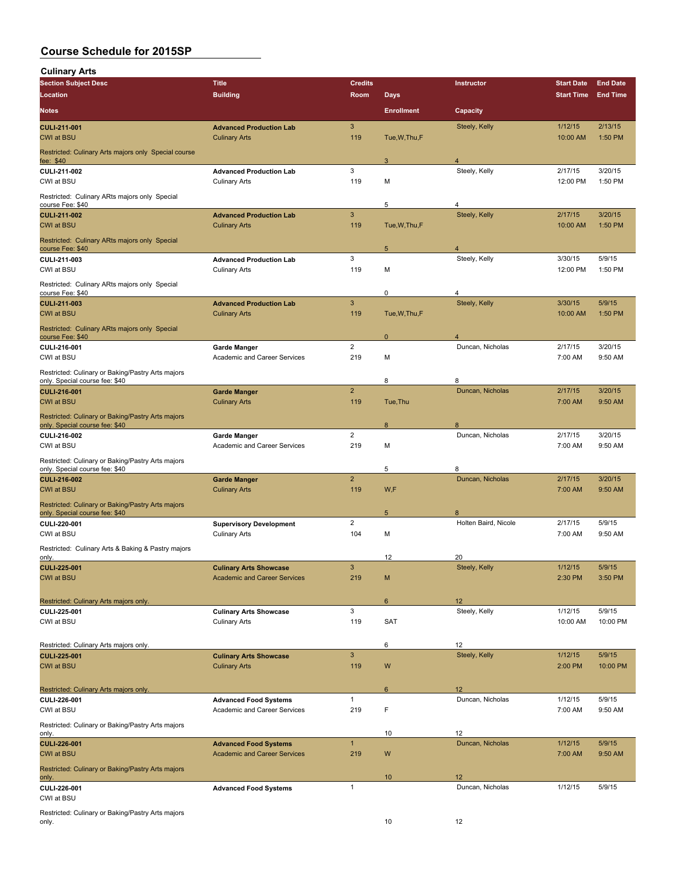**Culinary Arts**

| ounnary Arts<br><b>Section Subject Desc</b>                                         | <b>Title</b>                                                         | <b>Credits</b>        |                   | Instructor             | <b>Start Date</b>   | <b>End Date</b>    |
|-------------------------------------------------------------------------------------|----------------------------------------------------------------------|-----------------------|-------------------|------------------------|---------------------|--------------------|
| <b>Location</b>                                                                     | <b>Building</b>                                                      | <b>Room</b>           | Days              |                        | <b>Start Time</b>   | <b>End Time</b>    |
|                                                                                     |                                                                      |                       |                   |                        |                     |                    |
| <b>Notes</b>                                                                        |                                                                      |                       | <b>Enrollment</b> | Capacity               |                     |                    |
| <b>CULI-211-001</b>                                                                 | <b>Advanced Production Lab</b>                                       | 3                     |                   | Steely, Kelly          | 1/12/15             | 2/13/15            |
| <b>CWI at BSU</b>                                                                   | <b>Culinary Arts</b>                                                 | 119                   | Tue, W, Thu, F    |                        | 10:00 AM            | 1:50 PM            |
| Restricted: Culinary Arts majors only Special course<br>fee: \$40                   |                                                                      |                       | 3                 | $\overline{4}$         |                     |                    |
| CULI-211-002                                                                        | <b>Advanced Production Lab</b>                                       | 3                     |                   | Steely, Kelly          | 2/17/15             | 3/20/15            |
| CWI at BSU                                                                          | <b>Culinary Arts</b>                                                 | 119                   | М                 |                        | 12:00 PM            | 1:50 PM            |
| Restricted: Culinary ARts majors only Special                                       |                                                                      |                       |                   |                        |                     |                    |
| course Fee: \$40                                                                    |                                                                      |                       | 5                 | 4                      |                     |                    |
| <b>CULI 211 002</b>                                                                 | <b>Advanced Production Lab</b>                                       | 3                     |                   | Steely, Kelly          | 2/17/15             | 3/20/15            |
| <b>CWI at BSU</b>                                                                   | <b>Culinary Arts</b>                                                 | 119                   | Tue, W, Thu, F    |                        | 10:00 AM            | 1:50 PM            |
| Restricted: Culinary ARts majors only Special<br>course Fee: \$40                   |                                                                      |                       | 5                 | 4                      |                     |                    |
| CULI-211-003                                                                        | <b>Advanced Production Lab</b>                                       | 3                     |                   | Steely, Kelly          | 3/30/15             | 5/9/15             |
| CWI at BSU                                                                          | <b>Culinary Arts</b>                                                 | 119                   | М                 |                        | 12:00 PM            | 1:50 PM            |
| Restricted: Culinary ARts majors only Special                                       |                                                                      |                       |                   |                        |                     |                    |
| course Fee: \$40                                                                    |                                                                      |                       | 0                 | 4                      |                     |                    |
| <b>CULI-211-003</b><br><b>CWI at BSU</b>                                            | <b>Advanced Production Lab</b><br><b>Culinary Arts</b>               | $\mathbf{3}$<br>119   | Tue, W, Thu, F    | Steely, Kelly          | 3/30/15<br>10:00 AM | 5/9/15<br>1:50 PM  |
|                                                                                     |                                                                      |                       |                   |                        |                     |                    |
| Restricted: Culinary ARts majors only Special<br>course Fee: \$40                   |                                                                      |                       | $\mathbf{0}$      | $\overline{4}$         |                     |                    |
| CULI 216-001                                                                        | <b>Garde Manger</b>                                                  | $\overline{2}$        |                   | Duncan, Nicholas       | 2/17/15             | 3/20/15            |
| CWI at BSU                                                                          | Academic and Career Services                                         | 219                   | М                 |                        | 7:00 AM             | 9:50 AM            |
| Restricted: Culinary or Baking/Pastry Arts majors                                   |                                                                      |                       |                   |                        |                     |                    |
| only. Special course fee: \$40                                                      |                                                                      |                       | 8                 | 8                      |                     |                    |
| <b>CULI 216 001</b>                                                                 | <b>Garde Manger</b>                                                  | $\overline{2}$        |                   | Duncan, Nicholas       | 2/17/15             | 3/20/15            |
| <b>CWI at BSU</b>                                                                   | <b>Culinary Arts</b>                                                 | 119                   | Tue, Thu          |                        | 7:00 AM             | 9:50 AM            |
| Restricted: Culinary or Baking/Pastry Arts majors                                   |                                                                      |                       |                   |                        |                     |                    |
| only. Special course fee: \$40                                                      |                                                                      |                       | 8                 | 8                      |                     |                    |
| CULI-216-002<br>CWI at BSU                                                          | <b>Garde Manger</b><br>Academic and Career Services                  | $\overline{2}$<br>219 | M                 | Duncan, Nicholas       | 2/17/15<br>7:00 AM  | 3/20/15<br>9:50 AM |
|                                                                                     |                                                                      |                       |                   |                        |                     |                    |
| Restricted: Culinary or Baking/Pastry Arts majors<br>only. Special course fee: \$40 |                                                                      |                       | 5                 | 8                      |                     |                    |
| <b>CULI-216-002</b>                                                                 | <b>Garde Manger</b>                                                  | $\overline{2}$        |                   | Duncan, Nicholas       | 2/17/15             | 3/20/15            |
| <b>CWI at BSU</b>                                                                   | <b>Culinary Arts</b>                                                 | 119                   | W,F               |                        | 7:00 AM             | 9:50 AM            |
| Restricted: Culinary or Baking/Pastry Arts majors                                   |                                                                      |                       |                   |                        |                     |                    |
| only. Special course fee: \$40                                                      |                                                                      |                       | 5                 | 8                      |                     |                    |
| CULI-220-001                                                                        | <b>Supervisory Development</b>                                       | $\overline{2}$        |                   | Holten Baird, Nicole   | 2/17/15             | 5/9/15             |
| CWI at BSU                                                                          | <b>Culinary Arts</b>                                                 | 104                   | М                 |                        | 7:00 AM             | 9:50 AM            |
| Restricted: Culinary Arts & Baking & Pastry majors                                  |                                                                      |                       |                   |                        |                     |                    |
| only.                                                                               |                                                                      |                       | 12                | 20                     |                     |                    |
| CULI-225-001<br>CWI at BSU                                                          | <b>Culinary Arts Showcase</b><br><b>Academic and Career Services</b> | 3<br>219              | M                 | Steely, Kelly          | 1/12/15<br>2:30 PM  | 5/9/15<br>3:50 PM  |
|                                                                                     |                                                                      |                       |                   |                        |                     |                    |
| Restricted: Culinary Arts majors only.                                              |                                                                      |                       | 6                 | 12                     |                     |                    |
| CULI-225-001                                                                        | <b>Culinary Arts Showcase</b>                                        | 3                     |                   | Steely, Kelly          | 1/12/15             | 5/9/15             |
| CWI at BSU                                                                          | <b>Culinary Arts</b>                                                 | 119                   | <b>SAT</b>        |                        | 10:00 AM            | 10:00 PM           |
|                                                                                     |                                                                      |                       |                   |                        |                     |                    |
| Restricted: Culinary Arts majors only.                                              |                                                                      |                       | 6                 | 12                     |                     |                    |
| <b>CULI-225-001</b>                                                                 | <b>Culinary Arts Showcase</b>                                        | $\mathbf{3}$          |                   | Steely, Kelly          | 1/12/15             | 5/9/15             |
| <b>CWI at BSU</b>                                                                   | <b>Culinary Arts</b>                                                 | 119                   | W                 |                        | 2:00 PM             | 10:00 PM           |
|                                                                                     |                                                                      |                       |                   |                        |                     |                    |
| Restricted: Culinary Arts majors only.                                              |                                                                      | $\mathbf{1}$          | 6                 | 12<br>Duncan, Nicholas | 1/12/15             | 5/9/15             |
| CULI-226-001<br>CWI at BSU                                                          | <b>Advanced Food Systems</b><br>Academic and Career Services         | 219                   | F                 |                        | 7:00 AM             | 9:50 AM            |
|                                                                                     |                                                                      |                       |                   |                        |                     |                    |
| Restricted: Culinary or Baking/Pastry Arts majors<br>only.                          |                                                                      |                       | 10                | 12                     |                     |                    |
| <b>CULI-226-001</b>                                                                 | <b>Advanced Food Systems</b>                                         | $\mathbf{1}$          |                   | Duncan, Nicholas       | 1/12/15             | 5/9/15             |
| <b>CWI at BSU</b>                                                                   | <b>Academic and Career Services</b>                                  | 219                   | W                 |                        | 7:00 AM             | 9:50 AM            |
| Restricted: Culinary or Baking/Pastry Arts majors                                   |                                                                      |                       |                   |                        |                     |                    |
| only.                                                                               |                                                                      |                       | 10                | 12                     |                     |                    |
| CULI-226-001                                                                        | <b>Advanced Food Systems</b>                                         | 1                     |                   | Duncan, Nicholas       | 1/12/15             | 5/9/15             |
| CWI at BSU                                                                          |                                                                      |                       |                   |                        |                     |                    |
| Restricted: Culinary or Baking/Pastry Arts majors                                   |                                                                      |                       |                   |                        |                     |                    |
| only.                                                                               |                                                                      |                       | 10                | 12                     |                     |                    |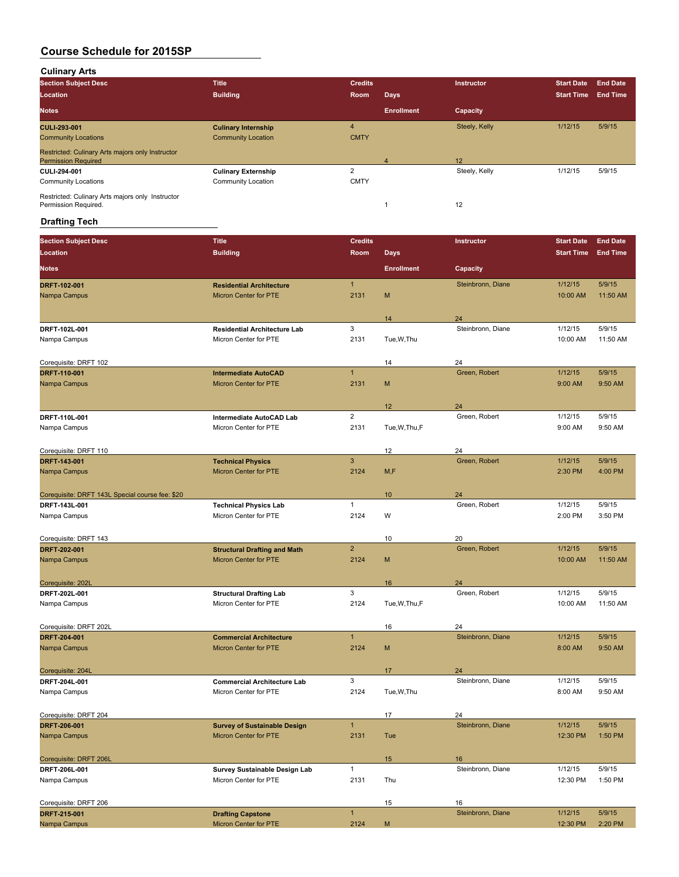**Culinary Arts**

| <b>Section Subject Desc</b>                                                    | <b>Title</b>               | <b>Credits</b> |                   | <b>Instructor</b> | <b>Start Date</b> | <b>End Date</b> |
|--------------------------------------------------------------------------------|----------------------------|----------------|-------------------|-------------------|-------------------|-----------------|
| Location                                                                       | <b>Building</b>            | Room           | <b>Days</b>       |                   | <b>Start Time</b> | <b>End Time</b> |
| <b>Notes</b>                                                                   |                            |                | <b>Enrollment</b> | Capacity          |                   |                 |
| <b>CULI 293-001</b>                                                            | <b>Culinary Internship</b> | 4              |                   | Steely, Kelly     | 1/12/15           | 5/9/15          |
| <b>Community Locations</b>                                                     | <b>Community Location</b>  | <b>CMTY</b>    |                   |                   |                   |                 |
| Restricted: Culinary Arts majors only Instructor<br><b>Permission Required</b> |                            |                | Δ                 | 12                |                   |                 |
| CULI 294-001                                                                   | <b>Culinary Externship</b> | $\sqrt{2}$     |                   | Steely, Kelly     | 1/12/15           | 5/9/15          |
| <b>Community Locations</b>                                                     | Community Location         | <b>CMTY</b>    |                   |                   |                   |                 |
| Restricted: Culinary Arts majors only Instructor<br>Permission Required.       |                            |                |                   | 12                |                   |                 |

# **Drafting Tech**

| <b>Section Subject Desc</b>                     | <b>Title</b>                                                   | <b>Credits</b>            |                   | Instructor        | <b>Start Date</b> | <b>End Date</b> |
|-------------------------------------------------|----------------------------------------------------------------|---------------------------|-------------------|-------------------|-------------------|-----------------|
| <b>Location</b>                                 | <b>Building</b>                                                | <b>Room</b>               | <b>Days</b>       |                   | <b>Start Time</b> | <b>End Time</b> |
| <b>Notes</b>                                    |                                                                |                           | <b>Enrollment</b> | Capacity          |                   |                 |
| DRFT-102-001                                    | <b>Residential Architecture</b>                                | $\mathbf{1}$              |                   | Steinbronn, Diane | 1/12/15           | 5/9/15          |
| Nampa Campus                                    | <b>Micron Center for PTE</b>                                   | 2131                      | M                 |                   | 10:00 AM          | 11:50 AM        |
|                                                 |                                                                |                           |                   |                   |                   |                 |
|                                                 |                                                                |                           | 14                | 24                |                   |                 |
| DRFT 102L 001                                   | <b>Residential Architecture Lab</b>                            | $\ensuremath{\mathsf{3}}$ |                   | Steinbronn, Diane | 1/12/15           | 5/9/15          |
| Nampa Campus                                    | Micron Center for PTE                                          | 2131                      | Tue, W, Thu       |                   | 10:00 AM          | 11:50 AM        |
|                                                 |                                                                |                           |                   |                   |                   |                 |
| Corequisite: DRFT 102                           |                                                                |                           | 14                | 24                |                   |                 |
| DRFT-110-001                                    | <b>Intermediate AutoCAD</b>                                    | $\mathbf{1}$              |                   | Green, Robert     | 1/12/15           | 5/9/15          |
| Nampa Campus                                    | <b>Micron Center for PTE</b>                                   | 2131                      | M                 |                   | 9:00 AM           | 9:50 AM         |
|                                                 |                                                                |                           |                   |                   |                   |                 |
|                                                 |                                                                |                           | 12                | 24                |                   |                 |
| DRFT 110L 001                                   | Intermediate AutoCAD Lab                                       | $\overline{2}$            |                   | Green, Robert     | 1/12/15           | 5/9/15          |
| Nampa Campus                                    | Micron Center for PTE                                          | 2131                      | Tue, W, Thu, F    |                   | 9:00 AM           | 9:50 AM         |
|                                                 |                                                                |                           |                   |                   |                   |                 |
| Corequisite: DRFT 110                           |                                                                |                           | 12                | 24                |                   |                 |
| <b>DRFT 143-001</b>                             | <b>Technical Physics</b>                                       | 3                         |                   | Green, Robert     | 1/12/15           | 5/9/15          |
| Nampa Campus                                    | <b>Micron Center for PTE</b>                                   | 2124                      | M, F              |                   | 2:30 PM           | 4:00 PM         |
|                                                 |                                                                |                           |                   |                   |                   |                 |
| Corequisite: DRFT 143L Special course fee: \$20 |                                                                |                           | 10                | 24                |                   |                 |
| DRFT 143L 001                                   | <b>Technical Physics Lab</b>                                   | $\mathbf{1}$              |                   | Green, Robert     | 1/12/15           | 5/9/15          |
| Nampa Campus                                    | Micron Center for PTE                                          | 2124                      | W                 |                   | 2:00 PM           | 3:50 PM         |
|                                                 |                                                                |                           |                   |                   |                   |                 |
| Corequisite: DRFT 143                           |                                                                |                           | 10                | 20                |                   |                 |
| <b>DRFT 202-001</b>                             | <b>Structural Drafting and Math</b>                            | $\overline{2}$            |                   | Green, Robert     | 1/12/15           | 5/9/15          |
| Nampa Campus                                    | <b>Micron Center for PTE</b>                                   | 2124                      | M                 |                   | 10:00 AM          | 11:50 AM        |
|                                                 |                                                                |                           |                   |                   |                   |                 |
| Corequisite: 202L                               |                                                                |                           | 16                | 24                |                   |                 |
| DRFT 202L 001                                   | <b>Structural Drafting Lab</b>                                 | 3                         |                   | Green, Robert     | 1/12/15           | 5/9/15          |
| Nampa Campus                                    | Micron Center for PTE                                          | 2124                      | Tue, W, Thu, F    |                   | 10:00 AM          | 11:50 AM        |
|                                                 |                                                                |                           |                   |                   |                   |                 |
| Corequisite: DRFT 202L                          |                                                                | $\mathbf{1}$              | 16                | 24                | 1/12/15           | 5/9/15          |
| DRFT-204-001                                    | <b>Commercial Architecture</b><br><b>Micron Center for PTE</b> | 2124                      | M                 | Steinbronn, Diane | 8:00 AM           | 9:50 AM         |
| Nampa Campus                                    |                                                                |                           |                   |                   |                   |                 |
|                                                 |                                                                |                           |                   | 24                |                   |                 |
| Corequisite: 204L<br>DRFT 204L-001              | <b>Commercial Architecture Lab</b>                             | 3                         | 17                | Steinbronn, Diane | 1/12/15           | 5/9/15          |
| Nampa Campus                                    | Micron Center for PTE                                          | 2124                      | Tue, W, Thu       |                   | 8:00 AM           | 9:50 AM         |
|                                                 |                                                                |                           |                   |                   |                   |                 |
| Corequisite: DRFT 204                           |                                                                |                           | 17                | 24                |                   |                 |
| DRFT-206-001                                    | <b>Survey of Sustainable Design</b>                            | $\mathbf{1}$              |                   | Steinbronn, Diane | 1/12/15           | 5/9/15          |
| Nampa Campus                                    | Micron Center for PTE                                          | 2131                      | Tue               |                   | 12:30 PM          | 1:50 PM         |
|                                                 |                                                                |                           |                   |                   |                   |                 |
| Corequisite: DRFT 206L                          |                                                                |                           | 15                | 16                |                   |                 |
| DRFT-206L-001                                   | Survey Sustainable Design Lab                                  | $\mathbf{1}$              |                   | Steinbronn, Diane | 1/12/15           | 5/9/15          |
| Nampa Campus                                    | Micron Center for PTE                                          | 2131                      | Thu               |                   | 12:30 PM          | 1:50 PM         |
|                                                 |                                                                |                           |                   |                   |                   |                 |
| Corequisite: DRFT 206                           |                                                                |                           | 15                | 16                |                   |                 |
| DRFT 215-001                                    | <b>Drafting Capstone</b>                                       | $\mathbf{1}$              |                   | Steinbronn, Diane | 1/12/15           | 5/9/15          |
| Nampa Campus                                    | Micron Center for PTE                                          | 2124                      | M                 |                   | 12:30 PM          | 2:20 PM         |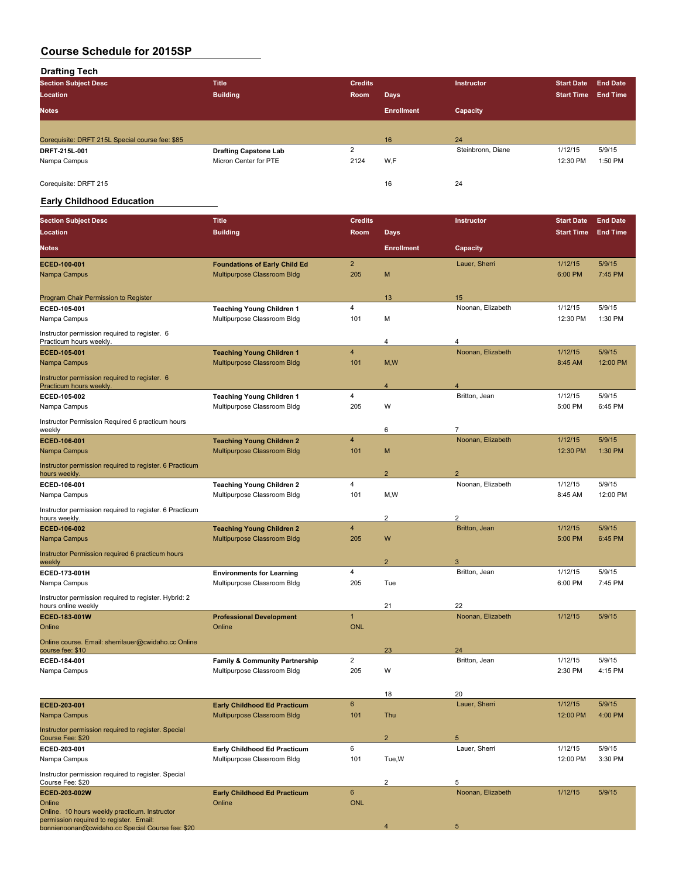**Drafting Tech**

| <b>Section Subject Desc</b>                     | <b>Title</b>                 | <b>Credits</b> |                   | <b>Instructor</b> | <b>Start Date</b> | <b>End Date</b> |
|-------------------------------------------------|------------------------------|----------------|-------------------|-------------------|-------------------|-----------------|
| Location                                        | <b>Building</b>              | Room           | <b>Days</b>       |                   | <b>Start Time</b> | <b>End Time</b> |
| <b>Notes</b>                                    |                              |                | <b>Enrollment</b> | Capacity          |                   |                 |
|                                                 |                              |                |                   |                   |                   |                 |
| Corequisite: DRFT 215L Special course fee: \$85 |                              |                | 16                | 24                |                   |                 |
| DRFT 215L 001                                   | <b>Drafting Capstone Lab</b> | $\overline{2}$ |                   | Steinbronn, Diane | 1/12/15           | 5/9/15          |
| Nampa Campus                                    | Micron Center for PTE        | 2124           | W.F               |                   | 12:30 PM          | 1:50 PM         |
| Coreguisite: DRFT 215                           |                              |                | 16                | 24                |                   |                 |

## **Early Childhood Education**

| <b>Section Subject Desc</b>                                                                 | <b>Title</b>                                                             | <b>Credits</b> |                   | Instructor          | <b>Start Date</b> | <b>End Date</b> |
|---------------------------------------------------------------------------------------------|--------------------------------------------------------------------------|----------------|-------------------|---------------------|-------------------|-----------------|
| Location                                                                                    | <b>Building</b>                                                          | Room           | <b>Days</b>       |                     | <b>Start Time</b> | <b>End Time</b> |
| <b>Notes</b>                                                                                |                                                                          |                | <b>Enrollment</b> | Capacity            |                   |                 |
| ECED-100-001                                                                                | <b>Foundations of Early Child Ed</b>                                     | $\overline{2}$ |                   | Lauer, Sherri       | 1/12/15           | 5/9/15          |
| Nampa Campus                                                                                | Multipurpose Classroom Bldg                                              | 205            | M                 |                     | 6:00 PM           | 7:45 PM         |
| Program Chair Permission to Register                                                        |                                                                          |                | 13                | 15                  |                   |                 |
| ECED-105-001                                                                                | <b>Teaching Young Children 1</b>                                         | 4              |                   | Noonan, Elizabeth   | 1/12/15           | 5/9/15          |
| Nampa Campus                                                                                | Multipurpose Classroom Bldg                                              | 101            | М                 |                     | 12:30 PM          | 1:30 PM         |
| Instructor permission required to register. 6<br>Practicum hours weekly.                    |                                                                          |                | 4                 | $\overline{4}$      |                   |                 |
| ECED-105-001                                                                                | <b>Teaching Young Children 1</b>                                         | $\overline{4}$ |                   | Noonan, Elizabeth   | 1/12/15           | 5/9/15          |
| Nampa Campus                                                                                | Multipurpose Classroom Bldg                                              | 101            | M, W              |                     | 8:45 AM           | 12:00 PM        |
| Instructor permission required to register. 6<br>Practicum hours weekly.                    |                                                                          |                | 4                 | $\overline{A}$      |                   |                 |
| ECED 105-002                                                                                | <b>Teaching Young Children 1</b>                                         | 4              |                   | Britton, Jean       | 1/12/15           | 5/9/15          |
| Nampa Campus                                                                                | Multipurpose Classroom Bldg                                              | 205            | W                 |                     | 5:00 PM           | 6:45 PM         |
| Instructor Permission Required 6 practicum hours<br>weekly                                  |                                                                          |                | 6                 | $\overline{7}$      |                   |                 |
| ECED-106-001                                                                                | <b>Teaching Young Children 2</b>                                         | $\overline{4}$ |                   | Noonan, Elizabeth   | 1/12/15           | 5/9/15          |
| Nampa Campus                                                                                | Multipurpose Classroom Bldg                                              | 101            | M                 |                     | 12:30 PM          | 1:30 PM         |
| Instructor permission required to register. 6 Practicum<br>hours weekly.                    |                                                                          |                | $\overline{2}$    | $\overline{c}$      |                   |                 |
| ECED-106-001                                                                                | <b>Teaching Young Children 2</b>                                         | 4              |                   | Noonan, Elizabeth   | 1/12/15           | 5/9/15          |
| Nampa Campus                                                                                | Multipurpose Classroom Bldg                                              | 101            | M,W               |                     | 8:45 AM           | 12:00 PM        |
| Instructor permission required to register. 6 Practicum<br>hours weekly.                    |                                                                          |                | 2                 | $\overline{c}$      |                   |                 |
| ECED-106-002                                                                                | <b>Teaching Young Children 2</b>                                         | $\overline{4}$ |                   | Britton, Jean       | 1/12/15           | 5/9/15          |
| Nampa Campus                                                                                | Multipurpose Classroom Bldg                                              | 205            | W                 |                     | 5:00 PM           | 6:45 PM         |
| Instructor Permission required 6 practicum hours<br>weekly                                  |                                                                          |                | $\overline{2}$    | 3                   |                   |                 |
| ECED-173-001H                                                                               | <b>Environments for Learning</b>                                         | 4              |                   | Britton, Jean       | 1/12/15           | 5/9/15          |
| Nampa Campus                                                                                | Multipurpose Classroom Bldg                                              | 205            | Tue               |                     | 6:00 PM           | 7:45 PM         |
| Instructor permission required to register. Hybrid: 2                                       |                                                                          |                | 21                | 22                  |                   |                 |
| hours online weekly<br>ECED-183-001W                                                        | <b>Professional Development</b>                                          | $\overline{1}$ |                   | Noonan, Elizabeth   | 1/12/15           | 5/9/15          |
| Online                                                                                      | Online                                                                   | <b>ONL</b>     |                   |                     |                   |                 |
| Online course. Email: sherrilauer@cwidaho.cc Online                                         |                                                                          |                |                   |                     |                   |                 |
| course fee: \$10                                                                            |                                                                          | $\overline{2}$ | 23                | 24<br>Britton, Jean | 1/12/15           | 5/9/15          |
| ECED-184-001<br>Nampa Campus                                                                | <b>Family &amp; Community Partnership</b><br>Multipurpose Classroom Bldg | 205            | W                 |                     | 2:30 PM           | 4:15 PM         |
|                                                                                             |                                                                          |                |                   |                     |                   |                 |
|                                                                                             |                                                                          |                | 18                | 20                  |                   |                 |
| ECED-203-001                                                                                | <b>Early Childhood Ed Practicum</b>                                      | 6              |                   | Lauer, Sherri       | 1/12/15           | 5/9/15          |
| Nampa Campus                                                                                | Multipurpose Classroom Bldg                                              | 101            | Thu               |                     | 12:00 PM          | 4:00 PM         |
| Instructor permission required to register. Special<br>Course Fee: \$20                     |                                                                          |                | $\overline{2}$    | 5                   |                   |                 |
| ECED-203-001                                                                                | Early Childhood Ed Practicum                                             | 6              |                   | Lauer, Sherri       | 1/12/15           | 5/9/15          |
| Nampa Campus                                                                                | Multipurpose Classroom Bldg                                              | 101            | Tue, W            |                     | 12:00 PM          | 3:30 PM         |
| Instructor permission required to register. Special<br>Course Fee: \$20                     |                                                                          |                | 2                 | $\,$ 5 $\,$         |                   |                 |
| ECED-203-002W                                                                               | <b>Early Childhood Ed Practicum</b>                                      | $\mathbf 6$    |                   | Noonan, Elizabeth   | 1/12/15           | 5/9/15          |
| Online                                                                                      | Online                                                                   | <b>ONL</b>     |                   |                     |                   |                 |
| Online. 10 hours weekly practicum. Instructor                                               |                                                                          |                |                   |                     |                   |                 |
| permission required to register. Email:<br>bonnienoonan@cwidaho.cc Special Course fee: \$20 |                                                                          |                | 4                 | $\sqrt{5}$          |                   |                 |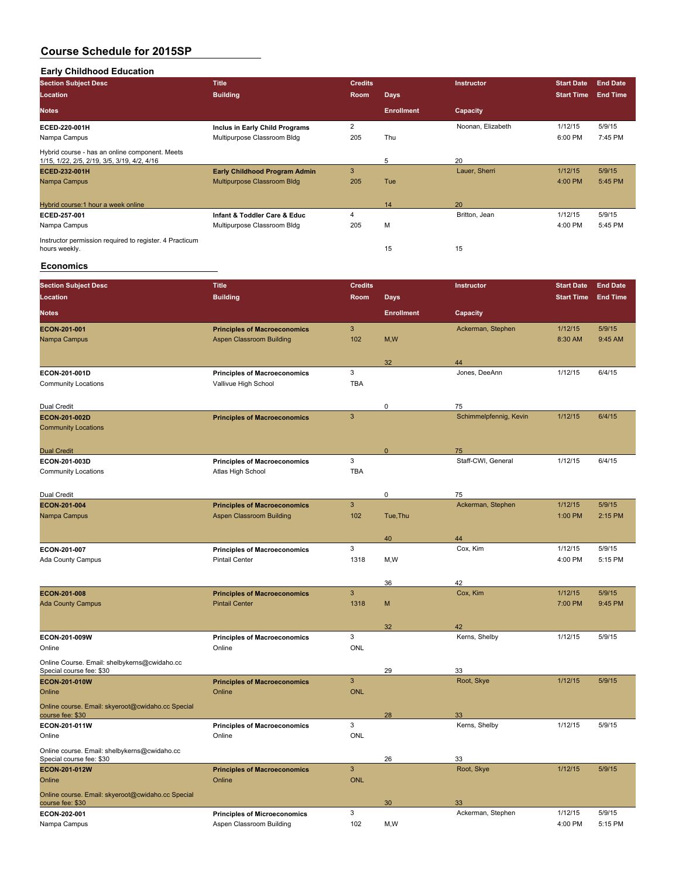#### **Early Childhood Education**

| <b>Section Subject Desc</b>                                                                   | <b>Title</b>                         | <b>Credits</b> |                   | Instructor        | <b>Start Date</b> | <b>End Date</b> |
|-----------------------------------------------------------------------------------------------|--------------------------------------|----------------|-------------------|-------------------|-------------------|-----------------|
| Location                                                                                      | <b>Building</b>                      | Room           | <b>Days</b>       |                   | <b>Start Time</b> | <b>End Time</b> |
| <b>Notes</b>                                                                                  |                                      |                | <b>Enrollment</b> | Capacity          |                   |                 |
| ECED 220 001H                                                                                 | Inclus in Early Child Programs       | $\overline{2}$ |                   | Noonan, Elizabeth | 1/12/15           | 5/9/15          |
| Nampa Campus                                                                                  | Multipurpose Classroom Bldg          | 205            | Thu               |                   | 6:00 PM           | 7:45 PM         |
| Hybrid course - has an online component. Meets<br>1/15, 1/22, 2/5, 2/19, 3/5, 3/19, 4/2, 4/16 |                                      |                | 5                 | 20                |                   |                 |
| ECED-232-001H                                                                                 | <b>Early Childhood Program Admin</b> | 3              |                   | Lauer, Sherri     | 1/12/15           | 5/9/15          |
| Nampa Campus                                                                                  | Multipurpose Classroom Bldg          | 205            | Tue               |                   | 4:00 PM           | 5:45 PM         |
|                                                                                               |                                      |                |                   |                   |                   |                 |
| Hybrid course:1 hour a week online                                                            |                                      |                | 14                | 20                |                   |                 |
| ECED 257 001                                                                                  | Infant & Toddler Care & Educ         | 4              |                   | Britton, Jean     | 1/12/15           | 5/9/15          |
| Nampa Campus                                                                                  | Multipurpose Classroom Bldg          | 205            | M                 |                   | 4:00 PM           | 5:45 PM         |
| Instructor permission required to register. 4 Practicum                                       |                                      |                |                   |                   |                   |                 |
| hours weekly.                                                                                 |                                      |                | 15                | 15                |                   |                 |

#### **Economics**

| <b>Section Subject Desc</b>                                              | <b>Title</b>                                                 | <b>Credits</b> |                   | Instructor             | <b>Start Date</b> | <b>End Date</b> |
|--------------------------------------------------------------------------|--------------------------------------------------------------|----------------|-------------------|------------------------|-------------------|-----------------|
| Location                                                                 | <b>Building</b>                                              | Room           | <b>Days</b>       |                        | <b>Start Time</b> | <b>End Time</b> |
| <b>Notes</b>                                                             |                                                              |                | <b>Enrollment</b> | Capacity               |                   |                 |
| ECON-201-001                                                             | <b>Principles of Macroeconomics</b>                          | 3              |                   | Ackerman, Stephen      | 1/12/15           | 5/9/15          |
| Nampa Campus                                                             | <b>Aspen Classroom Building</b>                              | 102            | M, W              |                        | 8:30 AM           | 9:45 AM         |
|                                                                          |                                                              |                |                   |                        |                   |                 |
|                                                                          |                                                              |                | 32                | 44                     |                   |                 |
| ECON 201-001D                                                            | <b>Principles of Macroeconomics</b>                          | $\mathbf{3}$   |                   | Jones, DeeAnn          | 1/12/15           | 6/4/15          |
| <b>Community Locations</b>                                               | Vallivue High School                                         | <b>TBA</b>     |                   |                        |                   |                 |
|                                                                          |                                                              |                |                   |                        |                   |                 |
| Dual Credit                                                              |                                                              |                | $\mathbf 0$       | 75                     |                   |                 |
| <b>ECON-201-002D</b>                                                     | <b>Principles of Macroeconomics</b>                          | $\overline{3}$ |                   | Schimmelpfennig, Kevin | 1/12/15           | 6/4/15          |
| <b>Community Locations</b>                                               |                                                              |                |                   |                        |                   |                 |
| <b>Dual Credit</b>                                                       |                                                              |                | $\mathbf{0}$      | 75                     |                   |                 |
| ECON-201-003D                                                            | <b>Principles of Macroeconomics</b>                          | $\mathbf{3}$   |                   | Staff-CWI, General     | 1/12/15           | 6/4/15          |
| <b>Community Locations</b>                                               | Atlas High School                                            | <b>TBA</b>     |                   |                        |                   |                 |
|                                                                          |                                                              |                |                   |                        |                   |                 |
| Dual Credit                                                              |                                                              |                | 0                 | 75                     |                   |                 |
| <b>ECON-201-004</b>                                                      | <b>Principles of Macroeconomics</b>                          | 3              |                   | Ackerman, Stephen      | 1/12/15           | 5/9/15          |
| Nampa Campus                                                             | <b>Aspen Classroom Building</b>                              | 102            | Tue, Thu          |                        | 1:00 PM           | 2:15 PM         |
|                                                                          |                                                              |                |                   |                        |                   |                 |
|                                                                          |                                                              |                | 40                | 44                     |                   |                 |
| ECON-201-007                                                             | <b>Principles of Macroeconomics</b>                          | 3              |                   | Cox, Kim               | 1/12/15           | 5/9/15          |
| Ada County Campus                                                        | <b>Pintail Center</b>                                        | 1318           | M,W               |                        | 4:00 PM           | 5:15 PM         |
|                                                                          |                                                              |                |                   |                        |                   |                 |
|                                                                          |                                                              | 3              | 36                | 42<br>Cox, Kim         | 1/12/15           | 5/9/15          |
| <b>ECON-201-008</b><br><b>Ada County Campus</b>                          | <b>Principles of Macroeconomics</b><br><b>Pintail Center</b> | 1318           | M                 |                        | 7:00 PM           | 9:45 PM         |
|                                                                          |                                                              |                |                   |                        |                   |                 |
|                                                                          |                                                              |                | 32                | 42                     |                   |                 |
| ECON-201-009W                                                            | <b>Principles of Macroeconomics</b>                          | 3              |                   | Kerns, Shelby          | 1/12/15           | 5/9/15          |
| Online                                                                   | Online                                                       | <b>ONL</b>     |                   |                        |                   |                 |
| Online Course. Email: shelbykerns@cwidaho.cc                             |                                                              |                |                   |                        |                   |                 |
| Special course fee: \$30                                                 |                                                              |                | 29                | 33                     |                   |                 |
| <b>ECON-201-010W</b>                                                     | <b>Principles of Macroeconomics</b>                          | 3              |                   | Root, Skye             | 1/12/15           | 5/9/15          |
| Online                                                                   | Online                                                       | <b>ONL</b>     |                   |                        |                   |                 |
| Online course. Email: skyeroot@cwidaho.cc Special                        |                                                              |                |                   |                        |                   |                 |
| course fee: \$30                                                         |                                                              | 3              | 28                | 33                     | 1/12/15           | 5/9/15          |
| ECON-201-011W<br>Online                                                  | <b>Principles of Macroeconomics</b><br>Online                | ONL            |                   | Kerns, Shelby          |                   |                 |
|                                                                          |                                                              |                |                   |                        |                   |                 |
| Online course. Email: shelbykerns@cwidaho.cc<br>Special course fee: \$30 |                                                              |                | 26                | 33                     |                   |                 |
| <b>ECON-201-012W</b>                                                     | <b>Principles of Macroeconomics</b>                          | 3              |                   | Root, Skye             | 1/12/15           | 5/9/15          |
| Online                                                                   | Online                                                       | <b>ONL</b>     |                   |                        |                   |                 |
| Online course. Email: skyeroot@cwidaho.cc Special                        |                                                              |                |                   |                        |                   |                 |
| course fee: \$30                                                         |                                                              |                | 30                | 33                     |                   |                 |
| ECON-202-001                                                             | <b>Principles of Microeconomics</b>                          | $\mathbf{3}$   |                   | Ackerman, Stephen      | 1/12/15           | 5/9/15          |
| Nampa Campus                                                             | Aspen Classroom Building                                     | 102            | M,W               |                        | 4:00 PM           | 5:15 PM         |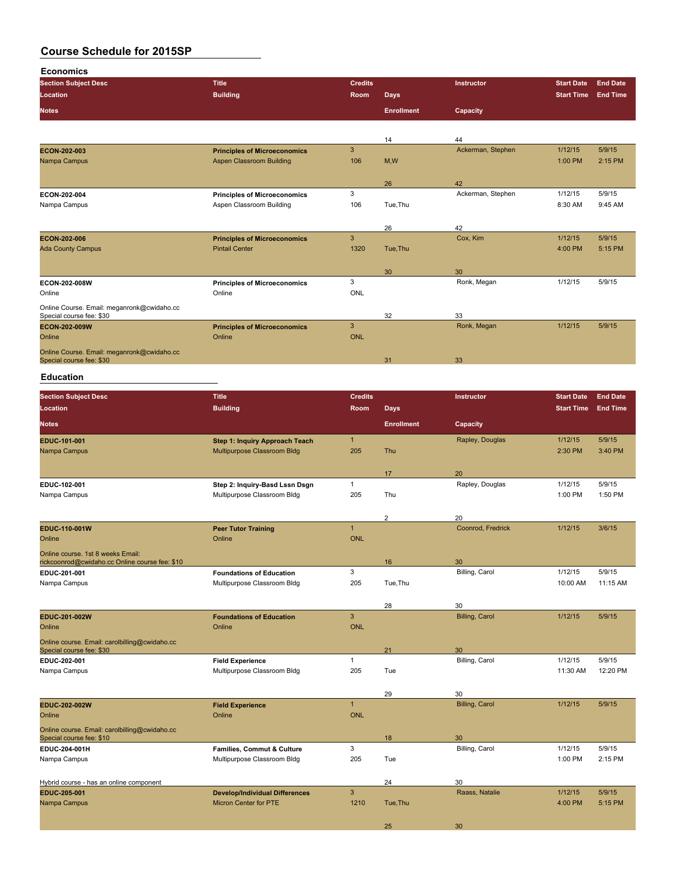**Economics Section Subject Desc Title Credits Instructor Start Date End Date Location Building Room Days Start Time End Time Notes Enrollment Capacity** 14 14 44 Ackerman, Stephen **ECON-202-003 Principles of Microeconomics** 3 Ackerman, Stephen 1/12/15 5/9/15<br>
Nampa Campus 1:00 PM 2:15 PM Aspen Classroom Building 26 42<br>Ackerman, Stephen **ECON-202-004 Principles of Microeconomics** 3 Ackerman, Stephen 1/12/15 5/9/15 Aspen Classroom Building 26 42 Cox, Kim **ECON-202-006 Principles of Microeconomics** 3 Cox, Kim 1/12/15 5/9/15 Ada County Campus 30 30 **ECON-202-008W Principles of Microeconomics** 3 **Ronk, Megan** 1/12/15 5/9/15<br> **Principles of Microeconomics** 3 **DNL**<br>
Online Online Online ONL Online Course. Email: meganronk@cwidaho.cc Special course fee: \$30 33<br> **ECON-202-009W**<br> **ECON-202-009W**<br> **Principles of Microeconomics** 3 32 33 Ronk, Megan **ECON-202-009W Principles of Microeconomics** 3 **Ronk, Megan 1/12/15 5/9/15** Online **Online Online Online Community of Community** Online **Online** Online Community of Community Online Online of Community of Community of Community of Community of Community of Community of Community of Community of Co Online Course. Email: meganronk@cwidaho.cc<br>Special course fee: \$30 33

#### **Education**

| <b>Section Subject Desc</b>                                                         | <b>Title</b>                          | <b>Credits</b> |                   | <b>Instructor</b>     | <b>Start Date</b> | <b>End Date</b> |
|-------------------------------------------------------------------------------------|---------------------------------------|----------------|-------------------|-----------------------|-------------------|-----------------|
| <b>Location</b>                                                                     | <b>Building</b>                       | Room           | <b>Days</b>       |                       | <b>Start Time</b> | <b>End Time</b> |
| <b>Notes</b>                                                                        |                                       |                | <b>Enrollment</b> | Capacity              |                   |                 |
| EDUC-101-001                                                                        | <b>Step 1: Inquiry Approach Teach</b> | $\mathbf{1}$   |                   | Rapley, Douglas       | 1/12/15           | 5/9/15          |
| Nampa Campus                                                                        | Multipurpose Classroom Bldg           | 205            | Thu               |                       | 2:30 PM           | 3:40 PM         |
|                                                                                     |                                       |                | 17                | 20                    |                   |                 |
| EDUC-102-001                                                                        | Step 2: Inquiry-Basd Lssn Dsgn        | $\mathbf{1}$   |                   | Rapley, Douglas       | 1/12/15           | 5/9/15          |
| Nampa Campus                                                                        | Multipurpose Classroom Bldg           | 205            | Thu               |                       | 1:00 PM           | 1:50 PM         |
|                                                                                     |                                       |                | 2                 | 20                    |                   |                 |
| EDUC-110-001W                                                                       | <b>Peer Tutor Training</b>            | $\mathbf{1}$   |                   | Coonrod, Fredrick     | 1/12/15           | 3/6/15          |
| Online                                                                              | Online                                | <b>ONL</b>     |                   |                       |                   |                 |
| Online course. 1st 8 weeks Email:<br>rickcoonrod@cwidaho.cc Online course fee: \$10 |                                       |                | 16                | 30                    |                   |                 |
| EDUC-201-001                                                                        | <b>Foundations of Education</b>       | 3              |                   | Billing, Carol        | 1/12/15           | 5/9/15          |
| Nampa Campus                                                                        | Multipurpose Classroom Bldg           | 205            | Tue, Thu          |                       | 10:00 AM          | 11:15 AM        |
|                                                                                     |                                       |                | 28                | 30                    |                   |                 |
| EDUC-201-002W                                                                       | <b>Foundations of Education</b>       | $\overline{3}$ |                   | <b>Billing, Carol</b> | 1/12/15           | 5/9/15          |
| Online                                                                              | Online                                | <b>ONL</b>     |                   |                       |                   |                 |
| Online course. Email: carolbilling@cwidaho.cc                                       |                                       |                |                   |                       |                   |                 |
| Special course fee: \$30<br>EDUC-202-001                                            | <b>Field Experience</b>               | $\mathbf{1}$   | 21                | 30<br>Billing, Carol  | 1/12/15           | 5/9/15          |
| Nampa Campus                                                                        | Multipurpose Classroom Bldg           | 205            | Tue               |                       | 11:30 AM          | 12:20 PM        |
|                                                                                     |                                       |                |                   |                       |                   |                 |
|                                                                                     |                                       |                | 29                | 30                    |                   |                 |
| <b>EDUC 202 002W</b>                                                                | <b>Field Experience</b>               | $\mathbf{1}$   |                   | <b>Billing, Carol</b> | 1/12/15           | 5/9/15          |
| Online                                                                              | Online                                | <b>ONL</b>     |                   |                       |                   |                 |
| Online course. Email: carolbilling@cwidaho.cc<br>Special course fee: \$10           |                                       |                | 18                | 30                    |                   |                 |
| EDUC-204-001H                                                                       | Families, Commut & Culture            | 3              |                   | Billing, Carol        | 1/12/15           | 5/9/15          |
| Nampa Campus                                                                        | Multipurpose Classroom Bldg           | 205            | Tue               |                       | 1:00 PM           | 2:15 PM         |
| Hybrid course - has an online component                                             |                                       |                | 24                | 30                    |                   |                 |
| EDUC-205-001                                                                        | <b>Develop/Individual Differences</b> | $\mathbf{3}$   |                   | Raass, Natalie        | 1/12/15           | 5/9/15          |
| Nampa Campus                                                                        | <b>Micron Center for PTE</b>          | 1210           | Tue, Thu          |                       | 4:00 PM           | 5:15 PM         |
|                                                                                     |                                       |                | 25                | 30                    |                   |                 |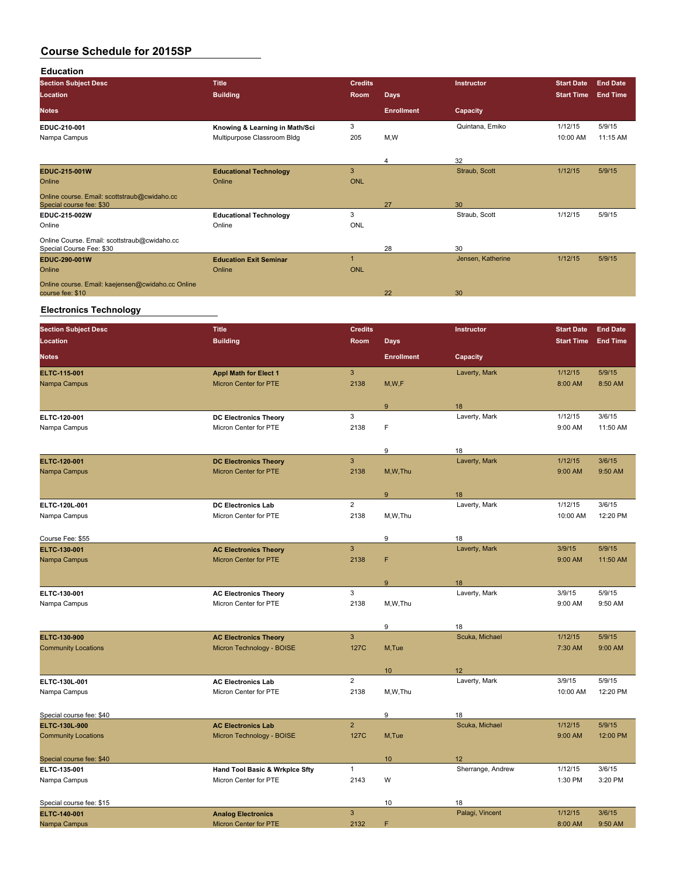| <b>Education</b>                                                         |                                |                |                   |                   |                   |                 |
|--------------------------------------------------------------------------|--------------------------------|----------------|-------------------|-------------------|-------------------|-----------------|
| <b>Section Subject Desc</b>                                              | <b>Title</b>                   | <b>Credits</b> |                   | Instructor        | <b>Start Date</b> | <b>End Date</b> |
| Location                                                                 | <b>Building</b>                | <b>Room</b>    | <b>Days</b>       |                   | <b>Start Time</b> | <b>End Time</b> |
| <b>Notes</b>                                                             |                                |                | <b>Enrollment</b> | Capacity          |                   |                 |
| EDUC-210-001                                                             | Knowing & Learning in Math/Sci | 3              |                   | Quintana, Emiko   | 1/12/15           | 5/9/15          |
| Nampa Campus                                                             | Multipurpose Classroom Bldg    | 205            | M,W               |                   | 10:00 AM          | 11:15 AM        |
|                                                                          |                                |                | 4                 | 32                |                   |                 |
| EDUC-215-001W                                                            | <b>Educational Technology</b>  | 3              |                   | Straub, Scott     | 1/12/15           | 5/9/15          |
| Online                                                                   | Online                         | <b>ONL</b>     |                   |                   |                   |                 |
| Online course. Email: scottstraub@cwidaho.cc<br>Special course fee: \$30 |                                |                | 27                | 30                |                   |                 |
| EDUC-215-002W                                                            | <b>Educational Technology</b>  | 3              |                   | Straub, Scott     | 1/12/15           | 5/9/15          |
| Online                                                                   | Online                         | ONL            |                   |                   |                   |                 |
| Online Course. Email: scottstraub@cwidaho.cc<br>Special Course Fee: \$30 |                                |                | 28                | 30                |                   |                 |
| EDUC-290-001W                                                            | <b>Education Exit Seminar</b>  |                |                   | Jensen, Katherine | 1/12/15           | 5/9/15          |
| Online                                                                   | Online                         | <b>ONL</b>     |                   |                   |                   |                 |
| Online course. Email: kaejensen@cwidaho.cc Online                        |                                |                |                   |                   |                   |                 |
| course fee: \$10                                                         |                                |                | 22                | 30                |                   |                 |

# **Electronics Technology**

| <b>Section Subject Desc</b> | <b>Title</b>                                                 | <b>Credits</b> |                   | Instructor          | <b>Start Date</b> | <b>End Date</b>    |
|-----------------------------|--------------------------------------------------------------|----------------|-------------------|---------------------|-------------------|--------------------|
| Location                    | <b>Building</b>                                              | <b>Room</b>    | <b>Days</b>       |                     | <b>Start Time</b> | <b>End Time</b>    |
| <b>Notes</b>                |                                                              |                | <b>Enrollment</b> | Capacity            |                   |                    |
| <b>ELTC 115 001</b>         | <b>Appl Math for Elect 1</b>                                 | $\mathbf{3}$   |                   | Laverty, Mark       | 1/12/15           | 5/9/15             |
| Nampa Campus                | <b>Micron Center for PTE</b>                                 | 2138           | M, W, F           |                     | 8:00 AM           | 8:50 AM            |
|                             |                                                              |                |                   |                     |                   |                    |
|                             |                                                              |                | 9                 | 18                  |                   |                    |
| ELTC 120-001                | <b>DC Electronics Theory</b>                                 | 3              |                   | Laverty, Mark       | 1/12/15           | 3/6/15             |
| Nampa Campus                | Micron Center for PTE                                        | 2138           | F                 |                     | 9:00 AM           | 11:50 AM           |
|                             |                                                              |                |                   |                     |                   |                    |
|                             |                                                              |                | 9                 | 18                  |                   |                    |
| ELTC-120-001                | <b>DC Electronics Theory</b>                                 | $\mathbf{3}$   |                   | Laverty, Mark       | 1/12/15           | 3/6/15             |
| Nampa Campus                | <b>Micron Center for PTE</b>                                 | 2138           | M, W, Thu         |                     | 9:00 AM           | 9:50 AM            |
|                             |                                                              |                |                   |                     |                   |                    |
|                             |                                                              |                | 9                 | 18                  |                   |                    |
| ELTC-120L-001               | <b>DC Electronics Lab</b>                                    | $\overline{2}$ |                   | Laverty, Mark       | 1/12/15           | 3/6/15             |
| Nampa Campus                | Micron Center for PTE                                        | 2138           | M,W,Thu           |                     | 10:00 AM          | 12:20 PM           |
|                             |                                                              |                |                   |                     |                   |                    |
| Course Fee: \$55            |                                                              | $\overline{3}$ | 9                 | 18                  |                   |                    |
| ELTC-130-001                | <b>AC Electronics Theory</b><br><b>Micron Center for PTE</b> | 2138           | F                 | Laverty, Mark       | 3/9/15<br>9:00 AM | 5/9/15<br>11:50 AM |
| Nampa Campus                |                                                              |                |                   |                     |                   |                    |
|                             |                                                              |                |                   |                     |                   |                    |
| ELTC-130-001                | <b>AC Electronics Theory</b>                                 | 3              | 9                 | 18<br>Laverty, Mark | 3/9/15            | 5/9/15             |
| Nampa Campus                | Micron Center for PTE                                        | 2138           | M,W,Thu           |                     | 9:00 AM           | 9:50 AM            |
|                             |                                                              |                |                   |                     |                   |                    |
|                             |                                                              |                | 9                 | 18                  |                   |                    |
| <b>ELTC 130 900</b>         | <b>AC Electronics Theory</b>                                 | $\overline{3}$ |                   | Scuka, Michael      | 1/12/15           | 5/9/15             |
| <b>Community Locations</b>  | Micron Technology - BOISE                                    | 127C           | M,Tue             |                     | 7:30 AM           | 9:00 AM            |
|                             |                                                              |                |                   |                     |                   |                    |
|                             |                                                              |                | 10                | 12                  |                   |                    |
| ELTC-130L-001               | <b>AC Electronics Lab</b>                                    | $\overline{2}$ |                   | Laverty, Mark       | 3/9/15            | 5/9/15             |
| Nampa Campus                | Micron Center for PTE                                        | 2138           | M,W,Thu           |                     | 10:00 AM          | 12:20 PM           |
|                             |                                                              |                |                   |                     |                   |                    |
| Special course fee: \$40    |                                                              |                | 9                 | 18                  |                   |                    |
| ELTC-130L-900               | <b>AC Electronics Lab</b>                                    | $\overline{2}$ |                   | Scuka, Michael      | 1/12/15           | 5/9/15             |
| <b>Community Locations</b>  | Micron Technology - BOISE                                    | 127C           | M,Tue             |                     | 9:00 AM           | 12:00 PM           |
|                             |                                                              |                |                   |                     |                   |                    |
| Special course fee: \$40    |                                                              |                | 10                | 12                  |                   |                    |
| ELTC-135-001                | Hand Tool Basic & Wrkplce Sfty                               | $\mathbf{1}$   |                   | Sherrange, Andrew   | 1/12/15           | 3/6/15             |
| Nampa Campus                | Micron Center for PTE                                        | 2143           | W                 |                     | 1:30 PM           | 3:20 PM            |
|                             |                                                              |                |                   |                     |                   |                    |
| Special course fee: \$15    |                                                              |                | 10                | 18                  |                   |                    |
| ELTC-140-001                | <b>Analog Electronics</b>                                    | $\overline{3}$ |                   | Palagi, Vincent     | 1/12/15           | 3/6/15             |
| Nampa Campus                | <b>Micron Center for PTE</b>                                 | 2132           | F                 |                     | 8:00 AM           | 9:50 AM            |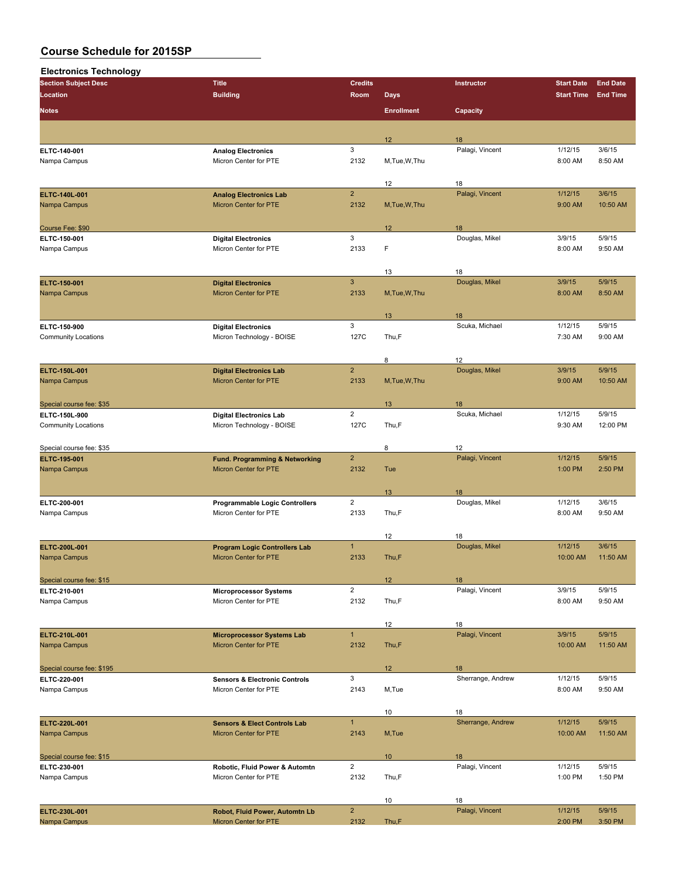| <b>Electronics Technology</b> |                                          |                |                   |                   |                    |                   |
|-------------------------------|------------------------------------------|----------------|-------------------|-------------------|--------------------|-------------------|
| <b>Section Subject Desc</b>   | <b>Title</b>                             | <b>Credits</b> |                   | Instructor        | <b>Start Date</b>  | <b>End Date</b>   |
| Location                      | <b>Building</b>                          | Room           | <b>Days</b>       |                   | <b>Start Time</b>  | <b>End Time</b>   |
| <b>Notes</b>                  |                                          |                | <b>Enrollment</b> | Capacity          |                    |                   |
|                               |                                          |                | 12                | 18                |                    |                   |
| ELTC-140-001                  | <b>Analog Electronics</b>                | 3              |                   | Palagi, Vincent   | 1/12/15            | 3/6/15            |
| Nampa Campus                  | Micron Center for PTE                    | 2132           | M, Tue, W, Thu    |                   | 8:00 AM            | 8:50 AM           |
|                               |                                          |                | 12                | 18                |                    |                   |
| ELTC-140L-001                 | <b>Analog Electronics Lab</b>            | $\overline{2}$ |                   | Palagi, Vincent   | 1/12/15            | 3/6/15            |
| Nampa Campus                  | Micron Center for PTE                    | 2132           | M, Tue, W, Thu    |                   | 9:00 AM            | 10:50 AM          |
| Course Fee: \$90              |                                          |                | 12                | 18                |                    |                   |
| ELTC-150-001                  | <b>Digital Electronics</b>               | 3              |                   | Douglas, Mikel    | 3/9/15             | 5/9/15            |
| Nampa Campus                  | Micron Center for PTE                    | 2133           | F                 |                   | 8:00 AM            | 9:50 AM           |
|                               |                                          |                | 13                | 18                |                    |                   |
| ELTC 150-001                  | <b>Digital Electronics</b>               | $\mathbf{3}$   |                   | Douglas, Mikel    | 3/9/15             | 5/9/15            |
| Nampa Campus                  | Micron Center for PTE                    | 2133           | M, Tue, W, Thu    |                   | 8:00 AM            | 8:50 AM           |
|                               |                                          |                | 13                | 18                |                    |                   |
| ELTC 150 900                  | <b>Digital Electronics</b>               | 3              |                   | Scuka, Michael    | 1/12/15            | 5/9/15            |
| <b>Community Locations</b>    | Micron Technology - BOISE                | 127C           | Thu,F             |                   | 7:30 AM            | 9:00 AM           |
|                               |                                          |                | 8                 | 12                |                    |                   |
| ELTC-150L-001                 | <b>Digital Electronics Lab</b>           | $\overline{2}$ |                   | Douglas, Mikel    | 3/9/15             | 5/9/15            |
| Nampa Campus                  | Micron Center for PTE                    | 2133           | M, Tue, W, Thu    |                   | 9:00 AM            | 10:50 AM          |
| Special course fee: \$35      |                                          |                | 13                | 18                |                    |                   |
| ELTC-150L-900                 | <b>Digital Electronics Lab</b>           | $\overline{2}$ |                   | Scuka, Michael    | 1/12/15            | 5/9/15            |
| <b>Community Locations</b>    | Micron Technology - BOISE                | 127C           | Thu,F             |                   | 9:30 AM            | 12:00 PM          |
| Special course fee: \$35      |                                          |                | 8                 | 12                |                    |                   |
| ELTC-195-001                  | Fund. Programming & Networking           | $\overline{2}$ |                   | Palagi, Vincent   | 1/12/15            | 5/9/15            |
| Nampa Campus                  | Micron Center for PTE                    | 2132           | Tue               |                   | 1:00 PM            | 2:50 PM           |
|                               |                                          |                | 13                | 18                |                    |                   |
| ELTC 200-001                  | <b>Programmable Logic Controllers</b>    | $\overline{2}$ |                   | Douglas, Mikel    | 1/12/15<br>8:00 AM | 3/6/15<br>9:50 AM |
| Nampa Campus                  | Micron Center for PTE                    | 2133           | Thu,F             |                   |                    |                   |
|                               |                                          |                | 12                | 18                |                    |                   |
| ELTC-200L-001                 | <b>Program Logic Controllers Lab</b>     | $\mathbf{1}$   |                   | Douglas, Mikel    | 1/12/15            | 3/6/15            |
| Nampa Campus                  | Micron Center for PTE                    | 2133           | Thu,F             |                   | 10:00 AM           | 11:50 AM          |
| Special course fee: \$15      |                                          |                | 12                | 18                |                    |                   |
| ELTC 210 001                  | <b>Microprocessor Systems</b>            | $\overline{2}$ |                   | Palagi, Vincent   | 3/9/15             | 5/9/15            |
| Nampa Campus                  | Micron Center for PTE                    | 2132           | Thu,F             |                   | 8:00 AM            | 9:50 AM           |
|                               |                                          |                | 12                | 18                |                    |                   |
| ELTC-210L-001                 | <b>Microprocessor Systems Lab</b>        | $\mathbf{1}$   |                   | Palagi, Vincent   | 3/9/15             | 5/9/15            |
| Nampa Campus                  | Micron Center for PTE                    | 2132           | Thu,F             |                   | 10:00 AM           | 11:50 AM          |
| Special course fee: \$195     |                                          |                | 12 <sup>°</sup>   | 18                |                    |                   |
| ELTC 220-001                  | <b>Sensors &amp; Electronic Controls</b> | 3              |                   | Sherrange, Andrew | 1/12/15            | 5/9/15            |
| Nampa Campus                  | Micron Center for PTE                    | 2143           | M,Tue             |                   | 8:00 AM            | 9:50 AM           |
|                               |                                          |                | 10                | 18                |                    |                   |
| ELTC-220L-001                 | <b>Sensors &amp; Elect Controls Lab</b>  | $\mathbf{1}$   |                   | Sherrange, Andrew | 1/12/15            | 5/9/15            |
| Nampa Campus                  | Micron Center for PTE                    | 2143           | M,Tue             |                   | 10:00 AM           | 11:50 AM          |
| Special course fee: \$15      |                                          |                | 10                | 18                |                    |                   |
| ELTC 230-001                  | Robotic, Fluid Power & Automtn           | $\overline{2}$ |                   | Palagi, Vincent   | 1/12/15            | 5/9/15            |
| Nampa Campus                  | Micron Center for PTE                    | 2132           | Thu,F             |                   | 1:00 PM            | 1:50 PM           |
|                               |                                          |                | 10                | 18                |                    |                   |
| ELTC-230L-001                 | Robot, Fluid Power, Automtn Lb           | $\overline{2}$ |                   | Palagi, Vincent   | 1/12/15            | 5/9/15            |
| Nampa Campus                  | Micron Center for PTE                    | 2132           | Thu,F             |                   | 2:00 PM            | 3:50 PM           |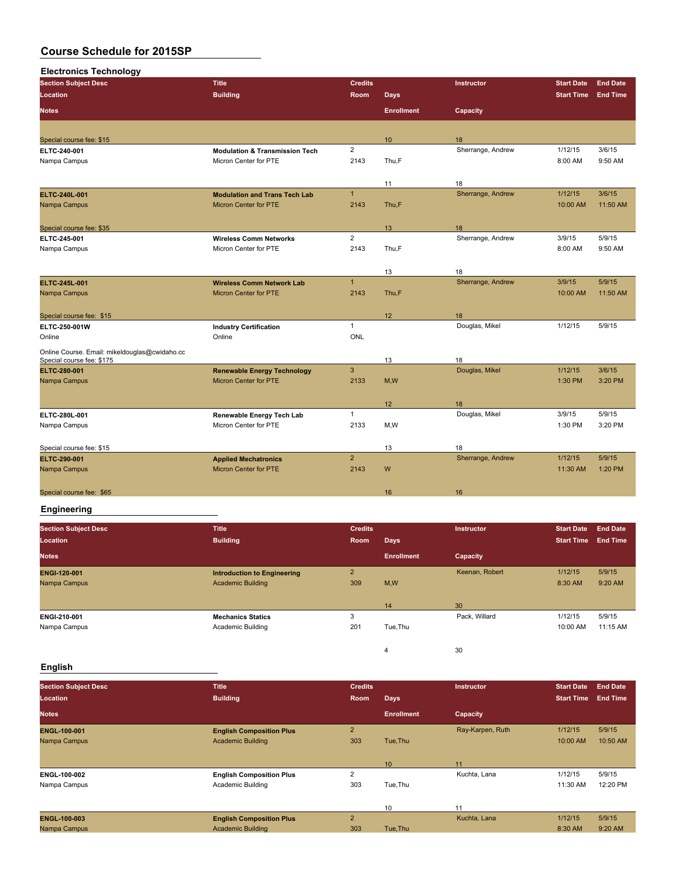| <b>Electronics Technology</b>                 |                                           |                |                   |                   |                   |                 |
|-----------------------------------------------|-------------------------------------------|----------------|-------------------|-------------------|-------------------|-----------------|
| <b>Section Subject Desc</b>                   | <b>Title</b>                              | <b>Credits</b> |                   | <b>Instructor</b> | <b>Start Date</b> | <b>End Date</b> |
| Location                                      | <b>Building</b>                           | Room           | <b>Days</b>       |                   | <b>Start Time</b> | <b>End Time</b> |
| <b>Notes</b>                                  |                                           |                | <b>Enrollment</b> | Capacity          |                   |                 |
|                                               |                                           |                |                   |                   |                   |                 |
| Special course fee: \$15                      |                                           |                | 10                | 18                |                   |                 |
| ELTC-240-001                                  | <b>Modulation &amp; Transmission Tech</b> | $\overline{2}$ |                   | Sherrange, Andrew | 1/12/15           | 3/6/15          |
| Nampa Campus                                  | Micron Center for PTE                     | 2143           | Thu,F             |                   | 8:00 AM           | 9:50 AM         |
|                                               |                                           |                | 11                | 18                |                   |                 |
| <b>ELTC 240L 001</b>                          | <b>Modulation and Trans Tech Lab</b>      | $\mathbf{1}$   |                   | Sherrange, Andrew | 1/12/15           | 3/6/15          |
| Nampa Campus                                  | <b>Micron Center for PTE</b>              | 2143           | Thu,F             |                   | 10:00 AM          | 11:50 AM        |
| Special course fee: \$35                      |                                           |                | 13                | 18                |                   |                 |
| ELTC-245-001                                  | <b>Wireless Comm Networks</b>             | $\overline{2}$ |                   | Sherrange, Andrew | 3/9/15            | 5/9/15          |
| Nampa Campus                                  | Micron Center for PTE                     | 2143           | Thu,F             |                   | 8:00 AM           | 9:50 AM         |
|                                               |                                           |                |                   |                   |                   |                 |
|                                               |                                           |                | 13                | 18                |                   |                 |
| ELTC-245L-001                                 | <b>Wireless Comm Network Lab</b>          | $\mathbf{1}$   |                   | Sherrange, Andrew | 3/9/15            | 5/9/15          |
| Nampa Campus                                  | <b>Micron Center for PTE</b>              | 2143           | Thu,F             |                   | 10:00 AM          | 11:50 AM        |
| Special course fee: \$15                      |                                           |                | 12                | 18                |                   |                 |
| ELTC-250-001W                                 | <b>Industry Certification</b>             | $\mathbf{1}$   |                   | Douglas, Mikel    | 1/12/15           | 5/9/15          |
| Online                                        | Online                                    | <b>ONL</b>     |                   |                   |                   |                 |
| Online Course. Email: mikeldouglas@cwidaho.cc |                                           |                |                   |                   |                   |                 |
| Special course fee: \$175                     |                                           |                | 13                | 18                |                   |                 |
| ELTC-280-001                                  | <b>Renewable Energy Technology</b>        | 3              |                   | Douglas, Mikel    | 1/12/15           | 3/6/15          |
| Nampa Campus                                  | <b>Micron Center for PTE</b>              | 2133           | M, W              |                   | 1:30 PM           | 3:20 PM         |
|                                               |                                           |                | 12                | 18                |                   |                 |
| ELTC 280L-001                                 | Renewable Energy Tech Lab                 | $\mathbf{1}$   |                   | Douglas, Mikel    | 3/9/15            | 5/9/15          |
| Nampa Campus                                  | Micron Center for PTE                     | 2133           | M,W               |                   | 1:30 PM           | 3:20 PM         |
| Special course fee: \$15                      |                                           |                | 13                | 18                |                   |                 |
| ELTC 290 001                                  | <b>Applied Mechatronics</b>               | $\overline{2}$ |                   | Sherrange, Andrew | 1/12/15           | 5/9/15          |
| Nampa Campus                                  | <b>Micron Center for PTE</b>              | 2143           | W                 |                   | 11:30 AM          | 1:20 PM         |
| Special course fee: \$65                      |                                           |                | 16                | 16                |                   |                 |

#### **Engineering**

| <b>Section Subject Desc</b><br>Location | <b>Title</b><br><b>Building</b>    | <b>Credits</b><br>Room | <b>Days</b>       | <b>Instructor</b> | <b>Start Date</b><br><b>Start Time</b> | <b>End Date</b><br><b>End Time</b> |
|-----------------------------------------|------------------------------------|------------------------|-------------------|-------------------|----------------------------------------|------------------------------------|
| <b>Notes</b>                            |                                    |                        | <b>Enrollment</b> | Capacity          |                                        |                                    |
| <b>ENGI-120-001</b>                     | <b>Introduction to Engineering</b> | $\overline{2}$         |                   | Keenan, Robert    | 1/12/15                                | 5/9/15                             |
| Nampa Campus                            | <b>Academic Building</b>           | 309                    | M,W               |                   | 8:30 AM                                | 9:20 AM                            |
|                                         |                                    |                        |                   |                   |                                        |                                    |
|                                         |                                    |                        | 14                | 30                |                                        |                                    |
| ENGI-210-001                            | <b>Mechanics Statics</b>           | 3                      |                   | Pack, Willard     | 1/12/15                                | 5/9/15                             |
| Nampa Campus                            | Academic Building                  | 201                    | Tue, Thu          |                   | 10:00 AM                               | 11:15 AM                           |
|                                         |                                    |                        |                   |                   |                                        |                                    |
|                                         |                                    |                        | 4                 | 30                |                                        |                                    |

### **English**

| <b>Section Subject Desc</b><br>Location | <b>Title</b><br><b>Building</b> | <b>Credits</b><br>Room | <b>Days</b>       | Instructor       | <b>Start Date</b><br><b>Start Time</b> | <b>End Date</b><br><b>End Time</b> |
|-----------------------------------------|---------------------------------|------------------------|-------------------|------------------|----------------------------------------|------------------------------------|
| <b>Notes</b>                            |                                 |                        | <b>Enrollment</b> | Capacity         |                                        |                                    |
| <b>ENGL 100-001</b>                     | <b>English Composition Plus</b> | $\overline{2}$         |                   | Ray-Karpen, Ruth | 1/12/15                                | 5/9/15                             |
| Nampa Campus                            | <b>Academic Building</b>        | 303                    | Tue, Thu          |                  | 10:00 AM                               | 10:50 AM                           |
|                                         |                                 |                        | 10                | 11               |                                        |                                    |
| ENGL-100-002                            | <b>English Composition Plus</b> | $\overline{2}$         |                   | Kuchta, Lana     | 1/12/15                                | 5/9/15                             |
| Nampa Campus                            | Academic Building               | 303                    | Tue, Thu          |                  | 11:30 AM                               | 12:20 PM                           |
|                                         |                                 |                        |                   |                  |                                        |                                    |
|                                         |                                 |                        | 10                | 11               |                                        |                                    |
| <b>ENGL 100 003</b>                     | <b>English Composition Plus</b> | $\overline{2}$         |                   | Kuchta, Lana     | 1/12/15                                | 5/9/15                             |
| Nampa Campus                            | <b>Academic Building</b>        | 303                    | Tue, Thu          |                  | 8:30 AM                                | 9:20 AM                            |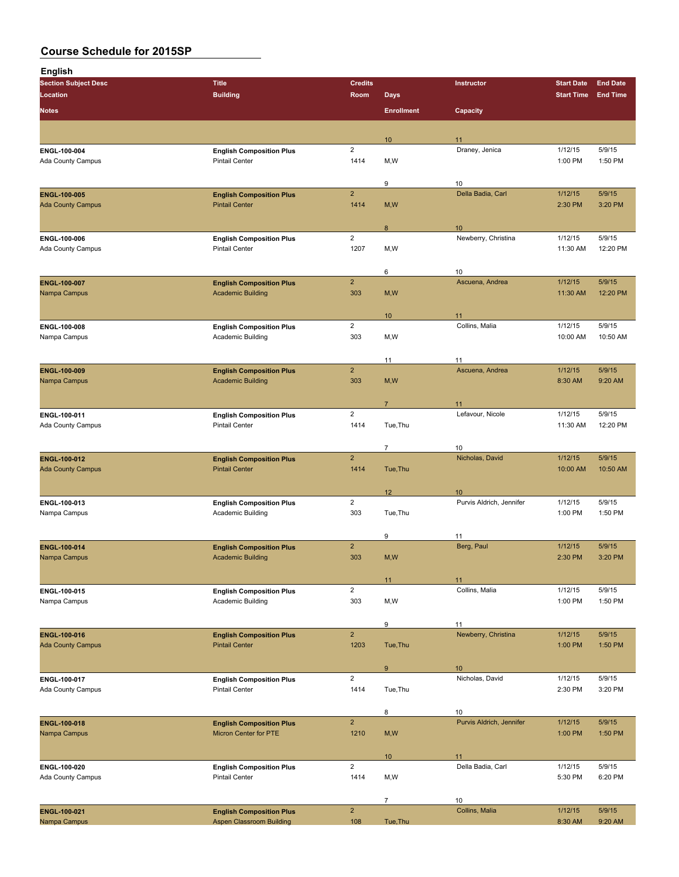| <b>English</b>                           |                                                             |                         |                   |                           |                    |                   |
|------------------------------------------|-------------------------------------------------------------|-------------------------|-------------------|---------------------------|--------------------|-------------------|
| <b>Section Subject Desc</b>              | <b>Title</b>                                                | <b>Credits</b>          |                   | Instructor                | <b>Start Date</b>  | <b>End Date</b>   |
| <b>Location</b>                          | <b>Building</b>                                             | Room                    | <b>Days</b>       |                           | <b>Start Time</b>  | <b>End Time</b>   |
| <b>Notes</b>                             |                                                             |                         | <b>Enrollment</b> | Capacity                  |                    |                   |
|                                          |                                                             |                         |                   |                           |                    |                   |
|                                          |                                                             |                         | 10                | 11                        |                    |                   |
| ENGL 100-004                             | <b>English Composition Plus</b>                             | $\overline{2}$          |                   | Draney, Jenica            | 1/12/15            | 5/9/15            |
| Ada County Campus                        | <b>Pintail Center</b>                                       | 1414                    | M,W               |                           | 1:00 PM            | 1:50 PM           |
|                                          |                                                             | $\overline{2}$          | 9                 | 10                        |                    |                   |
| ENGL-100-005<br><b>Ada County Campus</b> | <b>English Composition Plus</b><br><b>Pintail Center</b>    | 1414                    | M, W              | Della Badia, Carl         | 1/12/15<br>2:30 PM | 5/9/15<br>3:20 PM |
|                                          |                                                             |                         |                   |                           |                    |                   |
|                                          |                                                             | $\overline{2}$          | 8                 | 10<br>Newberry, Christina | 1/12/15            | 5/9/15            |
| ENGL-100-006<br>Ada County Campus        | <b>English Composition Plus</b><br><b>Pintail Center</b>    | 1207                    | M,W               |                           | 11:30 AM           | 12:20 PM          |
|                                          |                                                             |                         |                   |                           |                    |                   |
|                                          |                                                             | $\overline{2}$          | 6                 | 10<br>Ascuena, Andrea     | 1/12/15            | 5/9/15            |
| ENGL-100-007<br>Nampa Campus             | <b>English Composition Plus</b><br><b>Academic Building</b> | 303                     | M, W              |                           | 11:30 AM           | 12:20 PM          |
|                                          |                                                             |                         |                   |                           |                    |                   |
|                                          |                                                             | $\overline{\mathbf{c}}$ | 10                | 11<br>Collins, Malia      | 1/12/15            | 5/9/15            |
| ENGL 100-008<br>Nampa Campus             | <b>English Composition Plus</b><br>Academic Building        | 303                     | M, W              |                           | 10:00 AM           | 10:50 AM          |
|                                          |                                                             |                         |                   |                           |                    |                   |
|                                          |                                                             | $\mathbf 2$             | 11                | 11                        |                    |                   |
| ENGL-100-009                             | <b>English Composition Plus</b><br><b>Academic Building</b> | 303                     |                   | Ascuena, Andrea           | 1/12/15<br>8:30 AM | 5/9/15<br>9:20 AM |
| Nampa Campus                             |                                                             |                         | M, W              |                           |                    |                   |
|                                          |                                                             |                         | $\overline{7}$    | 11                        |                    |                   |
| ENGL 100-011                             | <b>English Composition Plus</b>                             | $\overline{\mathbf{c}}$ |                   | Lefavour, Nicole          | 1/12/15            | 5/9/15            |
| Ada County Campus                        | <b>Pintail Center</b>                                       | 1414                    | Tue, Thu          |                           | 11:30 AM           | 12:20 PM          |
|                                          |                                                             |                         |                   |                           |                    |                   |
|                                          |                                                             | $\overline{2}$          | $\overline{7}$    | 10<br>Nicholas, David     | 1/12/15            | 5/9/15            |
| ENGL-100-012<br><b>Ada County Campus</b> | <b>English Composition Plus</b><br><b>Pintail Center</b>    | 1414                    | Tue, Thu          |                           | 10:00 AM           | 10:50 AM          |
|                                          |                                                             |                         |                   |                           |                    |                   |
|                                          |                                                             |                         | 12                | 10                        |                    |                   |
| ENGL-100-013                             | <b>English Composition Plus</b>                             | $\overline{2}$          |                   | Purvis Aldrich, Jennifer  | 1/12/15            | 5/9/15            |
| Nampa Campus                             | Academic Building                                           | 303                     | Tue, Thu          |                           | 1:00 PM            | 1:50 PM           |
|                                          |                                                             |                         |                   |                           |                    |                   |
| ENGL-100-014                             | <b>English Composition Plus</b>                             | $\overline{2}$          | 9                 | 11<br>Berg, Paul          | 1/12/15            | 5/9/15            |
| Nampa Campus                             | <b>Academic Building</b>                                    | 303                     | M,W               |                           | 2:30 PM            | 3:20 PM           |
|                                          |                                                             |                         |                   |                           |                    |                   |
|                                          |                                                             |                         | 11                | 11                        |                    |                   |
| ENGL-100-015                             | <b>English Composition Plus</b>                             | $\overline{2}$          |                   | Collins, Malia            | 1/12/15            | 5/9/15            |
| Nampa Campus                             | Academic Building                                           | 303                     | M,W               |                           | 1:00 PM            | 1:50 PM           |
|                                          |                                                             |                         | 9                 | 11                        |                    |                   |
| ENGL-100-016                             | <b>English Composition Plus</b>                             | $\overline{2}$          |                   | Newberry, Christina       | 1/12/15            | 5/9/15            |
| <b>Ada County Campus</b>                 | <b>Pintail Center</b>                                       | 1203                    | Tue, Thu          |                           | 1:00 PM            | 1:50 PM           |
|                                          |                                                             |                         | 9                 | 10                        |                    |                   |
| ENGL-100-017                             | <b>English Composition Plus</b>                             | $\overline{2}$          |                   | Nicholas, David           | 1/12/15            | 5/9/15            |
| Ada County Campus                        | <b>Pintail Center</b>                                       | 1414                    | Tue, Thu          |                           | 2:30 PM            | 3:20 PM           |
|                                          |                                                             |                         | 8                 | 10                        |                    |                   |
| ENGL-100-018                             | <b>English Composition Plus</b>                             | $\overline{2}$          |                   | Purvis Aldrich, Jennifer  | 1/12/15            | 5/9/15            |
| Nampa Campus                             | <b>Micron Center for PTE</b>                                | 1210                    | M, W              |                           | 1:00 PM            | 1:50 PM           |
|                                          |                                                             |                         | 10                | 11                        |                    |                   |
| ENGL 100-020                             | <b>English Composition Plus</b>                             | $\overline{2}$          |                   | Della Badia, Carl         | 1/12/15            | 5/9/15            |
| Ada County Campus                        | <b>Pintail Center</b>                                       | 1414                    | M,W               |                           | 5:30 PM            | 6:20 PM           |
|                                          |                                                             |                         |                   |                           |                    |                   |
|                                          |                                                             |                         | $\overline{7}$    | 10                        |                    |                   |

|                     |                                 |     |         | 10             |         |           |
|---------------------|---------------------------------|-----|---------|----------------|---------|-----------|
| <b>ENGL-100-021</b> | <b>English Composition Plus</b> |     |         | Collins, Malia | 1/12/15 | 5/9/15    |
| Nampa Campus        | Aspen Classroom Building        | 108 | Tue.Thu |                | 8:30 AM | $9:20$ AM |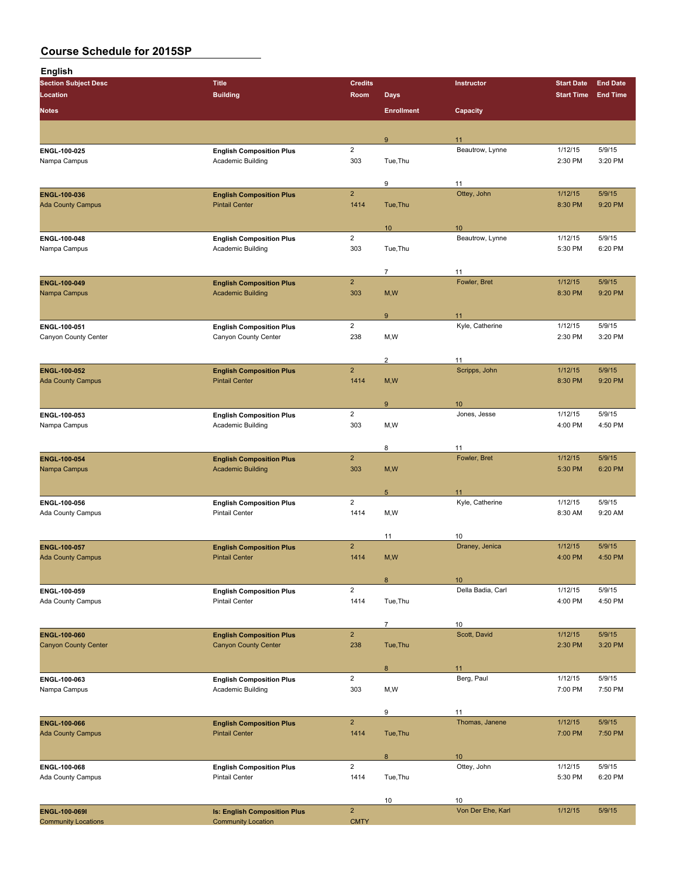| <b>English</b>                           |                                                             |                        |                                  |                       |                    |                   |
|------------------------------------------|-------------------------------------------------------------|------------------------|----------------------------------|-----------------------|--------------------|-------------------|
| <b>Section Subject Desc</b>              | <b>Title</b>                                                | <b>Credits</b>         |                                  | Instructor            | <b>Start Date</b>  | <b>End Date</b>   |
| Location<br><b>Notes</b>                 | <b>Building</b>                                             | Room                   | <b>Days</b><br><b>Enrollment</b> | Capacity              | <b>Start Time</b>  | <b>End Time</b>   |
|                                          |                                                             |                        |                                  |                       |                    |                   |
|                                          |                                                             |                        | 9                                | 11                    |                    |                   |
| ENGL-100-025                             | <b>English Composition Plus</b>                             | $\overline{2}$         |                                  | Beautrow, Lynne       | 1/12/15            | 5/9/15            |
| Nampa Campus                             | Academic Building                                           | 303                    | Tue, Thu                         |                       | 2:30 PM            | 3:20 PM           |
|                                          |                                                             |                        | 9                                | 11                    |                    |                   |
| ENGL-100-036                             | <b>English Composition Plus</b>                             | $\overline{2}$         |                                  | Ottey, John           | 1/12/15            | 5/9/15            |
| <b>Ada County Campus</b>                 | <b>Pintail Center</b>                                       | 1414                   | Tue, Thu                         |                       | 8:30 PM            | 9:20 PM           |
|                                          |                                                             |                        | 10                               | 10                    |                    |                   |
| ENGL-100-048                             | <b>English Composition Plus</b>                             | $\overline{2}$         |                                  | Beautrow, Lynne       | 1/12/15            | 5/9/15            |
| Nampa Campus                             | Academic Building                                           | 303                    | Tue, Thu                         |                       | 5:30 PM            | 6:20 PM           |
|                                          |                                                             |                        | $\overline{7}$                   | 11                    |                    |                   |
| ENGL-100-049                             | <b>English Composition Plus</b>                             | $\overline{2}$         |                                  | Fowler, Bret          | 1/12/15            | 5/9/15            |
| Nampa Campus                             | <b>Academic Building</b>                                    | 303                    | M, W                             |                       | 8:30 PM            | 9:20 PM           |
|                                          |                                                             |                        |                                  |                       |                    |                   |
| ENGL-100-051                             | <b>English Composition Plus</b>                             | $\overline{2}$         | $\boldsymbol{9}$                 | 11<br>Kyle, Catherine | 1/12/15            | 5/9/15            |
| Canyon County Center                     | Canyon County Center                                        | 238                    | M, W                             |                       | 2:30 PM            | 3:20 PM           |
|                                          |                                                             |                        |                                  |                       |                    |                   |
|                                          |                                                             | $\overline{2}$         | $\overline{2}$                   | 11<br>Scripps, John   | 1/12/15            | 5/9/15            |
| ENGL-100-052<br><b>Ada County Campus</b> | <b>English Composition Plus</b><br><b>Pintail Center</b>    | 1414                   | M, W                             |                       | 8:30 PM            | 9:20 PM           |
|                                          |                                                             |                        |                                  |                       |                    |                   |
|                                          |                                                             |                        | $\boldsymbol{9}$                 | 10                    |                    |                   |
| ENGL-100-053<br>Nampa Campus             | <b>English Composition Plus</b><br><b>Academic Building</b> | $\overline{2}$<br>303  | M, W                             | Jones, Jesse          | 1/12/15<br>4:00 PM | 5/9/15<br>4:50 PM |
|                                          |                                                             |                        |                                  |                       |                    |                   |
|                                          |                                                             |                        | 8                                | 11                    |                    |                   |
| ENGL-100-054                             | <b>English Composition Plus</b>                             | $\overline{2}$         |                                  | Fowler, Bret          | 1/12/15            | 5/9/15            |
| Nampa Campus                             | <b>Academic Building</b>                                    | 303                    | M, W                             |                       | 5:30 PM            | 6:20 PM           |
|                                          |                                                             |                        | $5\phantom{.0}$                  | 11                    |                    |                   |
| ENGL 100 056                             | <b>English Composition Plus</b>                             | $\overline{2}$         |                                  | Kyle, Catherine       | 1/12/15            | 5/9/15            |
| Ada County Campus                        | <b>Pintail Center</b>                                       | 1414                   | M, W                             |                       | 8:30 AM            | 9:20 AM           |
|                                          |                                                             |                        | 11                               | 10                    |                    |                   |
| <b>ENGL 100 057</b>                      | <b>English Composition Plus</b>                             | $\overline{2}$         |                                  | Draney, Jenica        | 1/12/15            | 5/9/15            |
| Ada County Campus                        | <b>Pintail Center</b>                                       | 1414                   | M, W                             |                       | 4:00 PM            | 4:50 PM           |
|                                          |                                                             |                        | 8                                | 10 <sup>°</sup>       |                    |                   |
| ENGL-100-059                             | <b>English Composition Plus</b>                             | $\overline{c}$         |                                  | Della Badia, Carl     | 1/12/15            | 5/9/15            |
| Ada County Campus                        | <b>Pintail Center</b>                                       | 1414                   | Tue, Thu                         |                       | 4:00 PM            | 4:50 PM           |
|                                          |                                                             |                        | $\overline{7}$                   | $10\,$                |                    |                   |
| ENGL-100-060                             | <b>English Composition Plus</b>                             | $\overline{2}$         |                                  | Scott, David          | 1/12/15            | 5/9/15            |
| <b>Canyon County Center</b>              | <b>Canyon County Center</b>                                 | 238                    | Tue, Thu                         |                       | 2:30 PM            | 3:20 PM           |
|                                          |                                                             |                        |                                  |                       |                    |                   |
| ENGL 100-063                             | <b>English Composition Plus</b>                             | $\overline{2}$         | 8                                | 11<br>Berg, Paul      | 1/12/15            | 5/9/15            |
| Nampa Campus                             | Academic Building                                           | 303                    | M,W                              |                       | 7:00 PM            | 7:50 PM           |
|                                          |                                                             |                        |                                  |                       |                    |                   |
|                                          |                                                             | $\overline{2}$         | 9                                | 11<br>Thomas, Janene  | 1/12/15            | 5/9/15            |
| ENGL-100-066<br><b>Ada County Campus</b> | <b>English Composition Plus</b><br><b>Pintail Center</b>    | 1414                   | Tue, Thu                         |                       | 7:00 PM            | 7:50 PM           |
|                                          |                                                             |                        |                                  |                       |                    |                   |
|                                          |                                                             |                        | 8                                | 10 <sup>°</sup>       |                    |                   |
| ENGL 100-068<br>Ada County Campus        | <b>English Composition Plus</b><br><b>Pintail Center</b>    | $\overline{2}$<br>1414 | Tue, Thu                         | Ottey, John           | 1/12/15<br>5:30 PM | 5/9/15<br>6:20 PM |
|                                          |                                                             |                        |                                  |                       |                    |                   |
|                                          |                                                             |                        | 10                               | 10                    |                    |                   |
| ENGL-100-069I                            | <b>Is: English Composition Plus</b>                         | $\overline{2}$         |                                  | Von Der Ehe, Karl     | 1/12/15            | 5/9/15            |
| <b>Community Locations</b>               | <b>Community Location</b>                                   | <b>CMTY</b>            |                                  |                       |                    |                   |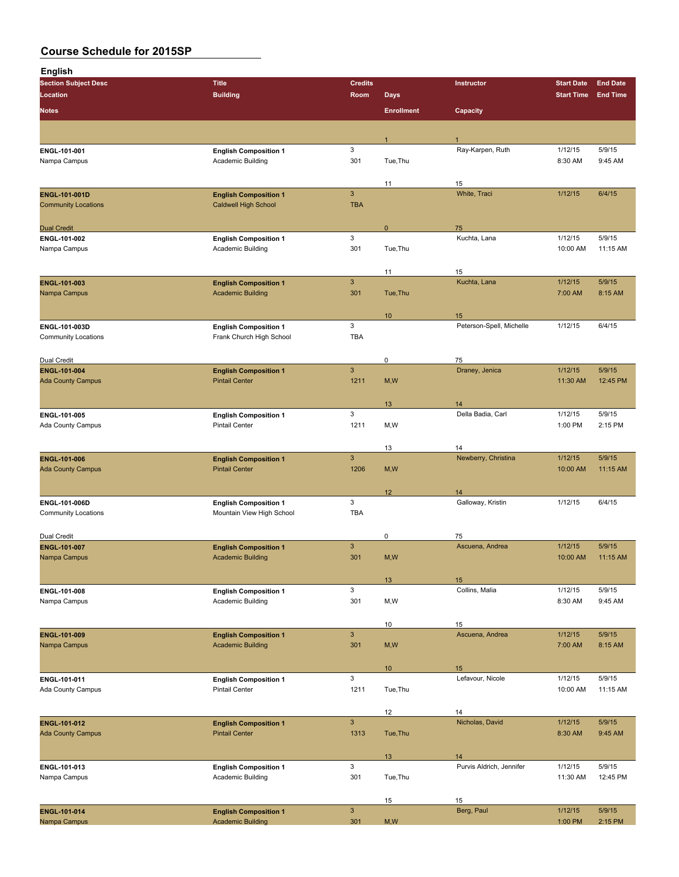| <b>English</b>                              |                                                             |                            |                   |                                |                     |                    |
|---------------------------------------------|-------------------------------------------------------------|----------------------------|-------------------|--------------------------------|---------------------|--------------------|
| <b>Section Subject Desc</b>                 | <b>Title</b>                                                | <b>Credits</b>             |                   | Instructor                     | <b>Start Date</b>   | <b>End Date</b>    |
| Location                                    | <b>Building</b>                                             | Room                       | <b>Days</b>       |                                | <b>Start Time</b>   | <b>End Time</b>    |
| <b>Notes</b>                                |                                                             |                            | <b>Enrollment</b> | Capacity                       |                     |                    |
|                                             |                                                             |                            |                   |                                |                     |                    |
| ENGL-101-001                                | <b>English Composition 1</b>                                | 3                          |                   | Ray-Karpen, Ruth               | 1/12/15             | 5/9/15             |
| Nampa Campus                                | Academic Building                                           | 301                        | Tue, Thu          |                                | 8:30 AM             | 9:45 AM            |
|                                             |                                                             |                            |                   |                                |                     |                    |
|                                             |                                                             |                            | 11                | 15                             |                     |                    |
| ENGL-101-001D<br><b>Community Locations</b> | <b>English Composition 1</b><br><b>Caldwell High School</b> | $\mathbf{3}$<br><b>TBA</b> |                   | White, Traci                   | 1/12/15             | 6/4/15             |
|                                             |                                                             |                            |                   |                                |                     |                    |
| <b>Dual Credit</b>                          |                                                             |                            | 0                 | 75                             |                     |                    |
| ENGL-101-002                                | <b>English Composition 1</b>                                | 3                          |                   | Kuchta, Lana                   | 1/12/15             | 5/9/15             |
| Nampa Campus                                | Academic Building                                           | 301                        | Tue, Thu          |                                | 10:00 AM            | 11:15 AM           |
|                                             |                                                             |                            | 11                | 15                             |                     |                    |
| ENGL-101-003                                | <b>English Composition 1</b>                                | $\mathbf{3}$               |                   | Kuchta, Lana                   | 1/12/15             | 5/9/15             |
| Nampa Campus                                | <b>Academic Building</b>                                    | 301                        | Tue, Thu          |                                | 7:00 AM             | 8:15 AM            |
|                                             |                                                             |                            |                   |                                |                     |                    |
| ENGL-101-003D                               | <b>English Composition 1</b>                                | 3                          | 10                | 15<br>Peterson-Spell, Michelle | 1/12/15             | 6/4/15             |
| <b>Community Locations</b>                  | Frank Church High School                                    | <b>TBA</b>                 |                   |                                |                     |                    |
|                                             |                                                             |                            |                   |                                |                     |                    |
| Dual Credit                                 |                                                             |                            | 0                 | 75                             |                     |                    |
| ENGL-101-004                                | <b>English Composition 1</b>                                | $\ensuremath{\mathsf{3}}$  |                   | Draney, Jenica                 | 1/12/15             | 5/9/15             |
| <b>Ada County Campus</b>                    | <b>Pintail Center</b>                                       | 1211                       | M, W              |                                | 11:30 AM            | 12:45 PM           |
|                                             |                                                             |                            | 13                | 14                             |                     |                    |
| ENGL-101-005                                | <b>English Composition 1</b>                                | 3                          |                   | Della Badia, Carl              | 1/12/15             | 5/9/15             |
| Ada County Campus                           | <b>Pintail Center</b>                                       | 1211                       | M,W               |                                | 1:00 PM             | 2:15 PM            |
|                                             |                                                             |                            |                   |                                |                     |                    |
| ENGL-101-006                                | <b>English Composition 1</b>                                | $\mathbf{3}$               | 13                | 14<br>Newberry, Christina      | 1/12/15             | 5/9/15             |
| <b>Ada County Campus</b>                    | <b>Pintail Center</b>                                       | 1206                       | M, W              |                                | 10:00 AM            | 11:15 AM           |
|                                             |                                                             |                            |                   |                                |                     |                    |
|                                             |                                                             |                            | 12                | 14                             |                     |                    |
| ENGL-101-006D<br><b>Community Locations</b> | <b>English Composition 1</b>                                | 3<br><b>TBA</b>            |                   | Galloway, Kristin              | 1/12/15             | 6/4/15             |
|                                             | Mountain View High School                                   |                            |                   |                                |                     |                    |
| Dual Credit                                 |                                                             |                            | 0                 | 75                             |                     |                    |
| ENGL-101-007                                | <b>English Composition 1</b>                                | $\mathbf{3}$               |                   | Ascuena, Andrea                | 1/12/15             | 5/9/15             |
| Nampa Campus                                | <b>Academic Building</b>                                    | 301                        | M, W              |                                | 10:00 AM            | 11:15 AM           |
|                                             |                                                             |                            |                   |                                |                     |                    |
| ENGL-101-008                                | <b>English Composition 1</b>                                | 3                          | 13                | 15<br>Collins, Malia           | 1/12/15             | 5/9/15             |
| Nampa Campus                                | Academic Building                                           | 301                        | M, W              |                                | 8:30 AM             | 9:45 AM            |
|                                             |                                                             |                            |                   |                                |                     |                    |
|                                             |                                                             |                            | 10                | 15                             |                     |                    |
| ENGL-101-009<br>Nampa Campus                | <b>English Composition 1</b><br><b>Academic Building</b>    | $\mathbf{3}$<br>301        | M, W              | Ascuena, Andrea                | 1/12/15<br>7:00 AM  | 5/9/15<br>8:15 AM  |
|                                             |                                                             |                            |                   |                                |                     |                    |
|                                             |                                                             |                            | 10 <sup>°</sup>   | 15                             |                     |                    |
| ENGL 101-011                                | <b>English Composition 1</b>                                | 3                          |                   | Lefavour, Nicole               | 1/12/15             | 5/9/15             |
| Ada County Campus                           | <b>Pintail Center</b>                                       | 1211                       | Tue, Thu          |                                | 10:00 AM            | 11:15 AM           |
|                                             |                                                             |                            | 12                | 14                             |                     |                    |
| ENGL-101-012                                | <b>English Composition 1</b>                                | $\mathbf{3}$               |                   | Nicholas, David                | 1/12/15             | 5/9/15             |
| <b>Ada County Campus</b>                    | <b>Pintail Center</b>                                       | 1313                       | Tue, Thu          |                                | 8:30 AM             | 9:45 AM            |
|                                             |                                                             |                            |                   |                                |                     |                    |
|                                             |                                                             |                            | 13                | 14                             |                     |                    |
| ENGL-101-013<br>Nampa Campus                | <b>English Composition 1</b><br>Academic Building           | 3<br>301                   | Tue, Thu          | Purvis Aldrich, Jennifer       | 1/12/15<br>11:30 AM | 5/9/15<br>12:45 PM |
|                                             |                                                             |                            |                   |                                |                     |                    |
|                                             |                                                             |                            | 15                | 15                             |                     |                    |
| ENGL-101-014                                | <b>English Composition 1</b>                                | $\mathbf{3}$               |                   | Berg, Paul                     | 1/12/15             | 5/9/15             |
| Nampa Campus                                | <b>Academic Building</b>                                    | 301                        | M, W              |                                | 1:00 PM             | 2:15 PM            |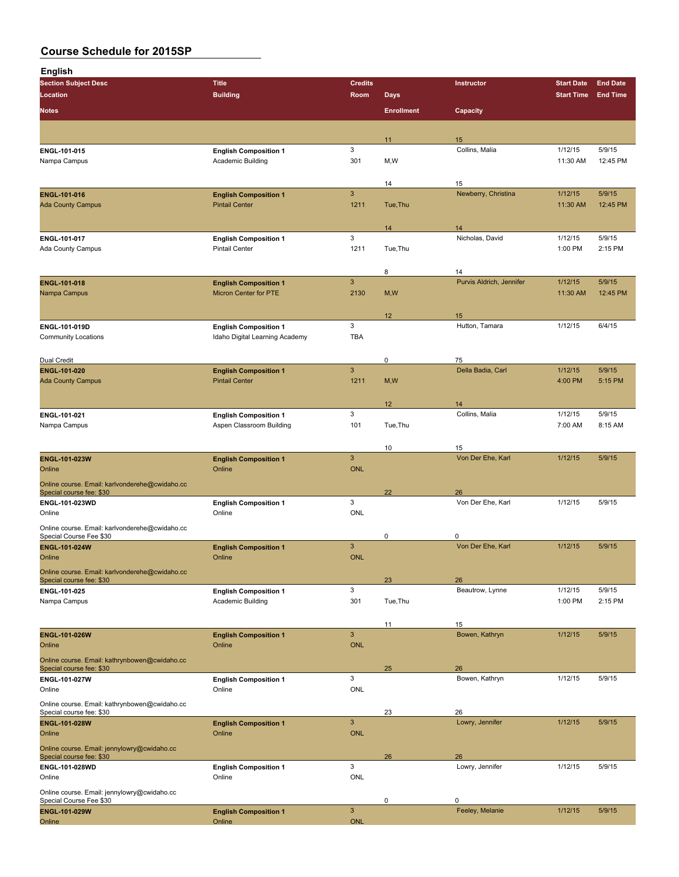| <b>English</b>                                                             |                                                       |                            |                   |                          |                     |                    |
|----------------------------------------------------------------------------|-------------------------------------------------------|----------------------------|-------------------|--------------------------|---------------------|--------------------|
| <b>Section Subject Desc</b>                                                | <b>Title</b>                                          | <b>Credits</b>             |                   | Instructor               | <b>Start Date</b>   | <b>End Date</b>    |
| Location                                                                   | <b>Building</b>                                       | Room                       | <b>Days</b>       |                          | <b>Start Time</b>   | <b>End Time</b>    |
| <b>Notes</b>                                                               |                                                       |                            | <b>Enrollment</b> | Capacity                 |                     |                    |
|                                                                            |                                                       |                            |                   |                          |                     |                    |
| ENGL-101-015                                                               | <b>English Composition 1</b>                          | 3                          | 11                | 15<br>Collins, Malia     | 1/12/15             | 5/9/15             |
| Nampa Campus                                                               | Academic Building                                     | 301                        | M,W               |                          | 11:30 AM            | 12:45 PM           |
|                                                                            |                                                       |                            |                   |                          |                     |                    |
|                                                                            |                                                       | 3                          | 14                | 15                       |                     |                    |
| <b>ENGL 101 016</b><br><b>Ada County Campus</b>                            | <b>English Composition 1</b><br><b>Pintail Center</b> | 1211                       | Tue, Thu          | Newberry, Christina      | 1/12/15<br>11:30 AM | 5/9/15<br>12:45 PM |
|                                                                            |                                                       |                            |                   |                          |                     |                    |
|                                                                            |                                                       |                            | 14                | 14                       |                     |                    |
| ENGL-101-017<br>Ada County Campus                                          | <b>English Composition 1</b><br><b>Pintail Center</b> | 3<br>1211                  | Tue, Thu          | Nicholas, David          | 1/12/15<br>1:00 PM  | 5/9/15<br>2:15 PM  |
|                                                                            |                                                       |                            |                   |                          |                     |                    |
|                                                                            |                                                       |                            | 8                 | 14                       |                     |                    |
| ENGL-101-018                                                               | <b>English Composition 1</b>                          | 3                          |                   | Purvis Aldrich, Jennifer | 1/12/15             | 5/9/15             |
| Nampa Campus                                                               | Micron Center for PTE                                 | 2130                       | M, W              |                          | 11:30 AM            | 12:45 PM           |
|                                                                            |                                                       |                            | 12                | 15                       |                     |                    |
| ENGL-101-019D                                                              | <b>English Composition 1</b>                          | 3                          |                   | Hutton, Tamara           | 1/12/15             | 6/4/15             |
| <b>Community Locations</b>                                                 | Idaho Digital Learning Academy                        | <b>TBA</b>                 |                   |                          |                     |                    |
| Dual Credit                                                                |                                                       |                            | $\mathbf 0$       | 75                       |                     |                    |
| ENGL-101-020                                                               | <b>English Composition 1</b>                          | $\ensuremath{\mathsf{3}}$  |                   | Della Badia, Carl        | 1/12/15             | 5/9/15             |
| <b>Ada County Campus</b>                                                   | <b>Pintail Center</b>                                 | 1211                       | M, W              |                          | 4:00 PM             | 5:15 PM            |
|                                                                            |                                                       |                            |                   |                          |                     |                    |
| ENGL-101-021                                                               | <b>English Composition 1</b>                          | 3                          | 12                | 14<br>Collins, Malia     | 1/12/15             | 5/9/15             |
| Nampa Campus                                                               | Aspen Classroom Building                              | 101                        | Tue, Thu          |                          | 7:00 AM             | 8:15 AM            |
|                                                                            |                                                       |                            |                   |                          |                     |                    |
|                                                                            |                                                       | $\mathbf{3}$               | 10                | 15<br>Von Der Ehe, Karl  | 1/12/15             | 5/9/15             |
| <b>ENGL-101-023W</b><br>Online                                             | <b>English Composition 1</b><br>Online                | <b>ONL</b>                 |                   |                          |                     |                    |
| Online course. Email: karlvonderehe@cwidaho.cc                             |                                                       |                            |                   |                          |                     |                    |
| Special course fee: \$30                                                   |                                                       |                            | 22                | 26                       |                     |                    |
| ENGL-101-023WD<br>Online                                                   | <b>English Composition 1</b><br>Online                | 3<br><b>ONL</b>            |                   | Von Der Ehe, Karl        | 1/12/15             | 5/9/15             |
| Online course. Email: karlvonderehe@cwidaho.cc                             |                                                       |                            |                   |                          |                     |                    |
| Special Course Fee \$30                                                    |                                                       |                            | 0                 | 0                        |                     |                    |
| <b>ENGL-101-024W</b>                                                       | <b>English Composition 1</b>                          | $\mathbf{3}$               |                   | Von Der Ehe, Karl        | 1/12/15             | 5/9/15             |
| Online                                                                     | Online                                                | <b>ONL</b>                 |                   |                          |                     |                    |
| Online course. Email: karlvonderehe@cwidaho.cc<br>Special course fee: \$30 |                                                       |                            | 23                | 26                       |                     |                    |
| ENGL 101-025                                                               | <b>English Composition 1</b>                          | 3                          |                   | Beautrow, Lynne          | 1/12/15             | 5/9/15             |
| Nampa Campus                                                               | Academic Building                                     | 301                        | Tue, Thu          |                          | 1:00 PM             | 2:15 PM            |
|                                                                            |                                                       |                            | 11                | 15                       |                     |                    |
| <b>ENGL 101 026W</b>                                                       | <b>English Composition 1</b>                          | $\mathbf{3}$               |                   | Bowen, Kathryn           | 1/12/15             | 5/9/15             |
| Online                                                                     | Online                                                | <b>ONL</b>                 |                   |                          |                     |                    |
| Online course. Email: kathrynbowen@cwidaho.cc<br>Special course fee: \$30  |                                                       |                            | 25                | 26                       |                     |                    |
| ENGL-101-027W                                                              | <b>English Composition 1</b>                          | 3                          |                   | Bowen, Kathryn           | 1/12/15             | 5/9/15             |
| Online                                                                     | Online                                                | <b>ONL</b>                 |                   |                          |                     |                    |
| Online course. Email: kathrynbowen@cwidaho.cc                              |                                                       |                            |                   |                          |                     |                    |
| Special course fee: \$30<br>ENGL-101-028W                                  | <b>English Composition 1</b>                          | $\ensuremath{\mathsf{3}}$  | 23                | 26<br>Lowry, Jennifer    | 1/12/15             | 5/9/15             |
| Online                                                                     | Online                                                | <b>ONL</b>                 |                   |                          |                     |                    |
| Online course. Email: jennylowry@cwidaho.cc                                |                                                       |                            |                   |                          |                     |                    |
| Special course fee: \$30                                                   |                                                       | 3                          | 26                | 26<br>Lowry, Jennifer    | 1/12/15             | 5/9/15             |
| ENGL-101-028WD<br>Online                                                   | <b>English Composition 1</b><br>Online                | <b>ONL</b>                 |                   |                          |                     |                    |
| Online course. Email: jennylowry@cwidaho.cc                                |                                                       |                            |                   |                          |                     |                    |
| Special Course Fee \$30                                                    |                                                       |                            | $\mathbf 0$       | 0                        |                     |                    |
| ENGL-101-029W<br>Online                                                    | <b>English Composition 1</b><br>Online                | $\mathbf{3}$<br><b>ONL</b> |                   | Feeley, Melanie          | 1/12/15             | 5/9/15             |
|                                                                            |                                                       |                            |                   |                          |                     |                    |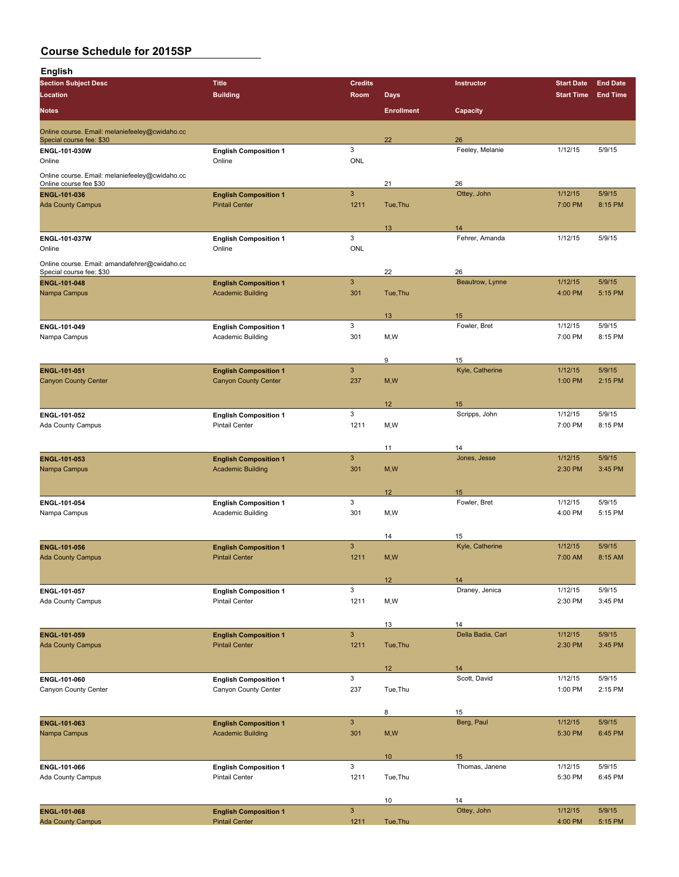| <b>English</b>                                  |                                                       |                 |                   |                       |                    |                   |
|-------------------------------------------------|-------------------------------------------------------|-----------------|-------------------|-----------------------|--------------------|-------------------|
| <b>Section Subject Desc</b>                     | <b>Title</b>                                          | <b>Credits</b>  |                   | Instructor            | <b>Start Date</b>  | <b>End Date</b>   |
| Location                                        | <b>Building</b>                                       | <b>Room</b>     | <b>Days</b>       |                       | <b>Start Time</b>  | <b>End Time</b>   |
| <b>Notes</b>                                    |                                                       |                 | <b>Enrollment</b> | Capacity              |                    |                   |
| Online course. Email: melaniefeeley@cwidaho.cc  |                                                       |                 |                   |                       |                    |                   |
| Special course fee: \$30<br>ENGL-101-030W       | <b>English Composition 1</b>                          | 3               | 22                | 26<br>Feeley, Melanie | 1/12/15            | 5/9/15            |
| Online                                          | Online                                                | <b>ONL</b>      |                   |                       |                    |                   |
| Online course. Email: melaniefeeley@cwidaho.cc  |                                                       |                 |                   |                       |                    |                   |
| Online course fee \$30                          |                                                       | $\mathbf{3}$    | 21                | 26<br>Ottey, John     | 1/12/15            | 5/9/15            |
| <b>ENGL-101-036</b><br><b>Ada County Campus</b> | <b>English Composition 1</b><br><b>Pintail Center</b> | 1211            | Tue, Thu          |                       | 7:00 PM            | 8:15 PM           |
|                                                 |                                                       |                 |                   |                       |                    |                   |
|                                                 |                                                       |                 | 13                | 14                    |                    |                   |
| ENGL-101-037W<br>Online                         | <b>English Composition 1</b><br>Online                | 3<br><b>ONL</b> |                   | Fehrer, Amanda        | 1/12/15            | 5/9/15            |
| Online course. Email: amandafehrer@cwidaho.cc   |                                                       |                 |                   |                       |                    |                   |
| Special course fee: \$30                        |                                                       |                 | 22                | 26                    |                    |                   |
| <b>ENGL-101-048</b>                             | <b>English Composition 1</b>                          | $\mathsf 3$     |                   | Beautrow, Lynne       | 1/12/15            | 5/9/15            |
| Nampa Campus                                    | <b>Academic Building</b>                              | 301             | Tue, Thu          |                       | 4:00 PM            | 5:15 PM           |
|                                                 |                                                       |                 | 13                | 15                    |                    |                   |
| ENGL-101-049                                    | <b>English Composition 1</b>                          | 3               |                   | Fowler, Bret          | 1/12/15            | 5/9/15            |
| Nampa Campus                                    | Academic Building                                     | 301             | M,W               |                       | 7:00 PM            | 8:15 PM           |
|                                                 |                                                       |                 | 9                 | 15                    |                    |                   |
| <b>ENGL-101-051</b>                             | <b>English Composition 1</b>                          | $\mathbf{3}$    |                   | Kyle, Catherine       | 1/12/15            | 5/9/15            |
| <b>Canyon County Center</b>                     | <b>Canyon County Center</b>                           | 237             | M, W              |                       | 1:00 PM            | 2:15 PM           |
|                                                 |                                                       |                 |                   |                       |                    |                   |
|                                                 |                                                       |                 | 12                | 15                    |                    |                   |
| ENGL-101-052                                    | <b>English Composition 1</b><br><b>Pintail Center</b> | 3<br>1211       | M,W               | Scripps, John         | 1/12/15<br>7:00 PM | 5/9/15<br>8:15 PM |
| Ada County Campus                               |                                                       |                 |                   |                       |                    |                   |
|                                                 |                                                       |                 | 11                | 14                    |                    |                   |
| ENGL-101-053                                    | <b>English Composition 1</b>                          | $\mathbf{3}$    |                   | Jones, Jesse          | 1/12/15            | 5/9/15            |
| Nampa Campus                                    | <b>Academic Building</b>                              | 301             | M, W              |                       | 2:30 PM            | 3:45 PM           |
|                                                 |                                                       |                 | 12 <sup>2</sup>   | 15                    |                    |                   |
| ENGL-101-054                                    | <b>English Composition 1</b>                          | 3               |                   | Fowler, Bret          | 1/12/15            | 5/9/15            |
| Nampa Campus                                    | Academic Building                                     | 301             | M,W               |                       | 4:00 PM            | 5:15 PM           |
|                                                 |                                                       |                 |                   |                       |                    |                   |
| <b>ENGL 101-056</b>                             | <b>English Composition 1</b>                          | 3               | 14                | 15<br>Kyle, Catherine | 1/12/15            | 5/9/15            |
| <b>Ada County Campus</b>                        | <b>Pintail Center</b>                                 | 1211            | M,W               |                       | 7:00 AM            | 8:15 AM           |
|                                                 |                                                       |                 |                   |                       |                    |                   |
|                                                 |                                                       |                 | 12                | 14                    |                    |                   |
| ENGL 101-057<br>Ada County Campus               | <b>English Composition 1</b><br><b>Pintail Center</b> | 3<br>1211       | M, W              | Draney, Jenica        | 1/12/15<br>2:30 PM | 5/9/15<br>3:45 PM |
|                                                 |                                                       |                 |                   |                       |                    |                   |
|                                                 |                                                       |                 | 13                | 14                    |                    |                   |
| ENGL-101-059                                    | <b>English Composition 1</b>                          | $\mathbf{3}$    |                   | Della Badia, Carl     | 1/12/15            | 5/9/15            |
| <b>Ada County Campus</b>                        | <b>Pintail Center</b>                                 | 1211            | Tue, Thu          |                       | 2:30 PM            | 3:45 PM           |
|                                                 |                                                       |                 |                   |                       |                    |                   |
| ENGL-101-060                                    |                                                       | 3               | 12                | 14<br>Scott, David    | 1/12/15            | 5/9/15            |
| Canyon County Center                            | <b>English Composition 1</b><br>Canyon County Center  | 237             | Tue, Thu          |                       | 1:00 PM            | 2:15 PM           |
|                                                 |                                                       |                 |                   |                       |                    |                   |
|                                                 |                                                       |                 | 8                 | 15                    |                    |                   |
| ENGL 101-063                                    | <b>English Composition 1</b>                          | $\mathbf{3}$    |                   | Berg, Paul            | 1/12/15            | 5/9/15            |
| Nampa Campus                                    | <b>Academic Building</b>                              | 301             | M, W              |                       | 5:30 PM            | 6:45 PM           |
|                                                 |                                                       |                 | 10 <sup>°</sup>   | 15                    |                    |                   |
| ENGL-101-066                                    | <b>English Composition 1</b>                          | 3               |                   | Thomas, Janene        | 1/12/15            | 5/9/15            |
| Ada County Campus                               | <b>Pintail Center</b>                                 | 1211            | Tue, Thu          |                       | 5:30 PM            | 6:45 PM           |
|                                                 |                                                       |                 |                   |                       |                    |                   |
| ENGL-101-068                                    | <b>English Composition 1</b>                          | $\mathbf{3}$    | 10                | 14<br>Ottey, John     | 1/12/15            | 5/9/15            |
|                                                 |                                                       |                 |                   |                       |                    |                   |

Ada County Campus **1211** Tue, Thu 1211 Tue, Thu 4:00 PM 5:15 PM 5:15 PM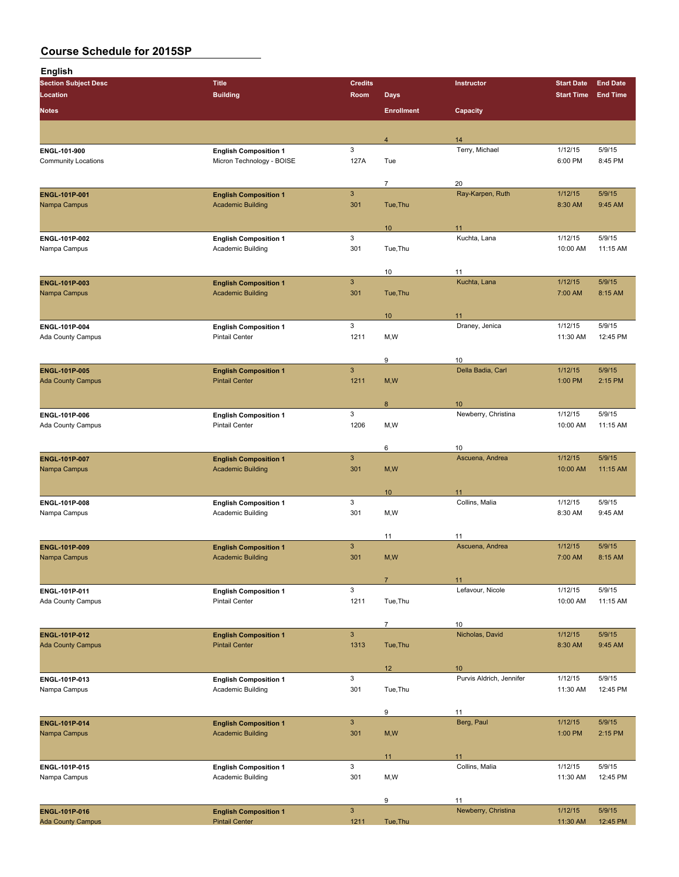| <b>English</b>                             |                                                           |                        |                   |                          |                     |                    |
|--------------------------------------------|-----------------------------------------------------------|------------------------|-------------------|--------------------------|---------------------|--------------------|
| <b>Section Subject Desc</b>                | <b>Title</b>                                              | <b>Credits</b>         |                   | Instructor               | <b>Start Date</b>   | <b>End Date</b>    |
| Location                                   | <b>Building</b>                                           | Room                   | <b>Days</b>       |                          | <b>Start Time</b>   | <b>End Time</b>    |
| <b>Notes</b>                               |                                                           |                        | <b>Enrollment</b> | Capacity                 |                     |                    |
|                                            |                                                           |                        |                   |                          |                     |                    |
|                                            |                                                           |                        | $\overline{4}$    | 14                       |                     |                    |
| ENGL-101-900<br><b>Community Locations</b> | <b>English Composition 1</b><br>Micron Technology - BOISE | 3<br>127A              | Tue               | Terry, Michael           | 1/12/15<br>6:00 PM  | 5/9/15<br>8:45 PM  |
|                                            |                                                           |                        |                   |                          |                     |                    |
|                                            |                                                           |                        | $\overline{7}$    | 20                       |                     |                    |
| <b>ENGL 101P 001</b>                       | <b>English Composition 1</b>                              | $\mathbf{3}$           |                   | Ray-Karpen, Ruth         | 1/12/15             | 5/9/15             |
| Nampa Campus                               | <b>Academic Building</b>                                  | 301                    | Tue, Thu          |                          | 8:30 AM             | 9:45 AM            |
|                                            |                                                           |                        |                   |                          |                     |                    |
| ENGL-101P-002                              | <b>English Composition 1</b>                              | 3                      | 10                | 11<br>Kuchta, Lana       | 1/12/15             | 5/9/15             |
| Nampa Campus                               | <b>Academic Building</b>                                  | 301                    | Tue, Thu          |                          | 10:00 AM            | 11:15 AM           |
|                                            |                                                           |                        |                   |                          |                     |                    |
|                                            |                                                           |                        | 10                | 11                       |                     |                    |
| ENGL-101P-003                              | <b>English Composition 1</b>                              | $\mathbf{3}$           |                   | Kuchta, Lana             | 1/12/15             | 5/9/15             |
| Nampa Campus                               | <b>Academic Building</b>                                  | 301                    | Tue, Thu          |                          | 7:00 AM             | 8:15 AM            |
|                                            |                                                           |                        | 10                | 11                       |                     |                    |
| ENGL-101P-004                              | <b>English Composition 1</b>                              | 3                      |                   | Draney, Jenica           | 1/12/15             | 5/9/15             |
| Ada County Campus                          | <b>Pintail Center</b>                                     | 1211                   | M, W              |                          | 11:30 AM            | 12:45 PM           |
|                                            |                                                           |                        |                   |                          |                     |                    |
|                                            |                                                           |                        | 9                 | 10                       |                     |                    |
| <b>ENGL-101P-005</b>                       | <b>English Composition 1</b>                              | $\mathbf{3}$           |                   | Della Badia, Carl        | 1/12/15             | 5/9/15             |
| <b>Ada County Campus</b>                   | <b>Pintail Center</b>                                     | 1211                   | M, W              |                          | 1:00 PM             | 2:15 PM            |
|                                            |                                                           |                        | 8                 | 10                       |                     |                    |
| ENGL-101P-006                              | <b>English Composition 1</b>                              | 3                      |                   | Newberry, Christina      | 1/12/15             | 5/9/15             |
| Ada County Campus                          | <b>Pintail Center</b>                                     | 1206                   | M, W              |                          | 10:00 AM            | 11:15 AM           |
|                                            |                                                           |                        |                   |                          |                     |                    |
|                                            |                                                           |                        | 6                 | 10                       |                     |                    |
| ENGL-101P-007                              | <b>English Composition 1</b>                              | $\mathbf{3}$           |                   | Ascuena, Andrea          | 1/12/15             | 5/9/15             |
| Nampa Campus                               | <b>Academic Building</b>                                  | 301                    | M, W              |                          | 10:00 AM            | 11:15 AM           |
|                                            |                                                           |                        | 10                | 11                       |                     |                    |
| ENGL-101P-008                              | <b>English Composition 1</b>                              | 3                      |                   | Collins, Malia           | 1/12/15             | 5/9/15             |
| Nampa Campus                               | Academic Building                                         | 301                    | M, W              |                          | 8:30 AM             | 9:45 AM            |
|                                            |                                                           |                        |                   |                          |                     |                    |
|                                            |                                                           |                        | 11                | 11                       |                     |                    |
| ENGL-101P-009                              | <b>English Composition 1</b>                              | $\mathbf{3}$           |                   | Ascuena, Andrea          | 1/12/15             | 5/9/15             |
| Nampa Campus                               | <b>Academic Building</b>                                  | 301                    | M, W              |                          | 7:00 AM             | 8:15 AM            |
|                                            |                                                           |                        | $\overline{7}$    | 11                       |                     |                    |
| ENGL-101P-011                              | <b>English Composition 1</b>                              | $\mathbf{3}$           |                   | Lefavour, Nicole         | 1/12/15             | 5/9/15             |
| Ada County Campus                          | Pintail Center                                            | 1211                   | Tue, Thu          |                          | 10:00 AM            | 11:15 AM           |
|                                            |                                                           |                        |                   |                          |                     |                    |
|                                            |                                                           |                        | $\overline{7}$    | $10$                     |                     |                    |
| ENGL-101P-012<br><b>Ada County Campus</b>  | <b>English Composition 1</b><br><b>Pintail Center</b>     | $\mathbf{3}$<br>1313   | Tue, Thu          | Nicholas, David          | 1/12/15<br>8:30 AM  | 5/9/15<br>9:45 AM  |
|                                            |                                                           |                        |                   |                          |                     |                    |
|                                            |                                                           |                        | 12                | 10                       |                     |                    |
| ENGL-101P-013                              | <b>English Composition 1</b>                              | 3                      |                   | Purvis Aldrich, Jennifer | 1/12/15             | 5/9/15             |
| Nampa Campus                               | Academic Building                                         | 301                    | Tue, Thu          |                          | 11:30 AM            | 12:45 PM           |
|                                            |                                                           |                        |                   |                          |                     |                    |
|                                            |                                                           |                        | 9                 | 11                       |                     |                    |
| ENGL-101P-014<br>Nampa Campus              | <b>English Composition 1</b><br><b>Academic Building</b>  | $\mathbf{3}$<br>301    | M, W              | Berg, Paul               | 1/12/15<br>1:00 PM  | 5/9/15<br>2:15 PM  |
|                                            |                                                           |                        |                   |                          |                     |                    |
|                                            |                                                           |                        | 11                | 11                       |                     |                    |
| ENGL-101P-015                              | <b>English Composition 1</b>                              | 3                      |                   | Collins, Malia           | 1/12/15             | 5/9/15             |
| Nampa Campus                               | Academic Building                                         | 301                    | M,W               |                          | 11:30 AM            | 12:45 PM           |
|                                            |                                                           |                        |                   |                          |                     |                    |
|                                            |                                                           |                        | 9                 | 11                       |                     |                    |
| ENGL-101P-016<br><b>Ada County Campus</b>  | <b>English Composition 1</b><br><b>Pintail Center</b>     | $\overline{3}$<br>1211 | Tue, Thu          | Newberry, Christina      | 1/12/15<br>11:30 AM | 5/9/15<br>12:45 PM |
|                                            |                                                           |                        |                   |                          |                     |                    |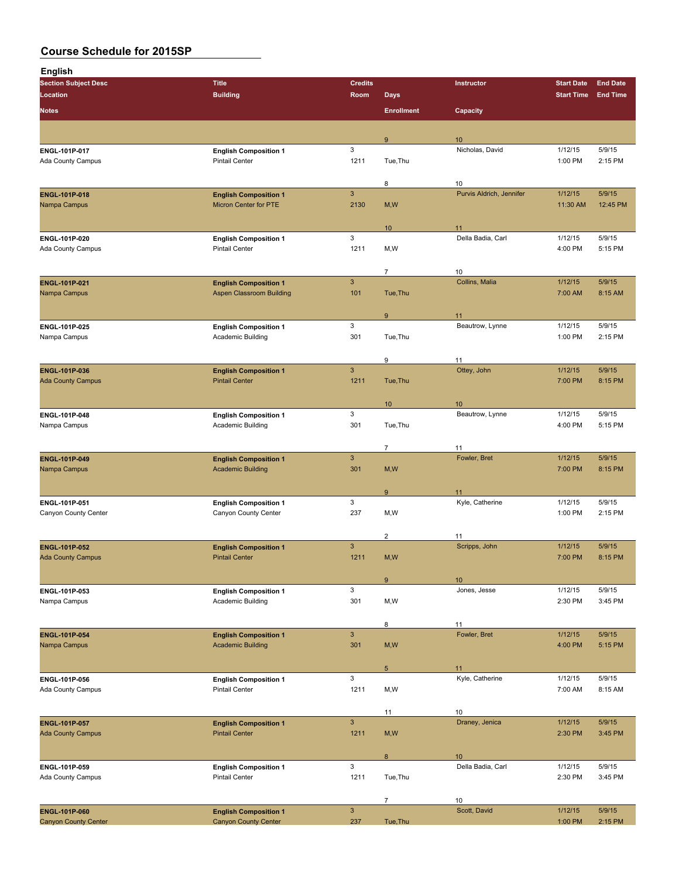| <b>English</b>                     |                                                       |                           |                         |                          |                   |                 |
|------------------------------------|-------------------------------------------------------|---------------------------|-------------------------|--------------------------|-------------------|-----------------|
| <b>Section Subject Desc</b>        | <b>Title</b>                                          | <b>Credits</b>            |                         | Instructor               | <b>Start Date</b> | <b>End Date</b> |
| <b>Location</b>                    | <b>Building</b>                                       | Room                      | <b>Days</b>             |                          | <b>Start Time</b> | <b>End Time</b> |
|                                    |                                                       |                           |                         |                          |                   |                 |
| <b>Notes</b>                       |                                                       |                           | <b>Enrollment</b>       | Capacity                 |                   |                 |
|                                    |                                                       |                           | 9                       | 10                       |                   |                 |
| ENGL-101P-017                      | <b>English Composition 1</b>                          | 3                         |                         | Nicholas, David          | 1/12/15           | 5/9/15          |
| Ada County Campus                  | <b>Pintail Center</b>                                 | 1211                      | Tue, Thu                |                          | 1:00 PM           | 2:15 PM         |
|                                    |                                                       |                           | 8                       | 10                       |                   |                 |
| ENGL-101P-018                      | <b>English Composition 1</b>                          | $\mathbf{3}$              |                         | Purvis Aldrich, Jennifer | 1/12/15           | 5/9/15          |
| Nampa Campus                       | <b>Micron Center for PTE</b>                          | 2130                      | M, W                    |                          | 11:30 AM          | 12:45 PM        |
|                                    |                                                       |                           |                         |                          |                   |                 |
|                                    |                                                       |                           | 10                      | 11                       |                   |                 |
| ENGL-101P-020                      | <b>English Composition 1</b>                          | 3                         |                         | Della Badia, Carl        | 1/12/15           | 5/9/15          |
| Ada County Campus                  | <b>Pintail Center</b>                                 | 1211                      | M,W                     |                          | 4:00 PM           | 5:15 PM         |
|                                    |                                                       |                           | $\overline{7}$          | 10                       |                   |                 |
| ENGL-101P-021                      | <b>English Composition 1</b>                          | $\ensuremath{\mathsf{3}}$ |                         | Collins, Malia           | 1/12/15           | 5/9/15          |
| Nampa Campus                       | <b>Aspen Classroom Building</b>                       | 101                       | Tue, Thu                |                          | 7:00 AM           | 8:15 AM         |
|                                    |                                                       |                           | 9                       | 11                       |                   |                 |
| ENGL-101P-025                      | <b>English Composition 1</b>                          | 3                         |                         | Beautrow, Lynne          | 1/12/15           | 5/9/15          |
| Nampa Campus                       | Academic Building                                     | 301                       | Tue, Thu                |                          | 1:00 PM           | 2:15 PM         |
|                                    |                                                       |                           | 9                       | 11                       |                   |                 |
| <b>ENGL-101P-036</b>               | <b>English Composition 1</b>                          | $\mathsf 3$               |                         | Ottey, John              | 1/12/15           | 5/9/15          |
| <b>Ada County Campus</b>           | <b>Pintail Center</b>                                 | 1211                      | Tue, Thu                |                          | 7:00 PM           | 8:15 PM         |
|                                    |                                                       |                           | 10                      | 10                       |                   |                 |
| ENGL-101P-048                      | <b>English Composition 1</b>                          | 3                         |                         | Beautrow, Lynne          | 1/12/15           | 5/9/15          |
| Nampa Campus                       | Academic Building                                     | 301                       | Tue, Thu                |                          | 4:00 PM           | 5:15 PM         |
|                                    |                                                       |                           | $\overline{7}$          | 11                       |                   |                 |
| ENGL-101P-049                      | <b>English Composition 1</b>                          | $\ensuremath{\mathsf{3}}$ |                         | Fowler, Bret             | 1/12/15           | 5/9/15          |
| Nampa Campus                       | <b>Academic Building</b>                              | 301                       | M, W                    |                          | 7:00 PM           | 8:15 PM         |
|                                    |                                                       |                           | $\boldsymbol{9}$        | 11                       |                   |                 |
| ENGL-101P-051                      | <b>English Composition 1</b>                          | 3                         |                         | Kyle, Catherine          | 1/12/15           | 5/9/15          |
| Canyon County Center               | Canyon County Center                                  | 237                       | M,W                     |                          | 1:00 PM           | 2:15 PM         |
|                                    |                                                       |                           | $\overline{\mathbf{c}}$ | 11                       |                   |                 |
| <b>ENGL-101P-052</b>               | <b>English Composition 1</b>                          | $\mathbf{3}$              |                         | Scripps, John            | 1/12/15           | 5/9/15          |
| <b>Ada County Campus</b>           | <b>Pintail Center</b>                                 | 1211                      | M,W                     |                          | 7:00 PM           | 8:15 PM         |
|                                    |                                                       |                           | 9                       | 10                       |                   |                 |
| ENGL-101P-053                      | <b>English Composition 1</b>                          | 3                         |                         | Jones, Jesse             | 1/12/15           | 5/9/15          |
| Nampa Campus                       | Academic Building                                     | 301                       | M,W                     |                          | 2:30 PM           | 3:45 PM         |
|                                    |                                                       |                           | 8                       | 11                       |                   |                 |
| <b>ENGL-101P-054</b>               | <b>English Composition 1</b>                          | $\ensuremath{\mathsf{3}}$ |                         | Fowler, Bret             | 1/12/15           | 5/9/15          |
| Nampa Campus                       | <b>Academic Building</b>                              | 301                       | M, W                    |                          | 4:00 PM           | 5:15 PM         |
|                                    |                                                       |                           |                         |                          |                   |                 |
|                                    |                                                       | 3                         | 5 <sub>1</sub>          | 11<br>Kyle, Catherine    | 1/12/15           | 5/9/15          |
| ENGL-101P-056<br>Ada County Campus | <b>English Composition 1</b><br><b>Pintail Center</b> | 1211                      | M,W                     |                          | 7:00 AM           | 8:15 AM         |
|                                    |                                                       |                           |                         |                          |                   |                 |
|                                    |                                                       |                           | 11                      | 10                       |                   |                 |
| <b>ENGL-101P-057</b>               | <b>English Composition 1</b>                          | $\mathbf{3}$              |                         | Draney, Jenica           | 1/12/15           | 5/9/15          |
| <b>Ada County Campus</b>           | <b>Pintail Center</b>                                 | 1211                      | M, W                    |                          | 2:30 PM           | 3:45 PM         |
|                                    |                                                       |                           | 8                       | 10                       |                   |                 |
| ENGL-101P-059                      | <b>English Composition 1</b>                          | 3                         |                         | Della Badia, Carl        | 1/12/15           | 5/9/15          |
| Ada County Campus                  | <b>Pintail Center</b>                                 | 1211                      | Tue, Thu                |                          | 2:30 PM           | 3:45 PM         |
|                                    |                                                       |                           | $\overline{7}$          | 10                       |                   |                 |
|                                    |                                                       |                           |                         |                          |                   |                 |

**ENGL-101P-060 English Composition 1** 3 Scott, David 1/12/15 5/9/15 Canyon County Center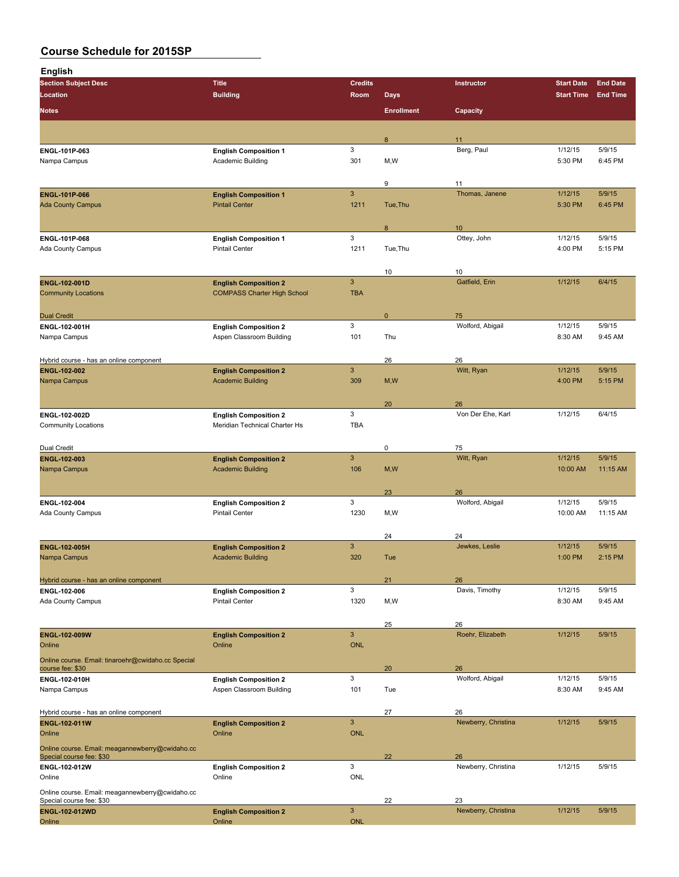| <b>English</b>                                                              |                                                          |                      |                   |                           |                     |                    |
|-----------------------------------------------------------------------------|----------------------------------------------------------|----------------------|-------------------|---------------------------|---------------------|--------------------|
| <b>Section Subject Desc</b>                                                 | <b>Title</b>                                             | <b>Credits</b>       |                   | Instructor                | <b>Start Date</b>   | <b>End Date</b>    |
| Location                                                                    | <b>Building</b>                                          | Room                 | <b>Days</b>       |                           | <b>Start Time</b>   | <b>End Time</b>    |
| <b>Notes</b>                                                                |                                                          |                      | <b>Enrollment</b> | Capacity                  |                     |                    |
|                                                                             |                                                          |                      |                   |                           |                     |                    |
| ENGL-101P-063                                                               | <b>English Composition 1</b>                             | 3                    | 8                 | 11<br>Berg, Paul          | 1/12/15             | 5/9/15             |
| Nampa Campus                                                                | Academic Building                                        | 301                  | M, W              |                           | 5:30 PM             | 6:45 PM            |
|                                                                             |                                                          |                      |                   |                           |                     |                    |
|                                                                             |                                                          |                      | 9                 | 11                        |                     |                    |
| <b>ENGL-101P-066</b><br><b>Ada County Campus</b>                            | <b>English Composition 1</b><br><b>Pintail Center</b>    | $\mathbf{3}$<br>1211 | Tue, Thu          | Thomas, Janene            | 1/12/15<br>5:30 PM  | 5/9/15<br>6:45 PM  |
|                                                                             |                                                          |                      |                   |                           |                     |                    |
|                                                                             |                                                          |                      | 8                 | 10                        |                     |                    |
| ENGL-101P-068                                                               | <b>English Composition 1</b>                             | $\mathbf{3}$         |                   | Ottey, John               | 1/12/15             | 5/9/15             |
| Ada County Campus                                                           | <b>Pintail Center</b>                                    | 1211                 | Tue, Thu          |                           | 4:00 PM             | 5:15 PM            |
|                                                                             |                                                          |                      | 10                | 10                        |                     |                    |
| ENGL-102-001D                                                               | <b>English Composition 2</b>                             | $\mathbf{3}$         |                   | Gatfield, Erin            | 1/12/15             | 6/4/15             |
| <b>Community Locations</b>                                                  | <b>COMPASS Charter High School</b>                       | <b>TBA</b>           |                   |                           |                     |                    |
|                                                                             |                                                          |                      |                   |                           |                     |                    |
| <b>Dual Credit</b><br>ENGL-102-001H                                         | <b>English Composition 2</b>                             | 3                    | $\mathbf 0$       | 75<br>Wolford, Abigail    | 1/12/15             | 5/9/15             |
| Nampa Campus                                                                | Aspen Classroom Building                                 | 101                  | Thu               |                           | 8:30 AM             | 9:45 AM            |
|                                                                             |                                                          |                      |                   |                           |                     |                    |
| Hybrid course - has an online component                                     |                                                          |                      | 26                | 26                        |                     |                    |
| ENGL-102-002<br>Nampa Campus                                                | <b>English Composition 2</b><br><b>Academic Building</b> | $\mathbf{3}$<br>309  | M, W              | Witt, Ryan                | 1/12/15<br>4:00 PM  | 5/9/15<br>5:15 PM  |
|                                                                             |                                                          |                      |                   |                           |                     |                    |
|                                                                             |                                                          |                      | 20                | 26                        |                     |                    |
| ENGI 102 002D                                                               | <b>English Composition 2</b>                             | 3                    |                   | Von Der Ehe, Karl         | 1/12/15             | 6/4/15             |
| <b>Community Locations</b>                                                  | Meridian Technical Charter Hs                            | <b>TBA</b>           |                   |                           |                     |                    |
| Dual Credit                                                                 |                                                          |                      | 0                 | 75                        |                     |                    |
| ENGL-102-003                                                                | <b>English Composition 2</b>                             | $\mathbf{3}$         |                   | Witt, Ryan                | 1/12/15             | 5/9/15             |
| Nampa Campus                                                                | <b>Academic Building</b>                                 | 106                  | M, W              |                           | 10:00 AM            | 11:15 AM           |
|                                                                             |                                                          |                      |                   |                           |                     |                    |
|                                                                             |                                                          |                      | 23                | 26                        |                     |                    |
| ENGL 102-004<br>Ada County Campus                                           | <b>English Composition 2</b><br><b>Pintail Center</b>    | 3<br>1230            | M, W              | Wolford, Abigail          | 1/12/15<br>10:00 AM | 5/9/15<br>11:15 AM |
|                                                                             |                                                          |                      |                   |                           |                     |                    |
|                                                                             |                                                          |                      | 24                | 24                        |                     |                    |
| <b>ENGL-102-005H</b>                                                        | <b>English Composition 2</b>                             | $\mathbf{3}$         |                   | Jewkes, Leslie            | 1/12/15             | 5/9/15             |
| Nampa Campus                                                                | <b>Academic Building</b>                                 | 320                  | Tue               |                           | 1:00 PM             | 2:15 PM            |
| Hybrid course - has an online component                                     |                                                          |                      | 21                | 26                        |                     |                    |
| ENGL 102 006                                                                | <b>English Composition 2</b>                             | $\mathbf{3}$         |                   | Davis, Timothy            | 1/12/15             | 5/9/15             |
| Ada County Campus                                                           | <b>Pintail Center</b>                                    | 1320                 | M, W              |                           | 8:30 AM             | 9:45 AM            |
|                                                                             |                                                          |                      |                   |                           |                     |                    |
| ENGL-102-009W                                                               | <b>English Composition 2</b>                             | $\mathbf{3}$         | 25                | 26<br>Roehr, Elizabeth    | 1/12/15             | 5/9/15             |
| Online                                                                      | Online                                                   | <b>ONL</b>           |                   |                           |                     |                    |
| Online course. Email: tinaroehr@cwidaho.cc Special                          |                                                          |                      |                   |                           |                     |                    |
| course fee: \$30                                                            |                                                          |                      | 20                | 26                        |                     |                    |
| ENGL-102-010H<br>Nampa Campus                                               | <b>English Composition 2</b><br>Aspen Classroom Building | 3<br>101             | Tue               | Wolford, Abigail          | 1/12/15<br>8:30 AM  | 5/9/15<br>9:45 AM  |
|                                                                             |                                                          |                      |                   |                           |                     |                    |
| Hybrid course - has an online component                                     |                                                          |                      | 27                | 26                        |                     |                    |
| ENGL-102-011W                                                               | <b>English Composition 2</b>                             | $\mathbf{3}$         |                   | Newberry, Christina       | 1/12/15             | 5/9/15             |
| Online                                                                      | Online                                                   | <b>ONL</b>           |                   |                           |                     |                    |
| Online course. Email: meagannewberry@cwidaho.cc<br>Special course fee: \$30 |                                                          |                      | 22                | 26                        |                     |                    |
| ENGL-102-012W                                                               | <b>English Composition 2</b>                             | 3                    |                   | Newberry, Christina       | 1/12/15             | 5/9/15             |
| Online                                                                      | Online                                                   | ONL                  |                   |                           |                     |                    |
| Online course. Email: meagannewberry@cwidaho.cc                             |                                                          |                      |                   |                           |                     |                    |
| Special course fee: \$30                                                    |                                                          | $\mathbf{3}$         | 22                | 23<br>Newberry, Christina | 1/12/15             | 5/9/15             |
| ENGL-102-012WD                                                              | <b>English Composition 2</b>                             |                      |                   |                           |                     |                    |

Online **Online Contract Contract Concerns** Online **Online** Contract Contract Contract Contract Contract Contract Contract Contract Contract Contract Contract Contract Contract Contract Contract Contract Contract Contract C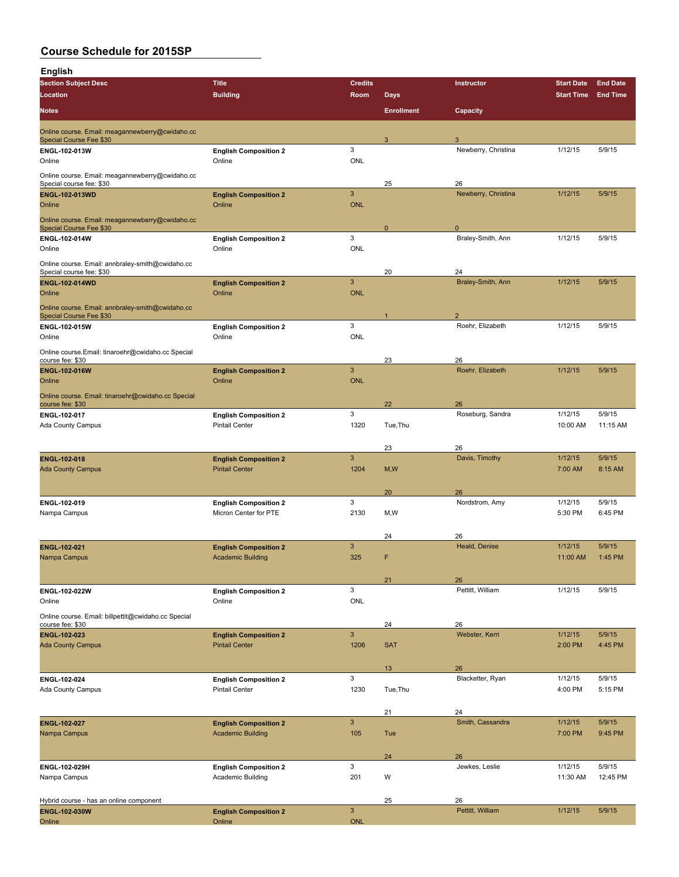| <b>English</b>                                                          |                                                       |                           |                   |                                  |                     |                    |
|-------------------------------------------------------------------------|-------------------------------------------------------|---------------------------|-------------------|----------------------------------|---------------------|--------------------|
| <b>Section Subject Desc</b>                                             | <b>Title</b>                                          | <b>Credits</b>            |                   | Instructor                       | <b>Start Date</b>   | <b>End Date</b>    |
| Location                                                                | <b>Building</b>                                       | Room                      | <b>Days</b>       |                                  | <b>Start Time</b>   | <b>End Time</b>    |
| <b>Notes</b>                                                            |                                                       |                           | <b>Enrollment</b> | Capacity                         |                     |                    |
| Online course. Email: meagannewberry@cwidaho.cc                         |                                                       |                           | 3                 | 3                                |                     |                    |
| Special Course Fee \$30<br>ENGL-102-013W                                | <b>English Composition 2</b>                          | 3                         |                   | Newberry, Christina              | 1/12/15             | 5/9/15             |
| Online                                                                  | Online                                                | <b>ONL</b>                |                   |                                  |                     |                    |
| Online course. Email: meagannewberry@cwidaho.cc                         |                                                       |                           |                   |                                  |                     |                    |
| Special course fee: \$30<br>ENGL-102-013WD                              | <b>English Composition 2</b>                          | 3                         | 25                | 26<br>Newberry, Christina        | 1/12/15             | 5/9/15             |
| Online                                                                  | Online                                                | <b>ONL</b>                |                   |                                  |                     |                    |
| Online course. Email: meagannewberry@cwidaho.cc                         |                                                       |                           |                   |                                  |                     |                    |
| Special Course Fee \$30<br>ENGL-102-014W                                | <b>English Composition 2</b>                          | 3                         | $\mathbf 0$       | $\mathbf 0$<br>Braley-Smith, Ann | 1/12/15             | 5/9/15             |
| Online                                                                  | Online                                                | <b>ONL</b>                |                   |                                  |                     |                    |
| Online course. Email: annbraley-smith@cwidaho.cc                        |                                                       |                           |                   |                                  |                     |                    |
| Special course fee: \$30<br><b>ENGL-102-014WD</b>                       | <b>English Composition 2</b>                          | $\mathbf{3}$              | 20                | 24<br>Braley-Smith, Ann          | 1/12/15             | 5/9/15             |
| Online                                                                  | Online                                                | <b>ONL</b>                |                   |                                  |                     |                    |
| Online course. Email: annbraley-smith@cwidaho.cc                        |                                                       |                           |                   |                                  |                     |                    |
| Special Course Fee \$30<br>ENGL-102-015W                                |                                                       | 3                         |                   | 2<br>Roehr, Elizabeth            | 1/12/15             | 5/9/15             |
| Online                                                                  | <b>English Composition 2</b><br>Online                | <b>ONL</b>                |                   |                                  |                     |                    |
| Online course.Email: tinaroehr@cwidaho.cc Special                       |                                                       |                           |                   |                                  |                     |                    |
| course fee: \$30                                                        |                                                       | $\mathbf{3}$              | 23                | 26                               |                     |                    |
| <b>ENGL-102-016W</b><br>Online                                          | <b>English Composition 2</b><br>Online                | <b>ONL</b>                |                   | Roehr, Elizabeth                 | 1/12/15             | 5/9/15             |
| Online course. Email: tinaroehr@cwidaho.cc Special                      |                                                       |                           |                   |                                  |                     |                    |
| course fee: \$30                                                        |                                                       |                           | 22                | 26                               |                     |                    |
| ENGL 102 017<br>Ada County Campus                                       | <b>English Composition 2</b><br><b>Pintail Center</b> | 3<br>1320                 | Tue, Thu          | Roseburg, Sandra                 | 1/12/15<br>10:00 AM | 5/9/15<br>11:15 AM |
|                                                                         |                                                       |                           |                   |                                  |                     |                    |
|                                                                         |                                                       |                           | 23                | 26                               |                     |                    |
| ENGL-102-018<br><b>Ada County Campus</b>                                | <b>English Composition 2</b><br><b>Pintail Center</b> | 3<br>1204                 | M, W              | Davis, Timothy                   | 1/12/15<br>7:00 AM  | 5/9/15<br>8:15 AM  |
|                                                                         |                                                       |                           |                   |                                  |                     |                    |
|                                                                         |                                                       |                           | 20                | 26                               |                     |                    |
| ENGL 102-019<br>Nampa Campus                                            | <b>English Composition 2</b><br>Micron Center for PTE | 3<br>2130                 | M, W              | Nordstrom, Amy                   | 1/12/15<br>5:30 PM  | 5/9/15<br>6:45 PM  |
|                                                                         |                                                       |                           |                   |                                  |                     |                    |
|                                                                         |                                                       |                           | 24                | 26                               |                     |                    |
| ENGL-102-021                                                            | <b>English Composition 2</b>                          | $\mathbf{3}$              |                   | Heald, Denise                    | 1/12/15             | 5/9/15             |
| Nampa Campus                                                            | <b>Academic Building</b>                              | 325                       | F                 |                                  | 11:00 AM            | 1:45 PM            |
|                                                                         |                                                       |                           | 21                | 26                               |                     |                    |
| ENGL-102-022W                                                           | <b>English Composition 2</b>                          | 3                         |                   | Pettitt, William                 | 1/12/15             | 5/9/15             |
| Online                                                                  | Online                                                | <b>ONL</b>                |                   |                                  |                     |                    |
| Online course. Email: billpettit@cwidaho.cc Special<br>course fee: \$30 |                                                       |                           | 24                | 26                               |                     |                    |
| ENGL-102-023                                                            | <b>English Composition 2</b>                          | $\mathbf{3}$              |                   | Webster, Kerri                   | 1/12/15             | 5/9/15             |
| <b>Ada County Campus</b>                                                | <b>Pintail Center</b>                                 | 1206                      | <b>SAT</b>        |                                  | 2:00 PM             | 4:45 PM            |
|                                                                         |                                                       |                           | 13                | 26                               |                     |                    |
| ENGL-102-024                                                            | <b>English Composition 2</b>                          | 3                         |                   | Blacketter, Ryan                 | 1/12/15             | 5/9/15             |
| Ada County Campus                                                       | <b>Pintail Center</b>                                 | 1230                      | Tue, Thu          |                                  | 4:00 PM             | 5:15 PM            |
|                                                                         |                                                       |                           | 21                | 24                               |                     |                    |
| ENGL-102-027                                                            | <b>English Composition 2</b>                          | $\ensuremath{\mathsf{3}}$ |                   | Smith, Cassandra                 | 1/12/15             | 5/9/15             |
| Nampa Campus                                                            | <b>Academic Building</b>                              | 105                       | Tue               |                                  | 7:00 PM             | 9:45 PM            |
|                                                                         |                                                       |                           | 24                | 26                               |                     |                    |
| ENGL-102-029H                                                           | <b>English Composition 2</b>                          | 3                         |                   | Jewkes, Leslie                   | 1/12/15             | 5/9/15             |
| Nampa Campus                                                            | Academic Building                                     | 201                       | W                 |                                  | 11:30 AM            | 12:45 PM           |
|                                                                         |                                                       |                           |                   |                                  |                     |                    |
| Hybrid course - has an online component<br>ENGL-102-030W                | <b>English Composition 2</b>                          | $\mathbf{3}$              | 25                | 26<br>Pettitt, William           | 1/12/15             | 5/9/15             |

Online **Online Contract Contract Concerns** Online **Online** Contract Contract Contract Contract Contract Contract Contract Contract Contract Contract Contract Contract Contract Contract Contract Contract Contract Contract C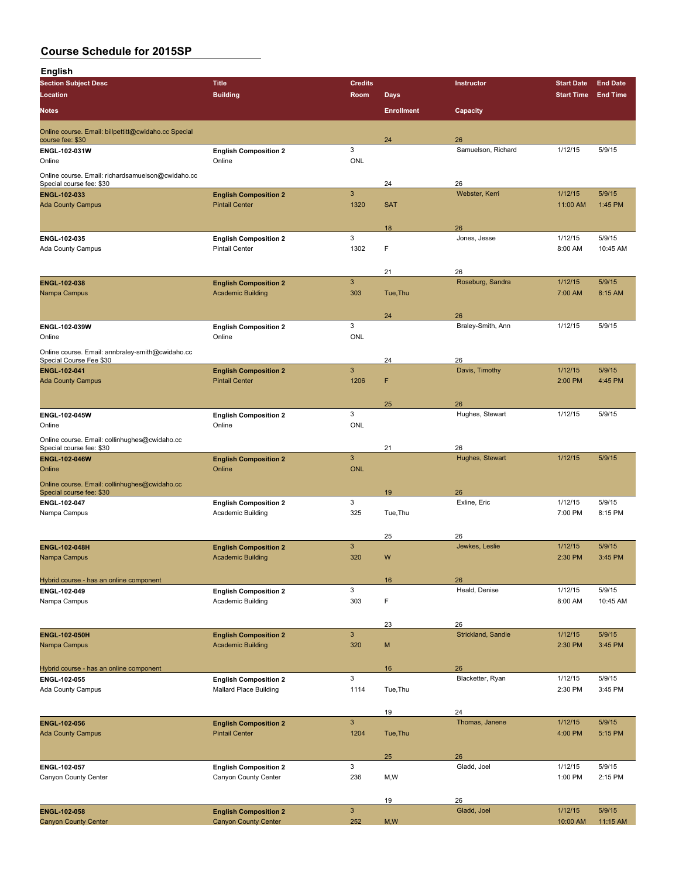| <b>English</b>                                                           |                                                       |                           |                   |                         |                     |                   |
|--------------------------------------------------------------------------|-------------------------------------------------------|---------------------------|-------------------|-------------------------|---------------------|-------------------|
| <b>Section Subject Desc</b>                                              | Title                                                 | <b>Credits</b>            |                   | Instructor              | <b>Start Date</b>   | <b>End Date</b>   |
| Location                                                                 | <b>Building</b>                                       | Room                      | <b>Days</b>       |                         | <b>Start Time</b>   | <b>End Time</b>   |
| Notes                                                                    |                                                       |                           | <b>Enrollment</b> | Capacity                |                     |                   |
| Online course. Email: billpettitt@cwidaho.cc Special<br>course fee: \$30 |                                                       |                           | 24                | 26                      |                     |                   |
| ENGL 102-031W                                                            | <b>English Composition 2</b>                          | 3                         |                   | Samuelson, Richard      | 1/12/15             | 5/9/15            |
| Online                                                                   | Online                                                | <b>ONL</b>                |                   |                         |                     |                   |
| Online course. Email: richardsamuelson@cwidaho.cc                        |                                                       |                           |                   |                         |                     |                   |
| Special course fee: \$30                                                 |                                                       |                           | 24                | 26                      |                     |                   |
| ENGL-102-033<br><b>Ada County Campus</b>                                 | <b>English Composition 2</b><br><b>Pintail Center</b> | $\mathbf{3}$<br>1320      | <b>SAT</b>        | Webster, Kerri          | 1/12/15<br>11:00 AM | 5/9/15<br>1:45 PM |
|                                                                          |                                                       |                           |                   |                         |                     |                   |
|                                                                          |                                                       |                           | 18                | 26                      |                     |                   |
| ENGL 102-035                                                             | <b>English Composition 2</b>                          | 3                         |                   | Jones, Jesse            | 1/12/15             | 5/9/15            |
| Ada County Campus                                                        | <b>Pintail Center</b>                                 | 1302                      | F                 |                         | 8:00 AM             | 10:45 AM          |
|                                                                          |                                                       |                           | 21                | 26                      |                     |                   |
| <b>ENGL 102-038</b>                                                      | <b>English Composition 2</b>                          | $\mathbf{3}$              |                   | Roseburg, Sandra        | 1/12/15             | 5/9/15            |
| Nampa Campus                                                             | <b>Academic Building</b>                              | 303                       | Tue, Thu          |                         | 7:00 AM             | 8:15 AM           |
|                                                                          |                                                       |                           |                   |                         |                     |                   |
| ENGL 102-039W                                                            | <b>English Composition 2</b>                          | 3                         | 24                | 26<br>Braley-Smith, Ann | 1/12/15             | 5/9/15            |
| Online                                                                   | Online                                                | <b>ONL</b>                |                   |                         |                     |                   |
| Online course. Email: annbraley-smith@cwidaho.cc                         |                                                       |                           |                   |                         |                     |                   |
| Special Course Fee \$30                                                  |                                                       |                           | 24                | 26                      |                     |                   |
| ENGL-102-041                                                             | <b>English Composition 2</b>                          | 3                         |                   | Davis, Timothy          | 1/12/15             | 5/9/15            |
| <b>Ada County Campus</b>                                                 | <b>Pintail Center</b>                                 | 1206                      | F                 |                         | 2:00 PM             | 4:45 PM           |
|                                                                          |                                                       |                           | 25                | 26                      |                     |                   |
| ENGL-102-045W                                                            | <b>English Composition 2</b>                          | 3                         |                   | Hughes, Stewart         | 1/12/15             | 5/9/15            |
| Online                                                                   | Online                                                | <b>ONL</b>                |                   |                         |                     |                   |
| Online course. Email: collinhughes@cwidaho.cc                            |                                                       |                           |                   |                         |                     |                   |
| Special course fee: \$30                                                 |                                                       | 3                         | 21                | 26                      | 1/12/15             | 5/9/15            |
| ENGL-102-046W<br>Online                                                  | <b>English Composition 2</b><br>Online                | <b>ONL</b>                |                   | Hughes, Stewart         |                     |                   |
| Online course. Email: collinhughes@cwidaho.cc                            |                                                       |                           |                   |                         |                     |                   |
| Special course fee: \$30                                                 |                                                       |                           | 19                | 26                      |                     |                   |
| ENGL 102 047                                                             | <b>English Composition 2</b>                          | 3                         |                   | Exline, Eric            | 1/12/15             | 5/9/15            |
| Nampa Campus                                                             | Academic Building                                     | 325                       | Tue, Thu          |                         | 7:00 PM             | 8:15 PM           |
|                                                                          |                                                       |                           | 25                | 26                      |                     |                   |
| <b>ENGL-102-048H</b>                                                     | <b>English Composition 2</b>                          | 3                         |                   | Jewkes, Leslie          | 1/12/15             | 5/9/15            |
| Nampa Campus                                                             | <b>Academic Building</b>                              | 320                       | W                 |                         | 2:30 PM             | 3:45 PM           |
|                                                                          |                                                       |                           |                   |                         |                     |                   |
| Hybrid course - has an online component                                  |                                                       | 3                         | 16                | 26<br>Heald, Denise     | 1/12/15             | 5/9/15            |
| ENGL 102-049<br>Nampa Campus                                             | <b>English Composition 2</b><br>Academic Building     | 303                       | F                 |                         | 8:00 AM             | 10:45 AM          |
|                                                                          |                                                       |                           |                   |                         |                     |                   |
|                                                                          |                                                       |                           | 23                | 26                      |                     |                   |
| ENGL-102-050H                                                            | <b>English Composition 2</b>                          | $\mathbf{3}$              |                   | Strickland, Sandie      | 1/12/15             | 5/9/15            |
| Nampa Campus                                                             | <b>Academic Building</b>                              | 320                       | M                 |                         | 2:30 PM             | 3:45 PM           |
| Hybrid course - has an online component                                  |                                                       |                           | 16                | 26                      |                     |                   |
| ENGL-102-055                                                             | <b>English Composition 2</b>                          | 3                         |                   | Blacketter, Ryan        | 1/12/15             | 5/9/15            |
| Ada County Campus                                                        | <b>Mallard Place Building</b>                         | 1114                      | Tue, Thu          |                         | 2:30 PM             | 3:45 PM           |
|                                                                          |                                                       |                           |                   |                         |                     |                   |
|                                                                          |                                                       | $\ensuremath{\mathsf{3}}$ | 19                | 24<br>Thomas, Janene    | 1/12/15             | 5/9/15            |
| <b>ENGL-102-056</b><br><b>Ada County Campus</b>                          | <b>English Composition 2</b><br><b>Pintail Center</b> | 1204                      | Tue, Thu          |                         | 4:00 PM             | 5:15 PM           |
|                                                                          |                                                       |                           |                   |                         |                     |                   |
|                                                                          |                                                       |                           | 25                | 26                      |                     |                   |
| ENGL 102-057                                                             | <b>English Composition 2</b>                          | 3                         |                   | Gladd, Joel             | 1/12/15             | 5/9/15            |
| Canyon County Center                                                     | Canyon County Center                                  | 236                       | M,W               |                         | 1:00 PM             | 2:15 PM           |
|                                                                          |                                                       |                           | 19                | 26                      |                     |                   |
| ENGL-102-058                                                             | <b>English Composition 2</b>                          | $\mathbf{3}$              |                   | Gladd, Joel             | 1/12/15             | 5/9/15            |
| <b>Canyon County Center</b>                                              | <b>Canyon County Center</b>                           | 252                       | M, W              |                         | 10:00 AM            | 11:15 AM          |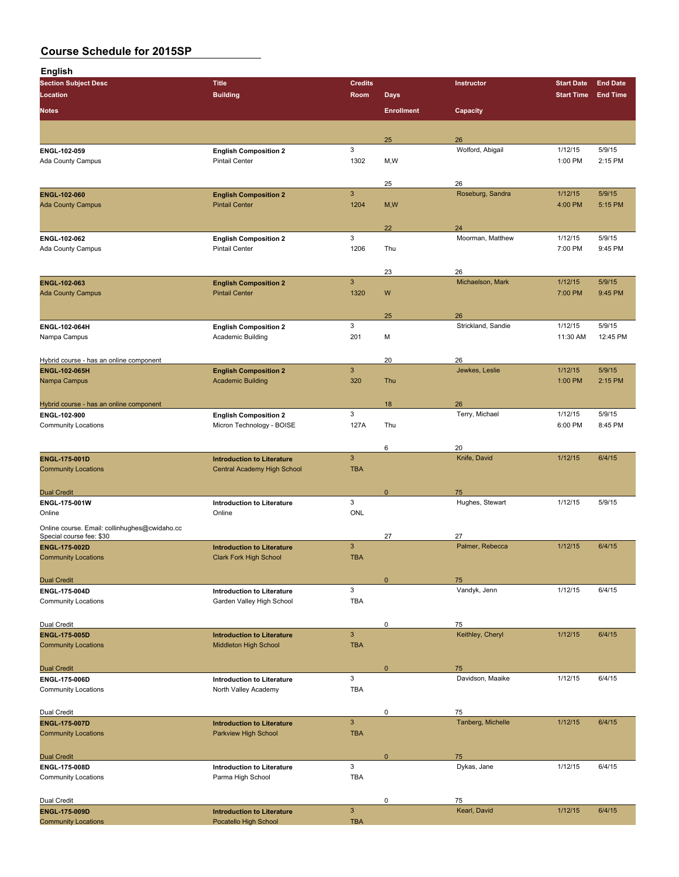| <b>English</b>                                                  |                                                   |                            |                   |                          |                   |                 |
|-----------------------------------------------------------------|---------------------------------------------------|----------------------------|-------------------|--------------------------|-------------------|-----------------|
| <b>Section Subject Desc</b>                                     | <b>Title</b>                                      | <b>Credits</b>             |                   | <b>Instructor</b>        | <b>Start Date</b> | <b>End Date</b> |
| Location                                                        | <b>Building</b>                                   | Room                       | <b>Days</b>       |                          | <b>Start Time</b> | <b>End Time</b> |
| <b>Notes</b>                                                    |                                                   |                            | <b>Enrollment</b> | Capacity                 |                   |                 |
|                                                                 |                                                   |                            |                   |                          |                   |                 |
|                                                                 |                                                   |                            | 25                | 26                       |                   |                 |
| ENGL-102-059                                                    | <b>English Composition 2</b>                      | 3                          |                   | Wolford, Abigail         | 1/12/15           | 5/9/15          |
| Ada County Campus                                               | <b>Pintail Center</b>                             | 1302                       | M,W               |                          | 1:00 PM           | 2:15 PM         |
|                                                                 |                                                   |                            |                   |                          |                   |                 |
|                                                                 |                                                   |                            | 25                | 26                       |                   |                 |
| ENGL-102-060                                                    | <b>English Composition 2</b>                      | 3                          |                   | Roseburg, Sandra         | 1/12/15           | 5/9/15          |
| <b>Ada County Campus</b>                                        | <b>Pintail Center</b>                             | 1204                       | M, W              |                          | 4:00 PM           | 5:15 PM         |
|                                                                 |                                                   |                            |                   |                          |                   |                 |
|                                                                 |                                                   |                            | 22                | 24                       |                   |                 |
| ENGL 102-062                                                    | <b>English Composition 2</b>                      | 3                          |                   | Moorman, Matthew         | 1/12/15           | 5/9/15          |
| Ada County Campus                                               | <b>Pintail Center</b>                             | 1206                       | Thu               |                          | 7:00 PM           | 9:45 PM         |
|                                                                 |                                                   |                            |                   |                          |                   |                 |
|                                                                 |                                                   |                            | 23                | 26                       |                   |                 |
| ENGL-102-063                                                    | <b>English Composition 2</b>                      | 3                          |                   | Michaelson, Mark         | 1/12/15           | 5/9/15          |
| <b>Ada County Campus</b>                                        | <b>Pintail Center</b>                             | 1320                       | W                 |                          | 7:00 PM           | 9:45 PM         |
|                                                                 |                                                   |                            |                   |                          |                   |                 |
|                                                                 |                                                   | 3                          | 25                | 26<br>Strickland, Sandie | 1/12/15           | 5/9/15          |
| ENGL-102-064H<br>Nampa Campus                                   | <b>English Composition 2</b><br>Academic Building | 201                        | M                 |                          | 11:30 AM          | 12:45 PM        |
|                                                                 |                                                   |                            |                   |                          |                   |                 |
|                                                                 |                                                   |                            | 20                | 26                       |                   |                 |
| Hybrid course - has an online component<br><b>ENGL 102 065H</b> | <b>English Composition 2</b>                      | $\mathbf{3}$               |                   | Jewkes, Leslie           | 1/12/15           | 5/9/15          |
| Nampa Campus                                                    | <b>Academic Building</b>                          | 320                        | Thu               |                          | 1:00 PM           | 2:15 PM         |
|                                                                 |                                                   |                            |                   |                          |                   |                 |
| Hybrid course - has an online component                         |                                                   |                            | 18                | 26                       |                   |                 |
| ENGL-102-900                                                    | <b>English Composition 2</b>                      | 3                          |                   | Terry, Michael           | 1/12/15           | 5/9/15          |
| <b>Community Locations</b>                                      | Micron Technology - BOISE                         | 127A                       | Thu               |                          | 6:00 PM           | 8:45 PM         |
|                                                                 |                                                   |                            |                   |                          |                   |                 |
|                                                                 |                                                   |                            | 6                 | 20                       |                   |                 |
| <b>ENGL-175-001D</b>                                            | <b>Introduction to Literature</b>                 | 3                          |                   | Knife, David             | 1/12/15           | 6/4/15          |
| <b>Community Locations</b>                                      | Central Academy High School                       | <b>TBA</b>                 |                   |                          |                   |                 |
|                                                                 |                                                   |                            |                   |                          |                   |                 |
| <b>Dual Credit</b>                                              |                                                   |                            | $\mathbf 0$       | 75                       |                   |                 |
| <b>ENGL 175 001W</b>                                            | <b>Introduction to Literature</b>                 | 3                          |                   | Hughes, Stewart          | 1/12/15           | 5/9/15          |
| Online                                                          | Online                                            | <b>ONL</b>                 |                   |                          |                   |                 |
| Online course. Email: collinhughes@cwidaho.cc                   |                                                   |                            |                   |                          |                   |                 |
| Special course fee: \$30                                        |                                                   |                            | 27                | 27                       |                   |                 |
| <b>ENGL 175 002D</b><br><b>Community Locations</b>              | <b>Introduction to Literature</b>                 | $\mathbf{3}$<br><b>TBA</b> |                   | Palmer, Rebecca          | 1/12/15           | 6/4/15          |
|                                                                 | <b>Clark Fork High School</b>                     |                            |                   |                          |                   |                 |
| <b>Dual Credit</b>                                              |                                                   |                            | $\mathbf{0}$      | 75                       |                   |                 |
| ENGL-175-004D                                                   | <b>Introduction to Literature</b>                 | 3                          |                   | Vandyk, Jenn             | 1/12/15           | 6/4/15          |
| <b>Community Locations</b>                                      | Garden Valley High School                         | <b>TBA</b>                 |                   |                          |                   |                 |
|                                                                 |                                                   |                            |                   |                          |                   |                 |
| Dual Credit                                                     |                                                   |                            | $\pmb{0}$         | 75                       |                   |                 |
| <b>ENGL-175-005D</b>                                            | <b>Introduction to Literature</b>                 | $\mathbf{3}$               |                   | Keithley, Cheryl         | 1/12/15           | 6/4/15          |
| <b>Community Locations</b>                                      | Middleton High School                             | <b>TBA</b>                 |                   |                          |                   |                 |
|                                                                 |                                                   |                            |                   |                          |                   |                 |
| <b>Dual Credit</b>                                              |                                                   |                            | $\mathbf{0}$      | 75                       |                   |                 |
| ENGL-175-006D                                                   | <b>Introduction to Literature</b>                 | 3                          |                   | Davidson, Maaike         | 1/12/15           | 6/4/15          |
| <b>Community Locations</b>                                      | North Valley Academy                              | <b>TBA</b>                 |                   |                          |                   |                 |
|                                                                 |                                                   |                            |                   |                          |                   |                 |
| Dual Credit                                                     |                                                   |                            | 0                 | 75                       |                   |                 |
| <b>ENGL 175 007D</b>                                            | <b>Introduction to Literature</b>                 | $\mathbf{3}$               |                   | Tanberg, Michelle        | 1/12/15           | 6/4/15          |
| <b>Community Locations</b>                                      | Parkview High School                              | <b>TBA</b>                 |                   |                          |                   |                 |
|                                                                 |                                                   |                            |                   |                          |                   |                 |
| <b>Dual Credit</b>                                              |                                                   |                            | $\mathbf{0}$      | 75                       |                   |                 |
| ENGL-175-008D                                                   | <b>Introduction to Literature</b>                 | 3                          |                   | Dykas, Jane              | 1/12/15           | 6/4/15          |
| <b>Community Locations</b>                                      | Parma High School                                 | <b>TBA</b>                 |                   |                          |                   |                 |
|                                                                 |                                                   |                            |                   |                          |                   |                 |
| Dual Credit<br>ENGL-175-009D                                    | <b>Introduction to Literature</b>                 | 3                          | 0                 | 75<br>Kearl, David       | 1/12/15           | 6/4/15          |
| <b>Community Locations</b>                                      | Pocatello High School                             | <b>TBA</b>                 |                   |                          |                   |                 |
|                                                                 |                                                   |                            |                   |                          |                   |                 |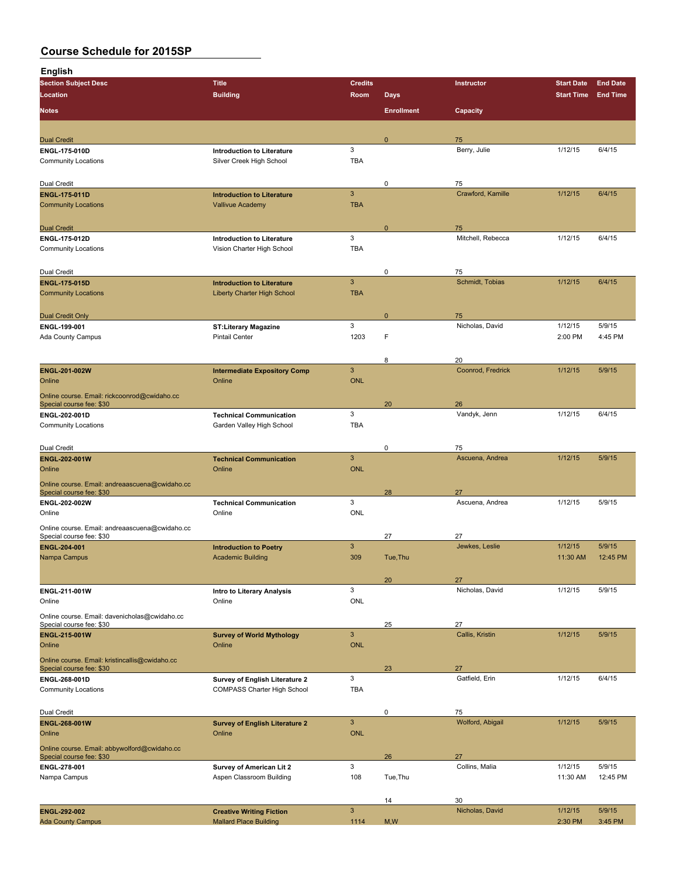| <b>English</b>                                                             |                                          |                            |                   |                       |                   |                 |
|----------------------------------------------------------------------------|------------------------------------------|----------------------------|-------------------|-----------------------|-------------------|-----------------|
| <b>Section Subject Desc</b>                                                | <b>Title</b>                             | <b>Credits</b>             |                   | Instructor            | <b>Start Date</b> | <b>End Date</b> |
| Location                                                                   | <b>Building</b>                          | Room                       | <b>Days</b>       |                       | <b>Start Time</b> | <b>End Time</b> |
| <b>Notes</b>                                                               |                                          |                            | <b>Enrollment</b> | Capacity              |                   |                 |
| <b>Dual Credit</b>                                                         |                                          |                            | $\mathbf 0$       | 75                    |                   |                 |
| <b>ENGL 175-010D</b>                                                       | <b>Introduction to Literature</b>        | 3                          |                   | Berry, Julie          | 1/12/15           | 6/4/15          |
| <b>Community Locations</b>                                                 | Silver Creek High School                 | TBA                        |                   |                       |                   |                 |
| Dual Credit                                                                |                                          |                            | 0                 | 75                    |                   |                 |
| <b>ENGL 175 011D</b>                                                       | <b>Introduction to Literature</b>        | 3                          |                   | Crawford, Kamille     | 1/12/15           | 6/4/15          |
| <b>Community Locations</b>                                                 | <b>Vallivue Academy</b>                  | <b>TBA</b>                 |                   |                       |                   |                 |
| <b>Dual Credit</b>                                                         |                                          |                            | $\mathbf 0$       | 75                    |                   |                 |
| ENGL 175 012D                                                              | <b>Introduction to Literature</b>        | 3                          |                   | Mitchell, Rebecca     | 1/12/15           | 6/4/15          |
| <b>Community Locations</b>                                                 | Vision Charter High School               | TBA                        |                   |                       |                   |                 |
| Dual Credit                                                                |                                          |                            | 0                 | 75                    |                   |                 |
| <b>ENGL-175-015D</b>                                                       | <b>Introduction to Literature</b>        | $\mathbf{3}$               |                   | Schmidt, Tobias       | 1/12/15           | 6/4/15          |
| <b>Community Locations</b>                                                 | <b>Liberty Charter High School</b>       | <b>TBA</b>                 |                   |                       |                   |                 |
| <b>Dual Credit Only</b>                                                    |                                          |                            | $\mathbf 0$       | 75                    |                   |                 |
| ENGL 199-001                                                               | <b>ST:Literary Magazine</b>              | 3                          |                   | Nicholas, David       | 1/12/15           | 5/9/15          |
| Ada County Campus                                                          | <b>Pintail Center</b>                    | 1203                       | F                 |                       | 2:00 PM           | 4:45 PM         |
|                                                                            |                                          |                            | 8                 | 20                    |                   |                 |
| ENGL-201-002W                                                              | <b>Intermediate Expository Comp</b>      | 3                          |                   | Coonrod, Fredrick     | 1/12/15           | 5/9/15          |
| Online<br>Online course. Email: rickcoonrod@cwidaho.cc                     | Online                                   | <b>ONL</b>                 |                   |                       |                   |                 |
| Special course fee: \$30                                                   |                                          |                            | 20                | 26                    |                   |                 |
| ENGL 202-001D                                                              | <b>Technical Communication</b>           | 3                          |                   | Vandyk, Jenn          | 1/12/15           | 6/4/15          |
| <b>Community Locations</b>                                                 | Garden Valley High School                | TBA                        |                   |                       |                   |                 |
| Dual Credit                                                                |                                          |                            | 0                 | 75                    |                   |                 |
| ENGL-202-001W<br>Online                                                    | <b>Technical Communication</b><br>Online | $\mathbf{3}$<br><b>ONL</b> |                   | Ascuena, Andrea       | 1/12/15           | 5/9/15          |
| Online course. Email: andreaascuena@cwidaho.cc                             |                                          |                            |                   |                       |                   |                 |
| Special course fee: \$30                                                   |                                          | 3                          | 28                | 27<br>Ascuena, Andrea | 1/12/15           | 5/9/15          |
| ENGL-202-002W<br>Online                                                    | <b>Technical Communication</b><br>Online | <b>ONL</b>                 |                   |                       |                   |                 |
| Online course. Email: andreaascuena@cwidaho.cc                             |                                          |                            |                   |                       |                   |                 |
| Special course fee: \$30<br>ENGL-204-001                                   | <b>Introduction to Poetry</b>            | 3                          | 27                | 27<br>Jewkes, Leslie  | 1/12/15           | 5/9/15          |
| Nampa Campus                                                               | <b>Academic Building</b>                 | 309                        | Tue, Thu          |                       | 11:30 AM          | 12:45 PM        |
|                                                                            |                                          |                            | 20                | 27                    |                   |                 |
| ENGL-211-001W                                                              | Intro to Literary Analysis               | 3                          |                   | Nicholas, David       | 1/12/15           | 5/9/15          |
| Online                                                                     | Online                                   | <b>ONL</b>                 |                   |                       |                   |                 |
| Online course. Email: davenicholas@cwidaho.cc<br>Special course fee: \$30  |                                          |                            | 25                | 27                    |                   |                 |
| ENGL-215-001W                                                              | <b>Survey of World Mythology</b>         | $\mathbf{3}$               |                   | Callis, Kristin       | 1/12/15           | 5/9/15          |
| Online                                                                     | Online                                   | <b>ONL</b>                 |                   |                       |                   |                 |
| Online course. Email: kristincallis@cwidaho.cc<br>Special course fee: \$30 |                                          |                            | 23                | 27                    |                   |                 |
| ENGL 268-001D                                                              | Survey of English Literature 2           | 3                          |                   | Gatfield, Erin        | 1/12/15           | 6/4/15          |
| <b>Community Locations</b>                                                 | <b>COMPASS Charter High School</b>       | <b>TBA</b>                 |                   |                       |                   |                 |
| Dual Credit                                                                |                                          |                            | 0                 | 75                    |                   |                 |
| ENGL-268-001W                                                              | <b>Survey of English Literature 2</b>    | $\mathbf{3}$               |                   | Wolford, Abigail      | 1/12/15           | 5/9/15          |
| Online                                                                     | Online                                   | <b>ONL</b>                 |                   |                       |                   |                 |
| Online course. Email: abbywolford@cwidaho.cc<br>Special course fee: \$30   |                                          |                            | 26                | 27                    |                   |                 |
| ENGL-278-001                                                               | Survey of American Lit 2                 | 3                          |                   | Collins, Malia        | 1/12/15           | 5/9/15          |
| Nampa Campus                                                               | Aspen Classroom Building                 | 108                        | Tue, Thu          |                       | 11:30 AM          | 12:45 PM        |
|                                                                            |                                          |                            | 14                | 30                    |                   |                 |
| ENGL-292-002                                                               | <b>Creative Writing Fiction</b>          | $\mathbf{3}$               |                   | Nicholas, David       | 1/12/15           | 5/9/15          |

Ada County Campus **Mallard Place Building** 1114 M, W 2:30 PM 3:45 PM 3:45 PM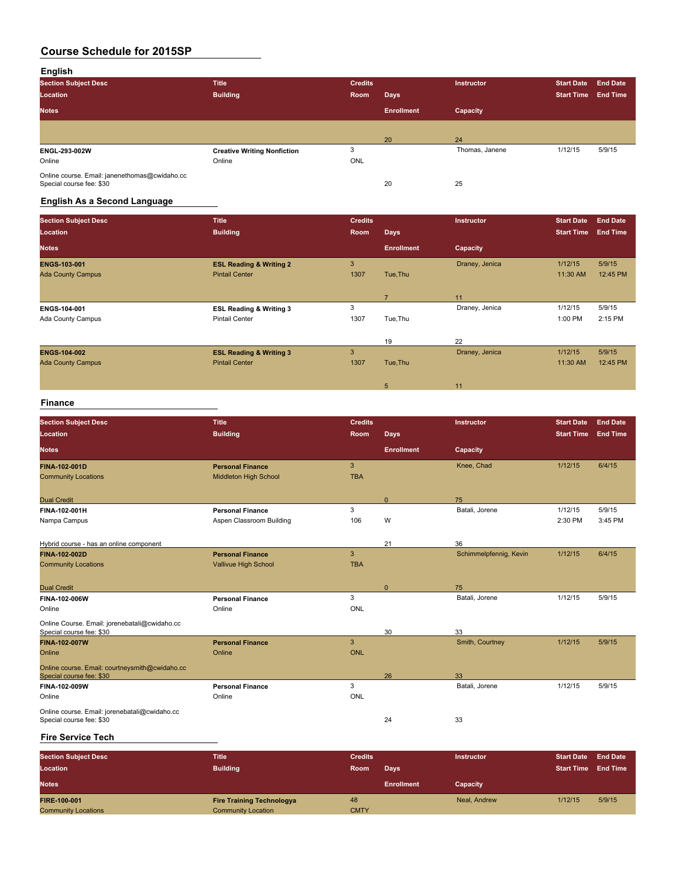### **English**

| <b>Section Subject Desc</b>                                               | <b>Title</b>                       | <b>Credits</b> |                   | <b>Instructor</b> | <b>Start Date</b> | <b>End Date</b> |
|---------------------------------------------------------------------------|------------------------------------|----------------|-------------------|-------------------|-------------------|-----------------|
| Location                                                                  | <b>Building</b>                    | Room           | Days              |                   | <b>Start Time</b> | <b>End Time</b> |
| <b>Notes</b>                                                              |                                    |                | <b>Enrollment</b> | Capacity          |                   |                 |
|                                                                           |                                    |                |                   |                   |                   |                 |
|                                                                           |                                    |                | 20                | 24                |                   |                 |
| ENGL-293-002W                                                             | <b>Creative Writing Nonfiction</b> | 3              |                   | Thomas, Janene    | 1/12/15           | 5/9/15          |
| Online                                                                    | Online                             | <b>ONL</b>     |                   |                   |                   |                 |
| Online course. Email: janenethomas@cwidaho.cc<br>Special course fee: \$30 |                                    |                | 20                | 25                |                   |                 |

### **English As a Second Language**

| <b>Section Subject Desc</b> | <b>Title</b>                       | <b>Credits</b> |                   | Instructor     | <b>Start Date</b> | <b>End Date</b> |
|-----------------------------|------------------------------------|----------------|-------------------|----------------|-------------------|-----------------|
| Location                    | <b>Building</b>                    | Room           | <b>Days</b>       |                | <b>Start Time</b> | <b>End Time</b> |
| <b>Notes</b>                |                                    |                | <b>Enrollment</b> | Capacity       |                   |                 |
| <b>ENGS-103-001</b>         | <b>ESL Reading &amp; Writing 2</b> | 3              |                   | Draney, Jenica | 1/12/15           | 5/9/15          |
| <b>Ada County Campus</b>    | <b>Pintail Center</b>              | 1307           | Tue, Thu          |                | 11:30 AM          | 12:45 PM        |
|                             |                                    |                |                   |                |                   |                 |
|                             |                                    |                | 7                 | 11             |                   |                 |
| ENGS-104-001                | <b>ESL Reading &amp; Writing 3</b> | 3              |                   | Draney, Jenica | 1/12/15           | 5/9/15          |
| <b>Ada County Campus</b>    | <b>Pintail Center</b>              | 1307           | Tue, Thu          |                | 1:00 PM           | 2:15 PM         |
|                             |                                    |                |                   |                |                   |                 |
|                             |                                    |                | 19                | 22             |                   |                 |
| <b>ENGS 104 002</b>         | <b>ESL Reading &amp; Writing 3</b> | 3              |                   | Draney, Jenica | 1/12/15           | 5/9/15          |
| <b>Ada County Campus</b>    | <b>Pintail Center</b>              | 1307           | Tue, Thu          |                | 11:30 AM          | 12:45 PM        |
|                             |                                    |                |                   |                |                   |                 |
|                             |                                    |                | 5                 | 11             |                   |                 |

#### **Finance**

| <b>Section Subject Desc</b><br>Location                                          | <b>Title</b><br><b>Building</b>                         | <b>Credits</b><br><b>Room</b> | <b>Days</b>       | Instructor             | <b>Start Date</b><br><b>Start Time</b> | <b>End Date</b><br><b>End Time</b> |
|----------------------------------------------------------------------------------|---------------------------------------------------------|-------------------------------|-------------------|------------------------|----------------------------------------|------------------------------------|
| <b>Notes</b>                                                                     |                                                         |                               | <b>Enrollment</b> | Capacity               |                                        |                                    |
| <b>FINA-102-001D</b><br><b>Community Locations</b>                               | <b>Personal Finance</b><br><b>Middleton High School</b> | 3<br><b>TBA</b>               |                   | Knee, Chad             | 1/12/15                                | 6/4/15                             |
| <b>Dual Credit</b>                                                               |                                                         |                               | $\mathbf{0}$      | 75                     |                                        |                                    |
| FINA-102-001H<br>Nampa Campus                                                    | <b>Personal Finance</b><br>Aspen Classroom Building     | 3<br>106                      | W                 | Batali, Jorene         | 1/12/15<br>2:30 PM                     | 5/9/15<br>3:45 PM                  |
| Hybrid course - has an online component                                          |                                                         |                               | 21                | 36                     |                                        |                                    |
| <b>FINA-102-002D</b><br><b>Community Locations</b>                               | <b>Personal Finance</b><br><b>Vallivue High School</b>  | 3<br><b>TBA</b>               |                   | Schimmelpfennig, Kevin | 1/12/15                                | 6/4/15                             |
| <b>Dual Credit</b>                                                               |                                                         |                               | $\mathbf{0}$      | 75                     |                                        |                                    |
| FINA-102-006W<br>Online                                                          | <b>Personal Finance</b><br>Online                       | 3<br><b>ONL</b>               |                   | Batali, Jorene         | 1/12/15                                | 5/9/15                             |
| Online Course. Email: jorenebatali@cwidaho.cc<br>Special course fee: \$30        |                                                         |                               | 30                | 33                     |                                        |                                    |
| <b>FINA-102-007W</b><br>Online<br>Online course. Email: courtneysmith@cwidaho.cc | <b>Personal Finance</b><br>Online                       | 3<br><b>ONL</b>               |                   | Smith, Courtney        | 1/12/15                                | 5/9/15                             |
| Special course fee: \$30                                                         |                                                         |                               | 26                | 33                     |                                        |                                    |
| FINA-102-009W<br>Online<br>Online course. Email: jorenebatali@cwidaho.cc         | <b>Personal Finance</b><br>Online                       | 3<br><b>ONL</b>               |                   | Batali, Jorene         | 1/12/15                                | 5/9/15                             |
| Special course fee: \$30                                                         |                                                         |                               | 24                | 33                     |                                        |                                    |

#### **Fire Service Tech**

| <b>Section Subject Desc</b><br>Location | Title<br><b>Building</b>         | <b>Credits</b><br>Room | Days              | <b>Instructor</b> | <b>Start Date</b><br><b>Start Time</b> | <b>End Date</b><br><b>End Time</b> |
|-----------------------------------------|----------------------------------|------------------------|-------------------|-------------------|----------------------------------------|------------------------------------|
| <b>Notes</b>                            |                                  |                        | <b>Enrollment</b> | Capacity          |                                        |                                    |
| <b>FIRE-100-001</b>                     | <b>Fire Training Technologya</b> | 48                     |                   | Neal, Andrew      | 1/12/15                                | 5/9/15                             |
| <b>Community Locations</b>              | <b>Community Location</b>        | <b>CMTY</b>            |                   |                   |                                        |                                    |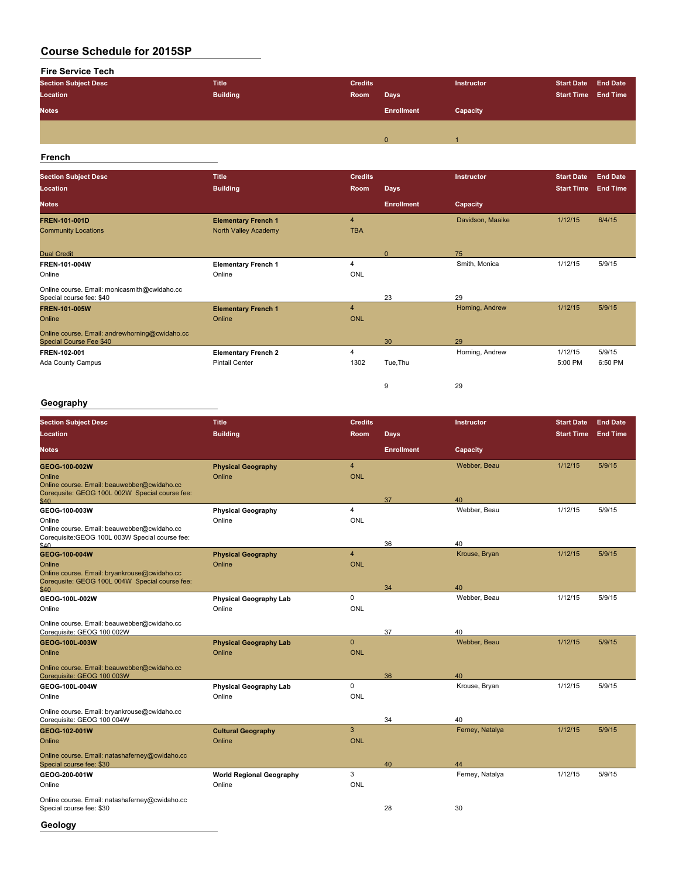# **Fire Service Tech Section Subject Desc Title Credits Instructor Start Date End Date Location**<br> **Location Example 2018 Notes Enrollment Capacity** 0 1

#### **French**

| <b>Section Subject Desc</b>                                               | <b>Title</b>               | <b>Credits</b>        |                   | Instructor       | <b>Start Date</b> | <b>End Date</b> |
|---------------------------------------------------------------------------|----------------------------|-----------------------|-------------------|------------------|-------------------|-----------------|
| Location                                                                  | <b>Building</b>            | Room                  | <b>Days</b>       |                  | <b>Start Time</b> | <b>End Time</b> |
| <b>Notes</b>                                                              |                            |                       | <b>Enrollment</b> | Capacity         |                   |                 |
| <b>FREN-101-001D</b>                                                      | <b>Elementary French 1</b> | $\overline{4}$        |                   | Davidson, Maaike | 1/12/15           | 6/4/15          |
| <b>Community Locations</b>                                                | North Valley Academy       | <b>TBA</b>            |                   |                  |                   |                 |
| <b>Dual Credit</b>                                                        |                            |                       | $\Omega$          | 75               |                   |                 |
| FREN-101-004W                                                             | <b>Elementary French 1</b> | $\boldsymbol{\Delta}$ |                   | Smith, Monica    | 1/12/15           | 5/9/15          |
| Online                                                                    | Online                     | ONL                   |                   |                  |                   |                 |
| Online course. Email: monicasmith@cwidaho.cc<br>Special course fee: \$40  |                            |                       | 23                | 29               |                   |                 |
| <b>FREN-101-005W</b>                                                      | <b>Elementary French 1</b> | $\overline{4}$        |                   | Horning, Andrew  | 1/12/15           | 5/9/15          |
| Online                                                                    | Online                     | <b>ONL</b>            |                   |                  |                   |                 |
| Online course. Email: andrewhorning@cwidaho.cc<br>Special Course Fee \$40 |                            |                       | 30                | 29               |                   |                 |
| FREN 102-001                                                              | <b>Elementary French 2</b> | 4                     |                   | Horning, Andrew  | 1/12/15           | 5/9/15          |
| Ada County Campus                                                         | <b>Pintail Center</b>      | 1302                  | Tue, Thu          |                  | 5:00 PM           | 6:50 PM         |
|                                                                           |                            |                       | 9                 | 29               |                   |                 |

#### **Geography**

| <b>Section Subject Desc</b>                                                                           | <b>Title</b>                    | <b>Credits</b> |                   | Instructor      | <b>Start Date</b> | <b>End Date</b> |
|-------------------------------------------------------------------------------------------------------|---------------------------------|----------------|-------------------|-----------------|-------------------|-----------------|
| Location                                                                                              | <b>Building</b>                 | Room           | <b>Days</b>       |                 | <b>Start Time</b> | <b>End Time</b> |
| <b>Notes</b>                                                                                          |                                 |                | <b>Enrollment</b> | Capacity        |                   |                 |
| GEOG-100-002W                                                                                         | <b>Physical Geography</b>       | $\overline{4}$ |                   | Webber, Beau    | 1/12/15           | 5/9/15          |
| Online                                                                                                | Online                          | <b>ONL</b>     |                   |                 |                   |                 |
| Online course. Email: beauwebber@cwidaho.cc<br>Corequsite: GEOG 100L 002W Special course fee:<br>\$40 |                                 |                | 37                | 40              |                   |                 |
| GEOG-100-003W                                                                                         | <b>Physical Geography</b>       | $\overline{4}$ |                   | Webber, Beau    | 1/12/15           | 5/9/15          |
| Online                                                                                                | Online                          | <b>ONL</b>     |                   |                 |                   |                 |
| Online course. Email: beauwebber@cwidaho.cc<br>Corequisite: GEOG 100L 003W Special course fee:        |                                 |                |                   |                 |                   |                 |
| \$40                                                                                                  |                                 |                | 36                | 40              |                   |                 |
| GEOG-100-004W                                                                                         | <b>Physical Geography</b>       | $\overline{4}$ |                   | Krouse, Bryan   | 1/12/15           | 5/9/15          |
| Online<br>Online course. Email: bryankrouse@cwidaho.cc                                                | Online                          | <b>ONL</b>     |                   |                 |                   |                 |
| Corequsite: GEOG 100L 004W Special course fee:                                                        |                                 |                |                   |                 |                   |                 |
| \$40                                                                                                  |                                 |                | 34                | 40              |                   |                 |
| GEOG-100L-002W                                                                                        | <b>Physical Geography Lab</b>   | $\Omega$       |                   | Webber, Beau    | 1/12/15           | 5/9/15          |
| Online                                                                                                | Online                          | <b>ONL</b>     |                   |                 |                   |                 |
| Online course. Email: beauwebber@cwidaho.cc<br>Corequisite: GEOG 100 002W                             |                                 |                | 37                | 40              |                   |                 |
| GEOG-100L-003W                                                                                        | <b>Physical Geography Lab</b>   | $\mathbf{0}$   |                   | Webber, Beau    | 1/12/15           | 5/9/15          |
| Online                                                                                                | Online                          | <b>ONL</b>     |                   |                 |                   |                 |
| Online course. Email: beauwebber@cwidaho.cc<br>Corequisite: GEOG 100 003W                             |                                 |                | 36                | 40              |                   |                 |
| GEOG-100L-004W                                                                                        | <b>Physical Geography Lab</b>   | $\Omega$       |                   | Krouse, Bryan   | 1/12/15           | 5/9/15          |
| Online                                                                                                | Online                          | <b>ONL</b>     |                   |                 |                   |                 |
| Online course. Email: bryankrouse@cwidaho.cc<br>Corequisite: GEOG 100 004W                            |                                 |                | 34                | 40              |                   |                 |
| GEOG 102-001W                                                                                         | <b>Cultural Geography</b>       | 3              |                   | Ferney, Natalya | 1/12/15           | 5/9/15          |
| Online                                                                                                | Online                          | <b>ONL</b>     |                   |                 |                   |                 |
| Online course. Email: natashaferney@cwidaho.cc<br>Special course fee: \$30                            |                                 |                | 40                | 44              |                   |                 |
| GEOG-200-001W                                                                                         | <b>World Regional Geography</b> | 3              |                   | Ferney, Natalya | 1/12/15           | 5/9/15          |
| Online                                                                                                | Online                          | <b>ONL</b>     |                   |                 |                   |                 |
| Online course. Email: natashaferney@cwidaho.cc<br>Special course fee: \$30                            |                                 |                | 28                | 30              |                   |                 |
| Geology                                                                                               |                                 |                |                   |                 |                   |                 |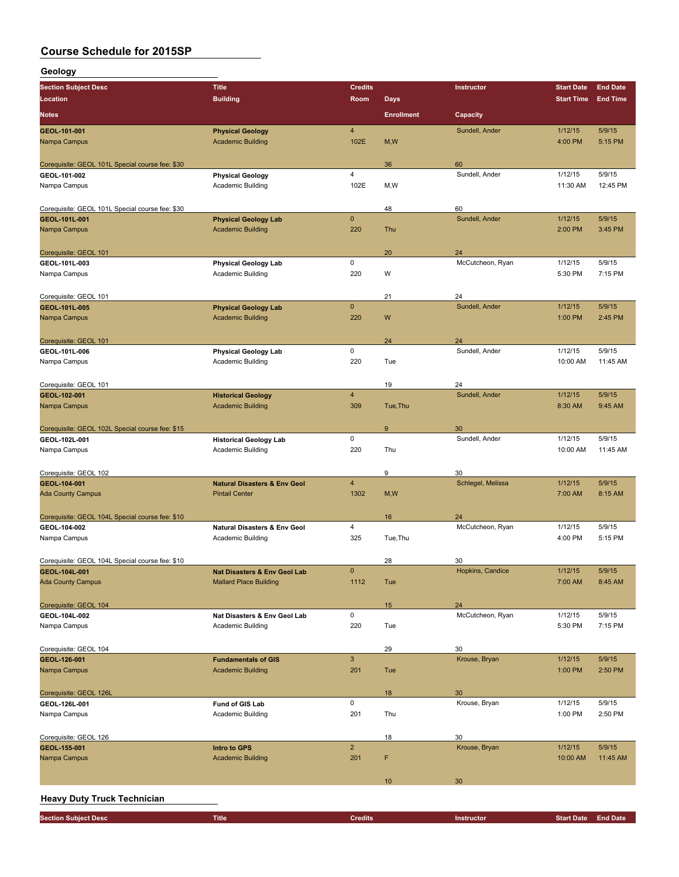**Geology**

| <b>Section Subject Desc</b>                     | <b>Title</b>                                            | Credits            |                   | Instructor           | <b>Start Date</b>  | <b>End Date</b>   |
|-------------------------------------------------|---------------------------------------------------------|--------------------|-------------------|----------------------|--------------------|-------------------|
| Location                                        | <b>Building</b>                                         | Room               | <b>Days</b>       |                      | <b>Start Time</b>  | <b>End Time</b>   |
| <b>Notes</b>                                    |                                                         |                    | <b>Enrollment</b> | Capacity             |                    |                   |
| GEOL 101-001                                    | <b>Physical Geology</b>                                 | 4                  |                   | Sundell, Ander       | 1/12/15            | 5/9/15            |
| Nampa Campus                                    | <b>Academic Building</b>                                | 102E               | M, W              |                      | 4:00 PM            | 5:15 PM           |
|                                                 |                                                         |                    |                   |                      |                    |                   |
| Corequisite: GEOL 101L Special course fee: \$30 |                                                         |                    | 36                | 60                   |                    |                   |
| GEOL-101-002                                    | <b>Physical Geology</b>                                 | 4                  |                   | Sundell, Ander       | 1/12/15            | 5/9/15            |
| Nampa Campus                                    | Academic Building                                       | 102E               | M,W               |                      | 11:30 AM           | 12:45 PM          |
| Corequisite: GEOL 101L Special course fee: \$30 |                                                         |                    | 48                | 60                   |                    |                   |
| GEOL-101L-001                                   | <b>Physical Geology Lab</b>                             | $\overline{0}$     |                   | Sundell, Ander       | 1/12/15            | 5/9/15            |
| Nampa Campus                                    | <b>Academic Building</b>                                | 220                | Thu               |                      | 2:00 PM            | 3:45 PM           |
|                                                 |                                                         |                    |                   |                      |                    |                   |
| Corequisite: GEOL 101                           |                                                         |                    | 20                | 24                   |                    |                   |
| GEOL-101L-003                                   | <b>Physical Geology Lab</b>                             | 0                  |                   | McCutcheon, Ryan     | 1/12/15            | 5/9/15            |
| Nampa Campus                                    | Academic Building                                       | 220                | W                 |                      | 5:30 PM            | 7:15 PM           |
|                                                 |                                                         |                    |                   |                      |                    |                   |
| Corequisite: GEOL 101                           |                                                         |                    | 21                | 24                   |                    |                   |
| GEOL-101L-005                                   | <b>Physical Geology Lab</b><br><b>Academic Building</b> | $\mathbf 0$<br>220 | W                 | Sundell, Ander       | 1/12/15<br>1:00 PM | 5/9/15<br>2:45 PM |
| Nampa Campus                                    |                                                         |                    |                   |                      |                    |                   |
| Corequisite: GEOL 101                           |                                                         |                    | 24                | 24                   |                    |                   |
| GEOL-101L-006                                   | <b>Physical Geology Lab</b>                             | 0                  |                   | Sundell, Ander       | 1/12/15            | 5/9/15            |
| Nampa Campus                                    | Academic Building                                       | 220                | Tue               |                      | 10:00 AM           | 11:45 AM          |
|                                                 |                                                         |                    |                   |                      |                    |                   |
| Corequisite: GEOL 101                           |                                                         |                    | 19                | 24                   |                    |                   |
| GEOL-102-001                                    | <b>Historical Geology</b>                               | $\overline{4}$     |                   | Sundell, Ander       | 1/12/15            | 5/9/15            |
| Nampa Campus                                    | <b>Academic Building</b>                                | 309                | Tue, Thu          |                      | 8:30 AM            | 9:45 AM           |
|                                                 |                                                         |                    |                   |                      |                    |                   |
| Corequisite: GEOL 102L Special course fee: \$15 |                                                         | 0                  | 9                 | 30<br>Sundell, Ander | 1/12/15            | 5/9/15            |
| GEOL-102L-001<br>Nampa Campus                   | <b>Historical Geology Lab</b><br>Academic Building      | 220                | Thu               |                      | 10:00 AM           | 11:45 AM          |
|                                                 |                                                         |                    |                   |                      |                    |                   |
| Corequisite: GEOL 102                           |                                                         |                    | 9                 | 30                   |                    |                   |
| GEOL-104-001                                    | <b>Natural Disasters &amp; Env Geol</b>                 | 4                  |                   | Schlegel, Melissa    | 1/12/15            | 5/9/15            |
| <b>Ada County Campus</b>                        | <b>Pintail Center</b>                                   | 1302               | M, W              |                      | 7:00 AM            | 8:15 AM           |
|                                                 |                                                         |                    |                   |                      |                    |                   |
| Corequisite: GEOL 104L Special course fee: \$10 |                                                         |                    | 16                | 24                   |                    |                   |
| GEOL-104-002                                    | <b>Natural Disasters &amp; Env Geol</b>                 | 4<br>325           | Tue, Thu          | McCutcheon, Ryan     | 1/12/15<br>4:00 PM | 5/9/15<br>5:15 PM |
| Nampa Campus                                    | Academic Building                                       |                    |                   |                      |                    |                   |
| Corequisite: GEOL 104L Special course fee: \$10 |                                                         |                    | 28                | 30                   |                    |                   |
| GEOL-104L-001                                   | <b>Nat Disasters &amp; Env Geol Lab</b>                 | $\mathbf{0}$       |                   | Hopkins, Candice     | 1/12/15            | 5/9/15            |
| <b>Ada County Campus</b>                        | <b>Mallard Place Building</b>                           | 1112               | Tue               |                      | 7:00 AM            | 8:45 AM           |
|                                                 |                                                         |                    |                   |                      |                    |                   |
| Corequisite: GEOL 104                           |                                                         |                    | 15                | 24                   |                    |                   |
| GEOL-104L-002                                   | Nat Disasters & Env Geol Lab                            | 0                  |                   | McCutcheon, Ryan     | 1/12/15            | 5/9/15            |
| Nampa Campus                                    | <b>Academic Building</b>                                | 220                | Tue               |                      | 5:30 PM            | 7:15 PM           |
|                                                 |                                                         |                    |                   |                      |                    |                   |
| Corequisite: GEOL 104                           |                                                         |                    | 29                | 30                   |                    |                   |
| GEOL-126-001<br>Nampa Campus                    | <b>Fundamentals of GIS</b><br><b>Academic Building</b>  | 3<br>201           | Tue               | Krouse, Bryan        | 1/12/15<br>1:00 PM | 5/9/15<br>2:50 PM |
|                                                 |                                                         |                    |                   |                      |                    |                   |
| Corequisite: GEOL 126L                          |                                                         |                    | 18                | 30                   |                    |                   |
| GEOL-126L-001                                   | Fund of GIS Lab                                         | 0                  |                   | Krouse, Bryan        | 1/12/15            | 5/9/15            |
| Nampa Campus                                    | <b>Academic Building</b>                                | 201                | Thu               |                      | 1:00 PM            | 2:50 PM           |
|                                                 |                                                         |                    |                   |                      |                    |                   |
| Corequisite: GEOL 126                           |                                                         |                    | 18                | 30                   |                    |                   |
| GEOL-155-001                                    | <b>Intro to GPS</b>                                     | $\overline{2}$     |                   | Krouse, Bryan        | 1/12/15            | 5/9/15            |
| Nampa Campus                                    | <b>Academic Building</b>                                | 201                | F                 |                      | 10:00 AM           | 11:45 AM          |
|                                                 |                                                         |                    |                   |                      |                    |                   |
|                                                 |                                                         |                    | 10                | 30                   |                    |                   |
| <b>Heavy Duty Truck Technician</b>              |                                                         |                    |                   |                      |                    |                   |

| Section Subject Desc \ | <b>Title</b> | <b>Credits</b> | <b>Instructor</b> | Start Date | <b>End Date</b> |
|------------------------|--------------|----------------|-------------------|------------|-----------------|
|                        |              |                |                   |            |                 |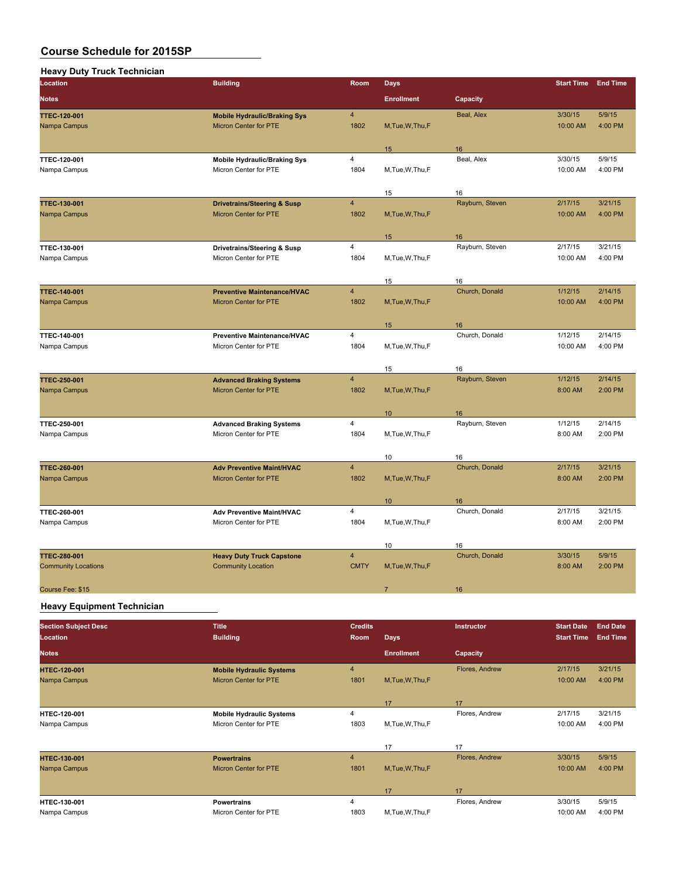| <b>Heavy Duty Truck Technician</b>                |                                                                        |                               |                   |                 |                     |                    |
|---------------------------------------------------|------------------------------------------------------------------------|-------------------------------|-------------------|-----------------|---------------------|--------------------|
| Location                                          | <b>Building</b>                                                        | Room                          | <b>Days</b>       |                 | <b>Start Time</b>   | <b>End Time</b>    |
| <b>Notes</b>                                      |                                                                        |                               | <b>Enrollment</b> | Capacity        |                     |                    |
| <b>TTEC 120 001</b><br>Nampa Campus               | <b>Mobile Hydraulic/Braking Sys</b><br>Micron Center for PTE           | $\overline{4}$<br>1802        | M, Tue, W, Thu, F | Beal, Alex      | 3/30/15<br>10:00 AM | 5/9/15<br>4:00 PM  |
|                                                   |                                                                        |                               | 15                | 16              |                     |                    |
| <b>TTEC 120 001</b><br>Nampa Campus               | <b>Mobile Hydraulic/Braking Sys</b><br>Micron Center for PTE           | $\overline{4}$<br>1804        | M, Tue, W, Thu, F | Beal, Alex      | 3/30/15<br>10:00 AM | 5/9/15<br>4:00 PM  |
|                                                   |                                                                        |                               | 15                | 16              |                     |                    |
| TTEC-130-001<br>Nampa Campus                      | <b>Drivetrains/Steering &amp; Susp</b><br><b>Micron Center for PTE</b> | $\overline{4}$<br>1802        | M, Tue, W, Thu, F | Rayburn, Steven | 2/17/15<br>10:00 AM | 3/21/15<br>4:00 PM |
|                                                   |                                                                        |                               | 15                | 16              |                     |                    |
| TTEC-130-001<br>Nampa Campus                      | Drivetrains/Steering & Susp<br>Micron Center for PTE                   | $\overline{4}$<br>1804        | M, Tue, W, Thu, F | Rayburn, Steven | 2/17/15<br>10:00 AM | 3/21/15<br>4:00 PM |
|                                                   |                                                                        |                               | 15                | 16              |                     |                    |
| TTEC-140-001<br>Nampa Campus                      | <b>Preventive Maintenance/HVAC</b><br>Micron Center for PTE            | $\overline{4}$<br>1802        | M, Tue, W, Thu, F | Church, Donald  | 1/12/15<br>10:00 AM | 2/14/15<br>4:00 PM |
|                                                   |                                                                        |                               | 15                | 16              |                     |                    |
| TTEC-140-001<br>Nampa Campus                      | Preventive Maintenance/HVAC<br>Micron Center for PTE                   | 4<br>1804                     | M, Tue, W, Thu, F | Church, Donald  | 1/12/15<br>10:00 AM | 2/14/15<br>4:00 PM |
|                                                   |                                                                        |                               | 15                | 16              |                     |                    |
| TTEC-250-001<br>Nampa Campus                      | <b>Advanced Braking Systems</b><br><b>Micron Center for PTE</b>        | $\overline{4}$<br>1802        | M, Tue, W, Thu, F | Rayburn, Steven | 1/12/15<br>8:00 AM  | 2/14/15<br>2:00 PM |
|                                                   |                                                                        |                               | 10 <sup>°</sup>   | 16              |                     |                    |
| TTEC-250-001<br>Nampa Campus                      | <b>Advanced Braking Systems</b><br>Micron Center for PTE               | 4<br>1804                     | M, Tue, W, Thu, F | Rayburn, Steven | 1/12/15<br>8:00 AM  | 2/14/15<br>2:00 PM |
|                                                   |                                                                        |                               | 10                | 16              |                     |                    |
| TTEC-260-001<br>Nampa Campus                      | <b>Adv Preventive Maint/HVAC</b><br>Micron Center for PTE              | $\overline{4}$<br>1802        | M, Tue, W, Thu, F | Church, Donald  | 2/17/15<br>8:00 AM  | 3/21/15<br>2:00 PM |
|                                                   |                                                                        |                               | 10 <sup>°</sup>   | 16              |                     |                    |
| TTEC-260-001<br>Nampa Campus                      | Adv Preventive Maint/HVAC<br>Micron Center for PTE                     | $\overline{4}$<br>1804        | M, Tue, W, Thu, F | Church, Donald  | 2/17/15<br>8:00 AM  | 3/21/15<br>2:00 PM |
|                                                   |                                                                        |                               | 10                | 16              |                     |                    |
| <b>TTEC-280-001</b><br><b>Community Locations</b> | <b>Heavy Duty Truck Capstone</b><br><b>Community Location</b>          | $\overline{4}$<br><b>CMTY</b> | M, Tue, W, Thu, F | Church, Donald  | 3/30/15<br>8:00 AM  | 5/9/15<br>2:00 PM  |
| Course Fee: \$15                                  |                                                                        |                               | $\overline{7}$    | 16              |                     |                    |
|                                                   |                                                                        |                               |                   |                 |                     |                    |

#### **Heavy Equipment Technician**

| <b>Section Subject Desc</b> | <b>Title</b>                    | <b>Credits</b> |                   | Instructor     | <b>Start Date</b> | <b>End Date</b> |
|-----------------------------|---------------------------------|----------------|-------------------|----------------|-------------------|-----------------|
| Location                    | <b>Building</b>                 | Room           | <b>Days</b>       |                | <b>Start Time</b> | <b>End Time</b> |
| <b>Notes</b>                |                                 |                | <b>Enrollment</b> | Capacity       |                   |                 |
| <b>HTEC 120 001</b>         | <b>Mobile Hydraulic Systems</b> | $\overline{4}$ |                   | Flores, Andrew | 2/17/15           | 3/21/15         |
| Nampa Campus                | Micron Center for PTE           | 1801           | M.Tue.W.Thu.F     |                | 10:00 AM          | 4:00 PM         |
|                             |                                 |                |                   |                |                   |                 |
|                             |                                 |                | 17                | 17             |                   |                 |
| <b>HTEC-120-001</b>         | <b>Mobile Hydraulic Systems</b> | 4              |                   | Flores, Andrew | 2/17/15           | 3/21/15         |
| Nampa Campus                | Micron Center for PTE           | 1803           | M, Tue, W, Thu, F |                | 10:00 AM          | 4:00 PM         |
|                             |                                 |                |                   |                |                   |                 |
|                             |                                 |                | 17                | 17             |                   |                 |
| <b>HTEC-130-001</b>         | <b>Powertrains</b>              | $\overline{4}$ |                   | Flores, Andrew | 3/30/15           | 5/9/15          |
| Nampa Campus                | Micron Center for PTE           | 1801           | M, Tue, W, Thu, F |                | 10:00 AM          | 4:00 PM         |
|                             |                                 |                |                   |                |                   |                 |
|                             |                                 |                | 17                | 17             |                   |                 |
| <b>HTEC 130-001</b>         | <b>Powertrains</b>              | 4              |                   | Flores, Andrew | 3/30/15           | 5/9/15          |
| Nampa Campus                | Micron Center for PTE           | 1803           | M, Tue, W, Thu, F |                | 10:00 AM          | 4:00 PM         |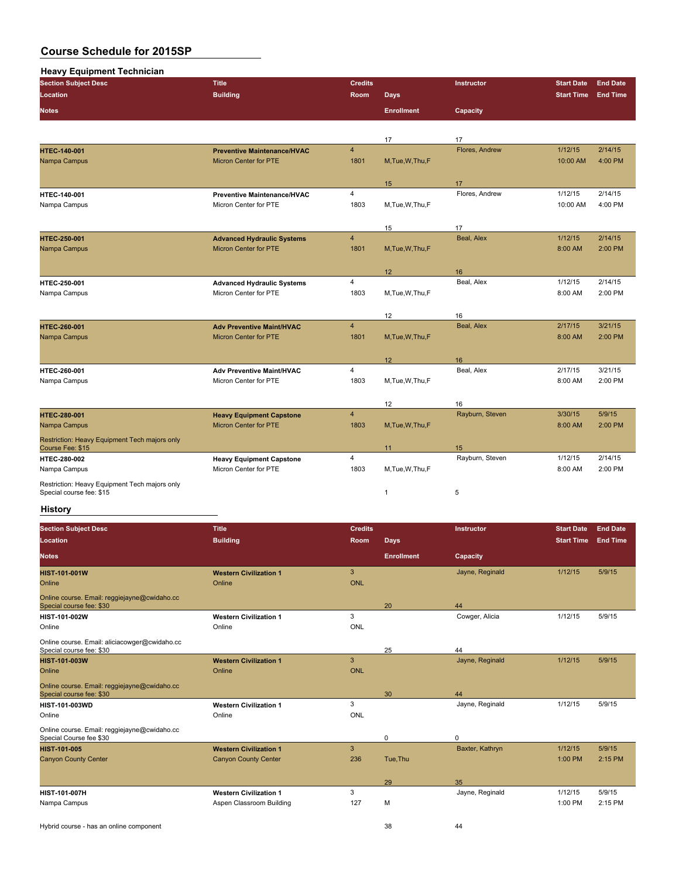| <b>Heavy Equipment Technician</b> |  |
|-----------------------------------|--|
|-----------------------------------|--|

| $1.047$ $1.047$ $1.001$ $1.001$ $1.001$<br><b>Section Subject Desc</b> | <b>Title</b>                       | <b>Credits</b> |                   | <b>Instructor</b> | <b>Start Date</b> | <b>End Date</b> |
|------------------------------------------------------------------------|------------------------------------|----------------|-------------------|-------------------|-------------------|-----------------|
| Location                                                               | <b>Building</b>                    | <b>Room</b>    | <b>Days</b>       |                   | <b>Start Time</b> | <b>End Time</b> |
| <b>Notes</b>                                                           |                                    |                | <b>Enrollment</b> | Capacity          |                   |                 |
|                                                                        |                                    |                |                   |                   |                   |                 |
|                                                                        |                                    |                | 17                | 17                |                   |                 |
| <b>HTEC-140-001</b>                                                    | <b>Preventive Maintenance/HVAC</b> | $\overline{4}$ |                   | Flores, Andrew    | 1/12/15           | 2/14/15         |
| Nampa Campus                                                           | <b>Micron Center for PTE</b>       | 1801           | M, Tue, W, Thu, F |                   | 10:00 AM          | 4:00 PM         |
|                                                                        |                                    |                |                   |                   |                   |                 |
|                                                                        |                                    |                | 15                | 17                |                   |                 |
| <b>HTEC-140-001</b>                                                    | <b>Preventive Maintenance/HVAC</b> | $\overline{4}$ |                   | Flores, Andrew    | 1/12/15           | 2/14/15         |
| Nampa Campus                                                           | Micron Center for PTE              | 1803           | M, Tue, W, Thu, F |                   | 10:00 AM          | 4:00 PM         |
|                                                                        |                                    |                | 15                | 17                |                   |                 |
| <b>HTEC 250 001</b>                                                    | <b>Advanced Hydraulic Systems</b>  | $\overline{4}$ |                   | Beal, Alex        | 1/12/15           | 2/14/15         |
| Nampa Campus                                                           | <b>Micron Center for PTE</b>       | 1801           | M, Tue, W, Thu, F |                   | 8:00 AM           | 2:00 PM         |
|                                                                        |                                    |                |                   |                   |                   |                 |
|                                                                        |                                    |                | 12                | 16                |                   |                 |
| <b>HTEC 250-001</b>                                                    | <b>Advanced Hydraulic Systems</b>  | $\overline{4}$ |                   | Beal, Alex        | 1/12/15           | 2/14/15         |
| Nampa Campus                                                           | Micron Center for PTE              | 1803           | M, Tue, W, Thu, F |                   | 8:00 AM           | 2:00 PM         |
|                                                                        |                                    |                |                   |                   |                   |                 |
|                                                                        |                                    |                | 12                | 16                |                   |                 |
| <b>HTEC-260-001</b>                                                    | <b>Adv Preventive Maint/HVAC</b>   | $\overline{4}$ |                   | Beal, Alex        | 2/17/15           | 3/21/15         |
| Nampa Campus                                                           | <b>Micron Center for PTE</b>       | 1801           | M, Tue, W, Thu, F |                   | 8:00 AM           | 2:00 PM         |
|                                                                        |                                    |                |                   |                   |                   |                 |
| <b>HTEC 260-001</b>                                                    | <b>Adv Preventive Maint/HVAC</b>   | 4              | 12                | 16<br>Beal, Alex  | 2/17/15           | 3/21/15         |
| Nampa Campus                                                           | Micron Center for PTE              | 1803           | M, Tue, W, Thu, F |                   | 8:00 AM           | 2:00 PM         |
|                                                                        |                                    |                |                   |                   |                   |                 |
|                                                                        |                                    |                | 12                | 16                |                   |                 |
| <b>HTEC-280-001</b>                                                    | <b>Heavy Equipment Capstone</b>    | $\overline{4}$ |                   | Rayburn, Steven   | 3/30/15           | 5/9/15          |
| Nampa Campus                                                           | <b>Micron Center for PTE</b>       | 1803           | M, Tue, W, Thu, F |                   | 8:00 AM           | 2:00 PM         |
| Restriction: Heavy Equipment Tech majors only                          |                                    |                |                   |                   |                   |                 |
| Course Fee: \$15                                                       |                                    |                | 11                | 15                |                   |                 |
| HTEC-280-002                                                           | <b>Heavy Equipment Capstone</b>    | $\overline{4}$ |                   | Rayburn, Steven   | 1/12/15           | 2/14/15         |
| Nampa Campus                                                           | Micron Center for PTE              | 1803           | M,Tue,W,Thu,F     |                   | 8:00 AM           | 2:00 PM         |
| Restriction: Heavy Equipment Tech majors only                          |                                    |                |                   |                   |                   |                 |
| Special course fee: \$15                                               |                                    |                | $\mathbf{1}$      | 5                 |                   |                 |
|                                                                        |                                    |                |                   |                   |                   |                 |

#### **History**

| <b>Section Subject Desc</b><br>Location                                   | <b>Title</b><br><b>Building</b> | <b>Credits</b><br><b>Room</b> | Days,             | Instructor      | <b>Start Date</b><br><b>Start Time</b> | <b>End Date</b><br><b>End Time</b> |
|---------------------------------------------------------------------------|---------------------------------|-------------------------------|-------------------|-----------------|----------------------------------------|------------------------------------|
| <b>Notes</b>                                                              |                                 |                               | <b>Enrollment</b> | Capacity        |                                        |                                    |
| <b>HIST-101-001W</b>                                                      | <b>Western Civilization 1</b>   | 3                             |                   | Jayne, Reginald | 1/12/15                                | 5/9/15                             |
| Online                                                                    | Online                          | <b>ONL</b>                    |                   |                 |                                        |                                    |
| Online course. Email: reggiejayne@cwidaho.cc<br>Special course fee: \$30  |                                 |                               | 20                | 44              |                                        |                                    |
| <b>HIST-101-002W</b>                                                      | <b>Western Civilization 1</b>   | 3                             |                   | Cowger, Alicia  | 1/12/15                                | 5/9/15                             |
| Online                                                                    | Online                          | ONL                           |                   |                 |                                        |                                    |
| Online course. Email: aliciacowger@cwidaho.cc<br>Special course fee: \$30 |                                 |                               | 25                | 44              |                                        |                                    |
| <b>HIST-101-003W</b>                                                      | <b>Western Civilization 1</b>   | 3                             |                   | Jayne, Reginald | 1/12/15                                | 5/9/15                             |
| Online                                                                    | Online                          | <b>ONL</b>                    |                   |                 |                                        |                                    |
| Online course. Email: reggiejayne@cwidaho.cc<br>Special course fee: \$30  |                                 |                               | 30                | 44              |                                        |                                    |
| <b>HIST-101-003WD</b>                                                     | <b>Western Civilization 1</b>   | 3                             |                   | Jayne, Reginald | 1/12/15                                | 5/9/15                             |
| Online                                                                    | Online                          | ONL                           |                   |                 |                                        |                                    |
| Online course. Email: reggiejayne@cwidaho.cc<br>Special Course fee \$30   |                                 |                               | $\mathbf 0$       | $\mathbf 0$     |                                        |                                    |
| <b>HIST 101 005</b>                                                       | <b>Western Civilization 1</b>   | 3                             |                   | Baxter, Kathryn | 1/12/15                                | 5/9/15                             |
| <b>Canyon County Center</b>                                               | <b>Canyon County Center</b>     | 236                           | Tue, Thu          |                 | 1:00 PM                                | 2:15 PM                            |
|                                                                           |                                 |                               | 29                | 35              |                                        |                                    |
| <b>HIST-101-007H</b>                                                      | <b>Western Civilization 1</b>   | 3                             |                   | Jayne, Reginald | 1/12/15                                | 5/9/15                             |
| Nampa Campus                                                              | Aspen Classroom Building        | 127                           | M                 |                 | 1:00 PM                                | 2:15 PM                            |
|                                                                           |                                 |                               |                   |                 |                                        |                                    |

Hybrid course - has an online component 38 44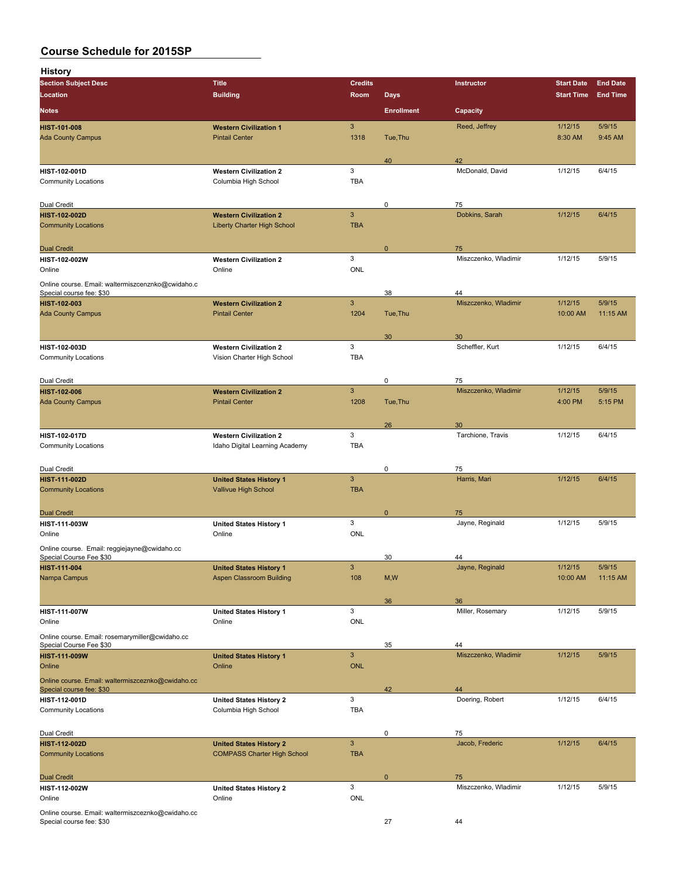| History                                                                 |                                                               |                            |                   |                            |                     |                    |
|-------------------------------------------------------------------------|---------------------------------------------------------------|----------------------------|-------------------|----------------------------|---------------------|--------------------|
| <b>Section Subject Desc</b>                                             | <b>Title</b>                                                  | <b>Credits</b>             |                   | Instructor                 | <b>Start Date</b>   | <b>End Date</b>    |
| Location                                                                | <b>Building</b>                                               | Room                       | <b>Days</b>       |                            | <b>Start Time</b>   | <b>End Time</b>    |
| <b>Notes</b>                                                            |                                                               |                            | <b>Enrollment</b> | Capacity                   |                     |                    |
| <b>HIST-101-008</b>                                                     | <b>Western Civilization 1</b>                                 | $\mathbf{3}$               |                   | Reed, Jeffrey              | 1/12/15             | 5/9/15             |
| <b>Ada County Campus</b>                                                | <b>Pintail Center</b>                                         | 1318                       | Tue, Thu          |                            | 8:30 AM             | 9:45 AM            |
|                                                                         |                                                               |                            | 40                | 42                         |                     |                    |
| HIST-102-001D                                                           | <b>Western Civilization 2</b>                                 | 3                          |                   | McDonald, David            | 1/12/15             | 6/4/15             |
| <b>Community Locations</b>                                              | Columbia High School                                          | <b>TBA</b>                 |                   |                            |                     |                    |
| Dual Credit                                                             |                                                               |                            | 0                 | 75                         |                     |                    |
| <b>HIST-102-002D</b>                                                    | <b>Western Civilization 2</b>                                 | $\mathbf{3}$               |                   | Dobkins, Sarah             | 1/12/15             | 6/4/15             |
| <b>Community Locations</b>                                              | <b>Liberty Charter High School</b>                            | <b>TBA</b>                 |                   |                            |                     |                    |
|                                                                         |                                                               |                            |                   |                            |                     |                    |
| <b>Dual Credit</b><br>HIST-102-002W                                     | <b>Western Civilization 2</b>                                 | 3                          | $\mathbf{0}$      | 75<br>Miszczenko, Wladimir | 1/12/15             | 5/9/15             |
| Online                                                                  | Online                                                        | ONL                        |                   |                            |                     |                    |
| Online course. Email: waltermiszcenznko@cwidaho.c                       |                                                               |                            |                   |                            |                     |                    |
| Special course fee: \$30                                                |                                                               |                            | 38                | 44                         |                     |                    |
| HIST-102-003<br><b>Ada County Campus</b>                                | <b>Western Civilization 2</b><br><b>Pintail Center</b>        | $\mathsf 3$<br>1204        | Tue, Thu          | Miszczenko, Wladimir       | 1/12/15<br>10:00 AM | 5/9/15<br>11:15 AM |
|                                                                         |                                                               |                            |                   |                            |                     |                    |
|                                                                         |                                                               |                            | 30                | 30                         |                     |                    |
| <b>HIST-102-003D</b>                                                    | <b>Western Civilization 2</b>                                 | 3                          |                   | Scheffler, Kurt            | 1/12/15             | 6/4/15             |
| <b>Community Locations</b>                                              | Vision Charter High School                                    | <b>TBA</b>                 |                   |                            |                     |                    |
| Dual Credit                                                             |                                                               |                            | 0                 | 75                         |                     |                    |
| <b>HIST-102-006</b>                                                     | <b>Western Civilization 2</b>                                 | $\mathbf{3}$               |                   | Miszczenko, Wladimir       | 1/12/15             | 5/9/15             |
| <b>Ada County Campus</b>                                                | <b>Pintail Center</b>                                         | 1208                       | Tue, Thu          |                            | 4:00 PM             | 5:15 PM            |
|                                                                         |                                                               |                            |                   |                            |                     |                    |
| <b>HIST-102-017D</b>                                                    | <b>Western Civilization 2</b>                                 | 3                          | 26                | 30<br>Tarchione, Travis    | 1/12/15             | 6/4/15             |
| <b>Community Locations</b>                                              | Idaho Digital Learning Academy                                | <b>TBA</b>                 |                   |                            |                     |                    |
|                                                                         |                                                               |                            |                   |                            |                     |                    |
| Dual Credit                                                             |                                                               |                            | 0                 | 75                         |                     |                    |
| <b>HIST-111-002D</b><br><b>Community Locations</b>                      | <b>United States History 1</b><br><b>Vallivue High School</b> | $\mathbf{3}$<br><b>TBA</b> |                   | Harris, Mari               | 1/12/15             | 6/4/15             |
|                                                                         |                                                               |                            |                   |                            |                     |                    |
| <b>Dual Credit</b>                                                      |                                                               |                            | 0                 | 75                         |                     |                    |
| HIST-111-003W                                                           | <b>United States History 1</b>                                | 3                          |                   | Jayne, Reginald            | 1/12/15             | 5/9/15             |
| Online                                                                  | Online                                                        | ONL                        |                   |                            |                     |                    |
| Online course. Email: reggiejayne@cwidaho.cc<br>Special Course Fee \$30 |                                                               |                            | 30                | 44                         |                     |                    |
| <b>HIST-111-004</b>                                                     | <b>United States History 1</b>                                | $\mathbf{3}$               |                   | Jayne, Reginald            | 1/12/15             | 5/9/15             |
| Nampa Campus                                                            | <b>Aspen Classroom Building</b>                               | 108                        | M, W              |                            | 10:00 AM            | 11:15 AM           |
|                                                                         |                                                               |                            |                   |                            |                     |                    |
| HIST-111-007W                                                           | <b>United States History 1</b>                                | $\mathbf{3}$               | 36                | 36<br>Miller, Rosemary     | 1/12/15             | 5/9/15             |
| Online                                                                  | Online                                                        | <b>ONL</b>                 |                   |                            |                     |                    |
| Online course. Email: rosemarymiller@cwidaho.cc                         |                                                               |                            |                   |                            |                     |                    |
| Special Course Fee \$30                                                 |                                                               |                            | 35                | 44                         |                     |                    |
| <b>HIST-111-009W</b><br>Online                                          | <b>United States History 1</b><br>Online                      | $\sqrt{3}$<br><b>ONL</b>   |                   | Miszczenko, Wladimir       | 1/12/15             | 5/9/15             |
| Online course. Email: waltermiszceznko@cwidaho.cc                       |                                                               |                            |                   |                            |                     |                    |
| Special course fee: \$30                                                |                                                               |                            | 42                | 44                         |                     |                    |
| HIST-112-001D                                                           | <b>United States History 2</b>                                | $\mathbf{3}$               |                   | Doering, Robert            | 1/12/15             | 6/4/15             |
| <b>Community Locations</b>                                              | Columbia High School                                          | <b>TBA</b>                 |                   |                            |                     |                    |
| Dual Credit                                                             |                                                               |                            | 0                 | 75                         |                     |                    |
| <b>HIST-112-002D</b>                                                    | <b>United States History 2</b>                                | $\mathsf 3$                |                   | Jacob, Frederic            | 1/12/15             | 6/4/15             |
| <b>Community Locations</b>                                              | <b>COMPASS Charter High School</b>                            | <b>TBA</b>                 |                   |                            |                     |                    |
|                                                                         |                                                               |                            |                   |                            |                     |                    |
| <b>Dual Credit</b><br>HIST-112-002W                                     | <b>United States History 2</b>                                | $\mathbf{3}$               | $\mathbf{0}$      | 75<br>Miszczenko, Wladimir | 1/12/15             | 5/9/15             |
| Online                                                                  | Online                                                        | ONL                        |                   |                            |                     |                    |
| Online course. Email: waltermiszceznko@cwidaho.cc                       |                                                               |                            |                   |                            |                     |                    |
| Special course fee: \$30                                                |                                                               |                            | 27                | 44                         |                     |                    |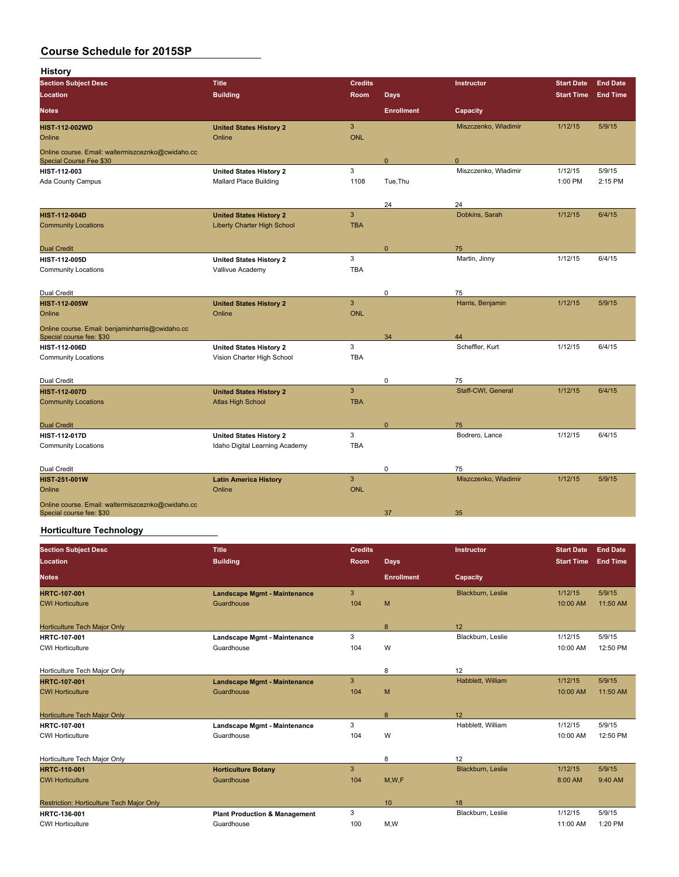| <b>History</b>                                                                |                                    |                |                   |                      |                   |                 |
|-------------------------------------------------------------------------------|------------------------------------|----------------|-------------------|----------------------|-------------------|-----------------|
| <b>Section Subject Desc</b>                                                   | <b>Title</b>                       | <b>Credits</b> |                   | Instructor           | <b>Start Date</b> | <b>End Date</b> |
| Location                                                                      | <b>Building</b>                    | Room           | <b>Days</b>       |                      | <b>Start Time</b> | <b>End Time</b> |
| <b>Notes</b>                                                                  |                                    |                | <b>Enrollment</b> | Capacity             |                   |                 |
| <b>HIST-112-002WD</b>                                                         | <b>United States History 2</b>     | $\overline{3}$ |                   | Miszczenko, Wladimir | 1/12/15           | 5/9/15          |
| Online                                                                        | Online                             | <b>ONL</b>     |                   |                      |                   |                 |
| Online course. Email: waltermiszceznko@cwidaho.cc<br>Special Course Fee \$30  |                                    |                | $\Omega$          | $\Omega$             |                   |                 |
| <b>HIST-112-003</b>                                                           | <b>United States History 2</b>     | 3              |                   | Miszczenko, Wladimir | 1/12/15           | 5/9/15          |
| Ada County Campus                                                             | <b>Mallard Place Building</b>      | 1108           | Tue, Thu          |                      | 1:00 PM           | 2:15 PM         |
|                                                                               |                                    |                | 24                | 24                   |                   |                 |
| <b>HIST-112-004D</b>                                                          | <b>United States History 2</b>     | $\overline{3}$ |                   | Dobkins, Sarah       | 1/12/15           | 6/4/15          |
| <b>Community Locations</b>                                                    | <b>Liberty Charter High School</b> | <b>TBA</b>     |                   |                      |                   |                 |
| <b>Dual Credit</b>                                                            |                                    |                | $\mathbf{0}$      | 75                   |                   |                 |
| <b>HIST-112-005D</b>                                                          | <b>United States History 2</b>     | 3              |                   | Martin, Jinny        | 1/12/15           | 6/4/15          |
| <b>Community Locations</b>                                                    | Vallivue Academy                   | <b>TBA</b>     |                   |                      |                   |                 |
| Dual Credit                                                                   |                                    |                | 0                 | 75                   |                   |                 |
| <b>HIST-112-005W</b>                                                          | <b>United States History 2</b>     | $\overline{3}$ |                   | Harris, Benjamin     | 1/12/15           | 5/9/15          |
| Online                                                                        | Online                             | <b>ONL</b>     |                   |                      |                   |                 |
| Online course. Email: benjaminharris@cwidaho.cc<br>Special course fee: \$30   |                                    |                | 34                | 44                   |                   |                 |
| <b>HIST 112 006D</b>                                                          | <b>United States History 2</b>     | 3              |                   | Scheffler, Kurt      | 1/12/15           | 6/4/15          |
| <b>Community Locations</b>                                                    | Vision Charter High School         | <b>TBA</b>     |                   |                      |                   |                 |
| Dual Credit                                                                   |                                    |                | 0                 | 75                   |                   |                 |
| <b>HIST-112-007D</b>                                                          | <b>United States History 2</b>     | 3              |                   | Staff-CWI, General   | 1/12/15           | 6/4/15          |
| <b>Community Locations</b>                                                    | <b>Atlas High School</b>           | <b>TBA</b>     |                   |                      |                   |                 |
| <b>Dual Credit</b>                                                            |                                    |                | $\mathbf{0}$      | 75                   |                   |                 |
| <b>HIST 112-017D</b>                                                          | <b>United States History 2</b>     | 3              |                   | Bodrero, Lance       | 1/12/15           | 6/4/15          |
| <b>Community Locations</b>                                                    | Idaho Digital Learning Academy     | <b>TBA</b>     |                   |                      |                   |                 |
| Dual Credit                                                                   |                                    |                | 0                 | 75                   |                   |                 |
| <b>HIST 251 001W</b>                                                          | <b>Latin America History</b>       | $\overline{3}$ |                   | Miszczenko, Wladimir | 1/12/15           | 5/9/15          |
| Online                                                                        | Online                             | <b>ONL</b>     |                   |                      |                   |                 |
| Online course. Email: waltermiszceznko@cwidaho.cc<br>Special course fee: \$30 |                                    |                | 37                | 35                   |                   |                 |

#### **Horticulture Technology**

| <b>Section Subject Desc</b>               | <b>Title</b>                             | <b>Credits</b> |                   | <b>Instructor</b> | <b>Start Date</b> | <b>End Date</b> |
|-------------------------------------------|------------------------------------------|----------------|-------------------|-------------------|-------------------|-----------------|
| Location                                  | <b>Building</b>                          | <b>Room</b>    | Days              |                   | <b>Start Time</b> | <b>End Time</b> |
| <b>Notes</b>                              |                                          |                | <b>Enrollment</b> | Capacity          |                   |                 |
| <b>HRTC-107-001</b>                       | <b>Landscape Mgmt - Maintenance</b>      | 3              |                   | Blackburn, Leslie | 1/12/15           | 5/9/15          |
| <b>CWI Horticulture</b>                   | Guardhouse                               | 104            | M                 |                   | 10:00 AM          | 11:50 AM        |
| <b>Horticulture Tech Major Only</b>       |                                          |                | 8                 | 12                |                   |                 |
| <b>HRTC 107-001</b>                       | Landscape Mgmt - Maintenance             | 3              |                   | Blackburn, Leslie | 1/12/15           | 5/9/15          |
| <b>CWI Horticulture</b>                   | Guardhouse                               | 104            | W                 |                   | 10:00 AM          | 12:50 PM        |
| Horticulture Tech Major Only              |                                          |                | 8                 | 12                |                   |                 |
| <b>HRTC-107-001</b>                       | <b>Landscape Mgmt - Maintenance</b>      | 3              |                   | Habblett, William | 1/12/15           | 5/9/15          |
| <b>CWI Horticulture</b>                   | Guardhouse                               | 104            | M                 |                   | 10:00 AM          | 11:50 AM        |
| Horticulture Tech Major Only              |                                          |                | 8                 | 12                |                   |                 |
| <b>HRTC 107 001</b>                       | Landscape Mgmt - Maintenance             | 3              |                   | Habblett, William | 1/12/15           | 5/9/15          |
| <b>CWI Horticulture</b>                   | Guardhouse                               | 104            | W                 |                   | 10:00 AM          | 12:50 PM        |
| Horticulture Tech Major Only              |                                          |                | 8                 | 12                |                   |                 |
| <b>HRTC-110-001</b>                       | <b>Horticulture Botany</b>               | 3              |                   | Blackburn, Leslie | 1/12/15           | 5/9/15          |
| <b>CWI Horticulture</b>                   | Guardhouse                               | 104            | M, W, F           |                   | 8:00 AM           | $9:40$ AM       |
| Restriction: Horticulture Tech Major Only |                                          |                | 10                | 18                |                   |                 |
| HRTC-136-001                              | <b>Plant Production &amp; Management</b> | 3              |                   | Blackburn, Leslie | 1/12/15           | 5/9/15          |
| <b>CWI Horticulture</b>                   | Guardhouse                               | 100            | M,W               |                   | 11:00 AM          | 1:20 PM         |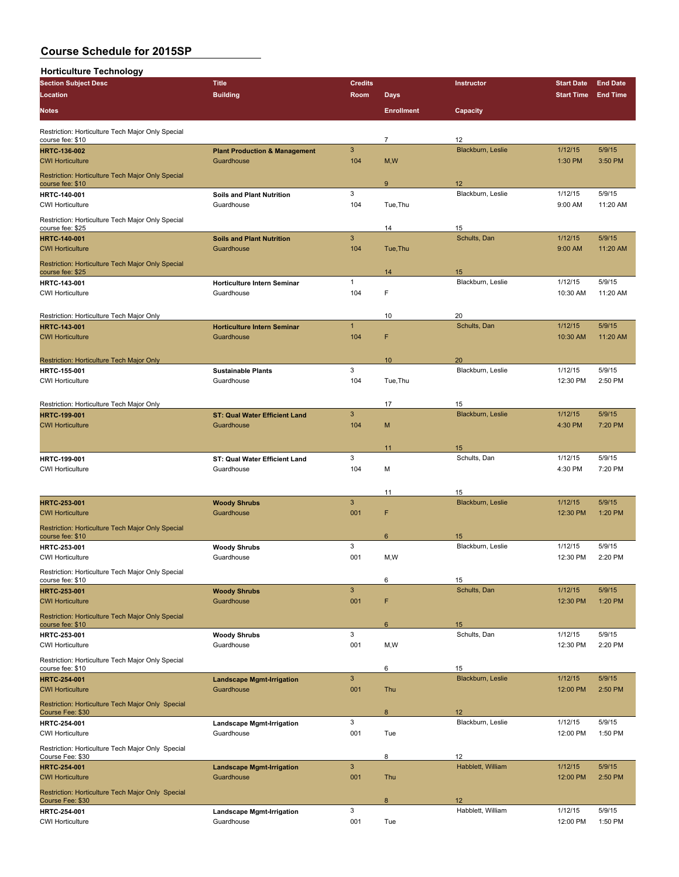| <b>Horticulture Technology</b>                                               |                                                        |                |                   |                         |                     |                    |
|------------------------------------------------------------------------------|--------------------------------------------------------|----------------|-------------------|-------------------------|---------------------|--------------------|
| <b>Section Subject Desc</b>                                                  | <b>Title</b>                                           | <b>Credits</b> |                   | Instructor              | <b>Start Date</b>   | <b>End Date</b>    |
| Location                                                                     | <b>Building</b>                                        | Room           | <b>Days</b>       |                         | <b>Start Time</b>   | <b>End Time</b>    |
| <b>Notes</b>                                                                 |                                                        |                | <b>Enrollment</b> | Capacity                |                     |                    |
| Restriction: Horticulture Tech Major Only Special                            |                                                        |                |                   |                         |                     |                    |
| course fee: \$10                                                             |                                                        | $\mathbf{3}$   | $\overline{7}$    | 12<br>Blackburn, Leslie | 1/12/15             | 5/9/15             |
| <b>HRTC-136-002</b><br><b>CWI Horticulture</b>                               | <b>Plant Production &amp; Management</b><br>Guardhouse | 104            | M, W              |                         | 1:30 PM             | 3:50 PM            |
| Restriction: Horticulture Tech Major Only Special<br>course fee: \$10        |                                                        |                | 9                 | 12                      |                     |                    |
| <b>HRTC 140-001</b><br><b>CWI Horticulture</b>                               | <b>Soils and Plant Nutrition</b><br>Guardhouse         | 3<br>104       | Tue, Thu          | Blackburn, Leslie       | 1/12/15<br>9:00 AM  | 5/9/15<br>11:20 AM |
| Restriction: Horticulture Tech Major Only Special<br>course fee: \$25        |                                                        |                | 14                | 15                      |                     |                    |
| <b>HRTC-140-001</b>                                                          | <b>Soils and Plant Nutrition</b>                       | $\mathbf{3}$   |                   | Schults, Dan            | 1/12/15             | 5/9/15             |
| <b>CWI Horticulture</b>                                                      | Guardhouse                                             | 104            | Tue, Thu          |                         | 9:00 AM             | 11:20 AM           |
| Restriction: Horticulture Tech Major Only Special<br>course fee: \$25        |                                                        |                | 14                | 15                      |                     |                    |
| <b>HRTC-143-001</b>                                                          | <b>Horticulture Intern Seminar</b>                     | 1              |                   | Blackburn, Leslie       | 1/12/15             | 5/9/15             |
| <b>CWI Horticulture</b>                                                      | Guardhouse                                             | 104            | F                 |                         | 10:30 AM            | 11:20 AM           |
| Restriction: Horticulture Tech Major Only                                    |                                                        |                | 10                | 20                      |                     |                    |
| <b>HRTC-143-001</b>                                                          | <b>Horticulture Intern Seminar</b>                     | $\mathbf{1}$   |                   | Schults, Dan            | 1/12/15             | 5/9/15             |
| <b>CWI Horticulture</b>                                                      | Guardhouse                                             | 104            | F                 |                         | 10:30 AM            | 11:20 AM           |
| Restriction: Horticulture Tech Major Only                                    |                                                        |                | 10                | 20                      |                     |                    |
| <b>HRTC 155-001</b>                                                          | <b>Sustainable Plants</b>                              | 3              |                   | Blackburn, Leslie       | 1/12/15             | 5/9/15             |
| <b>CWI Horticulture</b>                                                      | Guardhouse                                             | 104            | Tue, Thu          |                         | 12:30 PM            | 2:50 PM            |
| Restriction: Horticulture Tech Major Only                                    |                                                        |                | 17                | 15                      |                     |                    |
| <b>HRTC-199-001</b>                                                          | <b>ST: Qual Water Efficient Land</b>                   | 3              |                   | Blackburn, Leslie       | 1/12/15             | 5/9/15             |
| <b>CWI Horticulture</b>                                                      | Guardhouse                                             | 104            | M                 |                         | 4:30 PM             | 7:20 PM            |
|                                                                              |                                                        |                | 11                | 15                      |                     |                    |
| <b>HRTC 199-001</b>                                                          | ST: Qual Water Efficient Land                          | 3              |                   | Schults, Dan            | 1/12/15             | 5/9/15             |
| <b>CWI Horticulture</b>                                                      | Guardhouse                                             | 104            | м                 |                         | 4:30 PM             | 7:20 PM            |
|                                                                              |                                                        |                | 11                | 15                      |                     |                    |
| <b>HRTC 253-001</b><br><b>CWI Horticulture</b>                               | <b>Woody Shrubs</b><br>Guardhouse                      | 3<br>001       | F                 | Blackburn, Leslie       | 1/12/15<br>12:30 PM | 5/9/15<br>1:20 PM  |
| Restriction: Horticulture Tech Major Only Special                            |                                                        |                |                   |                         |                     |                    |
| course fee: \$10                                                             |                                                        |                | $6\phantom{1}6$   | 15                      |                     |                    |
| HRTC 253-001<br><b>CWI Horticulture</b>                                      | <b>Woody Shrubs</b><br>Guardhouse                      | 3<br>001       | M, W              | Blackburn, Leslie       | 1/12/15<br>12:30 PM | 5/9/15<br>2:20 PM  |
| Restriction: Horticulture Tech Major Only Special                            |                                                        |                |                   |                         |                     |                    |
| course fee: \$10                                                             |                                                        |                | 6                 | 15                      |                     |                    |
| <b>HRTC-253-001</b>                                                          | <b>Woody Shrubs</b>                                    | $\mathbf{3}$   |                   | Schults, Dan            | 1/12/15             | 5/9/15             |
| <b>CWI Horticulture</b><br>Restriction: Horticulture Tech Major Only Special | Guardhouse                                             | 001            | F                 |                         | 12:30 PM            | 1:20 PM            |
| course fee: \$10                                                             |                                                        |                | 6                 | 15                      |                     |                    |
| <b>HRTC 253-001</b><br><b>CWI Horticulture</b>                               | <b>Woody Shrubs</b><br>Guardhouse                      | 3<br>001       | M,W               | Schults, Dan            | 1/12/15<br>12:30 PM | 5/9/15<br>2:20 PM  |
| Restriction: Horticulture Tech Major Only Special<br>course fee: \$10        |                                                        |                | 6                 | 15                      |                     |                    |
| <b>HRTC-254-001</b>                                                          | <b>Landscape Mgmt-Irrigation</b>                       | $\mathbf{3}$   |                   | Blackburn, Leslie       | 1/12/15             | 5/9/15             |
| <b>CWI Horticulture</b>                                                      | Guardhouse                                             | 001            | Thu               |                         | 12:00 PM            | 2:50 PM            |
| Restriction: Horticulture Tech Major Only Special<br>Course Fee: \$30        |                                                        |                | 8                 | 12                      |                     |                    |
| <b>HRTC-254-001</b><br><b>CWI Horticulture</b>                               | <b>Landscape Mgmt-Irrigation</b><br>Guardhouse         | 3<br>001       | Tue               | Blackburn, Leslie       | 1/12/15<br>12:00 PM | 5/9/15<br>1:50 PM  |
| Restriction: Horticulture Tech Major Only Special                            |                                                        |                |                   |                         |                     |                    |
| Course Fee: \$30                                                             |                                                        | $\mathbf{3}$   | 8                 | 12<br>Habblett, William |                     | 5/9/15             |
| <b>HRTC-254-001</b><br><b>CWI Horticulture</b>                               | <b>Landscape Mgmt-Irrigation</b><br>Guardhouse         | 001            | Thu               |                         | 1/12/15<br>12:00 PM | 2:50 PM            |
| Restriction: Horticulture Tech Major Only Special<br>Course Fee: \$30        |                                                        |                | 8                 | 12                      |                     |                    |
| <b>HRTC-254-001</b>                                                          | <b>Landscape Mgmt-Irrigation</b>                       | 3              |                   | Habblett, William       | 1/12/15             | 5/9/15             |
| <b>CWI Horticulture</b>                                                      | Guardhouse                                             | 001            | Tue               |                         | 12:00 PM            | 1:50 PM            |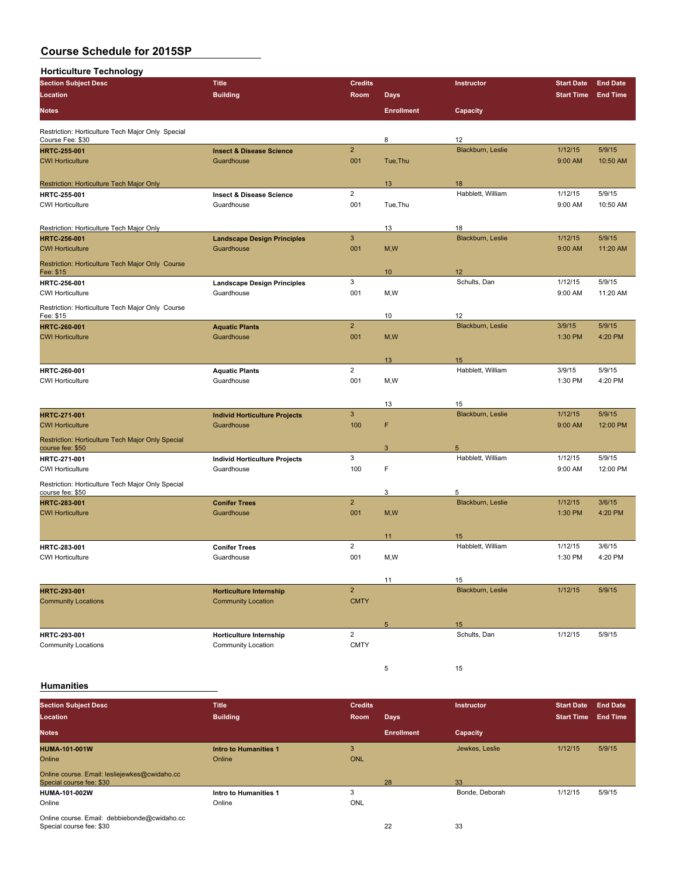| <b>Horticulture Technology</b>                                        |                                      |                |                   |                   |                   |                 |
|-----------------------------------------------------------------------|--------------------------------------|----------------|-------------------|-------------------|-------------------|-----------------|
| <b>Section Subject Desc</b>                                           | <b>Title</b>                         | <b>Credits</b> |                   | Instructor        | <b>Start Date</b> | <b>End Date</b> |
| Location                                                              | <b>Building</b>                      | Room           | <b>Days</b>       |                   | <b>Start Time</b> | <b>End Time</b> |
| <b>Notes</b>                                                          |                                      |                | <b>Enrollment</b> | Capacity          |                   |                 |
| Restriction: Horticulture Tech Major Only Special                     |                                      |                |                   |                   |                   |                 |
| Course Fee: \$30                                                      |                                      |                | 8                 | 12                |                   |                 |
| <b>HRTC 255-001</b>                                                   | <b>Insect &amp; Disease Science</b>  | $\overline{2}$ |                   | Blackburn, Leslie | 1/12/15           | 5/9/15          |
| <b>CWI Horticulture</b>                                               | Guardhouse                           | 001            | Tue, Thu          |                   | 9:00 AM           | 10:50 AM        |
| Restriction: Horticulture Tech Major Only                             |                                      |                | 13                | 18                |                   |                 |
| <b>HRTC 255-001</b>                                                   | <b>Insect &amp; Disease Science</b>  | $\overline{2}$ |                   | Habblett, William | 1/12/15           | 5/9/15          |
| <b>CWI Horticulture</b>                                               | Guardhouse                           | 001            | Tue.Thu           |                   | 9:00 AM           | 10:50 AM        |
| Restriction: Horticulture Tech Major Only                             |                                      |                | 13                | 18                |                   |                 |
| <b>HRTC 256-001</b>                                                   | <b>Landscape Design Principles</b>   | $\mathbf{3}$   |                   | Blackburn, Leslie | 1/12/15           | 5/9/15          |
| <b>CWI Horticulture</b>                                               | Guardhouse                           | 001            | M, W              |                   | 9:00 AM           | 11:20 AM        |
| Restriction: Horticulture Tech Major Only Course                      |                                      |                |                   |                   |                   |                 |
| Fee: \$15                                                             |                                      |                | 10 <sup>°</sup>   | 12                |                   |                 |
| HRTC-256-001                                                          | <b>Landscape Design Principles</b>   | 3              |                   | Schults, Dan      | 1/12/15           | 5/9/15          |
| <b>CWI Horticulture</b>                                               | Guardhouse                           | 001            | M, W              |                   | 9:00 AM           | 11:20 AM        |
| Restriction: Horticulture Tech Major Only Course<br>Fee: \$15         |                                      |                | 10                | 12                |                   |                 |
| <b>HRTC-260-001</b>                                                   | <b>Aquatic Plants</b>                | $\overline{2}$ |                   | Blackburn, Leslie | 3/9/15            | 5/9/15          |
| <b>CWI Horticulture</b>                                               | Guardhouse                           | 001            | M, W              |                   | 1:30 PM           | 4:20 PM         |
|                                                                       |                                      |                | 13                | 15                |                   |                 |
| HRTC-260-001                                                          | <b>Aquatic Plants</b>                | $\overline{2}$ |                   | Habblett, William | 3/9/15            | 5/9/15          |
| <b>CWI Horticulture</b>                                               | Guardhouse                           | 001            | M,W               |                   | 1:30 PM           | 4:20 PM         |
|                                                                       |                                      |                |                   |                   |                   |                 |
|                                                                       |                                      |                | 13                | 15                |                   |                 |
| <b>HRTC-271-001</b>                                                   | <b>Individ Horticulture Projects</b> | 3              |                   | Blackburn, Leslie | 1/12/15           | 5/9/15          |
| <b>CWI Horticulture</b>                                               | Guardhouse                           | 100            | F                 |                   | 9:00 AM           | 12:00 PM        |
| Restriction: Horticulture Tech Major Only Special<br>course fee: \$50 |                                      |                | 3                 | 5                 |                   |                 |
| HRTC-271-001                                                          | <b>Individ Horticulture Projects</b> | 3              |                   | Habblett, William | 1/12/15           | 5/9/15          |
| <b>CWI Horticulture</b>                                               | Guardhouse                           | 100            | F                 |                   | 9:00 AM           | 12:00 PM        |
|                                                                       |                                      |                |                   |                   |                   |                 |
| Restriction: Horticulture Tech Major Only Special<br>course fee: \$50 |                                      |                | 3                 | 5                 |                   |                 |
| <b>HRTC-283-001</b>                                                   | <b>Conifer Trees</b>                 | $\overline{2}$ |                   | Blackburn, Leslie | 1/12/15           | 3/6/15          |
| <b>CWI Horticulture</b>                                               | Guardhouse                           | 001            | M, W              |                   | 1:30 PM           | 4:20 PM         |
|                                                                       |                                      |                | 11                | 15                |                   |                 |
| HRTC 283-001                                                          | <b>Conifer Trees</b>                 | $\overline{2}$ |                   | Habblett, William | 1/12/15           | 3/6/15          |
| <b>CWI Horticulture</b>                                               | Guardhouse                           | 001            | M,W               |                   | 1:30 PM           | 4:20 PM         |
|                                                                       |                                      |                |                   |                   |                   |                 |
|                                                                       |                                      |                | 11                | 15                |                   |                 |
| <b>HRTC-293-001</b>                                                   | <b>Horticulture Internship</b>       | $\overline{2}$ |                   | Blackburn, Leslie | 1/12/15           | 5/9/15          |
| <b>Community Locations</b>                                            | <b>Community Location</b>            | <b>CMTY</b>    |                   |                   |                   |                 |
|                                                                       |                                      |                | 5                 | 15                |                   |                 |
| HRTC-293-001                                                          | Horticulture Internship              | $\overline{2}$ |                   | Schults, Dan      | 1/12/15           | 5/9/15          |
| <b>Community Locations</b>                                            | <b>Community Location</b>            | <b>CMTY</b>    |                   |                   |                   |                 |

#### **Humanities**

| <b>Section Subject Desc</b>                                               | <b>Title</b>                 | <b>Credits</b> |                   | <b>Instructor</b> | <b>Start Date</b> | <b>End Date</b> |
|---------------------------------------------------------------------------|------------------------------|----------------|-------------------|-------------------|-------------------|-----------------|
| Location                                                                  | <b>Building</b>              | Room           | <b>Days</b>       |                   | Start Time        | <b>End Time</b> |
| <b>Notes</b>                                                              |                              |                | <b>Enrollment</b> | Capacity          |                   |                 |
| <b>HUMA-101-001W</b>                                                      | <b>Intro to Humanities 1</b> | 3              |                   | Jewkes, Leslie    | 1/12/15           | 5/9/15          |
| Online                                                                    | Online                       | <b>ONL</b>     |                   |                   |                   |                 |
| Online course. Email: lesliejewkes@cwidaho.cc<br>Special course fee: \$30 |                              |                | 28                | 33                |                   |                 |
| <b>HUMA-101-002W</b>                                                      | Intro to Humanities 1        | 3              |                   | Bonde, Deborah    | 1/12/15           | 5/9/15          |
| Online                                                                    | Online                       | <b>ONL</b>     |                   |                   |                   |                 |
| Online course. Email: debbiebonde@cwidaho.cc<br>Special course fee: \$30  |                              |                | 22                | 33                |                   |                 |

5 15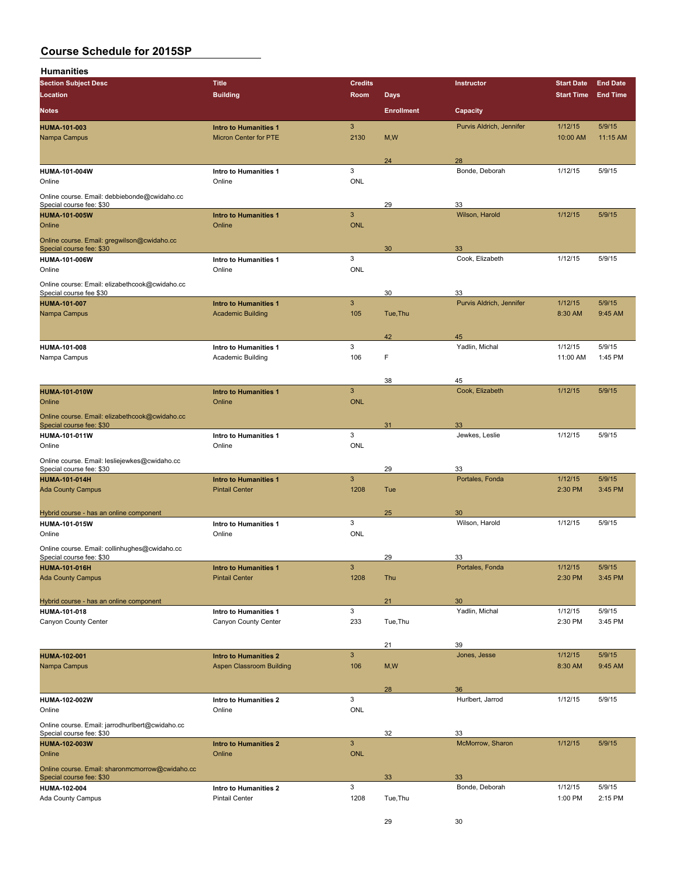**Humanities**

| 11 <b>unianiu</b> ca                            |                                        |                           |                   |                          |                   |                 |
|-------------------------------------------------|----------------------------------------|---------------------------|-------------------|--------------------------|-------------------|-----------------|
| <b>Section Subject Desc</b>                     | <b>Title</b>                           | <b>Credits</b>            |                   | Instructor               | <b>Start Date</b> | <b>End Date</b> |
| Location                                        | <b>Building</b>                        | Room                      | <b>Days</b>       |                          | <b>Start Time</b> | <b>End Time</b> |
| <b>Notes</b>                                    |                                        |                           | <b>Enrollment</b> | Capacity                 |                   |                 |
| <b>HUMA-101-003</b>                             | <b>Intro to Humanities 1</b>           | 3                         |                   | Purvis Aldrich, Jennifer | 1/12/15           | 5/9/15          |
| Nampa Campus                                    | <b>Micron Center for PTE</b>           | 2130                      | M, W              |                          | 10:00 AM          | 11:15 AM        |
|                                                 |                                        |                           |                   |                          |                   |                 |
|                                                 |                                        |                           | 24                | 28                       |                   |                 |
| <b>HUMA-101-004W</b>                            | Intro to Humanities 1                  | $\ensuremath{\mathsf{3}}$ |                   | Bonde, Deborah           | 1/12/15           | 5/9/15          |
| Online                                          | Online                                 | <b>ONL</b>                |                   |                          |                   |                 |
|                                                 |                                        |                           |                   |                          |                   |                 |
| Online course. Email: debbiebonde@cwidaho.cc    |                                        |                           |                   |                          |                   |                 |
| Special course fee: \$30                        |                                        | $\mathbf{3}$              | 29                | 33<br>Wilson, Harold     | 1/12/15           | 5/9/15          |
| <b>HUMA-101-005W</b>                            | <b>Intro to Humanities 1</b><br>Online |                           |                   |                          |                   |                 |
| Online                                          |                                        | <b>ONL</b>                |                   |                          |                   |                 |
| Online course. Email: gregwilson@cwidaho.cc     |                                        |                           |                   |                          |                   |                 |
| Special course fee: \$30                        |                                        |                           | 30                | 33                       |                   |                 |
| <b>HUMA-101-006W</b>                            | Intro to Humanities 1                  | $\ensuremath{\mathsf{3}}$ |                   | Cook, Elizabeth          | 1/12/15           | 5/9/15          |
| Online                                          | Online                                 | <b>ONL</b>                |                   |                          |                   |                 |
| Online course: Email: elizabethcook@cwidaho.cc  |                                        |                           |                   |                          |                   |                 |
| Special course fee \$30                         |                                        |                           | 30                | 33                       |                   |                 |
| <b>HUMA-101-007</b>                             | <b>Intro to Humanities 1</b>           | $\mathbf{3}$              |                   | Purvis Aldrich, Jennifer | 1/12/15           | 5/9/15          |
| Nampa Campus                                    | <b>Academic Building</b>               | 105                       | Tue, Thu          |                          | 8:30 AM           | 9:45 AM         |
|                                                 |                                        |                           |                   |                          |                   |                 |
|                                                 |                                        |                           | 42                | 45                       |                   |                 |
| HUMA-101-008                                    | Intro to Humanities 1                  | 3                         |                   | Yadlin, Michal           | 1/12/15           | 5/9/15          |
| Nampa Campus                                    | <b>Academic Building</b>               | 106                       | F                 |                          | 11:00 AM          | 1:45 PM         |
|                                                 |                                        |                           |                   |                          |                   |                 |
|                                                 |                                        |                           | 38                | 45                       |                   |                 |
| <b>HUMA-101-010W</b>                            | <b>Intro to Humanities 1</b>           | $\mathbf{3}$              |                   | Cook, Elizabeth          | 1/12/15           | 5/9/15          |
| Online                                          | Online                                 | <b>ONL</b>                |                   |                          |                   |                 |
|                                                 |                                        |                           |                   |                          |                   |                 |
| Online course. Email: elizabethcook@cwidaho.cc  |                                        |                           |                   |                          |                   |                 |
| Special course fee: \$30                        |                                        | $\ensuremath{\mathsf{3}}$ | 31                | 33<br>Jewkes, Leslie     | 1/12/15           | 5/9/15          |
| <b>HUMA-101-011W</b><br>Online                  | Intro to Humanities 1<br>Online        | <b>ONL</b>                |                   |                          |                   |                 |
|                                                 |                                        |                           |                   |                          |                   |                 |
| Online course. Email: lesliejewkes@cwidaho.cc   |                                        |                           |                   |                          |                   |                 |
| Special course fee: \$30                        |                                        |                           | 29                | 33                       |                   |                 |
| <b>HUMA-101-014H</b>                            | <b>Intro to Humanities 1</b>           | $\mathbf{3}$              |                   | Portales, Fonda          | 1/12/15           | 5/9/15          |
| <b>Ada County Campus</b>                        | <b>Pintail Center</b>                  | 1208                      | Tue               |                          | 2:30 PM           | 3:45 PM         |
|                                                 |                                        |                           |                   |                          |                   |                 |
| Hybrid course - has an online component         |                                        |                           | 25                | 30                       |                   |                 |
| <b>HUMA-101-015W</b>                            | Intro to Humanities 1                  | $\ensuremath{\mathsf{3}}$ |                   | Wilson, Harold           | 1/12/15           | 5/9/15          |
| Online                                          | Online                                 | ONL                       |                   |                          |                   |                 |
| Online course. Email: collinhughes@cwidaho.cc   |                                        |                           |                   |                          |                   |                 |
| Special course fee: \$30                        |                                        |                           | 29                | 33                       |                   |                 |
| <b>HUMA-101-016H</b>                            | <b>Intro to Humanities 1</b>           | 3                         |                   | Portales, Fonda          | 1/12/15           | 5/9/15          |
| <b>Ada County Campus</b>                        | <b>Pintail Center</b>                  | 1208                      | Thu               |                          | 2:30 PM           | 3:45 PM         |
|                                                 |                                        |                           |                   |                          |                   |                 |
| Hybrid course - has an online component         |                                        |                           | 21                | 30                       |                   |                 |
| <b>HUMA-101-018</b>                             | Intro to Humanities 1                  | 3                         |                   | Yadlin, Michal           | 1/12/15           | 5/9/15          |
| Canyon County Center                            | Canyon County Center                   | 233                       | Tue, Thu          |                          | 2:30 PM           | 3:45 PM         |
|                                                 |                                        |                           |                   |                          |                   |                 |
|                                                 |                                        |                           | 21                | 39                       |                   |                 |
|                                                 | <b>Intro to Humanities 2</b>           | $\mathbf{3}$              |                   | Jones, Jesse             | 1/12/15           | 5/9/15          |
| <b>HUMA-102-001</b><br>Nampa Campus             | <b>Aspen Classroom Building</b>        | 106                       | M, W              |                          | 8:30 AM           | 9:45 AM         |
|                                                 |                                        |                           |                   |                          |                   |                 |
|                                                 |                                        |                           |                   |                          |                   |                 |
|                                                 |                                        |                           | 28                | 36                       |                   |                 |
| HUMA-102-002W                                   | Intro to Humanities 2                  | 3                         |                   | Hurlbert, Jarrod         | 1/12/15           | 5/9/15          |
| Online                                          | Online                                 | ONL                       |                   |                          |                   |                 |
| Online course. Email: jarrodhurlbert@cwidaho.cc |                                        |                           |                   |                          |                   |                 |
| Special course fee: \$30                        |                                        |                           | 32                | 33                       |                   |                 |
| <b>HUMA-102-003W</b>                            | <b>Intro to Humanities 2</b>           | $\mathbf{3}$              |                   | McMorrow, Sharon         | 1/12/15           | 5/9/15          |
| Online                                          | Online                                 | <b>ONL</b>                |                   |                          |                   |                 |
| Online course. Email: sharonmcmorrow@cwidaho.cc |                                        |                           |                   |                          |                   |                 |
| Special course fee: \$30                        |                                        |                           | 33                | 33                       |                   |                 |
| <b>HUMA-102-004</b>                             | Intro to Humanities 2                  | 3                         |                   | Bonde, Deborah           | 1/12/15           | 5/9/15          |
| <b>Ada County Campus</b>                        | <b>Pintail Center</b>                  | 1208                      | Tue, Thu          |                          | 1:00 PM           | 2:15 PM         |
|                                                 |                                        |                           |                   |                          |                   |                 |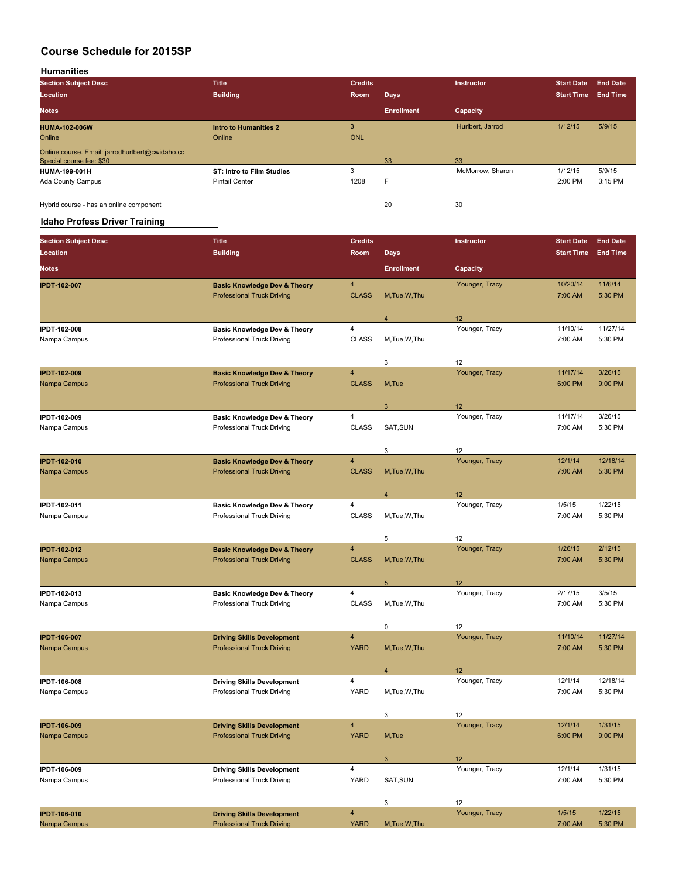**Humanities**

| <b>Section Subject Desc</b>                     | <b>Title</b>                     | <b>Credits</b> |                   | <b>Instructor</b> | <b>Start Date</b> | <b>End Date</b> |
|-------------------------------------------------|----------------------------------|----------------|-------------------|-------------------|-------------------|-----------------|
| Location                                        | <b>Building</b>                  | Room           | <b>Days</b>       |                   | <b>Start Time</b> | End Time        |
| <b>Notes</b>                                    |                                  |                | <b>Enrollment</b> | Capacity          |                   |                 |
| <b>HUMA-102-006W</b>                            | <b>Intro to Humanities 2</b>     | 3              |                   | Hurlbert, Jarrod  | 1/12/15           | 5/9/15          |
| Online                                          | Online                           | <b>ONL</b>     |                   |                   |                   |                 |
| Online course. Email: jarrodhurlbert@cwidaho.cc |                                  |                |                   |                   |                   |                 |
| Special course fee: \$30                        |                                  |                | 33                | 33                |                   |                 |
| <b>HUMA-199-001H</b>                            | <b>ST: Intro to Film Studies</b> | 3              |                   | McMorrow, Sharon  | 1/12/15           | 5/9/15          |
| Ada County Campus                               | <b>Pintail Center</b>            | 1208           | F                 |                   | 2:00 PM           | 3:15 PM         |
| Hybrid course - has an online component         |                                  |                | 20                | 30                |                   |                 |

### **Idaho Profess Driver Training**

| <b>Section Subject Desc</b> | <b>Title</b>                            | <b>Credits</b>          |                   | Instructor     | <b>Start Date</b> | <b>End Date</b> |
|-----------------------------|-----------------------------------------|-------------------------|-------------------|----------------|-------------------|-----------------|
| Location                    | <b>Building</b>                         | Room                    | <b>Days</b>       |                | <b>Start Time</b> | <b>End Time</b> |
| <b>Notes</b>                |                                         |                         | <b>Enrollment</b> | Capacity       |                   |                 |
| <b>IPDT-102-007</b>         | <b>Basic Knowledge Dev &amp; Theory</b> | 4                       |                   | Younger, Tracy | 10/20/14          | 11/6/14         |
|                             | <b>Professional Truck Driving</b>       | <b>CLASS</b>            | M, Tue, W, Thu    |                | 7:00 AM           | 5:30 PM         |
|                             |                                         |                         | $\overline{4}$    | 12             |                   |                 |
| IPDT-102-008                | Basic Knowledge Dev & Theory            | 4                       |                   | Younger, Tracy | 11/10/14          | 11/27/14        |
| Nampa Campus                | Professional Truck Driving              | <b>CLASS</b>            | M,Tue,W,Thu       |                | 7:00 AM           | 5:30 PM         |
|                             |                                         |                         | 3                 | 12             |                   |                 |
| <b>IPDT-102-009</b>         | <b>Basic Knowledge Dev &amp; Theory</b> | 4                       |                   | Younger, Tracy | 11/17/14          | 3/26/15         |
| Nampa Campus                | <b>Professional Truck Driving</b>       | <b>CLASS</b>            | M, Tue            |                | 6:00 PM           | 9:00 PM         |
|                             |                                         |                         | 3                 | 12             |                   |                 |
| IPDT-102-009                | Basic Knowledge Dev & Theory            | 4                       |                   | Younger, Tracy | 11/17/14          | 3/26/15         |
| Nampa Campus                | Professional Truck Driving              | <b>CLASS</b>            | SAT, SUN          |                | 7:00 AM           | 5:30 PM         |
|                             |                                         |                         | 3                 | 12             |                   |                 |
| <b>IPDT-102-010</b>         | <b>Basic Knowledge Dev &amp; Theory</b> | 4                       |                   | Younger, Tracy | 12/1/14           | 12/18/14        |
| Nampa Campus                | <b>Professional Truck Driving</b>       | <b>CLASS</b>            | M, Tue, W, Thu    |                | 7:00 AM           | 5:30 PM         |
|                             |                                         |                         | $\overline{4}$    | 12             |                   |                 |
| IPDT-102-011                | <b>Basic Knowledge Dev &amp; Theory</b> | 4                       |                   | Younger, Tracy | 1/5/15            | 1/22/15         |
| Nampa Campus                | Professional Truck Driving              | <b>CLASS</b>            | M,Tue,W,Thu       |                | 7:00 AM           | 5:30 PM         |
|                             |                                         |                         | 5                 | 12             |                   |                 |
| <b>IPDT-102-012</b>         | <b>Basic Knowledge Dev &amp; Theory</b> | 4                       |                   | Younger, Tracy | 1/26/15           | 2/12/15         |
| Nampa Campus                | <b>Professional Truck Driving</b>       | <b>CLASS</b>            | M, Tue, W, Thu    |                | 7:00 AM           | 5:30 PM         |
|                             |                                         |                         | $5\phantom{.0}$   | 12             |                   |                 |
| IPDT-102-013                | <b>Basic Knowledge Dev &amp; Theory</b> | 4                       |                   | Younger, Tracy | 2/17/15           | 3/5/15          |
| Nampa Campus                | Professional Truck Driving              | <b>CLASS</b>            | M,Tue,W,Thu       |                | 7:00 AM           | 5:30 PM         |
|                             |                                         |                         | 0                 | 12             |                   |                 |
| <b>IPDT-106-007</b>         | <b>Driving Skills Development</b>       | $\overline{4}$          |                   | Younger, Tracy | 11/10/14          | 11/27/14        |
| Nampa Campus                | <b>Professional Truck Driving</b>       | <b>YARD</b>             | M, Tue, W, Thu    |                | 7:00 AM           | 5:30 PM         |
|                             |                                         |                         | $\overline{4}$    | 12             |                   |                 |
| IPDT-106-008                | <b>Driving Skills Development</b>       | 4                       |                   | Younger, Tracy | 12/1/14           | 12/18/14        |
| Nampa Campus                | Professional Truck Driving              | YARD                    | M, Tue, W, Thu    |                | 7:00 AM           | 5:30 PM         |
|                             |                                         |                         | 3                 | 12             |                   |                 |
| <b>IPDT-106-009</b>         | <b>Driving Skills Development</b>       | $\overline{4}$          |                   | Younger, Tracy | 12/1/14           | 1/31/15         |
| Nampa Campus                | <b>Professional Truck Driving</b>       | <b>YARD</b>             | M, Tue            |                | 6:00 PM           | 9:00 PM         |
|                             |                                         |                         | $\sqrt{3}$        | 12             |                   |                 |
| IPDT-106-009                | <b>Driving Skills Development</b>       | 4                       |                   | Younger, Tracy | 12/1/14           | 1/31/15         |
| Nampa Campus                | Professional Truck Driving              | YARD                    | SAT, SUN          |                | 7:00 AM           | 5:30 PM         |
|                             |                                         |                         | 3                 | 12             |                   |                 |
| <b>IPDT-106-010</b>         | <b>Driving Skills Development</b>       | $\overline{\mathbf{4}}$ |                   | Younger, Tracy | 1/5/15            | 1/22/15         |
| Nampa Campus                | <b>Professional Truck Driving</b>       | <b>YARD</b>             | M, Tue, W, Thu    |                | 7:00 AM           | 5:30 PM         |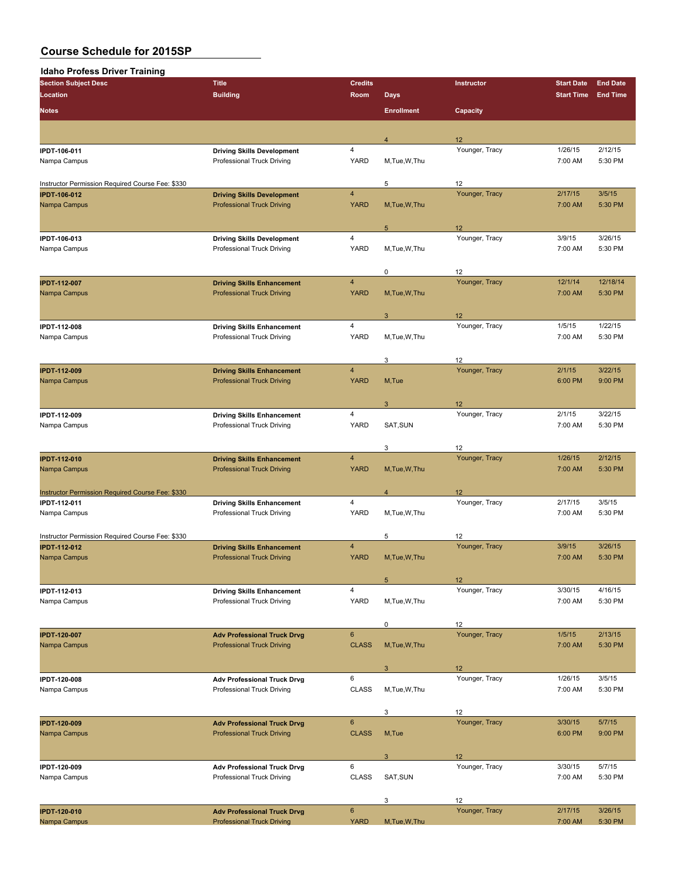| <b>Idaho Profess Driver Training</b>             |                                                                         |                         |                   |                      |                   |                 |
|--------------------------------------------------|-------------------------------------------------------------------------|-------------------------|-------------------|----------------------|-------------------|-----------------|
| <b>Section Subject Desc</b>                      | <b>Title</b>                                                            | <b>Credits</b>          |                   | Instructor           | <b>Start Date</b> | <b>End Date</b> |
| Location                                         | <b>Building</b>                                                         | Room                    | <b>Days</b>       |                      | <b>Start Time</b> | <b>End Time</b> |
|                                                  |                                                                         |                         |                   |                      |                   |                 |
| Notes                                            |                                                                         |                         | <b>Enrollment</b> | Capacity             |                   |                 |
|                                                  |                                                                         |                         |                   |                      |                   |                 |
|                                                  |                                                                         |                         | $\overline{4}$    | 12                   |                   |                 |
| IPDT-106-011                                     | <b>Driving Skills Development</b>                                       | 4                       |                   | Younger, Tracy       | 1/26/15           | 2/12/15         |
| Nampa Campus                                     | Professional Truck Driving                                              | YARD                    | M, Tue, W, Thu    |                      | 7:00 AM           | 5:30 PM         |
|                                                  |                                                                         |                         |                   |                      |                   |                 |
| Instructor Permission Required Course Fee: \$330 |                                                                         |                         | 5                 | 12                   |                   |                 |
| <b>IPDT-106-012</b>                              | <b>Driving Skills Development</b>                                       | $\overline{\mathbf{4}}$ |                   | Younger, Tracy       | 2/17/15           | 3/5/15          |
| Nampa Campus                                     | <b>Professional Truck Driving</b>                                       | <b>YARD</b>             | M, Tue, W, Thu    |                      | 7:00 AM           | 5:30 PM         |
|                                                  |                                                                         |                         |                   |                      |                   |                 |
|                                                  |                                                                         |                         | 5                 | 12                   |                   |                 |
| IPDT-106-013                                     | <b>Driving Skills Development</b>                                       | $\overline{4}$          |                   | Younger, Tracy       | 3/9/15            | 3/26/15         |
| Nampa Campus                                     | Professional Truck Driving                                              | YARD                    | M, Tue, W, Thu    |                      | 7:00 AM           | 5:30 PM         |
|                                                  |                                                                         |                         |                   |                      |                   |                 |
|                                                  |                                                                         |                         | 0                 | 12                   |                   |                 |
| <b>IPDT-112-007</b>                              | <b>Driving Skills Enhancement</b>                                       | $\overline{\mathbf{4}}$ |                   | Younger, Tracy       | 12/1/14           | 12/18/14        |
| Nampa Campus                                     | <b>Professional Truck Driving</b>                                       | <b>YARD</b>             | M, Tue, W, Thu    |                      | 7:00 AM           | 5:30 PM         |
|                                                  |                                                                         |                         |                   |                      |                   |                 |
|                                                  |                                                                         |                         | 3                 | 12                   |                   |                 |
| IPDT-112-008                                     | <b>Driving Skills Enhancement</b>                                       | $\overline{4}$          |                   | Younger, Tracy       | 1/5/15            | 1/22/15         |
| Nampa Campus                                     | Professional Truck Driving                                              | YARD                    | M, Tue, W, Thu    |                      | 7:00 AM           | 5:30 PM         |
|                                                  |                                                                         |                         |                   |                      |                   |                 |
|                                                  |                                                                         |                         | 3                 | 12                   |                   |                 |
| <b>IPDT-112-009</b>                              | <b>Driving Skills Enhancement</b>                                       | $\overline{\mathbf{4}}$ |                   | Younger, Tracy       | 2/1/15            | 3/22/15         |
| Nampa Campus                                     | <b>Professional Truck Driving</b>                                       | <b>YARD</b>             | M,Tue             |                      | 6:00 PM           | 9:00 PM         |
|                                                  |                                                                         |                         |                   |                      |                   |                 |
|                                                  |                                                                         | 4                       | 3                 | 12<br>Younger, Tracy | 2/1/15            | 3/22/15         |
| IPDT-112-009<br>Nampa Campus                     | <b>Driving Skills Enhancement</b><br>Professional Truck Driving         | YARD                    | SAT, SUN          |                      | 7:00 AM           | 5:30 PM         |
|                                                  |                                                                         |                         |                   |                      |                   |                 |
|                                                  |                                                                         |                         | 3                 | 12                   |                   |                 |
| <b>IPDT-112-010</b>                              | <b>Driving Skills Enhancement</b>                                       | $\overline{\mathbf{4}}$ |                   | Younger, Tracy       | 1/26/15           | 2/12/15         |
| Nampa Campus                                     | <b>Professional Truck Driving</b>                                       | <b>YARD</b>             | M, Tue, W, Thu    |                      | 7:00 AM           | 5:30 PM         |
|                                                  |                                                                         |                         |                   |                      |                   |                 |
| Instructor Permission Required Course Fee: \$330 |                                                                         |                         | $\overline{4}$    | 12                   |                   |                 |
| IPDT-112-011                                     | <b>Driving Skills Enhancement</b>                                       | 4                       |                   | Younger, Tracy       | 2/17/15           | 3/5/15          |
| Nampa Campus                                     | Professional Truck Driving                                              | YARD                    | M, Tue, W, Thu    |                      | 7:00 AM           | 5:30 PM         |
|                                                  |                                                                         |                         |                   |                      |                   |                 |
| Instructor Permission Required Course Fee: \$330 |                                                                         |                         | 5                 | 12                   |                   |                 |
| <b>IPDT-112-012</b>                              | <b>Driving Skills Enhancement</b>                                       | $\overline{\mathbf{4}}$ |                   | Younger, Tracy       | 3/9/15            | 3/26/15         |
| Nampa Campus                                     | <b>Professional Truck Driving</b>                                       | <b>YARD</b>             | M, Tue, W, Thu    |                      | 7:00 AM           | 5:30 PM         |
|                                                  |                                                                         |                         |                   |                      |                   |                 |
|                                                  |                                                                         |                         | $5\phantom{.0}$   | 12                   |                   |                 |
| IPDT-112-013                                     | <b>Driving Skills Enhancement</b>                                       | $\overline{4}$          |                   | Younger, Tracy       | 3/30/15           | 4/16/15         |
| Nampa Campus                                     | Professional Truck Driving                                              | YARD                    | M, Tue, W, Thu    |                      | 7:00 AM           | 5:30 PM         |
|                                                  |                                                                         |                         |                   |                      |                   |                 |
|                                                  |                                                                         |                         | 0                 | 12                   |                   |                 |
| <b>IPDT-120-007</b>                              | <b>Adv Professional Truck Drvg</b>                                      | $\bf 6$                 |                   | Younger, Tracy       | 1/5/15            | 2/13/15         |
| Nampa Campus                                     | <b>Professional Truck Driving</b>                                       | <b>CLASS</b>            | M, Tue, W, Thu    |                      | 7:00 AM           | 5:30 PM         |
|                                                  |                                                                         |                         |                   |                      |                   |                 |
|                                                  |                                                                         |                         | 3                 | 12                   |                   |                 |
| <b>IPDT 120-008</b>                              | <b>Adv Professional Truck Drvg</b>                                      | 6                       |                   | Younger, Tracy       | 1/26/15           | 3/5/15          |
| Nampa Campus                                     | Professional Truck Driving                                              | <b>CLASS</b>            | M.Tue.W.Thu       |                      | 7:00 AM           | 5:30 PM         |
|                                                  |                                                                         |                         |                   |                      |                   |                 |
|                                                  |                                                                         |                         | 3                 | 12                   |                   |                 |
| <b>IPDT-120-009</b>                              | <b>Adv Professional Truck Drvg</b>                                      | $6\phantom{1}$          |                   | Younger, Tracy       | 3/30/15           | 5/7/15          |
| Nampa Campus                                     | <b>Professional Truck Driving</b>                                       | <b>CLASS</b>            | M,Tue             |                      | 6:00 PM           | 9:00 PM         |
|                                                  |                                                                         |                         |                   |                      |                   |                 |
|                                                  |                                                                         |                         | 3                 | 12                   |                   |                 |
| IPDT-120-009                                     | <b>Adv Professional Truck Drvg</b>                                      | 6                       |                   | Younger, Tracy       | 3/30/15           | 5/7/15          |
| Nampa Campus                                     | Professional Truck Driving                                              | <b>CLASS</b>            | SAT, SUN          |                      | 7:00 AM           | 5:30 PM         |
|                                                  |                                                                         |                         |                   |                      |                   |                 |
|                                                  |                                                                         | $6\phantom{a}$          | 3                 | 12<br>Younger, Tracy | 2/17/15           | 3/26/15         |
| <b>IPDT-120-010</b><br>Nampa Campus              | <b>Adv Professional Truck Drvg</b><br><b>Professional Truck Driving</b> | <b>YARD</b>             | M, Tue, W, Thu    |                      | 7:00 AM           | 5:30 PM         |
|                                                  |                                                                         |                         |                   |                      |                   |                 |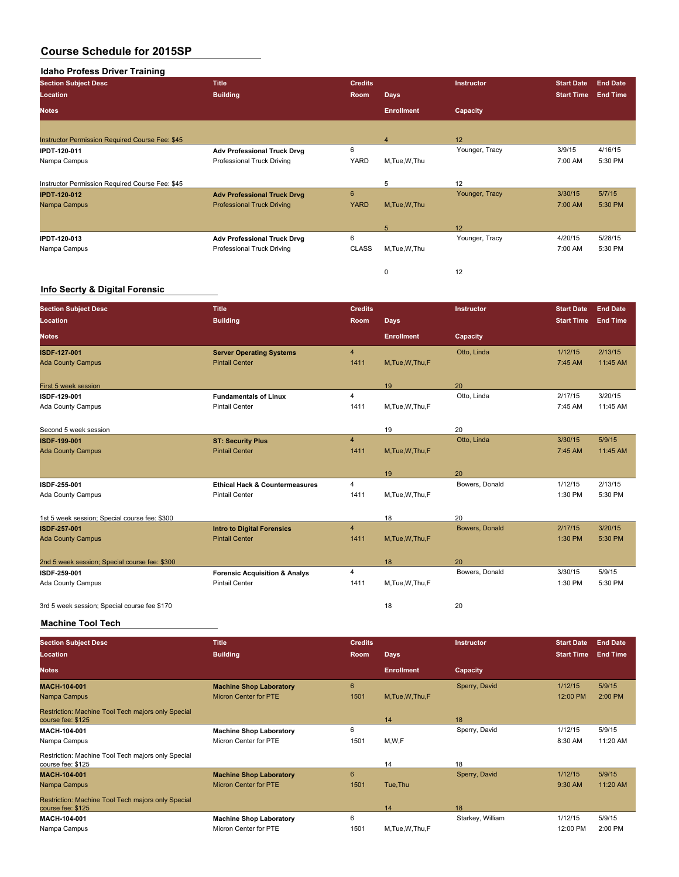#### **Idaho Profess Driver Training**

| <b>Section Subject Desc</b>                     | <b>Title</b>                       | <b>Credits</b> |                   | Instructor      | <b>Start Date</b> | <b>End Date</b> |
|-------------------------------------------------|------------------------------------|----------------|-------------------|-----------------|-------------------|-----------------|
| Location                                        | <b>Building</b>                    | Room           | <b>Days</b>       |                 | <b>Start Time</b> | <b>End Time</b> |
| <b>Notes</b>                                    |                                    |                | <b>Enrollment</b> | <b>Capacity</b> |                   |                 |
|                                                 |                                    |                |                   |                 |                   |                 |
| Instructor Permission Required Course Fee: \$45 |                                    |                | $\overline{4}$    | 12              |                   |                 |
| <b>IPDT 120-011</b>                             | <b>Adv Professional Truck Drvg</b> | 6              |                   | Younger, Tracy  | 3/9/15            | 4/16/15         |
| Nampa Campus                                    | Professional Truck Driving         | YARD           | M.Tue, W.Thu      |                 | 7:00 AM           | 5:30 PM         |
| Instructor Permission Required Course Fee: \$45 |                                    |                | 5                 | 12              |                   |                 |
| <b>IPDT-120-012</b>                             | <b>Adv Professional Truck Drvg</b> | 6              |                   | Younger, Tracy  | 3/30/15           | 5/7/15          |
| Nampa Campus                                    | <b>Professional Truck Driving</b>  | <b>YARD</b>    | M.Tue.W.Thu       |                 | 7:00 AM           | 5:30 PM         |
|                                                 |                                    |                | 5                 | 12              |                   |                 |
| <b>IPDT-120-013</b>                             | <b>Adv Professional Truck Drvg</b> | 6              |                   | Younger, Tracy  | 4/20/15           | 5/28/15         |
| Nampa Campus                                    | Professional Truck Driving         | <b>CLASS</b>   | M.Tue, W.Thu      |                 | 7:00 AM           | 5:30 PM         |
|                                                 |                                    |                | $\Omega$          | 12              |                   |                 |

#### **Info Secrty & Digital Forensic**

| <b>Section Subject Desc</b>                   | <b>Title</b>                              | <b>Credits</b> |                   | Instructor     | <b>Start Date</b> | <b>End Date</b> |
|-----------------------------------------------|-------------------------------------------|----------------|-------------------|----------------|-------------------|-----------------|
| Location                                      | <b>Building</b>                           | <b>Room</b>    | Days              |                | <b>Start Time</b> | <b>End Time</b> |
| <b>Notes</b>                                  |                                           |                | <b>Enrollment</b> | Capacity       |                   |                 |
| <b>ISDF-127-001</b>                           | <b>Server Operating Systems</b>           | $\overline{4}$ |                   | Otto, Linda    | 1/12/15           | 2/13/15         |
| <b>Ada County Campus</b>                      | <b>Pintail Center</b>                     | 1411           | M, Tue, W, Thu, F |                | 7:45 AM           | 11:45 AM        |
| First 5 week session                          |                                           |                | 19                | 20             |                   |                 |
| ISDF-129-001                                  | <b>Fundamentals of Linux</b>              | 4              |                   | Otto, Linda    | 2/17/15           | 3/20/15         |
| Ada County Campus                             | <b>Pintail Center</b>                     | 1411           | M, Tue, W, Thu, F |                | 7:45 AM           | 11:45 AM        |
| Second 5 week session                         |                                           |                | 19                | 20             |                   |                 |
| <b>ISDF 199 001</b>                           | <b>ST: Security Plus</b>                  | $\overline{4}$ |                   | Otto, Linda    | 3/30/15           | 5/9/15          |
| <b>Ada County Campus</b>                      | <b>Pintail Center</b>                     | 1411           | M, Tue, W, Thu, F |                | 7:45 AM           | 11:45 AM        |
|                                               |                                           |                | 19                | 20             |                   |                 |
| ISDF 255-001                                  | <b>Ethical Hack &amp; Countermeasures</b> | 4              |                   | Bowers, Donald | 1/12/15           | 2/13/15         |
| Ada County Campus                             | <b>Pintail Center</b>                     | 1411           | M,Tue,W,Thu,F     |                | 1:30 PM           | 5:30 PM         |
| 1st 5 week session; Special course fee: \$300 |                                           |                | 18                | 20             |                   |                 |
| <b>ISDF 257 001</b>                           | <b>Intro to Digital Forensics</b>         | $\overline{4}$ |                   | Bowers, Donald | 2/17/15           | 3/20/15         |
| <b>Ada County Campus</b>                      | <b>Pintail Center</b>                     | 1411           | M, Tue, W, Thu, F |                | 1:30 PM           | 5:30 PM         |
| 2nd 5 week session; Special course fee: \$300 |                                           |                | 18                | 20             |                   |                 |
| ISDF 259-001                                  | <b>Forensic Acquisition &amp; Analys</b>  | 4              |                   | Bowers, Donald | 3/30/15           | 5/9/15          |
| Ada County Campus                             | <b>Pintail Center</b>                     | 1411           | M,Tue,W,Thu,F     |                | 1:30 PM           | 5:30 PM         |
| 3rd 5 week session; Special course fee \$170  |                                           |                | 18                | 20             |                   |                 |

#### **Machine Tool Tech**

| <b>Section Subject Desc</b>                                             | <b>Title</b>                   | <b>Credits</b> |                   | Instructor       | <b>Start Date</b> | <b>End Date</b> |
|-------------------------------------------------------------------------|--------------------------------|----------------|-------------------|------------------|-------------------|-----------------|
| Location                                                                | <b>Building</b>                | Room           | <b>Days</b>       |                  | <b>Start Time</b> | <b>End Time</b> |
| <b>Notes</b>                                                            |                                |                | <b>Enrollment</b> | Capacity         |                   |                 |
| MACH-104-001                                                            | <b>Machine Shop Laboratory</b> | 6              |                   | Sperry, David    | 1/12/15           | 5/9/15          |
| Nampa Campus                                                            | <b>Micron Center for PTE</b>   | 1501           | M, Tue, W, Thu, F |                  | 12:00 PM          | 2:00 PM         |
| Restriction: Machine Tool Tech majors only Special<br>course fee: \$125 |                                |                | 14                | 18               |                   |                 |
| MACII-104-001                                                           | <b>Machine Shop Laboratory</b> | 6              |                   | Sperry, David    | 1/12/15           | 5/9/15          |
| Nampa Campus                                                            | Micron Center for PTE          | 1501           | M,W,F             |                  | 8:30 AM           | 11:20 AM        |
| Restriction: Machine Tool Tech majors only Special<br>course fee: \$125 |                                |                | 14                | 18               |                   |                 |
| <b>MACH-104-001</b>                                                     | <b>Machine Shop Laboratory</b> | 6              |                   | Sperry, David    | 1/12/15           | 5/9/15          |
| Nampa Campus                                                            | <b>Micron Center for PTE</b>   | 1501           | Tue, Thu          |                  | 9:30 AM           | 11:20 AM        |
| Restriction: Machine Tool Tech majors only Special<br>course fee: \$125 |                                |                | 14                | 18               |                   |                 |
| MACII-104-001                                                           | <b>Machine Shop Laboratory</b> | 6              |                   | Starkey, William | 1/12/15           | 5/9/15          |
| Nampa Campus                                                            | Micron Center for PTE          | 1501           | M, Tue, W, Thu, F |                  | 12:00 PM          | 2:00 PM         |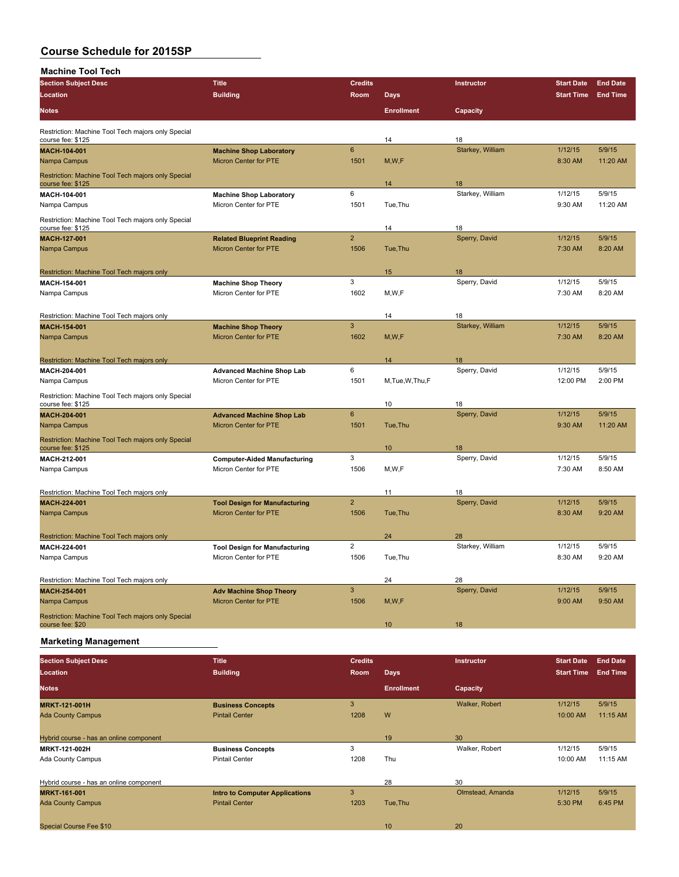| <b>Machine Tool Tech</b>                                                |                                                                |                |                   |                     |                   |                 |
|-------------------------------------------------------------------------|----------------------------------------------------------------|----------------|-------------------|---------------------|-------------------|-----------------|
| <b>Section Subject Desc</b>                                             | <b>Title</b>                                                   | <b>Credits</b> |                   | Instructor          | <b>Start Date</b> | <b>End Date</b> |
| Location                                                                | <b>Building</b>                                                | Room           | <b>Days</b>       |                     | <b>Start Time</b> | <b>End Time</b> |
| <b>Notes</b>                                                            |                                                                |                | <b>Enrollment</b> | Capacity            |                   |                 |
| Restriction: Machine Tool Tech majors only Special                      |                                                                |                |                   |                     |                   |                 |
| course fee: \$125                                                       |                                                                |                | 14                | 18                  |                   |                 |
| MACH-104-001                                                            | <b>Machine Shop Laboratory</b>                                 | $6\phantom{1}$ |                   | Starkey, William    | 1/12/15           | 5/9/15          |
| Nampa Campus                                                            | <b>Micron Center for PTE</b>                                   | 1501           | M,W,F             |                     | 8:30 AM           | 11:20 AM        |
| Restriction: Machine Tool Tech majors only Special<br>course fee: \$125 |                                                                |                | 14                | 18                  |                   |                 |
| MACH-104-001                                                            | <b>Machine Shop Laboratory</b>                                 | 6              |                   | Starkey, William    | 1/12/15           | 5/9/15          |
| Nampa Campus                                                            | Micron Center for PTE                                          | 1501           | Tue, Thu          |                     | 9:30 AM           | 11:20 AM        |
| Restriction: Machine Tool Tech majors only Special                      |                                                                |                | 14                | 18                  |                   |                 |
| course fee: \$125                                                       |                                                                | $\overline{2}$ |                   | Sperry, David       | 1/12/15           | 5/9/15          |
| MACH-127-001                                                            | <b>Related Blueprint Reading</b>                               |                |                   |                     |                   |                 |
| Nampa Campus                                                            | <b>Micron Center for PTE</b>                                   | 1506           | Tue, Thu          |                     | 7:30 AM           | 8:20 AM         |
|                                                                         |                                                                |                |                   |                     |                   |                 |
| Restriction: Machine Tool Tech majors only                              |                                                                |                | 15                | 18                  |                   |                 |
| MACH-154-001                                                            | <b>Machine Shop Theory</b>                                     | 3              |                   | Sperry, David       | 1/12/15           | 5/9/15          |
| Nampa Campus                                                            | Micron Center for PTE                                          | 1602           | M, W, F           |                     | 7:30 AM           | 8:20 AM         |
| Restriction: Machine Tool Tech majors only                              |                                                                |                | 14                | 18                  |                   |                 |
| <b>MACH 154-001</b>                                                     | <b>Machine Shop Theory</b>                                     | 3              |                   | Starkey, William    | 1/12/15           | 5/9/15          |
| Nampa Campus                                                            | <b>Micron Center for PTE</b>                                   | 1602           | M, W, F           |                     | 7:30 AM           | 8:20 AM         |
| Restriction: Machine Tool Tech majors only                              |                                                                |                | 14                | 18                  |                   |                 |
| MACH-204-001                                                            |                                                                | 6              |                   | Sperry, David       | 1/12/15           | 5/9/15          |
| Nampa Campus                                                            | <b>Advanced Machine Shop Lab</b><br>Micron Center for PTE      | 1501           | M, Tue, W, Thu, F |                     | 12:00 PM          | 2:00 PM         |
|                                                                         |                                                                |                |                   |                     |                   |                 |
| Restriction: Machine Tool Tech majors only Special                      |                                                                |                |                   |                     |                   |                 |
| course fee: \$125                                                       |                                                                |                | 10                | 18                  |                   |                 |
| MACH 204-001                                                            | <b>Advanced Machine Shop Lab</b>                               | 6              |                   | Sperry, David       | 1/12/15           | 5/9/15          |
| Nampa Campus                                                            | <b>Micron Center for PTE</b>                                   | 1501           | Tue, Thu          |                     | 9:30 AM           | 11:20 AM        |
| Restriction: Machine Tool Tech majors only Special<br>course fee: \$125 |                                                                |                | 10                | 18                  |                   |                 |
| MACII 212-001                                                           |                                                                | 3              |                   | Sperry, David       | 1/12/15           | 5/9/15          |
| Nampa Campus                                                            | <b>Computer-Aided Manufacturing</b><br>Micron Center for PTE   | 1506           | M,W,F             |                     | 7:30 AM           | 8:50 AM         |
|                                                                         |                                                                |                |                   |                     |                   |                 |
| Restriction: Machine Tool Tech majors only                              |                                                                |                | 11                | 18                  |                   |                 |
| <b>MACH 224-001</b>                                                     | <b>Tool Design for Manufacturing</b>                           | $\overline{2}$ |                   | Sperry, David       | 1/12/15           | 5/9/15          |
| Nampa Campus                                                            | <b>Micron Center for PTE</b>                                   | 1506           | Tue, Thu          |                     | 8:30 AM           | 9:20 AM         |
|                                                                         |                                                                |                |                   |                     |                   |                 |
| Restriction: Machine Tool Tech majors only                              |                                                                |                | 24                | 28                  |                   |                 |
| MACH-224-001                                                            | <b>Tool Design for Manufacturing</b>                           | $\overline{2}$ |                   | Starkey, William    | 1/12/15           | 5/9/15          |
| Nampa Campus                                                            | Micron Center for PTE                                          | 1506           | Tue, Thu          |                     | 8:30 AM           | 9:20 AM         |
|                                                                         |                                                                |                |                   |                     |                   |                 |
| Restriction: Machine Tool Tech majors only                              |                                                                | 3              | 24                | 28<br>Sperry, David | 1/12/15           | 5/9/15          |
| MACH 254-001                                                            | <b>Adv Machine Shop Theory</b><br><b>Micron Center for PTE</b> | 1506           |                   |                     | 9:00 AM           | 9:50 AM         |
| Nampa Campus                                                            |                                                                |                | M,W,F             |                     |                   |                 |
| Restriction: Machine Tool Tech majors only Special                      |                                                                |                |                   |                     |                   |                 |
| course fee: \$20                                                        |                                                                |                | 10 <sup>10</sup>  | 18                  |                   |                 |

**Marketing Management**

| <b>Section Subject Desc</b>             | <b>Title</b>                          | <b>Credits</b> |                   | <b>Instructor</b> | <b>Start Date</b> | <b>End Date</b> |
|-----------------------------------------|---------------------------------------|----------------|-------------------|-------------------|-------------------|-----------------|
| Location                                | <b>Building</b>                       | Room           | <b>Days</b>       |                   | <b>Start Time</b> | <b>End Time</b> |
| <b>Notes</b>                            |                                       |                | <b>Enrollment</b> | Capacity          |                   |                 |
| <b>MRKT-121-001H</b>                    | <b>Business Concepts</b>              | 3              |                   | Walker, Robert    | 1/12/15           | 5/9/15          |
| <b>Ada County Campus</b>                | <b>Pintail Center</b>                 | 1208           | W                 |                   | 10:00 AM          | 11:15 AM        |
|                                         |                                       |                |                   |                   |                   |                 |
| Hybrid course - has an online component |                                       |                | 19                | 30                |                   |                 |
| MRKT-121-002H                           | <b>Business Concepts</b>              | 3              |                   | Walker, Robert    | 1/12/15           | 5/9/15          |
| <b>Ada County Campus</b>                | <b>Pintail Center</b>                 | 1208           | Thu               |                   | 10:00 AM          | 11:15 AM        |
|                                         |                                       |                |                   |                   |                   |                 |
| Hybrid course - has an online component |                                       |                | 28                | 30                |                   |                 |
| <b>MRKT-161-001</b>                     | <b>Intro to Computer Applications</b> | 3              |                   | Olmstead, Amanda  | 1/12/15           | 5/9/15          |
| <b>Ada County Campus</b>                | <b>Pintail Center</b>                 | 1203           | Tue, Thu          |                   | 5:30 PM           | 6:45 PM         |
|                                         |                                       |                |                   |                   |                   |                 |
| <b>Special Course Fee \$10</b>          |                                       |                | 10                | 20                |                   |                 |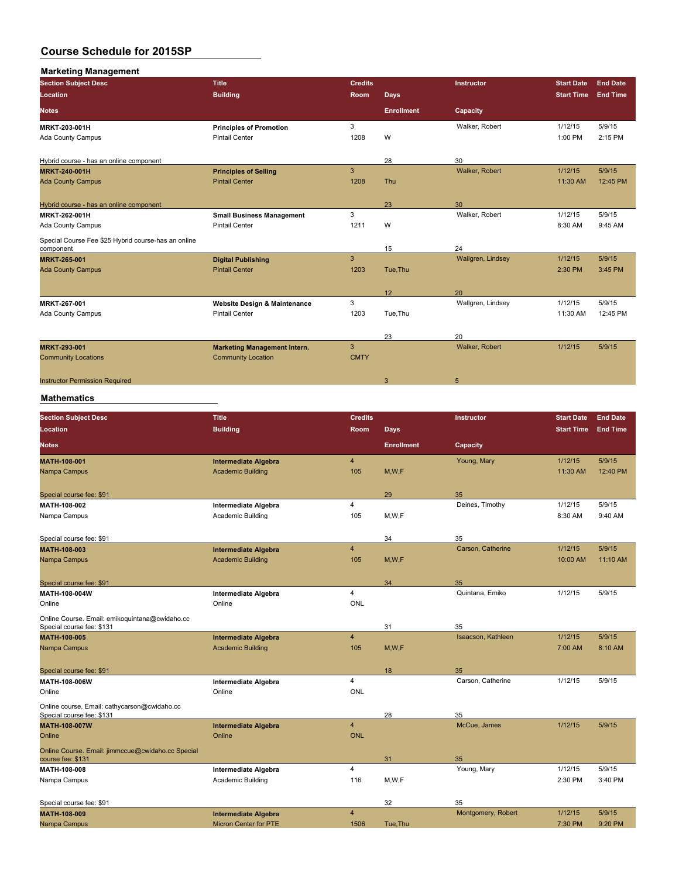| <b>Marketing Management</b>                                      |                                         |                |                   |                   |                   |                 |
|------------------------------------------------------------------|-----------------------------------------|----------------|-------------------|-------------------|-------------------|-----------------|
| <b>Section Subject Desc</b>                                      | <b>Title</b>                            | <b>Credits</b> |                   | Instructor        | <b>Start Date</b> | <b>End Date</b> |
| Location                                                         | <b>Building</b>                         | <b>Room</b>    | <b>Days</b>       |                   | <b>Start Time</b> | <b>End Time</b> |
| <b>Notes</b>                                                     |                                         |                | <b>Enrollment</b> | Capacity          |                   |                 |
| MRKT 203-001H                                                    | <b>Principles of Promotion</b>          | 3              |                   | Walker, Robert    | 1/12/15           | 5/9/15          |
| <b>Ada County Campus</b>                                         | <b>Pintail Center</b>                   | 1208           | W                 |                   | 1:00 PM           | 2:15 PM         |
| Hybrid course - has an online component                          |                                         |                | 28                | 30                |                   |                 |
| <b>MRKT-240-001H</b>                                             | <b>Principles of Selling</b>            | 3              |                   | Walker, Robert    | 1/12/15           | 5/9/15          |
| <b>Ada County Campus</b>                                         | <b>Pintail Center</b>                   | 1208           | <b>Thu</b>        |                   | 11:30 AM          | 12:45 PM        |
| Hybrid course - has an online component                          |                                         |                | 23                | 30                |                   |                 |
| <b>MRKT 262-001H</b>                                             | <b>Small Business Management</b>        | 3              |                   | Walker, Robert    | 1/12/15           | 5/9/15          |
| Ada County Campus                                                | <b>Pintail Center</b>                   | 1211           | W                 |                   | 8:30 AM           | 9:45 AM         |
| Special Course Fee \$25 Hybrid course-has an online<br>component |                                         |                | 15                | 24                |                   |                 |
| <b>MRKT 265-001</b>                                              | <b>Digital Publishing</b>               | 3              |                   | Wallgren, Lindsey | 1/12/15           | 5/9/15          |
| <b>Ada County Campus</b>                                         | <b>Pintail Center</b>                   | 1203           | Tue, Thu          |                   | 2:30 PM           | 3:45 PM         |
|                                                                  |                                         |                | 12                | 20                |                   |                 |
| MRKT-267-001                                                     | <b>Website Design &amp; Maintenance</b> | 3              |                   | Wallgren, Lindsey | 1/12/15           | 5/9/15          |
| Ada County Campus                                                | <b>Pintail Center</b>                   | 1203           | Tue, Thu          |                   | 11:30 AM          | 12:45 PM        |
|                                                                  |                                         |                | 23                | 20                |                   |                 |
| <b>MRKT 293-001</b>                                              | <b>Marketing Management Intern.</b>     | 3              |                   | Walker, Robert    | 1/12/15           | 5/9/15          |
| <b>Community Locations</b>                                       | <b>Community Location</b>               | <b>CMTY</b>    |                   |                   |                   |                 |
| <b>Instructor Permission Required</b>                            |                                         |                | 3                 | 5                 |                   |                 |
|                                                                  |                                         |                |                   |                   |                   |                 |

| <b>Section Subject Desc</b>                                                 | <b>Title</b>                 | <b>Credits</b> |                   | Instructor         | <b>Start Date</b> | <b>End Date</b> |
|-----------------------------------------------------------------------------|------------------------------|----------------|-------------------|--------------------|-------------------|-----------------|
| Location                                                                    | <b>Building</b>              | Room           | <b>Days</b>       |                    | <b>Start Time</b> | <b>End Time</b> |
| <b>Notes</b>                                                                |                              |                | <b>Enrollment</b> | Capacity           |                   |                 |
| MATH-108-001                                                                | <b>Intermediate Algebra</b>  | 4              |                   | Young, Mary        | 1/12/15           | 5/9/15          |
| Nampa Campus                                                                | <b>Academic Building</b>     | 105            | M, W, F           |                    | 11:30 AM          | 12:40 PM        |
| Special course fee: \$91                                                    |                              |                | 29                | 35                 |                   |                 |
| MATH 108-002                                                                | Intermediate Algebra         | 4              |                   | Deines, Timothy    | 1/12/15           | 5/9/15          |
| Nampa Campus                                                                | Academic Building            | 105            | M, W, F           |                    | 8:30 AM           | 9:40 AM         |
| Special course fee: \$91                                                    |                              |                | 34                | 35                 |                   |                 |
| MATH-108-003                                                                | <b>Intermediate Algebra</b>  | $\overline{4}$ |                   | Carson, Catherine  | 1/12/15           | 5/9/15          |
| Nampa Campus                                                                | <b>Academic Building</b>     | 105            | M, W, F           |                    | 10:00 AM          | 11:10 AM        |
| Special course fee: \$91                                                    |                              |                | 34                | 35                 |                   |                 |
| MATH-108-004W                                                               | Intermediate Algebra         | $\overline{4}$ |                   | Quintana, Emiko    | 1/12/15           | 5/9/15          |
| Online                                                                      | Online                       | <b>ONL</b>     |                   |                    |                   |                 |
| Online Course. Email: emikoquintana@cwidaho.cc<br>Special course fee: \$131 |                              |                | 31                | 35                 |                   |                 |
| <b>MATH-108-005</b>                                                         | <b>Intermediate Algebra</b>  | $\overline{4}$ |                   | Isaacson, Kathleen | 1/12/15           | 5/9/15          |
| Nampa Campus                                                                | <b>Academic Building</b>     | 105            | M, W, F           |                    | 7:00 AM           | 8:10 AM         |
| Special course fee: \$91                                                    |                              |                | 18                | 35                 |                   |                 |
| MATH 108-006W                                                               | <b>Intermediate Algebra</b>  | 4              |                   | Carson, Catherine  | 1/12/15           | 5/9/15          |
| Online                                                                      | Online                       | <b>ONL</b>     |                   |                    |                   |                 |
| Online course. Email: cathycarson@cwidaho.cc<br>Special course fee: \$131   |                              |                | 28                | 35                 |                   |                 |
| <b>MATH 108 007W</b>                                                        | <b>Intermediate Algebra</b>  | 4              |                   | McCue, James       | 1/12/15           | 5/9/15          |
| Online                                                                      | Online                       | <b>ONL</b>     |                   |                    |                   |                 |
| Online Course. Email: jimmccue@cwidaho.cc Special<br>course fee: \$131      |                              |                | 31                | 35                 |                   |                 |
| MATH-108-008                                                                | <b>Intermediate Algebra</b>  | 4              |                   | Young, Mary        | 1/12/15           | 5/9/15          |
| Nampa Campus                                                                | Academic Building            | 116            | M, W, F           |                    | 2:30 PM           | 3:40 PM         |
| Special course fee: \$91                                                    |                              |                | 32                | 35                 |                   |                 |
| <b>MATH-108-009</b>                                                         | <b>Intermediate Algebra</b>  | $\overline{4}$ |                   | Montgomery, Robert | 1/12/15           | 5/9/15          |
| Nampa Campus                                                                | <b>Micron Center for PTE</b> | 1506           | Tue, Thu          |                    | 7:30 PM           | 9:20 PM         |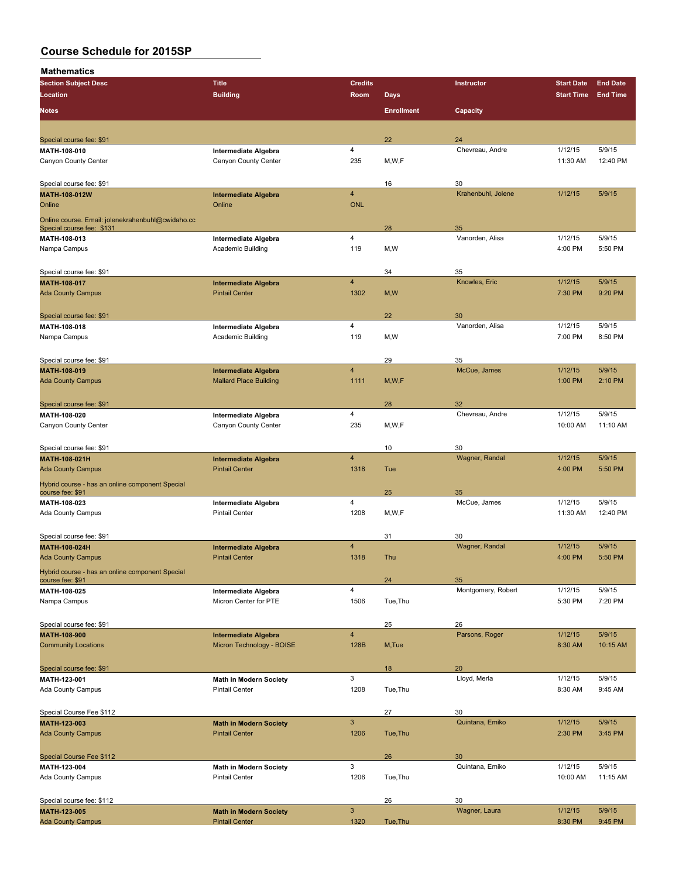| <b>Section Subject Desc</b>                       | <b>Title</b>                                                 | <b>Credits</b>          |                   | Instructor         | <b>Start Date</b> | <b>End Date</b> |
|---------------------------------------------------|--------------------------------------------------------------|-------------------------|-------------------|--------------------|-------------------|-----------------|
| Location                                          | <b>Building</b>                                              | Room                    | <b>Days</b>       |                    | <b>Start Time</b> | <b>End Time</b> |
|                                                   |                                                              |                         |                   |                    |                   |                 |
| <b>Notes</b>                                      |                                                              |                         | <b>Enrollment</b> | Capacity           |                   |                 |
|                                                   |                                                              |                         |                   |                    |                   |                 |
| Special course fee: \$91                          |                                                              |                         | 22                | 24                 |                   |                 |
| MATH 108-010                                      |                                                              | 4                       |                   | Chevreau, Andre    | 1/12/15           | 5/9/15          |
|                                                   | Intermediate Algebra                                         | 235                     | M, W, F           |                    | 11:30 AM          | 12:40 PM        |
| Canyon County Center                              | Canyon County Center                                         |                         |                   |                    |                   |                 |
|                                                   |                                                              |                         |                   |                    |                   |                 |
| Special course fee: \$91                          |                                                              |                         | 16                | 30                 |                   |                 |
| <b>MATH-108-012W</b>                              | <b>Intermediate Algebra</b>                                  | $\overline{4}$          |                   | Krahenbuhl, Jolene | 1/12/15           | 5/9/15          |
| Online                                            | Online                                                       | <b>ONL</b>              |                   |                    |                   |                 |
| Online course. Email: jolenekrahenbuhl@cwidaho.cc |                                                              |                         |                   |                    |                   |                 |
| Special course fee: \$131                         |                                                              |                         | 28                | 35                 |                   |                 |
| MATH-108-013                                      | Intermediate Algebra                                         | 4                       |                   | Vanorden, Alisa    | 1/12/15           | 5/9/15          |
| Nampa Campus                                      | Academic Building                                            | 119                     | M, W              |                    | 4:00 PM           | 5:50 PM         |
|                                                   |                                                              |                         |                   |                    |                   |                 |
| Special course fee: \$91                          |                                                              |                         | 34                | 35                 |                   |                 |
| MATH-108-017                                      | <b>Intermediate Algebra</b>                                  | $\overline{4}$          |                   | Knowles, Eric      | 1/12/15           | 5/9/15          |
| <b>Ada County Campus</b>                          | <b>Pintail Center</b>                                        | 1302                    | M, W              |                    | 7:30 PM           | 9:20 PM         |
|                                                   |                                                              |                         |                   |                    |                   |                 |
| Special course fee: \$91                          |                                                              |                         | 22                | 30                 |                   |                 |
| MATH-108-018                                      | Intermediate Algebra                                         | $\overline{4}$          |                   | Vanorden, Alisa    | 1/12/15           | 5/9/15          |
| Nampa Campus                                      | Academic Building                                            | 119                     | M,W               |                    | 7:00 PM           | 8:50 PM         |
|                                                   |                                                              |                         |                   |                    |                   |                 |
|                                                   |                                                              |                         |                   |                    |                   |                 |
| Special course fee: \$91                          |                                                              | $\overline{\mathbf{4}}$ | 29                | 35<br>McCue, James | 1/12/15           | 5/9/15          |
| MATH-108-019<br><b>Ada County Campus</b>          | <b>Intermediate Algebra</b><br><b>Mallard Place Building</b> |                         |                   |                    |                   |                 |
|                                                   |                                                              | 1111                    | M, W, F           |                    | 1:00 PM           | 2:10 PM         |
|                                                   |                                                              |                         |                   |                    |                   |                 |
| Special course fee: \$91                          |                                                              |                         | 28                | 32                 |                   |                 |
| MATH-108-020                                      | Intermediate Algebra                                         | 4                       |                   | Chevreau, Andre    | 1/12/15           | 5/9/15          |
| Canyon County Center                              | Canyon County Center                                         | 235                     | M,W,F             |                    | 10:00 AM          | 11:10 AM        |
|                                                   |                                                              |                         |                   |                    |                   |                 |
| Special course fee: \$91                          |                                                              |                         | 10                | 30                 |                   |                 |
| <b>MATH-108-021H</b>                              | <b>Intermediate Algebra</b>                                  | $\overline{4}$          |                   | Wagner, Randal     | 1/12/15           | 5/9/15          |
| <b>Ada County Campus</b>                          | <b>Pintail Center</b>                                        | 1318                    | Tue               |                    | 4:00 PM           | 5:50 PM         |
| Hybrid course - has an online component Special   |                                                              |                         |                   |                    |                   |                 |
| course fee: \$91                                  |                                                              |                         | 25                | 35                 |                   |                 |
| MATH-108-023                                      | Intermediate Algebra                                         | 4                       |                   | McCue, James       | 1/12/15           | 5/9/15          |
| Ada County Campus                                 | <b>Pintail Center</b>                                        | 1208                    | M,W,F             |                    | 11:30 AM          | 12:40 PM        |
|                                                   |                                                              |                         |                   |                    |                   |                 |
| Special course fee: \$91                          |                                                              |                         | 31                | 30                 |                   |                 |
| <b>MATH 108 024H</b>                              | <b>Intermediate Algebra</b>                                  | $\overline{\mathbf{4}}$ |                   | Wagner, Randal     | 1/12/15           | 5/9/15          |
| <b>Ada County Campus</b>                          | <b>Pintail Center</b>                                        | 1318                    | Thu               |                    | 4:00 PM           | 5:50 PM         |
|                                                   |                                                              |                         |                   |                    |                   |                 |
| Hybrid course - has an online component Special   |                                                              |                         |                   |                    |                   |                 |
| course fee: \$91                                  |                                                              |                         | 24                | 35                 |                   |                 |
| MATH-108-025                                      | Intermediate Algebra                                         | 4                       |                   | Montgomery, Robert | 1/12/15           | 5/9/15          |
| Nampa Campus                                      | Micron Center for PTE                                        | 1506                    | Tue, Thu          |                    | 5:30 PM           | 7:20 PM         |
|                                                   |                                                              |                         |                   |                    |                   |                 |
| Special course fee: \$91                          |                                                              |                         | 25                | 26                 |                   |                 |
| MATH-108-900                                      | <b>Intermediate Algebra</b>                                  | $\overline{4}$          |                   | Parsons, Roger     | 1/12/15           | 5/9/15          |
| <b>Community Locations</b>                        | Micron Technology - BOISE                                    | 128B                    | M, Tue            |                    | 8:30 AM           | 10:15 AM        |
|                                                   |                                                              |                         |                   |                    |                   |                 |
| Special course fee: \$91                          |                                                              |                         | 18                | 20                 |                   |                 |
| MATH-123-001                                      | Math in Modern Society                                       | 3                       |                   | Lloyd, Merla       | 1/12/15           | 5/9/15          |
| Ada County Campus                                 | <b>Pintail Center</b>                                        | 1208                    | Tue, Thu          |                    | 8:30 AM           | 9:45 AM         |
|                                                   |                                                              |                         |                   |                    |                   |                 |
| Special Course Fee \$112                          |                                                              |                         | 27                | 30                 |                   |                 |
| MATH-123-003                                      | <b>Math in Modern Society</b>                                | $\mathbf{3}$            |                   | Quintana, Emiko    | 1/12/15           | 5/9/15          |
| <b>Ada County Campus</b>                          | <b>Pintail Center</b>                                        | 1206                    | Tue, Thu          |                    | 2:30 PM           | 3:45 PM         |
|                                                   |                                                              |                         |                   |                    |                   |                 |
|                                                   |                                                              |                         |                   |                    |                   |                 |
| Special Course Fee \$112                          |                                                              |                         | 26                | 30                 |                   |                 |
| MATH-123-004                                      | <b>Math in Modern Society</b>                                | $\mathbf{3}$            |                   | Quintana, Emiko    | 1/12/15           | 5/9/15          |
| Ada County Campus                                 | <b>Pintail Center</b>                                        | 1206                    | Tue, Thu          |                    | 10:00 AM          | 11:15 AM        |
|                                                   |                                                              |                         |                   |                    |                   |                 |
| Special course fee: \$112                         |                                                              |                         | 26                | 30                 |                   |                 |
| MATH-123-005                                      | <b>Math in Modern Society</b>                                | $\mathbf{3}$            |                   | Wagner, Laura      | 1/12/15           | 5/9/15          |
| <b>Ada County Campus</b>                          | <b>Pintail Center</b>                                        | 1320                    | Tue, Thu          |                    | 8:30 PM           | 9:45 PM         |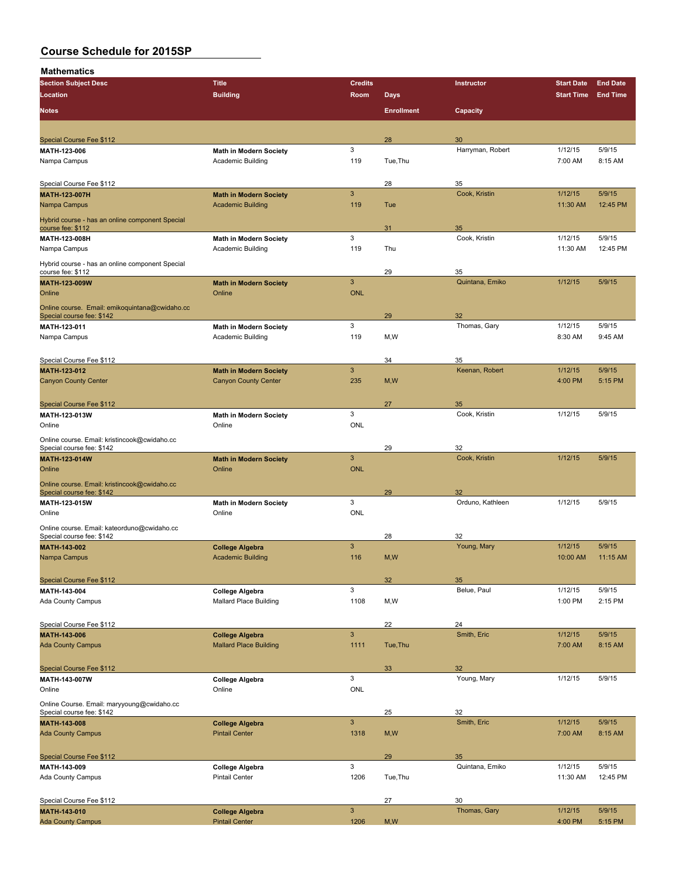| <b>Section Subject Desc</b>                     | <b>Title</b>                  | <b>Credits</b>            |                   | Instructor       | <b>Start Date</b> | <b>End Date</b> |
|-------------------------------------------------|-------------------------------|---------------------------|-------------------|------------------|-------------------|-----------------|
| Location                                        | <b>Building</b>               | Room                      | Days              |                  | <b>Start Time</b> | <b>End Time</b> |
|                                                 |                               |                           |                   |                  |                   |                 |
| <b>Notes</b>                                    |                               |                           | <b>Enrollment</b> | Capacity         |                   |                 |
|                                                 |                               |                           |                   |                  |                   |                 |
| <b>Special Course Fee \$112</b>                 |                               |                           | 28                | 30               |                   |                 |
| MATH 123-006                                    | <b>Math in Modern Society</b> | 3                         |                   | Harryman, Robert | 1/12/15           | 5/9/15          |
| Nampa Campus                                    | Academic Building             | 119                       | Tue, Thu          |                  | 7:00 AM           | 8:15 AM         |
|                                                 |                               |                           |                   |                  |                   |                 |
| Special Course Fee \$112                        |                               |                           | 28                | 35               |                   |                 |
| <b>MATH 123 007H</b>                            | <b>Math in Modern Society</b> | $\mathbf{3}$              |                   | Cook, Kristin    | 1/12/15           | 5/9/15          |
| Nampa Campus                                    | <b>Academic Building</b>      | 119                       | Tue               |                  | 11:30 AM          | 12:45 PM        |
| Hybrid course - has an online component Special |                               |                           |                   |                  |                   |                 |
| course fee: \$112                               |                               |                           | 31                | 35               |                   |                 |
| MATH-123-008H                                   | <b>Math in Modern Society</b> | 3                         |                   | Cook, Kristin    | 1/12/15           | 5/9/15          |
| Nampa Campus                                    | <b>Academic Building</b>      | 119                       | Thu               |                  | 11:30 AM          | 12:45 PM        |
| Hybrid course - has an online component Special |                               |                           |                   |                  |                   |                 |
| course fee: \$112                               |                               |                           | 29                | 35               |                   |                 |
| MATH-123-009W                                   | <b>Math in Modern Society</b> | $\mathbf{3}$              |                   | Quintana, Emiko  | 1/12/15           | 5/9/15          |
| Online                                          | Online                        | <b>ONL</b>                |                   |                  |                   |                 |
| Online course. Email: emikoquintana@cwidaho.cc  |                               |                           |                   |                  |                   |                 |
| Special course fee: \$142                       |                               |                           | 29                | 32               |                   |                 |
| MATH 123-011                                    | <b>Math in Modern Society</b> | 3                         |                   | Thomas, Gary     | 1/12/15           | 5/9/15          |
| Nampa Campus                                    | Academic Building             | 119                       | M, W              |                  | 8:30 AM           | 9:45 AM         |
|                                                 |                               |                           |                   |                  |                   |                 |
| Special Course Fee \$112                        |                               |                           | 34                | 35               |                   |                 |
| MATH-123-012                                    | <b>Math in Modern Society</b> | $\mathbf{3}$              |                   | Keenan, Robert   | 1/12/15           | 5/9/15          |
| <b>Canyon County Center</b>                     | <b>Canyon County Center</b>   | 235                       | M, W              |                  | 4:00 PM           | 5:15 PM         |
|                                                 |                               |                           |                   |                  |                   |                 |
| <b>Special Course Fee \$112</b>                 |                               |                           | 27                | 35               |                   |                 |
| MATH 123 013W                                   | <b>Math in Modern Society</b> | 3                         |                   | Cook, Kristin    | 1/12/15           | 5/9/15          |
| Online                                          | Online                        | ONL                       |                   |                  |                   |                 |
| Online course. Email: kristincook@cwidaho.cc    |                               |                           |                   |                  |                   |                 |
| Special course fee: \$142                       |                               |                           | 29                | 32               |                   |                 |
| <b>MATH 123 014W</b>                            | <b>Math in Modern Society</b> | 3                         |                   | Cook, Kristin    | 1/12/15           | 5/9/15          |
| Online                                          | Online                        | <b>ONL</b>                |                   |                  |                   |                 |
| Online course. Email: kristincook@cwidaho.cc    |                               |                           |                   |                  |                   |                 |
| Special course fee: \$142                       |                               |                           | 29                | 32               |                   |                 |
| MATH-123-015W                                   | <b>Math in Modern Society</b> | 3                         |                   | Orduno, Kathleen | 1/12/15           | 5/9/15          |
| Online                                          | Online                        | <b>ONL</b>                |                   |                  |                   |                 |
| Online course. Email: kateorduno@cwidaho.cc     |                               |                           |                   |                  |                   |                 |
| Special course fee: \$142                       |                               |                           | 28                | 32               |                   |                 |
| MATH-143-002                                    | <b>College Algebra</b>        | $\mathbf{3}$              |                   | Young, Mary      | 1/12/15           | 5/9/15          |
| Nampa Campus                                    | <b>Academic Building</b>      | 116                       | M, W              |                  | 10:00 AM          | 11:15 AM        |
|                                                 |                               |                           |                   |                  |                   |                 |
| Special Course Fee \$112                        |                               |                           | 32 <sup>°</sup>   | 35               |                   |                 |
| MATH-143-004                                    | <b>College Algebra</b>        | 3                         |                   | Belue, Paul      | 1/12/15           | 5/9/15          |
| Ada County Campus                               | <b>Mallard Place Building</b> | 1108                      | M, W              |                  | 1:00 PM           | 2:15 PM         |
|                                                 |                               |                           |                   |                  |                   |                 |
| Special Course Fee \$112                        |                               |                           | 22                | 24               |                   |                 |
| MATH-143-006                                    | <b>College Algebra</b>        | $\mathbf{3}$              |                   | Smith, Eric      | 1/12/15           | 5/9/15          |
| <b>Ada County Campus</b>                        | <b>Mallard Place Building</b> | 1111                      | Tue, Thu          |                  | 7:00 AM           | 8:15 AM         |
|                                                 |                               |                           |                   |                  |                   |                 |
| Special Course Fee \$112                        |                               |                           | 33                | 32               |                   |                 |
| MATH-143-007W                                   | College Algebra               | $\ensuremath{\mathsf{3}}$ |                   | Young, Mary      | 1/12/15           | 5/9/15          |
| Online                                          | Online                        | ONL                       |                   |                  |                   |                 |
| Online Course. Email: maryyoung@cwidaho.cc      |                               |                           |                   |                  |                   |                 |
| Special course fee: \$142                       |                               |                           | 25                | 32               |                   |                 |
| MATH-143-008                                    | <b>College Algebra</b>        | $\mathbf{3}$              |                   | Smith, Eric      | 1/12/15           | 5/9/15          |
| <b>Ada County Campus</b>                        | <b>Pintail Center</b>         | 1318                      | M, W              |                  | 7:00 AM           | 8:15 AM         |
|                                                 |                               |                           |                   |                  |                   |                 |
| Special Course Fee \$112                        |                               |                           | 29                | 35               |                   |                 |
| MATH-143-009                                    | <b>College Algebra</b>        | 3                         |                   | Quintana, Emiko  | 1/12/15           | 5/9/15          |
| Ada County Campus                               | <b>Pintail Center</b>         | 1206                      | Tue, Thu          |                  | 11:30 AM          | 12:45 PM        |
|                                                 |                               |                           |                   |                  |                   |                 |
| Special Course Fee \$112                        |                               |                           | 27                | 30               |                   |                 |
| MATH-143-010                                    | <b>College Algebra</b>        | $\ensuremath{\mathsf{3}}$ |                   | Thomas, Gary     | 1/12/15           | 5/9/15          |
| <b>Ada County Campus</b>                        | <b>Pintail Center</b>         | 1206                      | M, W              |                  | 4:00 PM           | 5:15 PM         |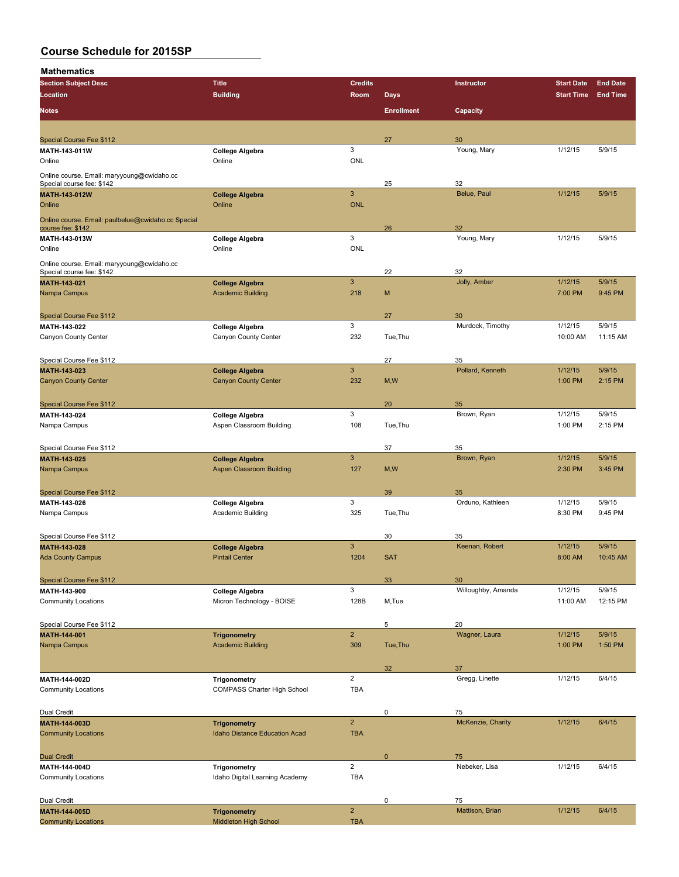| <b>Section Subject Desc</b>                                             | <b>Title</b>                                    | <b>Credits</b>          |                   | Instructor           | <b>Start Date</b> | <b>End Date</b> |
|-------------------------------------------------------------------------|-------------------------------------------------|-------------------------|-------------------|----------------------|-------------------|-----------------|
| Location                                                                | <b>Building</b>                                 | Room                    | Days              |                      | <b>Start Time</b> | <b>End Time</b> |
|                                                                         |                                                 |                         |                   |                      |                   |                 |
| <b>Notes</b>                                                            |                                                 |                         | <b>Enrollment</b> | Capacity             |                   |                 |
|                                                                         |                                                 |                         |                   |                      |                   |                 |
| Special Course Fee \$112                                                |                                                 |                         | 27                | 30                   |                   |                 |
| MATH-143-011W                                                           | <b>College Algebra</b>                          | 3                       |                   | Young, Mary          | 1/12/15           | 5/9/15          |
| Online                                                                  | Online                                          | <b>ONL</b>              |                   |                      |                   |                 |
|                                                                         |                                                 |                         |                   |                      |                   |                 |
| Online course. Email: maryyoung@cwidaho.cc<br>Special course fee: \$142 |                                                 |                         | 25                | 32                   |                   |                 |
| MATH-143-012W                                                           | <b>College Algebra</b>                          | $\mathbf{3}$            |                   | Belue, Paul          | 1/12/15           | 5/9/15          |
| Online                                                                  | Online                                          | <b>ONL</b>              |                   |                      |                   |                 |
|                                                                         |                                                 |                         |                   |                      |                   |                 |
| Online course. Email: paulbelue@cwidaho.cc Special<br>course fee: \$142 |                                                 |                         | 26                | 32                   |                   |                 |
| MATH-143-013W                                                           | <b>College Algebra</b>                          | 3                       |                   | Young, Mary          | 1/12/15           | 5/9/15          |
| Online                                                                  | Online                                          | <b>ONL</b>              |                   |                      |                   |                 |
|                                                                         |                                                 |                         |                   |                      |                   |                 |
| Online course. Email: maryyoung@cwidaho.cc                              |                                                 |                         |                   |                      |                   |                 |
| Special course fee: \$142                                               |                                                 | $\mathbf{3}$            | 22                | 32                   | 1/12/15           | 5/9/15          |
| MATH-143-021                                                            | <b>College Algebra</b>                          | 218                     |                   | Jolly, Amber         |                   |                 |
| Nampa Campus                                                            | <b>Academic Building</b>                        |                         | M                 |                      | 7:00 PM           | 9:45 PM         |
|                                                                         |                                                 |                         |                   |                      |                   |                 |
| Special Course Fee \$112                                                |                                                 |                         | 27                | 30                   |                   |                 |
| MATH-143-022                                                            | <b>College Algebra</b>                          | 3                       |                   | Murdock, Timothy     | 1/12/15           | 5/9/15          |
| Canyon County Center                                                    | Canyon County Center                            | 232                     | Tue, Thu          |                      | 10:00 AM          | 11:15 AM        |
|                                                                         |                                                 |                         |                   |                      |                   |                 |
| Special Course Fee \$112                                                |                                                 |                         | 27                | 35                   |                   |                 |
| MATH-143-023                                                            | <b>College Algebra</b>                          | $\mathbf{3}$            |                   | Pollard, Kenneth     | 1/12/15           | 5/9/15          |
| <b>Canyon County Center</b>                                             | <b>Canyon County Center</b>                     | 232                     | M, W              |                      | 1:00 PM           | 2:15 PM         |
|                                                                         |                                                 |                         |                   |                      |                   |                 |
| Special Course Fee \$112                                                |                                                 |                         | 20                | 35                   |                   |                 |
| MATH-143-024                                                            | <b>College Algebra</b>                          | 3                       |                   | Brown, Ryan          | 1/12/15           | 5/9/15          |
| Nampa Campus                                                            | Aspen Classroom Building                        | 108                     | Tue, Thu          |                      | 1:00 PM           | 2:15 PM         |
|                                                                         |                                                 |                         |                   |                      |                   |                 |
| Special Course Fee \$112                                                |                                                 |                         | 37                | 35                   |                   |                 |
| MATH-143-025                                                            | <b>College Algebra</b>                          | $\mathbf{3}$            |                   | Brown, Ryan          | 1/12/15           | 5/9/15          |
| Nampa Campus                                                            | <b>Aspen Classroom Building</b>                 | 127                     | M, W              |                      | 2:30 PM           | 3:45 PM         |
|                                                                         |                                                 |                         |                   |                      |                   |                 |
| Special Course Fee \$112                                                |                                                 |                         | 39                | 35                   |                   |                 |
| MATH-143-026                                                            | <b>College Algebra</b>                          | 3                       |                   | Orduno, Kathleen     | 1/12/15           | 5/9/15          |
| Nampa Campus                                                            | Academic Building                               | 325                     | Tue.Thu           |                      | 8:30 PM           | 9:45 PM         |
|                                                                         |                                                 |                         |                   |                      |                   |                 |
|                                                                         |                                                 |                         |                   |                      |                   |                 |
| Special Course Fee \$112                                                |                                                 | $\mathbf{3}$            | 30                | 35<br>Keenan, Robert | 1/12/15           | 5/9/15          |
| MATH-143-028<br><b>Ada County Campus</b>                                | <b>College Algebra</b><br><b>Pintail Center</b> | 1204                    | <b>SAT</b>        |                      | 8:00 AM           | 10:45 AM        |
|                                                                         |                                                 |                         |                   |                      |                   |                 |
|                                                                         |                                                 |                         |                   |                      |                   |                 |
| Special Course Fee \$112                                                |                                                 |                         | 33                | 30                   |                   |                 |
| MATH-143-900                                                            | <b>College Algebra</b>                          | 3                       |                   | Willoughby, Amanda   | 1/12/15           | 5/9/15          |
| <b>Community Locations</b>                                              | Micron Technology - BOISE                       | 128B                    | M,Tue             |                      | 11:00 AM          | 12:15 PM        |
|                                                                         |                                                 |                         |                   |                      |                   |                 |
| Special Course Fee \$112                                                |                                                 |                         | 5                 | 20                   |                   |                 |
| MATH-144-001                                                            | <b>Trigonometry</b>                             | $\overline{2}$          |                   | Wagner, Laura        | 1/12/15           | 5/9/15          |
| Nampa Campus                                                            | <b>Academic Building</b>                        | 309                     | Tue, Thu          |                      | 1:00 PM           | 1:50 PM         |
|                                                                         |                                                 |                         |                   |                      |                   |                 |
|                                                                         |                                                 |                         | 32                | 37                   |                   |                 |
| MATH-144-002D                                                           | Trigonometry                                    | $\overline{2}$          |                   | Gregg, Linette       | 1/12/15           | 6/4/15          |
| <b>Community Locations</b>                                              | <b>COMPASS Charter High School</b>              | TBA                     |                   |                      |                   |                 |
|                                                                         |                                                 |                         |                   |                      |                   |                 |
| Dual Credit                                                             |                                                 |                         | 0                 | 75                   |                   |                 |
| MATH-144-003D                                                           | <b>Trigonometry</b>                             | $\overline{2}$          |                   | McKenzie, Charity    | 1/12/15           | 6/4/15          |
| <b>Community Locations</b>                                              | Idaho Distance Education Acad                   | <b>TBA</b>              |                   |                      |                   |                 |
|                                                                         |                                                 |                         |                   |                      |                   |                 |
| <b>Dual Credit</b>                                                      |                                                 |                         | $\mathbf 0$       | 75                   |                   |                 |
| MATH-144-004D                                                           | Trigonometry                                    | $\overline{\mathbf{c}}$ |                   | Nebeker, Lisa        | 1/12/15           | 6/4/15          |
| <b>Community Locations</b>                                              | Idaho Digital Learning Academy                  | <b>TBA</b>              |                   |                      |                   |                 |
|                                                                         |                                                 |                         |                   |                      |                   |                 |
| Dual Credit                                                             |                                                 |                         | 0                 | 75                   |                   |                 |
| MATH-144-005D                                                           | <b>Trigonometry</b>                             | $\overline{2}$          |                   | Mattison, Brian      | 1/12/15           | 6/4/15          |
| <b>Community Locations</b>                                              | Middleton High School                           | <b>TBA</b>              |                   |                      |                   |                 |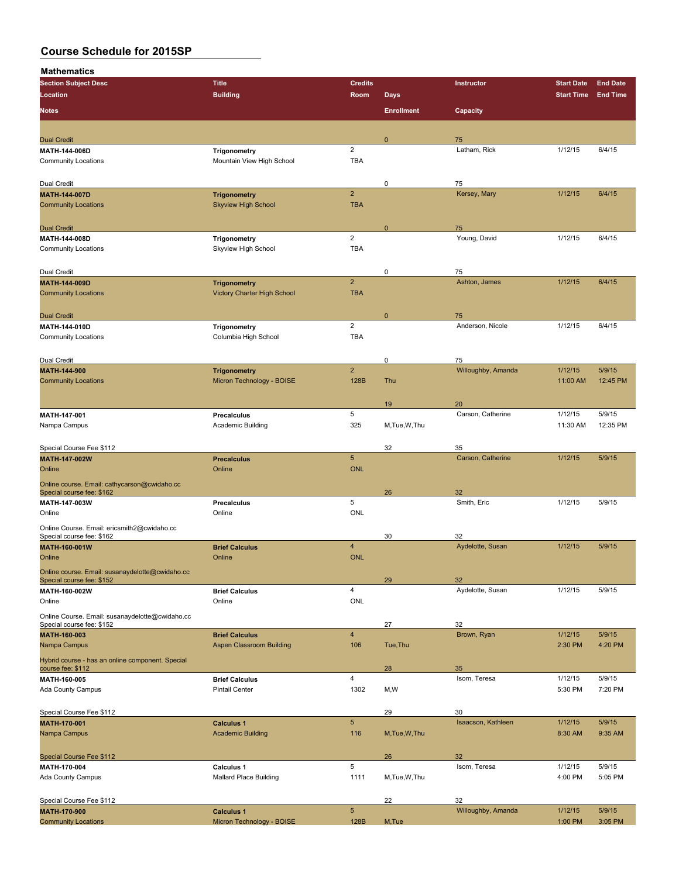**Mathematics**<br>Section Subject **D** 

| Section Subject Desc                                                         | Title                           | Credits                 |                   | Instructor              | <b>Start Date</b>          | <b>End Date</b> |
|------------------------------------------------------------------------------|---------------------------------|-------------------------|-------------------|-------------------------|----------------------------|-----------------|
| Location                                                                     | <b>Building</b>                 | Room                    | <b>Days</b>       |                         | <b>Start Time End Time</b> |                 |
| <b>Notes</b>                                                                 |                                 |                         | <b>Enrollment</b> | Capacity                |                            |                 |
|                                                                              |                                 |                         |                   |                         |                            |                 |
|                                                                              |                                 |                         |                   |                         |                            |                 |
| <b>Dual Credit</b>                                                           |                                 |                         | $\mathbf{0}$      | 75                      |                            |                 |
| MATII 144-006D                                                               | Trigonometry                    | $\overline{2}$          |                   | Latham, Rick            | 1/12/15                    | 6/4/15          |
| <b>Community Locations</b>                                                   | Mountain View High School       | <b>TBA</b>              |                   |                         |                            |                 |
|                                                                              |                                 |                         |                   |                         |                            |                 |
| Dual Credit                                                                  |                                 |                         | 0                 | 75                      |                            |                 |
| <b>MATH-144-007D</b>                                                         | <b>Trigonometry</b>             | $\overline{2}$          |                   | Kersey, Mary            | 1/12/15                    | 6/4/15          |
| <b>Community Locations</b>                                                   | <b>Skyview High School</b>      | <b>TBA</b>              |                   |                         |                            |                 |
|                                                                              |                                 |                         |                   |                         |                            |                 |
| <b>Dual Credit</b>                                                           |                                 |                         | $\mathbf 0$       | 75                      |                            |                 |
| MATH-144-008D                                                                | Trigonometry                    | $\overline{2}$          |                   | Young, David            | 1/12/15                    | 6/4/15          |
| <b>Community Locations</b>                                                   | Skyview High School             | <b>TBA</b>              |                   |                         |                            |                 |
|                                                                              |                                 |                         |                   |                         |                            |                 |
|                                                                              |                                 |                         |                   |                         |                            |                 |
| Dual Credit                                                                  |                                 | $\overline{2}$          | 0                 | 75                      |                            |                 |
| MATH-144-009D                                                                | <b>Trigonometry</b>             |                         |                   | Ashton, James           | 1/12/15                    | 6/4/15          |
| <b>Community Locations</b>                                                   | Victory Charter High School     | <b>TBA</b>              |                   |                         |                            |                 |
|                                                                              |                                 |                         |                   |                         |                            |                 |
| <b>Dual Credit</b>                                                           |                                 |                         | $\mathbf{0}$      | 75                      |                            |                 |
| MATH-144-010D                                                                | Trigonometry                    | $\overline{2}$          |                   | Anderson, Nicole        | 1/12/15                    | 6/4/15          |
| <b>Community Locations</b>                                                   | Columbia High School            | <b>TBA</b>              |                   |                         |                            |                 |
|                                                                              |                                 |                         |                   |                         |                            |                 |
| Dual Credit                                                                  |                                 |                         | 0                 | 75                      |                            |                 |
| <b>MATH 144 900</b>                                                          | <b>Trigonometry</b>             | $\overline{2}$          |                   | Willoughby, Amanda      | 1/12/15                    | 5/9/15          |
| <b>Community Locations</b>                                                   | Micron Technology - BOISE       | 128B                    | Thu               |                         | 11:00 AM                   | 12:45 PM        |
|                                                                              |                                 |                         |                   |                         |                            |                 |
|                                                                              |                                 |                         | 19                | 20                      |                            |                 |
| MATH-147-001                                                                 | <b>Precalculus</b>              | 5                       |                   | Carson, Catherine       | 1/12/15                    | 5/9/15          |
| Nampa Campus                                                                 | Academic Building               | 325                     | M, Tue, W, Thu    |                         | 11:30 AM                   | 12:35 PM        |
|                                                                              |                                 |                         |                   |                         |                            |                 |
|                                                                              |                                 |                         |                   |                         |                            |                 |
| Special Course Fee \$112                                                     |                                 | $5\phantom{.0}$         | 32                | 35<br>Carson, Catherine | 1/12/15                    | 5/9/15          |
| MATH-147-002W                                                                | <b>Precalculus</b>              |                         |                   |                         |                            |                 |
| Online                                                                       | Online                          | <b>ONL</b>              |                   |                         |                            |                 |
| Online course. Email: cathycarson@cwidaho.cc                                 |                                 |                         |                   |                         |                            |                 |
| Special course fee: \$162                                                    |                                 |                         | 26                | 32                      |                            |                 |
| MATH-147-003W                                                                | <b>Precalculus</b>              | 5                       |                   | Smith, Eric             | 1/12/15                    | 5/9/15          |
| Online                                                                       | Online                          | ONL                     |                   |                         |                            |                 |
| Online Course. Email: ericsmith2@cwidaho.cc                                  |                                 |                         |                   |                         |                            |                 |
| Special course fee: \$162                                                    |                                 |                         | 30                | 32                      |                            |                 |
| MATH-160-001W                                                                | <b>Brief Calculus</b>           | $\overline{4}$          |                   | Aydelotte, Susan        | 1/12/15                    | 5/9/15          |
| Online                                                                       | Online                          | <b>ONL</b>              |                   |                         |                            |                 |
| Online course. Email: susanaydelotte@cwidaho.cc                              |                                 |                         |                   |                         |                            |                 |
| Special course fee: \$152                                                    |                                 |                         | 29                | 32                      |                            |                 |
| MATH-160-002W                                                                | <b>Brief Calculus</b>           | 4                       |                   | Aydelotte, Susan        | 1/12/15                    | 5/9/15          |
| Online                                                                       | Online                          | ONL                     |                   |                         |                            |                 |
|                                                                              |                                 |                         |                   |                         |                            |                 |
| Online Course. Email: susanaydelotte@cwidaho.cc<br>Special course fee: \$152 |                                 |                         | 27                | 32                      |                            |                 |
| MATH-160-003                                                                 | <b>Brief Calculus</b>           | $\overline{\mathbf{4}}$ |                   | Brown, Ryan             | 1/12/15                    | 5/9/15          |
| Nampa Campus                                                                 | <b>Aspen Classroom Building</b> | 106                     | Tue, Thu          |                         | 2:30 PM                    | 4:20 PM         |
|                                                                              |                                 |                         |                   |                         |                            |                 |
| Hybrid course - has an online component. Special                             |                                 |                         |                   |                         |                            |                 |
| course fee: \$112                                                            |                                 |                         | 28                | 35                      |                            |                 |
| MATH-160-005                                                                 | <b>Brief Calculus</b>           | $\overline{\mathbf{4}}$ |                   | Isom, Teresa            | 1/12/15                    | 5/9/15          |
| Ada County Campus                                                            | <b>Pintail Center</b>           | 1302                    | M,W               |                         | 5:30 PM                    | 7:20 PM         |
|                                                                              |                                 |                         |                   |                         |                            |                 |
| Special Course Fee \$112                                                     |                                 |                         | 29                | 30                      |                            |                 |
| MATH-170-001                                                                 | <b>Calculus 1</b>               | $5\phantom{.0}$         |                   | Isaacson, Kathleen      | 1/12/15                    | 5/9/15          |
| Nampa Campus                                                                 | <b>Academic Building</b>        | 116                     | M, Tue, W, Thu    |                         | 8:30 AM                    | 9:35 AM         |
|                                                                              |                                 |                         |                   |                         |                            |                 |
| Special Course Fee \$112                                                     |                                 |                         | 26                | 32                      |                            |                 |
| MATH-170-004                                                                 | Calculus 1                      | 5                       |                   | Isom, Teresa            | 1/12/15                    | 5/9/15          |
| <b>Ada County Campus</b>                                                     | <b>Mallard Place Building</b>   | 1111                    | M, Tue, W, Thu    |                         | 4:00 PM                    | 5:05 PM         |
|                                                                              |                                 |                         |                   |                         |                            |                 |
|                                                                              |                                 |                         | 22                | 32                      |                            |                 |
| Special Course Fee \$112<br>MATH-170-900                                     | <b>Calculus 1</b>               | $\sqrt{5}$              |                   | Willoughby, Amanda      | 1/12/15                    | 5/9/15          |
| <b>Community Locations</b>                                                   | Micron Technology - BOISE       | 128B                    | M,Tue             |                         | 1:00 PM                    | 3:05 PM         |
|                                                                              |                                 |                         |                   |                         |                            |                 |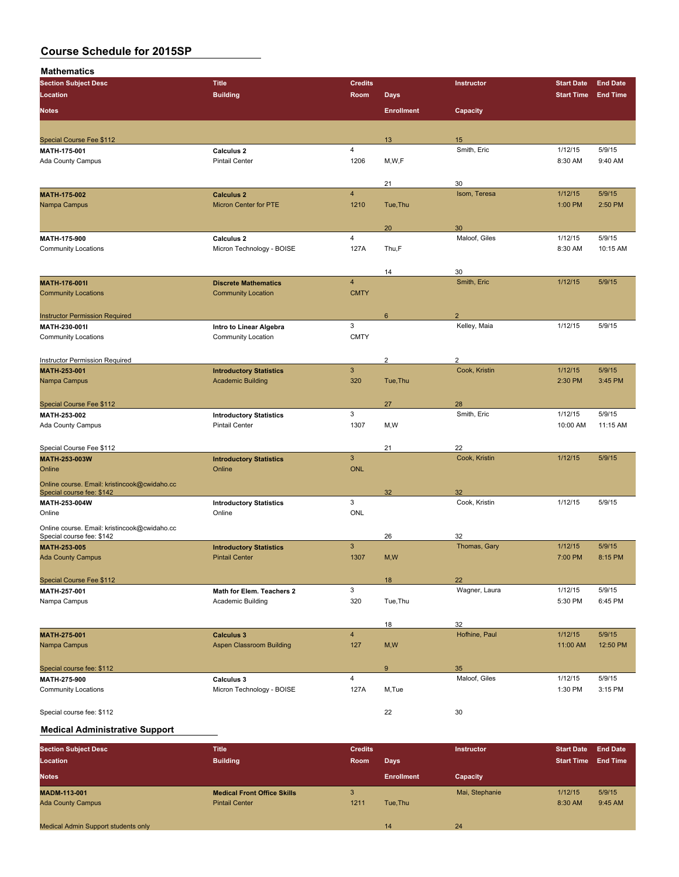**Mathematics**

| <b>Section Subject Desc</b>                            | <b>Title</b>                                             | <b>Credits</b> |                   | Instructor        | <b>Start Date</b> | <b>End Date</b> |
|--------------------------------------------------------|----------------------------------------------------------|----------------|-------------------|-------------------|-------------------|-----------------|
| Location                                               | <b>Building</b>                                          | Room           | <b>Days</b>       |                   | <b>Start Time</b> | <b>End Time</b> |
| <b>Notes</b>                                           |                                                          |                | <b>Enrollment</b> |                   |                   |                 |
|                                                        |                                                          |                |                   | Capacity          |                   |                 |
|                                                        |                                                          |                |                   |                   |                   |                 |
| <b>Special Course Fee \$112</b>                        |                                                          |                | 13                | 15                |                   |                 |
| MATH 175 001                                           | Calculus <sub>2</sub>                                    | 4              |                   | Smith, Eric       | 1/12/15           | 5/9/15          |
| <b>Ada County Campus</b>                               | <b>Pintail Center</b>                                    | 1206           | M, W, F           |                   | 8:30 AM           | 9:40 AM         |
|                                                        |                                                          |                |                   |                   |                   |                 |
|                                                        |                                                          |                | 21                | 30                |                   |                 |
| MATH-175-002                                           | <b>Calculus 2</b>                                        | $\overline{4}$ |                   | Isom, Teresa      | 1/12/15           | 5/9/15          |
| Nampa Campus                                           | <b>Micron Center for PTE</b>                             | 1210           | Tue, Thu          |                   | 1:00 PM           | 2:50 PM         |
|                                                        |                                                          |                |                   |                   |                   |                 |
|                                                        |                                                          |                | 20                | 30                |                   |                 |
| MATH-175-900                                           | Calculus <sub>2</sub>                                    | 4              |                   | Maloof, Giles     | 1/12/15           | 5/9/15          |
| <b>Community Locations</b>                             | Micron Technology - BOISE                                | 127A           | Thu,F             |                   | 8:30 AM           | 10:15 AM        |
|                                                        |                                                          |                |                   |                   |                   |                 |
|                                                        |                                                          | $\overline{4}$ | 14                | 30<br>Smith, Eric | 1/12/15           | 5/9/15          |
| <b>MATH-176-001I</b><br><b>Community Locations</b>     | <b>Discrete Mathematics</b><br><b>Community Location</b> | <b>CMTY</b>    |                   |                   |                   |                 |
|                                                        |                                                          |                |                   |                   |                   |                 |
|                                                        |                                                          |                |                   | $\mathcal{P}$     |                   |                 |
| <b>Instructor Permission Required</b><br>MATH 230-001I |                                                          | $\mathbf{3}$   | 6                 | Kelley, Maia      | 1/12/15           | 5/9/15          |
| <b>Community Locations</b>                             | Intro to Linear Algebra<br>Community Location            | <b>CMTY</b>    |                   |                   |                   |                 |
|                                                        |                                                          |                |                   |                   |                   |                 |
| Instructor Permission Required                         |                                                          |                | $\overline{c}$    | $\overline{2}$    |                   |                 |
| MATH-253-001                                           | <b>Introductory Statistics</b>                           | $\sqrt{3}$     |                   | Cook, Kristin     | 1/12/15           | 5/9/15          |
| Nampa Campus                                           | <b>Academic Building</b>                                 | 320            | Tue, Thu          |                   | 2:30 PM           | 3:45 PM         |
|                                                        |                                                          |                |                   |                   |                   |                 |
| <b>Special Course Fee \$112</b>                        |                                                          |                | 27                | 28                |                   |                 |
| MATH-253-002                                           | <b>Introductory Statistics</b>                           | $\mathbf{3}$   |                   | Smith, Eric       | 1/12/15           | 5/9/15          |
| Ada County Campus                                      | <b>Pintail Center</b>                                    | 1307           | M,W               |                   | 10:00 AM          | 11:15 AM        |
|                                                        |                                                          |                |                   |                   |                   |                 |
| Special Course Fee \$112                               |                                                          |                | 21                | 22                |                   |                 |
| MATH-253-003W                                          | <b>Introductory Statistics</b>                           | $\mathbf{3}$   |                   | Cook, Kristin     | 1/12/15           | 5/9/15          |
| Online                                                 | Online                                                   | <b>ONL</b>     |                   |                   |                   |                 |
| Online course. Email: kristincook@cwidaho.cc           |                                                          |                |                   |                   |                   |                 |
| Special course fee: \$142                              |                                                          |                | 32                | 32                |                   |                 |
| MATH-253-004W                                          | <b>Introductory Statistics</b>                           | 3              |                   | Cook, Kristin     | 1/12/15           | 5/9/15          |
| Online                                                 | Online                                                   | ONL            |                   |                   |                   |                 |
| Online course. Email: kristincook@cwidaho.cc           |                                                          |                |                   |                   |                   |                 |
| Special course fee: \$142                              |                                                          |                | 26                | 32                |                   |                 |
| MATH-253-005                                           | <b>Introductory Statistics</b>                           | $\mathbf{3}$   |                   | Thomas, Gary      | 1/12/15           | 5/9/15          |
| <b>Ada County Campus</b>                               | <b>Pintail Center</b>                                    | 1307           | M, W              |                   | 7:00 PM           | 8:15 PM         |
|                                                        |                                                          |                |                   |                   |                   |                 |
| Special Course Fee \$112                               |                                                          |                | 18                | 22                |                   |                 |
| MATH-257-001                                           | Math for Elem. Teachers 2                                | 3              |                   | Wagner, Laura     | 1/12/15           | 5/9/15          |
| Nampa Campus                                           | Academic Building                                        | 320            | Tue, Thu          |                   | 5:30 PM           | 6:45 PM         |
|                                                        |                                                          |                |                   |                   |                   |                 |
|                                                        |                                                          |                | 18                | 32                |                   |                 |
| <b>MATH 275 001</b>                                    | <b>Calculus 3</b>                                        | $\overline{4}$ |                   | Hofhine, Paul     | 1/12/15           | 5/9/15          |
| Nampa Campus                                           | <b>Aspen Classroom Building</b>                          | 127            | M, W              |                   | 11:00 AM          | 12:50 PM        |
|                                                        |                                                          |                |                   |                   |                   |                 |
| Special course fee: \$112                              |                                                          |                | 9                 | 35                |                   |                 |
| MATH 275 900                                           | Calculus 3                                               | $\pmb{4}$      |                   | Maloof, Giles     | 1/12/15           | 5/9/15          |
| <b>Community Locations</b>                             | Micron Technology - BOISE                                | 127A           | M,Tue             |                   | 1:30 PM           | 3:15 PM         |
|                                                        |                                                          |                |                   |                   |                   |                 |
| Special course fee: \$112                              |                                                          |                | 22                | 30                |                   |                 |

### **Medical Administrative Support**

| <b>Section Subject Desc</b>                | <b>Title</b>                       | <b>Credits</b> |                   | <b>Instructor</b> | <b>Start Date</b> | <b>End Date</b> |
|--------------------------------------------|------------------------------------|----------------|-------------------|-------------------|-------------------|-----------------|
| Location                                   | <b>Building</b>                    | Room           | Days              |                   | <b>Start Time</b> | <b>End Time</b> |
| <b>Notes</b>                               |                                    |                | <b>Enrollment</b> | Capacity          |                   |                 |
| <b>MADM 113 001</b>                        | <b>Medical Front Office Skills</b> |                |                   | Mai, Stephanie    | 1/12/15           | 5/9/15          |
| <b>Ada County Campus</b>                   | <b>Pintail Center</b>              | 1211           | Tue.Thu           |                   | 8:30 AM           | 9:45 AM         |
|                                            |                                    |                |                   |                   |                   |                 |
| <b>Medical Admin Support students only</b> |                                    |                | 14                | 24                |                   |                 |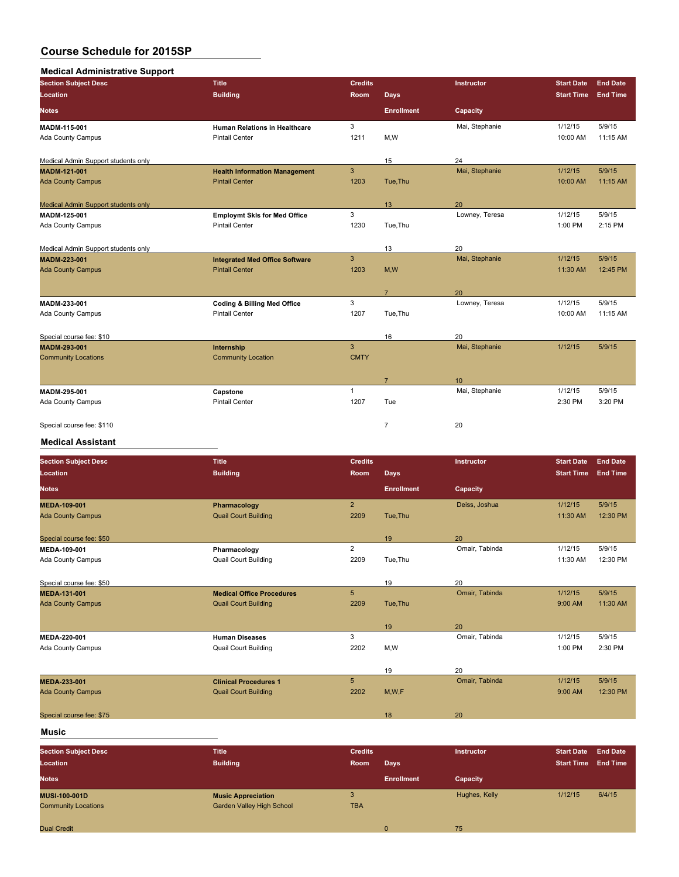## **Medical Administrative Support**

| <b>Section Subject Desc</b>         | <b>Title</b>                           | <b>Credits</b> |                   | Instructor     | <b>Start Date</b> | <b>End Date</b> |
|-------------------------------------|----------------------------------------|----------------|-------------------|----------------|-------------------|-----------------|
| Location                            | <b>Building</b>                        | <b>Room</b>    | <b>Days</b>       |                | <b>Start Time</b> | <b>End Time</b> |
| <b>Notes</b>                        |                                        |                | <b>Enrollment</b> | Capacity       |                   |                 |
| MADM-115-001                        | <b>Human Relations in Healthcare</b>   | 3              |                   | Mai, Stephanie | 1/12/15           | 5/9/15          |
| Ada County Campus                   | <b>Pintail Center</b>                  | 1211           | M,W               |                | 10:00 AM          | 11:15 AM        |
| Medical Admin Support students only |                                        |                | 15                | 24             |                   |                 |
| MADM-121-001                        | <b>Health Information Management</b>   | 3              |                   | Mai, Stephanie | 1/12/15           | 5/9/15          |
| <b>Ada County Campus</b>            | <b>Pintail Center</b>                  | 1203           | Tue.Thu           |                | 10:00 AM          | 11:15 AM        |
| Medical Admin Support students only |                                        |                | 13                | 20             |                   |                 |
| MADM-125-001                        | <b>Employmt SkIs for Med Office</b>    | 3              |                   | Lowney, Teresa | 1/12/15           | 5/9/15          |
| <b>Ada County Campus</b>            | <b>Pintail Center</b>                  | 1230           | Tue, Thu          |                | 1:00 PM           | 2:15 PM         |
| Medical Admin Support students only |                                        |                | 13                | 20             |                   |                 |
| MADM-223-001                        | <b>Integrated Med Office Software</b>  | $\mathbf{3}$   |                   | Mai, Stephanie | 1/12/15           | 5/9/15          |
| <b>Ada County Campus</b>            | <b>Pintail Center</b>                  | 1203           | M,W               |                | 11:30 AM          | 12:45 PM        |
|                                     |                                        |                | $\overline{7}$    | 20             |                   |                 |
| MADM-233-001                        | <b>Coding &amp; Billing Med Office</b> | 3              |                   | Lowney, Teresa | 1/12/15           | 5/9/15          |
| Ada County Campus                   | <b>Pintail Center</b>                  | 1207           | Tue, Thu          |                | 10:00 AM          | 11:15 AM        |
| Special course fee: \$10            |                                        |                | 16                | 20             |                   |                 |
| MADM-293-001                        | Internship                             | 3              |                   | Mai, Stephanie | 1/12/15           | 5/9/15          |
| <b>Community Locations</b>          | <b>Community Location</b>              | <b>CMTY</b>    |                   |                |                   |                 |
|                                     |                                        |                | $\overline{7}$    | 10             |                   |                 |
| MADM-295-001                        | Capstone                               | $\mathbf{1}$   |                   | Mai, Stephanie | 1/12/15           | 5/9/15          |
| Ada County Campus                   | <b>Pintail Center</b>                  | 1207           | Tue               |                | 2:30 PM           | 3:20 PM         |
| Special course fee: \$110           |                                        |                | $\overline{7}$    | 20             |                   |                 |

#### **Medical Assistant**

| <b>Section Subject Desc</b> | <b>Title</b>                     | <b>Credits</b>  |                   | Instructor     | <b>Start Date</b> | <b>End Date</b> |
|-----------------------------|----------------------------------|-----------------|-------------------|----------------|-------------------|-----------------|
| Location                    | <b>Building</b>                  | Room            | <b>Days</b>       |                | <b>Start Time</b> | <b>End Time</b> |
| <b>Notes</b>                |                                  |                 | <b>Enrollment</b> | Capacity       |                   |                 |
| <b>MEDA-109-001</b>         | Pharmacology                     | $\overline{2}$  |                   | Deiss, Joshua  | 1/12/15           | 5/9/15          |
| <b>Ada County Campus</b>    | <b>Quail Court Building</b>      | 2209            | Tue, Thu          |                | 11:30 AM          | 12:30 PM        |
| Special course fee: \$50    |                                  |                 | 19                | 20             |                   |                 |
| MEDA-109-001                | Pharmacology                     | $\overline{2}$  |                   | Omair, Tabinda | 1/12/15           | 5/9/15          |
| Ada County Campus           | <b>Quail Court Building</b>      | 2209            | Tue, Thu          |                | 11:30 AM          | 12:30 PM        |
| Special course fee: \$50    |                                  |                 | 19                | 20             |                   |                 |
| <b>MEDA-131-001</b>         | <b>Medical Office Procedures</b> | 5               |                   | Omair, Tabinda | 1/12/15           | 5/9/15          |
| <b>Ada County Campus</b>    | <b>Quail Court Building</b>      | 2209            | Tue, Thu          |                | 9:00 AM           | 11:30 AM        |
|                             |                                  |                 | 19                | 20             |                   |                 |
| MEDA-220-001                | <b>Human Diseases</b>            | 3               |                   | Omair, Tabinda | 1/12/15           | 5/9/15          |
| Ada County Campus           | <b>Quail Court Building</b>      | 2202            | M,W               |                | 1:00 PM           | 2:30 PM         |
|                             |                                  |                 | 19                | 20             |                   |                 |
| <b>MEDA 233 001</b>         | <b>Clinical Procedures 1</b>     | $5\phantom{.0}$ |                   | Omair, Tabinda | 1/12/15           | 5/9/15          |
| <b>Ada County Campus</b>    | <b>Quail Court Building</b>      | 2202            | M, W, F           |                | 9:00 AM           | 12:30 PM        |
| Special course fee: \$75    |                                  |                 | 18                | 20             |                   |                 |
|                             |                                  |                 |                   |                |                   |                 |

## **Music**

| <b>Section Subject Desc</b> | <b>Title</b>                     | <b>Credits</b> |                   | <b>Instructor</b> | <b>Start Date</b> | <b>End Date</b> |
|-----------------------------|----------------------------------|----------------|-------------------|-------------------|-------------------|-----------------|
| Location                    | <b>Building</b>                  | Room           | <b>Days</b>       |                   | <b>Start Time</b> | <b>End Time</b> |
| <b>Notes</b>                |                                  |                | <b>Enrollment</b> | Capacity          |                   |                 |
| <b>MUSI-100-001D</b>        | <b>Music Appreciation</b>        |                |                   | Hughes, Kelly     | 1/12/15           | 6/4/15          |
| <b>Community Locations</b>  | <b>Garden Valley High School</b> | <b>TBA</b>     |                   |                   |                   |                 |
|                             |                                  |                |                   |                   |                   |                 |
| <b>Dual Credit</b>          |                                  |                | $\Omega$          | 75                |                   |                 |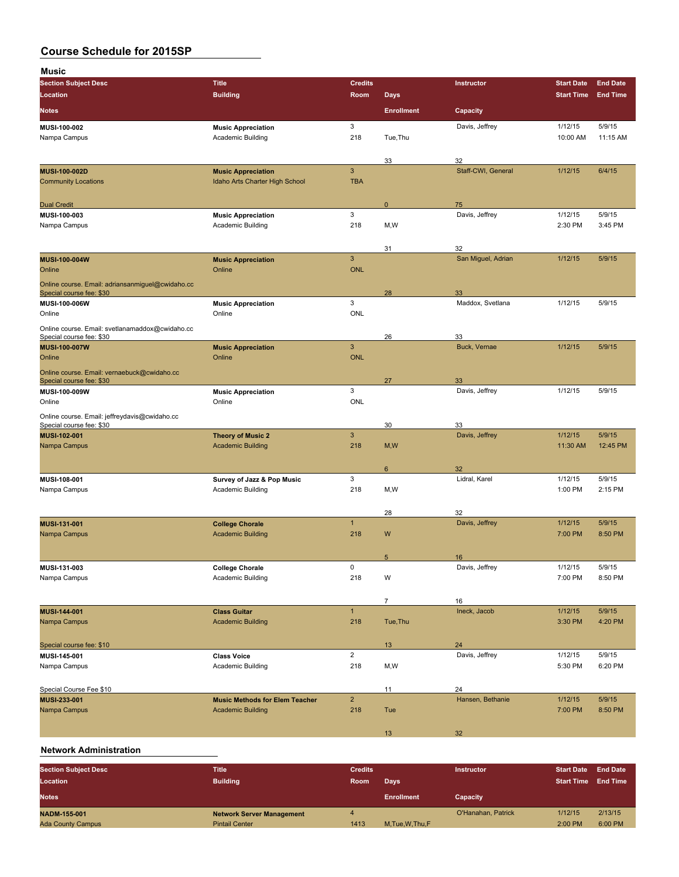| Music                                                                        |                                                                   |                            |                   |                        |                    |                   |
|------------------------------------------------------------------------------|-------------------------------------------------------------------|----------------------------|-------------------|------------------------|--------------------|-------------------|
| <b>Section Subject Desc</b>                                                  | <b>Title</b>                                                      | <b>Credits</b>             |                   | Instructor             | <b>Start Date</b>  | <b>End Date</b>   |
| <b>Location</b>                                                              | <b>Building</b>                                                   | Room                       | <b>Days</b>       |                        | <b>Start Time</b>  | <b>End Time</b>   |
| <b>Notes</b>                                                                 |                                                                   |                            | <b>Enrollment</b> | Capacity               |                    |                   |
| MUSI-100-002                                                                 | <b>Music Appreciation</b>                                         | 3                          |                   | Davis, Jeffrey         | 1/12/15            | 5/9/15            |
| Nampa Campus                                                                 | Academic Building                                                 | 218                        | Tue, Thu          |                        | 10:00 AM           | 11:15 AM          |
|                                                                              |                                                                   |                            |                   |                        |                    |                   |
|                                                                              |                                                                   |                            | 33                | 32                     |                    |                   |
| MUSI-100-002D<br><b>Community Locations</b>                                  | <b>Music Appreciation</b><br>Idaho Arts Charter High School       | $\mathbf{3}$<br><b>TBA</b> |                   | Staff-CWI, General     | 1/12/15            | 6/4/15            |
|                                                                              |                                                                   |                            |                   |                        |                    |                   |
| <b>Dual Credit</b>                                                           |                                                                   |                            | 0                 | 75                     |                    |                   |
| MUSI-100-003                                                                 | <b>Music Appreciation</b>                                         | 3                          |                   | Davis, Jeffrey         | 1/12/15            | 5/9/15            |
| Nampa Campus                                                                 | Academic Building                                                 | 218                        | M,W               |                        | 2:30 PM            | 3:45 PM           |
|                                                                              |                                                                   |                            |                   |                        |                    |                   |
|                                                                              |                                                                   |                            | 31                | 32                     |                    |                   |
| MUSI-100-004W                                                                | <b>Music Appreciation</b>                                         | $\overline{3}$             |                   | San Miguel, Adrian     | 1/12/15            | 5/9/15            |
| Online                                                                       | Online                                                            | <b>ONL</b>                 |                   |                        |                    |                   |
| Online course. Email: adriansanmiguel@cwidaho.cc<br>Special course fee: \$30 |                                                                   |                            | 28                | 33                     |                    |                   |
| MUSI-100-006W                                                                | <b>Music Appreciation</b>                                         | 3                          |                   | Maddox, Svetlana       | 1/12/15            | 5/9/15            |
| Online                                                                       | Online                                                            | <b>ONL</b>                 |                   |                        |                    |                   |
| Online course. Email: svetlanamaddox@cwidaho.cc                              |                                                                   |                            |                   |                        |                    |                   |
| Special course fee: \$30                                                     |                                                                   |                            | 26                | 33                     |                    |                   |
| MUSI-100-007W                                                                | <b>Music Appreciation</b>                                         | $\mathbf{3}$               |                   | Buck, Vernae           | 1/12/15            | 5/9/15            |
| Online                                                                       | Online                                                            | <b>ONL</b>                 |                   |                        |                    |                   |
| Online course. Email: vernaebuck@cwidaho.cc                                  |                                                                   |                            |                   |                        |                    |                   |
| Special course fee: \$30                                                     |                                                                   | 3                          | 27                | 33<br>Davis, Jeffrey   | 1/12/15            | 5/9/15            |
| MUSI-100-009W<br>Online                                                      | <b>Music Appreciation</b><br>Online                               | <b>ONL</b>                 |                   |                        |                    |                   |
|                                                                              |                                                                   |                            |                   |                        |                    |                   |
| Online course. Email: jeffreydavis@cwidaho.cc<br>Special course fee: \$30    |                                                                   |                            | 30                | 33                     |                    |                   |
| MUSI-102-001                                                                 | <b>Theory of Music 2</b>                                          | $\mathbf{3}$               |                   | Davis, Jeffrey         | 1/12/15            | 5/9/15            |
| Nampa Campus                                                                 | <b>Academic Building</b>                                          | 218                        | M, W              |                        | 11:30 AM           | 12:45 PM          |
|                                                                              |                                                                   |                            |                   |                        |                    |                   |
|                                                                              |                                                                   |                            | 6                 | 32                     |                    |                   |
| MUSI-108-001<br>Nampa Campus                                                 | Survey of Jazz & Pop Music<br>Academic Building                   | 3<br>218                   | M,W               | Lidral, Karel          | 1/12/15<br>1:00 PM | 5/9/15<br>2:15 PM |
|                                                                              |                                                                   |                            |                   |                        |                    |                   |
|                                                                              |                                                                   |                            | 28                | 32                     |                    |                   |
| MUSI-131-001                                                                 | <b>College Chorale</b>                                            | $\mathbf{1}$               |                   | Davis, Jeffrey         | 1/12/15            | 5/9/15            |
| Nampa Campus                                                                 | <b>Academic Building</b>                                          | 218                        | W                 |                        | 7:00 PM            | 8:50 PM           |
|                                                                              |                                                                   |                            |                   |                        |                    |                   |
|                                                                              |                                                                   |                            | 5                 | 16                     |                    |                   |
| MUSI-131-003                                                                 | <b>College Chorale</b>                                            | $\mathsf{O}\xspace$        |                   | Davis, Jeffrey         | 1/12/15            | 5/9/15            |
| Nampa Campus                                                                 | Academic Building                                                 | 218                        | W                 |                        | 7:00 PM            | 8:50 PM           |
|                                                                              |                                                                   |                            | $\overline{7}$    |                        |                    |                   |
| MUSI-144-001                                                                 | <b>Class Guitar</b>                                               | $\mathbf{1}$               |                   | 16<br>Ineck, Jacob     | 1/12/15            | 5/9/15            |
| Nampa Campus                                                                 | <b>Academic Building</b>                                          | 218                        | Tue, Thu          |                        | 3:30 PM            | 4:20 PM           |
|                                                                              |                                                                   |                            |                   |                        |                    |                   |
| Special course fee: \$10                                                     |                                                                   |                            | 13                | 24                     |                    |                   |
| MUSI-145-001                                                                 | <b>Class Voice</b>                                                | $\overline{2}$             |                   | Davis, Jeffrey         | 1/12/15            | 5/9/15            |
| Nampa Campus                                                                 | Academic Building                                                 | 218                        | M,W               |                        | 5:30 PM            | 6:20 PM           |
|                                                                              |                                                                   |                            |                   |                        |                    |                   |
| Special Course Fee \$10                                                      |                                                                   |                            | 11                | 24<br>Hansen, Bethanie |                    |                   |
| MUSI-233-001<br>Nampa Campus                                                 | <b>Music Methods for Elem Teacher</b><br><b>Academic Building</b> | $\overline{2}$<br>218      | Tue               |                        | 1/12/15<br>7:00 PM | 5/9/15<br>8:50 PM |
|                                                                              |                                                                   |                            |                   |                        |                    |                   |
|                                                                              |                                                                   |                            | 13                | 32                     |                    |                   |
|                                                                              |                                                                   |                            |                   |                        |                    |                   |

## **Network Administration**

| <b>Section Subject Desc</b> | <b>Title</b>                     | <b>Credits</b> |                   | <b>Instructor</b>  | <b>Start Date</b> | <b>End Date</b> |
|-----------------------------|----------------------------------|----------------|-------------------|--------------------|-------------------|-----------------|
| Location                    | <b>Building</b>                  | <b>Room</b>    | Days              |                    | <b>Start Time</b> | <b>End Time</b> |
| <b>Notes</b>                |                                  |                | <b>Enrollment</b> | Capacity           |                   |                 |
| <b>NADM-155-001</b>         | <b>Network Server Management</b> |                |                   | O'Hanahan, Patrick | 1/12/15           | 2/13/15         |
| <b>Ada County Campus</b>    | <b>Pintail Center</b>            | 1413           | M.Tue, W.Thu, F   |                    | 2:00 PM           | 6:00 PM         |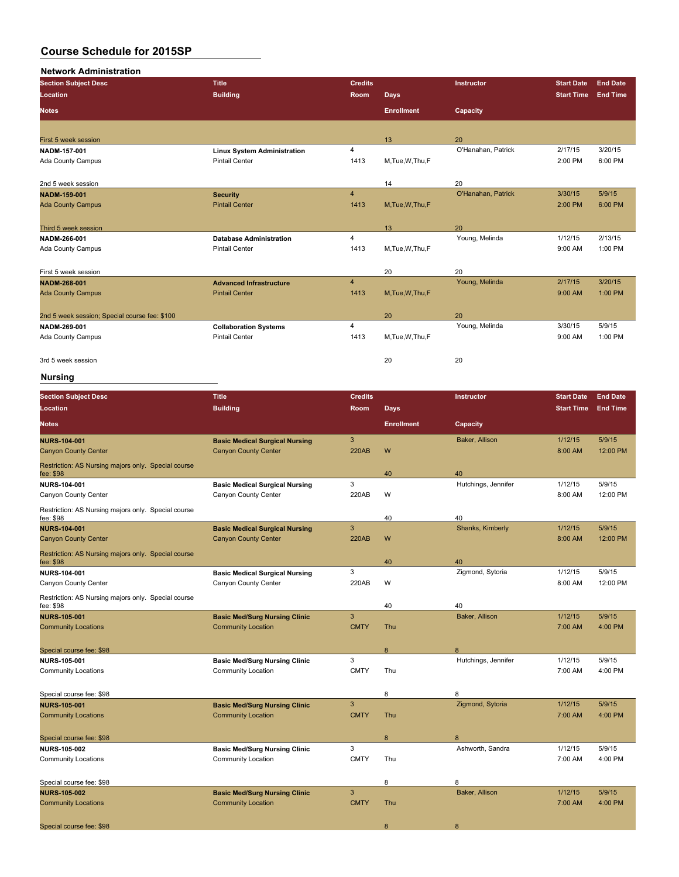#### **Network Administration**

| <b>Section Subject Desc</b>                   | <b>Title</b>                       | <b>Credits</b> |                   | Instructor         | <b>Start Date</b> | <b>End Date</b> |
|-----------------------------------------------|------------------------------------|----------------|-------------------|--------------------|-------------------|-----------------|
| <b>Location</b>                               | <b>Building</b>                    | Room           | <b>Days</b>       |                    | <b>Start Time</b> | <b>End Time</b> |
| <b>Notes</b>                                  |                                    |                | <b>Enrollment</b> | Capacity           |                   |                 |
|                                               |                                    |                |                   |                    |                   |                 |
| First 5 week session                          |                                    |                | 13                | 20                 |                   |                 |
| NADM 157 001                                  | <b>Linux System Administration</b> | 4              |                   | O'Hanahan, Patrick | 2/17/15           | 3/20/15         |
| Ada County Campus                             | <b>Pintail Center</b>              | 1413           | M, Tue, W, Thu, F |                    | 2:00 PM           | 6:00 PM         |
| 2nd 5 week session                            |                                    |                | 14                | 20                 |                   |                 |
| <b>NADM 159 001</b>                           | <b>Security</b>                    | 4              |                   | O'Hanahan, Patrick | 3/30/15           | 5/9/15          |
| <b>Ada County Campus</b>                      | <b>Pintail Center</b>              | 1413           | M, Tue, W, Thu, F |                    | 2:00 PM           | 6:00 PM         |
| Third 5 week session                          |                                    |                | 13                | 20                 |                   |                 |
| NADM-266-001                                  | <b>Database Administration</b>     | 4              |                   | Young, Melinda     | 1/12/15           | 2/13/15         |
| Ada County Campus                             | <b>Pintail Center</b>              | 1413           | M,Tue,W,Thu,F     |                    | 9:00 AM           | 1:00 PM         |
| First 5 week session                          |                                    |                | 20                | 20                 |                   |                 |
| <b>NADM-268-001</b>                           | <b>Advanced Infrastructure</b>     | $\overline{4}$ |                   | Young, Melinda     | 2/17/15           | 3/20/15         |
| <b>Ada County Campus</b>                      | <b>Pintail Center</b>              | 1413           | M, Tue, W, Thu, F |                    | 9:00 AM           | 1:00 PM         |
| 2nd 5 week session; Special course fee: \$100 |                                    |                | 20                | 20                 |                   |                 |
| NADM-269-001                                  | <b>Collaboration Systems</b>       | 4              |                   | Young, Melinda     | 3/30/15           | 5/9/15          |
| Ada County Campus                             | <b>Pintail Center</b>              | 1413           | M, Tue, W, Thu, F |                    | 9:00 AM           | 1:00 PM         |
| 3rd 5 week session                            |                                    |                | 20                | 20                 |                   |                 |

# **Nursing**

| <b>Section Subject Desc</b><br><b>Location</b>                   | <b>Title</b><br><b>Building</b>       | <b>Credits</b><br><b>Room</b> | <b>Days</b>       | Instructor          | <b>Start Date</b><br><b>Start Time</b> | <b>End Date</b><br><b>End Time</b> |
|------------------------------------------------------------------|---------------------------------------|-------------------------------|-------------------|---------------------|----------------------------------------|------------------------------------|
| <b>Notes</b>                                                     |                                       |                               | <b>Enrollment</b> | Capacity            |                                        |                                    |
| <b>NURS-104-001</b>                                              | <b>Basic Medical Surgical Nursing</b> | $\mathbf{3}$                  |                   | Baker, Allison      | 1/12/15                                | 5/9/15                             |
| <b>Canyon County Center</b>                                      | <b>Canyon County Center</b>           | <b>220AB</b>                  | W                 |                     | 8:00 AM                                | 12:00 PM                           |
| Restriction: AS Nursing majors only. Special course<br>fee: \$98 |                                       |                               | 40                | 40                  |                                        |                                    |
| <b>NURS 104-001</b>                                              | <b>Basic Medical Surgical Nursing</b> | 3                             |                   | Hutchings, Jennifer | 1/12/15                                | 5/9/15                             |
| Canyon County Center                                             | Canyon County Center                  | 220AB                         | W                 |                     | 8:00 AM                                | 12:00 PM                           |
| Restriction: AS Nursing majors only. Special course<br>fee: \$98 |                                       |                               | 40                | 40                  |                                        |                                    |
| <b>NURS-104-001</b>                                              | <b>Basic Medical Surgical Nursing</b> | 3                             |                   | Shanks, Kimberly    | 1/12/15                                | 5/9/15                             |
| <b>Canyon County Center</b>                                      | <b>Canyon County Center</b>           | <b>220AB</b>                  | W                 |                     | 8:00 AM                                | 12:00 PM                           |
| Restriction: AS Nursing majors only. Special course<br>fee: \$98 |                                       |                               | 40                | 40                  |                                        |                                    |
| <b>NURS 104-001</b>                                              | <b>Basic Medical Surgical Nursing</b> | 3                             |                   | Zigmond, Sytoria    | 1/12/15                                | 5/9/15                             |
| Canyon County Center                                             | Canyon County Center                  | 220AB                         | W                 |                     | 8:00 AM                                | 12:00 PM                           |
| Restriction: AS Nursing majors only. Special course<br>fee: \$98 |                                       |                               | 40                | 40                  |                                        |                                    |
| <b>NURS 105 001</b>                                              | <b>Basic Med/Surg Nursing Clinic</b>  | $\overline{3}$                |                   | Baker, Allison      | 1/12/15                                | 5/9/15                             |
| <b>Community Locations</b>                                       | <b>Community Location</b>             | <b>CMTY</b>                   | Thu               |                     | 7:00 AM                                | 4:00 PM                            |
|                                                                  |                                       |                               |                   |                     |                                        |                                    |
| Special course fee: \$98                                         |                                       |                               | 8                 | 8                   |                                        |                                    |
| <b>NURS-105-001</b>                                              | <b>Basic Med/Surg Nursing Clinic</b>  | 3                             |                   | Hutchings, Jennifer | 1/12/15                                | 5/9/15                             |
| <b>Community Locations</b>                                       | <b>Community Location</b>             | <b>CMTY</b>                   | Thu               |                     | 7:00 AM                                | 4:00 PM                            |
| Special course fee: \$98                                         |                                       |                               | 8                 | 8                   |                                        |                                    |
| <b>NURS 105 001</b>                                              | <b>Basic Med/Surg Nursing Clinic</b>  | 3                             |                   | Zigmond, Sytoria    | 1/12/15                                | 5/9/15                             |
| <b>Community Locations</b>                                       | <b>Community Location</b>             | <b>CMTY</b>                   | Thu               |                     | 7:00 AM                                | 4:00 PM                            |
| Special course fee: \$98                                         |                                       |                               | 8                 | 8                   |                                        |                                    |
| NURS-105-002                                                     | <b>Basic Med/Surg Nursing Clinic</b>  | 3                             |                   | Ashworth, Sandra    | 1/12/15                                | 5/9/15                             |
| <b>Community Locations</b>                                       | <b>Community Location</b>             | <b>CMTY</b>                   | Thu               |                     | 7:00 AM                                | 4:00 PM                            |
|                                                                  |                                       |                               |                   |                     |                                        |                                    |
| Special course fee: \$98                                         |                                       |                               | 8                 | 8                   |                                        |                                    |
| <b>NURS-105-002</b>                                              | <b>Basic Med/Surg Nursing Clinic</b>  | 3                             |                   | Baker, Allison      | 1/12/15                                | 5/9/15                             |
| <b>Community Locations</b>                                       | <b>Community Location</b>             | <b>CMTY</b>                   | Thu               |                     | 7:00 AM                                | 4:00 PM                            |
| Special course fee: \$98                                         |                                       |                               | 8                 | 8                   |                                        |                                    |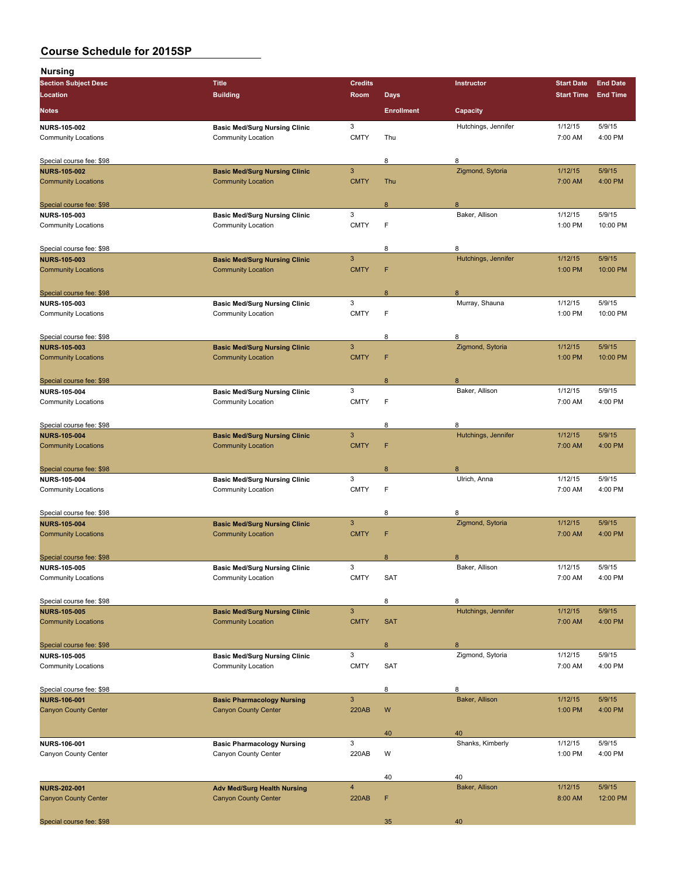| <b>Nursing</b>              |                                      |                           |                   |                        |                   |                 |
|-----------------------------|--------------------------------------|---------------------------|-------------------|------------------------|-------------------|-----------------|
| <b>Section Subject Desc</b> | <b>Title</b>                         | <b>Credits</b>            |                   | Instructor             | <b>Start Date</b> | <b>End Date</b> |
| Location                    | <b>Building</b>                      | Room                      | <b>Days</b>       |                        | <b>Start Time</b> | <b>End Time</b> |
| <b>Notes</b>                |                                      |                           | <b>Enrollment</b> | Capacity               |                   |                 |
| <b>NURS-105-002</b>         | <b>Basic Med/Surg Nursing Clinic</b> | 3                         |                   | Hutchings, Jennifer    | 1/12/15           | 5/9/15          |
| <b>Community Locations</b>  | <b>Community Location</b>            | <b>CMTY</b>               | Thu               |                        | 7:00 AM           | 4:00 PM         |
| Special course fee: \$98    |                                      |                           | 8                 | 8                      |                   |                 |
| <b>NURS-105-002</b>         | <b>Basic Med/Surg Nursing Clinic</b> | 3                         |                   | Zigmond, Sytoria       | 1/12/15           | 5/9/15          |
| <b>Community Locations</b>  | <b>Community Location</b>            | <b>CMTY</b>               | Thu               |                        | 7:00 AM           | 4:00 PM         |
| Special course fee: \$98    |                                      |                           | 8                 | 8                      |                   |                 |
| <b>NURS-105-003</b>         | <b>Basic Med/Surg Nursing Clinic</b> | 3                         |                   | Baker, Allison         | 1/12/15           | 5/9/15          |
| <b>Community Locations</b>  | <b>Community Location</b>            | <b>CMTY</b>               | F                 |                        | 1:00 PM           | 10:00 PM        |
| Special course fee: \$98    |                                      |                           | 8                 | 8                      |                   |                 |
| <b>NURS-105-003</b>         | <b>Basic Med/Surg Nursing Clinic</b> | 3                         |                   | Hutchings, Jennifer    | 1/12/15           | 5/9/15          |
| <b>Community Locations</b>  | <b>Community Location</b>            | <b>CMTY</b>               | F                 |                        | 1:00 PM           | 10:00 PM        |
| Special course fee: \$98    |                                      |                           | 8                 | 8                      |                   |                 |
| <b>NURS-105-003</b>         | <b>Basic Med/Surg Nursing Clinic</b> | 3                         |                   | Murray, Shauna         | 1/12/15           | 5/9/15          |
| <b>Community Locations</b>  | <b>Community Location</b>            | <b>CMTY</b>               | F                 |                        | 1:00 PM           | 10:00 PM        |
| Special course fee: \$98    |                                      |                           | 8                 | 8                      |                   |                 |
| <b>NURS 105 003</b>         | <b>Basic Med/Surg Nursing Clinic</b> | 3                         |                   | Zigmond, Sytoria       | 1/12/15           | 5/9/15          |
| <b>Community Locations</b>  | <b>Community Location</b>            | <b>CMTY</b>               | F                 |                        | 1:00 PM           | 10:00 PM        |
| Special course fee: \$98    |                                      |                           | 8                 | 8                      |                   |                 |
| <b>NURS-105-004</b>         | <b>Basic Med/Surg Nursing Clinic</b> | 3                         |                   | Baker, Allison         | 1/12/15           | 5/9/15          |
| <b>Community Locations</b>  | <b>Community Location</b>            | <b>CMTY</b>               | F                 |                        | 7:00 AM           | 4:00 PM         |
| Special course fee: \$98    |                                      |                           | 8                 | 8                      |                   |                 |
| <b>NURS-105-004</b>         | <b>Basic Med/Surg Nursing Clinic</b> | 3                         |                   | Hutchings, Jennifer    | 1/12/15           | 5/9/15          |
| <b>Community Locations</b>  | <b>Community Location</b>            | <b>CMTY</b>               | F                 |                        | 7:00 AM           | 4:00 PM         |
| Special course fee: \$98    |                                      |                           | 8                 | 8                      |                   |                 |
| <b>NURS-105-004</b>         | <b>Basic Med/Surg Nursing Clinic</b> | 3                         |                   | Ulrich, Anna           | 1/12/15           | 5/9/15          |
| <b>Community Locations</b>  | <b>Community Location</b>            | <b>CMTY</b>               | F                 |                        | 7:00 AM           | 4:00 PM         |
| Special course fee: \$98    |                                      |                           | 8                 | 8                      |                   |                 |
| <b>NURS-105-004</b>         | <b>Basic Med/Surg Nursing Clinic</b> | 3                         |                   | Zigmond, Sytoria       | 1/12/15           | 5/9/15          |
| <b>Community Locations</b>  | <b>Community Location</b>            | <b>CMTY</b>               | F                 |                        | 7:00 AM           | 4:00 PM         |
| Special course fee: \$98    |                                      |                           | $\mathsf{R}$      | 8                      |                   |                 |
| <b>NURS-105-005</b>         | <b>Basic Med/Surg Nursing Clinic</b> | 3                         |                   | Baker, Allison         | 1/12/15           | 5/9/15          |
| <b>Community Locations</b>  | Community Location                   | <b>CMTY</b>               | SAT               |                        | 7:00 AM           | 4:00 PM         |
| Special course fee: \$98    |                                      |                           | 8                 | 8                      |                   |                 |
| <b>NURS-105-005</b>         | <b>Basic Med/Surg Nursing Clinic</b> | 3                         |                   | Hutchings, Jennifer    | 1/12/15           | 5/9/15          |
| <b>Community Locations</b>  | <b>Community Location</b>            | <b>CMTY</b>               | <b>SAT</b>        |                        | 7:00 AM           | 4:00 PM         |
| Special course fee: \$98    |                                      |                           | $\bf8$            | 8                      |                   |                 |
| <b>NURS 105 005</b>         | <b>Basic Med/Surg Nursing Clinic</b> | 3                         |                   | Zigmond, Sytoria       | 1/12/15           | 5/9/15          |
| <b>Community Locations</b>  | Community Location                   | <b>CMTY</b>               | SAT               |                        | 7:00 AM           | 4:00 PM         |
| Special course fee: \$98    |                                      |                           | 8                 | 8                      |                   |                 |
| <b>NURS 106 001</b>         | <b>Basic Pharmacology Nursing</b>    | $\ensuremath{\mathsf{3}}$ |                   | Baker, Allison         | 1/12/15           | 5/9/15          |
| <b>Canyon County Center</b> | <b>Canyon County Center</b>          | <b>220AB</b>              | W                 |                        | 1:00 PM           | 4:00 PM         |
|                             |                                      |                           |                   |                        |                   |                 |
| NURS-106-001                | <b>Basic Pharmacology Nursing</b>    | 3                         | 40                | 40<br>Shanks, Kimberly | 1/12/15           | 5/9/15          |
| Canyon County Center        | Canyon County Center                 | 220AB                     | W                 |                        | 1:00 PM           | 4:00 PM         |
|                             |                                      |                           |                   |                        |                   |                 |
|                             |                                      |                           | 40                | 40                     |                   |                 |
| <b>NURS-202-001</b>         | <b>Adv Med/Surg Health Nursing</b>   | 4                         |                   | Baker, Allison         | 1/12/15           | 5/9/15          |
| <b>Canyon County Center</b> | <b>Canyon County Center</b>          | <b>220AB</b>              | F                 |                        | 8:00 AM           | 12:00 PM        |
| Special course fee: \$98    |                                      |                           | 35                | 40                     |                   |                 |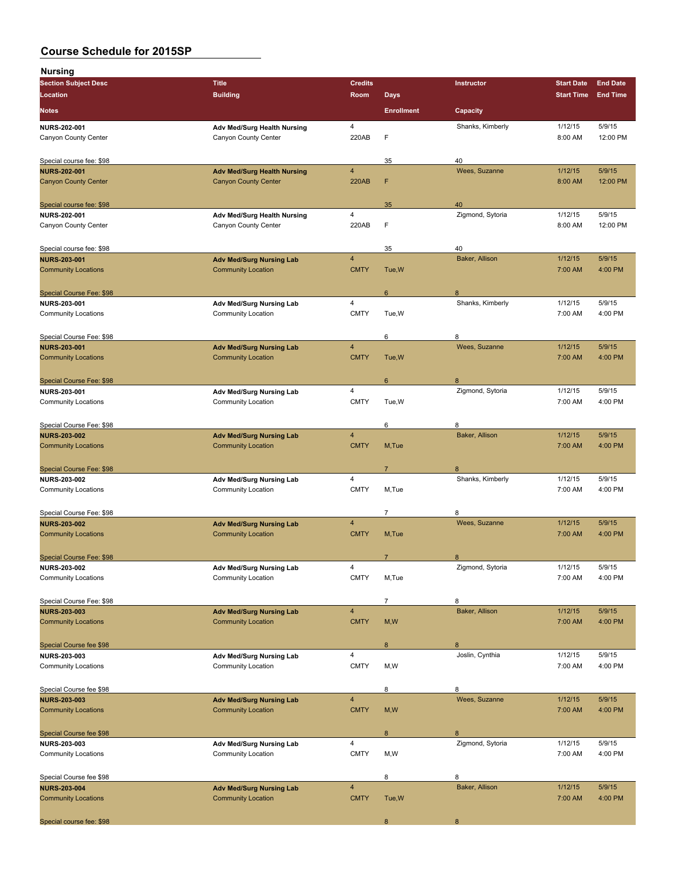| <b>Nursing</b>              |                                    |                         |                   |                  |                   |                 |
|-----------------------------|------------------------------------|-------------------------|-------------------|------------------|-------------------|-----------------|
| <b>Section Subject Desc</b> | <b>Title</b>                       | <b>Credits</b>          |                   | Instructor       | <b>Start Date</b> | <b>End Date</b> |
| Location                    | <b>Building</b>                    | Room                    | <b>Days</b>       |                  | <b>Start Time</b> | <b>End Time</b> |
| <b>Notes</b>                |                                    |                         | <b>Enrollment</b> | Capacity         |                   |                 |
| <b>NURS 202-001</b>         | <b>Adv Med/Surg Health Nursing</b> | 4                       |                   | Shanks, Kimberly | 1/12/15           | 5/9/15          |
| Canyon County Center        | Canyon County Center               | 220AB                   | F                 |                  | 8:00 AM           | 12:00 PM        |
| Special course fee: \$98    |                                    |                         | 35                | 40               |                   |                 |
| <b>NURS-202-001</b>         | <b>Adv Med/Surg Health Nursing</b> | $\overline{\mathbf{4}}$ |                   | Wees, Suzanne    | 1/12/15           | 5/9/15          |
| <b>Canyon County Center</b> | <b>Canyon County Center</b>        | <b>220AB</b>            | F                 |                  | 8:00 AM           | 12:00 PM        |
| Special course fee: \$98    |                                    |                         | 35                | 40               |                   |                 |
| <b>NURS 202-001</b>         | <b>Adv Med/Surg Health Nursing</b> | 4                       |                   | Zigmond, Sytoria | 1/12/15           | 5/9/15          |
| Canyon County Center        | Canyon County Center               | 220AB                   | F                 |                  | 8:00 AM           | 12:00 PM        |
| Special course fee: \$98    |                                    |                         | 35                | 40               |                   |                 |
| <b>NURS-203-001</b>         | <b>Adv Med/Surg Nursing Lab</b>    | 4                       |                   | Baker, Allison   | 1/12/15           | 5/9/15          |
| <b>Community Locations</b>  | <b>Community Location</b>          | <b>CMTY</b>             | Tue, W            |                  | 7:00 AM           | 4:00 PM         |
| Special Course Fee: \$98    |                                    |                         | $6\phantom{1}$    | $\boldsymbol{8}$ |                   |                 |
| <b>NURS 203-001</b>         | Adv Med/Surg Nursing Lab           | 4                       |                   | Shanks, Kimberly | 1/12/15           | 5/9/15          |
| <b>Community Locations</b>  | Community Location                 | <b>CMTY</b>             | Tue, W            |                  | 7:00 AM           | 4:00 PM         |
| Special Course Fee: \$98    |                                    |                         | 6                 | 8                |                   |                 |
| <b>NURS 203 001</b>         | <b>Adv Med/Surg Nursing Lab</b>    | 4                       |                   | Wees, Suzanne    | 1/12/15           | 5/9/15          |
| <b>Community Locations</b>  | <b>Community Location</b>          | <b>CMTY</b>             | Tue, W            |                  | 7:00 AM           | 4:00 PM         |
| Special Course Fee: \$98    |                                    |                         | 6                 | 8                |                   |                 |
| <b>NURS-203-001</b>         | Adv Med/Surg Nursing Lab           | 4                       |                   | Zigmond, Sytoria | 1/12/15           | 5/9/15          |
| <b>Community Locations</b>  | Community Location                 | <b>CMTY</b>             | Tue, W            |                  | 7:00 AM           | 4:00 PM         |
| Special Course Fee: \$98    |                                    |                         | 6                 | 8                |                   |                 |
| <b>NURS-203-002</b>         | <b>Adv Med/Surg Nursing Lab</b>    | 4                       |                   | Baker, Allison   | 1/12/15           | 5/9/15          |
| <b>Community Locations</b>  | <b>Community Location</b>          | <b>CMTY</b>             | M, Tue            |                  | 7:00 AM           | 4:00 PM         |
| Special Course Fee: \$98    |                                    |                         | $\overline{7}$    | 8                |                   |                 |
| <b>NURS 203-002</b>         | Adv Med/Surg Nursing Lab           | 4                       |                   | Shanks, Kimberly | 1/12/15           | 5/9/15          |
| <b>Community Locations</b>  | Community Location                 | <b>CMTY</b>             | M,Tue             |                  | 7:00 AM           | 4:00 PM         |
| Special Course Fee: \$98    |                                    |                         | 7                 | 8                |                   |                 |
| <b>NURS 203-002</b>         | <b>Adv Med/Surg Nursing Lab</b>    | $\overline{\mathbf{4}}$ |                   | Wees, Suzanne    | 1/12/15           | 5/9/15          |
| <b>Community Locations</b>  | <b>Community Location</b>          | <b>CMTY</b>             | M, Tue            |                  | 7:00 AM           | 4:00 PM         |
| Special Course Fee: \$98    |                                    |                         | $\overline{7}$    | 8                |                   |                 |
| <b>NURS-203-002</b>         | Adv Med/Surg Nursing Lab           | 4                       |                   | Zigmond, Sytoria | 1/12/15           | 5/9/15          |
| <b>Community Locations</b>  | <b>Community Location</b>          | <b>CMTY</b>             | M,Tue             |                  | 7:00 AM           | 4:00 PM         |
| Special Course Fee: \$98    |                                    |                         | $\overline{7}$    | 8                |                   |                 |
| <b>NURS-203-003</b>         | <b>Adv Med/Surg Nursing Lab</b>    | 4                       |                   | Baker, Allison   | 1/12/15           | 5/9/15          |
| <b>Community Locations</b>  | <b>Community Location</b>          | <b>CMTY</b>             | M, W              |                  | 7:00 AM           | 4:00 PM         |
| Special Course fee \$98     |                                    |                         | 8                 | 8                |                   |                 |
| NURS-203-003                | Adv Med/Surg Nursing Lab           | 4                       |                   | Joslin, Cynthia  | 1/12/15           | 5/9/15          |
| <b>Community Locations</b>  | Community Location                 | <b>CMTY</b>             | M, W              |                  | 7:00 AM           | 4:00 PM         |
| Special Course fee \$98     |                                    |                         | 8                 | 8                |                   |                 |
| <b>NURS-203-003</b>         | <b>Adv Med/Surg Nursing Lab</b>    | $\overline{\mathbf{4}}$ |                   | Wees, Suzanne    | 1/12/15           | 5/9/15          |
| <b>Community Locations</b>  | <b>Community Location</b>          | <b>CMTY</b>             | M, W              |                  | 7:00 AM           | 4:00 PM         |
| Special Course fee \$98     |                                    |                         | 8                 | 8                |                   |                 |
| <b>NURS-203-003</b>         | Adv Med/Surg Nursing Lab           | 4                       |                   | Zigmond, Sytoria | 1/12/15           | 5/9/15          |
| <b>Community Locations</b>  | <b>Community Location</b>          | <b>CMTY</b>             | M,W               |                  | 7:00 AM           | 4:00 PM         |
| Special Course fee \$98     |                                    |                         | 8                 | 8                |                   |                 |
| <b>NURS-203-004</b>         | <b>Adv Med/Surg Nursing Lab</b>    | $\overline{\mathbf{4}}$ |                   | Baker, Allison   | 1/12/15           | 5/9/15          |
| <b>Community Locations</b>  | <b>Community Location</b>          | <b>CMTY</b>             | Tue, W            |                  | 7:00 AM           | 4:00 PM         |
| Special course fee: \$98    |                                    |                         | $\bf8$            | $\bf8$           |                   |                 |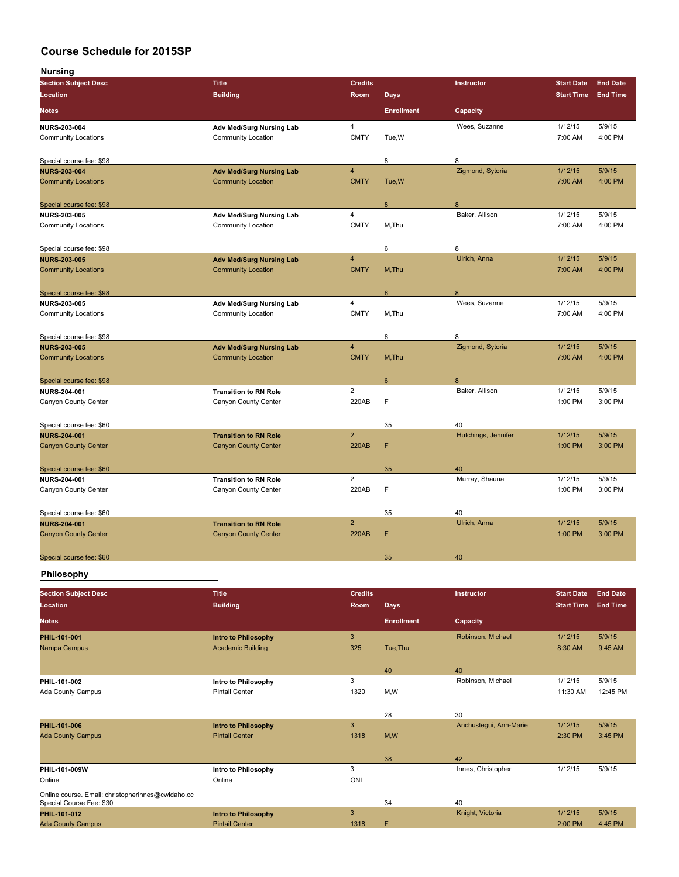| <b>Nursing</b>              |                                 |                |                   |                     |                   |                 |
|-----------------------------|---------------------------------|----------------|-------------------|---------------------|-------------------|-----------------|
| <b>Section Subject Desc</b> | <b>Title</b>                    | <b>Credits</b> |                   | Instructor          | <b>Start Date</b> | <b>End Date</b> |
| Location                    | <b>Building</b>                 | Room           | <b>Days</b>       |                     | <b>Start Time</b> | <b>End Time</b> |
| <b>Notes</b>                |                                 |                | <b>Enrollment</b> | Capacity            |                   |                 |
| <b>NURS-203-004</b>         | Adv Med/Surg Nursing Lab        | $\overline{4}$ |                   | Wees, Suzanne       | 1/12/15           | 5/9/15          |
| <b>Community Locations</b>  | <b>Community Location</b>       | <b>CMTY</b>    | Tue, W            |                     | 7:00 AM           | 4:00 PM         |
| Special course fee: \$98    |                                 |                | 8                 | 8                   |                   |                 |
| <b>NURS-203-004</b>         | <b>Adv Med/Surg Nursing Lab</b> | $\overline{4}$ |                   | Zigmond, Sytoria    | 1/12/15           | 5/9/15          |
| <b>Community Locations</b>  | <b>Community Location</b>       | <b>CMTY</b>    | Tue, W            |                     | 7:00 AM           | 4:00 PM         |
| Special course fee: \$98    |                                 |                | 8                 | 8                   |                   |                 |
| <b>NURS 203 005</b>         | Adv Med/Surg Nursing Lab        | $\overline{4}$ |                   | Baker, Allison      | 1/12/15           | 5/9/15          |
| <b>Community Locations</b>  | <b>Community Location</b>       | <b>CMTY</b>    | M, Thu            |                     | 7:00 AM           | 4:00 PM         |
| Special course fee: \$98    |                                 |                | 6                 | 8                   |                   |                 |
| <b>NURS 203-005</b>         | <b>Adv Med/Surg Nursing Lab</b> | $\overline{4}$ |                   | Ulrich, Anna        | 1/12/15           | 5/9/15          |
| <b>Community Locations</b>  | <b>Community Location</b>       | <b>CMTY</b>    | M, Thu            |                     | 7:00 AM           | 4:00 PM         |
| Special course fee: \$98    |                                 |                | 6                 | 8                   |                   |                 |
| NURS-203-005                | Adv Med/Surg Nursing Lab        | $\overline{4}$ |                   | Wees, Suzanne       | 1/12/15           | 5/9/15          |
| <b>Community Locations</b>  | <b>Community Location</b>       | <b>CMTY</b>    | M, Thu            |                     | 7:00 AM           | 4:00 PM         |
| Special course fee: \$98    |                                 |                | 6                 | 8                   |                   |                 |
| <b>NURS-203-005</b>         | <b>Adv Med/Surg Nursing Lab</b> | $\overline{4}$ |                   | Zigmond, Sytoria    | 1/12/15           | 5/9/15          |
| <b>Community Locations</b>  | <b>Community Location</b>       | <b>CMTY</b>    | M, Thu            |                     | 7:00 AM           | 4:00 PM         |
| Special course fee: \$98    |                                 |                | $6\phantom{1}$    | 8                   |                   |                 |
| <b>NURS 204 001</b>         | <b>Transition to RN Role</b>    | $\overline{2}$ |                   | Baker, Allison      | 1/12/15           | 5/9/15          |
| Canyon County Center        | Canyon County Center            | 220AB          | F                 |                     | 1:00 PM           | 3:00 PM         |
| Special course fee: \$60    |                                 |                | 35                | 40                  |                   |                 |
| <b>NURS-204-001</b>         | <b>Transition to RN Role</b>    | $\overline{2}$ |                   | Hutchings, Jennifer | 1/12/15           | 5/9/15          |
| <b>Canyon County Center</b> | <b>Canyon County Center</b>     | <b>220AB</b>   | F                 |                     | 1:00 PM           | 3:00 PM         |
| Special course fee: \$60    |                                 |                | 35                | 40                  |                   |                 |
| <b>NURS 204-001</b>         | <b>Transition to RN Role</b>    | $\overline{2}$ |                   | Murray, Shauna      | 1/12/15           | 5/9/15          |
| Canyon County Center        | Canyon County Center            | 220AB          | F                 |                     | 1:00 PM           | 3:00 PM         |
| Special course fee: \$60    |                                 |                | 35                | 40                  |                   |                 |
| <b>NURS 204-001</b>         | <b>Transition to RN Role</b>    | $\overline{2}$ |                   | Ulrich, Anna        | 1/12/15           | 5/9/15          |
| <b>Canyon County Center</b> | <b>Canyon County Center</b>     | <b>220AB</b>   | F                 |                     | 1:00 PM           | 3:00 PM         |
| Special course fee: \$60    |                                 |                | 35                | 40                  |                   |                 |
|                             |                                 |                |                   |                     |                   |                 |

## **Philosophy**

| <b>Section Subject Desc</b>                                                   | <b>Title</b>               | <b>Credits</b> |                   | <b>Instructor</b>      | <b>Start Date</b> | <b>End Date</b> |
|-------------------------------------------------------------------------------|----------------------------|----------------|-------------------|------------------------|-------------------|-----------------|
| Location                                                                      | <b>Building</b>            | <b>Room</b>    | <b>Days</b>       |                        | <b>Start Time</b> | <b>End Time</b> |
| <b>Notes</b>                                                                  |                            |                | <b>Enrollment</b> | Capacity               |                   |                 |
| <b>PHIL 101-001</b>                                                           | <b>Intro to Philosophy</b> | 3              |                   | Robinson, Michael      | 1/12/15           | 5/9/15          |
| Nampa Campus                                                                  | <b>Academic Building</b>   | 325            | Tue, Thu          |                        | 8:30 AM           | 9:45 AM         |
|                                                                               |                            |                | 40                | 40                     |                   |                 |
| PHIL-101-002                                                                  | Intro to Philosophy        | 3              |                   | Robinson, Michael      | 1/12/15           | 5/9/15          |
| Ada County Campus                                                             | <b>Pintail Center</b>      | 1320           | M,W               |                        | 11:30 AM          | 12:45 PM        |
|                                                                               |                            |                | 28                | 30                     |                   |                 |
| <b>PHIL-101-006</b>                                                           | <b>Intro to Philosophy</b> | 3              |                   | Anchustegui, Ann-Marie | 1/12/15           | 5/9/15          |
| <b>Ada County Campus</b>                                                      | <b>Pintail Center</b>      | 1318           | M,W               |                        | 2:30 PM           | 3:45 PM         |
|                                                                               |                            |                |                   |                        |                   |                 |
|                                                                               |                            |                | 38                | 42                     |                   |                 |
| PHIL-101-009W                                                                 | Intro to Philosophy        | 3              |                   | Innes, Christopher     | 1/12/15           | 5/9/15          |
| Online                                                                        | Online                     | ONL            |                   |                        |                   |                 |
| Online course. Email: christopherinnes@cwidaho.cc<br>Special Course Fee: \$30 |                            |                | 34                | 40                     |                   |                 |
|                                                                               |                            | 3              |                   |                        | 1/12/15           | 5/9/15          |
| PHIL-101-012                                                                  | <b>Intro to Philosophy</b> |                |                   | Knight, Victoria       |                   |                 |
| <b>Ada County Campus</b>                                                      | <b>Pintail Center</b>      | 1318           | F                 |                        | 2:00 PM           | 4:45 PM         |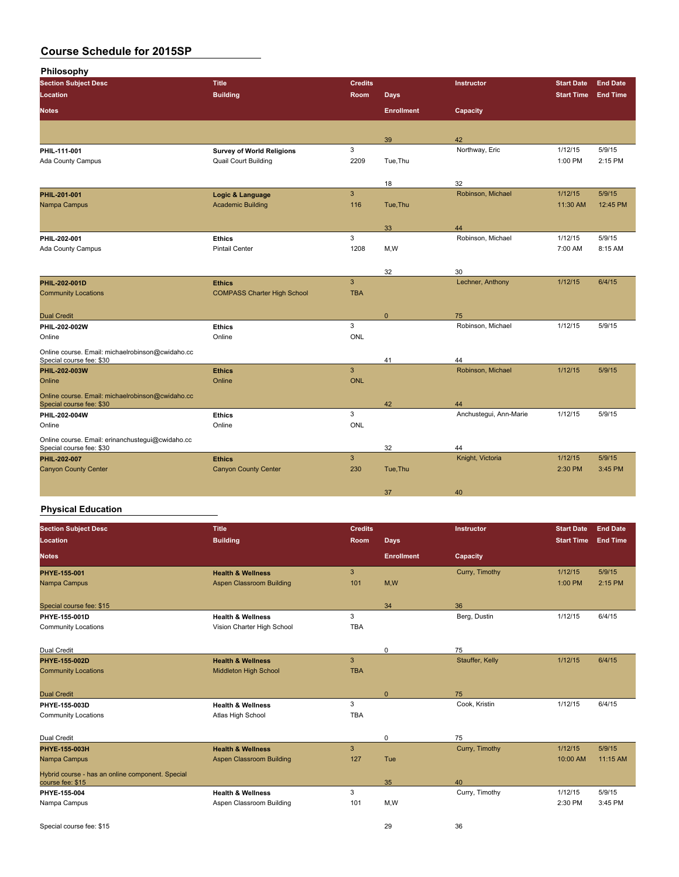**Philosophy**

| <b>Section Subject Desc</b>                                                  | <b>Title</b>                       | <b>Credits</b> |                   | Instructor              | <b>Start Date</b> | <b>End Date</b> |
|------------------------------------------------------------------------------|------------------------------------|----------------|-------------------|-------------------------|-------------------|-----------------|
| Location                                                                     | <b>Building</b>                    | Room           | <b>Days</b>       |                         | <b>Start Time</b> | <b>End Time</b> |
| <b>Notes</b>                                                                 |                                    |                | <b>Enrollment</b> | Capacity                |                   |                 |
|                                                                              |                                    |                |                   |                         |                   |                 |
|                                                                              |                                    |                | 39                | 42                      |                   |                 |
| PHIL-111-001                                                                 | <b>Survey of World Religions</b>   | 3              |                   | Northway, Eric          | 1/12/15           | 5/9/15          |
| Ada County Campus                                                            | <b>Quail Court Building</b>        | 2209           | Tue, Thu          |                         | 1:00 PM           | 2:15 PM         |
|                                                                              |                                    |                |                   |                         |                   |                 |
|                                                                              |                                    |                | 18                | 32                      |                   |                 |
| PHIL-201-001                                                                 | Logic & Language                   | $\overline{3}$ |                   | Robinson, Michael       | 1/12/15           | 5/9/15          |
| Nampa Campus                                                                 | <b>Academic Building</b>           | 116            | Tue, Thu          |                         | 11:30 AM          | 12:45 PM        |
|                                                                              |                                    |                |                   |                         |                   |                 |
|                                                                              |                                    | 3              | 33                | 44<br>Robinson, Michael | 1/12/15           | 5/9/15          |
| PHIL 202 001                                                                 | <b>Ethics</b>                      |                |                   |                         |                   |                 |
| Ada County Campus                                                            | <b>Pintail Center</b>              | 1208           | M,W               |                         | 7:00 AM           | 8:15 AM         |
|                                                                              |                                    |                |                   |                         |                   |                 |
|                                                                              |                                    | $\overline{3}$ | 32                | 30<br>Lechner, Anthony  | 1/12/15           | 6/4/15          |
| <b>PHIL 202-001D</b>                                                         | <b>Ethics</b>                      | <b>TBA</b>     |                   |                         |                   |                 |
| <b>Community Locations</b>                                                   | <b>COMPASS Charter High School</b> |                |                   |                         |                   |                 |
| <b>Dual Credit</b>                                                           |                                    |                | $\mathbf{0}$      | 75                      |                   |                 |
| PHIL-202-002W                                                                | <b>Ethics</b>                      | $\mathbf{3}$   |                   | Robinson, Michael       | 1/12/15           | 5/9/15          |
| Online                                                                       | Online                             | <b>ONL</b>     |                   |                         |                   |                 |
|                                                                              |                                    |                |                   |                         |                   |                 |
| Online course. Email: michaelrobinson@cwidaho.cc<br>Special course fee: \$30 |                                    |                | 41                | 44                      |                   |                 |
| PHIL-202-003W                                                                | <b>Ethics</b>                      | $\mathbf{3}$   |                   | Robinson, Michael       | 1/12/15           | 5/9/15          |
| Online                                                                       | Online                             | <b>ONL</b>     |                   |                         |                   |                 |
| Online course. Email: michaelrobinson@cwidaho.cc                             |                                    |                |                   |                         |                   |                 |
| Special course fee: \$30                                                     |                                    |                | 42                | 44                      |                   |                 |
| PHIL-202-004W                                                                | <b>Ethics</b>                      | 3              |                   | Anchustegui, Ann-Marie  | 1/12/15           | 5/9/15          |
| Online                                                                       | Online                             | <b>ONL</b>     |                   |                         |                   |                 |
| Online course. Email: erinanchustegui@cwidaho.cc                             |                                    |                |                   |                         |                   |                 |
| Special course fee: \$30                                                     |                                    |                | 32                | 44                      |                   |                 |
| PHIL-202-007                                                                 | <b>Ethics</b>                      | $\mathbf{3}$   |                   | Knight, Victoria        | 1/12/15           | 5/9/15          |
| <b>Canyon County Center</b>                                                  | <b>Canyon County Center</b>        | 230            | Tue, Thu          |                         | 2:30 PM           | 3:45 PM         |
|                                                                              |                                    |                |                   |                         |                   |                 |
|                                                                              |                                    |                | 37                | 40                      |                   |                 |

# **Physical Education**

| <b>Section Subject Desc</b>                                          | <b>Title</b>                 | <b>Credits</b> |                   | Instructor      | <b>Start Date</b> | <b>End Date</b> |
|----------------------------------------------------------------------|------------------------------|----------------|-------------------|-----------------|-------------------|-----------------|
| Location                                                             | <b>Building</b>              | <b>Room</b>    | <b>Days</b>       |                 | <b>Start Time</b> | <b>End Time</b> |
| <b>Notes</b>                                                         |                              |                | <b>Enrollment</b> | Capacity        |                   |                 |
| PHYE-155-001                                                         | <b>Health &amp; Wellness</b> | $\mathbf{3}$   |                   | Curry, Timothy  | 1/12/15           | 5/9/15          |
| Nampa Campus                                                         | Aspen Classroom Building     | 101            | M,W               |                 | 1:00 PM           | 2:15 PM         |
| Special course fee: \$15                                             |                              |                | 34                | 36              |                   |                 |
| PHYE 155 001D                                                        | <b>Health &amp; Wellness</b> | 3              |                   | Berg, Dustin    | 1/12/15           | 6/4/15          |
| <b>Community Locations</b>                                           | Vision Charter High School   | <b>TBA</b>     |                   |                 |                   |                 |
| Dual Credit                                                          |                              |                | $\mathbf 0$       | 75              |                   |                 |
| <b>PHYE 155 002D</b>                                                 | <b>Health &amp; Wellness</b> | 3              |                   | Stauffer, Kelly | 1/12/15           | 6/4/15          |
| <b>Community Locations</b>                                           | Middleton High School        | <b>TBA</b>     |                   |                 |                   |                 |
| <b>Dual Credit</b>                                                   |                              |                | $\mathbf{0}$      | 75              |                   |                 |
| PHYE 155 003D                                                        | <b>Health &amp; Wellness</b> | 3              |                   | Cook. Kristin   | 1/12/15           | 6/4/15          |
| <b>Community Locations</b>                                           | Atlas High School            | <b>TBA</b>     |                   |                 |                   |                 |
| Dual Credit                                                          |                              |                | $\mathbf 0$       | 75              |                   |                 |
| <b>PHYE 155 003H</b>                                                 | <b>Health &amp; Wellness</b> | 3              |                   | Curry, Timothy  | 1/12/15           | 5/9/15          |
| Nampa Campus                                                         | Aspen Classroom Building     | 127            | Tue               |                 | 10:00 AM          | 11:15 AM        |
| Hybrid course - has an online component. Special<br>course fee: \$15 |                              |                | 35                | 40              |                   |                 |
| PHYE-155-004                                                         | <b>Health &amp; Wellness</b> | 3              |                   | Curry, Timothy  | 1/12/15           | 5/9/15          |
| Nampa Campus                                                         | Aspen Classroom Building     | 101            | M,W               |                 | 2:30 PM           | 3:45 PM         |
| Special course fee: \$15                                             |                              |                | 29                | 36              |                   |                 |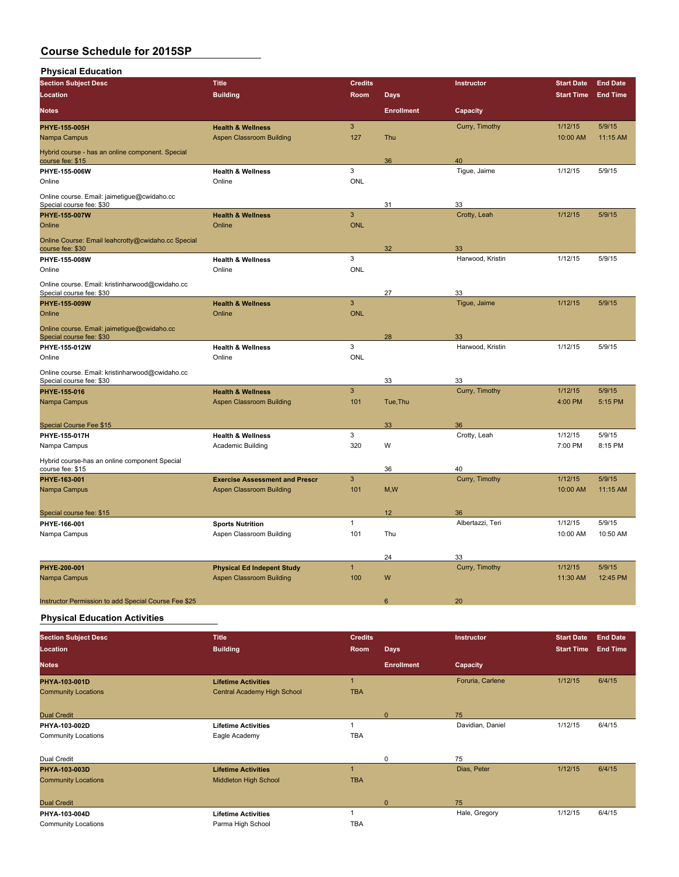| <b>Physical Education</b>                                                   |                                                                      |                |                   |                  |                   |                 |
|-----------------------------------------------------------------------------|----------------------------------------------------------------------|----------------|-------------------|------------------|-------------------|-----------------|
| <b>Section Subject Desc</b>                                                 | <b>Title</b>                                                         | <b>Credits</b> |                   | Instructor       | <b>Start Date</b> | <b>End Date</b> |
| <b>Location</b>                                                             | <b>Building</b>                                                      | Room           | <b>Days</b>       |                  | <b>Start Time</b> | <b>End Time</b> |
| <b>Notes</b>                                                                |                                                                      |                | <b>Enrollment</b> | Capacity         |                   |                 |
| PHYE-155-005H                                                               | <b>Health &amp; Wellness</b>                                         | $\mathbf{3}$   |                   | Curry, Timothy   | 1/12/15           | 5/9/15          |
| Nampa Campus                                                                | <b>Aspen Classroom Building</b>                                      | 127            | Thu               |                  | 10:00 AM          | 11:15 AM        |
| Hybrid course - has an online component. Special<br>course fee: \$15        |                                                                      |                | 36                | 40               |                   |                 |
| PHYE-155-006W                                                               | <b>Health &amp; Wellness</b>                                         | 3              |                   | Tigue, Jaime     | 1/12/15           | 5/9/15          |
| Online                                                                      | Online                                                               | <b>ONL</b>     |                   |                  |                   |                 |
| Online course. Email: jaimetigue@cwidaho.cc<br>Special course fee: \$30     |                                                                      |                | 31                | 33               |                   |                 |
| PHYE-155-007W                                                               | <b>Health &amp; Wellness</b>                                         | $\overline{3}$ |                   | Crotty, Leah     | 1/12/15           | 5/9/15          |
| Online                                                                      | Online                                                               | <b>ONL</b>     |                   |                  |                   |                 |
| Online Course: Email leahcrotty@cwidaho.cc Special<br>course fee: \$30      |                                                                      |                | 32                | 33               |                   |                 |
| PHYE-155-008W                                                               | <b>Health &amp; Wellness</b>                                         | 3              |                   | Harwood, Kristin | 1/12/15           | 5/9/15          |
| Online                                                                      | Online                                                               | <b>ONL</b>     |                   |                  |                   |                 |
| Online course. Email: kristinharwood@cwidaho.cc<br>Special course fee: \$30 |                                                                      |                | 27                | 33               |                   |                 |
| <b>PHYE 155 009W</b>                                                        | <b>Health &amp; Wellness</b>                                         | $\overline{3}$ |                   | Tigue, Jaime     | 1/12/15           | 5/9/15          |
| Online                                                                      | Online                                                               | <b>ONL</b>     |                   |                  |                   |                 |
| Online course. Email: jaimetigue@cwidaho.cc<br>Special course fee: \$30     |                                                                      |                | 28                | 33               |                   |                 |
| PHYE-155-012W                                                               | <b>Health &amp; Wellness</b>                                         | 3              |                   | Harwood, Kristin | 1/12/15           | 5/9/15          |
| Online                                                                      | Online                                                               | ONL            |                   |                  |                   |                 |
| Online course. Email: kristinharwood@cwidaho.cc<br>Special course fee: \$30 |                                                                      |                | 33                | 33               |                   |                 |
| PHYE-155-016                                                                | <b>Health &amp; Wellness</b>                                         | $\overline{3}$ |                   | Curry, Timothy   | 1/12/15           | 5/9/15          |
| Nampa Campus                                                                | <b>Aspen Classroom Building</b>                                      | 101            | Tue, Thu          |                  | 4:00 PM           | 5:15 PM         |
|                                                                             |                                                                      |                |                   |                  |                   |                 |
| <b>Special Course Fee \$15</b>                                              |                                                                      | 3              | 33                | 36               | 1/12/15           | 5/9/15          |
| PHYE-155-017H                                                               | <b>Health &amp; Wellness</b>                                         | 320            | W                 | Crotty, Leah     | 7:00 PM           | 8:15 PM         |
| Nampa Campus                                                                | Academic Building                                                    |                |                   |                  |                   |                 |
| Hybrid course-has an online component Special<br>course fee: \$15           |                                                                      |                | 36                | 40               |                   |                 |
| PHYE-163-001                                                                | <b>Exercise Assessment and Prescr</b>                                | $\overline{3}$ |                   | Curry, Timothy   | 1/12/15           | 5/9/15          |
| Nampa Campus                                                                | <b>Aspen Classroom Building</b>                                      | 101            | M,W               |                  | 10:00 AM          | 11:15 AM        |
| Special course fee: \$15                                                    |                                                                      |                | 12                | 36               |                   |                 |
| PHYE-166-001                                                                | <b>Sports Nutrition</b>                                              | $\mathbf{1}$   |                   | Albertazzi, Teri | 1/12/15           | 5/9/15          |
| Nampa Campus                                                                | Aspen Classroom Building                                             | 101            | Thu               |                  | 10:00 AM          | 10:50 AM        |
|                                                                             |                                                                      |                |                   |                  |                   |                 |
|                                                                             |                                                                      | $\mathbf{1}$   | 24                | 33               | 1/12/15           | 5/9/15          |
| PHYE-200-001<br>Nampa Campus                                                | <b>Physical Ed Indepent Study</b><br><b>Aspen Classroom Building</b> | 100            | W                 | Curry, Timothy   | 11:30 AM          | 12:45 PM        |
|                                                                             |                                                                      |                |                   |                  |                   |                 |
| Instructor Permission to add Special Course Fee \$25                        |                                                                      |                | 6                 | 20               |                   |                 |

**Physical Education Activities**

| <b>Section Subject Desc</b> | <b>Title</b>                 | <b>Credits</b> |                   | Instructor       | <b>Start Date</b> | <b>End Date</b> |
|-----------------------------|------------------------------|----------------|-------------------|------------------|-------------------|-----------------|
| Location                    | <b>Building</b>              | Room           | <b>Days</b>       |                  | <b>Start Time</b> | <b>End Time</b> |
| <b>Notes</b>                |                              |                | <b>Enrollment</b> | Capacity         |                   |                 |
| PHYA-103-001D               | <b>Lifetime Activities</b>   | и              |                   | Foruria, Carlene | 1/12/15           | 6/4/15          |
| <b>Community Locations</b>  | Central Academy High School  | <b>TBA</b>     |                   |                  |                   |                 |
|                             |                              |                |                   |                  |                   |                 |
| <b>Dual Credit</b>          |                              |                | $\Omega$          | 75               |                   |                 |
| PHYA-103-002D               | <b>Lifetime Activities</b>   |                |                   | Davidian, Daniel | 1/12/15           | 6/4/15          |
| <b>Community Locations</b>  | Eagle Academy                | <b>TBA</b>     |                   |                  |                   |                 |
|                             |                              |                |                   |                  |                   |                 |
| Dual Credit                 |                              |                | $\mathbf 0$       | 75               |                   |                 |
| PHYA-103-003D               | <b>Lifetime Activities</b>   |                |                   | Dias, Peter      | 1/12/15           | 6/4/15          |
| <b>Community Locations</b>  | <b>Middleton High School</b> | <b>TBA</b>     |                   |                  |                   |                 |
|                             |                              |                |                   |                  |                   |                 |
| <b>Dual Credit</b>          |                              |                | $\Omega$          | 75               |                   |                 |
| PHYA-103-004D               | <b>Lifetime Activities</b>   |                |                   | Hale, Gregory    | 1/12/15           | 6/4/15          |
| <b>Community Locations</b>  | Parma High School            | <b>TBA</b>     |                   |                  |                   |                 |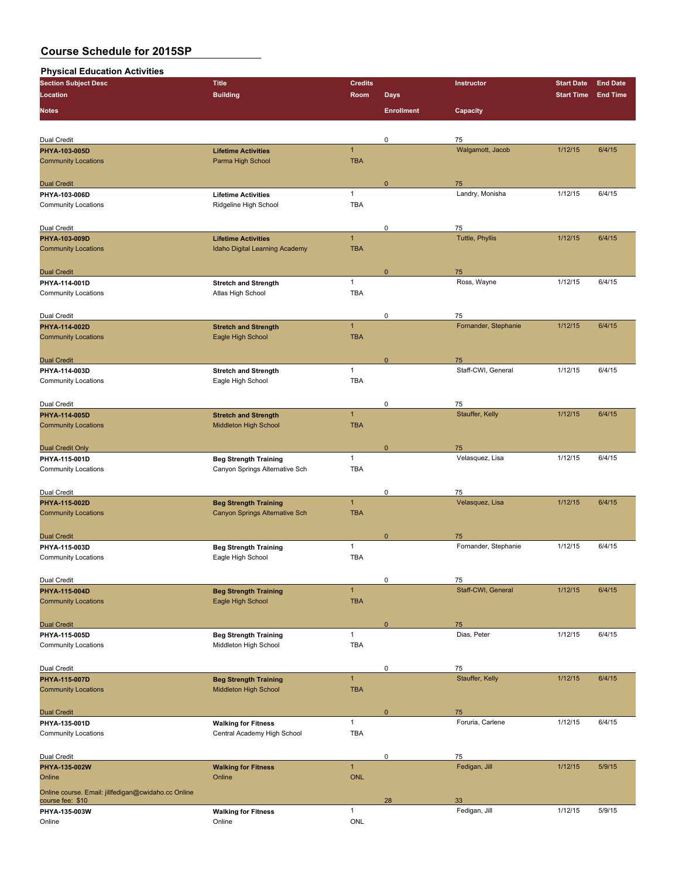## **Physical Education Activities**

| <b>Section Subject Desc</b>                         | <b>Title</b>                                      | <b>Credits</b>             |                   | Instructor                 | <b>Start Date</b> | <b>End Date</b> |
|-----------------------------------------------------|---------------------------------------------------|----------------------------|-------------------|----------------------------|-------------------|-----------------|
| Location                                            | <b>Building</b>                                   | Room                       | <b>Days</b>       |                            | <b>Start Time</b> | <b>End Time</b> |
|                                                     |                                                   |                            |                   |                            |                   |                 |
| <b>Notes</b>                                        |                                                   |                            | <b>Enrollment</b> | Capacity                   |                   |                 |
|                                                     |                                                   |                            |                   |                            |                   |                 |
| Dual Credit                                         |                                                   |                            | 0                 | 75                         |                   |                 |
| PHYA-103-005D                                       | <b>Lifetime Activities</b>                        | $\mathbf{1}$               |                   | Walgamott, Jacob           | 1/12/15           | 6/4/15          |
| <b>Community Locations</b>                          | Parma High School                                 | <b>TBA</b>                 |                   |                            |                   |                 |
|                                                     |                                                   |                            |                   |                            |                   |                 |
| <b>Dual Credit</b>                                  |                                                   |                            | 0                 | 75                         |                   |                 |
| PHYA-103-006D                                       | <b>Lifetime Activities</b>                        | $\mathbf{1}$               |                   | Landry, Monisha            | 1/12/15           | 6/4/15          |
| <b>Community Locations</b>                          | Ridgeline High School                             | <b>TBA</b>                 |                   |                            |                   |                 |
|                                                     |                                                   |                            |                   |                            |                   |                 |
| Dual Credit                                         |                                                   |                            | 0                 | 75                         |                   |                 |
| PHYA-103-009D                                       | <b>Lifetime Activities</b>                        | $\mathbf{1}$<br><b>TBA</b> |                   | <b>Tuttle, Phyllis</b>     | 1/12/15           | 6/4/15          |
| <b>Community Locations</b>                          | Idaho Digital Learning Academy                    |                            |                   |                            |                   |                 |
|                                                     |                                                   |                            |                   |                            |                   |                 |
| <b>Dual Credit</b><br>PHYA-114-001D                 | <b>Stretch and Strength</b>                       | $\mathbf{1}$               | 0                 | 75<br>Ross, Wayne          | 1/12/15           | 6/4/15          |
| <b>Community Locations</b>                          | Atlas High School                                 | <b>TBA</b>                 |                   |                            |                   |                 |
|                                                     |                                                   |                            |                   |                            |                   |                 |
| Dual Credit                                         |                                                   |                            | 0                 | 75                         |                   |                 |
| PHYA-114-002D                                       | <b>Stretch and Strength</b>                       | $\mathbf{1}$               |                   | Fornander, Stephanie       | 1/12/15           | 6/4/15          |
| <b>Community Locations</b>                          | Eagle High School                                 | <b>TBA</b>                 |                   |                            |                   |                 |
|                                                     |                                                   |                            |                   |                            |                   |                 |
| <b>Dual Credit</b>                                  |                                                   |                            | $\mathbf 0$       | 75                         |                   |                 |
| PHYA-114-003D                                       | <b>Stretch and Strength</b>                       | $\mathbf{1}$               |                   | Staff-CWI, General         | 1/12/15           | 6/4/15          |
| <b>Community Locations</b>                          | Eagle High School                                 | <b>TBA</b>                 |                   |                            |                   |                 |
|                                                     |                                                   |                            |                   |                            |                   |                 |
| Dual Credit                                         |                                                   |                            | 0                 | 75                         |                   |                 |
| PHYA-114-005D                                       | <b>Stretch and Strength</b>                       | $\mathbf{1}$               |                   | Stauffer, Kelly            | 1/12/15           | 6/4/15          |
| <b>Community Locations</b>                          | Middleton High School                             | <b>TBA</b>                 |                   |                            |                   |                 |
|                                                     |                                                   |                            |                   |                            |                   |                 |
| <b>Dual Credit Only</b>                             |                                                   |                            | $\mathbf 0$       | 75                         |                   |                 |
| PHYA-115-001D                                       | <b>Beg Strength Training</b>                      | $\mathbf{1}$               |                   | Velasquez, Lisa            | 1/12/15           | 6/4/15          |
| <b>Community Locations</b>                          | Canyon Springs Alternative Sch                    | <b>TBA</b>                 |                   |                            |                   |                 |
|                                                     |                                                   |                            |                   |                            |                   |                 |
| Dual Credit                                         |                                                   |                            | 0                 | 75                         |                   |                 |
| PHYA-115-002D                                       | <b>Beg Strength Training</b>                      | $\mathbf{1}$               |                   | Velasquez, Lisa            | 1/12/15           | 6/4/15          |
| <b>Community Locations</b>                          | Canyon Springs Alternative Sch                    | <b>TBA</b>                 |                   |                            |                   |                 |
|                                                     |                                                   |                            |                   |                            |                   |                 |
| <b>Dual Credit</b>                                  |                                                   | $\mathbf{1}$               | $\mathbf 0$       | 75<br>Fornander, Stephanie | 1/12/15           | 6/4/15          |
| PHYA-115-003D<br><b>Community Locations</b>         | <b>Beg Strength Training</b><br>Eagle High School | <b>TBA</b>                 |                   |                            |                   |                 |
|                                                     |                                                   |                            |                   |                            |                   |                 |
| Dual Credit                                         |                                                   |                            | 0                 | 75                         |                   |                 |
| PHYA-115-004D                                       | <b>Beg Strength Training</b>                      | $\mathbf{1}$               |                   | Staff-CWI, General         | 1/12/15           | 6/4/15          |
| <b>Community Locations</b>                          | Eagle High School                                 | <b>TBA</b>                 |                   |                            |                   |                 |
|                                                     |                                                   |                            |                   |                            |                   |                 |
| <b>Dual Credit</b>                                  |                                                   |                            | 0                 | 75                         |                   |                 |
| PHYA-115-005D                                       | <b>Beg Strength Training</b>                      | $\mathbf{1}$               |                   | Dias, Peter                | 1/12/15           | 6/4/15          |
| <b>Community Locations</b>                          | Middleton High School                             | TBA                        |                   |                            |                   |                 |
|                                                     |                                                   |                            |                   |                            |                   |                 |
| Dual Credit                                         |                                                   |                            | 0                 | 75                         |                   |                 |
| PHYA-115-007D                                       | <b>Beg Strength Training</b>                      | $\mathbf{1}$               |                   | Stauffer, Kelly            | 1/12/15           | 6/4/15          |
| <b>Community Locations</b>                          | Middleton High School                             | <b>TBA</b>                 |                   |                            |                   |                 |
|                                                     |                                                   |                            |                   |                            |                   |                 |
| <b>Dual Credit</b>                                  |                                                   |                            | $\pmb{0}$         | 75                         |                   |                 |
| PHYA-135-001D                                       | <b>Walking for Fitness</b>                        | $\mathbf{1}$               |                   | Foruria, Carlene           | 1/12/15           | 6/4/15          |
| <b>Community Locations</b>                          | Central Academy High School                       | <b>TBA</b>                 |                   |                            |                   |                 |
|                                                     |                                                   |                            |                   |                            |                   |                 |
| Dual Credit                                         |                                                   |                            | 0                 | 75                         |                   |                 |
| PHYA-135-002W                                       | <b>Walking for Fitness</b>                        | $\mathbf{1}$               |                   | Fedigan, Jill              | 1/12/15           | 5/9/15          |
| Online                                              | Online                                            | <b>ONL</b>                 |                   |                            |                   |                 |
| Online course. Email: jillfedigan@cwidaho.cc Online |                                                   |                            |                   |                            |                   |                 |
| course fee: \$10                                    |                                                   | $\mathbf{1}$               | 28                | 33<br>Fedigan, Jill        | 1/12/15           | 5/9/15          |
| PHYA-135-003W<br>Online                             | <b>Walking for Fitness</b><br>Online              | ONL                        |                   |                            |                   |                 |
|                                                     |                                                   |                            |                   |                            |                   |                 |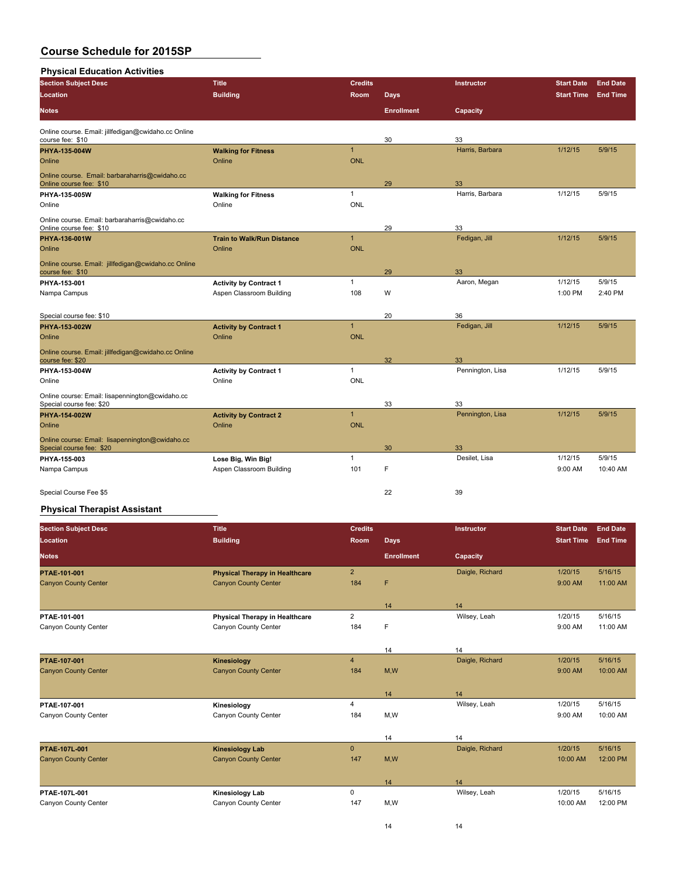## **Physical Education Activities**

| r nysical Euucation Activities                                              |                                      |                |                   |                        |                   |                 |
|-----------------------------------------------------------------------------|--------------------------------------|----------------|-------------------|------------------------|-------------------|-----------------|
| <b>Section Subject Desc</b>                                                 | <b>Title</b>                         | <b>Credits</b> |                   | Instructor             | <b>Start Date</b> | <b>End Date</b> |
| <b>Location</b>                                                             | <b>Building</b>                      | Room           | <b>Days</b>       |                        | <b>Start Time</b> | <b>End Time</b> |
| <b>Notes</b>                                                                |                                      |                | <b>Enrollment</b> | Capacity               |                   |                 |
| Online course. Email: jillfedigan@cwidaho.cc Online                         |                                      |                |                   |                        |                   |                 |
| course fee: \$10                                                            |                                      | $\mathbf{1}$   | 30                | 33                     |                   |                 |
| PHYA-135-004W<br>Online                                                     | <b>Walking for Fitness</b><br>Online | <b>ONL</b>     |                   | Harris, Barbara        | 1/12/15           | 5/9/15          |
|                                                                             |                                      |                |                   |                        |                   |                 |
| Online course. Email: barbaraharris@cwidaho.cc<br>Online course fee: \$10   |                                      |                | 29                | 33                     |                   |                 |
| PHYA-135-005W                                                               | <b>Walking for Fitness</b>           | $\mathbf{1}$   |                   | Harris, Barbara        | 1/12/15           | 5/9/15          |
| Online                                                                      | Online                               | ONL            |                   |                        |                   |                 |
| Online course. Email: barbaraharris@cwidaho.cc                              |                                      |                |                   |                        |                   |                 |
| Online course fee: \$10                                                     |                                      |                | 29                | 33                     |                   |                 |
| PHYA-136-001W                                                               | <b>Train to Walk/Run Distance</b>    | $\overline{1}$ |                   | Fedigan, Jill          | 1/12/15           | 5/9/15          |
| Online                                                                      | Online                               | <b>ONL</b>     |                   |                        |                   |                 |
| Online course. Email: jillfedigan@cwidaho.cc Online<br>course fee: \$10     |                                      |                | 29                | 33                     |                   |                 |
| PHYA-153-001                                                                | <b>Activity by Contract 1</b>        | $\mathbf{1}$   |                   | Aaron, Megan           | 1/12/15           | 5/9/15          |
| Nampa Campus                                                                | Aspen Classroom Building             | 108            | W                 |                        | 1:00 PM           | 2:40 PM         |
|                                                                             |                                      |                |                   |                        |                   |                 |
| Special course fee: \$10                                                    |                                      |                | 20                | 36                     |                   |                 |
| PHYA-153-002W                                                               | <b>Activity by Contract 1</b>        | $\mathbf{1}$   |                   | Fedigan, Jill          | 1/12/15           | 5/9/15          |
| Online                                                                      | Online                               | <b>ONL</b>     |                   |                        |                   |                 |
| Online course. Email: jillfedigan@cwidaho.cc Online                         |                                      |                |                   |                        |                   |                 |
| course fee: \$20                                                            |                                      |                | 32                | 33                     |                   |                 |
| PHYA-153-004W                                                               | <b>Activity by Contract 1</b>        | $\mathbf{1}$   |                   | Pennington, Lisa       | 1/12/15           | 5/9/15          |
| Online                                                                      | Online                               | <b>ONL</b>     |                   |                        |                   |                 |
| Online course: Email: lisapennington@cwidaho.cc                             |                                      |                |                   |                        |                   |                 |
| Special course fee: \$20<br>PHYA-154-002W                                   | <b>Activity by Contract 2</b>        | $\mathbf{1}$   | 33                | 33<br>Pennington, Lisa | 1/12/15           | 5/9/15          |
| Online                                                                      | Online                               | <b>ONL</b>     |                   |                        |                   |                 |
|                                                                             |                                      |                |                   |                        |                   |                 |
| Online course: Email: lisapennington@cwidaho.cc<br>Special course fee: \$20 |                                      |                | 30                | 33                     |                   |                 |
| PHYA-155-003                                                                | Lose Big, Win Big!                   | $\mathbf{1}$   |                   | Desilet, Lisa          | 1/12/15           | 5/9/15          |
| Nampa Campus                                                                | Aspen Classroom Building             | 101            | F                 |                        | 9:00 AM           | 10:40 AM        |
|                                                                             |                                      |                |                   |                        |                   |                 |
| Special Course Fee \$5                                                      |                                      |                | 22                | 39                     |                   |                 |

## **Physical Therapist Assistant**

| <b>Section Subject Desc</b> | <b>Title</b>                          | <b>Credits</b> |                   | <b>Instructor</b> | <b>Start Date</b> | <b>End Date</b> |
|-----------------------------|---------------------------------------|----------------|-------------------|-------------------|-------------------|-----------------|
| Location                    | <b>Building</b>                       | <b>Room</b>    | <b>Days</b>       |                   | <b>Start Time</b> | <b>End Time</b> |
| <b>Notes</b>                |                                       |                | <b>Enrollment</b> | Capacity          |                   |                 |
| PTAE 101-001                | <b>Physical Therapy in Healthcare</b> | $\overline{2}$ |                   | Daigle, Richard   | 1/20/15           | 5/16/15         |
| <b>Canyon County Center</b> | <b>Canyon County Center</b>           | 184            | F                 |                   | 9:00 AM           | 11:00 AM        |
|                             |                                       |                | 14                | 14                |                   |                 |
| PTAE-101-001                | Physical Therapy in Healthcare        | 2              |                   | Wilsey, Leah      | 1/20/15           | 5/16/15         |
| Canyon County Center        | Canyon County Center                  | 184            | F                 |                   | 9:00 AM           | 11:00 AM        |
|                             |                                       |                |                   |                   |                   |                 |
|                             |                                       |                | 14                | 14                |                   |                 |
| PTAE 107-001                | Kinesiology                           | $\overline{4}$ |                   | Daigle, Richard   | 1/20/15           | 5/16/15         |
| <b>Canyon County Center</b> | <b>Canyon County Center</b>           | 184            | M,W               |                   | 9:00 AM           | 10:00 AM        |
|                             |                                       |                |                   |                   |                   |                 |
|                             |                                       |                | 14                | 14                |                   |                 |
| PTAE-107-001                | Kinesiology                           | 4              |                   | Wilsey, Leah      | 1/20/15           | 5/16/15         |
| Canyon County Center        | Canyon County Center                  | 184            | M,W               |                   | 9:00 AM           | 10:00 AM        |
|                             |                                       |                | 14                | 14                |                   |                 |
| <b>PTAE 107L 001</b>        | <b>Kinesiology Lab</b>                | $\mathbf{0}$   |                   | Daigle, Richard   | 1/20/15           | 5/16/15         |
| <b>Canyon County Center</b> | <b>Canyon County Center</b>           | 147            | M,W               |                   | 10:00 AM          | 12:00 PM        |
|                             |                                       |                |                   |                   |                   |                 |
|                             |                                       |                | 14                | 14                |                   |                 |
| PTAE 107L-001               | <b>Kinesiology Lab</b>                | $\mathbf 0$    |                   | Wilsey, Leah      | 1/20/15           | 5/16/15         |
| Canyon County Center        | Canyon County Center                  | 147            | M,W               |                   | 10:00 AM          | 12:00 PM        |
|                             |                                       |                |                   |                   |                   |                 |

14 14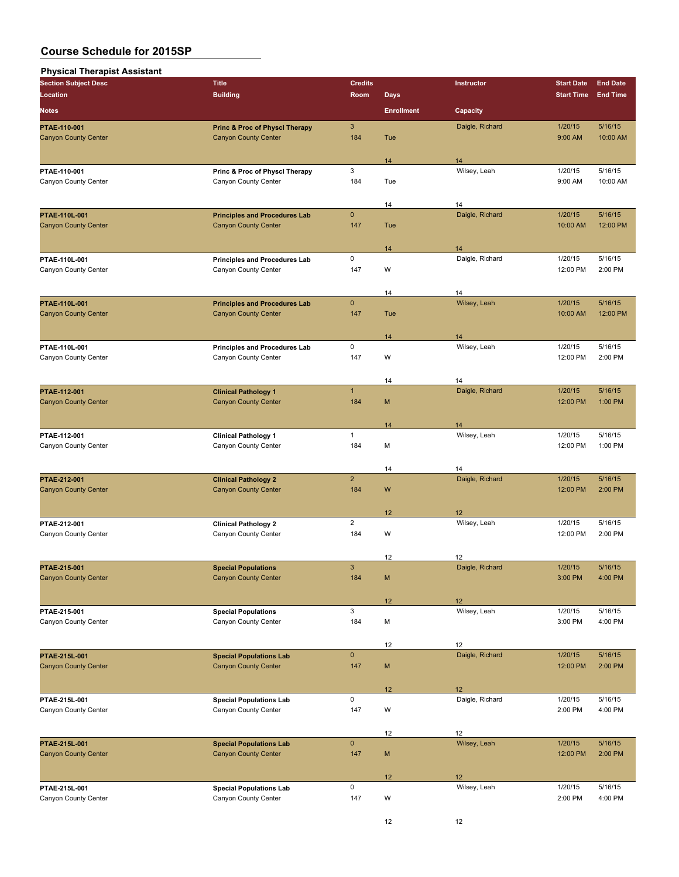| <b>Physical Therapist Assistant</b>         |                                                                          |                |                   |                       |                    |                    |
|---------------------------------------------|--------------------------------------------------------------------------|----------------|-------------------|-----------------------|--------------------|--------------------|
| <b>Section Subject Desc</b>                 | <b>Title</b>                                                             | <b>Credits</b> |                   | Instructor            | <b>Start Date</b>  | <b>End Date</b>    |
| Location                                    | <b>Building</b>                                                          | Room           | <b>Days</b>       |                       | <b>Start Time</b>  | <b>End Time</b>    |
| <b>Notes</b>                                |                                                                          |                | <b>Enrollment</b> | Capacity              |                    |                    |
|                                             |                                                                          | $\mathbf{3}$   |                   | Daigle, Richard       | 1/20/15            | 5/16/15            |
| PTAE-110-001<br><b>Canyon County Center</b> | <b>Princ &amp; Proc of Physcl Therapy</b><br><b>Canyon County Center</b> | 184            | Tue               |                       | 9:00 AM            | 10:00 AM           |
|                                             |                                                                          |                |                   |                       |                    |                    |
|                                             |                                                                          |                | 14                | 14                    |                    |                    |
| PTAE-110-001                                | Princ & Proc of Physcl Therapy                                           | 3              |                   | Wilsey, Leah          | 1/20/15            | 5/16/15            |
| Canyon County Center                        | Canyon County Center                                                     | 184            | Tue               |                       | 9:00 AM            | 10:00 AM           |
|                                             |                                                                          |                |                   |                       |                    |                    |
|                                             |                                                                          |                | 14                | 14                    |                    |                    |
| PTAE-110L-001                               | <b>Principles and Procedures Lab</b>                                     | $\mathbf{0}$   |                   | Daigle, Richard       | 1/20/15            | 5/16/15            |
| <b>Canyon County Center</b>                 | <b>Canyon County Center</b>                                              | 147            | Tue               |                       | 10:00 AM           | 12:00 PM           |
|                                             |                                                                          |                | 14                | 14                    |                    |                    |
| PTAE-110L-001                               | <b>Principles and Procedures Lab</b>                                     | 0              |                   | Daigle, Richard       | 1/20/15            | 5/16/15            |
| Canyon County Center                        | Canyon County Center                                                     | 147            | W                 |                       | 12:00 PM           | 2:00 PM            |
|                                             |                                                                          |                |                   |                       |                    |                    |
|                                             |                                                                          |                | 14                | 14                    |                    |                    |
| PTAE-110L-001                               | <b>Principles and Procedures Lab</b>                                     | $\mathbf{0}$   |                   | Wilsey, Leah          | 1/20/15            | 5/16/15            |
| <b>Canyon County Center</b>                 | <b>Canyon County Center</b>                                              | 147            | Tue               |                       | 10:00 AM           | 12:00 PM           |
|                                             |                                                                          |                |                   |                       |                    |                    |
|                                             |                                                                          | 0              | 14                | 14<br>Wilsey, Leah    | 1/20/15            | 5/16/15            |
| PTAE-110L-001<br>Canyon County Center       | <b>Principles and Procedures Lab</b><br>Canyon County Center             | 147            | W                 |                       | 12:00 PM           | 2:00 PM            |
|                                             |                                                                          |                |                   |                       |                    |                    |
|                                             |                                                                          |                | 14                | 14                    |                    |                    |
| PTAE-112-001                                | <b>Clinical Pathology 1</b>                                              | $\mathbf{1}$   |                   | Daigle, Richard       | 1/20/15            | 5/16/15            |
| <b>Canyon County Center</b>                 | <b>Canyon County Center</b>                                              | 184            | M                 |                       | 12:00 PM           | 1:00 PM            |
|                                             |                                                                          |                |                   |                       |                    |                    |
|                                             |                                                                          |                | 14                | 14                    |                    |                    |
| PTAE-112-001                                | <b>Clinical Pathology 1</b>                                              | $\mathbf{1}$   |                   | Wilsey, Leah          | 1/20/15            | 5/16/15            |
| Canyon County Center                        | Canyon County Center                                                     | 184            | M                 |                       | 12:00 PM           | 1:00 PM            |
|                                             |                                                                          |                |                   |                       |                    |                    |
| PTAE-212-001                                | <b>Clinical Pathology 2</b>                                              | $\overline{2}$ | 14                | 14<br>Daigle, Richard | 1/20/15            | 5/16/15            |
| <b>Canyon County Center</b>                 | <b>Canyon County Center</b>                                              | 184            | W                 |                       | 12:00 PM           | 2:00 PM            |
|                                             |                                                                          |                |                   |                       |                    |                    |
|                                             |                                                                          |                | 12                | 12                    |                    |                    |
| PTAE-212-001                                | <b>Clinical Pathology 2</b>                                              | $\overline{2}$ |                   | Wilsey, Leah          | 1/20/15            | 5/16/15            |
| Canyon County Center                        | Canyon County Center                                                     | 184            | W                 |                       | 12:00 PM           | 2:00 PM            |
|                                             |                                                                          |                |                   |                       |                    |                    |
|                                             |                                                                          |                | 12                | 12                    |                    |                    |
| PTAE 215 001                                | <b>Special Populations</b><br><b>Canyon County Center</b>                | 3              |                   | Daigle, Richard       | 1/20/15            | 5/16/15            |
| <b>Canyon County Center</b>                 |                                                                          | 184            | M                 |                       | 3:00 PM            | 4:00 PM            |
|                                             |                                                                          |                | 12                | 12                    |                    |                    |
| PTAE 215 001                                | <b>Special Populations</b>                                               | 3              |                   | Wilsey, Leah          | 1/20/15            | 5/16/15            |
| Canyon County Center                        | Canyon County Center                                                     | 184            | М                 |                       | 3:00 PM            | 4:00 PM            |
|                                             |                                                                          |                |                   |                       |                    |                    |
|                                             |                                                                          |                | 12                | 12                    |                    |                    |
| PTAE-215L-001                               | <b>Special Populations Lab</b>                                           | $\mathbf 0$    |                   | Daigle, Richard       | 1/20/15            | 5/16/15            |
| <b>Canyon County Center</b>                 | <b>Canyon County Center</b>                                              | 147            | M                 |                       | 12:00 PM           | 2:00 PM            |
|                                             |                                                                          |                |                   |                       |                    |                    |
| PTAE 215L-001                               | <b>Special Populations Lab</b>                                           | 0              | 12                | 12<br>Daigle, Richard | 1/20/15            | 5/16/15            |
| Canyon County Center                        | Canyon County Center                                                     | 147            | W                 |                       | 2:00 PM            | 4:00 PM            |
|                                             |                                                                          |                |                   |                       |                    |                    |
|                                             |                                                                          |                | 12                | 12                    |                    |                    |
| PTAE 215L-001                               | <b>Special Populations Lab</b>                                           | $\pmb{0}$      |                   | Wilsey, Leah          | 1/20/15            | 5/16/15            |
| <b>Canyon County Center</b>                 | <b>Canyon County Center</b>                                              | 147            | M                 |                       | 12:00 PM           | 2:00 PM            |
|                                             |                                                                          |                |                   |                       |                    |                    |
|                                             |                                                                          | 0              | 12                | 12                    |                    |                    |
| PTAE-215L-001<br>Canyon County Center       | <b>Special Populations Lab</b><br>Canyon County Center                   | 147            | W                 | Wilsey, Leah          | 1/20/15<br>2:00 PM | 5/16/15<br>4:00 PM |
|                                             |                                                                          |                |                   |                       |                    |                    |
|                                             |                                                                          |                |                   |                       |                    |                    |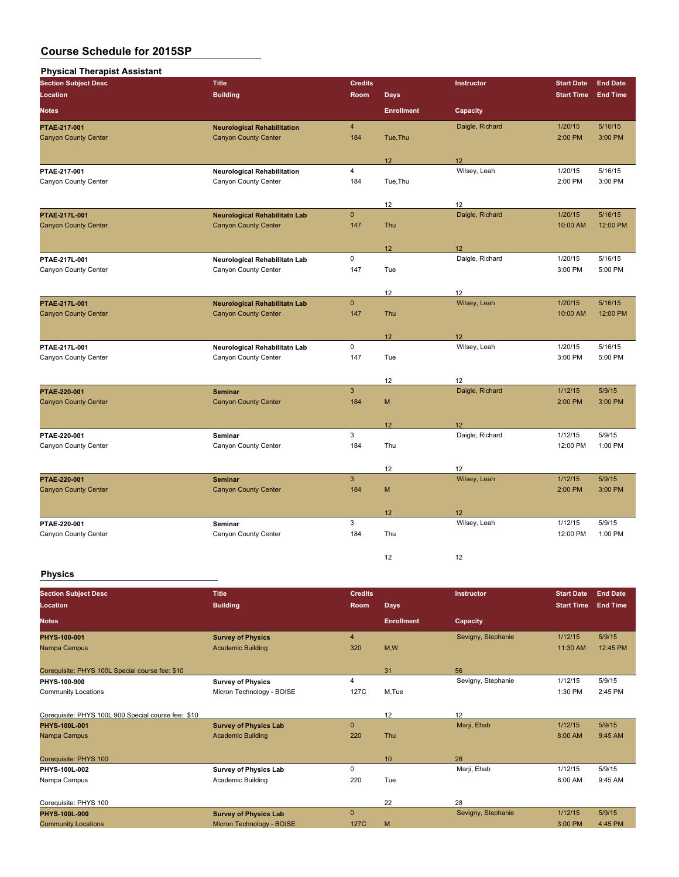| <b>Section Subject Desc</b> | <b>Title</b>                         | <b>Credits</b>          |                   | Instructor      | <b>Start Date</b> | <b>End Date</b> |
|-----------------------------|--------------------------------------|-------------------------|-------------------|-----------------|-------------------|-----------------|
| Location                    | <b>Building</b>                      | Room                    | <b>Days</b>       |                 | <b>Start Time</b> | <b>End Time</b> |
| <b>Notes</b>                |                                      |                         | <b>Enrollment</b> | Capacity        |                   |                 |
| PTAE 217 001                | <b>Neurological Rehabilitation</b>   | $\overline{\mathbf{4}}$ |                   | Daigle, Richard | 1/20/15           | 5/16/15         |
| <b>Canyon County Center</b> | <b>Canyon County Center</b>          | 184                     | Tue, Thu          |                 | 2:00 PM           | 3:00 PM         |
|                             |                                      |                         | 12                | 12              |                   |                 |
| PTAE 217-001                | <b>Neurological Rehabilitation</b>   | 4                       |                   | Wilsey, Leah    | 1/20/15           | 5/16/15         |
| Canyon County Center        | Canyon County Center                 | 184                     | Tue, Thu          |                 | 2:00 PM           | 3:00 PM         |
|                             |                                      |                         | 12                | 12              |                   |                 |
| PTAE 217L 001               | <b>Neurological Rehabilitatn Lab</b> | $\overline{0}$          |                   | Daigle, Richard | 1/20/15           | 5/16/15         |
| <b>Canyon County Center</b> | <b>Canyon County Center</b>          | 147                     | Thu               |                 | 10:00 AM          | 12:00 PM        |
|                             |                                      |                         | 12                | 12              |                   |                 |
| PTAE 217L-001               | Neurological Rehabilitatn Lab        | 0                       |                   | Daigle, Richard | 1/20/15           | 5/16/15         |
| Canyon County Center        | Canyon County Center                 | 147                     | Tue               |                 | 3:00 PM           | 5:00 PM         |
|                             |                                      |                         | 12                | 12              |                   |                 |
| PTAE 217L 001               | <b>Neurological Rehabilitatn Lab</b> | $\overline{0}$          |                   | Wilsey, Leah    | 1/20/15           | 5/16/15         |
| <b>Canyon County Center</b> | <b>Canyon County Center</b>          | 147                     | Thu               |                 | 10:00 AM          | 12:00 PM        |
|                             |                                      |                         | 12                | 12              |                   |                 |
| PTAE 217L-001               | Neurological Rehabilitatn Lab        | 0                       |                   | Wilsey, Leah    | 1/20/15           | 5/16/15         |
| Canyon County Center        | Canyon County Center                 | 147                     | Tue               |                 | 3:00 PM           | 5:00 PM         |
|                             |                                      |                         | 12                | 12              |                   |                 |
| PTAE 220-001                | <b>Seminar</b>                       | 3                       |                   | Daigle, Richard | 1/12/15           | 5/9/15          |
| <b>Canyon County Center</b> | <b>Canyon County Center</b>          | 184                     | M                 |                 | 2:00 PM           | 3:00 PM         |
|                             |                                      |                         | 12                | 12              |                   |                 |
| PTAE-220-001                | Seminar                              | 3                       |                   | Daigle, Richard | 1/12/15           | 5/9/15          |
| Canyon County Center        | Canyon County Center                 | 184                     | Thu               |                 | 12:00 PM          | 1:00 PM         |
|                             |                                      |                         | 12                | 12              |                   |                 |
| PTAE-220-001                | <b>Seminar</b>                       | 3                       |                   | Wilsey, Leah    | 1/12/15           | 5/9/15          |
| <b>Canyon County Center</b> | <b>Canyon County Center</b>          | 184                     | M                 |                 | 2:00 PM           | 3:00 PM         |
|                             |                                      |                         | 12                | 12              |                   |                 |
| PTAE 220-001                | Seminar                              | 3                       |                   | Wilsey, Leah    | 1/12/15           | 5/9/15          |
| Canyon County Center        | Canyon County Center                 | 184                     | Thu               |                 | 12:00 PM          | 1:00 PM         |
|                             |                                      |                         | 12                | 12              |                   |                 |

## **Physics**

| <b>Section Subject Desc</b>                         | <b>Title</b>                 | <b>Credits</b> |                   | Instructor         | <b>Start Date</b> | <b>End Date</b> |
|-----------------------------------------------------|------------------------------|----------------|-------------------|--------------------|-------------------|-----------------|
| Location                                            | <b>Building</b>              | <b>Room</b>    | <b>Days</b>       |                    | <b>Start Time</b> | <b>End Time</b> |
| <b>Notes</b>                                        |                              |                | <b>Enrollment</b> | Capacity           |                   |                 |
| PHYS-100-001                                        | <b>Survey of Physics</b>     | $\overline{4}$ |                   | Sevigny, Stephanie | 1/12/15           | 5/9/15          |
| Nampa Campus                                        | <b>Academic Building</b>     | 320            | M,W               |                    | 11:30 AM          | 12:45 PM        |
| Corequisite: PHYS 100L Special course fee: \$10     |                              |                | 31                | 56                 |                   |                 |
| PHYS-100-900                                        | <b>Survey of Physics</b>     | 4              |                   | Sevigny, Stephanie | 1/12/15           | 5/9/15          |
| <b>Community Locations</b>                          | Micron Technology - BOISE    | 127C           | M.Tue             |                    | 1:30 PM           | 2:45 PM         |
| Corequisite: PHYS 100L 900 Special course fee: \$10 |                              |                | 12                | 12                 |                   |                 |
| PHYS-100L-001                                       | <b>Survey of Physics Lab</b> | $\mathbf{0}$   |                   | Marji, Ehab        | 1/12/15           | 5/9/15          |
| Nampa Campus                                        | <b>Academic Building</b>     | 220            | Thu               |                    | 8:00 AM           | 9:45 AM         |
| Corequisite: PHYS 100                               |                              |                | 10                | 28                 |                   |                 |
| PHYS-100L-002                                       | <b>Survey of Physics Lab</b> | 0              |                   | Marji, Ehab        | 1/12/15           | 5/9/15          |
| Nampa Campus                                        | Academic Building            | 220            | Tue               |                    | 8:00 AM           | 9:45 AM         |
| Corequisite: PHYS 100                               |                              |                | 22                | 28                 |                   |                 |
| PHYS-100L-900                                       | <b>Survey of Physics Lab</b> | $\Omega$       |                   | Sevigny, Stephanie | 1/12/15           | 5/9/15          |
| <b>Community Locations</b>                          | Micron Technology - BOISE    | 127C           | M                 |                    | 3:00 PM           | 4:45 PM         |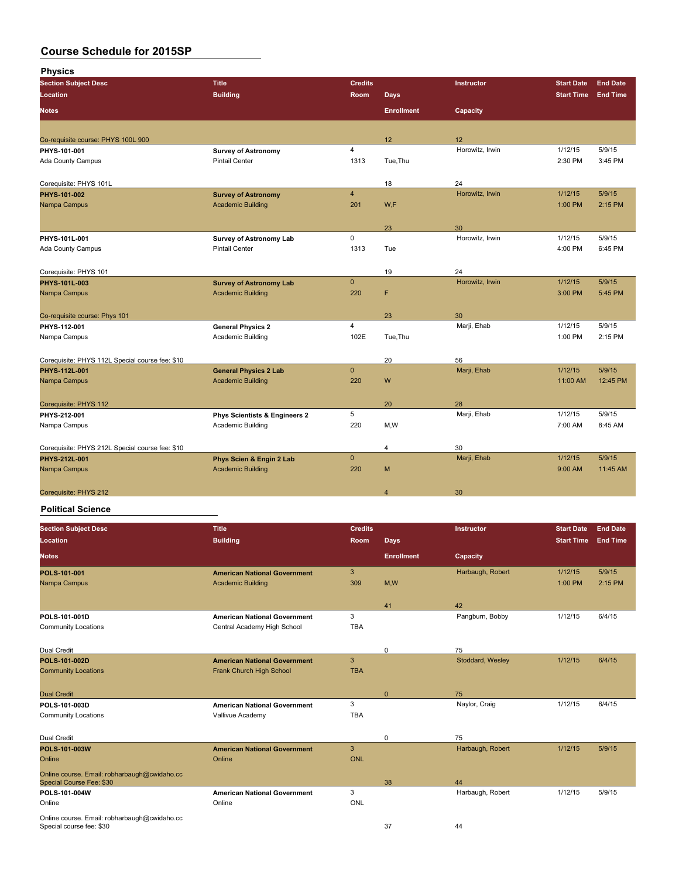**Physics**

| <b>Section Subject Desc</b>                     | <b>Title</b>                             | <b>Credits</b> |                   | Instructor      | <b>Start Date</b> | <b>End Date</b> |
|-------------------------------------------------|------------------------------------------|----------------|-------------------|-----------------|-------------------|-----------------|
| Location                                        | <b>Building</b>                          | Room           | <b>Days</b>       |                 | <b>Start Time</b> | <b>End Time</b> |
| <b>Notes</b>                                    |                                          |                | <b>Enrollment</b> | Capacity        |                   |                 |
|                                                 |                                          |                |                   |                 |                   |                 |
| Co-requisite course: PHYS 100L 900              |                                          |                | 12                | 12              |                   |                 |
| PHYS-101-001                                    | <b>Survey of Astronomy</b>               | $\overline{4}$ |                   | Horowitz, Irwin | 1/12/15           | 5/9/15          |
| <b>Ada County Campus</b>                        | <b>Pintail Center</b>                    | 1313           | Tue, Thu          |                 | 2:30 PM           | 3:45 PM         |
|                                                 |                                          |                |                   |                 |                   |                 |
| Corequisite: PHYS 101L                          |                                          |                | 18                | 24              |                   |                 |
| PHYS-101-002                                    | <b>Survey of Astronomy</b>               | $\overline{4}$ |                   | Horowitz, Irwin | 1/12/15           | 5/9/15          |
| Nampa Campus                                    | <b>Academic Building</b>                 | 201            | W.F               |                 | 1:00 PM           | 2:15 PM         |
|                                                 |                                          |                |                   |                 |                   |                 |
|                                                 |                                          |                | 23                | 30              |                   |                 |
| PHYS-101L-001                                   | <b>Survey of Astronomy Lab</b>           | $\mathbf 0$    |                   | Horowitz, Irwin | 1/12/15           | 5/9/15          |
| Ada County Campus                               | <b>Pintail Center</b>                    | 1313           | Tue               |                 | 4:00 PM           | 6:45 PM         |
|                                                 |                                          |                |                   |                 |                   |                 |
| Corequisite: PHYS 101                           |                                          |                | 19                | 24              |                   |                 |
| PHYS-101L-003                                   | <b>Survey of Astronomy Lab</b>           | $\mathbf{0}$   |                   | Horowitz, Irwin | 1/12/15           | 5/9/15          |
| Nampa Campus                                    | <b>Academic Building</b>                 | 220            | F                 |                 | 3:00 PM           | 5:45 PM         |
|                                                 |                                          |                |                   |                 |                   |                 |
| Co-requisite course: Phys 101                   |                                          |                | 23                | 30              |                   |                 |
| PHYS-112-001                                    | <b>General Physics 2</b>                 | $\overline{4}$ |                   | Marji, Ehab     | 1/12/15           | 5/9/15          |
| Nampa Campus                                    | Academic Building                        | 102E           | Tue, Thu          |                 | 1:00 PM           | 2:15 PM         |
|                                                 |                                          |                |                   |                 |                   |                 |
| Corequisite: PHYS 112L Special course fee: \$10 |                                          |                | 20                | 56              |                   |                 |
| PHYS-112L-001                                   | <b>General Physics 2 Lab</b>             | $\pmb{0}$      |                   | Marji, Ehab     | 1/12/15           | 5/9/15          |
| Nampa Campus                                    | <b>Academic Building</b>                 | 220            | W                 |                 | 11:00 AM          | 12:45 PM        |
|                                                 |                                          |                |                   |                 |                   |                 |
| Corequisite: PHYS 112                           |                                          |                | 20                | 28              |                   |                 |
| PHYS-212-001                                    | <b>Phys Scientists &amp; Engineers 2</b> | 5              |                   | Marji, Ehab     | 1/12/15           | 5/9/15          |
| Nampa Campus                                    | Academic Building                        | 220            | M,W               |                 | 7:00 AM           | 8:45 AM         |
|                                                 |                                          |                |                   |                 |                   |                 |
| Corequisite: PHYS 212L Special course fee: \$10 |                                          |                | 4                 | 30              |                   |                 |
| PHYS-212L-001                                   | Phys Scien & Engin 2 Lab                 | $\mathbf{0}$   |                   | Marji, Ehab     | 1/12/15           | 5/9/15          |
| Nampa Campus                                    | <b>Academic Building</b>                 | 220            | M                 |                 | 9:00 AM           | 11:45 AM        |
|                                                 |                                          |                |                   |                 |                   |                 |
| Corequisite: PHYS 212                           |                                          |                | $\overline{4}$    | 30              |                   |                 |

#### **Political Science**

| <b>Section Subject Desc</b><br>Location                                  | <b>Title</b><br><b>Building</b>                                    | <b>Credits</b><br>Room | <b>Days</b>       | Instructor       | <b>Start Date</b><br><b>Start Time</b> | <b>End Date</b><br><b>End Time</b> |
|--------------------------------------------------------------------------|--------------------------------------------------------------------|------------------------|-------------------|------------------|----------------------------------------|------------------------------------|
| <b>Notes</b>                                                             |                                                                    |                        | <b>Enrollment</b> | Capacity         |                                        |                                    |
| POLS 101-001<br>Nampa Campus                                             | <b>American National Government</b><br><b>Academic Building</b>    | 3<br>309               | M,W               | Harbaugh, Robert | 1/12/15<br>1:00 PM                     | 5/9/15<br>2:15 PM                  |
|                                                                          |                                                                    |                        | 41                | 42               |                                        |                                    |
| POLS-101-001D<br><b>Community Locations</b>                              | <b>American National Government</b><br>Central Academy High School | 3<br><b>TBA</b>        |                   | Pangburn, Bobby  | 1/12/15                                | 6/4/15                             |
| Dual Credit                                                              |                                                                    |                        | $\mathbf 0$       | 75               |                                        |                                    |
| POLS-101-002D<br><b>Community Locations</b>                              | <b>American National Government</b><br>Frank Church High School    | 3<br><b>TBA</b>        |                   | Stoddard, Wesley | 1/12/15                                | 6/4/15                             |
| <b>Dual Credit</b>                                                       |                                                                    |                        | $\mathbf{0}$      | 75               |                                        |                                    |
| POLS 101 003D<br><b>Community Locations</b>                              | <b>American National Government</b><br>Vallivue Academy            | 3<br><b>TBA</b>        |                   | Naylor, Craig    | 1/12/15                                | 6/4/15                             |
| Dual Credit                                                              |                                                                    |                        | $\mathbf 0$       | 75               |                                        |                                    |
| POLS 101 003W<br>Online                                                  | <b>American National Government</b><br>Online                      | 3<br><b>ONL</b>        |                   | Harbaugh, Robert | 1/12/15                                | 5/9/15                             |
| Online course. Email: robharbaugh@cwidaho.cc<br>Special Course Fee: \$30 |                                                                    |                        | 38                | 44               |                                        |                                    |
| POLS 101-004W<br>Online                                                  | <b>American National Government</b><br>Online                      | 3<br><b>ONL</b>        |                   | Harbaugh, Robert | 1/12/15                                | 5/9/15                             |
| Online course. Email: robharbaugh@cwidaho.cc<br>Special course fee: \$30 |                                                                    |                        | 37                | 44               |                                        |                                    |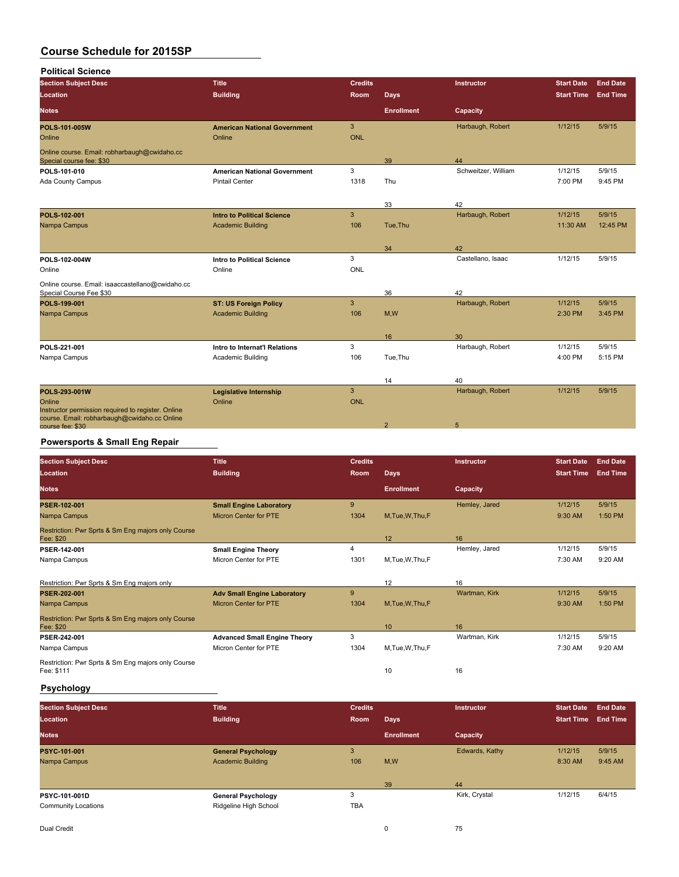| <b>Political Science</b>                                                    |                                     |                |                   |                     |                   |                 |
|-----------------------------------------------------------------------------|-------------------------------------|----------------|-------------------|---------------------|-------------------|-----------------|
| <b>Section Subject Desc</b>                                                 | <b>Title</b>                        | <b>Credits</b> |                   | <b>Instructor</b>   | <b>Start Date</b> | <b>End Date</b> |
| Location                                                                    | <b>Building</b>                     | Room           | <b>Days</b>       |                     | <b>Start Time</b> | <b>End Time</b> |
| <b>Notes</b>                                                                |                                     |                | <b>Enrollment</b> | Capacity            |                   |                 |
| <b>POLS 101 005W</b>                                                        | <b>American National Government</b> | 3              |                   | Harbaugh, Robert    | 1/12/15           | 5/9/15          |
| Online                                                                      | Online                              | <b>ONL</b>     |                   |                     |                   |                 |
| Online course. Email: robharbaugh@cwidaho.cc<br>Special course fee: \$30    |                                     |                | 39                | 44                  |                   |                 |
| POLS-101-010                                                                | <b>American National Government</b> | 3              |                   | Schweitzer, William | 1/12/15           | 5/9/15          |
| Ada County Campus                                                           | <b>Pintail Center</b>               | 1318           | Thu               |                     | 7:00 PM           | 9:45 PM         |
|                                                                             |                                     |                | 33                | 42                  |                   |                 |
| POLS 102-001                                                                | <b>Intro to Political Science</b>   | $\mathbf{3}$   |                   | Harbaugh, Robert    | 1/12/15           | 5/9/15          |
| Nampa Campus                                                                | <b>Academic Building</b>            | 106            | Tue, Thu          |                     | 11:30 AM          | 12:45 PM        |
|                                                                             |                                     |                |                   |                     |                   |                 |
|                                                                             |                                     |                | 34                | 42                  |                   |                 |
| POLS-102-004W                                                               | <b>Intro to Political Science</b>   | 3              |                   | Castellano, Isaac   | 1/12/15           | 5/9/15          |
| Online                                                                      | Online                              | ONL            |                   |                     |                   |                 |
| Online course. Email: isaaccastellano@cwidaho.cc<br>Special Course Fee \$30 |                                     |                | 36                | 42                  |                   |                 |
| POLS-199-001                                                                | <b>ST: US Foreign Policy</b>        | 3              |                   | Harbaugh, Robert    | 1/12/15           | 5/9/15          |
| Nampa Campus                                                                | <b>Academic Building</b>            | 106            | M, W              |                     | 2:30 PM           | 3:45 PM         |
|                                                                             |                                     |                |                   |                     |                   |                 |
|                                                                             |                                     |                | 16                | 30                  |                   |                 |
| POLS 221-001                                                                | Intro to Internat'l Relations       | 3              |                   | Harbaugh, Robert    | 1/12/15           | 5/9/15          |
| Nampa Campus                                                                | Academic Building                   | 106            | Tue, Thu          |                     | 4:00 PM           | 5:15 PM         |
|                                                                             |                                     |                | 14                | 40                  |                   |                 |
| POLS 293 001W                                                               | <b>Legislative Internship</b>       | $\overline{3}$ |                   | Harbaugh, Robert    | 1/12/15           | 5/9/15          |
| Online                                                                      | Online                              | <b>ONL</b>     |                   |                     |                   |                 |
| Instructor permission required to register. Online                          |                                     |                |                   |                     |                   |                 |
| course. Email: robharbaugh@cwidaho.cc Online<br>course fee: \$30            |                                     |                | $\overline{2}$    | 5                   |                   |                 |
|                                                                             |                                     |                |                   |                     |                   |                 |

## **Powersports & Small Eng Repair**

| <b>Section Subject Desc</b><br><b>Location</b>                   | <b>Title</b><br><b>Building</b>     | <b>Credits</b><br>Room | <b>Days</b>       | <b>Instructor</b> | <b>Start Date</b><br><b>Start Time</b> | <b>End Date</b><br><b>End Time</b> |
|------------------------------------------------------------------|-------------------------------------|------------------------|-------------------|-------------------|----------------------------------------|------------------------------------|
| <b>Notes</b>                                                     |                                     |                        | <b>Enrollment</b> | Capacity          |                                        |                                    |
| PSER-102-001                                                     | <b>Small Engine Laboratory</b>      | 9                      |                   | Hemley, Jared     | 1/12/15                                | 5/9/15                             |
| Nampa Campus                                                     | <b>Micron Center for PTE</b>        | 1304                   | M, Tue, W, Thu, F |                   | 9:30 AM                                | 1:50 PM                            |
| Restriction: Pwr Sprts & Sm Eng majors only Course<br>Fee: \$20  |                                     |                        | 12                | 16                |                                        |                                    |
| PSER 142-001                                                     | <b>Small Engine Theory</b>          | 4                      |                   | Hemley, Jared     | 1/12/15                                | 5/9/15                             |
| Nampa Campus                                                     | Micron Center for PTE               | 1301                   | M, Tue, W, Thu, F |                   | 7:30 AM                                | 9:20 AM                            |
| Restriction: Pwr Sprts & Sm Eng majors only                      |                                     |                        | 12                | 16                |                                        |                                    |
| <b>PSER 202-001</b>                                              | <b>Adv Small Engine Laboratory</b>  | 9                      |                   | Wartman, Kirk     | 1/12/15                                | 5/9/15                             |
| Nampa Campus                                                     | <b>Micron Center for PTE</b>        | 1304                   | M.Tue.W.Thu.F     |                   | 9:30 AM                                | 1:50 PM                            |
| Restriction: Pwr Sprts & Sm Eng majors only Course<br>Fee: \$20  |                                     |                        | 10 <sup>°</sup>   | 16                |                                        |                                    |
| PSER 242-001                                                     | <b>Advanced Small Engine Theory</b> | 3                      |                   | Wartman, Kirk     | 1/12/15                                | 5/9/15                             |
| Nampa Campus                                                     | Micron Center for PTE               | 1304                   | M, Tue, W, Thu, F |                   | 7:30 AM                                | 9:20 AM                            |
| Restriction: Pwr Sprts & Sm Eng majors only Course<br>Fee: \$111 |                                     |                        | 10                | 16                |                                        |                                    |

# **Psychology**

| <b>Section Subject Desc</b><br>Location | <b>Title</b><br><b>Building</b> | <b>Credits</b><br>Room | <b>Days</b>       | Instructor     | <b>Start Date</b><br><b>Start Time</b> | <b>End Date</b><br><b>End Time</b> |
|-----------------------------------------|---------------------------------|------------------------|-------------------|----------------|----------------------------------------|------------------------------------|
| <b>Notes</b>                            |                                 |                        | <b>Enrollment</b> | Capacity       |                                        |                                    |
| PSYC 101-001                            | <b>General Psychology</b>       | 3                      |                   | Edwards, Kathy | 1/12/15                                | 5/9/15                             |
| Nampa Campus                            | <b>Academic Building</b>        | 106                    | M,W               |                | 8:30 AM                                | 9:45 AM                            |
|                                         |                                 |                        | 39                | 44             |                                        |                                    |
| PSYC-101-001D                           | <b>General Psychology</b>       | 3                      |                   | Kirk, Crystal  | 1/12/15                                | 6/4/15                             |
| <b>Community Locations</b>              | Ridgeline High School           | <b>TBA</b>             |                   |                |                                        |                                    |
|                                         |                                 |                        |                   |                |                                        |                                    |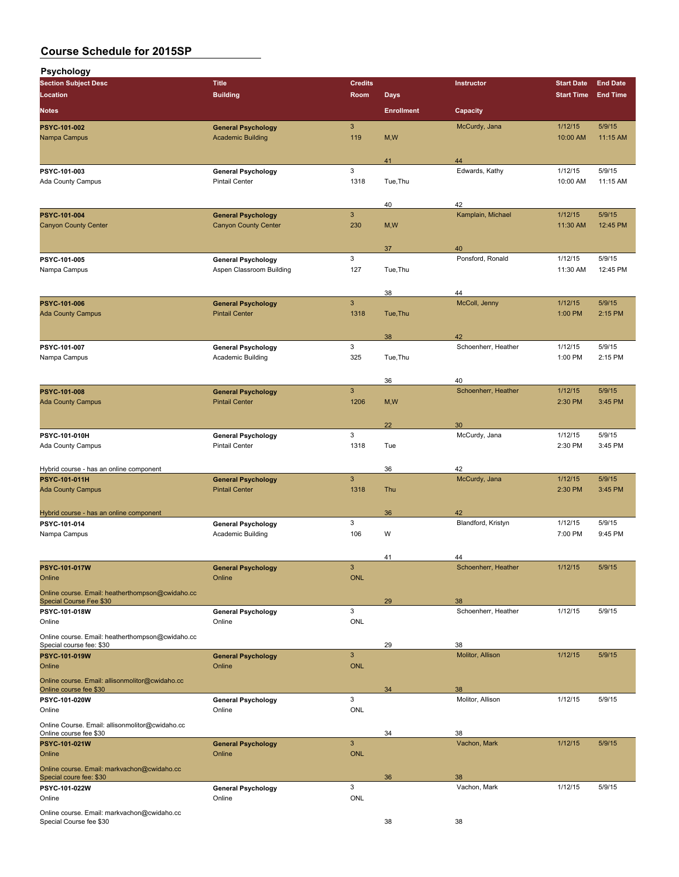| Psychology                                                                   |                                                       |                 |                   |                           |                     |                    |
|------------------------------------------------------------------------------|-------------------------------------------------------|-----------------|-------------------|---------------------------|---------------------|--------------------|
| <b>Section Subject Desc</b>                                                  | <b>Title</b>                                          | <b>Credits</b>  |                   | Instructor                | <b>Start Date</b>   | <b>End Date</b>    |
| Location                                                                     | <b>Building</b>                                       | Room            | <b>Days</b>       |                           | <b>Start Time</b>   | <b>End Time</b>    |
| <b>Notes</b>                                                                 |                                                       |                 | <b>Enrollment</b> | Capacity                  |                     |                    |
| PSYC-101-002<br>Nampa Campus                                                 | <b>General Psychology</b><br><b>Academic Building</b> | 3<br>119        | M, W              | McCurdy, Jana             | 1/12/15<br>10:00 AM | 5/9/15<br>11:15 AM |
|                                                                              |                                                       |                 |                   |                           |                     |                    |
|                                                                              |                                                       |                 | 41                | 44                        |                     |                    |
| PSYC-101-003<br>Ada County Campus                                            | <b>General Psychology</b><br><b>Pintail Center</b>    | 3<br>1318       | Tue, Thu          | Edwards, Kathy            | 1/12/15<br>10:00 AM | 5/9/15<br>11:15 AM |
|                                                                              |                                                       |                 |                   |                           |                     |                    |
|                                                                              |                                                       |                 | 40                | 42                        |                     |                    |
| PSYC-101-004                                                                 | <b>General Psychology</b>                             | $\mathbf{3}$    |                   | Kamplain, Michael         | 1/12/15             | 5/9/15             |
| <b>Canyon County Center</b>                                                  | <b>Canyon County Center</b>                           | 230             | M, W              |                           | 11:30 AM            | 12:45 PM           |
|                                                                              |                                                       |                 | 37                | 40                        |                     |                    |
| PSYC-101-005                                                                 | <b>General Psychology</b>                             | 3               |                   | Ponsford, Ronald          | 1/12/15             | 5/9/15             |
| Nampa Campus                                                                 | Aspen Classroom Building                              | 127             | Tue, Thu          |                           | 11:30 AM            | 12:45 PM           |
|                                                                              |                                                       |                 | 38                | 44                        |                     |                    |
| PSYC-101-006                                                                 | <b>General Psychology</b>                             | $\mathbf{3}$    |                   | McColl, Jenny             | 1/12/15             | 5/9/15             |
| <b>Ada County Campus</b>                                                     | <b>Pintail Center</b>                                 | 1318            | Tue.Thu           |                           | 1:00 PM             | 2:15 PM            |
|                                                                              |                                                       |                 |                   |                           |                     |                    |
| PSYC-101-007                                                                 | <b>General Psychology</b>                             | 3               | 38                | 42<br>Schoenherr, Heather | 1/12/15             | 5/9/15             |
| Nampa Campus                                                                 | Academic Building                                     | 325             | Tue, Thu          |                           | 1:00 PM             | 2:15 PM            |
|                                                                              |                                                       |                 |                   |                           |                     |                    |
|                                                                              |                                                       |                 | 36                | 40                        |                     |                    |
| PSYC-101-008<br><b>Ada County Campus</b>                                     | <b>General Psychology</b><br><b>Pintail Center</b>    | 3<br>1206       | M, W              | Schoenherr, Heather       | 1/12/15<br>2:30 PM  | 5/9/15<br>3:45 PM  |
|                                                                              |                                                       |                 |                   |                           |                     |                    |
|                                                                              |                                                       |                 | 22                | 30                        |                     |                    |
| PSYC-101-010H                                                                | <b>General Psychology</b>                             | 3               |                   | McCurdy, Jana             | 1/12/15             | 5/9/15             |
| Ada County Campus                                                            | <b>Pintail Center</b>                                 | 1318            | Tue               |                           | 2:30 PM             | 3:45 PM            |
| Hybrid course - has an online component                                      |                                                       |                 | 36                | 42                        |                     |                    |
| PSYC-101-011H                                                                | <b>General Psychology</b>                             | 3               |                   | McCurdy, Jana             | 1/12/15             | 5/9/15             |
| <b>Ada County Campus</b>                                                     | <b>Pintail Center</b>                                 | 1318            | Thu               |                           | 2:30 PM             | 3:45 PM            |
|                                                                              |                                                       |                 |                   |                           |                     |                    |
| Hybrid course - has an online component<br>PSYC 101-014                      | <b>General Psychology</b>                             | 3               | 36                | 42<br>Blandford, Kristyn  | 1/12/15             | 5/9/15             |
| Nampa Campus                                                                 | Academic Building                                     | 106             | W                 |                           | 7:00 PM             | 9:45 PM            |
|                                                                              |                                                       |                 |                   |                           |                     |                    |
|                                                                              |                                                       |                 | 41                | 44                        |                     |                    |
| PSYC-101-017W<br>Online                                                      | <b>General Psychology</b><br>Online                   | 3<br><b>ONL</b> |                   | Schoenherr, Heather       | 1/12/15             | 5/9/15             |
| Online course. Email: heatherthompson@cwidaho.cc                             |                                                       |                 |                   |                           |                     |                    |
| Special Course Fee \$30                                                      |                                                       |                 | 29                | 38                        |                     |                    |
| PSYC-101-018W                                                                | <b>General Psychology</b><br>Online                   | 3<br>ONL        |                   | Schoenherr, Heather       | 1/12/15             | 5/9/15             |
| Online                                                                       |                                                       |                 |                   |                           |                     |                    |
| Online course. Email: heatherthompson@cwidaho.cc<br>Special course fee: \$30 |                                                       |                 | 29                | 38                        |                     |                    |
| PSYC-101-019W                                                                | <b>General Psychology</b>                             | $\mathbf{3}$    |                   | Molitor, Allison          | 1/12/15             | 5/9/15             |
| Online                                                                       | Online                                                | <b>ONL</b>      |                   |                           |                     |                    |
| Online course. Email: allisonmolitor@cwidaho.cc<br>Online course fee \$30    |                                                       |                 | 34                | 38                        |                     |                    |
| PSYC-101-020W                                                                | <b>General Psychology</b>                             | 3               |                   | Molitor, Allison          | 1/12/15             | 5/9/15             |
| Online                                                                       | Online                                                | <b>ONL</b>      |                   |                           |                     |                    |
| Online Course. Email: allisonmolitor@cwidaho.cc                              |                                                       |                 |                   |                           |                     |                    |
| Online course fee \$30<br>PSYC-101-021W                                      | <b>General Psychology</b>                             | $\mathbf{3}$    | 34                | 38<br>Vachon, Mark        | 1/12/15             | 5/9/15             |
| Online                                                                       | Online                                                | <b>ONL</b>      |                   |                           |                     |                    |
| Online course. Email: markvachon@cwidaho.cc                                  |                                                       |                 |                   |                           |                     |                    |
| Special coure fee: \$30                                                      |                                                       |                 | 36                | 38                        |                     |                    |
| PSYC-101-022W<br>Online                                                      | <b>General Psychology</b><br>Online                   | 3<br><b>ONL</b> |                   | Vachon, Mark              | 1/12/15             | 5/9/15             |
| Online course. Email: markvachon@cwidaho.cc                                  |                                                       |                 |                   |                           |                     |                    |
| Special Course fee \$30                                                      |                                                       |                 | 38                | 38                        |                     |                    |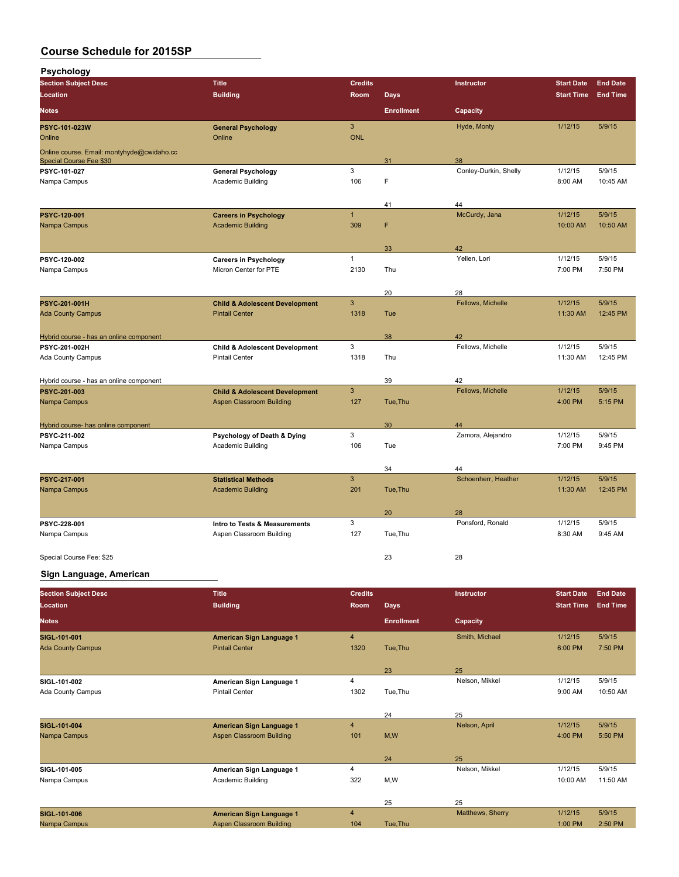**Psychology**

| <b>Location</b><br><b>Building</b><br><b>Days</b><br><b>End Time</b><br>Room<br><b>Start Time</b><br><b>Enrollment</b><br><b>Notes</b><br>Capacity<br>$\mathbf{3}$<br>Hyde, Monty<br>1/12/15<br>5/9/15<br>PSYC-101-023W<br><b>General Psychology</b><br><b>ONL</b><br>Online<br>Online<br>Online course. Email: montyhyde@cwidaho.cc<br>38<br>Special Course Fee \$30<br>31<br>$\mathbf{3}$<br>Conley-Durkin, Shelly<br>1/12/15<br>5/9/15<br>PSYC-101-027<br><b>General Psychology</b><br>106<br>F<br>8:00 AM<br>10:45 AM<br>Nampa Campus<br><b>Academic Building</b><br>44<br>41<br>$\overline{1}$<br>McCurdy, Jana<br>1/12/15<br>5/9/15<br>PSYC-120-001<br><b>Careers in Psychology</b><br>F<br>Nampa Campus<br><b>Academic Building</b><br>309<br>10:00 AM<br>10:50 AM<br>33<br>42<br>$\mathbf{1}$<br>Yellen, Lori<br>1/12/15<br>5/9/15<br>PSYC-120-002<br><b>Careers in Psychology</b><br>Nampa Campus<br>Micron Center for PTE<br>2130<br>Thu<br>7:00 PM<br>7:50 PM<br>20<br>28<br>$\mathbf{3}$<br>Fellows, Michelle<br>1/12/15<br>PSYC-201-001H<br>5/9/15<br><b>Child &amp; Adolescent Development</b><br><b>Ada County Campus</b><br>1318<br>12:45 PM<br><b>Pintail Center</b><br>Tue<br>11:30 AM<br>Hybrid course - has an online component<br>38<br>42<br>$\ensuremath{\mathsf{3}}$<br>Fellows, Michelle<br>1/12/15<br>5/9/15<br>PSYC-201-002H<br><b>Child &amp; Adolescent Development</b><br>1318<br>Thu<br>11:30 AM<br>12:45 PM<br><b>Ada County Campus</b><br><b>Pintail Center</b><br>39<br>42<br>Hybrid course - has an online component<br>$\ensuremath{\mathsf{3}}$<br>Fellows, Michelle<br>1/12/15<br>5/9/15<br>PSYC-201-003<br><b>Child &amp; Adolescent Development</b><br><b>Aspen Classroom Building</b><br>127<br>4:00 PM<br>5:15 PM<br>Nampa Campus<br>Tue, Thu<br>Hybrid course- has online component<br>30<br>44<br>3<br>Zamora, Alejandro<br>1/12/15<br>5/9/15<br>PSYC 211 002<br>Psychology of Death & Dying<br>Academic Building<br>106<br>Tue<br>7:00 PM<br>9:45 PM<br>Nampa Campus<br>34<br>44<br>$\mathbf{3}$<br>Schoenherr, Heather<br>1/12/15<br>5/9/15<br>PSYC 217-001<br><b>Statistical Methods</b><br>Nampa Campus<br><b>Academic Building</b><br>201<br>Tue, Thu<br>11:30 AM<br>12:45 PM<br>20<br>28<br>3<br>Ponsford, Ronald<br>1/12/15<br>5/9/15<br>PSYC 228-001<br>Intro to Tests & Measurements<br>127<br>Nampa Campus<br>Aspen Classroom Building<br>Tue, Thu<br>8:30 AM<br>9:45 AM<br>23<br>28<br>Special Course Fee: \$25 | <b>Section Subject Desc</b> | <b>Title</b> | <b>Credits</b> | Instructor | <b>Start Date</b> | <b>End Date</b> |
|------------------------------------------------------------------------------------------------------------------------------------------------------------------------------------------------------------------------------------------------------------------------------------------------------------------------------------------------------------------------------------------------------------------------------------------------------------------------------------------------------------------------------------------------------------------------------------------------------------------------------------------------------------------------------------------------------------------------------------------------------------------------------------------------------------------------------------------------------------------------------------------------------------------------------------------------------------------------------------------------------------------------------------------------------------------------------------------------------------------------------------------------------------------------------------------------------------------------------------------------------------------------------------------------------------------------------------------------------------------------------------------------------------------------------------------------------------------------------------------------------------------------------------------------------------------------------------------------------------------------------------------------------------------------------------------------------------------------------------------------------------------------------------------------------------------------------------------------------------------------------------------------------------------------------------------------------------------------------------------------------------------------------------------------------------------------------------------------------------------------------------------------------------------------------------------------------------------------------------------------------------------------------------------------------------------------------------------------------------------------------------------------------------------------------------------------------------------------|-----------------------------|--------------|----------------|------------|-------------------|-----------------|
|                                                                                                                                                                                                                                                                                                                                                                                                                                                                                                                                                                                                                                                                                                                                                                                                                                                                                                                                                                                                                                                                                                                                                                                                                                                                                                                                                                                                                                                                                                                                                                                                                                                                                                                                                                                                                                                                                                                                                                                                                                                                                                                                                                                                                                                                                                                                                                                                                                                                        |                             |              |                |            |                   |                 |
|                                                                                                                                                                                                                                                                                                                                                                                                                                                                                                                                                                                                                                                                                                                                                                                                                                                                                                                                                                                                                                                                                                                                                                                                                                                                                                                                                                                                                                                                                                                                                                                                                                                                                                                                                                                                                                                                                                                                                                                                                                                                                                                                                                                                                                                                                                                                                                                                                                                                        |                             |              |                |            |                   |                 |
|                                                                                                                                                                                                                                                                                                                                                                                                                                                                                                                                                                                                                                                                                                                                                                                                                                                                                                                                                                                                                                                                                                                                                                                                                                                                                                                                                                                                                                                                                                                                                                                                                                                                                                                                                                                                                                                                                                                                                                                                                                                                                                                                                                                                                                                                                                                                                                                                                                                                        |                             |              |                |            |                   |                 |
|                                                                                                                                                                                                                                                                                                                                                                                                                                                                                                                                                                                                                                                                                                                                                                                                                                                                                                                                                                                                                                                                                                                                                                                                                                                                                                                                                                                                                                                                                                                                                                                                                                                                                                                                                                                                                                                                                                                                                                                                                                                                                                                                                                                                                                                                                                                                                                                                                                                                        |                             |              |                |            |                   |                 |
|                                                                                                                                                                                                                                                                                                                                                                                                                                                                                                                                                                                                                                                                                                                                                                                                                                                                                                                                                                                                                                                                                                                                                                                                                                                                                                                                                                                                                                                                                                                                                                                                                                                                                                                                                                                                                                                                                                                                                                                                                                                                                                                                                                                                                                                                                                                                                                                                                                                                        |                             |              |                |            |                   |                 |
|                                                                                                                                                                                                                                                                                                                                                                                                                                                                                                                                                                                                                                                                                                                                                                                                                                                                                                                                                                                                                                                                                                                                                                                                                                                                                                                                                                                                                                                                                                                                                                                                                                                                                                                                                                                                                                                                                                                                                                                                                                                                                                                                                                                                                                                                                                                                                                                                                                                                        |                             |              |                |            |                   |                 |
|                                                                                                                                                                                                                                                                                                                                                                                                                                                                                                                                                                                                                                                                                                                                                                                                                                                                                                                                                                                                                                                                                                                                                                                                                                                                                                                                                                                                                                                                                                                                                                                                                                                                                                                                                                                                                                                                                                                                                                                                                                                                                                                                                                                                                                                                                                                                                                                                                                                                        |                             |              |                |            |                   |                 |
|                                                                                                                                                                                                                                                                                                                                                                                                                                                                                                                                                                                                                                                                                                                                                                                                                                                                                                                                                                                                                                                                                                                                                                                                                                                                                                                                                                                                                                                                                                                                                                                                                                                                                                                                                                                                                                                                                                                                                                                                                                                                                                                                                                                                                                                                                                                                                                                                                                                                        |                             |              |                |            |                   |                 |
|                                                                                                                                                                                                                                                                                                                                                                                                                                                                                                                                                                                                                                                                                                                                                                                                                                                                                                                                                                                                                                                                                                                                                                                                                                                                                                                                                                                                                                                                                                                                                                                                                                                                                                                                                                                                                                                                                                                                                                                                                                                                                                                                                                                                                                                                                                                                                                                                                                                                        |                             |              |                |            |                   |                 |
|                                                                                                                                                                                                                                                                                                                                                                                                                                                                                                                                                                                                                                                                                                                                                                                                                                                                                                                                                                                                                                                                                                                                                                                                                                                                                                                                                                                                                                                                                                                                                                                                                                                                                                                                                                                                                                                                                                                                                                                                                                                                                                                                                                                                                                                                                                                                                                                                                                                                        |                             |              |                |            |                   |                 |
|                                                                                                                                                                                                                                                                                                                                                                                                                                                                                                                                                                                                                                                                                                                                                                                                                                                                                                                                                                                                                                                                                                                                                                                                                                                                                                                                                                                                                                                                                                                                                                                                                                                                                                                                                                                                                                                                                                                                                                                                                                                                                                                                                                                                                                                                                                                                                                                                                                                                        |                             |              |                |            |                   |                 |
|                                                                                                                                                                                                                                                                                                                                                                                                                                                                                                                                                                                                                                                                                                                                                                                                                                                                                                                                                                                                                                                                                                                                                                                                                                                                                                                                                                                                                                                                                                                                                                                                                                                                                                                                                                                                                                                                                                                                                                                                                                                                                                                                                                                                                                                                                                                                                                                                                                                                        |                             |              |                |            |                   |                 |
|                                                                                                                                                                                                                                                                                                                                                                                                                                                                                                                                                                                                                                                                                                                                                                                                                                                                                                                                                                                                                                                                                                                                                                                                                                                                                                                                                                                                                                                                                                                                                                                                                                                                                                                                                                                                                                                                                                                                                                                                                                                                                                                                                                                                                                                                                                                                                                                                                                                                        |                             |              |                |            |                   |                 |
|                                                                                                                                                                                                                                                                                                                                                                                                                                                                                                                                                                                                                                                                                                                                                                                                                                                                                                                                                                                                                                                                                                                                                                                                                                                                                                                                                                                                                                                                                                                                                                                                                                                                                                                                                                                                                                                                                                                                                                                                                                                                                                                                                                                                                                                                                                                                                                                                                                                                        |                             |              |                |            |                   |                 |
|                                                                                                                                                                                                                                                                                                                                                                                                                                                                                                                                                                                                                                                                                                                                                                                                                                                                                                                                                                                                                                                                                                                                                                                                                                                                                                                                                                                                                                                                                                                                                                                                                                                                                                                                                                                                                                                                                                                                                                                                                                                                                                                                                                                                                                                                                                                                                                                                                                                                        |                             |              |                |            |                   |                 |
|                                                                                                                                                                                                                                                                                                                                                                                                                                                                                                                                                                                                                                                                                                                                                                                                                                                                                                                                                                                                                                                                                                                                                                                                                                                                                                                                                                                                                                                                                                                                                                                                                                                                                                                                                                                                                                                                                                                                                                                                                                                                                                                                                                                                                                                                                                                                                                                                                                                                        |                             |              |                |            |                   |                 |
|                                                                                                                                                                                                                                                                                                                                                                                                                                                                                                                                                                                                                                                                                                                                                                                                                                                                                                                                                                                                                                                                                                                                                                                                                                                                                                                                                                                                                                                                                                                                                                                                                                                                                                                                                                                                                                                                                                                                                                                                                                                                                                                                                                                                                                                                                                                                                                                                                                                                        |                             |              |                |            |                   |                 |
|                                                                                                                                                                                                                                                                                                                                                                                                                                                                                                                                                                                                                                                                                                                                                                                                                                                                                                                                                                                                                                                                                                                                                                                                                                                                                                                                                                                                                                                                                                                                                                                                                                                                                                                                                                                                                                                                                                                                                                                                                                                                                                                                                                                                                                                                                                                                                                                                                                                                        |                             |              |                |            |                   |                 |
|                                                                                                                                                                                                                                                                                                                                                                                                                                                                                                                                                                                                                                                                                                                                                                                                                                                                                                                                                                                                                                                                                                                                                                                                                                                                                                                                                                                                                                                                                                                                                                                                                                                                                                                                                                                                                                                                                                                                                                                                                                                                                                                                                                                                                                                                                                                                                                                                                                                                        |                             |              |                |            |                   |                 |
|                                                                                                                                                                                                                                                                                                                                                                                                                                                                                                                                                                                                                                                                                                                                                                                                                                                                                                                                                                                                                                                                                                                                                                                                                                                                                                                                                                                                                                                                                                                                                                                                                                                                                                                                                                                                                                                                                                                                                                                                                                                                                                                                                                                                                                                                                                                                                                                                                                                                        |                             |              |                |            |                   |                 |
|                                                                                                                                                                                                                                                                                                                                                                                                                                                                                                                                                                                                                                                                                                                                                                                                                                                                                                                                                                                                                                                                                                                                                                                                                                                                                                                                                                                                                                                                                                                                                                                                                                                                                                                                                                                                                                                                                                                                                                                                                                                                                                                                                                                                                                                                                                                                                                                                                                                                        |                             |              |                |            |                   |                 |
|                                                                                                                                                                                                                                                                                                                                                                                                                                                                                                                                                                                                                                                                                                                                                                                                                                                                                                                                                                                                                                                                                                                                                                                                                                                                                                                                                                                                                                                                                                                                                                                                                                                                                                                                                                                                                                                                                                                                                                                                                                                                                                                                                                                                                                                                                                                                                                                                                                                                        |                             |              |                |            |                   |                 |
|                                                                                                                                                                                                                                                                                                                                                                                                                                                                                                                                                                                                                                                                                                                                                                                                                                                                                                                                                                                                                                                                                                                                                                                                                                                                                                                                                                                                                                                                                                                                                                                                                                                                                                                                                                                                                                                                                                                                                                                                                                                                                                                                                                                                                                                                                                                                                                                                                                                                        |                             |              |                |            |                   |                 |
|                                                                                                                                                                                                                                                                                                                                                                                                                                                                                                                                                                                                                                                                                                                                                                                                                                                                                                                                                                                                                                                                                                                                                                                                                                                                                                                                                                                                                                                                                                                                                                                                                                                                                                                                                                                                                                                                                                                                                                                                                                                                                                                                                                                                                                                                                                                                                                                                                                                                        |                             |              |                |            |                   |                 |
|                                                                                                                                                                                                                                                                                                                                                                                                                                                                                                                                                                                                                                                                                                                                                                                                                                                                                                                                                                                                                                                                                                                                                                                                                                                                                                                                                                                                                                                                                                                                                                                                                                                                                                                                                                                                                                                                                                                                                                                                                                                                                                                                                                                                                                                                                                                                                                                                                                                                        |                             |              |                |            |                   |                 |
|                                                                                                                                                                                                                                                                                                                                                                                                                                                                                                                                                                                                                                                                                                                                                                                                                                                                                                                                                                                                                                                                                                                                                                                                                                                                                                                                                                                                                                                                                                                                                                                                                                                                                                                                                                                                                                                                                                                                                                                                                                                                                                                                                                                                                                                                                                                                                                                                                                                                        |                             |              |                |            |                   |                 |
|                                                                                                                                                                                                                                                                                                                                                                                                                                                                                                                                                                                                                                                                                                                                                                                                                                                                                                                                                                                                                                                                                                                                                                                                                                                                                                                                                                                                                                                                                                                                                                                                                                                                                                                                                                                                                                                                                                                                                                                                                                                                                                                                                                                                                                                                                                                                                                                                                                                                        |                             |              |                |            |                   |                 |
|                                                                                                                                                                                                                                                                                                                                                                                                                                                                                                                                                                                                                                                                                                                                                                                                                                                                                                                                                                                                                                                                                                                                                                                                                                                                                                                                                                                                                                                                                                                                                                                                                                                                                                                                                                                                                                                                                                                                                                                                                                                                                                                                                                                                                                                                                                                                                                                                                                                                        |                             |              |                |            |                   |                 |
|                                                                                                                                                                                                                                                                                                                                                                                                                                                                                                                                                                                                                                                                                                                                                                                                                                                                                                                                                                                                                                                                                                                                                                                                                                                                                                                                                                                                                                                                                                                                                                                                                                                                                                                                                                                                                                                                                                                                                                                                                                                                                                                                                                                                                                                                                                                                                                                                                                                                        |                             |              |                |            |                   |                 |
|                                                                                                                                                                                                                                                                                                                                                                                                                                                                                                                                                                                                                                                                                                                                                                                                                                                                                                                                                                                                                                                                                                                                                                                                                                                                                                                                                                                                                                                                                                                                                                                                                                                                                                                                                                                                                                                                                                                                                                                                                                                                                                                                                                                                                                                                                                                                                                                                                                                                        |                             |              |                |            |                   |                 |
|                                                                                                                                                                                                                                                                                                                                                                                                                                                                                                                                                                                                                                                                                                                                                                                                                                                                                                                                                                                                                                                                                                                                                                                                                                                                                                                                                                                                                                                                                                                                                                                                                                                                                                                                                                                                                                                                                                                                                                                                                                                                                                                                                                                                                                                                                                                                                                                                                                                                        |                             |              |                |            |                   |                 |
|                                                                                                                                                                                                                                                                                                                                                                                                                                                                                                                                                                                                                                                                                                                                                                                                                                                                                                                                                                                                                                                                                                                                                                                                                                                                                                                                                                                                                                                                                                                                                                                                                                                                                                                                                                                                                                                                                                                                                                                                                                                                                                                                                                                                                                                                                                                                                                                                                                                                        |                             |              |                |            |                   |                 |
|                                                                                                                                                                                                                                                                                                                                                                                                                                                                                                                                                                                                                                                                                                                                                                                                                                                                                                                                                                                                                                                                                                                                                                                                                                                                                                                                                                                                                                                                                                                                                                                                                                                                                                                                                                                                                                                                                                                                                                                                                                                                                                                                                                                                                                                                                                                                                                                                                                                                        |                             |              |                |            |                   |                 |
|                                                                                                                                                                                                                                                                                                                                                                                                                                                                                                                                                                                                                                                                                                                                                                                                                                                                                                                                                                                                                                                                                                                                                                                                                                                                                                                                                                                                                                                                                                                                                                                                                                                                                                                                                                                                                                                                                                                                                                                                                                                                                                                                                                                                                                                                                                                                                                                                                                                                        |                             |              |                |            |                   |                 |
|                                                                                                                                                                                                                                                                                                                                                                                                                                                                                                                                                                                                                                                                                                                                                                                                                                                                                                                                                                                                                                                                                                                                                                                                                                                                                                                                                                                                                                                                                                                                                                                                                                                                                                                                                                                                                                                                                                                                                                                                                                                                                                                                                                                                                                                                                                                                                                                                                                                                        |                             |              |                |            |                   |                 |
|                                                                                                                                                                                                                                                                                                                                                                                                                                                                                                                                                                                                                                                                                                                                                                                                                                                                                                                                                                                                                                                                                                                                                                                                                                                                                                                                                                                                                                                                                                                                                                                                                                                                                                                                                                                                                                                                                                                                                                                                                                                                                                                                                                                                                                                                                                                                                                                                                                                                        |                             |              |                |            |                   |                 |
|                                                                                                                                                                                                                                                                                                                                                                                                                                                                                                                                                                                                                                                                                                                                                                                                                                                                                                                                                                                                                                                                                                                                                                                                                                                                                                                                                                                                                                                                                                                                                                                                                                                                                                                                                                                                                                                                                                                                                                                                                                                                                                                                                                                                                                                                                                                                                                                                                                                                        |                             |              |                |            |                   |                 |

## **Sign Language, American**

| <b>Section Subject Desc</b> | <b>Title</b>                    | <b>Credits</b> |                   | Instructor       | <b>Start Date</b> | <b>End Date</b> |
|-----------------------------|---------------------------------|----------------|-------------------|------------------|-------------------|-----------------|
| Location                    | <b>Building</b>                 | Room           | <b>Days</b>       |                  | <b>Start Time</b> | <b>End Time</b> |
| <b>Notes</b>                |                                 |                | <b>Enrollment</b> | Capacity         |                   |                 |
| SIGL 101-001                | <b>American Sign Language 1</b> | $\overline{4}$ |                   | Smith, Michael   | 1/12/15           | 5/9/15          |
| <b>Ada County Campus</b>    | <b>Pintail Center</b>           | 1320           | Tue, Thu          |                  | 6:00 PM           | 7:50 PM         |
|                             |                                 |                | 23                | 25               |                   |                 |
| SIGL-101-002                | American Sign Language 1        | 4              |                   | Nelson, Mikkel   | 1/12/15           | 5/9/15          |
| Ada County Campus           | <b>Pintail Center</b>           | 1302           | Tue, Thu          |                  | 9:00 AM           | 10:50 AM        |
|                             |                                 |                | 24                | 25               |                   |                 |
| <b>SIGL 101-004</b>         | <b>American Sign Language 1</b> | $\overline{4}$ |                   | Nelson, April    | 1/12/15           | 5/9/15          |
| Nampa Campus                | <b>Aspen Classroom Building</b> | 101            | M,W               |                  | 4:00 PM           | 5:50 PM         |
|                             |                                 |                | 24                | 25               |                   |                 |
| SIGL-101-005                | American Sign Language 1        | $\overline{4}$ |                   | Nelson, Mikkel   | 1/12/15           | 5/9/15          |
| Nampa Campus                | Academic Building               | 322            | M,W               |                  | 10:00 AM          | 11:50 AM        |
|                             |                                 |                | 25                | 25               |                   |                 |
| <b>SIGL 101-006</b>         | <b>American Sign Language 1</b> | $\overline{4}$ |                   | Matthews, Sherry | 1/12/15           | 5/9/15          |
| Nampa Campus                | <b>Aspen Classroom Building</b> | 104            | Tue, Thu          |                  | 1:00 PM           | 2:50 PM         |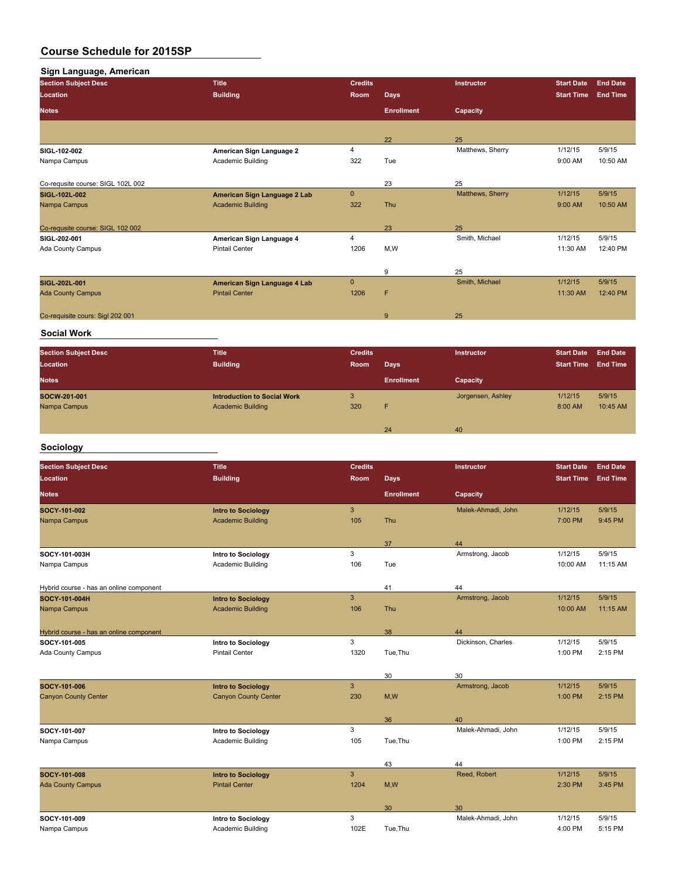| Sign Language, American |
|-------------------------|
|-------------------------|

| <b>Section Subject Desc</b>       | <b>Title</b>                 | <b>Credits</b> |                   | <b>Instructor</b> | <b>Start Date</b> | <b>End Date</b> |
|-----------------------------------|------------------------------|----------------|-------------------|-------------------|-------------------|-----------------|
| Location                          | <b>Building</b>              | Room           | <b>Days</b>       |                   | <b>Start Time</b> | <b>End Time</b> |
| <b>Notes</b>                      |                              |                | <b>Enrollment</b> | Capacity          |                   |                 |
|                                   |                              |                |                   |                   |                   |                 |
|                                   |                              |                | 22                | 25                |                   |                 |
| SIGL-102-002                      | American Sign Language 2     | 4              |                   | Matthews, Sherry  | 1/12/15           | 5/9/15          |
| Nampa Campus                      | Academic Building            | 322            | Tue               |                   | 9:00 AM           | 10:50 AM        |
|                                   |                              |                |                   |                   |                   |                 |
| Co-requsite course: SIGL 102L 002 |                              |                | 23                | 25                |                   |                 |
| SIGL-102L-002                     | American Sign Language 2 Lab | $\mathbf 0$    |                   | Matthews, Sherry  | 1/12/15           | 5/9/15          |
| Nampa Campus                      | <b>Academic Building</b>     | 322            | Thu               |                   | 9:00 AM           | 10:50 AM        |
|                                   |                              |                |                   |                   |                   |                 |
| Co-requsite course: SIGL 102 002  |                              |                | 23                | 25                |                   |                 |
| SIGL 202-001                      | American Sign Language 4     | 4              |                   | Smith, Michael    | 1/12/15           | 5/9/15          |
| Ada County Campus                 | <b>Pintail Center</b>        | 1206           | M,W               |                   | 11:30 AM          | 12:40 PM        |
|                                   |                              |                |                   |                   |                   |                 |
|                                   |                              |                | 9                 | 25                |                   |                 |
| SIGL-202L-001                     | American Sign Language 4 Lab | $\mathbf{0}$   |                   | Smith, Michael    | 1/12/15           | 5/9/15          |
| <b>Ada County Campus</b>          | <b>Pintail Center</b>        | 1206           | F                 |                   | 11:30 AM          | 12:40 PM        |
|                                   |                              |                |                   |                   |                   |                 |
| Co-requisite cours: Sigl 202 001  |                              |                | 9                 | 25                |                   |                 |
|                                   |                              |                |                   |                   |                   |                 |

#### **Social Work**

| <b>Section Subject Desc</b><br>Location | <b>Title</b><br><b>Building</b>                                | <b>Credits</b><br>Room | <b>Days</b>       | <b>Instructor</b> | <b>Start Date</b><br><b>Start Time</b> | <b>End Date</b><br><b>End Time</b> |
|-----------------------------------------|----------------------------------------------------------------|------------------------|-------------------|-------------------|----------------------------------------|------------------------------------|
| <b>Notes</b>                            |                                                                |                        | <b>Enrollment</b> | Capacity          |                                        |                                    |
| SOCW-201-001<br>Nampa Campus            | <b>Introduction to Social Work</b><br><b>Academic Building</b> | 3<br>320               | F                 | Jorgensen, Ashley | 1/12/15<br>8:00 AM                     | 5/9/15<br>10:45 AM                 |
|                                         |                                                                |                        | 24                | 40                |                                        |                                    |

# **Sociology**

| <b>Section Subject Desc</b>             | <b>Title</b>                | <b>Credits</b> |                   | Instructor         | <b>Start Date</b> | <b>End Date</b> |
|-----------------------------------------|-----------------------------|----------------|-------------------|--------------------|-------------------|-----------------|
| Location                                | <b>Building</b>             | <b>Room</b>    | <b>Days</b>       |                    | <b>Start Time</b> | <b>End Time</b> |
| <b>Notes</b>                            |                             |                | <b>Enrollment</b> | Capacity           |                   |                 |
| SOCY 101-002                            | <b>Intro to Sociology</b>   | $\mathbf{3}$   |                   | Malek-Ahmadi, John | 1/12/15           | 5/9/15          |
| Nampa Campus                            | <b>Academic Building</b>    | 105            | Thu               |                    | 7:00 PM           | 9:45 PM         |
|                                         |                             |                | 37                | 44                 |                   |                 |
| SOCY-101-003H                           | Intro to Sociology          | 3              |                   | Armstrong, Jacob   | 1/12/15           | 5/9/15          |
| Nampa Campus                            | Academic Building           | 106            | Tue               |                    | 10:00 AM          | 11:15 AM        |
| Hybrid course - has an online component |                             |                | 41                | 44                 |                   |                 |
| SOCY 101-004H                           | <b>Intro to Sociology</b>   | 3              |                   | Armstrong, Jacob   | 1/12/15           | 5/9/15          |
| Nampa Campus                            | <b>Academic Building</b>    | 106            | Thu               |                    | 10:00 AM          | 11:15 AM        |
| Hybrid course - has an online component |                             |                | 38                | 44                 |                   |                 |
| SOCY 101-005                            | <b>Intro to Sociology</b>   | 3              |                   | Dickinson, Charles | 1/12/15           | 5/9/15          |
| Ada County Campus                       | <b>Pintail Center</b>       | 1320           | Tue, Thu          |                    | 1:00 PM           | 2:15 PM         |
|                                         |                             |                | 30                | 30                 |                   |                 |
| SOCY 101-006                            | <b>Intro to Sociology</b>   | $\mathbf{3}$   |                   | Armstrong, Jacob   | 1/12/15           | 5/9/15          |
| <b>Canyon County Center</b>             | <b>Canyon County Center</b> | 230            | M, W              |                    | 1:00 PM           | 2:15 PM         |
|                                         |                             |                | 36                | 40                 |                   |                 |
| SOCY 101 007                            | Intro to Sociology          | 3              |                   | Malek-Ahmadi, John | 1/12/15           | 5/9/15          |
| Nampa Campus                            | Academic Building           | 105            | Tue, Thu          |                    | 1:00 PM           | 2:15 PM         |
|                                         |                             |                | 43                | 44                 |                   |                 |
| SOCY-101-008                            | <b>Intro to Sociology</b>   | $\mathbf{3}$   |                   | Reed, Robert       | 1/12/15           | 5/9/15          |
| <b>Ada County Campus</b>                | <b>Pintail Center</b>       | 1204           | M, W              |                    | 2:30 PM           | 3:45 PM         |
|                                         |                             |                | 30                | 30                 |                   |                 |
| SOCY 101-009                            | Intro to Sociology          | 3              |                   | Malek-Ahmadi, John | 1/12/15           | 5/9/15          |
| Nampa Campus                            | Academic Building           | 102E           | Tue.Thu           |                    | 4:00 PM           | 5:15 PM         |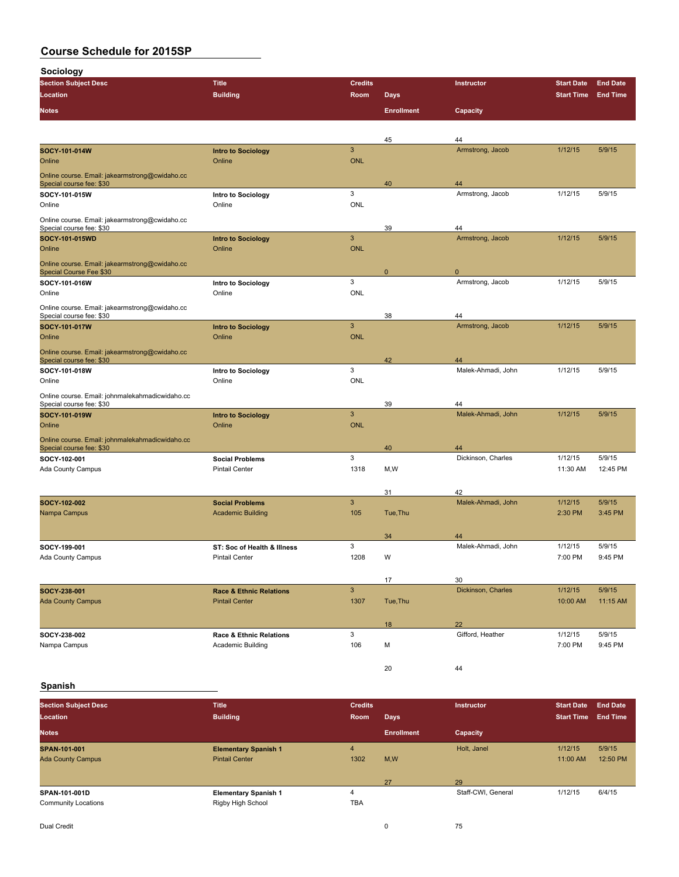**Sociology**

| -------gy<br><b>Section Subject Desc</b>                                   | <b>Title</b>                        | <b>Credits</b> |                   | Instructor               | <b>Start Date</b> | <b>End Date</b> |
|----------------------------------------------------------------------------|-------------------------------------|----------------|-------------------|--------------------------|-------------------|-----------------|
| Location                                                                   | <b>Building</b>                     | Room           | <b>Days</b>       |                          | <b>Start Time</b> | <b>End Time</b> |
| <b>Notes</b>                                                               |                                     |                | <b>Enrollment</b> | Capacity                 |                   |                 |
|                                                                            |                                     |                |                   |                          |                   |                 |
|                                                                            |                                     |                | 45                | 44                       |                   |                 |
| SOCY-101-014W                                                              | <b>Intro to Sociology</b>           | $\mathbf{3}$   |                   | Armstrong, Jacob         | 1/12/15           | 5/9/15          |
| Online                                                                     | Online                              | <b>ONL</b>     |                   |                          |                   |                 |
|                                                                            |                                     |                |                   |                          |                   |                 |
| Online course. Email: jakearmstrong@cwidaho.cc<br>Special course fee: \$30 |                                     |                | 40                | 44                       |                   |                 |
| SOCY-101-015W                                                              | Intro to Sociology                  | 3              |                   | Armstrong, Jacob         | 1/12/15           | 5/9/15          |
| Online                                                                     | Online                              | <b>ONL</b>     |                   |                          |                   |                 |
| Online course. Email: jakearmstrong@cwidaho.cc                             |                                     |                |                   |                          |                   |                 |
| Special course fee: \$30                                                   |                                     |                | 39                | 44                       |                   |                 |
| SOCY-101-015WD                                                             | <b>Intro to Sociology</b>           | $\overline{3}$ |                   | Armstrong, Jacob         | 1/12/15           | 5/9/15          |
| Online                                                                     | Online                              | <b>ONL</b>     |                   |                          |                   |                 |
| Online course. Email: jakearmstrong@cwidaho.cc                             |                                     |                |                   |                          |                   |                 |
| <b>Special Course Fee \$30</b>                                             |                                     |                | 0                 | $\Omega$                 |                   |                 |
| SOCY-101-016W                                                              | Intro to Sociology                  | 3              |                   | Armstrong, Jacob         | 1/12/15           | 5/9/15          |
| Online                                                                     | Online                              | ONL            |                   |                          |                   |                 |
| Online course. Email: jakearmstrong@cwidaho.cc                             |                                     |                |                   |                          |                   |                 |
| Special course fee: \$30                                                   |                                     | $\mathbf{3}$   | 38                | 44<br>Armstrong, Jacob   | 1/12/15           | 5/9/15          |
| SOCY-101-017W<br>Online                                                    | <b>Intro to Sociology</b><br>Online | <b>ONL</b>     |                   |                          |                   |                 |
|                                                                            |                                     |                |                   |                          |                   |                 |
| Online course. Email: jakearmstrong@cwidaho.cc<br>Special course fee: \$30 |                                     |                | 42                | 44                       |                   |                 |
| SOCY-101-018W                                                              | Intro to Sociology                  | 3              |                   | Malek-Ahmadi, John       | 1/12/15           | 5/9/15          |
| Online                                                                     | Online                              | <b>ONL</b>     |                   |                          |                   |                 |
| Online course. Email: johnmalekahmadicwidaho.cc                            |                                     |                |                   |                          |                   |                 |
| Special course fee: \$30                                                   |                                     |                | 39                | 44                       |                   |                 |
| SOCY-101-019W                                                              | <b>Intro to Sociology</b>           | $\mathbf{3}$   |                   | Malek-Ahmadi, John       | 1/12/15           | 5/9/15          |
| Online                                                                     | Online                              | <b>ONL</b>     |                   |                          |                   |                 |
| Online course. Email: johnmalekahmadicwidaho.cc                            |                                     |                |                   |                          |                   |                 |
| Special course fee: \$30                                                   |                                     |                | 40                | 44                       |                   |                 |
| SOCY 102-001                                                               | <b>Social Problems</b>              | 3              |                   | Dickinson, Charles       | 1/12/15           | 5/9/15          |
| Ada County Campus                                                          | <b>Pintail Center</b>               | 1318           | M,W               |                          | 11:30 AM          | 12:45 PM        |
|                                                                            |                                     |                |                   |                          |                   |                 |
|                                                                            |                                     |                | 31                | 42                       |                   |                 |
| SOCY-102-002                                                               | <b>Social Problems</b>              | $\mathbf{3}$   |                   | Malek-Ahmadi, John       | 1/12/15           | 5/9/15          |
| Nampa Campus                                                               | <b>Academic Building</b>            | 105            | Tue, Thu          |                          | 2:30 PM           | 3:45 PM         |
|                                                                            |                                     |                |                   |                          |                   |                 |
| SOCY-199-001                                                               | ST: Soc of Health & Illness         | 3              | 34                | 44<br>Malek-Ahmadi, John | 1/12/15           | 5/9/15          |
| Ada County Campus                                                          | <b>Pintail Center</b>               | 1208           | W                 |                          | 7:00 PM           | 9:45 PM         |
|                                                                            |                                     |                |                   |                          |                   |                 |
|                                                                            |                                     |                | 17                | 30                       |                   |                 |
| SOCY-238-001                                                               | <b>Race &amp; Ethnic Relations</b>  | $\sqrt{3}$     |                   | Dickinson, Charles       | 1/12/15           | 5/9/15          |
| <b>Ada County Campus</b>                                                   | <b>Pintail Center</b>               | 1307           | Tue, Thu          |                          | 10:00 AM          | 11:15 AM        |
|                                                                            |                                     |                |                   |                          |                   |                 |
|                                                                            |                                     |                | 18                | 22                       |                   |                 |
| SOCY-238-002                                                               | Race & Ethnic Relations             | 3              |                   | Gifford, Heather         | 1/12/15           | 5/9/15          |
| Nampa Campus                                                               | <b>Academic Building</b>            | 106            | м                 |                          | 7:00 PM           | 9:45 PM         |
|                                                                            |                                     |                |                   |                          |                   |                 |
|                                                                            |                                     |                | 20                | 44                       |                   |                 |

## **Spanish**

| <b>Section Subject Desc</b> | <b>Title</b>                | <b>Credits</b> |                   | <b>Instructor</b>  | <b>Start Date</b> | <b>End Date</b> |
|-----------------------------|-----------------------------|----------------|-------------------|--------------------|-------------------|-----------------|
| Location                    | <b>Building</b>             | Room           | Days              |                    | <b>Start Time</b> | <b>End Time</b> |
| <b>Notes</b>                |                             |                | <b>Enrollment</b> | Capacity           |                   |                 |
| SPAN-101-001                | <b>Elementary Spanish 1</b> | $\overline{4}$ |                   | Holt, Janel        | 1/12/15           | 5/9/15          |
| <b>Ada County Campus</b>    | <b>Pintail Center</b>       | 1302           | M,W               |                    | 11:00 AM          | 12:50 PM        |
|                             |                             |                | 27                | 29                 |                   |                 |
| SPAN-101-001D               | <b>Elementary Spanish 1</b> | 4              |                   | Staff-CWI, General | 1/12/15           | 6/4/15          |
| <b>Community Locations</b>  | Rigby High School           | <b>TBA</b>     |                   |                    |                   |                 |
| Dual Credit                 |                             |                | $\Omega$          | 75                 |                   |                 |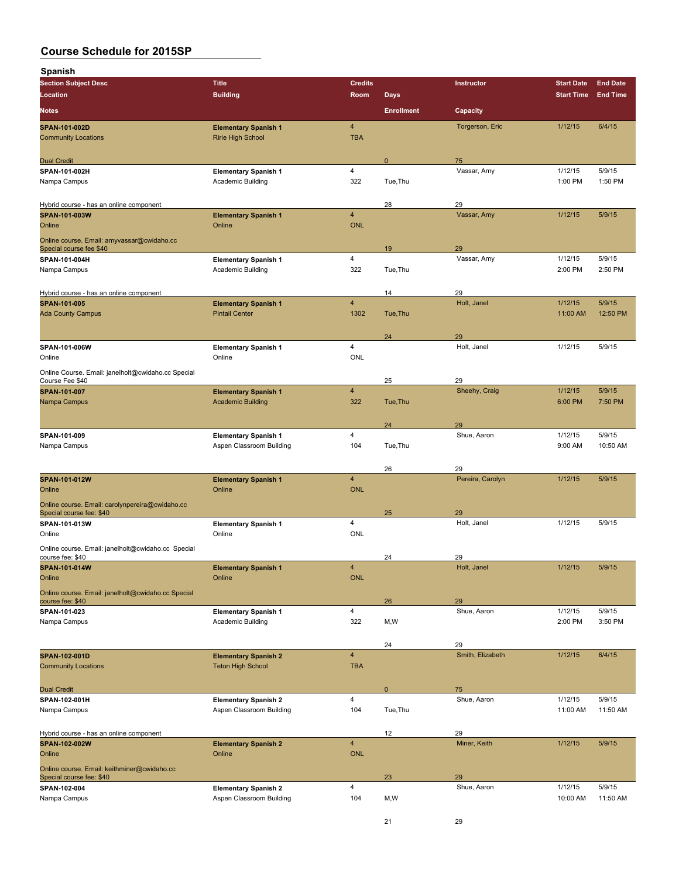| Spanish                                                                     |                                                         |                              |                   |                   |                    |                   |
|-----------------------------------------------------------------------------|---------------------------------------------------------|------------------------------|-------------------|-------------------|--------------------|-------------------|
| <b>Section Subject Desc</b>                                                 | <b>Title</b>                                            | <b>Credits</b>               |                   | Instructor        | <b>Start Date</b>  | <b>End Date</b>   |
| Location                                                                    | <b>Building</b>                                         | Room                         | <b>Days</b>       |                   | <b>Start Time</b>  | <b>End Time</b>   |
| <b>Notes</b>                                                                |                                                         |                              | <b>Enrollment</b> | Capacity          |                    |                   |
| SPAN-101-002D<br><b>Community Locations</b>                                 | <b>Elementary Spanish 1</b><br><b>Ririe High School</b> | $\overline{4}$<br><b>TBA</b> |                   | Torgerson, Eric   | 1/12/15            | 6/4/15            |
|                                                                             |                                                         |                              |                   |                   |                    |                   |
| <b>Dual Credit</b>                                                          |                                                         |                              | $\mathbf 0$       | 75                |                    |                   |
| SPAN-101-002H                                                               | <b>Elementary Spanish 1</b>                             | 4                            |                   | Vassar, Amy       | 1/12/15            | 5/9/15            |
| Nampa Campus                                                                | Academic Building                                       | 322                          | Tue.Thu           |                   | 1:00 PM            | 1:50 PM           |
| Hybrid course - has an online component                                     |                                                         |                              | 28                | 29                |                    |                   |
| SPAN-101-003W                                                               | <b>Elementary Spanish 1</b>                             | $\overline{4}$               |                   | Vassar, Amy       | 1/12/15            | 5/9/15            |
| Online                                                                      | Online                                                  | <b>ONL</b>                   |                   |                   |                    |                   |
| Online course. Email: amyvassar@cwidaho.cc<br>Special course fee \$40       |                                                         |                              | 19                | 29                |                    |                   |
| SPAN-101-004H                                                               | <b>Elementary Spanish 1</b>                             | 4                            |                   | Vassar, Amy       | 1/12/15            | 5/9/15            |
| Nampa Campus                                                                | Academic Building                                       | 322                          | Tue, Thu          |                   | 2:00 PM            | 2:50 PM           |
|                                                                             |                                                         |                              |                   |                   |                    |                   |
| Hybrid course - has an online component<br>SPAN-101-005                     | <b>Elementary Spanish 1</b>                             | $\overline{\mathbf{4}}$      | 14                | 29<br>Holt, Janel | 1/12/15            | 5/9/15            |
| <b>Ada County Campus</b>                                                    | <b>Pintail Center</b>                                   | 1302                         | Tue, Thu          |                   | 11:00 AM           | 12:50 PM          |
|                                                                             |                                                         |                              |                   |                   |                    |                   |
|                                                                             |                                                         | 4                            | 24                | 29<br>Holt, Janel | 1/12/15            | 5/9/15            |
| SPAN-101-006W<br>Online                                                     | <b>Elementary Spanish 1</b><br>Online                   | <b>ONL</b>                   |                   |                   |                    |                   |
| Online Course. Email: janelholt@cwidaho.cc Special                          |                                                         |                              |                   |                   |                    |                   |
| Course Fee \$40                                                             |                                                         |                              | 25                | 29                |                    |                   |
| SPAN-101-007                                                                | <b>Elementary Spanish 1</b>                             | $\overline{4}$               |                   | Sheehy, Craig     | 1/12/15            | 5/9/15            |
| Nampa Campus                                                                | <b>Academic Building</b>                                | 322                          | Tue, Thu          |                   | 6:00 PM            | 7:50 PM           |
|                                                                             |                                                         |                              | 24                | 29                |                    |                   |
| SPAN-101-009                                                                | <b>Elementary Spanish 1</b>                             | 4                            |                   | Shue, Aaron       | 1/12/15            | 5/9/15            |
| Nampa Campus                                                                | Aspen Classroom Building                                | 104                          | Tue, Thu          |                   | 9:00 AM            | 10:50 AM          |
|                                                                             |                                                         |                              | 26                | 29                |                    |                   |
| SPAN-101-012W                                                               | <b>Elementary Spanish 1</b>                             | 4                            |                   | Pereira, Carolyn  | 1/12/15            | 5/9/15            |
| Online                                                                      | Online                                                  | <b>ONL</b>                   |                   |                   |                    |                   |
| Online course. Email: carolynpereira@cwidaho.cc<br>Special course fee: \$40 |                                                         |                              | 25                | 29                |                    |                   |
| SPAN-101-013W                                                               | <b>Elementary Spanish 1</b>                             | 4                            |                   | Holt, Janel       | 1/12/15            | 5/9/15            |
| Online                                                                      | Online                                                  | ONL                          |                   |                   |                    |                   |
| Online course. Email: janelholt@cwidaho.cc Special                          |                                                         |                              |                   |                   |                    |                   |
| course fee: \$40<br>SPAN-101-014W                                           | <b>Elementary Spanish 1</b>                             | 4                            | 24                | 29<br>Holt, Janel | 1/12/15            | 5/9/15            |
| Online                                                                      | Online                                                  | <b>ONL</b>                   |                   |                   |                    |                   |
| Online course. Email: janelholt@cwidaho.cc Special                          |                                                         |                              |                   |                   |                    |                   |
| course fee: \$40                                                            |                                                         |                              | 26                | 29                |                    |                   |
| SPAN-101-023<br>Nampa Campus                                                | <b>Elementary Spanish 1</b><br>Academic Building        | 4<br>322                     | M,W               | Shue, Aaron       | 1/12/15<br>2:00 PM | 5/9/15<br>3:50 PM |
|                                                                             |                                                         |                              |                   |                   |                    |                   |
|                                                                             |                                                         |                              | 24                | 29                |                    |                   |
| SPAN-102-001D<br><b>Community Locations</b>                                 | <b>Elementary Spanish 2</b>                             | $\overline{\mathbf{4}}$      |                   | Smith, Elizabeth  | 1/12/15            | 6/4/15            |
|                                                                             | <b>Teton High School</b>                                | <b>TBA</b>                   |                   |                   |                    |                   |
| <b>Dual Credit</b>                                                          |                                                         |                              | $\pmb{0}$         | 75                |                    |                   |
| SPAN-102-001H                                                               | <b>Elementary Spanish 2</b>                             | 4                            |                   | Shue, Aaron       | 1/12/15            | 5/9/15            |
| Nampa Campus                                                                | Aspen Classroom Building                                | 104                          | Tue, Thu          |                   | 11:00 AM           | 11:50 AM          |
| Hybrid course - has an online component                                     |                                                         |                              | 12                | 29                |                    |                   |
| SPAN-102-002W                                                               | <b>Elementary Spanish 2</b>                             | $\overline{4}$               |                   | Miner, Keith      | 1/12/15            | 5/9/15            |
| Online                                                                      | Online                                                  | <b>ONL</b>                   |                   |                   |                    |                   |
| Online course. Email: keithminer@cwidaho.cc                                 |                                                         |                              |                   |                   |                    |                   |
| Special course fee: \$40<br>SPAN-102-004                                    | <b>Elementary Spanish 2</b>                             | 4                            | 23                | 29<br>Shue, Aaron | 1/12/15            | 5/9/15            |
| Nampa Campus                                                                | Aspen Classroom Building                                | 104                          | M,W               |                   | 10:00 AM           | 11:50 AM          |
|                                                                             |                                                         |                              |                   |                   |                    |                   |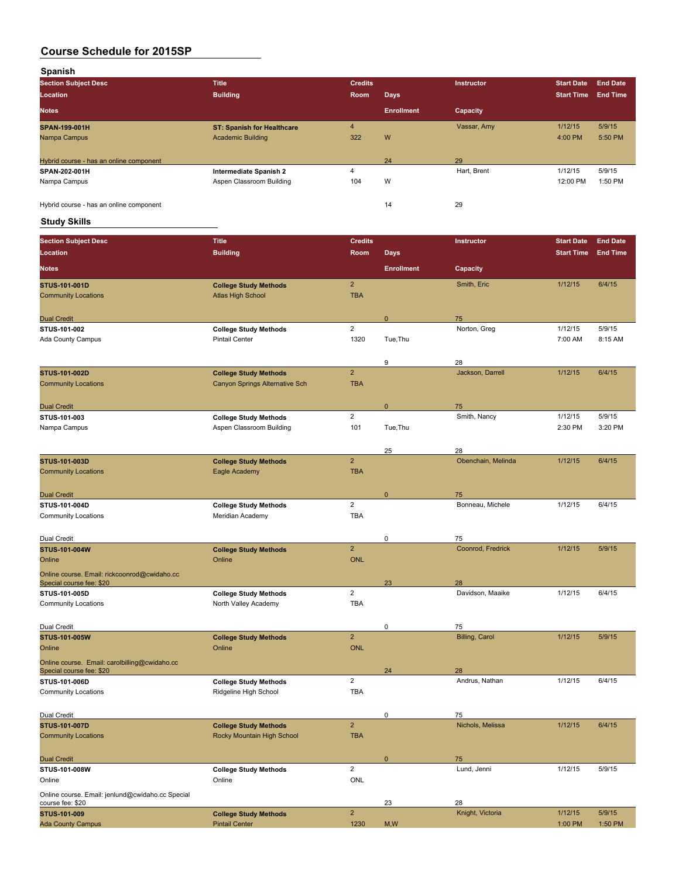**Spanish**

| <b>Section Subject Desc</b>             | <b>Title</b>                      | <b>Credits</b> |                   | <b>Instructor</b> | <b>Start Date</b> | <b>End Date</b> |
|-----------------------------------------|-----------------------------------|----------------|-------------------|-------------------|-------------------|-----------------|
| Location                                | <b>Building</b>                   | Room           | <b>Days</b>       |                   | <b>Start Time</b> | <b>End Time</b> |
| <b>Notes</b>                            |                                   |                | <b>Enrollment</b> | Capacity          |                   |                 |
| SPAN-199-001H                           | <b>ST: Spanish for Healthcare</b> | 4              |                   | Vassar, Amy       | 1/12/15           | 5/9/15          |
| Nampa Campus                            | <b>Academic Building</b>          | 322            | W                 |                   | 4:00 PM           | 5:50 PM         |
|                                         |                                   |                |                   |                   |                   |                 |
| Hybrid course - has an online component |                                   |                | 24                | 29                |                   |                 |
| SPAN-202-001H                           | <b>Intermediate Spanish 2</b>     | 4              |                   | Hart, Brent       | 1/12/15           | 5/9/15          |
| Nampa Campus                            | Aspen Classroom Building          | 104            | W                 |                   | 12:00 PM          | 1:50 PM         |
|                                         |                                   |                |                   |                   |                   |                 |
| Hybrid course - has an online component |                                   |                | 14                | 29                |                   |                 |

## **Study Skills**

| <b>Section Subject Desc</b>                                               | <b>Title</b>                                                   | <b>Credits</b>               |                   | Instructor               | <b>Start Date</b> | <b>End Date</b> |
|---------------------------------------------------------------------------|----------------------------------------------------------------|------------------------------|-------------------|--------------------------|-------------------|-----------------|
| Location                                                                  | <b>Building</b>                                                | Room                         | <b>Days</b>       |                          | <b>Start Time</b> | <b>End Time</b> |
| <b>Notes</b>                                                              |                                                                |                              | <b>Enrollment</b> | Capacity                 |                   |                 |
| <b>STUS 101 001D</b>                                                      | <b>College Study Methods</b>                                   | $\mathbf 2$                  |                   | Smith, Eric              | 1/12/15           | 6/4/15          |
| <b>Community Locations</b>                                                | <b>Atlas High School</b>                                       | <b>TBA</b>                   |                   |                          |                   |                 |
| <b>Dual Credit</b>                                                        |                                                                |                              | $\mathbf{0}$      | 75                       |                   |                 |
| STUS-101-002                                                              | <b>College Study Methods</b>                                   | $\overline{2}$               |                   | Norton, Greg             | 1/12/15           | 5/9/15          |
| Ada County Campus                                                         | <b>Pintail Center</b>                                          | 1320                         | Tue, Thu          |                          | 7:00 AM           | 8:15 AM         |
|                                                                           |                                                                |                              |                   |                          |                   |                 |
| STUS-101-002D                                                             |                                                                | $\overline{2}$               | 9                 | 28<br>Jackson, Darrell   | 1/12/15           | 6/4/15          |
| <b>Community Locations</b>                                                | <b>College Study Methods</b><br>Canyon Springs Alternative Sch | <b>TBA</b>                   |                   |                          |                   |                 |
|                                                                           |                                                                |                              |                   |                          |                   |                 |
| <b>Dual Credit</b>                                                        |                                                                |                              | 0                 | 75                       |                   |                 |
| STUS-101-003                                                              | <b>College Study Methods</b>                                   | $\overline{2}$               |                   | Smith, Nancy             | 1/12/15           | 5/9/15          |
| Nampa Campus                                                              | Aspen Classroom Building                                       | 101                          | Tue, Thu          |                          | 2:30 PM           | 3:20 PM         |
|                                                                           |                                                                |                              |                   |                          |                   |                 |
| STUS-101-003D                                                             | <b>College Study Methods</b>                                   | $\mathbf 2$                  | 25                | 28<br>Obenchain, Melinda | 1/12/15           | 6/4/15          |
| <b>Community Locations</b>                                                | Eagle Academy                                                  | <b>TBA</b>                   |                   |                          |                   |                 |
|                                                                           |                                                                |                              |                   |                          |                   |                 |
| <b>Dual Credit</b>                                                        |                                                                |                              | $\mathbf{0}$      | 75                       |                   |                 |
| STUS-101-004D                                                             | <b>College Study Methods</b>                                   | $\overline{2}$               |                   | Bonneau, Michele         | 1/12/15           | 6/4/15          |
| <b>Community Locations</b>                                                | Meridian Academy                                               | <b>TBA</b>                   |                   |                          |                   |                 |
|                                                                           |                                                                |                              |                   |                          |                   |                 |
| Dual Credit                                                               |                                                                |                              | 0                 | 75                       |                   |                 |
| STUS-101-004W                                                             | <b>College Study Methods</b><br>Online                         | $\overline{2}$<br><b>ONL</b> |                   | Coonrod, Fredrick        | 1/12/15           | 5/9/15          |
| Online                                                                    |                                                                |                              |                   |                          |                   |                 |
| Online course. Email: rickcoonrod@cwidaho.cc<br>Special course fee: \$20  |                                                                |                              | 23                | 28                       |                   |                 |
| STUS-101-005D                                                             | <b>College Study Methods</b>                                   | $\overline{2}$               |                   | Davidson, Maaike         | 1/12/15           | 6/4/15          |
| <b>Community Locations</b>                                                | North Valley Academy                                           | <b>TBA</b>                   |                   |                          |                   |                 |
|                                                                           |                                                                |                              |                   |                          |                   |                 |
| Dual Credit                                                               |                                                                |                              | 0                 | 75                       |                   |                 |
| STUS-101-005W                                                             | <b>College Study Methods</b>                                   | $\mathbf 2$                  |                   | <b>Billing, Carol</b>    | 1/12/15           | 5/9/15          |
| Online                                                                    | Online                                                         | <b>ONL</b>                   |                   |                          |                   |                 |
| Online course. Email: carolbilling@cwidaho.cc<br>Special course fee: \$20 |                                                                |                              | 24                | 28                       |                   |                 |
| STUS-101-006D                                                             | <b>College Study Methods</b>                                   | $\overline{2}$               |                   | Andrus, Nathan           | 1/12/15           | 6/4/15          |
| <b>Community Locations</b>                                                | Ridgeline High School                                          | <b>TBA</b>                   |                   |                          |                   |                 |
|                                                                           |                                                                |                              |                   |                          |                   |                 |
| Dual Credit                                                               |                                                                |                              | 0                 | 75                       |                   |                 |
| <b>STUS-101-007D</b>                                                      | <b>College Study Methods</b>                                   | $\overline{2}$               |                   | Nichols, Melissa         | 1/12/15           | 6/4/15          |
| <b>Community Locations</b>                                                | Rocky Mountain High School                                     | <b>TBA</b>                   |                   |                          |                   |                 |
|                                                                           |                                                                |                              |                   |                          |                   |                 |
| <b>Dual Credit</b><br>STUS-101-008W                                       | <b>College Study Methods</b>                                   | $\overline{2}$               | $\mathbf{0}$      | 75<br>Lund, Jenni        | 1/12/15           | 5/9/15          |
| Online                                                                    | Online                                                         | ONL                          |                   |                          |                   |                 |
|                                                                           |                                                                |                              |                   |                          |                   |                 |
| Online course. Email: jenlund@cwidaho.cc Special<br>course fee: \$20      |                                                                |                              | 23                | 28                       |                   |                 |
| STUS-101-009                                                              | <b>College Study Methods</b>                                   | $\mathbf 2$                  |                   | Knight, Victoria         | 1/12/15           | 5/9/15          |
| <b>Ada County Campus</b>                                                  | <b>Pintail Center</b>                                          | 1230                         | M, W              |                          | 1:00 PM           | 1:50 PM         |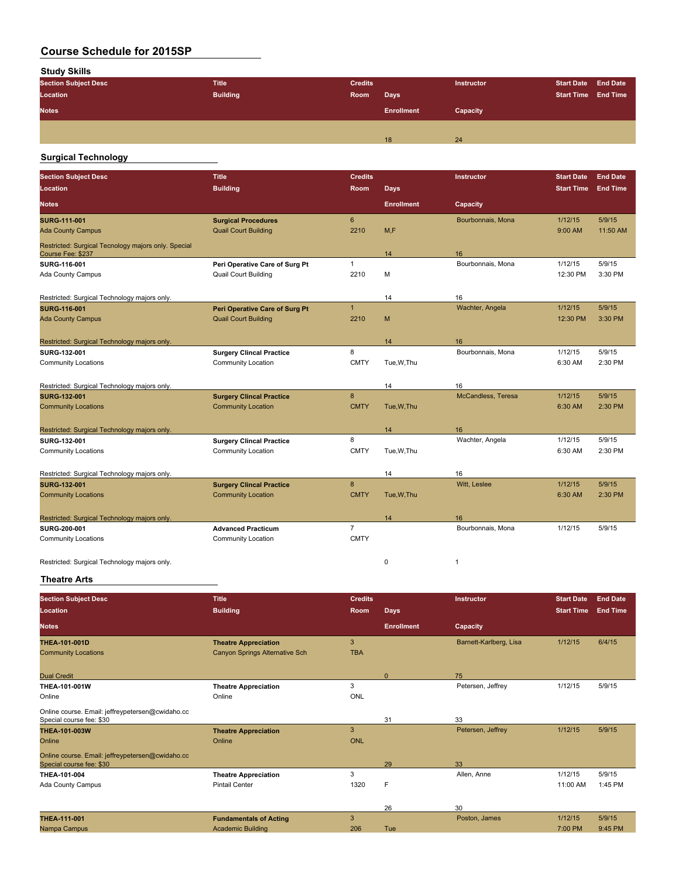**Study Skills**

| <b>Section Subject Desc</b> | <b>Title</b>    | <b>Credits</b> |                   | Instructor | Start Date End Date        |  |
|-----------------------------|-----------------|----------------|-------------------|------------|----------------------------|--|
| Location                    | <b>Building</b> | Room           | Days              |            | <b>Start Time End Time</b> |  |
| <b>Notes</b>                |                 |                | <b>Enrollment</b> | Capacity   |                            |  |
|                             |                 |                |                   |            |                            |  |
|                             |                 |                | 18                | 24         |                            |  |
|                             |                 |                |                   |            |                            |  |

#### **Surgical Technology**

| <b>Section Subject Desc</b>                                              | <b>Title</b>                    | <b>Credits</b>   |                   | Instructor         | <b>Start Date</b> | <b>End Date</b> |
|--------------------------------------------------------------------------|---------------------------------|------------------|-------------------|--------------------|-------------------|-----------------|
| Location                                                                 | <b>Building</b>                 | Room             | <b>Days</b>       |                    | <b>Start Time</b> | <b>End Time</b> |
| <b>Notes</b>                                                             |                                 |                  | <b>Enrollment</b> | Capacity           |                   |                 |
| <b>SURG 111 001</b>                                                      | <b>Surgical Procedures</b>      | 6                |                   | Bourbonnais, Mona  | 1/12/15           | 5/9/15          |
| <b>Ada County Campus</b>                                                 | <b>Quail Court Building</b>     | 2210             | M.F               |                    | 9:00 AM           | 11:50 AM        |
| Restricted: Surgical Tecnology majors only. Special<br>Course Fee: \$237 |                                 |                  | 14                | 16                 |                   |                 |
| SURG-116-001                                                             | Peri Operative Care of Surg Pt  | $\mathbf{1}$     |                   | Bourbonnais, Mona  | 1/12/15           | 5/9/15          |
| Ada County Campus                                                        | <b>Quail Court Building</b>     | 2210             | M                 |                    | 12:30 PM          | 3:30 PM         |
| Restricted: Surgical Technology majors only.                             |                                 |                  | 14                | 16                 |                   |                 |
| <b>SURG-116-001</b>                                                      | Peri Operative Care of Surg Pt  | $\mathbf{1}$     |                   | Wachter, Angela    | 1/12/15           | 5/9/15          |
| <b>Ada County Campus</b>                                                 | <b>Quail Court Building</b>     | 2210             | M                 |                    | 12:30 PM          | 3:30 PM         |
| Restricted: Surgical Technology majors only.                             |                                 |                  | 14                | 16                 |                   |                 |
| SURG 132 001                                                             | <b>Surgery Clincal Practice</b> | 8                |                   | Bourbonnais, Mona  | 1/12/15           | 5/9/15          |
| <b>Community Locations</b>                                               | <b>Community Location</b>       | <b>CMTY</b>      | Tue.W.Thu         |                    | 6:30 AM           | 2:30 PM         |
| Restricted: Surgical Technology majors only.                             |                                 |                  | 14                | 16                 |                   |                 |
| <b>SURG 132 001</b>                                                      | <b>Surgery Clincal Practice</b> | 8                |                   | McCandless, Teresa | 1/12/15           | 5/9/15          |
| <b>Community Locations</b>                                               | <b>Community Location</b>       | <b>CMTY</b>      | Tue, W, Thu       |                    | 6:30 AM           | 2:30 PM         |
| Restricted: Surgical Technology majors only.                             |                                 |                  | 14                | 16                 |                   |                 |
| SURG 132 001                                                             | <b>Surgery Clincal Practice</b> | 8                |                   | Wachter, Angela    | 1/12/15           | 5/9/15          |
| <b>Community Locations</b>                                               | <b>Community Location</b>       | <b>CMTY</b>      | Tue, W, Thu       |                    | 6:30 AM           | 2:30 PM         |
| Restricted: Surgical Technology majors only.                             |                                 |                  | 14                | 16                 |                   |                 |
| <b>SURG-132-001</b>                                                      | <b>Surgery Clincal Practice</b> | $\boldsymbol{8}$ |                   | Witt, Leslee       | 1/12/15           | 5/9/15          |
| <b>Community Locations</b>                                               | <b>Community Location</b>       | <b>CMTY</b>      | Tue, W, Thu       |                    | 6:30 AM           | 2:30 PM         |
| Restricted: Surgical Technology majors only.                             |                                 |                  | 14                | 16                 |                   |                 |
| SURG 200 001                                                             | <b>Advanced Practicum</b>       | $\overline{7}$   |                   | Bourbonnais, Mona  | 1/12/15           | 5/9/15          |
| <b>Community Locations</b>                                               | Community Location              | <b>CMTY</b>      |                   |                    |                   |                 |
| Restricted: Surgical Technology majors only.                             |                                 |                  | $\mathbf 0$       | $\mathbf{1}$       |                   |                 |

**Theatre Arts**

| <b>Section Subject Desc</b>                                                  | <b>Title</b>                          | <b>Credits</b> |                   | Instructor             | <b>Start Date</b> | <b>End Date</b> |
|------------------------------------------------------------------------------|---------------------------------------|----------------|-------------------|------------------------|-------------------|-----------------|
| <b>Location</b>                                                              | <b>Building</b>                       | Room           | <b>Days</b>       |                        | <b>Start Time</b> | <b>End Time</b> |
| <b>Notes</b>                                                                 |                                       |                | <b>Enrollment</b> | Capacity               |                   |                 |
| THEA-101-001D                                                                | <b>Theatre Appreciation</b>           | 3              |                   | Barnett-Karlberg, Lisa | 1/12/15           | 6/4/15          |
| <b>Community Locations</b>                                                   | <b>Canyon Springs Alternative Sch</b> | <b>TBA</b>     |                   |                        |                   |                 |
| <b>Dual Credit</b>                                                           |                                       |                | $\Omega$          | 75                     |                   |                 |
| <b>THEA-101-001W</b>                                                         | <b>Theatre Appreciation</b>           | 3              |                   | Petersen, Jeffrey      | 1/12/15           | 5/9/15          |
| Online                                                                       | Online                                | <b>ONL</b>     |                   |                        |                   |                 |
| Online course. Email: jeffreypetersen@cwidaho.cc<br>Special course fee: \$30 |                                       |                | 31                | 33                     |                   |                 |
| <b>THEA-101-003W</b>                                                         | <b>Theatre Appreciation</b>           | 3              |                   | Petersen, Jeffrey      | 1/12/15           | 5/9/15          |
| Online                                                                       | Online                                | <b>ONL</b>     |                   |                        |                   |                 |
| Online course. Email: jeffreypetersen@cwidaho.cc<br>Special course fee: \$30 |                                       |                | 29                | 33                     |                   |                 |
| THEA-101-004                                                                 | <b>Theatre Appreciation</b>           | 3              |                   | Allen, Anne            | 1/12/15           | 5/9/15          |
| Ada County Campus                                                            | <b>Pintail Center</b>                 | 1320           | F                 |                        | 11:00 AM          | 1:45 PM         |
|                                                                              |                                       |                | 26                | 30                     |                   |                 |
| <b>THEA-111-001</b>                                                          | <b>Fundamentals of Acting</b>         | 3              |                   | Poston, James          | 1/12/15           | 5/9/15          |
| Nampa Campus                                                                 | <b>Academic Building</b>              | 206            | Tue               |                        | 7:00 PM           | 9:45 PM         |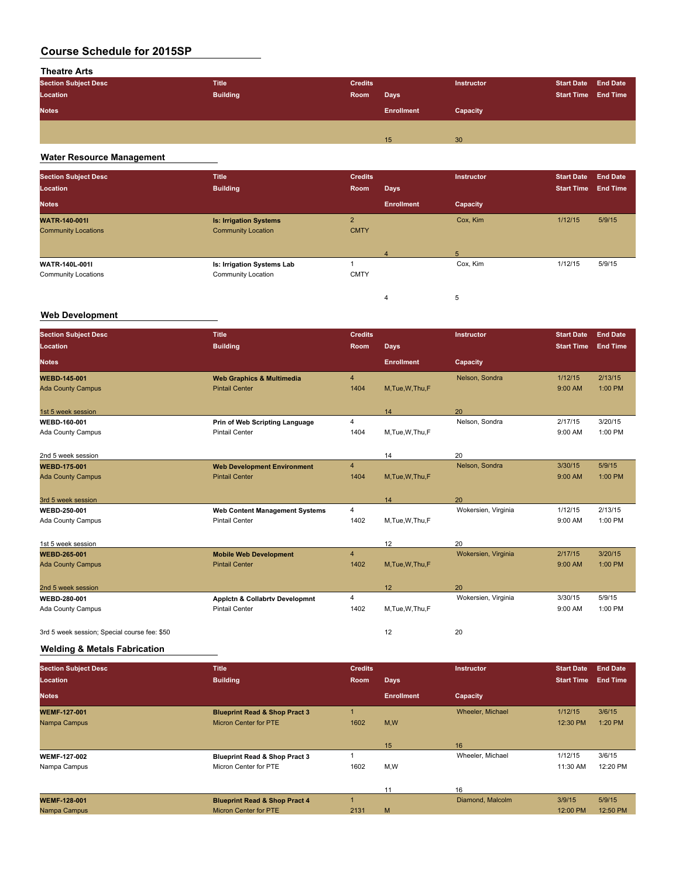## **Theatre Arts**

| <b>Section Subject Desc</b> | <b>Title</b>    | <b>Credits</b> |                   | Instructor | Start Date End Date        |  |
|-----------------------------|-----------------|----------------|-------------------|------------|----------------------------|--|
| Location                    | <b>Building</b> | Room           | <b>Days</b>       |            | <b>Start Time End Time</b> |  |
| <b>Notes</b>                |                 |                | <b>Enrollment</b> | Capacity   |                            |  |
|                             |                 |                |                   |            |                            |  |
|                             |                 |                | 15                | 30         |                            |  |

## **Water Resource Management**

| <b>Section Subject Desc</b><br>Location | <b>Title</b><br><b>Building</b>   | <b>Credits</b><br>Room | <b>Days</b>             | Instructor | <b>Start Date</b><br><b>Start Time</b> | <b>End Date</b><br><b>End Time</b> |
|-----------------------------------------|-----------------------------------|------------------------|-------------------------|------------|----------------------------------------|------------------------------------|
| <b>Notes</b>                            |                                   |                        | <b>Enrollment</b>       | Capacity   |                                        |                                    |
| <b>WATR-140-001I</b>                    | <b>Is: Irrigation Systems</b>     | $\overline{c}$         |                         | Cox, Kim   | 1/12/15                                | 5/9/15                             |
| <b>Community Locations</b>              | <b>Community Location</b>         | <b>CMTY</b>            |                         |            |                                        |                                    |
|                                         |                                   |                        | $\overline{\mathbf{4}}$ | 5          |                                        |                                    |
| <b>WATR-140L-001I</b>                   | <b>Is: Irrigation Systems Lab</b> |                        |                         | Cox, Kim   | 1/12/15                                | 5/9/15                             |
| <b>Community Locations</b>              | Community Location                | <b>CMTY</b>            |                         |            |                                        |                                    |
|                                         |                                   |                        | 4                       | 5          |                                        |                                    |

#### **Web Development**

| <b>Section Subject Desc</b><br><b>Location</b> | <b>Title</b><br><b>Building</b>       | <b>Credits</b><br>Room | <b>Days</b>       | Instructor          | <b>Start Date</b><br><b>Start Time</b> | <b>End Date</b><br><b>End Time</b> |
|------------------------------------------------|---------------------------------------|------------------------|-------------------|---------------------|----------------------------------------|------------------------------------|
| <b>Notes</b>                                   |                                       |                        | <b>Enrollment</b> | Capacity            |                                        |                                    |
| <b>WEBD-145-001</b>                            | <b>Web Graphics &amp; Multimedia</b>  | $\overline{4}$         |                   | Nelson, Sondra      | 1/12/15                                | 2/13/15                            |
| <b>Ada County Campus</b>                       | <b>Pintail Center</b>                 | 1404                   | M, Tue, W, Thu, F |                     | 9:00 AM                                | 1:00 PM                            |
| 1st 5 week session                             |                                       |                        | 14                | 20                  |                                        |                                    |
| <b>WEBD-160-001</b>                            | Prin of Web Scripting Language        | 4                      |                   | Nelson, Sondra      | 2/17/15                                | 3/20/15                            |
| Ada County Campus                              | <b>Pintail Center</b>                 | 1404                   | M, Tue, W, Thu, F |                     | 9:00 AM                                | 1:00 PM                            |
| 2nd 5 week session                             |                                       |                        | 14                | 20                  |                                        |                                    |
| <b>WEBD 175-001</b>                            | <b>Web Development Environment</b>    | 4                      |                   | Nelson, Sondra      | 3/30/15                                | 5/9/15                             |
| <b>Ada County Campus</b>                       | <b>Pintail Center</b>                 | 1404                   | M.Tue.W.Thu.F     |                     | 9:00 AM                                | 1:00 PM                            |
| 3rd 5 week session                             |                                       |                        | 14                | 20                  |                                        |                                    |
| <b>WEBD 250-001</b>                            | <b>Web Content Management Systems</b> | 4                      |                   | Wokersien, Virginia | 1/12/15                                | 2/13/15                            |
| Ada County Campus                              | <b>Pintail Center</b>                 | 1402                   | M,Tue,W,Thu,F     |                     | 9:00 AM                                | 1:00 PM                            |
| 1st 5 week session                             |                                       |                        | 12                | 20                  |                                        |                                    |
| <b>WEBD-265-001</b>                            | <b>Mobile Web Development</b>         | $\overline{4}$         |                   | Wokersien, Virginia | 2/17/15                                | 3/20/15                            |
| <b>Ada County Campus</b>                       | <b>Pintail Center</b>                 | 1402                   | M, Tue, W, Thu, F |                     | 9:00 AM                                | 1:00 PM                            |
| 2nd 5 week session                             |                                       |                        | 12                | 20                  |                                        |                                    |
| <b>WEBD 280-001</b>                            | Applctn & Collabrtv Developmnt        | 4                      |                   | Wokersien, Virginia | 3/30/15                                | 5/9/15                             |
| Ada County Campus                              | <b>Pintail Center</b>                 | 1402                   | M,Tue,W,Thu,F     |                     | 9:00 AM                                | 1:00 PM                            |
| 3rd 5 week session; Special course fee: \$50   |                                       |                        | 12                | 20                  |                                        |                                    |

#### **Welding & Metals Fabrication**

| <b>Section Subject Desc</b> | <b>Title</b>                             | <b>Credits</b> |                   | <b>Instructor</b> | <b>Start Date</b> | <b>End Date</b> |
|-----------------------------|------------------------------------------|----------------|-------------------|-------------------|-------------------|-----------------|
| Location                    | <b>Building</b>                          | Room           | <b>Days</b>       |                   | <b>Start Time</b> | <b>End Time</b> |
| <b>Notes</b>                |                                          |                | <b>Enrollment</b> | Capacity          |                   |                 |
| <b>WEMF-127-001</b>         | <b>Blueprint Read &amp; Shop Pract 3</b> |                |                   | Wheeler, Michael  | 1/12/15           | 3/6/15          |
| Nampa Campus                | Micron Center for PTE                    | 1602           | M,W               |                   | 12:30 PM          | 1:20 PM         |
|                             |                                          |                |                   |                   |                   |                 |
|                             |                                          |                | 15                | 16                |                   |                 |
| <b>WEMF-127-002</b>         | <b>Blueprint Read &amp; Shop Pract 3</b> |                |                   | Wheeler, Michael  | 1/12/15           | 3/6/15          |
| Nampa Campus                | Micron Center for PTE                    | 1602           | M,W               |                   | 11:30 AM          | 12:20 PM        |
|                             |                                          |                |                   |                   |                   |                 |
|                             |                                          |                | 11                | 16                |                   |                 |
| <b>WEMF-128-001</b>         | <b>Blueprint Read &amp; Shop Pract 4</b> |                |                   | Diamond, Malcolm  | 3/9/15            | 5/9/15          |
| Nampa Campus                | <b>Micron Center for PTE</b>             | 2131           | M                 |                   | 12:00 PM          | 12:50 PM        |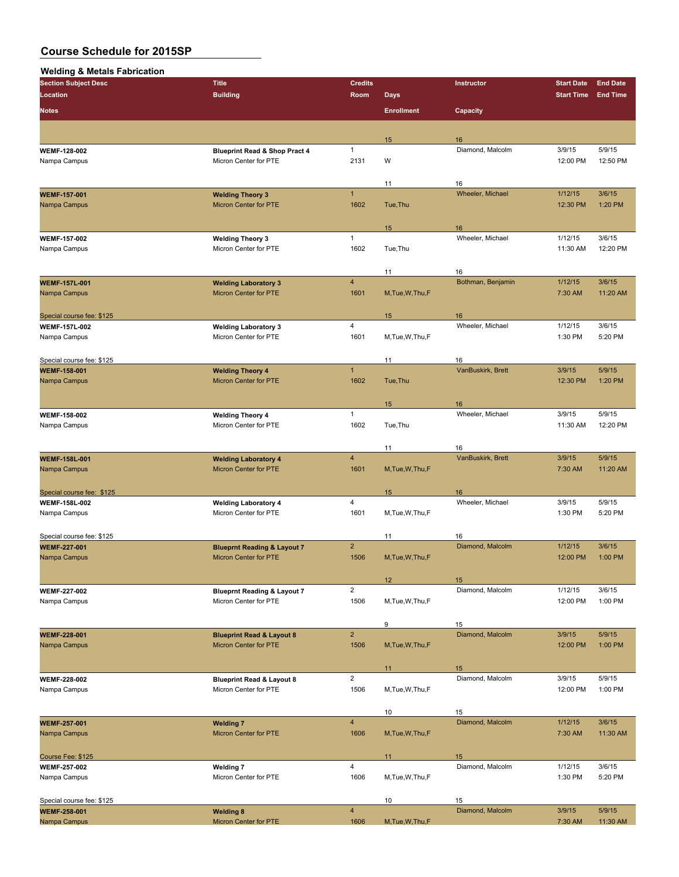| <b>Welding &amp; Metals Fabrication</b> |
|-----------------------------------------|
|-----------------------------------------|

| <b>Section Subject Desc</b>                       | <b>Title</b>                                         | <b>Credits</b>          |                   | Instructor             | <b>Start Date</b> | <b>End Date</b> |
|---------------------------------------------------|------------------------------------------------------|-------------------------|-------------------|------------------------|-------------------|-----------------|
| <b>Location</b>                                   | <b>Building</b>                                      | Room                    | <b>Days</b>       |                        | <b>Start Time</b> | <b>End Time</b> |
|                                                   |                                                      |                         |                   |                        |                   |                 |
| <b>Notes</b>                                      |                                                      |                         | <b>Enrollment</b> | Capacity               |                   |                 |
|                                                   |                                                      |                         |                   |                        |                   |                 |
|                                                   |                                                      |                         | 15                | 16                     |                   |                 |
| <b>WEMF-128-002</b>                               | <b>Blueprint Read &amp; Shop Pract 4</b>             | $\mathbf{1}$            |                   | Diamond, Malcolm       | 3/9/15            | 5/9/15          |
| Nampa Campus                                      | Micron Center for PTE                                | 2131                    | W                 |                        | 12:00 PM          | 12:50 PM        |
|                                                   |                                                      |                         |                   |                        |                   |                 |
|                                                   |                                                      |                         | 11                | 16                     |                   |                 |
| <b>WEMF-157-001</b>                               | <b>Welding Theory 3</b>                              | $\mathbf{1}$            |                   | Wheeler, Michael       | 1/12/15           | 3/6/15          |
| Nampa Campus                                      | Micron Center for PTE                                | 1602                    | Tue, Thu          |                        | 12:30 PM          | 1:20 PM         |
|                                                   |                                                      |                         |                   |                        |                   |                 |
| <b>WEMF 157-002</b>                               |                                                      | $\mathbf{1}$            | 15                | 16<br>Wheeler, Michael | 1/12/15           | 3/6/15          |
| Nampa Campus                                      | <b>Welding Theory 3</b><br>Micron Center for PTE     | 1602                    | Tue, Thu          |                        | 11:30 AM          | 12:20 PM        |
|                                                   |                                                      |                         |                   |                        |                   |                 |
|                                                   |                                                      |                         | 11                | 16                     |                   |                 |
| <b>WEMF-157L-001</b>                              | <b>Welding Laboratory 3</b>                          | $\overline{\mathbf{4}}$ |                   | Bothman, Benjamin      | 1/12/15           | 3/6/15          |
| Nampa Campus                                      | Micron Center for PTE                                | 1601                    | M, Tue, W, Thu, F |                        | 7:30 AM           | 11:20 AM        |
|                                                   |                                                      |                         |                   |                        |                   |                 |
| Special course fee: \$125                         |                                                      |                         | 15                | 16                     |                   |                 |
| <b>WEMF-157L-002</b>                              | <b>Welding Laboratory 3</b>                          | $\overline{4}$          |                   | Wheeler, Michael       | 1/12/15           | 3/6/15          |
| Nampa Campus                                      | Micron Center for PTE                                | 1601                    | M, Tue, W, Thu, F |                        | 1:30 PM           | 5:20 PM         |
|                                                   |                                                      |                         |                   |                        |                   |                 |
| Special course fee: \$125                         |                                                      |                         | 11                | 16                     |                   |                 |
| <b>WEMF-158-001</b>                               | <b>Welding Theory 4</b>                              | $\mathbf{1}$            |                   | VanBuskirk, Brett      | 3/9/15            | 5/9/15          |
| Nampa Campus                                      | Micron Center for PTE                                | 1602                    | Tue, Thu          |                        | 12:30 PM          | 1:20 PM         |
|                                                   |                                                      |                         |                   |                        |                   |                 |
|                                                   |                                                      |                         | 15                | 16                     |                   |                 |
| <b>WEMF-158-002</b>                               | <b>Welding Theory 4</b>                              | $\mathbf{1}$            |                   | Wheeler, Michael       | 3/9/15            | 5/9/15          |
| Nampa Campus                                      | Micron Center for PTE                                | 1602                    | Tue, Thu          |                        | 11:30 AM          | 12:20 PM        |
|                                                   |                                                      |                         |                   |                        |                   |                 |
|                                                   |                                                      |                         | 11                | 16                     |                   |                 |
| <b>WEMF-158L-001</b>                              | <b>Welding Laboratory 4</b>                          | $\overline{4}$          |                   | VanBuskirk, Brett      | 3/9/15            | 5/9/15          |
| Nampa Campus                                      | <b>Micron Center for PTE</b>                         | 1601                    | M, Tue, W, Thu, F |                        | 7:30 AM           | 11:20 AM        |
|                                                   |                                                      |                         |                   |                        |                   |                 |
| Special course fee: \$125<br><b>WEMF-158L-002</b> |                                                      | $\overline{4}$          | 15                | 16<br>Wheeler, Michael | 3/9/15            | 5/9/15          |
| Nampa Campus                                      | <b>Welding Laboratory 4</b><br>Micron Center for PTE | 1601                    | M, Tue, W, Thu, F |                        | 1:30 PM           | 5:20 PM         |
|                                                   |                                                      |                         |                   |                        |                   |                 |
| Special course fee: \$125                         |                                                      |                         | 11                | 16                     |                   |                 |
| <b>WEMF 227-001</b>                               | <b>Blueprnt Reading &amp; Layout 7</b>               | $\overline{2}$          |                   | Diamond, Malcolm       | 1/12/15           | 3/6/15          |
| Nampa Campus                                      | <b>Micron Center for PTE</b>                         | 1506                    | M, Tue, W, Thu, F |                        | 12:00 PM          | 1:00 PM         |
|                                                   |                                                      |                         |                   |                        |                   |                 |
|                                                   |                                                      |                         | 12                | 15                     |                   |                 |
| <b>WEMF 227-002</b>                               | <b>Blueprnt Reading &amp; Layout 7</b>               | $\overline{2}$          |                   | Diamond, Malcolm       | 1/12/15           | 3/6/15          |
| Nampa Campus                                      | Micron Center for PTE                                | 1506                    | M, Tue, W, Thu, F |                        | 12:00 PM          | 1:00 PM         |
|                                                   |                                                      |                         |                   |                        |                   |                 |
|                                                   |                                                      |                         | 9                 | 15                     |                   |                 |
| <b>WEMF-228-001</b>                               | <b>Blueprint Read &amp; Layout 8</b>                 | $\mathbf 2$             |                   | Diamond, Malcolm       | 3/9/15            | 5/9/15          |
| Nampa Campus                                      | Micron Center for PTE                                | 1506                    | M, Tue, W, Thu, F |                        | 12:00 PM          | 1:00 PM         |
|                                                   |                                                      |                         |                   |                        |                   |                 |
|                                                   |                                                      |                         | 11                | 15                     |                   |                 |
| <b>WEMF 228-002</b>                               | <b>Blueprint Read &amp; Layout 8</b>                 | $\overline{2}$          |                   | Diamond, Malcolm       | 3/9/15            | 5/9/15          |
| Nampa Campus                                      | Micron Center for PTE                                | 1506                    | M, Tue, W, Thu, F |                        | 12:00 PM          | 1:00 PM         |
|                                                   |                                                      |                         |                   |                        |                   |                 |
|                                                   |                                                      | $\overline{\mathbf{4}}$ | 10                | 15<br>Diamond, Malcolm |                   |                 |
| <b>WEMF 257-001</b>                               | <b>Welding 7</b>                                     |                         |                   |                        | 1/12/15           | 3/6/15          |
| Nampa Campus                                      | Micron Center for PTE                                | 1606                    | M, Tue, W, Thu, F |                        | 7:30 AM           | 11:30 AM        |
|                                                   |                                                      |                         | 11                | 15                     |                   |                 |
| Course Fee: \$125<br><b>WEMF 257-002</b>          | <b>Welding 7</b>                                     | $\overline{4}$          |                   | Diamond, Malcolm       | 1/12/15           | 3/6/15          |
| Nampa Campus                                      | Micron Center for PTE                                | 1606                    | M, Tue, W, Thu, F |                        | 1:30 PM           | 5:20 PM         |
|                                                   |                                                      |                         |                   |                        |                   |                 |
| Special course fee: \$125                         |                                                      |                         | 10                | 15                     |                   |                 |
| <b>WEMF-258-001</b>                               | <b>Welding 8</b>                                     | $\overline{\mathbf{4}}$ |                   | Diamond, Malcolm       | 3/9/15            | 5/9/15          |
| Nampa Campus                                      | Micron Center for PTE                                | 1606                    | M, Tue, W, Thu, F |                        | 7:30 AM           | 11:30 AM        |